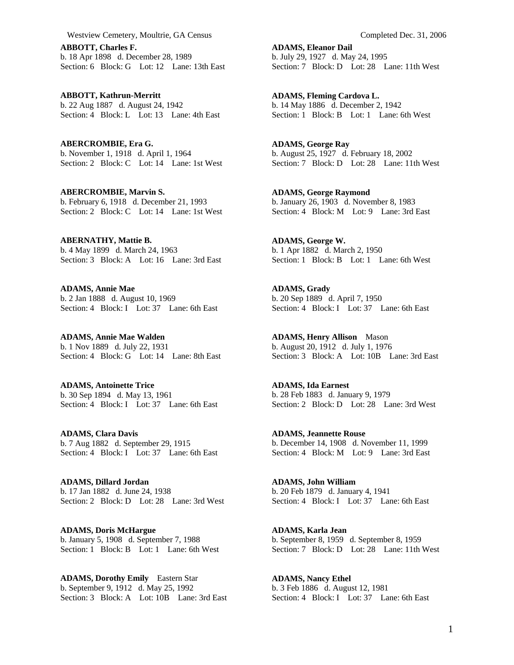**ABBOTT, Charles F.**  b. 18 Apr 1898 d. December 28, 1989 Section: 6 Block: G Lot: 12 Lane: 13th East

**ABBOTT, Kathrun-Merritt**  b. 22 Aug 1887 d. August 24, 1942 Section: 4 Block: L Lot: 13 Lane: 4th East

**ABERCROMBIE, Era G.**  b. November 1, 1918 d. April 1, 1964 Section: 2 Block: C Lot: 14 Lane: 1st West

**ABERCROMBIE, Marvin S.**  b. February 6, 1918 d. December 21, 1993 Section: 2 Block: C Lot: 14 Lane: 1st West

**ABERNATHY, Mattie B.**  b. 4 May 1899 d. March 24, 1963 Section: 3 Block: A Lot: 16 Lane: 3rd East

**ADAMS, Annie Mae**  b. 2 Jan 1888 d. August 10, 1969 Section: 4 Block: I Lot: 37 Lane: 6th East

**ADAMS, Annie Mae Walden**  b. 1 Nov 1889 d. July 22, 1931 Section: 4 Block: G Lot: 14 Lane: 8th East

**ADAMS, Antoinette Trice**  b. 30 Sep 1894 d. May 13, 1961 Section: 4 Block: I Lot: 37 Lane: 6th East

**ADAMS, Clara Davis**  b. 7 Aug 1882 d. September 29, 1915 Section: 4 Block: I Lot: 37 Lane: 6th East

**ADAMS, Dillard Jordan**  b. 17 Jan 1882 d. June 24, 1938 Section: 2 Block: D Lot: 28 Lane: 3rd West

**ADAMS, Doris McHargue**  b. January 5, 1908 d. September 7, 1988 Section: 1 Block: B Lot: 1 Lane: 6th West

**ADAMS, Dorothy Emily** Eastern Star b. September 9, 1912 d. May 25, 1992 Section: 3 Block: A Lot: 10B Lane: 3rd East **ADAMS, Eleanor Dail**  b. July 29, 1927 d. May 24, 1995 Section: 7 Block: D Lot: 28 Lane: 11th West

**ADAMS, Fleming Cardova L.**  b. 14 May 1886 d. December 2, 1942 Section: 1 Block: B Lot: 1 Lane: 6th West

**ADAMS, George Ray**  b. August 25, 1927 d. February 18, 2002 Section: 7 Block: D Lot: 28 Lane: 11th West

**ADAMS, George Raymond**  b. January 26, 1903 d. November 8, 1983 Section: 4 Block: M Lot: 9 Lane: 3rd East

**ADAMS, George W.**  b. 1 Apr 1882 d. March 2, 1950 Section: 1 Block: B Lot: 1 Lane: 6th West

**ADAMS, Grady**  b. 20 Sep 1889 d. April 7, 1950 Section: 4 Block: I Lot: 37 Lane: 6th East

**ADAMS, Henry Allison** Mason b. August 20, 1912 d. July 1, 1976 Section: 3 Block: A Lot: 10B Lane: 3rd East

**ADAMS, Ida Earnest**  b. 28 Feb 1883 d. January 9, 1979 Section: 2 Block: D Lot: 28 Lane: 3rd West

**ADAMS, Jeannette Rouse**  b. December 14, 1908 d. November 11, 1999 Section: 4 Block: M Lot: 9 Lane: 3rd East

**ADAMS, John William**  b. 20 Feb 1879 d. January 4, 1941 Section: 4 Block: I Lot: 37 Lane: 6th East

**ADAMS, Karla Jean**  b. September 8, 1959 d. September 8, 1959 Section: 7 Block: D Lot: 28 Lane: 11th West

**ADAMS, Nancy Ethel**  b. 3 Feb 1886 d. August 12, 1981 Section: 4 Block: I Lot: 37 Lane: 6th East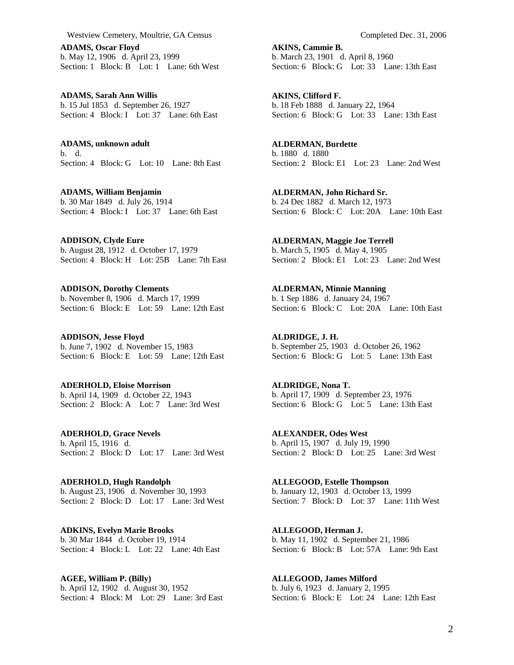**ADAMS, Oscar Floyd**  b. May 12, 1906 d. April 23, 1999 Section: 1 Block: B Lot: 1 Lane: 6th West

**ADAMS, Sarah Ann Willis**  b. 15 Jul 1853 d. September 26, 1927 Section: 4 Block: I Lot: 37 Lane: 6th East

**ADAMS, unknown adult**  b. d. Section: 4 Block: G Lot: 10 Lane: 8th East

**ADAMS, William Benjamin**  b. 30 Mar 1849 d. July 26, 1914 Section: 4 Block: I Lot: 37 Lane: 6th East

**ADDISON, Clyde Eure**  b. August 28, 1912 d. October 17, 1979 Section: 4 Block: H Lot: 25B Lane: 7th East

**ADDISON, Dorothy Clements**  b. November 8, 1906 d. March 17, 1999 Section: 6 Block: E Lot: 59 Lane: 12th East

**ADDISON, Jesse Floyd**  b. June 7, 1902 d. November 15, 1983 Section: 6 Block: E Lot: 59 Lane: 12th East

**ADERHOLD, Eloise Morrison**  b. April 14, 1909 d. October 22, 1943 Section: 2 Block: A Lot: 7 Lane: 3rd West

**ADERHOLD, Grace Nevels**  b. April 15, 1916 d. Section: 2 Block: D Lot: 17 Lane: 3rd West

**ADERHOLD, Hugh Randolph**  b. August 23, 1906 d. November 30, 1993 Section: 2 Block: D Lot: 17 Lane: 3rd West

**ADKINS, Evelyn Marie Brooks**  b. 30 Mar 1844 d. October 19, 1914 Section: 4 Block: L Lot: 22 Lane: 4th East

**AGEE, William P. (Billy)**  b. April 12, 1902 d. August 30, 1952 Section: 4 Block: M Lot: 29 Lane: 3rd East **AKINS, Cammie B.**  b. March 23, 1901 d. April 8, 1960 Section: 6 Block: G Lot: 33 Lane: 13th East

**AKINS, Clifford F.**  b. 18 Feb 1888 d. January 22, 1964 Section: 6 Block: G Lot: 33 Lane: 13th East

**ALDERMAN, Burdette**  b. 1880 d. 1880 Section: 2 Block: E1 Lot: 23 Lane: 2nd West

**ALDERMAN, John Richard Sr.**  b. 24 Dec 1882 d. March 12, 1973 Section: 6 Block: C Lot: 20A Lane: 10th East

**ALDERMAN, Maggie Joe Terrell**  b. March 5, 1905 d. May 4, 1905 Section: 2 Block: E1 Lot: 23 Lane: 2nd West

**ALDERMAN, Minnie Manning**  b. 1 Sep 1886 d. January 24, 1967 Section: 6 Block: C Lot: 20A Lane: 10th East

**ALDRIDGE, J. H.**  b. September 25, 1903 d. October 26, 1962 Section: 6 Block: G Lot: 5 Lane: 13th East

**ALDRIDGE, Nona T.**  b. April 17, 1909 d. September 23, 1976 Section: 6 Block: G Lot: 5 Lane: 13th East

**ALEXANDER, Odes West**  b. April 15, 1907 d. July 19, 1990 Section: 2 Block: D Lot: 25 Lane: 3rd West

**ALLEGOOD, Estelle Thompson**  b. January 12, 1903 d. October 13, 1999 Section: 7 Block: D Lot: 37 Lane: 11th West

**ALLEGOOD, Herman J.**  b. May 11, 1902 d. September 21, 1986 Section: 6 Block: B Lot: 57A Lane: 9th East

**ALLEGOOD, James Milford**  b. July 6, 1923 d. January 2, 1995 Section: 6 Block: E Lot: 24 Lane: 12th East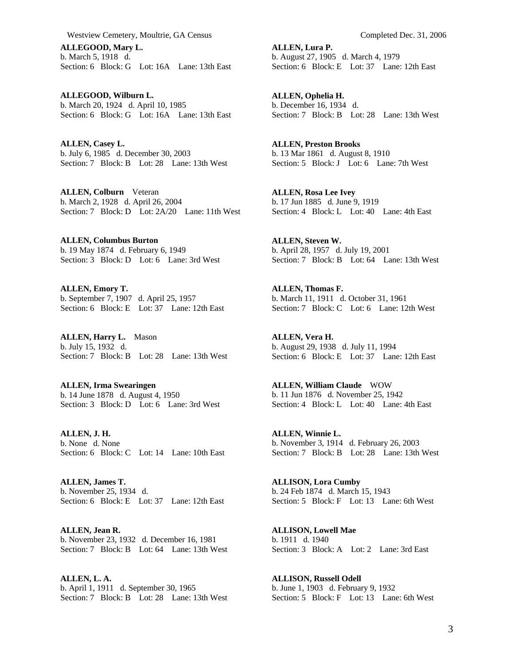**ALLEGOOD, Mary L.**  b. March 5, 1918 d. Section: 6 Block: G Lot: 16A Lane: 13th East

**ALLEGOOD, Wilburn L.**  b. March 20, 1924 d. April 10, 1985 Section: 6 Block: G Lot: 16A Lane: 13th East

**ALLEN, Casey L.**  b. July 6, 1985 d. December 30, 2003 Section: 7 Block: B Lot: 28 Lane: 13th West

**ALLEN, Colburn** Veteran b. March 2, 1928 d. April 26, 2004 Section: 7 Block: D Lot: 2A/20 Lane: 11th West

**ALLEN, Columbus Burton**  b. 19 May 1874 d. February 6, 1949 Section: 3 Block: D Lot: 6 Lane: 3rd West

**ALLEN, Emory T.**  b. September 7, 1907 d. April 25, 1957 Section: 6 Block: E Lot: 37 Lane: 12th East

**ALLEN, Harry L.** Mason b. July 15, 1932 d. Section: 7 Block: B Lot: 28 Lane: 13th West

**ALLEN, Irma Swearingen**  b. 14 June 1878 d. August 4, 1950 Section: 3 Block: D Lot: 6 Lane: 3rd West

**ALLEN, J. H.**  b. None d. None Section: 6 Block: C Lot: 14 Lane: 10th East

**ALLEN, James T.**  b. November 25, 1934 d. Section: 6 Block: E Lot: 37 Lane: 12th East

**ALLEN, Jean R.**  b. November 23, 1932 d. December 16, 1981 Section: 7 Block: B Lot: 64 Lane: 13th West

**ALLEN, L. A.**  b. April 1, 1911 d. September 30, 1965 Section: 7 Block: B Lot: 28 Lane: 13th West **ALLEN, Lura P.**  b. August 27, 1905 d. March 4, 1979 Section: 6 Block: E Lot: 37 Lane: 12th East

**ALLEN, Ophelia H.**  b. December 16, 1934 d. Section: 7 Block: B Lot: 28 Lane: 13th West

**ALLEN, Preston Brooks**  b. 13 Mar 1861 d. August 8, 1910 Section: 5 Block: J Lot: 6 Lane: 7th West

**ALLEN, Rosa Lee Ivey**  b. 17 Jun 1885 d. June 9, 1919 Section: 4 Block: L Lot: 40 Lane: 4th East

**ALLEN, Steven W.**  b. April 28, 1957 d. July 19, 2001 Section: 7 Block: B Lot: 64 Lane: 13th West

**ALLEN, Thomas F.**  b. March 11, 1911 d. October 31, 1961 Section: 7 Block: C Lot: 6 Lane: 12th West

**ALLEN, Vera H.**  b. August 29, 1938 d. July 11, 1994 Section: 6 Block: E Lot: 37 Lane: 12th East

**ALLEN, William Claude** WOW b. 11 Jun 1876 d. November 25, 1942 Section: 4 Block: L Lot: 40 Lane: 4th East

**ALLEN, Winnie L.**  b. November 3, 1914 d. February 26, 2003 Section: 7 Block: B Lot: 28 Lane: 13th West

**ALLISON, Lora Cumby**  b. 24 Feb 1874 d. March 15, 1943 Section: 5 Block: F Lot: 13 Lane: 6th West

**ALLISON, Lowell Mae**  b. 1911 d. 1940 Section: 3 Block: A Lot: 2 Lane: 3rd East

**ALLISON, Russell Odell**  b. June 1, 1903 d. February 9, 1932 Section: 5 Block: F Lot: 13 Lane: 6th West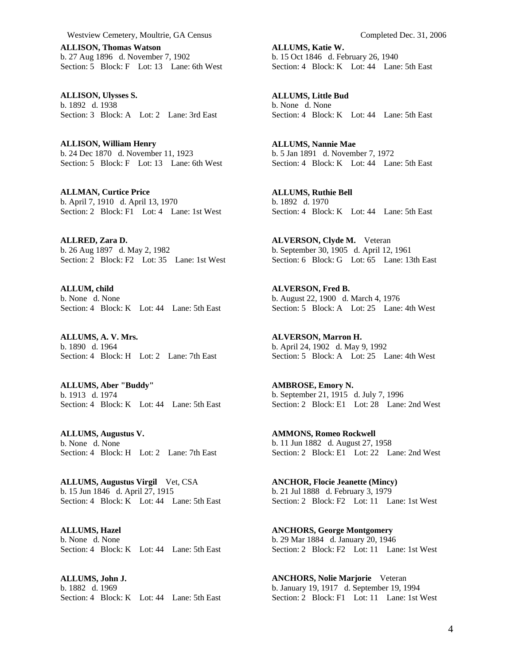**ALLISON, Thomas Watson**  b. 27 Aug 1896 d. November 7, 1902 Section: 5 Block: F Lot: 13 Lane: 6th West

**ALLISON, Ulysses S.**  b. 1892 d. 1938 Section: 3 Block: A Lot: 2 Lane: 3rd East

**ALLISON, William Henry**  b. 24 Dec 1870 d. November 11, 1923 Section: 5 Block: F Lot: 13 Lane: 6th West

**ALLMAN, Curtice Price**  b. April 7, 1910 d. April 13, 1970 Section: 2 Block: F1 Lot: 4 Lane: 1st West

**ALLRED, Zara D.**  b. 26 Aug 1897 d. May 2, 1982 Section: 2 Block: F2 Lot: 35 Lane: 1st West

**ALLUM, child**  b. None d. None Section: 4 Block: K Lot: 44 Lane: 5th East

**ALLUMS, A. V. Mrs.**  b. 1890 d. 1964 Section: 4 Block: H Lot: 2 Lane: 7th East

**ALLUMS, Aber "Buddy"**  b. 1913 d. 1974 Section: 4 Block: K Lot: 44 Lane: 5th East

**ALLUMS, Augustus V.**  b. None d. None Section: 4 Block: H Lot: 2 Lane: 7th East

**ALLUMS, Augustus Virgil** Vet, CSA b. 15 Jun 1846 d. April 27, 1915 Section:  $4 \text{ Block: } K \text{ Lot: } 44 \text{ Lane: } 5 \text{th East}$ 

**ALLUMS, Hazel**  b. None d. None Section: 4 Block: K Lot: 44 Lane: 5th East

**ALLUMS, John J.**  b. 1882 d. 1969 Section: 4 Block: K Lot: 44 Lane: 5th East **ALLUMS, Katie W.**  b. 15 Oct 1846 d. February 26, 1940 Section: 4 Block: K Lot: 44 Lane: 5th East

**ALLUMS, Little Bud**  b. None d. None Section: 4 Block: K Lot: 44 Lane: 5th East

**ALLUMS, Nannie Mae**  b. 5 Jan 1891 d. November 7, 1972 Section: 4 Block: K Lot: 44 Lane: 5th East

**ALLUMS, Ruthie Bell**  b. 1892 d. 1970 Section: 4 Block: K Lot: 44 Lane: 5th East

**ALVERSON, Clyde M.** Veteran b. September 30, 1905 d. April 12, 1961 Section: 6 Block: G Lot: 65 Lane: 13th East

**ALVERSON, Fred B.**  b. August 22, 1900 d. March 4, 1976 Section: 5 Block: A Lot: 25 Lane: 4th West

**ALVERSON, Marron H.**  b. April 24, 1902 d. May 9, 1992 Section: 5 Block: A Lot: 25 Lane: 4th West

**AMBROSE, Emory N.**  b. September 21, 1915 d. July 7, 1996 Section: 2 Block: E1 Lot: 28 Lane: 2nd West

**AMMONS, Romeo Rockwell**  b. 11 Jun 1882 d. August 27, 1958 Section: 2 Block: E1 Lot: 22 Lane: 2nd West

**ANCHOR, Flocie Jeanette (Mincy)**  b. 21 Jul 1888 d. February 3, 1979 Section: 2 Block: F2 Lot: 11 Lane: 1st West

**ANCHORS, George Montgomery**  b. 29 Mar 1884 d. January 20, 1946 Section: 2 Block: F2 Lot: 11 Lane: 1st West

**ANCHORS, Nolie Marjorie** Veteran b. January 19, 1917 d. September 19, 1994 Section: 2 Block: F1 Lot: 11 Lane: 1st West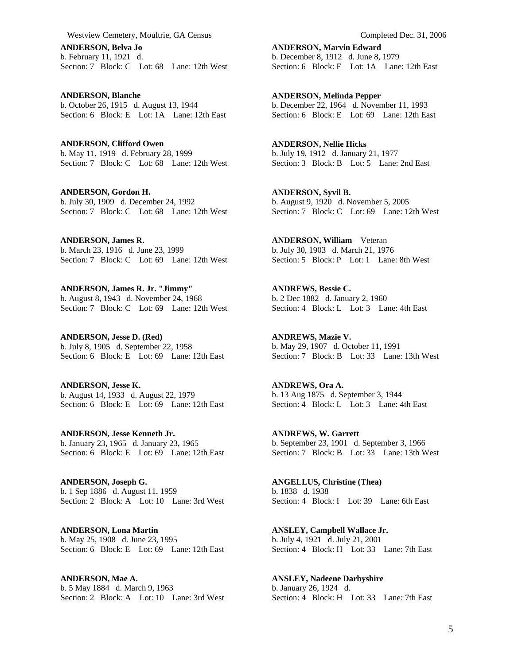**ANDERSON, Belva Jo**  b. February 11, 1921 d. Section: 7 Block: C Lot: 68 Lane: 12th West

**ANDERSON, Blanche**  b. October 26, 1915 d. August 13, 1944 Section: 6 Block: E Lot: 1A Lane: 12th East

**ANDERSON, Clifford Owen**  b. May 11, 1919 d. February 28, 1999 Section: 7 Block: C Lot: 68 Lane: 12th West

**ANDERSON, Gordon H.**  b. July 30, 1909 d. December 24, 1992 Section: 7 Block: C Lot: 68 Lane: 12th West

**ANDERSON, James R.**  b. March 23, 1916 d. June 23, 1999 Section: 7 Block: C Lot: 69 Lane: 12th West

**ANDERSON, James R. Jr. "Jimmy"**  b. August 8, 1943 d. November 24, 1968 Section: 7 Block: C Lot: 69 Lane: 12th West

**ANDERSON, Jesse D. (Red)**  b. July 8, 1905 d. September 22, 1958 Section: 6 Block: E Lot: 69 Lane: 12th East

**ANDERSON, Jesse K.**  b. August 14, 1933 d. August 22, 1979 Section: 6 Block: E Lot: 69 Lane: 12th East

**ANDERSON, Jesse Kenneth Jr.**  b. January 23, 1965 d. January 23, 1965 Section: 6 Block: E Lot: 69 Lane: 12th East

**ANDERSON, Joseph G.**  b. 1 Sep 1886 d. August 11, 1959 Section: 2 Block: A Lot: 10 Lane: 3rd West

**ANDERSON, Lona Martin**  b. May 25, 1908 d. June 23, 1995 Section: 6 Block: E Lot: 69 Lane: 12th East

**ANDERSON, Mae A.**  b. 5 May 1884 d. March 9, 1963 Section: 2 Block: A Lot: 10 Lane: 3rd West **ANDERSON, Marvin Edward**  b. December 8, 1912 d. June 8, 1979 Section: 6 Block: E Lot: 1A Lane: 12th East

**ANDERSON, Melinda Pepper**  b. December 22, 1964 d. November 11, 1993 Section: 6 Block: E Lot: 69 Lane: 12th East

**ANDERSON, Nellie Hicks**  b. July 19, 1912 d. January 21, 1977 Section: 3 Block: B Lot: 5 Lane: 2nd East

**ANDERSON, Syvil B.**  b. August 9, 1920 d. November 5, 2005 Section: 7 Block: C Lot: 69 Lane: 12th West

**ANDERSON, William** Veteran b. July 30, 1903 d. March 21, 1976 Section: 5 Block: P Lot: 1 Lane: 8th West

**ANDREWS, Bessie C.**  b. 2 Dec 1882 d. January 2, 1960 Section: 4 Block: L Lot: 3 Lane: 4th East

**ANDREWS, Mazie V.**  b. May 29, 1907 d. October 11, 1991 Section: 7 Block: B Lot: 33 Lane: 13th West

**ANDREWS, Ora A.**  b. 13 Aug 1875 d. September 3, 1944 Section: 4 Block: L Lot: 3 Lane: 4th East

**ANDREWS, W. Garrett**  b. September 23, 1901 d. September 3, 1966 Section: 7 Block: B Lot: 33 Lane: 13th West

**ANGELLUS, Christine (Thea)**  b. 1838 d. 1938 Section: 4 Block: I Lot: 39 Lane: 6th East

**ANSLEY, Campbell Wallace Jr.**  b. July 4, 1921 d. July 21, 2001 Section: 4 Block: H Lot: 33 Lane: 7th East

**ANSLEY, Nadeene Darbyshire**  b. January 26, 1924 d. Section: 4 Block: H Lot: 33 Lane: 7th East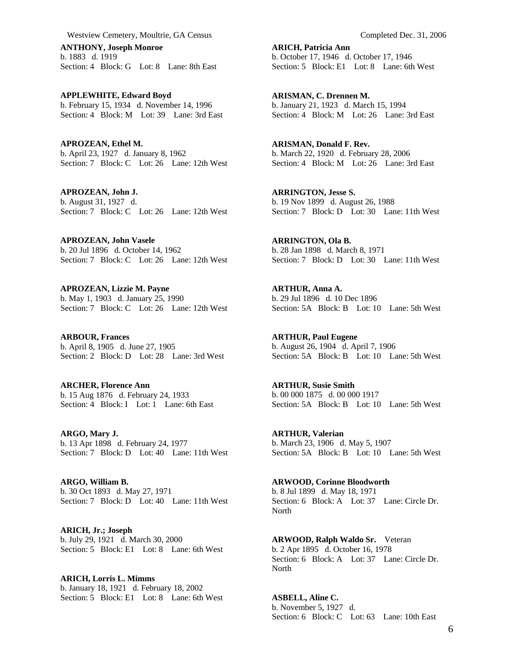**ANTHONY, Joseph Monroe**  b. 1883 d. 1919 Section: 4 Block: G Lot: 8 Lane: 8th East

**APPLEWHITE, Edward Boyd**  b. February 15, 1934 d. November 14, 1996 Section: 4 Block: M Lot: 39 Lane: 3rd East

**APROZEAN, Ethel M.**  b. April 23, 1927 d. January 8, 1962 Section: 7 Block: C Lot: 26 Lane: 12th West

**APROZEAN, John J.**  b. August 31, 1927 d. Section: 7 Block: C Lot: 26 Lane: 12th West

**APROZEAN, John Vasele**  b. 20 Jul 1896 d. October 14, 1962 Section: 7 Block: C Lot: 26 Lane: 12th West

**APROZEAN, Lizzie M. Payne**  b. May 1, 1903 d. January 25, 1990 Section: 7 Block: C Lot: 26 Lane: 12th West

**ARBOUR, Frances**  b. April 8, 1905 d. June 27, 1905 Section: 2 Block: D Lot: 28 Lane: 3rd West

**ARCHER, Florence Ann**  b. 15 Aug 1876 d. February 24, 1933 Section: 4 Block: I Lot: 1 Lane: 6th East

**ARGO, Mary J.**  b. 13 Apr 1898 d. February 24, 1977 Section: 7 Block: D Lot: 40 Lane: 11th West

**ARGO, William B.**  b. 30 Oct 1893 d. May 27, 1971 Section: 7 Block: D Lot: 40 Lane: 11th West

**ARICH, Jr.; Joseph**  b. July 29, 1921 d. March 30, 2000 Section: 5 Block: E1 Lot: 8 Lane: 6th West

**ARICH, Lorris L. Mimms**  b. January 18, 1921 d. February 18, 2002 Section: 5 Block: E1 Lot: 8 Lane: 6th West **ARICH, Patricia Ann**  b. October 17, 1946 d. October 17, 1946 Section: 5 Block: E1 Lot: 8 Lane: 6th West

**ARISMAN, C. Drennen M.**  b. January 21, 1923 d. March 15, 1994 Section: 4 Block: M Lot: 26 Lane: 3rd East

**ARISMAN, Donald F. Rev.**  b. March 22, 1920 d. February 28, 2006 Section: 4 Block: M Lot: 26 Lane: 3rd East

**ARRINGTON, Jesse S.**  b. 19 Nov 1899 d. August 26, 1988 Section: 7 Block: D Lot: 30 Lane: 11th West

**ARRINGTON, Ola B.**  b. 28 Jan 1898 d. March 8, 1971 Section: 7 Block: D Lot: 30 Lane: 11th West

**ARTHUR, Anna A.**  b. 29 Jul 1896 d. 10 Dec 1896 Section: 5A Block: B Lot: 10 Lane: 5th West

**ARTHUR, Paul Eugene**  b. August 26, 1904 d. April 7, 1906 Section: 5A Block: B Lot: 10 Lane: 5th West

**ARTHUR, Susie Smith**  b. 00 000 1875 d. 00 000 1917 Section: 5A Block: B Lot: 10 Lane: 5th West

**ARTHUR, Valerian**  b. March 23, 1906 d. May 5, 1907 Section: 5A Block: B Lot: 10 Lane: 5th West

**ARWOOD, Corinne Bloodworth**  b. 8 Jul 1899 d. May 18, 1971 Section: 6 Block: A Lot: 37 Lane: Circle Dr. North

**ARWOOD, Ralph Waldo Sr.** Veteran b. 2 Apr 1895 d. October 16, 1978 Section: 6 Block: A Lot: 37 Lane: Circle Dr. North

**ASBELL, Aline C.**  b. November 5, 1927 d. Section: 6 Block: C Lot: 63 Lane: 10th East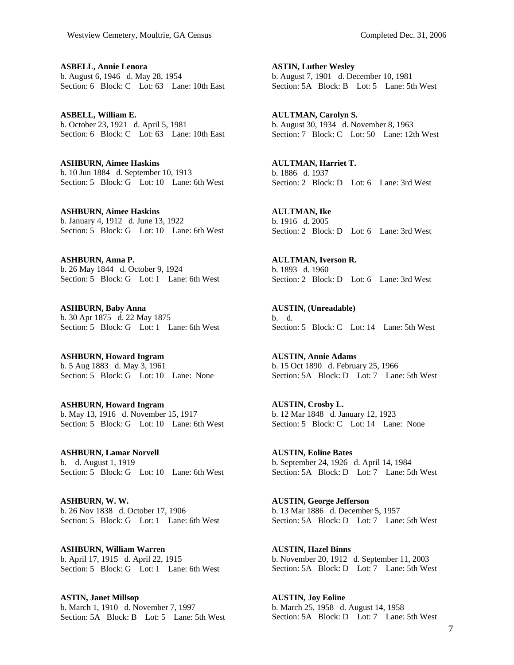**ASBELL, Annie Lenora**  b. August 6, 1946 d. May 28, 1954 Section: 6 Block: C Lot: 63 Lane: 10th East

**ASBELL, William E.**  b. October 23, 1921 d. April 5, 1981 Section: 6 Block: C Lot: 63 Lane: 10th East

**ASHBURN, Aimee Haskins**  b. 10 Jun 1884 d. September 10, 1913 Section: 5 Block: G Lot: 10 Lane: 6th West

**ASHBURN, Aimee Haskins**  b. January 4, 1912 d. June 13, 1922 Section: 5 Block: G Lot: 10 Lane: 6th West

**ASHBURN, Anna P.**  b. 26 May 1844 d. October 9, 1924 Section: 5 Block: G Lot: 1 Lane: 6th West

**ASHBURN, Baby Anna**  b. 30 Apr 1875 d. 22 May 1875 Section: 5 Block: G Lot: 1 Lane: 6th West

**ASHBURN, Howard Ingram**  b. 5 Aug 1883 d. May 3, 1961 Section: 5 Block: G Lot: 10 Lane: None

**ASHBURN, Howard Ingram**  b. May 13, 1916 d. November 15, 1917 Section: 5 Block: G Lot: 10 Lane: 6th West

**ASHBURN, Lamar Norvell**  b. d. August 1, 1919 Section: 5 Block: G Lot: 10 Lane: 6th West

**ASHBURN, W. W.**  b. 26 Nov 1838 d. October 17, 1906 Section: 5 Block: G Lot: 1 Lane: 6th West

**ASHBURN, William Warren**  b. April 17, 1915 d. April 22, 1915 Section: 5 Block: G Lot: 1 Lane: 6th West

**ASTIN, Janet Millsop**  b. March 1, 1910 d. November 7, 1997 Section: 5A Block: B Lot: 5 Lane: 5th West

**ASTIN, Luther Wesley**  b. August 7, 1901 d. December 10, 1981 Section: 5A Block: B Lot: 5 Lane: 5th West

**AULTMAN, Carolyn S.**  b. August 30, 1934 d. November 8, 1963 Section: 7 Block: C Lot: 50 Lane: 12th West

**AULTMAN, Harriet T.**  b. 1886 d. 1937 Section: 2 Block: D Lot: 6 Lane: 3rd West

**AULTMAN, Ike**  b. 1916 d. 2005 Section: 2 Block: D Lot: 6 Lane: 3rd West

**AULTMAN, Iverson R.**  b. 1893 d. 1960 Section: 2 Block: D Lot: 6 Lane: 3rd West

**AUSTIN, (Unreadable)**  b. d. Section: 5 Block: C Lot: 14 Lane: 5th West

**AUSTIN, Annie Adams**  b. 15 Oct 1890 d. February 25, 1966 Section: 5A Block: D Lot: 7 Lane: 5th West

**AUSTIN, Crosby L.**  b. 12 Mar 1848 d. January 12, 1923 Section: 5 Block: C Lot: 14 Lane: None

**AUSTIN, Eoline Bates**  b. September 24, 1926 d. April 14, 1984 Section: 5A Block: D Lot: 7 Lane: 5th West

**AUSTIN, George Jefferson**  b. 13 Mar 1886 d. December 5, 1957 Section: 5A Block: D Lot: 7 Lane: 5th West

**AUSTIN, Hazel Binns**  b. November 20, 1912 d. September 11, 2003 Section: 5A Block: D Lot: 7 Lane: 5th West

**AUSTIN, Joy Eoline**  b. March 25, 1958 d. August 14, 1958 Section: 5A Block: D Lot: 7 Lane: 5th West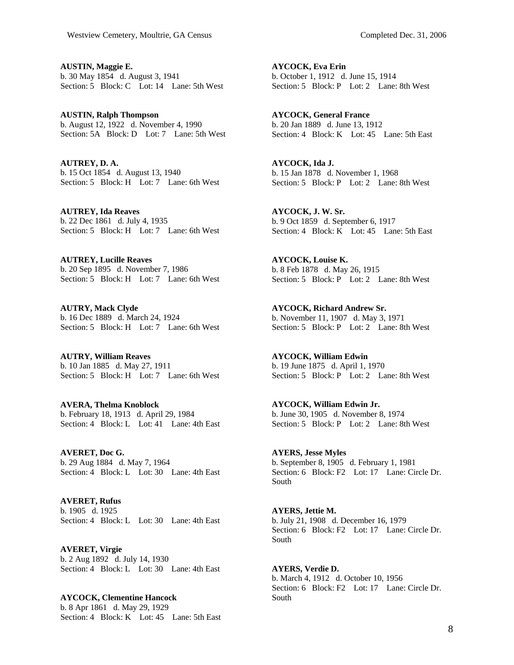**AUSTIN, Maggie E.**  b. 30 May 1854 d. August 3, 1941 Section: 5 Block: C Lot: 14 Lane: 5th West

**AUSTIN, Ralph Thompson**  b. August 12, 1922 d. November 4, 1990 Section: 5A Block: D Lot: 7 Lane: 5th West

**AUTREY, D. A.**  b. 15 Oct 1854 d. August 13, 1940 Section: 5 Block: H Lot: 7 Lane: 6th West

**AUTREY, Ida Reaves**  b. 22 Dec 1861 d. July 4, 1935 Section: 5 Block: H Lot: 7 Lane: 6th West

**AUTREY, Lucille Reaves**  b. 20 Sep 1895 d. November 7, 1986 Section: 5 Block: H Lot: 7 Lane: 6th West

**AUTRY, Mack Clyde**  b. 16 Dec 1889 d. March 24, 1924 Section: 5 Block: H Lot: 7 Lane: 6th West

**AUTRY, William Reaves**  b. 10 Jan 1885 d. May 27, 1911 Section: 5 Block: H Lot: 7 Lane: 6th West

**AVERA, Thelma Knoblock**  b. February 18, 1913 d. April 29, 1984 Section: 4 Block: L Lot: 41 Lane: 4th East

**AVERET, Doc G.**  b. 29 Aug 1884 d. May 7, 1964 Section: 4 Block: L Lot: 30 Lane: 4th East

**AVERET, Rufus**  b. 1905 d. 1925 Section: 4 Block: L Lot: 30 Lane: 4th East

**AVERET, Virgie**  b. 2 Aug 1892 d. July 14, 1930 Section: 4 Block: L Lot: 30 Lane: 4th East

**AYCOCK, Clementine Hancock**  b. 8 Apr 1861 d. May 29, 1929 Section: 4 Block: K Lot: 45 Lane: 5th East

**AYCOCK, Eva Erin**  b. October 1, 1912 d. June 15, 1914 Section: 5 Block: P Lot: 2 Lane: 8th West

**AYCOCK, General France**  b. 20 Jan 1889 d. June 13, 1912 Section: 4 Block: K Lot: 45 Lane: 5th East

**AYCOCK, Ida J.**  b. 15 Jan 1878 d. November 1, 1968 Section: 5 Block: P Lot: 2 Lane: 8th West

**AYCOCK, J. W. Sr.**  b. 9 Oct 1859 d. September 6, 1917 Section: 4 Block: K Lot: 45 Lane: 5th East

**AYCOCK, Louise K.**  b. 8 Feb 1878 d. May 26, 1915 Section: 5 Block: P Lot: 2 Lane: 8th West

**AYCOCK, Richard Andrew Sr.**  b. November 11, 1907 d. May 3, 1971 Section: 5 Block: P Lot: 2 Lane: 8th West

**AYCOCK, William Edwin**  b. 19 June 1875 d. April 1, 1970 Section: 5 Block: P Lot: 2 Lane: 8th West

**AYCOCK, William Edwin Jr.**  b. June 30, 1905 d. November 8, 1974 Section: 5 Block: P Lot: 2 Lane: 8th West

**AYERS, Jesse Myles**  b. September 8, 1905 d. February 1, 1981 Section: 6 Block: F2 Lot: 17 Lane: Circle Dr. South

**AYERS, Jettie M.**  b. July 21, 1908 d. December 16, 1979 Section: 6 Block: F2 Lot: 17 Lane: Circle Dr. South

**AYERS, Verdie D.**  b. March 4, 1912 d. October 10, 1956 Section: 6 Block: F2 Lot: 17 Lane: Circle Dr. South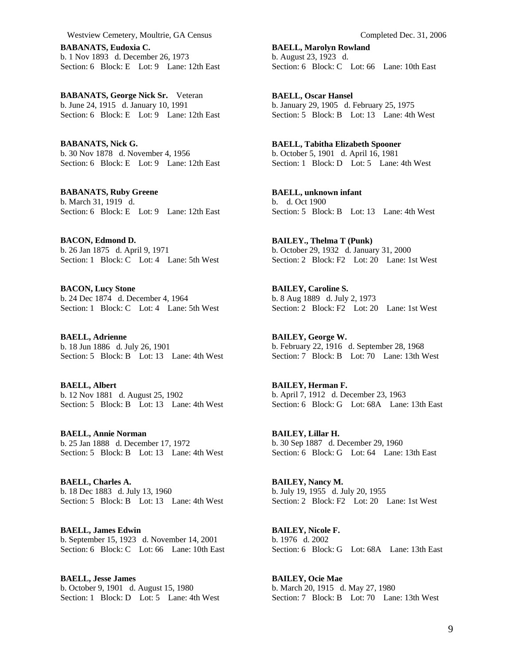**BABANATS, Eudoxia C.**  b. 1 Nov 1893 d. December 26, 1973 Section: 6 Block: E Lot: 9 Lane: 12th East

**BABANATS, George Nick Sr.** Veteran b. June 24, 1915 d. January 10, 1991 Section: 6 Block: E Lot: 9 Lane: 12th East

**BABANATS, Nick G.**  b. 30 Nov 1878 d. November 4, 1956 Section: 6 Block: E Lot: 9 Lane: 12th East

**BABANATS, Ruby Greene**  b. March 31, 1919 d. Section: 6 Block: E Lot: 9 Lane: 12th East

**BACON, Edmond D.**  b. 26 Jan 1875 d. April 9, 1971 Section: 1 Block: C Lot: 4 Lane: 5th West

**BACON, Lucy Stone**  b. 24 Dec 1874 d. December 4, 1964 Section: 1 Block: C Lot: 4 Lane: 5th West

**BAELL, Adrienne**  b. 18 Jun 1886 d. July 26, 1901 Section: 5 Block: B Lot: 13 Lane: 4th West

**BAELL, Albert**  b. 12 Nov 1881 d. August 25, 1902 Section: 5 Block: B Lot: 13 Lane: 4th West

**BAELL, Annie Norman**  b. 25 Jan 1888 d. December 17, 1972 Section: 5 Block: B Lot: 13 Lane: 4th West

**BAELL, Charles A.**  b. 18 Dec 1883 d. July 13, 1960 Section: 5 Block: B Lot: 13 Lane: 4th West

**BAELL, James Edwin**  b. September 15, 1923 d. November 14, 2001 Section: 6 Block: C Lot: 66 Lane: 10th East

**BAELL, Jesse James**  b. October 9, 1901 d. August 15, 1980 Section: 1 Block: D Lot: 5 Lane: 4th West

**BAELL, Marolyn Rowland**  b. August 23, 1923 d. Section: 6 Block: C Lot: 66 Lane: 10th East

**BAELL, Oscar Hansel**  b. January 29, 1905 d. February 25, 1975 Section: 5 Block: B Lot: 13 Lane: 4th West

**BAELL, Tabitha Elizabeth Spooner**  b. October 5, 1901 d. April 16, 1981 Section: 1 Block: D Lot: 5 Lane: 4th West

**BAELL, unknown infant**  b. d. Oct 1900 Section: 5 Block: B Lot: 13 Lane: 4th West

**BAILEY., Thelma T (Punk)**  b. October 29, 1932 d. January 31, 2000 Section: 2 Block: F2 Lot: 20 Lane: 1st West

**BAILEY, Caroline S.**  b. 8 Aug 1889 d. July 2, 1973 Section: 2 Block: F2 Lot: 20 Lane: 1st West

**BAILEY, George W.**  b. February 22, 1916 d. September 28, 1968 Section: 7 Block: B Lot: 70 Lane: 13th West

**BAILEY, Herman F.**  b. April 7, 1912 d. December 23, 1963 Section: 6 Block: G Lot: 68A Lane: 13th East

**BAILEY, Lillar H.**  b. 30 Sep 1887 d. December 29, 1960 Section: 6 Block: G Lot: 64 Lane: 13th East

**BAILEY, Nancy M.**  b. July 19, 1955 d. July 20, 1955 Section: 2 Block: F2 Lot: 20 Lane: 1st West

**BAILEY, Nicole F.**  b. 1976 d. 2002 Section: 6 Block: G Lot: 68A Lane: 13th East

**BAILEY, Ocie Mae**  b. March 20, 1915 d. May 27, 1980 Section: 7 Block: B Lot: 70 Lane: 13th West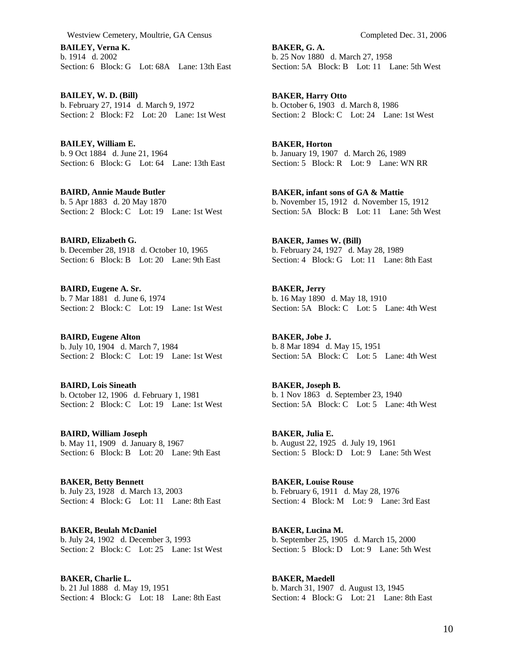**BAILEY, Verna K.**  b. 1914 d. 2002 Section: 6 Block: G Lot: 68A Lane: 13th East

**BAILEY, W. D. (Bill)**  b. February 27, 1914 d. March 9, 1972 Section: 2 Block: F2 Lot: 20 Lane: 1st West

**BAILEY, William E.**  b. 9 Oct 1884 d. June 21, 1964 Section: 6 Block: G Lot: 64 Lane: 13th East

**BAIRD, Annie Maude Butler**  b. 5 Apr 1883 d. 20 May 1870 Section: 2 Block: C Lot: 19 Lane: 1st West

**BAIRD, Elizabeth G.**  b. December 28, 1918 d. October 10, 1965 Section: 6 Block: B Lot: 20 Lane: 9th East

**BAIRD, Eugene A. Sr.**  b. 7 Mar 1881 d. June 6, 1974 Section: 2 Block: C Lot: 19 Lane: 1st West

**BAIRD, Eugene Alton**  b. July 10, 1904 d. March 7, 1984 Section: 2 Block: C Lot: 19 Lane: 1st West

**BAIRD, Lois Sineath**  b. October 12, 1906 d. February 1, 1981 Section: 2 Block: C Lot: 19 Lane: 1st West

**BAIRD, William Joseph**  b. May 11, 1909 d. January 8, 1967 Section: 6 Block: B Lot: 20 Lane: 9th East

**BAKER, Betty Bennett**  b. July 23, 1928 d. March 13, 2003 Section: 4 Block: G Lot: 11 Lane: 8th East

**BAKER, Beulah McDaniel**  b. July 24, 1902 d. December 3, 1993 Section: 2 Block: C Lot: 25 Lane: 1st West

**BAKER, Charlie L.**  b. 21 Jul 1888 d. May 19, 1951 Section: 4 Block: G Lot: 18 Lane: 8th East

**BAKER, G. A.**  b. 25 Nov 1880 d. March 27, 1958 Section: 5A Block: B Lot: 11 Lane: 5th West

**BAKER, Harry Otto**  b. October 6, 1903 d. March 8, 1986 Section: 2 Block: C Lot: 24 Lane: 1st West

**BAKER, Horton**  b. January 19, 1907 d. March 26, 1989 Section: 5 Block: R Lot: 9 Lane: WN RR

**BAKER, infant sons of GA & Mattie**  b. November 15, 1912 d. November 15, 1912 Section: 5A Block: B Lot: 11 Lane: 5th West

**BAKER, James W. (Bill)**  b. February 24, 1927 d. May 28, 1989 Section: 4 Block: G Lot: 11 Lane: 8th East

**BAKER, Jerry**  b. 16 May 1890 d. May 18, 1910 Section: 5A Block: C Lot: 5 Lane: 4th West

**BAKER, Jobe J.**  b. 8 Mar 1894 d. May 15, 1951 Section: 5A Block: C Lot: 5 Lane: 4th West

**BAKER, Joseph B.**  b. 1 Nov 1863 d. September 23, 1940 Section: 5A Block: C Lot: 5 Lane: 4th West

**BAKER, Julia E.**  b. August 22, 1925 d. July 19, 1961 Section: 5 Block: D Lot: 9 Lane: 5th West

**BAKER, Louise Rouse**  b. February 6, 1911 d. May 28, 1976 Section: 4 Block: M Lot: 9 Lane: 3rd East

**BAKER, Lucina M.**  b. September 25, 1905 d. March 15, 2000 Section: 5 Block: D Lot: 9 Lane: 5th West

**BAKER, Maedell**  b. March 31, 1907 d. August 13, 1945 Section: 4 Block: G Lot: 21 Lane: 8th East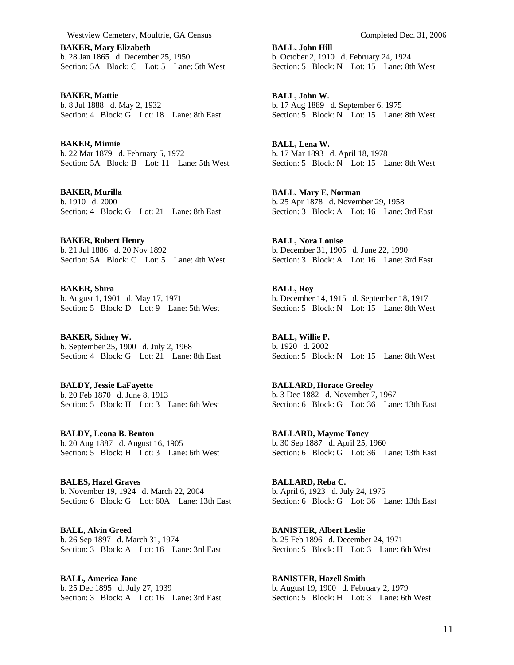**BAKER, Mary Elizabeth**  b. 28 Jan 1865 d. December 25, 1950 Section: 5A Block: C Lot: 5 Lane: 5th West

**BAKER, Mattie**  b. 8 Jul 1888 d. May 2, 1932 Section: 4 Block: G Lot: 18 Lane: 8th East

**BAKER, Minnie**  b. 22 Mar 1879 d. February 5, 1972 Section: 5A Block: B Lot: 11 Lane: 5th West

**BAKER, Murilla**  b. 1910 d. 2000 Section: 4 Block: G Lot: 21 Lane: 8th East

**BAKER, Robert Henry**  b. 21 Jul 1886 d. 20 Nov 1892 Section: 5A Block: C Lot: 5 Lane: 4th West

**BAKER, Shira**  b. August 1, 1901 d. May 17, 1971 Section: 5 Block: D Lot: 9 Lane: 5th West

**BAKER, Sidney W.**  b. September 25, 1900 d. July 2, 1968 Section: 4 Block: G Lot: 21 Lane: 8th East

**BALDY, Jessie LaFayette**  b. 20 Feb 1870 d. June 8, 1913 Section: 5 Block: H Lot: 3 Lane: 6th West

**BALDY, Leona B. Benton**  b. 20 Aug 1887 d. August 16, 1905 Section: 5 Block: H Lot: 3 Lane: 6th West

**BALES, Hazel Graves**  b. November 19, 1924 d. March 22, 2004 Section: 6 Block: G Lot: 60A Lane: 13th East

**BALL, Alvin Greed**  b. 26 Sep 1897 d. March 31, 1974 Section: 3 Block: A Lot: 16 Lane: 3rd East

**BALL, America Jane**  b. 25 Dec 1895 d. July 27, 1939 Section: 3 Block: A Lot: 16 Lane: 3rd East

**BALL, John Hill**  b. October 2, 1910 d. February 24, 1924 Section: 5 Block: N Lot: 15 Lane: 8th West

**BALL, John W.**  b. 17 Aug 1889 d. September 6, 1975 Section: 5 Block: N Lot: 15 Lane: 8th West

**BALL, Lena W.**  b. 17 Mar 1893 d. April 18, 1978 Section: 5 Block: N Lot: 15 Lane: 8th West

**BALL, Mary E. Norman**  b. 25 Apr 1878 d. November 29, 1958 Section: 3 Block: A Lot: 16 Lane: 3rd East

**BALL, Nora Louise**  b. December 31, 1905 d. June 22, 1990 Section: 3 Block: A Lot: 16 Lane: 3rd East

**BALL, Roy**  b. December 14, 1915 d. September 18, 1917 Section: 5 Block: N Lot: 15 Lane: 8th West

**BALL, Willie P.**  b. 1920 d. 2002 Section: 5 Block: N Lot: 15 Lane: 8th West

**BALLARD, Horace Greeley**  b. 3 Dec 1882 d. November 7, 1967 Section: 6 Block: G Lot: 36 Lane: 13th East

**BALLARD, Mayme Toney**  b. 30 Sep 1887 d. April 25, 1960 Section: 6 Block: G Lot: 36 Lane: 13th East

**BALLARD, Reba C.**  b. April 6, 1923 d. July 24, 1975 Section: 6 Block: G Lot: 36 Lane: 13th East

**BANISTER, Albert Leslie**  b. 25 Feb 1896 d. December 24, 1971 Section: 5 Block: H Lot: 3 Lane: 6th West

**BANISTER, Hazell Smith**  b. August 19, 1900 d. February 2, 1979 Section: 5 Block: H Lot: 3 Lane: 6th West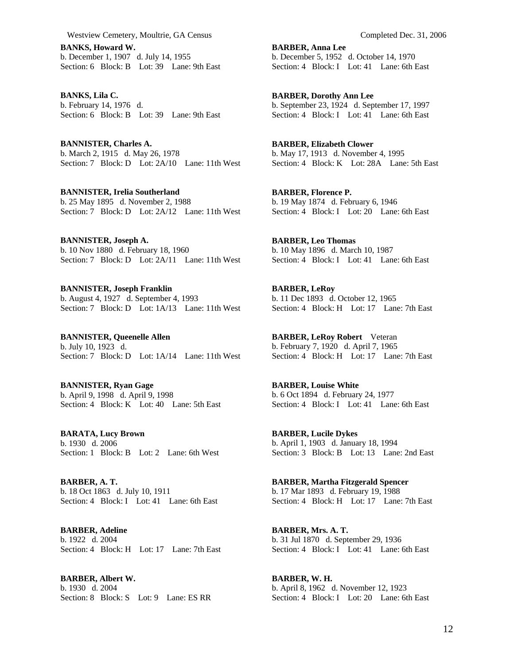**BANKS, Howard W.**  b. December 1, 1907 d. July 14, 1955 Section: 6 Block: B Lot: 39 Lane: 9th East

**BANKS, Lila C.**  b. February 14, 1976 d. Section: 6 Block: B Lot: 39 Lane: 9th East

**BANNISTER, Charles A.**  b. March 2, 1915 d. May 26, 1978 Section: 7 Block: D Lot: 2A/10 Lane: 11th West

**BANNISTER, Irelia Southerland**  b. 25 May 1895 d. November 2, 1988 Section: 7 Block: D Lot: 2A/12 Lane: 11th West

**BANNISTER, Joseph A.**  b. 10 Nov 1880 d. February 18, 1960 Section: 7 Block: D Lot: 2A/11 Lane: 11th West

**BANNISTER, Joseph Franklin**  b. August 4, 1927 d. September 4, 1993 Section: 7 Block: D Lot: 1A/13 Lane: 11th West

**BANNISTER, Queenelle Allen**  b. July 10, 1923 d. Section: 7 Block: D Lot: 1A/14 Lane: 11th West

**BANNISTER, Ryan Gage**  b. April 9, 1998 d. April 9, 1998 Section: 4 Block: K Lot: 40 Lane: 5th East

**BARATA, Lucy Brown**  b. 1930 d. 2006 Section: 1 Block: B Lot: 2 Lane: 6th West

**BARBER, A. T.**  b. 18 Oct 1863 d. July 10, 1911 Section: 4 Block: I Lot: 41 Lane: 6th East

**BARBER, Adeline**  b. 1922 d. 2004 Section: 4 Block: H Lot: 17 Lane: 7th East

**BARBER, Albert W.**  b. 1930 d. 2004 Section: 8 Block: S Lot: 9 Lane: ES RR **BARBER, Anna Lee**  b. December 5, 1952 d. October 14, 1970 Section: 4 Block: I Lot: 41 Lane: 6th East

**BARBER, Dorothy Ann Lee**  b. September 23, 1924 d. September 17, 1997 Section: 4 Block: I Lot: 41 Lane: 6th East

**BARBER, Elizabeth Clower**  b. May 17, 1913 d. November 4, 1995 Section: 4 Block: K Lot: 28A Lane: 5th East

**BARBER, Florence P.**  b. 19 May 1874 d. February 6, 1946 Section: 4 Block: I Lot: 20 Lane: 6th East

**BARBER, Leo Thomas**  b. 10 May 1896 d. March 10, 1987 Section: 4 Block: I Lot: 41 Lane: 6th East

**BARBER, LeRoy**  b. 11 Dec 1893 d. October 12, 1965 Section: 4 Block: H Lot: 17 Lane: 7th East

**BARBER, LeRoy Robert** Veteran b. February 7, 1920 d. April 7, 1965 Section: 4 Block: H Lot: 17 Lane: 7th East

**BARBER, Louise White**  b. 6 Oct 1894 d. February 24, 1977 Section: 4 Block: I Lot: 41 Lane: 6th East

**BARBER, Lucile Dykes**  b. April 1, 1903 d. January 18, 1994 Section: 3 Block: B Lot: 13 Lane: 2nd East

**BARBER, Martha Fitzgerald Spencer**  b. 17 Mar 1893 d. February 19, 1988 Section: 4 Block: H Lot: 17 Lane: 7th East

**BARBER, Mrs. A. T.**  b. 31 Jul 1870 d. September 29, 1936 Section: 4 Block: I Lot: 41 Lane: 6th East

**BARBER, W. H.**  b. April 8, 1962 d. November 12, 1923 Section: 4 Block: I Lot: 20 Lane: 6th East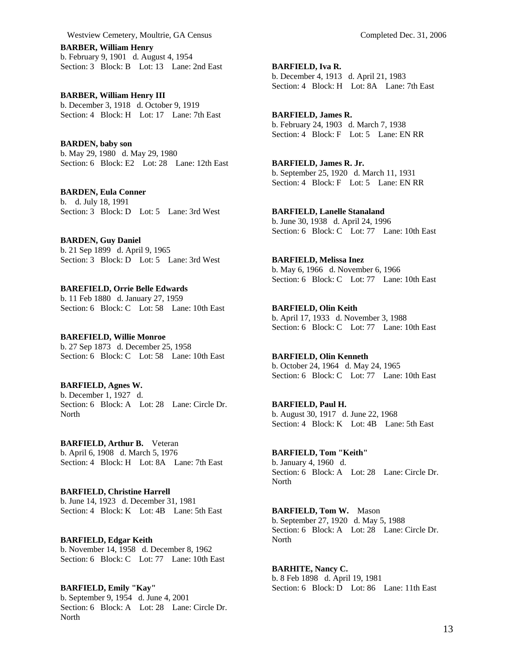**BARBER, William Henry**  b. February 9, 1901 d. August 4, 1954 Section: 3 Block: B Lot: 13 Lane: 2nd East

**BARBER, William Henry III**  b. December 3, 1918 d. October 9, 1919 Section: 4 Block: H Lot: 17 Lane: 7th East

**BARDEN, baby son**  b. May 29, 1980 d. May 29, 1980 Section: 6 Block: E2 Lot: 28 Lane: 12th East

**BARDEN, Eula Conner**  b. d. July 18, 1991 Section: 3 Block: D Lot: 5 Lane: 3rd West

## **BARDEN, Guy Daniel**

b. 21 Sep 1899 d. April 9, 1965 Section: 3 Block: D Lot: 5 Lane: 3rd West

## **BAREFIELD, Orrie Belle Edwards**

b. 11 Feb 1880 d. January 27, 1959 Section: 6 Block: C Lot: 58 Lane: 10th East

**BAREFIELD, Willie Monroe**  b. 27 Sep 1873 d. December 25, 1958

Section: 6 Block: C Lot: 58 Lane: 10th East

**BARFIELD, Agnes W.**  b. December 1, 1927 d. Section: 6 Block: A Lot: 28 Lane: Circle Dr. North

**BARFIELD, Arthur B.** Veteran b. April 6, 1908 d. March 5, 1976 Section: 4 Block: H Lot: 8A Lane: 7th East

**BARFIELD, Christine Harrell**  b. June 14, 1923 d. December 31, 1981 Section: 4 Block: K Lot: 4B Lane: 5th East

**BARFIELD, Edgar Keith**  b. November 14, 1958 d. December 8, 1962 Section: 6 Block: C Lot: 77 Lane: 10th East

**BARFIELD, Emily "Kay"**  b. September 9, 1954 d. June 4, 2001 Section: 6 Block: A Lot: 28 Lane: Circle Dr. **North** 

**BARFIELD, Iva R.**  b. December 4, 1913 d. April 21, 1983 Section: 4 Block: H Lot: 8A Lane: 7th East

**BARFIELD, James R.**  b. February 24, 1903 d. March 7, 1938 Section: 4 Block: F Lot: 5 Lane: EN RR

**BARFIELD, James R. Jr.**  b. September 25, 1920 d. March 11, 1931 Section: 4 Block: F Lot: 5 Lane: EN RR

**BARFIELD, Lanelle Stanaland**  b. June 30, 1938 d. April 24, 1996 Section: 6 Block: C Lot: 77 Lane: 10th East

**BARFIELD, Melissa Inez**  b. May 6, 1966 d. November 6, 1966 Section: 6 Block: C Lot: 77 Lane: 10th East

**BARFIELD, Olin Keith**  b. April 17, 1933 d. November 3, 1988 Section: 6 Block: C Lot: 77 Lane: 10th East

**BARFIELD, Olin Kenneth**  b. October 24, 1964 d. May 24, 1965 Section: 6 Block: C Lot: 77 Lane: 10th East

**BARFIELD, Paul H.**  b. August 30, 1917 d. June 22, 1968 Section: 4 Block: K Lot: 4B Lane: 5th East

**BARFIELD, Tom "Keith"**  b. January 4, 1960 d. Section: 6 Block: A Lot: 28 Lane: Circle Dr. **North** 

**BARFIELD, Tom W.** Mason b. September 27, 1920 d. May 5, 1988 Section: 6 Block: A Lot: 28 Lane: Circle Dr. North

**BARHITE, Nancy C.**  b. 8 Feb 1898 d. April 19, 1981 Section: 6 Block: D Lot: 86 Lane: 11th East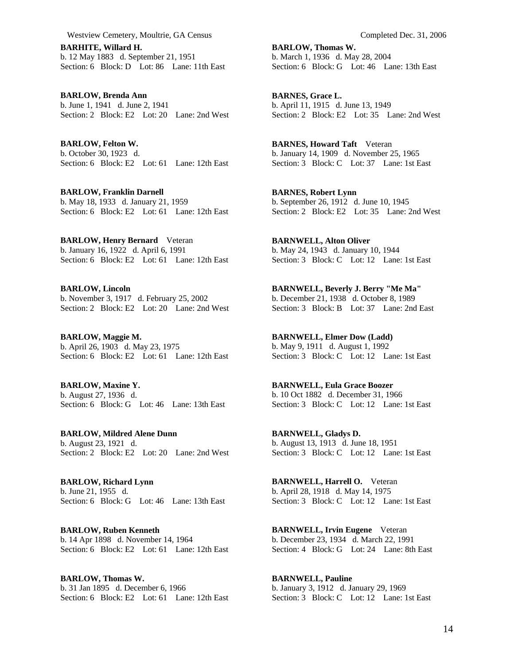**BARHITE, Willard H.**  b. 12 May 1883 d. September 21, 1951 Section: 6 Block: D Lot: 86 Lane: 11th East

**BARLOW, Brenda Ann**  b. June 1, 1941 d. June 2, 1941 Section: 2 Block: E2 Lot: 20 Lane: 2nd West

**BARLOW, Felton W.**  b. October 30, 1923 d. Section: 6 Block: E2 Lot: 61 Lane: 12th East

**BARLOW, Franklin Darnell**  b. May 18, 1933 d. January 21, 1959 Section: 6 Block: E2 Lot: 61 Lane: 12th East

**BARLOW, Henry Bernard** Veteran b. January 16, 1922 d. April 6, 1991 Section: 6 Block: E2 Lot: 61 Lane: 12th East

**BARLOW, Lincoln**  b. November 3, 1917 d. February 25, 2002 Section: 2 Block: E2 Lot: 20 Lane: 2nd West

**BARLOW, Maggie M.**  b. April 26, 1903 d. May 23, 1975 Section: 6 Block: E2 Lot: 61 Lane: 12th East

**BARLOW, Maxine Y.**  b. August 27, 1936 d. Section: 6 Block: G Lot: 46 Lane: 13th East

**BARLOW, Mildred Alene Dunn**  b. August 23, 1921 d. Section: 2 Block: E2 Lot: 20 Lane: 2nd West

**BARLOW, Richard Lynn**  b. June 21, 1955 d. Section: 6 Block: G Lot: 46 Lane: 13th East

**BARLOW, Ruben Kenneth**  b. 14 Apr 1898 d. November 14, 1964 Section: 6 Block: E2 Lot: 61 Lane: 12th East

**BARLOW, Thomas W.**  b. 31 Jan 1895 d. December 6, 1966 Section: 6 Block: E2 Lot: 61 Lane: 12th East

**BARLOW, Thomas W.**  b. March 1, 1936 d. May 28, 2004 Section: 6 Block: G Lot: 46 Lane: 13th East

**BARNES, Grace L.**  b. April 11, 1915 d. June 13, 1949 Section: 2 Block: E2 Lot: 35 Lane: 2nd West

**BARNES, Howard Taft** Veteran b. January 14, 1909 d. November 25, 1965 Section: 3 Block: C Lot: 37 Lane: 1st East

**BARNES, Robert Lynn**  b. September 26, 1912 d. June 10, 1945 Section: 2 Block: E2 Lot: 35 Lane: 2nd West

**BARNWELL, Alton Oliver**  b. May 24, 1943 d. January 10, 1944 Section: 3 Block: C Lot: 12 Lane: 1st East

**BARNWELL, Beverly J. Berry "Me Ma"**  b. December 21, 1938 d. October 8, 1989 Section: 3 Block: B Lot: 37 Lane: 2nd East

**BARNWELL, Elmer Dow (Ladd)**  b. May 9, 1911 d. August 1, 1992 Section: 3 Block: C Lot: 12 Lane: 1st East

**BARNWELL, Eula Grace Boozer**  b. 10 Oct 1882 d. December 31, 1966 Section: 3 Block: C Lot: 12 Lane: 1st East

**BARNWELL, Gladys D.**  b. August 13, 1913 d. June 18, 1951 Section: 3 Block: C Lot: 12 Lane: 1st East

**BARNWELL, Harrell O.** Veteran b. April 28, 1918 d. May 14, 1975 Section: 3 Block: C Lot: 12 Lane: 1st East

**BARNWELL, Irvin Eugene** Veteran b. December 23, 1934 d. March 22, 1991 Section: 4 Block: G Lot: 24 Lane: 8th East

**BARNWELL, Pauline**  b. January 3, 1912 d. January 29, 1969 Section: 3 Block: C Lot: 12 Lane: 1st East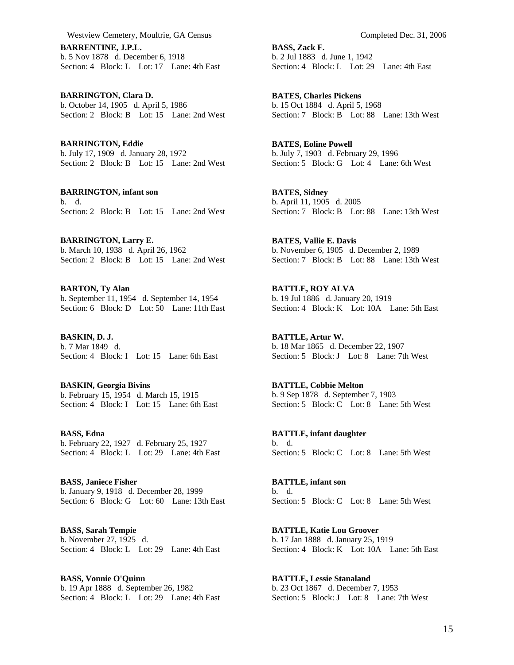**BARRENTINE, J.P.L.**  b. 5 Nov 1878 d. December 6, 1918 Section: 4 Block: L Lot: 17 Lane: 4th East

**BARRINGTON, Clara D.**  b. October 14, 1905 d. April 5, 1986 Section: 2 Block: B Lot: 15 Lane: 2nd West

**BARRINGTON, Eddie**  b. July 17, 1909 d. January 28, 1972 Section: 2 Block: B Lot: 15 Lane: 2nd West

**BARRINGTON, infant son**  b. d. Section: 2 Block: B Lot: 15 Lane: 2nd West

**BARRINGTON, Larry E.**  b. March 10, 1938 d. April 26, 1962 Section: 2 Block: B Lot: 15 Lane: 2nd West

**BARTON, Ty Alan**  b. September 11, 1954 d. September 14, 1954 Section: 6 Block: D Lot: 50 Lane: 11th East

**BASKIN, D. J.**  b. 7 Mar 1849 d. Section: 4 Block: I Lot: 15 Lane: 6th East

**BASKIN, Georgia Bivins**  b. February 15, 1954 d. March 15, 1915 Section: 4 Block: I Lot: 15 Lane: 6th East

**BASS, Edna**  b. February 22, 1927 d. February 25, 1927 Section: 4 Block: L Lot: 29 Lane: 4th East

**BASS, Janiece Fisher**  b. January 9, 1918 d. December 28, 1999 Section: 6 Block: G Lot: 60 Lane: 13th East

**BASS, Sarah Tempie**  b. November 27, 1925 d. Section: 4 Block: L Lot: 29 Lane: 4th East

**BASS, Vonnie O'Quinn**  b. 19 Apr 1888 d. September 26, 1982 Section: 4 Block: L Lot: 29 Lane: 4th East **BASS, Zack F.**  b. 2 Jul 1883 d. June 1, 1942 Section: 4 Block: L Lot: 29 Lane: 4th East

**BATES, Charles Pickens**  b. 15 Oct 1884 d. April 5, 1968 Section: 7 Block: B Lot: 88 Lane: 13th West

**BATES, Eoline Powell**  b. July 7, 1903 d. February 29, 1996 Section: 5 Block: G Lot: 4 Lane: 6th West

**BATES, Sidney**  b. April 11, 1905 d. 2005 Section: 7 Block: B Lot: 88 Lane: 13th West

**BATES, Vallie E. Davis**  b. November 6, 1905 d. December 2, 1989 Section: 7 Block: B Lot: 88 Lane: 13th West

**BATTLE, ROY ALVA**  b. 19 Jul 1886 d. January 20, 1919 Section: 4 Block: K Lot: 10A Lane: 5th East

**BATTLE, Artur W.**  b. 18 Mar 1865 d. December 22, 1907 Section: 5 Block: J Lot: 8 Lane: 7th West

**BATTLE, Cobbie Melton**  b. 9 Sep 1878 d. September 7, 1903 Section: 5 Block: C Lot: 8 Lane: 5th West

**BATTLE, infant daughter**  b. d. Section: 5 Block: C Lot: 8 Lane: 5th West

**BATTLE, infant son**  b. d. Section: 5 Block: C Lot: 8 Lane: 5th West

**BATTLE, Katie Lou Groover**  b. 17 Jan 1888 d. January 25, 1919 Section: 4 Block: K Lot: 10A Lane: 5th East

**BATTLE, Lessie Stanaland**  b. 23 Oct 1867 d. December 7, 1953 Section: 5 Block: J Lot: 8 Lane: 7th West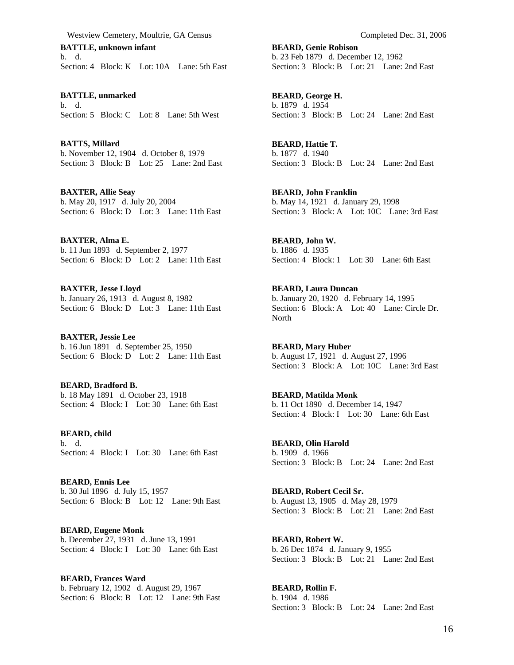**BATTLE, unknown infant**  b. d. Section: 4 Block: K Lot: 10A Lane: 5th East

**BATTLE, unmarked**  b. d. Section: 5 Block: C Lot: 8 Lane: 5th West

**BATTS, Millard**  b. November 12, 1904 d. October 8, 1979 Section: 3 Block: B Lot: 25 Lane: 2nd East

**BAXTER, Allie Seay**  b. May 20, 1917 d. July 20, 2004 Section: 6 Block: D Lot: 3 Lane: 11th East

**BAXTER, Alma E.**  b. 11 Jun 1893 d. September 2, 1977 Section: 6 Block: D Lot: 2 Lane: 11th East

**BAXTER, Jesse Lloyd**  b. January 26, 1913 d. August 8, 1982 Section: 6 Block: D Lot: 3 Lane: 11th East

**BAXTER, Jessie Lee**  b. 16 Jun 1891 d. September 25, 1950 Section: 6 Block: D Lot: 2 Lane: 11th East

**BEARD, Bradford B.**  b. 18 May 1891 d. October 23, 1918 Section: 4 Block: I Lot: 30 Lane: 6th East

**BEARD, child**  b. d. Section: 4 Block: I Lot: 30 Lane: 6th East

**BEARD, Ennis Lee**  b. 30 Jul 1896 d. July 15, 1957 Section: 6 Block: B Lot: 12 Lane: 9th East

**BEARD, Eugene Monk**  b. December 27, 1931 d. June 13, 1991 Section: 4 Block: I Lot: 30 Lane: 6th East

**BEARD, Frances Ward**  b. February 12, 1902 d. August 29, 1967 Section: 6 Block: B Lot: 12 Lane: 9th East

**BEARD, Genie Robison**  b. 23 Feb 1879 d. December 12, 1962 Section: 3 Block: B Lot: 21 Lane: 2nd East

**BEARD, George H.**  b. 1879 d. 1954 Section: 3 Block: B Lot: 24 Lane: 2nd East

**BEARD, Hattie T.**  b. 1877 d. 1940 Section: 3 Block: B Lot: 24 Lane: 2nd East

**BEARD, John Franklin**  b. May 14, 1921 d. January 29, 1998 Section: 3 Block: A Lot: 10C Lane: 3rd East

**BEARD, John W.**  b. 1886 d. 1935 Section: 4 Block: 1 Lot: 30 Lane: 6th East

**BEARD, Laura Duncan**  b. January 20, 1920 d. February 14, 1995 Section: 6 Block: A Lot: 40 Lane: Circle Dr. North

**BEARD, Mary Huber**  b. August 17, 1921 d. August 27, 1996 Section: 3 Block: A Lot: 10C Lane: 3rd East

**BEARD, Matilda Monk**  b. 11 Oct 1890 d. December 14, 1947 Section: 4 Block: I Lot: 30 Lane: 6th East

**BEARD, Olin Harold**  b. 1909 d. 1966 Section: 3 Block: B Lot: 24 Lane: 2nd East

**BEARD, Robert Cecil Sr.**  b. August 13, 1905 d. May 28, 1979 Section: 3 Block: B Lot: 21 Lane: 2nd East

**BEARD, Robert W.**  b. 26 Dec 1874 d. January 9, 1955 Section: 3 Block: B Lot: 21 Lane: 2nd East

**BEARD, Rollin F.**  b. 1904 d. 1986 Section: 3 Block: B Lot: 24 Lane: 2nd East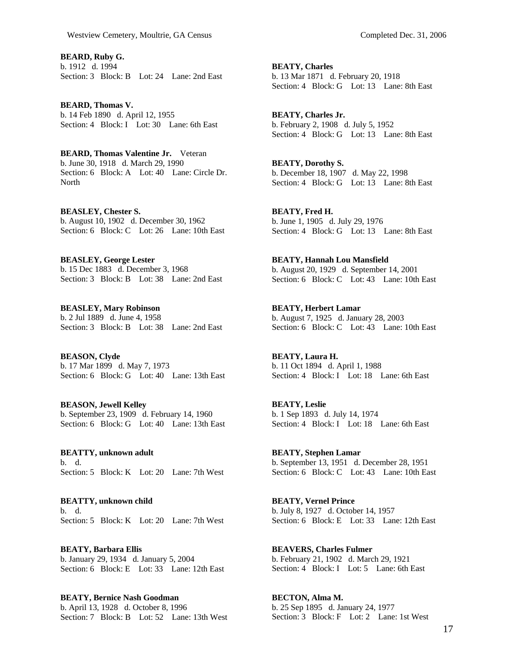**BEARD, Ruby G.**  b. 1912 d. 1994 Section: 3 Block: B Lot: 24 Lane: 2nd East

**BEARD, Thomas V.**  b. 14 Feb 1890 d. April 12, 1955 Section: 4 Block: I Lot: 30 Lane: 6th East

**BEARD, Thomas Valentine Jr.** Veteran b. June 30, 1918 d. March 29, 1990 Section: 6 Block: A Lot: 40 Lane: Circle Dr. **North** 

**BEASLEY, Chester S.**  b. August 10, 1902 d. December 30, 1962 Section: 6 Block: C Lot: 26 Lane: 10th East

**BEASLEY, George Lester**  b. 15 Dec 1883 d. December 3, 1968 Section: 3 Block: B Lot: 38 Lane: 2nd East

**BEASLEY, Mary Robinson**  b. 2 Jul 1889 d. June 4, 1958 Section: 3 Block: B Lot: 38 Lane: 2nd East

**BEASON, Clyde**  b. 17 Mar 1899 d. May 7, 1973 Section: 6 Block: G Lot: 40 Lane: 13th East

**BEASON, Jewell Kelley**  b. September 23, 1909 d. February 14, 1960 Section: 6 Block: G Lot: 40 Lane: 13th East

**BEATTY, unknown adult**  b. d. Section: 5 Block: K Lot: 20 Lane: 7th West

**BEATTY, unknown child**  b. d. Section: 5 Block: K Lot: 20 Lane: 7th West

**BEATY, Barbara Ellis**  b. January 29, 1934 d. January 5, 2004 Section: 6 Block: E Lot: 33 Lane: 12th East

**BEATY, Bernice Nash Goodman**  b. April 13, 1928 d. October 8, 1996 Section: 7 Block: B Lot: 52 Lane: 13th West b. 13 Mar 1871 d. February 20, 1918 Section: 4 Block: G Lot: 13 Lane: 8th East

**BEATY, Charles Jr.**  b. February 2, 1908 d. July 5, 1952 Section: 4 Block: G Lot: 13 Lane: 8th East

**BEATY, Dorothy S.**  b. December 18, 1907 d. May 22, 1998 Section: 4 Block: G Lot: 13 Lane: 8th East

**BEATY, Fred H.**  b. June 1, 1905 d. July 29, 1976 Section: 4 Block: G Lot: 13 Lane: 8th East

**BEATY, Hannah Lou Mansfield**  b. August 20, 1929 d. September 14, 2001 Section: 6 Block: C Lot: 43 Lane: 10th East

**BEATY, Herbert Lamar**  b. August 7, 1925 d. January 28, 2003 Section: 6 Block: C Lot: 43 Lane: 10th East

**BEATY, Laura H.**  b. 11 Oct 1894 d. April 1, 1988 Section: 4 Block: I Lot: 18 Lane: 6th East

**BEATY, Leslie**  b. 1 Sep 1893 d. July 14, 1974 Section: 4 Block: I Lot: 18 Lane: 6th East

**BEATY, Stephen Lamar**  b. September 13, 1951 d. December 28, 1951 Section: 6 Block: C Lot: 43 Lane: 10th East

**BEATY, Vernel Prince**  b. July 8, 1927 d. October 14, 1957 Section: 6 Block: E Lot: 33 Lane: 12th East

**BEAVERS, Charles Fulmer**  b. February 21, 1902 d. March 29, 1921 Section: 4 Block: I Lot: 5 Lane: 6th East

**BECTON, Alma M.**  b. 25 Sep 1895 d. January 24, 1977 Section: 3 Block: F Lot: 2 Lane: 1st West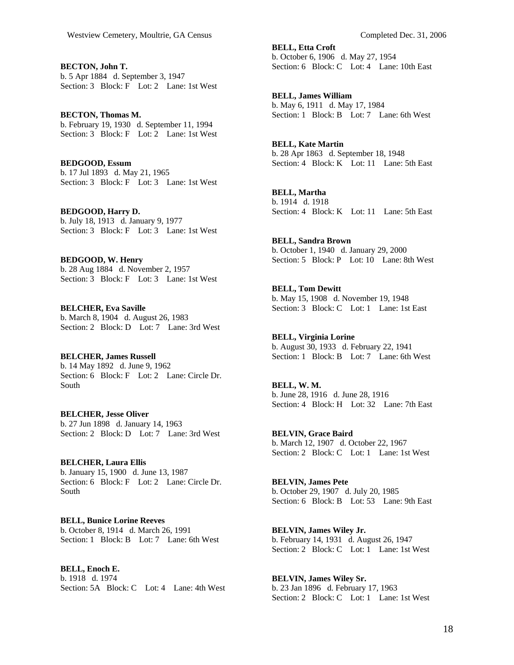**BECTON, John T.**  b. 5 Apr 1884 d. September 3, 1947 Section: 3 Block: F Lot: 2 Lane: 1st West

**BECTON, Thomas M.**  b. February 19, 1930 d. September 11, 1994 Section: 3 Block: F Lot: 2 Lane: 1st West

**BEDGOOD, Essum**  b. 17 Jul 1893 d. May 21, 1965 Section: 3 Block: F Lot: 3 Lane: 1st West

**BEDGOOD, Harry D.**  b. July 18, 1913 d. January 9, 1977 Section: 3 Block: F Lot: 3 Lane: 1st West

**BEDGOOD, W. Henry**  b. 28 Aug 1884 d. November 2, 1957 Section: 3 Block: F Lot: 3 Lane: 1st West

**BELCHER, Eva Saville**  b. March 8, 1904 d. August 26, 1983 Section: 2 Block: D Lot: 7 Lane: 3rd West

## **BELCHER, James Russell**  b. 14 May 1892 d. June 9, 1962

Section: 6 Block: F Lot: 2 Lane: Circle Dr. South

**BELCHER, Jesse Oliver**  b. 27 Jun 1898 d. January 14, 1963 Section: 2 Block: D Lot: 7 Lane: 3rd West

**BELCHER, Laura Ellis**  b. January 15, 1900 d. June 13, 1987 Section: 6 Block: F Lot: 2 Lane: Circle Dr. South

**BELL, Bunice Lorine Reeves**  b. October 8, 1914 d. March 26, 1991 Section: 1 Block: B Lot: 7 Lane: 6th West

**BELL, Enoch E.**  b. 1918 d. 1974 Section: 5A Block: C Lot: 4 Lane: 4th West **BELL, Etta Croft**  b. October 6, 1906 d. May 27, 1954 Section: 6 Block: C Lot: 4 Lane: 10th East

**BELL, James William**  b. May 6, 1911 d. May 17, 1984 Section: 1 Block: B Lot: 7 Lane: 6th West

**BELL, Kate Martin**  b. 28 Apr 1863 d. September 18, 1948 Section: 4 Block: K Lot: 11 Lane: 5th East

**BELL, Martha**  b. 1914 d. 1918 Section: 4 Block: K Lot: 11 Lane: 5th East

**BELL, Sandra Brown**  b. October 1, 1940 d. January 29, 2000 Section: 5 Block: P Lot: 10 Lane: 8th West

**BELL, Tom Dewitt**  b. May 15, 1908 d. November 19, 1948 Section: 3 Block: C Lot: 1 Lane: 1st East

**BELL, Virginia Lorine**  b. August 30, 1933 d. February 22, 1941 Section: 1 Block: B Lot: 7 Lane: 6th West

**BELL, W. M.**  b. June 28, 1916 d. June 28, 1916 Section: 4 Block: H Lot: 32 Lane: 7th East

**BELVIN, Grace Baird**  b. March 12, 1907 d. October 22, 1967 Section: 2 Block: C Lot: 1 Lane: 1st West

**BELVIN, James Pete**  b. October 29, 1907 d. July 20, 1985 Section: 6 Block: B Lot: 53 Lane: 9th East

**BELVIN, James Wiley Jr.**  b. February 14, 1931 d. August 26, 1947 Section: 2 Block: C Lot: 1 Lane: 1st West

**BELVIN, James Wiley Sr.**  b. 23 Jan 1896 d. February 17, 1963 Section: 2 Block: C Lot: 1 Lane: 1st West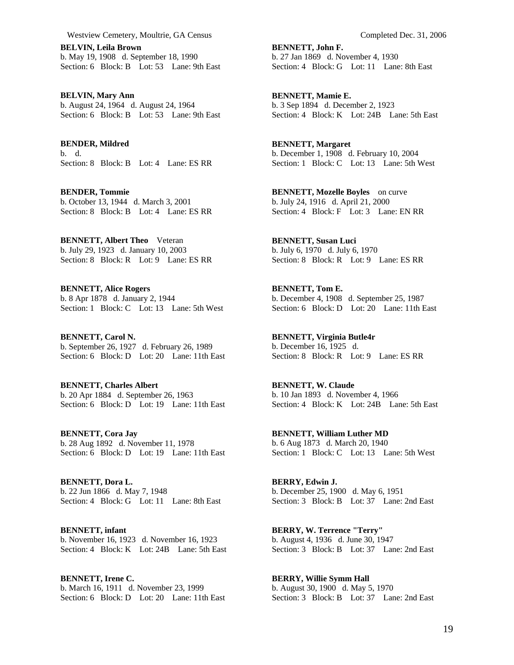**BELVIN, Leila Brown**  b. May 19, 1908 d. September 18, 1990 Section: 6 Block: B Lot: 53 Lane: 9th East

**BELVIN, Mary Ann**  b. August 24, 1964 d. August 24, 1964 Section: 6 Block: B Lot: 53 Lane: 9th East

**BENDER, Mildred**  b. d. Section: 8 Block: B Lot: 4 Lane: ES RR

**BENDER, Tommie**  b. October 13, 1944 d. March 3, 2001 Section: 8 Block: B Lot: 4 Lane: ES RR

**BENNETT, Albert Theo** Veteran b. July 29, 1923 d. January 10, 2003 Section: 8 Block: R Lot: 9 Lane: ES RR

**BENNETT, Alice Rogers**  b. 8 Apr 1878 d. January 2, 1944 Section: 1 Block: C Lot: 13 Lane: 5th West

**BENNETT, Carol N.**  b. September 26, 1927 d. February 26, 1989 Section: 6 Block: D Lot: 20 Lane: 11th East

**BENNETT, Charles Albert**  b. 20 Apr 1884 d. September 26, 1963 Section: 6 Block: D Lot: 19 Lane: 11th East

**BENNETT, Cora Jay**  b. 28 Aug 1892 d. November 11, 1978 Section: 6 Block: D Lot: 19 Lane: 11th East

**BENNETT, Dora L.**  b. 22 Jun 1866 d. May 7, 1948 Section: 4 Block: G Lot: 11 Lane: 8th East

**BENNETT, infant**  b. November 16, 1923 d. November 16, 1923 Section: 4 Block: K Lot: 24B Lane: 5th East

**BENNETT, Irene C.**  b. March 16, 1911 d. November 23, 1999 Section: 6 Block: D Lot: 20 Lane: 11th East

**BENNETT, John F.**  b. 27 Jan 1869 d. November 4, 1930 Section: 4 Block: G Lot: 11 Lane: 8th East

**BENNETT, Mamie E.**  b. 3 Sep 1894 d. December 2, 1923 Section: 4 Block: K Lot: 24B Lane: 5th East

**BENNETT, Margaret**  b. December 1, 1908 d. February 10, 2004 Section: 1 Block: C Lot: 13 Lane: 5th West

**BENNETT, Mozelle Boyles** on curve b. July 24, 1916 d. April 21, 2000 Section: 4 Block: F Lot: 3 Lane: EN RR

**BENNETT, Susan Luci**  b. July 6, 1970 d. July 6, 1970 Section: 8 Block: R Lot: 9 Lane: ES RR

**BENNETT, Tom E.**  b. December 4, 1908 d. September 25, 1987 Section: 6 Block: D Lot: 20 Lane: 11th East

**BENNETT, Virginia Butle4r**  b. December 16, 1925 d. Section: 8 Block: R Lot: 9 Lane: ES RR

**BENNETT, W. Claude**  b. 10 Jan 1893 d. November 4, 1966 Section: 4 Block: K Lot: 24B Lane: 5th East

**BENNETT, William Luther MD**  b. 6 Aug 1873 d. March 20, 1940 Section: 1 Block: C Lot: 13 Lane: 5th West

**BERRY, Edwin J.**  b. December 25, 1900 d. May 6, 1951 Section: 3 Block: B Lot: 37 Lane: 2nd East

**BERRY, W. Terrence "Terry"**  b. August 4, 1936 d. June 30, 1947 Section: 3 Block: B Lot: 37 Lane: 2nd East

**BERRY, Willie Symm Hall**  b. August 30, 1900 d. May 5, 1970 Section: 3 Block: B Lot: 37 Lane: 2nd East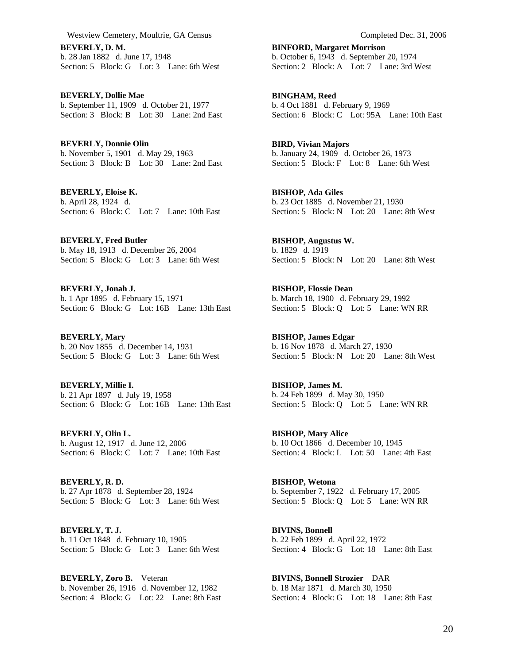**BEVERLY, D. M.**  b. 28 Jan 1882 d. June 17, 1948 Section: 5 Block: G Lot: 3 Lane: 6th West

**BEVERLY, Dollie Mae**  b. September 11, 1909 d. October 21, 1977 Section: 3 Block: B Lot: 30 Lane: 2nd East

**BEVERLY, Donnie Olin**  b. November 5, 1901 d. May 29, 1963 Section: 3 Block: B Lot: 30 Lane: 2nd East

**BEVERLY, Eloise K.**  b. April 28, 1924 d. Section: 6 Block: C Lot: 7 Lane: 10th East

**BEVERLY, Fred Butler**  b. May 18, 1913 d. December 26, 2004 Section: 5 Block: G Lot: 3 Lane: 6th West

**BEVERLY, Jonah J.**  b. 1 Apr 1895 d. February 15, 1971 Section: 6 Block: G Lot: 16B Lane: 13th East

**BEVERLY, Mary**  b. 20 Nov 1855 d. December 14, 1931 Section: 5 Block: G Lot: 3 Lane: 6th West

**BEVERLY, Millie I.**  b. 21 Apr 1897 d. July 19, 1958 Section: 6 Block: G Lot: 16B Lane: 13th East

**BEVERLY, Olin L.**  b. August 12, 1917 d. June 12, 2006 Section: 6 Block: C Lot: 7 Lane: 10th East

**BEVERLY, R. D.**  b. 27 Apr 1878 d. September 28, 1924 Section: 5 Block: G Lot: 3 Lane: 6th West

**BEVERLY, T. J.**  b. 11 Oct 1848 d. February 10, 1905 Section: 5 Block: G Lot: 3 Lane: 6th West

**BEVERLY, Zoro B.** Veteran b. November 26, 1916 d. November 12, 1982 Section: 4 Block: G Lot: 22 Lane: 8th East

**BINFORD, Margaret Morrison**  b. October 6, 1943 d. September 20, 1974 Section: 2 Block: A Lot: 7 Lane: 3rd West

**BINGHAM, Reed**  b. 4 Oct 1881 d. February 9, 1969 Section: 6 Block: C Lot: 95A Lane: 10th East

**BIRD, Vivian Majors**  b. January 24, 1909 d. October 26, 1973 Section: 5 Block: F Lot: 8 Lane: 6th West

**BISHOP, Ada Giles**  b. 23 Oct 1885 d. November 21, 1930 Section: 5 Block: N Lot: 20 Lane: 8th West

**BISHOP, Augustus W.**  b. 1829 d. 1919 Section: 5 Block: N Lot: 20 Lane: 8th West

**BISHOP, Flossie Dean**  b. March 18, 1900 d. February 29, 1992 Section: 5 Block: Q Lot: 5 Lane: WN RR

**BISHOP, James Edgar**  b. 16 Nov 1878 d. March 27, 1930 Section: 5 Block: N Lot: 20 Lane: 8th West

**BISHOP, James M.**  b. 24 Feb 1899 d. May 30, 1950 Section: 5 Block: Q Lot: 5 Lane: WN RR

**BISHOP, Mary Alice**  b. 10 Oct 1866 d. December 10, 1945 Section: 4 Block: L Lot: 50 Lane: 4th East

**BISHOP, Wetona**  b. September 7, 1922 d. February 17, 2005 Section: 5 Block: Q Lot: 5 Lane: WN RR

**BIVINS, Bonnell**  b. 22 Feb 1899 d. April 22, 1972 Section: 4 Block: G Lot: 18 Lane: 8th East

**BIVINS, Bonnell Strozier** DAR b. 18 Mar 1871 d. March 30, 1950 Section: 4 Block: G Lot: 18 Lane: 8th East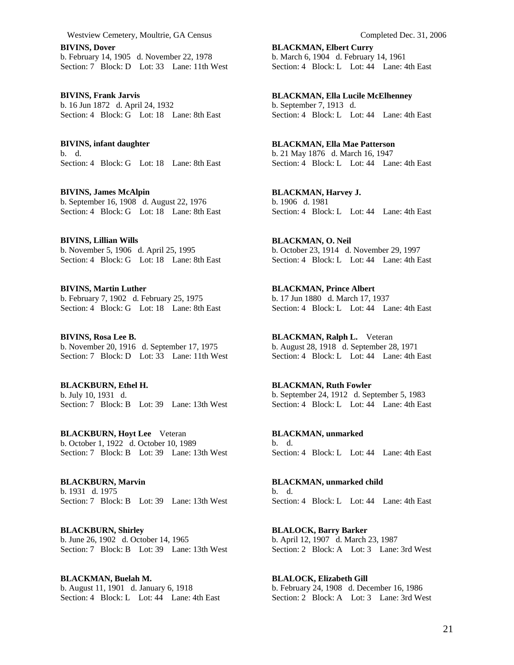**BIVINS, Dover**  b. February 14, 1905 d. November 22, 1978 Section: 7 Block: D Lot: 33 Lane: 11th West

**BIVINS, Frank Jarvis**  b. 16 Jun 1872 d. April 24, 1932 Section: 4 Block: G Lot: 18 Lane: 8th East

**BIVINS, infant daughter**  b. d. Section: 4 Block: G Lot: 18 Lane: 8th East

**BIVINS, James McAlpin**  b. September 16, 1908 d. August 22, 1976 Section: 4 Block: G Lot: 18 Lane: 8th East

**BIVINS, Lillian Wills**  b. November 5, 1906 d. April 25, 1995 Section: 4 Block: G Lot: 18 Lane: 8th East

**BIVINS, Martin Luther**  b. February 7, 1902 d. February 25, 1975 Section: 4 Block: G Lot: 18 Lane: 8th East

**BIVINS, Rosa Lee B.**  b. November 20, 1916 d. September 17, 1975 Section: 7 Block: D Lot: 33 Lane: 11th West

**BLACKBURN, Ethel H.**  b. July 10, 1931 d. Section: 7 Block: B Lot: 39 Lane: 13th West

**BLACKBURN, Hoyt Lee** Veteran b. October 1, 1922 d. October 10, 1989 Section: 7 Block: B Lot: 39 Lane: 13th West

**BLACKBURN, Marvin**  b. 1931 d. 1975 Section: 7 Block: B Lot: 39 Lane: 13th West

**BLACKBURN, Shirley**  b. June 26, 1902 d. October 14, 1965 Section: 7 Block: B Lot: 39 Lane: 13th West

**BLACKMAN, Buelah M.**  b. August 11, 1901 d. January 6, 1918 Section: 4 Block: L Lot: 44 Lane: 4th East **BLACKMAN, Elbert Curry**  b. March 6, 1904 d. February 14, 1961 Section: 4 Block: L Lot: 44 Lane: 4th East

**BLACKMAN, Ella Lucile McElhenney**  b. September 7, 1913 d. Section: 4 Block: L Lot: 44 Lane: 4th East

**BLACKMAN, Ella Mae Patterson**  b. 21 May 1876 d. March 16, 1947 Section: 4 Block: L Lot: 44 Lane: 4th East

**BLACKMAN, Harvey J.**  b. 1906 d. 1981 Section: 4 Block: L Lot: 44 Lane: 4th East

**BLACKMAN, O. Neil**  b. October 23, 1914 d. November 29, 1997 Section: 4 Block: L Lot: 44 Lane: 4th East

**BLACKMAN, Prince Albert**  b. 17 Jun 1880 d. March 17, 1937 Section: 4 Block: L Lot: 44 Lane: 4th East

**BLACKMAN, Ralph L.** Veteran b. August 28, 1918 d. September 28, 1971 Section: 4 Block: L Lot: 44 Lane: 4th East

**BLACKMAN, Ruth Fowler**  b. September 24, 1912 d. September 5, 1983 Section: 4 Block: L Lot: 44 Lane: 4th East

**BLACKMAN, unmarked**  b. d. Section: 4 Block: L Lot: 44 Lane: 4th East

**BLACKMAN, unmarked child**  b. d. Section: 4 Block: L Lot: 44 Lane: 4th East

**BLALOCK, Barry Barker**  b. April 12, 1907 d. March 23, 1987 Section: 2 Block: A Lot: 3 Lane: 3rd West

**BLALOCK, Elizabeth Gill**  b. February 24, 1908 d. December 16, 1986 Section: 2 Block: A Lot: 3 Lane: 3rd West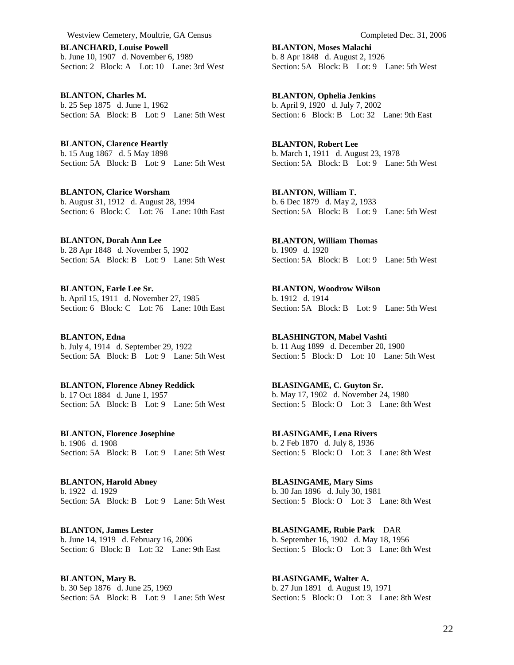**BLANCHARD, Louise Powell**  b. June 10, 1907 d. November 6, 1989 Section: 2 Block: A Lot: 10 Lane: 3rd West

**BLANTON, Charles M.**  b. 25 Sep 1875 d. June 1, 1962 Section: 5A Block: B Lot: 9 Lane: 5th West

**BLANTON, Clarence Heartly**  b. 15 Aug 1867 d. 5 May 1898 Section: 5A Block: B Lot: 9 Lane: 5th West

**BLANTON, Clarice Worsham**  b. August 31, 1912 d. August 28, 1994 Section: 6 Block: C Lot: 76 Lane: 10th East

**BLANTON, Dorah Ann Lee**  b. 28 Apr 1848 d. November 5, 1902 Section: 5A Block: B Lot: 9 Lane: 5th West

**BLANTON, Earle Lee Sr.**  b. April 15, 1911 d. November 27, 1985 Section: 6 Block: C Lot: 76 Lane: 10th East

**BLANTON, Edna**  b. July 4, 1914 d. September 29, 1922 Section: 5A Block: B Lot: 9 Lane: 5th West

**BLANTON, Florence Abney Reddick**  b. 17 Oct 1884 d. June 1, 1957 Section: 5A Block: B Lot: 9 Lane: 5th West

**BLANTON, Florence Josephine**  b. 1906 d. 1908 Section: 5A Block: B Lot: 9 Lane: 5th West

**BLANTON, Harold Abney**  b. 1922 d. 1929 Section: 5A Block: B Lot: 9 Lane: 5th West

**BLANTON, James Lester**  b. June 14, 1919 d. February 16, 2006 Section: 6 Block: B Lot: 32 Lane: 9th East

**BLANTON, Mary B.**  b. 30 Sep 1876 d. June 25, 1969 Section: 5A Block: B Lot: 9 Lane: 5th West

**BLANTON, Moses Malachi**  b. 8 Apr 1848 d. August 2, 1926 Section: 5A Block: B Lot: 9 Lane: 5th West

**BLANTON, Ophelia Jenkins**  b. April 9, 1920 d. July 7, 2002 Section: 6 Block: B Lot: 32 Lane: 9th East

**BLANTON, Robert Lee**  b. March 1, 1911 d. August 23, 1978 Section: 5A Block: B Lot: 9 Lane: 5th West

**BLANTON, William T.**  b. 6 Dec 1879 d. May 2, 1933 Section: 5A Block: B Lot: 9 Lane: 5th West

**BLANTON, William Thomas**  b. 1909 d. 1920 Section: 5A Block: B Lot: 9 Lane: 5th West

**BLANTON, Woodrow Wilson**  b. 1912 d. 1914 Section: 5A Block: B Lot: 9 Lane: 5th West

**BLASHINGTON, Mabel Vashti**  b. 11 Aug 1899 d. December 20, 1900 Section: 5 Block: D Lot: 10 Lane: 5th West

**BLASINGAME, C. Guyton Sr.**  b. May 17, 1902 d. November 24, 1980 Section: 5 Block: O Lot: 3 Lane: 8th West

**BLASINGAME, Lena Rivers**  b. 2 Feb 1870 d. July 8, 1936 Section: 5 Block: O Lot: 3 Lane: 8th West

**BLASINGAME, Mary Sims**  b. 30 Jan 1896 d. July 30, 1981 Section: 5 Block: O Lot: 3 Lane: 8th West

**BLASINGAME, Rubie Park** DAR b. September 16, 1902 d. May 18, 1956 Section: 5 Block: O Lot: 3 Lane: 8th West

**BLASINGAME, Walter A.**  b. 27 Jun 1891 d. August 19, 1971 Section: 5 Block: O Lot: 3 Lane: 8th West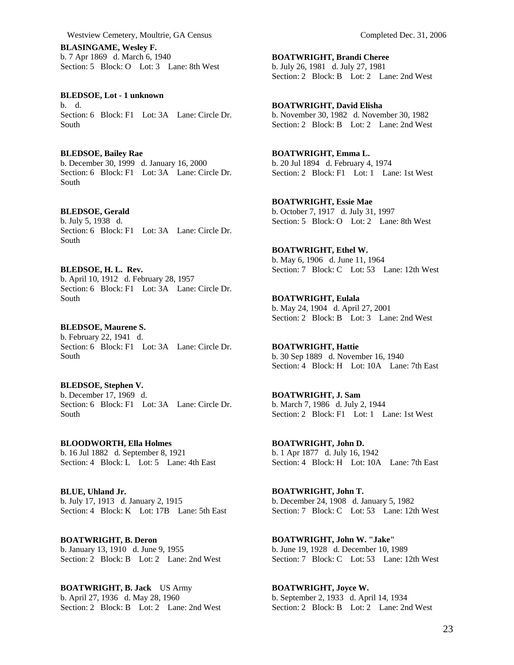**BLASINGAME, Wesley F.**  b. 7 Apr 1869 d. March 6, 1940 Section: 5 Block: O Lot: 3 Lane: 8th West

**BLEDSOE, Lot - 1 unknown**  b. d. Section: 6 Block: F1 Lot: 3A Lane: Circle Dr. South

**BLEDSOE, Bailey Rae**  b. December 30, 1999 d. January 16, 2000 Section: 6 Block: F1 Lot: 3A Lane: Circle Dr. South

## **BLEDSOE, Gerald**

South

b. July 5, 1938 d. Section: 6 Block: F1 Lot: 3A Lane: Circle Dr. South

**BLEDSOE, H. L. Rev.**  b. April 10, 1912 d. February 28, 1957 Section: 6 Block: F1 Lot: 3A Lane: Circle Dr. South

**BLEDSOE, Maurene S.**  b. February 22, 1941 d. Section: 6 Block: F1 Lot: 3A Lane: Circle Dr. South

**BLEDSOE, Stephen V.**  b. December 17, 1969 d. Section: 6 Block: F1 Lot: 3A Lane: Circle Dr.

**BLOODWORTH, Ella Holmes**  b. 16 Jul 1882 d. September 8, 1921 Section: 4 Block: L Lot: 5 Lane: 4th East

**BLUE, Uhland Jr.**  b. July 17, 1913 d. January 2, 1915 Section: 4 Block: K Lot: 17B Lane: 5th East

**BOATWRIGHT, B. Deron**  b. January 13, 1910 d. June 9, 1955 Section: 2 Block: B Lot: 2 Lane: 2nd West

**BOATWRIGHT, B. Jack** US Army b. April 27, 1936 d. May 28, 1960 Section: 2 Block: B Lot: 2 Lane: 2nd West **BOATWRIGHT, Brandi Cheree**  b. July 26, 1981 d. July 27, 1981 Section: 2 Block: B Lot: 2 Lane: 2nd West

**BOATWRIGHT, David Elisha**  b. November 30, 1982 d. November 30, 1982 Section: 2 Block: B Lot: 2 Lane: 2nd West

**BOATWRIGHT, Emma L.**  b. 20 Jul 1894 d. February 4, 1974 Section: 2 Block: F1 Lot: 1 Lane: 1st West

**BOATWRIGHT, Essie Mae**  b. October 7, 1917 d. July 31, 1997 Section: 5 Block: O Lot: 2 Lane: 8th West

**BOATWRIGHT, Ethel W.**  b. May 6, 1906 d. June 11, 1964 Section: 7 Block: C Lot: 53 Lane: 12th West

**BOATWRIGHT, Eulala**  b. May 24, 1904 d. April 27, 2001 Section: 2 Block: B Lot: 3 Lane: 2nd West

**BOATWRIGHT, Hattie**  b. 30 Sep 1889 d. November 16, 1940 Section: 4 Block: H Lot: 10A Lane: 7th East

**BOATWRIGHT, J. Sam**  b. March 7, 1986 d. July 2, 1944 Section: 2 Block: F1 Lot: 1 Lane: 1st West

**BOATWRIGHT, John D.**  b. 1 Apr 1877 d. July 16, 1942 Section: 4 Block: H Lot: 10A Lane: 7th East

**BOATWRIGHT, John T.**  b. December 24, 1908 d. January 5, 1982 Section: 7 Block: C Lot: 53 Lane: 12th West

**BOATWRIGHT, John W. "Jake"**  b. June 19, 1928 d. December 10, 1989 Section: 7 Block: C Lot: 53 Lane: 12th West

**BOATWRIGHT, Joyce W.**  b. September 2, 1933 d. April 14, 1934 Section: 2 Block: B Lot: 2 Lane: 2nd West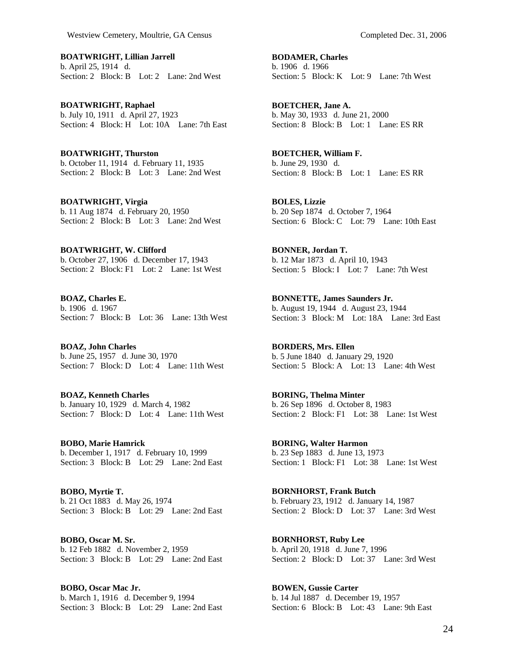**BOATWRIGHT, Lillian Jarrell**  b. April 25, 1914 d. Section: 2 Block: B Lot: 2 Lane: 2nd West

**BOATWRIGHT, Raphael**  b. July 10, 1911 d. April 27, 1923 Section: 4 Block: H Lot: 10A Lane: 7th East

**BOATWRIGHT, Thurston**  b. October 11, 1914 d. February 11, 1935 Section: 2 Block: B Lot: 3 Lane: 2nd West

**BOATWRIGHT, Virgia**  b. 11 Aug 1874 d. February 20, 1950 Section: 2 Block: B Lot: 3 Lane: 2nd West

**BOATWRIGHT, W. Clifford**  b. October 27, 1906 d. December 17, 1943 Section: 2 Block: F1 Lot: 2 Lane: 1st West

**BOAZ, Charles E.**  b. 1906 d. 1967 Section: 7 Block: B Lot: 36 Lane: 13th West

**BOAZ, John Charles**  b. June 25, 1957 d. June 30, 1970 Section: 7 Block: D Lot: 4 Lane: 11th West

**BOAZ, Kenneth Charles**  b. January 10, 1929 d. March 4, 1982 Section: 7 Block: D Lot: 4 Lane: 11th West

**BOBO, Marie Hamrick**  b. December 1, 1917 d. February 10, 1999 Section: 3 Block: B Lot: 29 Lane: 2nd East

**BOBO, Myrtie T.**  b. 21 Oct 1883 d. May 26, 1974 Section: 3 Block: B Lot: 29 Lane: 2nd East

**BOBO, Oscar M. Sr.**  b. 12 Feb 1882 d. November 2, 1959 Section: 3 Block: B Lot: 29 Lane: 2nd East

**BOBO, Oscar Mac Jr.**  b. March 1, 1916 d. December 9, 1994 Section: 3 Block: B Lot: 29 Lane: 2nd East **BODAMER, Charles**  b. 1906 d. 1966 Section: 5 Block: K Lot: 9 Lane: 7th West

**BOETCHER, Jane A.**  b. May 30, 1933 d. June 21, 2000 Section: 8 Block: B Lot: 1 Lane: ES RR

**BOETCHER, William F.**  b. June 29, 1930 d. Section: 8 Block: B Lot: 1 Lane: ES RR

**BOLES, Lizzie**  b. 20 Sep 1874 d. October 7, 1964 Section: 6 Block: C Lot: 79 Lane: 10th East

**BONNER, Jordan T.**  b. 12 Mar 1873 d. April 10, 1943 Section: 5 Block: I Lot: 7 Lane: 7th West

**BONNETTE, James Saunders Jr.**  b. August 19, 1944 d. August 23, 1944 Section: 3 Block: M Lot: 18A Lane: 3rd East

**BORDERS, Mrs. Ellen**  b. 5 June 1840 d. January 29, 1920 Section: 5 Block: A Lot: 13 Lane: 4th West

**BORING, Thelma Minter**  b. 26 Sep 1896 d. October 8, 1983 Section: 2 Block: F1 Lot: 38 Lane: 1st West

**BORING, Walter Harmon**  b. 23 Sep 1883 d. June 13, 1973 Section: 1 Block: F1 Lot: 38 Lane: 1st West

**BORNHORST, Frank Butch**  b. February 23, 1912 d. January 14, 1987 Section: 2 Block: D Lot: 37 Lane: 3rd West

**BORNHORST, Ruby Lee**  b. April 20, 1918 d. June 7, 1996 Section: 2 Block: D Lot: 37 Lane: 3rd West

**BOWEN, Gussie Carter**  b. 14 Jul 1887 d. December 19, 1957 Section: 6 Block: B Lot: 43 Lane: 9th East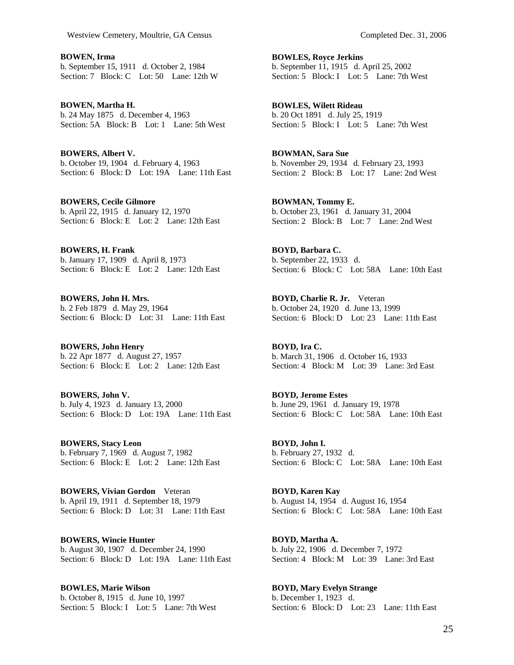**BOWEN, Irma**  b. September 15, 1911 d. October 2, 1984 Section: 7 Block: C Lot: 50 Lane: 12th W

**BOWEN, Martha H.**  b. 24 May 1875 d. December 4, 1963 Section: 5A Block: B Lot: 1 Lane: 5th West

**BOWERS, Albert V.**  b. October 19, 1904 d. February 4, 1963 Section: 6 Block: D Lot: 19A Lane: 11th East

**BOWERS, Cecile Gilmore**  b. April 22, 1915 d. January 12, 1970 Section: 6 Block: E Lot: 2 Lane: 12th East

**BOWERS, H. Frank**  b. January 17, 1909 d. April 8, 1973 Section: 6 Block: E Lot: 2 Lane: 12th East

**BOWERS, John H. Mrs.**  b. 2 Feb 1879 d. May 29, 1964 Section: 6 Block: D Lot: 31 Lane: 11th East

**BOWERS, John Henry**  b. 22 Apr 1877 d. August 27, 1957 Section: 6 Block: E Lot: 2 Lane: 12th East

**BOWERS, John V.**  b. July 4, 1923 d. January 13, 2000 Section: 6 Block: D Lot: 19A Lane: 11th East

**BOWERS, Stacy Leon**  b. February 7, 1969 d. August 7, 1982 Section: 6 Block: E Lot: 2 Lane: 12th East

**BOWERS, Vivian Gordon** Veteran b. April 19, 1911 d. September 18, 1979 Section: 6 Block: D Lot: 31 Lane: 11th East

**BOWERS, Wincie Hunter**  b. August 30, 1907 d. December 24, 1990 Section: 6 Block: D Lot: 19A Lane: 11th East

**BOWLES, Marie Wilson**  b. October 8, 1915 d. June 10, 1997 Section: 5 Block: I Lot: 5 Lane: 7th West

**BOWLES, Royce Jerkins**  b. September 11, 1915 d. April 25, 2002 Section: 5 Block: I Lot: 5 Lane: 7th West

**BOWLES, Wilett Rideau**  b. 20 Oct 1891 d. July 25, 1919 Section: 5 Block: I Lot: 5 Lane: 7th West

**BOWMAN, Sara Sue**  b. November 29, 1934 d. February 23, 1993 Section: 2 Block: B Lot: 17 Lane: 2nd West

**BOWMAN, Tommy E.**  b. October 23, 1961 d. January 31, 2004 Section: 2 Block: B Lot: 7 Lane: 2nd West

**BOYD, Barbara C.**  b. September 22, 1933 d. Section: 6 Block: C Lot: 58A Lane: 10th East

**BOYD, Charlie R. Jr.** Veteran b. October 24, 1920 d. June 13, 1999 Section: 6 Block: D Lot: 23 Lane: 11th East

**BOYD, Ira C.**  b. March 31, 1906 d. October 16, 1933 Section: 4 Block: M Lot: 39 Lane: 3rd East

**BOYD, Jerome Estes**  b. June 29, 1961 d. January 19, 1978 Section: 6 Block: C Lot: 58A Lane: 10th East

**BOYD, John I.**  b. February 27, 1932 d. Section: 6 Block: C Lot: 58A Lane: 10th East

**BOYD, Karen Kay**  b. August 14, 1954 d. August 16, 1954 Section: 6 Block: C Lot: 58A Lane: 10th East

**BOYD, Martha A.**  b. July 22, 1906 d. December 7, 1972 Section: 4 Block: M Lot: 39 Lane: 3rd East

**BOYD, Mary Evelyn Strange**  b. December 1, 1923 d. Section: 6 Block: D Lot: 23 Lane: 11th East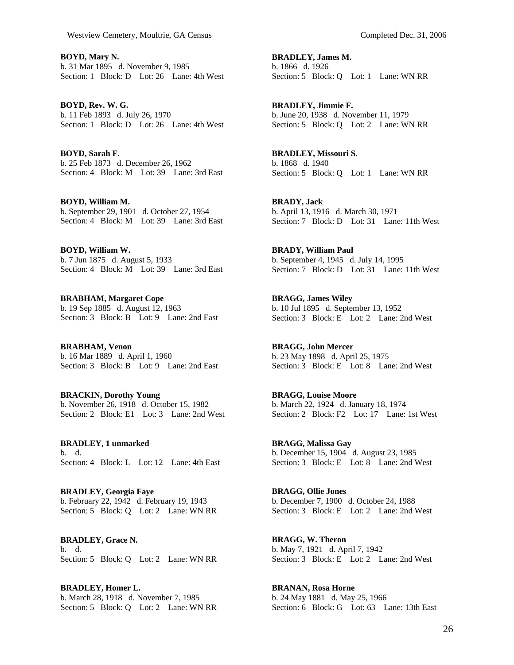**BOYD, Mary N.**  b. 31 Mar 1895 d. November 9, 1985 Section: 1 Block: D Lot: 26 Lane: 4th West

**BOYD, Rev. W. G.**  b. 11 Feb 1893 d. July 26, 1970 Section: 1 Block: D Lot: 26 Lane: 4th West

**BOYD, Sarah F.**  b. 25 Feb 1873 d. December 26, 1962 Section: 4 Block: M Lot: 39 Lane: 3rd East

**BOYD, William M.**  b. September 29, 1901 d. October 27, 1954 Section: 4 Block: M Lot: 39 Lane: 3rd East

**BOYD, William W.**  b. 7 Jun 1875 d. August 5, 1933 Section: 4 Block: M Lot: 39 Lane: 3rd East

**BRABHAM, Margaret Cope**  b. 19 Sep 1885 d. August 12, 1963 Section: 3 Block: B Lot: 9 Lane: 2nd East

**BRABHAM, Venon**  b. 16 Mar 1889 d. April 1, 1960 Section: 3 Block: B Lot: 9 Lane: 2nd East

**BRACKIN, Dorothy Young**  b. November 26, 1918 d. October 15, 1982 Section: 2 Block: E1 Lot: 3 Lane: 2nd West

**BRADLEY, 1 unmarked**  b. d. Section: 4 Block: L Lot: 12 Lane: 4th East

**BRADLEY, Georgia Faye**  b. February 22, 1942 d. February 19, 1943 Section: 5 Block: Q Lot: 2 Lane: WN RR

**BRADLEY, Grace N.**  b. d. Section: 5 Block: Q Lot: 2 Lane: WN RR

**BRADLEY, Homer L.**  b. March 28, 1918 d. November 7, 1985 Section: 5 Block: Q Lot: 2 Lane: WN RR **BRADLEY, James M.**  b. 1866 d. 1926 Section: 5 Block: Q Lot: 1 Lane: WN RR

**BRADLEY, Jimmie F.**  b. June 20, 1938 d. November 11, 1979 Section: 5 Block: Q Lot: 2 Lane: WN RR

**BRADLEY, Missouri S.**  b. 1868 d. 1940 Section: 5 Block: Q Lot: 1 Lane: WN RR

**BRADY, Jack**  b. April 13, 1916 d. March 30, 1971 Section: 7 Block: D Lot: 31 Lane: 11th West

**BRADY, William Paul**  b. September 4, 1945 d. July 14, 1995 Section: 7 Block: D Lot: 31 Lane: 11th West

**BRAGG, James Wiley**  b. 10 Jul 1895 d. September 13, 1952 Section: 3 Block: E Lot: 2 Lane: 2nd West

**BRAGG, John Mercer**  b. 23 May 1898 d. April 25, 1975 Section: 3 Block: E Lot: 8 Lane: 2nd West

**BRAGG, Louise Moore**  b. March 22, 1924 d. January 18, 1974 Section: 2 Block: F2 Lot: 17 Lane: 1st West

**BRAGG, Malissa Gay**  b. December 15, 1904 d. August 23, 1985 Section: 3 Block: E Lot: 8 Lane: 2nd West

**BRAGG, Ollie Jones**  b. December 7, 1900 d. October 24, 1988 Section: 3 Block: E Lot: 2 Lane: 2nd West

**BRAGG, W. Theron**  b. May 7, 1921 d. April 7, 1942 Section: 3 Block: E Lot: 2 Lane: 2nd West

**BRANAN, Rosa Horne**  b. 24 May 1881 d. May 25, 1966 Section: 6 Block: G Lot: 63 Lane: 13th East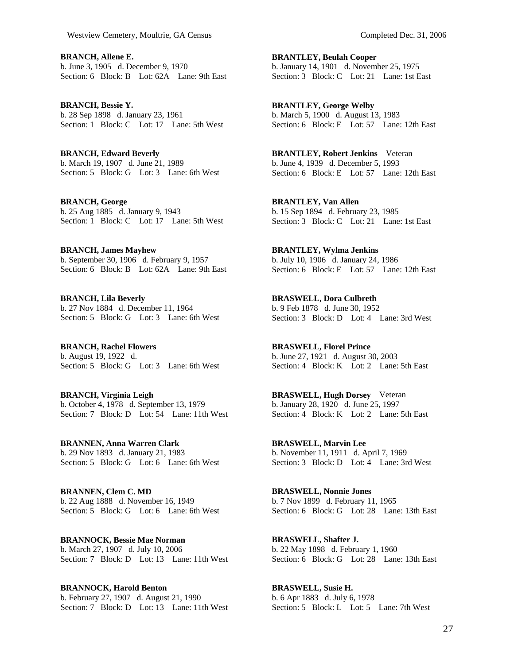**BRANCH, Allene E.**  b. June 3, 1905 d. December 9, 1970 Section: 6 Block: B Lot: 62A Lane: 9th East

**BRANCH, Bessie Y.**  b. 28 Sep 1898 d. January 23, 1961 Section: 1 Block: C Lot: 17 Lane: 5th West

**BRANCH, Edward Beverly**  b. March 19, 1907 d. June 21, 1989 Section: 5 Block: G Lot: 3 Lane: 6th West

**BRANCH, George**  b. 25 Aug 1885 d. January 9, 1943 Section: 1 Block: C Lot: 17 Lane: 5th West

**BRANCH, James Mayhew**  b. September 30, 1906 d. February 9, 1957 Section: 6 Block: B Lot: 62A Lane: 9th East

**BRANCH, Lila Beverly**  b. 27 Nov 1884 d. December 11, 1964 Section: 5 Block: G Lot: 3 Lane: 6th West

**BRANCH, Rachel Flowers**  b. August 19, 1922 d. Section: 5 Block: G Lot: 3 Lane: 6th West

**BRANCH, Virginia Leigh**  b. October 4, 1978 d. September 13, 1979 Section: 7 Block: D Lot: 54 Lane: 11th West

**BRANNEN, Anna Warren Clark**  b. 29 Nov 1893 d. January 21, 1983 Section: 5 Block: G Lot: 6 Lane: 6th West

**BRANNEN, Clem C. MD**  b. 22 Aug 1888 d. November 16, 1949 Section: 5 Block: G Lot: 6 Lane: 6th West

**BRANNOCK, Bessie Mae Norman**  b. March 27, 1907 d. July 10, 2006 Section: 7 Block: D Lot: 13 Lane: 11th West

**BRANNOCK, Harold Benton**  b. February 27, 1907 d. August 21, 1990 Section: 7 Block: D Lot: 13 Lane: 11th West **BRANTLEY, Beulah Cooper**  b. January 14, 1901 d. November 25, 1975 Section: 3 Block: C Lot: 21 Lane: 1st East

**BRANTLEY, George Welby**  b. March 5, 1900 d. August 13, 1983 Section: 6 Block: E Lot: 57 Lane: 12th East

**BRANTLEY, Robert Jenkins** Veteran b. June 4, 1939 d. December 5, 1993 Section: 6 Block: E Lot: 57 Lane: 12th East

**BRANTLEY, Van Allen**  b. 15 Sep 1894 d. February 23, 1985 Section: 3 Block: C Lot: 21 Lane: 1st East

**BRANTLEY, Wylma Jenkins**  b. July 10, 1906 d. January 24, 1986 Section: 6 Block: E Lot: 57 Lane: 12th East

**BRASWELL, Dora Culbreth**  b. 9 Feb 1878 d. June 30, 1952 Section: 3 Block: D Lot: 4 Lane: 3rd West

**BRASWELL, Florel Prince**  b. June 27, 1921 d. August 30, 2003 Section: 4 Block: K Lot: 2 Lane: 5th East

**BRASWELL, Hugh Dorsey** Veteran b. January 28, 1920 d. June 25, 1997 Section: 4 Block: K Lot: 2 Lane: 5th East

**BRASWELL, Marvin Lee**  b. November 11, 1911 d. April 7, 1969 Section: 3 Block: D Lot: 4 Lane: 3rd West

**BRASWELL, Nonnie Jones**  b. 7 Nov 1899 d. February 11, 1965 Section: 6 Block: G Lot: 28 Lane: 13th East

**BRASWELL, Shafter J.**  b. 22 May 1898 d. February 1, 1960 Section: 6 Block: G Lot: 28 Lane: 13th East

**BRASWELL, Susie H.**  b. 6 Apr 1883 d. July 6, 1978 Section: 5 Block: L Lot: 5 Lane: 7th West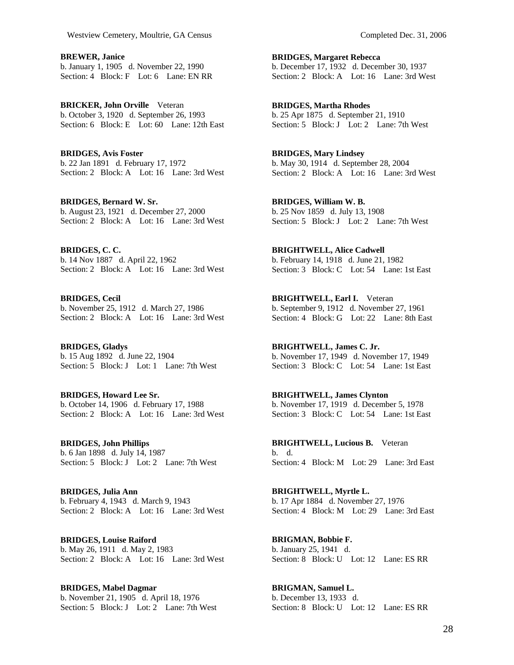**BREWER, Janice**  b. January 1, 1905 d. November 22, 1990 Section: 4 Block: F Lot: 6 Lane: EN RR

**BRICKER, John Orville** Veteran b. October 3, 1920 d. September 26, 1993 Section: 6 Block: E Lot: 60 Lane: 12th East

**BRIDGES, Avis Foster**  b. 22 Jan 1891 d. February 17, 1972 Section: 2 Block: A Lot: 16 Lane: 3rd West

**BRIDGES, Bernard W. Sr.**  b. August 23, 1921 d. December 27, 2000 Section: 2 Block: A Lot: 16 Lane: 3rd West

**BRIDGES, C. C.**  b. 14 Nov 1887 d. April 22, 1962 Section: 2 Block: A Lot: 16 Lane: 3rd West

**BRIDGES, Cecil**  b. November 25, 1912 d. March 27, 1986 Section: 2 Block: A Lot: 16 Lane: 3rd West

**BRIDGES, Gladys**  b. 15 Aug 1892 d. June 22, 1904 Section: 5 Block: J Lot: 1 Lane: 7th West

**BRIDGES, Howard Lee Sr.**  b. October 14, 1906 d. February 17, 1988 Section: 2 Block: A Lot: 16 Lane: 3rd West

**BRIDGES, John Phillips**  b. 6 Jan 1898 d. July 14, 1987 Section: 5 Block: J Lot: 2 Lane: 7th West

**BRIDGES, Julia Ann**  b. February 4, 1943 d. March 9, 1943 Section: 2 Block: A Lot: 16 Lane: 3rd West

**BRIDGES, Louise Raiford**  b. May 26, 1911 d. May 2, 1983 Section: 2 Block: A Lot: 16 Lane: 3rd West

**BRIDGES, Mabel Dagmar**  b. November 21, 1905 d. April 18, 1976 Section: 5 Block: J Lot: 2 Lane: 7th West **BRIDGES, Margaret Rebecca**  b. December 17, 1932 d. December 30, 1937 Section: 2 Block: A Lot: 16 Lane: 3rd West

**BRIDGES, Martha Rhodes**  b. 25 Apr 1875 d. September 21, 1910 Section: 5 Block: J Lot: 2 Lane: 7th West

**BRIDGES, Mary Lindsey**  b. May 30, 1914 d. September 28, 2004 Section: 2 Block: A Lot: 16 Lane: 3rd West

**BRIDGES, William W. B.**  b. 25 Nov 1859 d. July 13, 1908 Section: 5 Block: J Lot: 2 Lane: 7th West

**BRIGHTWELL, Alice Cadwell**  b. February 14, 1918 d. June 21, 1982 Section: 3 Block: C Lot: 54 Lane: 1st East

**BRIGHTWELL, Earl I.** Veteran b. September 9, 1912 d. November 27, 1961 Section: 4 Block: G Lot: 22 Lane: 8th East

**BRIGHTWELL, James C. Jr.**  b. November 17, 1949 d. November 17, 1949 Section: 3 Block: C Lot: 54 Lane: 1st East

**BRIGHTWELL, James Clynton**  b. November 17, 1919 d. December 5, 1978 Section: 3 Block: C Lot: 54 Lane: 1st East

**BRIGHTWELL, Lucious B.** Veteran b. d. Section: 4 Block: M Lot: 29 Lane: 3rd East

**BRIGHTWELL, Myrtle L.**  b. 17 Apr 1884 d. November 27, 1976 Section: 4 Block: M Lot: 29 Lane: 3rd East

**BRIGMAN, Bobbie F.**  b. January 25, 1941 d. Section: 8 Block: U Lot: 12 Lane: ESRR

**BRIGMAN, Samuel L.**  b. December 13, 1933 d. Section: 8 Block: U Lot: 12 Lane: ES RR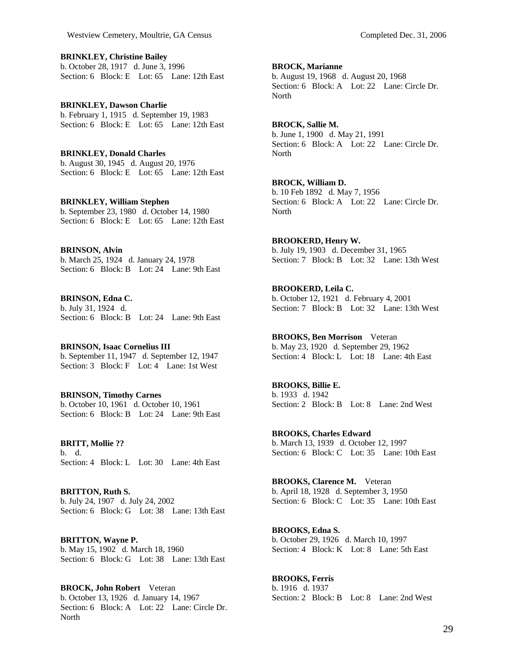**BRINKLEY, Christine Bailey**  b. October 28, 1917 d. June 3, 1996 Section: 6 Block: E Lot: 65 Lane: 12th East

**BRINKLEY, Dawson Charlie**  b. February 1, 1915 d. September 19, 1983 Section: 6 Block: E Lot: 65 Lane: 12th East

**BRINKLEY, Donald Charles**  b. August 30, 1945 d. August 20, 1976 Section: 6 Block: E Lot: 65 Lane: 12th East

**BRINKLEY, William Stephen**  b. September 23, 1980 d. October 14, 1980 Section: 6 Block: E Lot: 65 Lane: 12th East

**BRINSON, Alvin**  b. March 25, 1924 d. January 24, 1978 Section: 6 Block: B Lot: 24 Lane: 9th East

**BRINSON, Edna C.**  b. July 31, 1924 d. Section: 6 Block: B Lot: 24 Lane: 9th East

**BRINSON, Isaac Cornelius III**  b. September 11, 1947 d. September 12, 1947 Section: 3 Block: F Lot: 4 Lane: 1st West

**BRINSON, Timothy Carnes**  b. October 10, 1961 d. October 10, 1961 Section: 6 Block: B Lot: 24 Lane: 9th East

**BRITT, Mollie ??**  b. d. Section: 4 Block: L Lot: 30 Lane: 4th East

**BRITTON, Ruth S.**  b. July 24, 1907 d. July 24, 2002 Section: 6 Block: G Lot: 38 Lane: 13th East

**BRITTON, Wayne P.**  b. May 15, 1902 d. March 18, 1960 Section: 6 Block: G Lot: 38 Lane: 13th East

**BROCK, John Robert** Veteran b. October 13, 1926 d. January 14, 1967 Section: 6 Block: A Lot: 22 Lane: Circle Dr. **North** 

**BROCK, Marianne** 

b. August 19, 1968 d. August 20, 1968 Section: 6 Block: A Lot: 22 Lane: Circle Dr. North

**BROCK, Sallie M.**  b. June 1, 1900 d. May 21, 1991 Section: 6 Block: A Lot: 22 Lane: Circle Dr. **North** 

**BROCK, William D.**  b. 10 Feb 1892 d. May 7, 1956 Section: 6 Block: A Lot: 22 Lane: Circle Dr. North

**BROOKERD, Henry W.**  b. July 19, 1903 d. December 31, 1965 Section: 7 Block: B Lot: 32 Lane: 13th West

**BROOKERD, Leila C.**  b. October 12, 1921 d. February 4, 2001 Section: 7 Block: B Lot: 32 Lane: 13th West

**BROOKS, Ben Morrison** Veteran b. May 23, 1920 d. September 29, 1962 Section: 4 Block: L Lot: 18 Lane: 4th East

**BROOKS, Billie E.**  b. 1933 d. 1942 Section: 2 Block: B Lot: 8 Lane: 2nd West

**BROOKS, Charles Edward**  b. March 13, 1939 d. October 12, 1997 Section: 6 Block: C Lot: 35 Lane: 10th East

**BROOKS, Clarence M.** Veteran b. April 18, 1928 d. September 3, 1950 Section: 6 Block: C Lot: 35 Lane: 10th East

**BROOKS, Edna S.**  b. October 29, 1926 d. March 10, 1997 Section: 4 Block: K Lot: 8 Lane: 5th East

**BROOKS, Ferris**  b. 1916 d. 1937 Section: 2 Block: B Lot: 8 Lane: 2nd West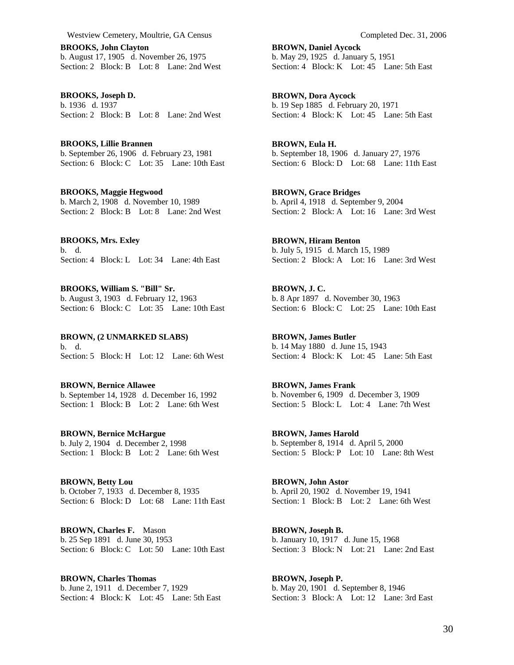**BROOKS, John Clayton**  b. August 17, 1905 d. November 26, 1975 Section: 2 Block: B Lot: 8 Lane: 2nd West

**BROOKS, Joseph D.**  b. 1936 d. 1937 Section: 2 Block: B Lot: 8 Lane: 2nd West

**BROOKS, Lillie Brannen**  b. September 26, 1906 d. February 23, 1981 Section: 6 Block: C Lot: 35 Lane: 10th East

**BROOKS, Maggie Hegwood**  b. March 2, 1908 d. November 10, 1989 Section: 2 Block: B Lot: 8 Lane: 2nd West

**BROOKS, Mrs. Exley**  b. d. Section: 4 Block: L Lot: 34 Lane: 4th East

**BROOKS, William S. "Bill" Sr.**  b. August 3, 1903 d. February 12, 1963 Section: 6 Block: C Lot: 35 Lane: 10th East

**BROWN, (2 UNMARKED SLABS)**  b. d. Section: 5 Block: H Lot: 12 Lane: 6th West

**BROWN, Bernice Allawee**  b. September 14, 1928 d. December 16, 1992 Section: 1 Block: B Lot: 2 Lane: 6th West

**BROWN, Bernice McHargue**  b. July 2, 1904 d. December 2, 1998 Section: 1 Block: B Lot: 2 Lane: 6th West

**BROWN, Betty Lou**  b. October 7, 1933 d. December 8, 1935 Section: 6 Block: D Lot: 68 Lane: 11th East

**BROWN, Charles F.** Mason b. 25 Sep 1891 d. June 30, 1953 Section: 6 Block: C Lot: 50 Lane: 10th East

**BROWN, Charles Thomas**  b. June 2, 1911 d. December 7, 1929 Section: 4 Block: K Lot: 45 Lane: 5th East **BROWN, Daniel Aycock**  b. May 29, 1925 d. January 5, 1951 Section: 4 Block: K Lot: 45 Lane: 5th East

**BROWN, Dora Aycock**  b. 19 Sep 1885 d. February 20, 1971 Section: 4 Block: K Lot: 45 Lane: 5th East

**BROWN, Eula H.**  b. September 18, 1906 d. January 27, 1976 Section: 6 Block: D Lot: 68 Lane: 11th East

**BROWN, Grace Bridges**  b. April 4, 1918 d. September 9, 2004 Section: 2 Block: A Lot: 16 Lane: 3rd West

**BROWN, Hiram Benton**  b. July 5, 1915 d. March 15, 1989 Section: 2 Block: A Lot: 16 Lane: 3rd West

**BROWN, J. C.**  b. 8 Apr 1897 d. November 30, 1963 Section: 6 Block: C Lot: 25 Lane: 10th East

**BROWN, James Butler**  b. 14 May 1880 d. June 15, 1943 Section: 4 Block: K Lot: 45 Lane: 5th East

**BROWN, James Frank**  b. November 6, 1909 d. December 3, 1909 Section: 5 Block: L Lot: 4 Lane: 7th West

**BROWN, James Harold**  b. September 8, 1914 d. April 5, 2000 Section: 5 Block: P Lot: 10 Lane: 8th West

**BROWN, John Astor**  b. April 20, 1902 d. November 19, 1941 Section: 1 Block: B Lot: 2 Lane: 6th West

**BROWN, Joseph B.**  b. January 10, 1917 d. June 15, 1968 Section:  $3$  Block: N Lot: 21 Lane: 2nd East

**BROWN, Joseph P.**  b. May 20, 1901 d. September 8, 1946 Section: 3 Block: A Lot: 12 Lane: 3rd East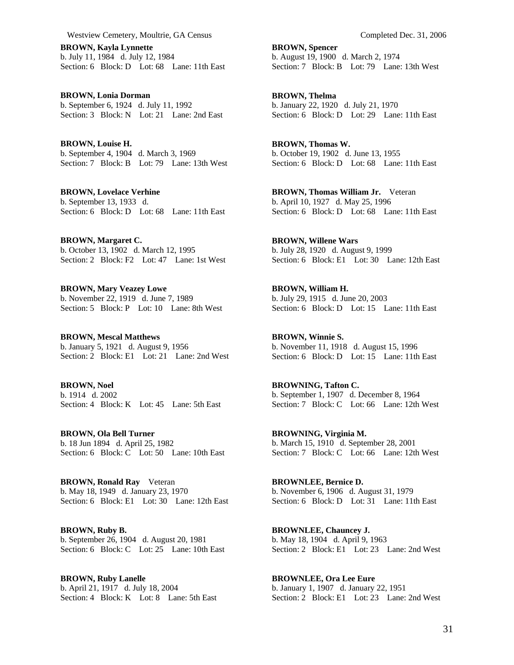**BROWN, Kayla Lynnette**  b. July 11, 1984 d. July 12, 1984 Section: 6 Block: D Lot: 68 Lane: 11th East

**BROWN, Lonia Dorman**  b. September 6, 1924 d. July 11, 1992 Section: 3 Block: N Lot: 21 Lane: 2nd East

**BROWN, Louise H.**  b. September 4, 1904 d. March 3, 1969 Section: 7 Block: B Lot: 79 Lane: 13th West

**BROWN, Lovelace Verhine**  b. September 13, 1933 d. Section: 6 Block: D Lot: 68 Lane: 11th East

**BROWN, Margaret C.**  b. October 13, 1902 d. March 12, 1995 Section: 2 Block: F2 Lot: 47 Lane: 1st West

**BROWN, Mary Veazey Lowe**  b. November 22, 1919 d. June 7, 1989 Section: 5 Block: P Lot: 10 Lane: 8th West

**BROWN, Mescal Matthews**  b. January 5, 1921 d. August 9, 1956 Section: 2 Block: E1 Lot: 21 Lane: 2nd West

**BROWN, Noel**  b. 1914 d. 2002 Section: 4 Block: K Lot: 45 Lane: 5th East

**BROWN, Ola Bell Turner**  b. 18 Jun 1894 d. April 25, 1982 Section: 6 Block: C Lot: 50 Lane: 10th East

**BROWN, Ronald Ray** Veteran b. May 18, 1949 d. January 23, 1970 Section: 6 Block: E1 Lot: 30 Lane: 12th East

**BROWN, Ruby B.**  b. September 26, 1904 d. August 20, 1981 Section: 6 Block: C Lot: 25 Lane: 10th East

**BROWN, Ruby Lanelle**  b. April 21, 1917 d. July 18, 2004 Section: 4 Block: K Lot: 8 Lane: 5th East **BROWN, Spencer**  b. August 19, 1900 d. March 2, 1974 Section: 7 Block: B Lot: 79 Lane: 13th West

**BROWN, Thelma**  b. January 22, 1920 d. July 21, 1970 Section: 6 Block: D Lot: 29 Lane: 11th East

**BROWN, Thomas W.**  b. October 19, 1902 d. June 13, 1955 Section: 6 Block: D Lot: 68 Lane: 11th East

**BROWN, Thomas William Jr.** Veteran b. April 10, 1927 d. May 25, 1996 Section: 6 Block: D Lot: 68 Lane: 11th East

**BROWN, Willene Wars**  b. July 28, 1920 d. August 9, 1999 Section: 6 Block: E1 Lot: 30 Lane: 12th East

**BROWN, William H.**  b. July 29, 1915 d. June 20, 2003 Section: 6 Block: D Lot: 15 Lane: 11th East

**BROWN, Winnie S.**  b. November 11, 1918 d. August 15, 1996 Section: 6 Block: D Lot: 15 Lane: 11th East

**BROWNING, Tafton C.**  b. September 1, 1907 d. December 8, 1964 Section: 7 Block: C Lot: 66 Lane: 12th West

**BROWNING, Virginia M.**  b. March 15, 1910 d. September 28, 2001 Section: 7 Block: C Lot: 66 Lane: 12th West

**BROWNLEE, Bernice D.**  b. November 6, 1906 d. August 31, 1979 Section: 6 Block: D Lot: 31 Lane: 11th East

**BROWNLEE, Chauncey J.**  b. May 18, 1904 d. April 9, 1963 Section: 2 Block: E1 Lot: 23 Lane: 2nd West

**BROWNLEE, Ora Lee Eure**  b. January 1, 1907 d. January 22, 1951 Section: 2 Block: E1 Lot: 23 Lane: 2nd West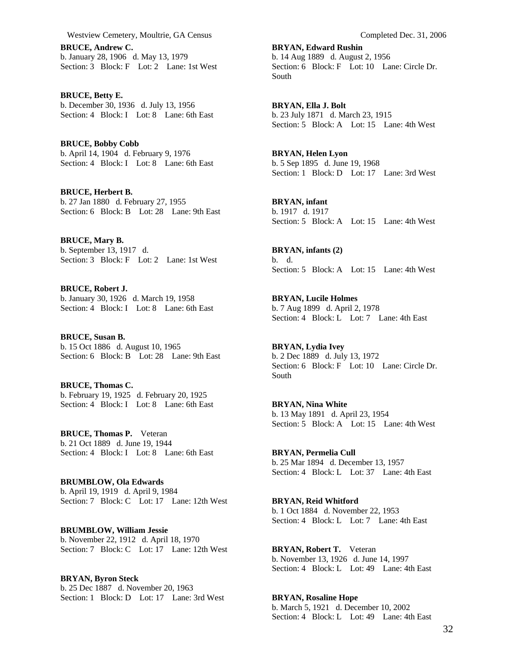**BRUCE, Andrew C.**  b. January 28, 1906 d. May 13, 1979 Section: 3 Block: F Lot: 2 Lane: 1st West

**BRUCE, Betty E.**  b. December 30, 1936 d. July 13, 1956 Section: 4 Block: I Lot: 8 Lane: 6th East

**BRUCE, Bobby Cobb**  b. April 14, 1904 d. February 9, 1976 Section: 4 Block: I Lot: 8 Lane: 6th East

**BRUCE, Herbert B.**  b. 27 Jan 1880 d. February 27, 1955 Section: 6 Block: B Lot: 28 Lane: 9th East

**BRUCE, Mary B.**  b. September 13, 1917 d. Section: 3 Block: F Lot: 2 Lane: 1st West

**BRUCE, Robert J.**  b. January 30, 1926 d. March 19, 1958 Section: 4 Block: I Lot: 8 Lane: 6th East

**BRUCE, Susan B.**  b. 15 Oct 1886 d. August 10, 1965 Section: 6 Block: B Lot: 28 Lane: 9th East

**BRUCE, Thomas C.**  b. February 19, 1925 d. February 20, 1925 Section: 4 Block: I Lot: 8 Lane: 6th East

**BRUCE, Thomas P.** Veteran b. 21 Oct 1889 d. June 19, 1944 Section: 4 Block: I Lot: 8 Lane: 6th East

**BRUMBLOW, Ola Edwards**  b. April 19, 1919 d. April 9, 1984 Section: 7 Block: C Lot: 17 Lane: 12th West

**BRUMBLOW, William Jessie**  b. November 22, 1912 d. April 18, 1970 Section: 7 Block: C Lot: 17 Lane: 12th West

**BRYAN, Byron Steck**  b. 25 Dec 1887 d. November 20, 1963 Section: 1 Block: D Lot: 17 Lane: 3rd West

**BRYAN, Edward Rushin**  b. 14 Aug 1889 d. August 2, 1956 Section: 6 Block: F Lot: 10 Lane: Circle Dr. South

**BRYAN, Ella J. Bolt**  b. 23 July 1871 d. March 23, 1915 Section: 5 Block: A Lot: 15 Lane: 4th West

**BRYAN, Helen Lyon**  b. 5 Sep 1895 d. June 19, 1968 Section: 1 Block: D Lot: 17 Lane: 3rd West

**BRYAN, infant**  b. 1917 d. 1917 Section: 5 Block: A Lot: 15 Lane: 4th West

**BRYAN, infants (2)**  b. d. Section: 5 Block: A Lot: 15 Lane: 4th West

**BRYAN, Lucile Holmes**  b. 7 Aug 1899 d. April 2, 1978 Section: 4 Block: L Lot: 7 Lane: 4th East

**BRYAN, Lydia Ivey**  b. 2 Dec 1889 d. July 13, 1972 Section: 6 Block: F Lot: 10 Lane: Circle Dr. South

**BRYAN, Nina White**  b. 13 May 1891 d. April 23, 1954 Section: 5 Block: A Lot: 15 Lane: 4th West

**BRYAN, Permelia Cull**  b. 25 Mar 1894 d. December 13, 1957 Section: 4 Block: L Lot: 37 Lane: 4th East

**BRYAN, Reid Whitford**  b. 1 Oct 1884 d. November 22, 1953 Section: 4 Block: L Lot: 7 Lane: 4th East

**BRYAN, Robert T.** Veteran b. November 13, 1926 d. June 14, 1997 Section: 4 Block: L Lot: 49 Lane: 4th East

**BRYAN, Rosaline Hope**  b. March 5, 1921 d. December 10, 2002 Section: 4 Block: L Lot: 49 Lane: 4th East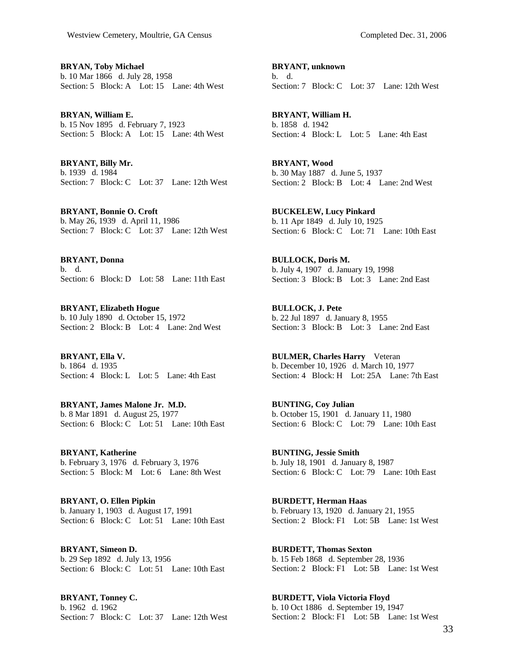**BRYAN, Toby Michael**  b. 10 Mar 1866 d. July 28, 1958 Section: 5 Block: A Lot: 15 Lane: 4th West

**BRYAN, William E.**  b. 15 Nov 1895 d. February 7, 1923 Section: 5 Block: A Lot: 15 Lane: 4th West

**BRYANT, Billy Mr.**  b. 1939 d. 1984 Section: 7 Block: C Lot: 37 Lane: 12th West

**BRYANT, Bonnie O. Croft**  b. May 26, 1939 d. April 11, 1986 Section: 7 Block: C Lot: 37 Lane: 12th West

**BRYANT, Donna**  b. d. Section: 6 Block: D Lot: 58 Lane: 11th East

**BRYANT, Elizabeth Hogue**  b. 10 July 1890 d. October 15, 1972 Section: 2 Block: B Lot: 4 Lane: 2nd West

**BRYANT, Ella V.**  b. 1864 d. 1935 Section: 4 Block: L Lot: 5 Lane: 4th East

**BRYANT, James Malone Jr. M.D.**  b. 8 Mar 1891 d. August 25, 1977 Section: 6 Block: C Lot: 51 Lane: 10th East

**BRYANT, Katherine**  b. February 3, 1976 d. February 3, 1976 Section: 5 Block: M Lot: 6 Lane: 8th West

**BRYANT, O. Ellen Pipkin**  b. January 1, 1903 d. August 17, 1991 Section: 6 Block: C Lot: 51 Lane: 10th East

**BRYANT, Simeon D.**  b. 29 Sep 1892 d. July 13, 1956 Section: 6 Block: C Lot: 51 Lane: 10th East

**BRYANT, Tonney C.**  b. 1962 d. 1962 Section: 7 Block: C Lot: 37 Lane: 12th West

**BRYANT, unknown**  b. d. Section: 7 Block: C Lot: 37 Lane: 12th West

**BRYANT, William H.**  b. 1858 d. 1942 Section: 4 Block: L Lot: 5 Lane: 4th East

**BRYANT, Wood**  b. 30 May 1887 d. June 5, 1937 Section: 2 Block: B Lot: 4 Lane: 2nd West

**BUCKELEW, Lucy Pinkard**  b. 11 Apr 1849 d. July 10, 1925 Section: 6 Block: C Lot: 71 Lane: 10th East

**BULLOCK, Doris M.**  b. July 4, 1907 d. January 19, 1998 Section: 3 Block: B Lot: 3 Lane: 2nd East

**BULLOCK, J. Pete**  b. 22 Jul 1897 d. January 8, 1955 Section: 3 Block: B Lot: 3 Lane: 2nd East

**BULMER, Charles Harry** Veteran b. December 10, 1926 d. March 10, 1977 Section: 4 Block: H Lot: 25A Lane: 7th East

**BUNTING, Coy Julian**  b. October 15, 1901 d. January 11, 1980 Section: 6 Block: C Lot: 79 Lane: 10th East

**BUNTING, Jessie Smith**  b. July 18, 1901 d. January 8, 1987 Section: 6 Block: C Lot: 79 Lane: 10th East

**BURDETT, Herman Haas**  b. February 13, 1920 d. January 21, 1955 Section: 2 Block: F1 Lot: 5B Lane: 1st West

**BURDETT, Thomas Sexton**  b. 15 Feb 1868 d. September 28, 1936 Section: 2 Block: F1 Lot: 5B Lane: 1st West

**BURDETT, Viola Victoria Floyd**  b. 10 Oct 1886 d. September 19, 1947 Section: 2 Block: F1 Lot: 5B Lane: 1st West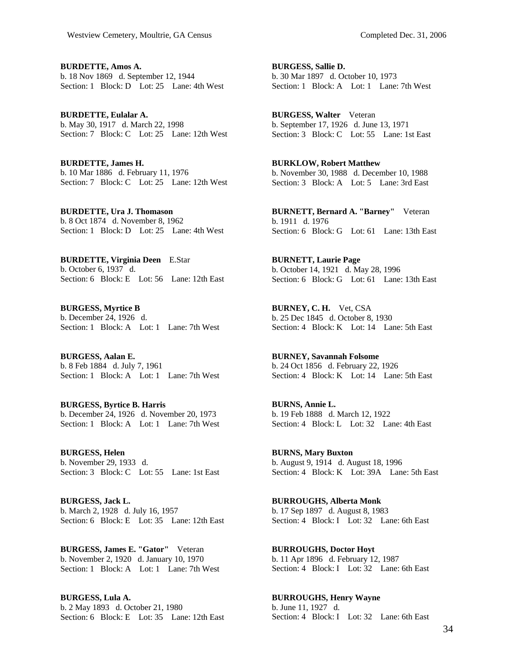**BURDETTE, Amos A.**  b. 18 Nov 1869 d. September 12, 1944 Section: 1 Block: D Lot: 25 Lane: 4th West

**BURDETTE, Eulalar A.**  b. May 30, 1917 d. March 22, 1998 Section: 7 Block: C Lot: 25 Lane: 12th West

**BURDETTE, James H.**  b. 10 Mar 1886 d. February 11, 1976 Section: 7 Block: C Lot: 25 Lane: 12th West

**BURDETTE, Ura J. Thomason**  b. 8 Oct 1874 d. November 8, 1962 Section: 1 Block: D Lot: 25 Lane: 4th West

**BURDETTE, Virginia Deen** E.Star b. October 6, 1937 d. Section: 6 Block: E Lot: 56 Lane: 12th East

**BURGESS, Myrtice B**  b. December 24, 1926 d. Section: 1 Block: A Lot: 1 Lane: 7th West

**BURGESS, Aalan E.**  b. 8 Feb 1884 d. July 7, 1961 Section: 1 Block: A Lot: 1 Lane: 7th West

**BURGESS, Byrtice B. Harris**  b. December 24, 1926 d. November 20, 1973 Section: 1 Block: A Lot: 1 Lane: 7th West

**BURGESS, Helen**  b. November 29, 1933 d. Section: 3 Block: C Lot: 55 Lane: 1st East

**BURGESS, Jack L.**  b. March 2, 1928 d. July 16, 1957 Section: 6 Block: E Lot: 35 Lane: 12th East

**BURGESS, James E. "Gator"** Veteran b. November 2, 1920 d. January 10, 1970 Section: 1 Block: A Lot: 1 Lane: 7th West

**BURGESS, Lula A.**  b. 2 May 1893 d. October 21, 1980 Section: 6 Block: E Lot: 35 Lane: 12th East

**BURGESS, Sallie D.**  b. 30 Mar 1897 d. October 10, 1973 Section: 1 Block: A Lot: 1 Lane: 7th West

**BURGESS, Walter** Veteran b. September 17, 1926 d. June 13, 1971 Section: 3 Block: C Lot: 55 Lane: 1st East

**BURKLOW, Robert Matthew**  b. November 30, 1988 d. December 10, 1988 Section: 3 Block: A Lot: 5 Lane: 3rd East

**BURNETT, Bernard A. "Barney"** Veteran b. 1911 d. 1976 Section: 6 Block: G Lot: 61 Lane: 13th East

**BURNETT, Laurie Page**  b. October 14, 1921 d. May 28, 1996 Section: 6 Block: G Lot: 61 Lane: 13th East

**BURNEY, C. H.** Vet, CSA b. 25 Dec 1845 d. October 8, 1930 Section: 4 Block: K Lot: 14 Lane: 5th East

**BURNEY, Savannah Folsome**  b. 24 Oct 1856 d. February 22, 1926 Section: 4 Block: K Lot: 14 Lane: 5th East

**BURNS, Annie L.**  b. 19 Feb 1888 d. March 12, 1922 Section: 4 Block: L Lot: 32 Lane: 4th East

**BURNS, Mary Buxton**  b. August 9, 1914 d. August 18, 1996 Section: 4 Block: K Lot: 39A Lane: 5th East

**BURROUGHS, Alberta Monk**  b. 17 Sep 1897 d. August 8, 1983 Section: 4 Block: I Lot: 32 Lane: 6th East

**BURROUGHS, Doctor Hoyt**  b. 11 Apr 1896 d. February 12, 1987 Section: 4 Block: I Lot: 32 Lane: 6th East

**BURROUGHS, Henry Wayne**  b. June 11, 1927 d. Section: 4 Block: I Lot: 32 Lane: 6th East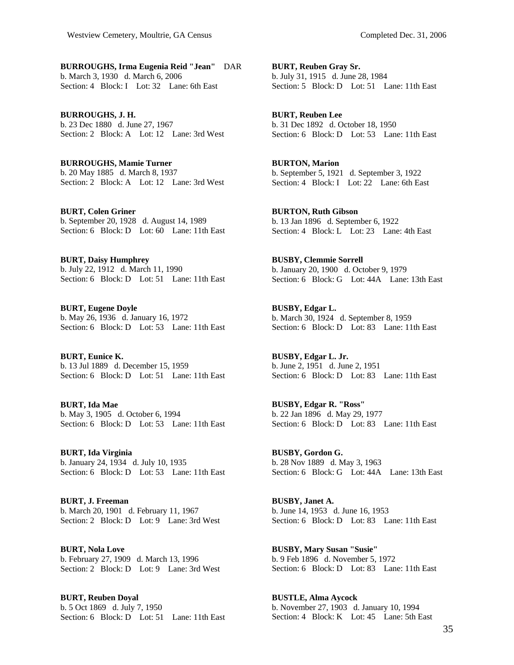**BURROUGHS, Irma Eugenia Reid "Jean"** DAR b. March 3, 1930 d. March 6, 2006 Section: 4 Block: I Lot: 32 Lane: 6th East

**BURROUGHS, J. H.**  b. 23 Dec 1880 d. June 27, 1967 Section: 2 Block: A Lot: 12 Lane: 3rd West

**BURROUGHS, Mamie Turner**  b. 20 May 1885 d. March 8, 1937 Section: 2 Block: A Lot: 12 Lane: 3rd West

**BURT, Colen Griner**  b. September 20, 1928 d. August 14, 1989 Section: 6 Block: D Lot: 60 Lane: 11th East

**BURT, Daisy Humphrey**  b. July 22, 1912 d. March 11, 1990 Section: 6 Block: D Lot: 51 Lane: 11th East

**BURT, Eugene Doyle**  b. May 26, 1936 d. January 16, 1972 Section: 6 Block: D Lot: 53 Lane: 11th East

**BURT, Eunice K.**  b. 13 Jul 1889 d. December 15, 1959 Section: 6 Block: D Lot: 51 Lane: 11th East

**BURT, Ida Mae**  b. May 3, 1905 d. October 6, 1994 Section: 6 Block: D Lot: 53 Lane: 11th East

**BURT, Ida Virginia**  b. January 24, 1934 d. July 10, 1935 Section: 6 Block: D Lot: 53 Lane: 11th East

**BURT, J. Freeman**  b. March 20, 1901 d. February 11, 1967 Section: 2 Block: D Lot: 9 Lane: 3rd West

**BURT, Nola Love**  b. February 27, 1909 d. March 13, 1996 Section: 2 Block: D Lot: 9 Lane: 3rd West

**BURT, Reuben Doyal**  b. 5 Oct 1869 d. July 7, 1950 Section: 6 Block: D Lot: 51 Lane: 11th East **BURT, Reuben Gray Sr.**  b. July 31, 1915 d. June 28, 1984 Section: 5 Block: D Lot: 51 Lane: 11th East

**BURT, Reuben Lee**  b. 31 Dec 1892 d. October 18, 1950 Section: 6 Block: D Lot: 53 Lane: 11th East

**BURTON, Marion**  b. September 5, 1921 d. September 3, 1922 Section: 4 Block: I Lot: 22 Lane: 6th East

**BURTON, Ruth Gibson**  b. 13 Jan 1896 d. September 6, 1922 Section: 4 Block: L Lot: 23 Lane: 4th East

**BUSBY, Clemmie Sorrell**  b. January 20, 1900 d. October 9, 1979 Section: 6 Block: G Lot: 44A Lane: 13th East

**BUSBY, Edgar L.**  b. March 30, 1924 d. September 8, 1959 Section: 6 Block: D Lot: 83 Lane: 11th East

**BUSBY, Edgar L. Jr.**  b. June 2, 1951 d. June 2, 1951 Section: 6 Block: D Lot: 83 Lane: 11th East

**BUSBY, Edgar R. "Ross"**  b. 22 Jan 1896 d. May 29, 1977 Section: 6 Block: D Lot: 83 Lane: 11th East

**BUSBY, Gordon G.**  b. 28 Nov 1889 d. May 3, 1963 Section: 6 Block: G Lot: 44A Lane: 13th East

**BUSBY, Janet A.**  b. June 14, 1953 d. June 16, 1953 Section: 6 Block: D Lot: 83 Lane: 11th East

**BUSBY, Mary Susan "Susie"**  b. 9 Feb 1896 d. November 5, 1972 Section: 6 Block: D Lot: 83 Lane: 11th East

**BUSTLE, Alma Aycock**  b. November 27, 1903 d. January 10, 1994 Section: 4 Block: K Lot: 45 Lane: 5th East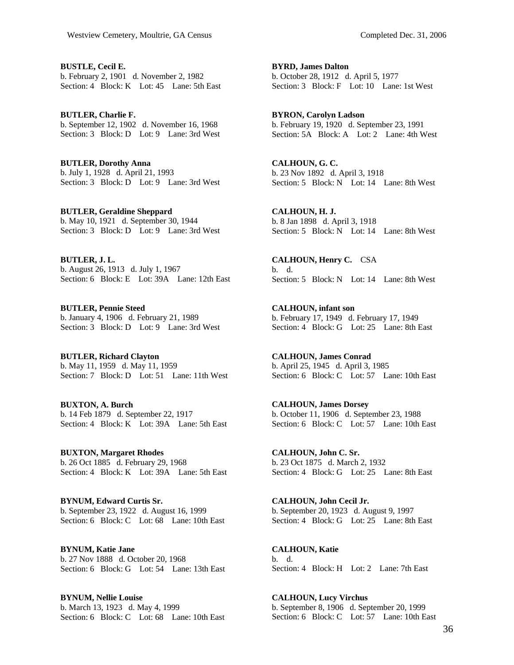**BUSTLE, Cecil E.**  b. February 2, 1901 d. November 2, 1982 Section: 4 Block: K Lot: 45 Lane: 5th East

**BUTLER, Charlie F.**  b. September 12, 1902 d. November 16, 1968 Section: 3 Block: D Lot: 9 Lane: 3rd West

**BUTLER, Dorothy Anna**  b. July 1, 1928 d. April 21, 1993 Section: 3 Block: D Lot: 9 Lane: 3rd West

**BUTLER, Geraldine Sheppard**  b. May 10, 1921 d. September 30, 1944 Section: 3 Block: D Lot: 9 Lane: 3rd West

**BUTLER, J. L.**  b. August 26, 1913 d. July 1, 1967 Section: 6 Block: E Lot: 39A Lane: 12th East

**BUTLER, Pennie Steed**  b. January 4, 1906 d. February 21, 1989 Section: 3 Block: D Lot: 9 Lane: 3rd West

**BUTLER, Richard Clayton**  b. May 11, 1959 d. May 11, 1959 Section: 7 Block: D Lot: 51 Lane: 11th West

**BUXTON, A. Burch**  b. 14 Feb 1879 d. September 22, 1917 Section: 4 Block: K Lot: 39A Lane: 5th East

**BUXTON, Margaret Rhodes**  b. 26 Oct 1885 d. February 29, 1968 Section: 4 Block: K Lot: 39A Lane: 5th East

**BYNUM, Edward Curtis Sr.**  b. September 23, 1922 d. August 16, 1999 Section: 6 Block: C Lot: 68 Lane: 10th East

**BYNUM, Katie Jane**  b. 27 Nov 1888 d. October 20, 1968 Section: 6 Block: G Lot: 54 Lane: 13th East

**BYNUM, Nellie Louise**  b. March 13, 1923 d. May 4, 1999 Section: 6 Block: C Lot: 68 Lane: 10th East

**BYRD, James Dalton**  b. October 28, 1912 d. April 5, 1977 Section: 3 Block: F Lot: 10 Lane: 1st West

**BYRON, Carolyn Ladson**  b. February 19, 1920 d. September 23, 1991 Section: 5A Block: A Lot: 2 Lane: 4th West

**CALHOUN, G. C.**  b. 23 Nov 1892 d. April 3, 1918 Section: 5 Block: N Lot: 14 Lane: 8th West

**CALHOUN, H. J.**  b. 8 Jan 1898 d. April 3, 1918 Section: 5 Block: N Lot: 14 Lane: 8th West

**CALHOUN, Henry C.** CSA b. d. Section: 5 Block: N Lot: 14 Lane: 8th West

**CALHOUN, infant son**  b. February 17, 1949 d. February 17, 1949 Section: 4 Block: G Lot: 25 Lane: 8th East

**CALHOUN, James Conrad**  b. April 25, 1945 d. April 3, 1985 Section: 6 Block: C Lot: 57 Lane: 10th East

**CALHOUN, James Dorsey**  b. October 11, 1906 d. September 23, 1988 Section: 6 Block: C Lot: 57 Lane: 10th East

**CALHOUN, John C. Sr.**  b. 23 Oct 1875 d. March 2, 1932 Section: 4 Block: G Lot: 25 Lane: 8th East

**CALHOUN, John Cecil Jr.**  b. September 20, 1923 d. August 9, 1997 Section: 4 Block: G Lot: 25 Lane: 8th East

**CALHOUN, Katie**  b. d. Section: 4 Block: H Lot: 2 Lane: 7th East

**CALHOUN, Lucy Virchus**  b. September 8, 1906 d. September 20, 1999 Section: 6 Block: C Lot: 57 Lane: 10th East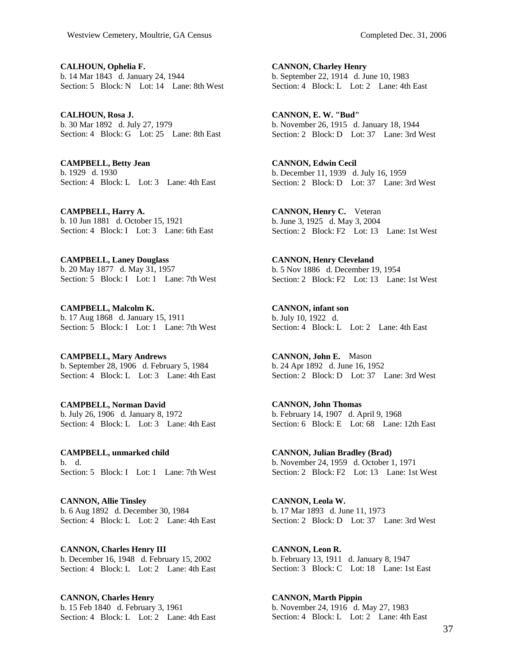**CALHOUN, Ophelia F.**  b. 14 Mar 1843 d. January 24, 1944 Section: 5 Block: N Lot: 14 Lane: 8th West

**CALHOUN, Rosa J.**  b. 30 Mar 1892 d. July 27, 1979 Section: 4 Block: G Lot: 25 Lane: 8th East

**CAMPBELL, Betty Jean**  b. 1929 d. 1930 Section: 4 Block: L Lot: 3 Lane: 4th East

**CAMPBELL, Harry A.**  b. 10 Jun 1881 d. October 15, 1921 Section: 4 Block: I Lot: 3 Lane: 6th East

**CAMPBELL, Laney Douglass**  b. 20 May 1877 d. May 31, 1957 Section: 5 Block: I Lot: 1 Lane: 7th West

**CAMPBELL, Malcolm K.**  b. 17 Aug 1868 d. January 15, 1911 Section: 5 Block: I Lot: 1 Lane: 7th West

**CAMPBELL, Mary Andrews**  b. September 28, 1906 d. February 5, 1984 Section: 4 Block: L Lot: 3 Lane: 4th East

**CAMPBELL, Norman David**  b. July 26, 1906 d. January 8, 1972 Section: 4 Block: L Lot: 3 Lane: 4th East

**CAMPBELL, unmarked child**  b. d. Section: 5 Block: I Lot: 1 Lane: 7th West

**CANNON, Allie Tinsley**  b. 6 Aug 1892 d. December 30, 1984 Section: 4 Block: L Lot: 2 Lane: 4th East

**CANNON, Charles Henry III**  b. December 16, 1948 d. February 15, 2002 Section: 4 Block: L Lot: 2 Lane: 4th East

**CANNON, Charles Henry**  b. 15 Feb 1840 d. February 3, 1961 Section: 4 Block: L Lot: 2 Lane: 4th East

**CANNON, Charley Henry**  b. September 22, 1914 d. June 10, 1983 Section: 4 Block: L Lot: 2 Lane: 4th East

**CANNON, E. W. "Bud"**  b. November 26, 1915 d. January 18, 1944 Section: 2 Block: D Lot: 37 Lane: 3rd West

**CANNON, Edwin Cecil**  b. December 11, 1939 d. July 16, 1959 Section: 2 Block: D Lot: 37 Lane: 3rd West

**CANNON, Henry C.** Veteran b. June 3, 1925 d. May 3, 2004 Section: 2 Block: F2 Lot: 13 Lane: 1st West

**CANNON, Henry Cleveland**  b. 5 Nov 1886 d. December 19, 1954 Section: 2 Block: F2 Lot: 13 Lane: 1st West

**CANNON, infant son**  b. July 10, 1922 d. Section: 4 Block: L Lot: 2 Lane: 4th East

**CANNON, John E.** Mason b. 24 Apr 1892 d. June 16, 1952 Section: 2 Block: D Lot: 37 Lane: 3rd West

**CANNON, John Thomas**  b. February 14, 1907 d. April 9, 1968 Section: 6 Block: E Lot: 68 Lane: 12th East

**CANNON, Julian Bradley (Brad)**  b. November 24, 1959 d. October 1, 1971 Section: 2 Block: F2 Lot: 13 Lane: 1st West

**CANNON, Leola W.**  b. 17 Mar 1893 d. June 11, 1973 Section: 2 Block: D Lot: 37 Lane: 3rd West

**CANNON, Leon R.**  b. February 13, 1911 d. January 8, 1947 Section: 3 Block: C Lot: 18 Lane: 1st East

**CANNON, Marth Pippin**  b. November 24, 1916 d. May 27, 1983 Section: 4 Block: L Lot: 2 Lane: 4th East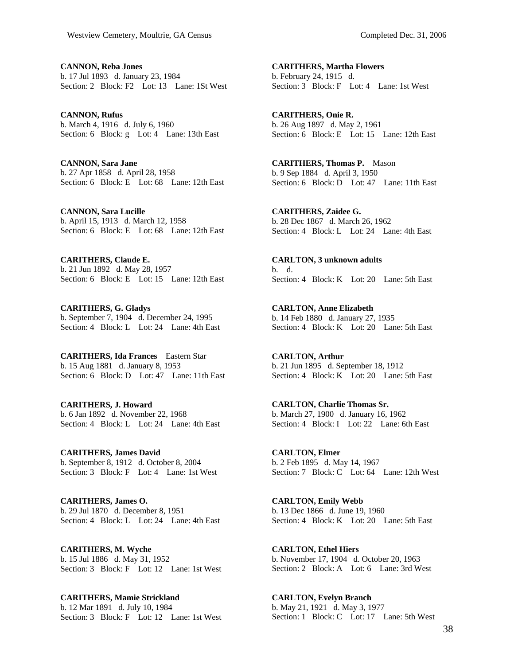**CANNON, Reba Jones**  b. 17 Jul 1893 d. January 23, 1984 Section: 2 Block: F<sub>2</sub> Lot: 13 Lane: 1St West

**CANNON, Rufus**  b. March 4, 1916 d. July 6, 1960 Section: 6 Block: g Lot: 4 Lane: 13th East

**CANNON, Sara Jane**  b. 27 Apr 1858 d. April 28, 1958 Section: 6 Block: E Lot: 68 Lane: 12th East

**CANNON, Sara Lucille**  b. April 15, 1913 d. March 12, 1958 Section: 6 Block: E Lot: 68 Lane: 12th East

**CARITHERS, Claude E.**  b. 21 Jun 1892 d. May 28, 1957 Section: 6 Block: E Lot: 15 Lane: 12th East

**CARITHERS, G. Gladys**  b. September 7, 1904 d. December 24, 1995 Section: 4 Block: L Lot: 24 Lane: 4th East

**CARITHERS, Ida Frances** Eastern Star b. 15 Aug 1881 d. January 8, 1953 Section: 6 Block: D Lot: 47 Lane: 11th East

**CARITHERS, J. Howard**  b. 6 Jan 1892 d. November 22, 1968 Section: 4 Block: L Lot: 24 Lane: 4th East

**CARITHERS, James David**  b. September 8, 1912 d. October 8, 2004 Section: 3 Block: F Lot: 4 Lane: 1st West

**CARITHERS, James O.**  b. 29 Jul 1870 d. December 8, 1951 Section: 4 Block: L Lot: 24 Lane: 4th East

**CARITHERS, M. Wyche**  b. 15 Jul 1886 d. May 31, 1952 Section: 3 Block: F Lot: 12 Lane: 1st West

**CARITHERS, Mamie Strickland**  b. 12 Mar 1891 d. July 10, 1984 Section: 3 Block: F Lot: 12 Lane: 1st West

**CARITHERS, Martha Flowers**  b. February 24, 1915 d. Section: 3 Block: F Lot: 4 Lane: 1st West

**CARITHERS, Onie R.**  b. 26 Aug 1897 d. May 2, 1961 Section: 6 Block: E Lot: 15 Lane: 12th East

**CARITHERS, Thomas P.** Mason b. 9 Sep 1884 d. April 3, 1950 Section: 6 Block: D Lot: 47 Lane: 11th East

**CARITHERS, Zaidee G.**  b. 28 Dec 1867 d. March 26, 1962 Section: 4 Block: L Lot: 24 Lane: 4th East

**CARLTON, 3 unknown adults**  b. d. Section: 4 Block: K Lot: 20 Lane: 5th East

**CARLTON, Anne Elizabeth**  b. 14 Feb 1880 d. January 27, 1935 Section: 4 Block: K Lot: 20 Lane: 5th East

**CARLTON, Arthur**  b. 21 Jun 1895 d. September 18, 1912 Section: 4 Block: K Lot: 20 Lane: 5th East

**CARLTON, Charlie Thomas Sr.**  b. March 27, 1900 d. January 16, 1962 Section: 4 Block: I Lot: 22 Lane: 6th East

**CARLTON, Elmer**  b. 2 Feb 1895 d. May 14, 1967 Section: 7 Block: C Lot: 64 Lane: 12th West

**CARLTON, Emily Webb**  b. 13 Dec 1866 d. June 19, 1960 Section: 4 Block: K Lot: 20 Lane: 5th East

**CARLTON, Ethel Hiers**  b. November 17, 1904 d. October 20, 1963 Section: 2 Block: A Lot: 6 Lane: 3rd West

**CARLTON, Evelyn Branch**  b. May 21, 1921 d. May 3, 1977 Section: 1 Block: C Lot: 17 Lane: 5th West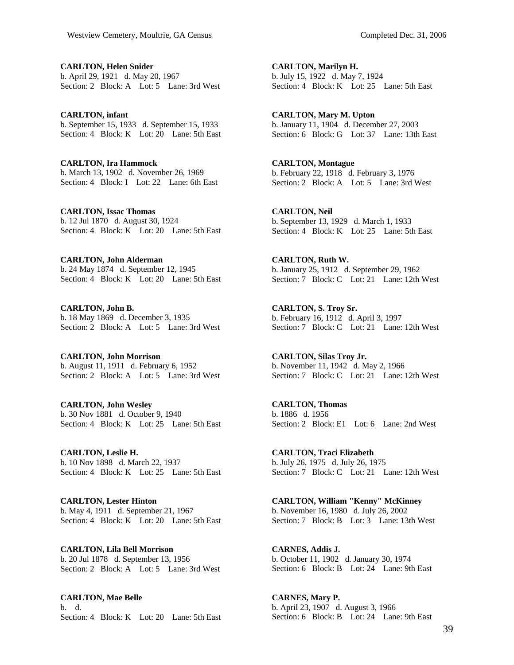**CARLTON, Helen Snider**  b. April 29, 1921 d. May 20, 1967 Section: 2 Block: A Lot: 5 Lane: 3rd West

**CARLTON, infant**  b. September 15, 1933 d. September 15, 1933 Section: 4 Block: K Lot: 20 Lane: 5th East

**CARLTON, Ira Hammock**  b. March 13, 1902 d. November 26, 1969 Section: 4 Block: I Lot: 22 Lane: 6th East

**CARLTON, Issac Thomas**  b. 12 Jul 1870 d. August 30, 1924 Section: 4 Block: K Lot: 20 Lane: 5th East

**CARLTON, John Alderman**  b. 24 May 1874 d. September 12, 1945 Section: 4 Block: K Lot: 20 Lane: 5th East

**CARLTON, John B.**  b. 18 May 1869 d. December 3, 1935 Section: 2 Block: A Lot: 5 Lane: 3rd West

**CARLTON, John Morrison**  b. August 11, 1911 d. February 6, 1952 Section: 2 Block: A Lot: 5 Lane: 3rd West

**CARLTON, John Wesley**  b. 30 Nov 1881 d. October 9, 1940 Section: 4 Block: K Lot: 25 Lane: 5th East

**CARLTON, Leslie H.**  b. 10 Nov 1898 d. March 22, 1937 Section: 4 Block: K Lot: 25 Lane: 5th East

**CARLTON, Lester Hinton**  b. May 4, 1911 d. September 21, 1967 Section: 4 Block: K Lot: 20 Lane: 5th East

**CARLTON, Lila Bell Morrison**  b. 20 Jul 1878 d. September 13, 1956 Section: 2 Block: A Lot: 5 Lane: 3rd West

**CARLTON, Mae Belle**  b. d. Section: 4 Block: K Lot: 20 Lane: 5th East

**CARLTON, Marilyn H.**  b. July 15, 1922 d. May 7, 1924 Section: 4 Block: K Lot: 25 Lane: 5th East

**CARLTON, Mary M. Upton**  b. January 11, 1904 d. December 27, 2003 Section: 6 Block: G Lot: 37 Lane: 13th East

**CARLTON, Montague**  b. February 22, 1918 d. February 3, 1976 Section: 2 Block: A Lot: 5 Lane: 3rd West

**CARLTON, Neil**  b. September 13, 1929 d. March 1, 1933 Section: 4 Block: K Lot: 25 Lane: 5th East

**CARLTON, Ruth W.**  b. January 25, 1912 d. September 29, 1962 Section: 7 Block: C Lot: 21 Lane: 12th West

**CARLTON, S. Troy Sr.**  b. February 16, 1912 d. April 3, 1997 Section: 7 Block: C Lot: 21 Lane: 12th West

**CARLTON, Silas Troy Jr.**  b. November 11, 1942 d. May 2, 1966 Section: 7 Block: C Lot: 21 Lane: 12th West

**CARLTON, Thomas**  b. 1886 d. 1956 Section: 2 Block: E1 Lot: 6 Lane: 2nd West

**CARLTON, Traci Elizabeth**  b. July 26, 1975 d. July 26, 1975 Section: 7 Block: C Lot: 21 Lane: 12th West

**CARLTON, William "Kenny" McKinney**  b. November 16, 1980 d. July 26, 2002 Section: 7 Block: B Lot: 3 Lane: 13th West

**CARNES, Addis J.**  b. October 11, 1902 d. January 30, 1974 Section: 6 Block: B Lot: 24 Lane: 9th East

**CARNES, Mary P.**  b. April 23, 1907 d. August 3, 1966 Section: 6 Block: B Lot: 24 Lane: 9th East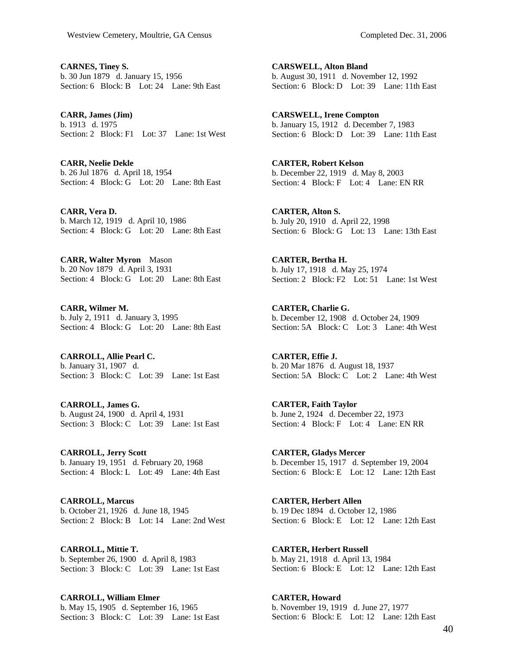**CARNES, Tiney S.**  b. 30 Jun 1879 d. January 15, 1956 Section: 6 Block: B Lot: 24 Lane: 9th East

**CARR, James (Jim)**  b. 1913 d. 1975 Section: 2 Block: F1 Lot: 37 Lane: 1st West

**CARR, Neelie Dekle**  b. 26 Jul 1876 d. April 18, 1954 Section: 4 Block: G Lot: 20 Lane: 8th East

**CARR, Vera D.**  b. March 12, 1919 d. April 10, 1986 Section: 4 Block: G Lot: 20 Lane: 8th East

**CARR, Walter Myron** Mason b. 20 Nov 1879 d. April 3, 1931 Section: 4 Block: G Lot: 20 Lane: 8th East

**CARR, Wilmer M.**  b. July 2, 1911 d. January 3, 1995 Section: 4 Block: G Lot: 20 Lane: 8th East

**CARROLL, Allie Pearl C.**  b. January 31, 1907 d. Section: 3 Block: C Lot: 39 Lane: 1st East

**CARROLL, James G.**  b. August 24, 1900 d. April 4, 1931 Section: 3 Block: C Lot: 39 Lane: 1st East

**CARROLL, Jerry Scott**  b. January 19, 1951 d. February 20, 1968 Section: 4 Block: L Lot: 49 Lane: 4th East

**CARROLL, Marcus**  b. October 21, 1926 d. June 18, 1945 Section: 2 Block: B Lot: 14 Lane: 2nd West

**CARROLL, Mittie T.**  b. September 26, 1900 d. April 8, 1983 Section: 3 Block: C Lot: 39 Lane: 1st East

**CARROLL, William Elmer**  b. May 15, 1905 d. September 16, 1965 Section: 3 Block: C Lot: 39 Lane: 1st East

**CARSWELL, Alton Bland**  b. August 30, 1911 d. November 12, 1992 Section: 6 Block: D Lot: 39 Lane: 11th East

**CARSWELL, Irene Compton**  b. January 15, 1912 d. December 7, 1983 Section: 6 Block: D Lot: 39 Lane: 11th East

**CARTER, Robert Kelson**  b. December 22, 1919 d. May 8, 2003 Section: 4 Block: F Lot: 4 Lane: EN RR

**CARTER, Alton S.**  b. July 20, 1910 d. April 22, 1998 Section: 6 Block: G Lot: 13 Lane: 13th East

**CARTER, Bertha H.**  b. July 17, 1918 d. May 25, 1974 Section: 2 Block: F2 Lot: 51 Lane: 1st West

**CARTER, Charlie G.**  b. December 12, 1908 d. October 24, 1909 Section: 5A Block: C Lot: 3 Lane: 4th West

**CARTER, Effie J.**  b. 20 Mar 1876 d. August 18, 1937 Section: 5A Block: C Lot: 2 Lane: 4th West

**CARTER, Faith Taylor**  b. June 2, 1924 d. December 22, 1973 Section: 4 Block: F Lot: 4 Lane: EN RR

**CARTER, Gladys Mercer**  b. December 15, 1917 d. September 19, 2004 Section: 6 Block: E Lot: 12 Lane: 12th East

**CARTER, Herbert Allen**  b. 19 Dec 1894 d. October 12, 1986 Section: 6 Block: E Lot: 12 Lane: 12th East

**CARTER, Herbert Russell**  b. May 21, 1918 d. April 13, 1984 Section: 6 Block: E Lot: 12 Lane: 12th East

**CARTER, Howard**  b. November 19, 1919 d. June 27, 1977 Section: 6 Block: E Lot: 12 Lane: 12th East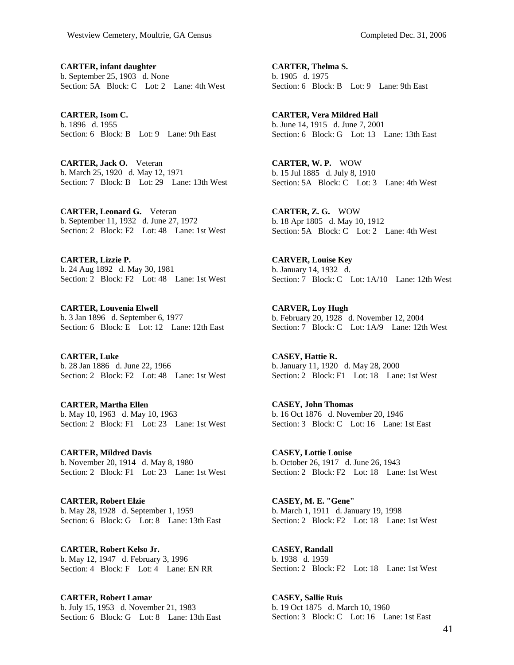**CARTER, infant daughter**  b. September 25, 1903 d. None Section: 5A Block: C Lot: 2 Lane: 4th West

**CARTER, Isom C.**  b. 1896 d. 1955 Section: 6 Block: B Lot: 9 Lane: 9th East

**CARTER, Jack O.** Veteran b. March 25, 1920 d. May 12, 1971 Section: 7 Block: B Lot: 29 Lane: 13th West

**CARTER, Leonard G.** Veteran b. September 11, 1932 d. June 27, 1972 Section: 2 Block: F2 Lot: 48 Lane: 1st West

**CARTER, Lizzie P.**  b. 24 Aug 1892 d. May 30, 1981 Section: 2 Block: F2 Lot: 48 Lane: 1st West

**CARTER, Louvenia Elwell**  b. 3 Jan 1896 d. September 6, 1977 Section: 6 Block: E Lot: 12 Lane: 12th East

**CARTER, Luke**  b. 28 Jan 1886 d. June 22, 1966 Section: 2 Block: F2 Lot: 48 Lane: 1st West

**CARTER, Martha Ellen**  b. May 10, 1963 d. May 10, 1963 Section: 2 Block: F1 Lot: 23 Lane: 1st West

**CARTER, Mildred Davis**  b. November 20, 1914 d. May 8, 1980 Section: 2 Block: F1 Lot: 23 Lane: 1st West

**CARTER, Robert Elzie**  b. May 28, 1928 d. September 1, 1959 Section: 6 Block: G Lot: 8 Lane: 13th East

**CARTER, Robert Kelso Jr.**  b. May 12, 1947 d. February 3, 1996 Section: 4 Block: F Lot: 4 Lane: EN RR

**CARTER, Robert Lamar**  b. July 15, 1953 d. November 21, 1983 Section: 6 Block: G Lot: 8 Lane: 13th East

**CARTER, Thelma S.**  b. 1905 d. 1975 Section: 6 Block: B Lot: 9 Lane: 9th East

**CARTER, Vera Mildred Hall**  b. June 14, 1915 d. June 7, 2001 Section: 6 Block: G Lot: 13 Lane: 13th East

**CARTER, W. P.** WOW b. 15 Jul 1885 d. July 8, 1910 Section: 5A Block: C Lot: 3 Lane: 4th West

**CARTER, Z. G.** WOW b. 18 Apr 1805 d. May 10, 1912 Section: 5A Block: C Lot: 2 Lane: 4th West

**CARVER, Louise Key**  b. January 14, 1932 d. Section: 7 Block: C Lot: 1A/10 Lane: 12th West

**CARVER, Loy Hugh**  b. February 20, 1928 d. November 12, 2004 Section: 7 Block: C Lot: 1A/9 Lane: 12th West

**CASEY, Hattie R.**  b. January 11, 1920 d. May 28, 2000 Section: 2 Block: F1 Lot: 18 Lane: 1st West

**CASEY, John Thomas**  b. 16 Oct 1876 d. November 20, 1946 Section: 3 Block: C Lot: 16 Lane: 1st East

**CASEY, Lottie Louise**  b. October 26, 1917 d. June 26, 1943 Section: 2 Block: F2 Lot: 18 Lane: 1st West

**CASEY, M. E. "Gene"**  b. March 1, 1911 d. January 19, 1998 Section: 2 Block: F2 Lot: 18 Lane: 1st West

**CASEY, Randall**  b. 1938 d. 1959 Section: 2 Block: F2 Lot: 18 Lane: 1st West

**CASEY, Sallie Ruis**  b. 19 Oct 1875 d. March 10, 1960 Section: 3 Block: C Lot: 16 Lane: 1st East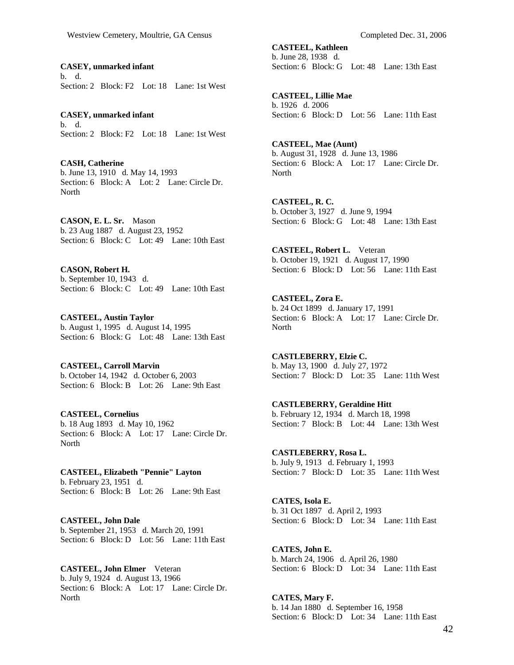**CASEY, unmarked infant**  b. d. Section: 2 Block: F2 Lot: 18 Lane: 1st West

**CASEY, unmarked infant**  b. d. Section: 2 Block: F2 Lot: 18 Lane: 1st West

**CASH, Catherine**  b. June 13, 1910 d. May 14, 1993 Section: 6 Block: A Lot: 2 Lane: Circle Dr. North

**CASON, E. L. Sr.** Mason b. 23 Aug 1887 d. August 23, 1952 Section: 6 Block: C Lot: 49 Lane: 10th East

**CASON, Robert H.**  b. September 10, 1943 d. Section: 6 Block: C Lot: 49 Lane: 10th East

**CASTEEL, Austin Taylor**  b. August 1, 1995 d. August 14, 1995 Section: 6 Block: G Lot: 48 Lane: 13th East

**CASTEEL, Carroll Marvin**  b. October 14, 1942 d. October 6, 2003 Section: 6 Block: B Lot: 26 Lane: 9th East

**CASTEEL, Cornelius**  b. 18 Aug 1893 d. May 10, 1962 Section: 6 Block: A Lot: 17 Lane: Circle Dr. North

**CASTEEL, Elizabeth "Pennie" Layton**  b. February 23, 1951 d. Section: 6 Block: B Lot: 26 Lane: 9th East

**CASTEEL, John Dale**  b. September 21, 1953 d. March 20, 1991 Section: 6 Block: D Lot: 56 Lane: 11th East

**CASTEEL, John Elmer** Veteran b. July 9, 1924 d. August 13, 1966 Section: 6 Block: A Lot: 17 Lane: Circle Dr. **North** 

**CASTEEL, Kathleen**  b. June 28, 1938 d. Section: 6 Block: G Lot: 48 Lane: 13th East

**CASTEEL, Lillie Mae**  b. 1926 d. 2006 Section: 6 Block: D Lot: 56 Lane: 11th East

**CASTEEL, Mae (Aunt)**  b. August 31, 1928 d. June 13, 1986 Section: 6 Block: A Lot: 17 Lane: Circle Dr. **North** 

**CASTEEL, R. C.**  b. October 3, 1927 d. June 9, 1994 Section: 6 Block: G Lot: 48 Lane: 13th East

**CASTEEL, Robert L.** Veteran b. October 19, 1921 d. August 17, 1990 Section: 6 Block: D Lot: 56 Lane: 11th East

**CASTEEL, Zora E.**  b. 24 Oct 1899 d. January 17, 1991 Section: 6 Block: A Lot: 17 Lane: Circle Dr. North

**CASTLEBERRY, Elzie C.**  b. May 13, 1900 d. July 27, 1972 Section: 7 Block: D Lot: 35 Lane: 11th West

**CASTLEBERRY, Geraldine Hitt**  b. February 12, 1934 d. March 18, 1998 Section: 7 Block: B Lot: 44 Lane: 13th West

**CASTLEBERRY, Rosa L.**  b. July 9, 1913 d. February 1, 1993 Section: 7 Block: D Lot: 35 Lane: 11th West

**CATES, Isola E.**  b. 31 Oct 1897 d. April 2, 1993 Section: 6 Block: D Lot: 34 Lane: 11th East

**CATES, John E.**  b. March 24, 1906 d. April 26, 1980 Section: 6 Block: D Lot: 34 Lane: 11th East

**CATES, Mary F.**  b. 14 Jan 1880 d. September 16, 1958 Section: 6 Block: D Lot: 34 Lane: 11th East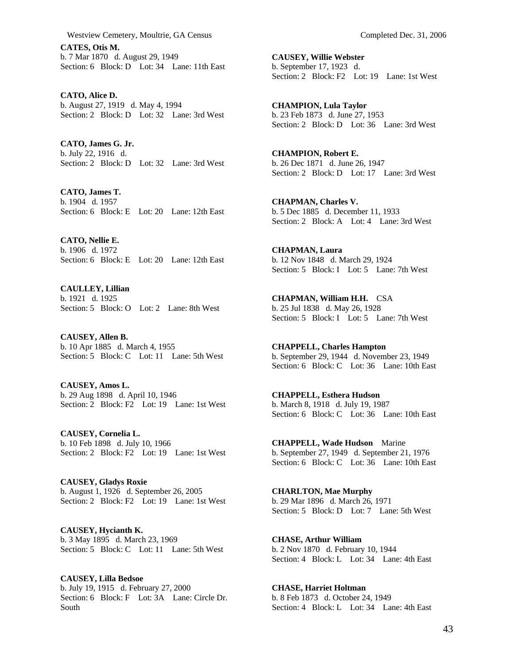**CATES, Otis M.**  b. 7 Mar 1870 d. August 29, 1949 Section: 6 Block: D Lot: 34 Lane: 11th East

**CATO, Alice D.**  b. August 27, 1919 d. May 4, 1994 Section: 2 Block: D Lot: 32 Lane: 3rd West

**CATO, James G. Jr.**  b. July 22, 1916 d. Section: 2 Block: D Lot: 32 Lane: 3rd West

**CATO, James T.**  b. 1904 d. 1957 Section: 6 Block: E Lot: 20 Lane: 12th East

**CATO, Nellie E.**  b. 1906 d. 1972 Section: 6 Block: E Lot: 20 Lane: 12th East

**CAULLEY, Lillian**  b. 1921 d. 1925 Section: 5 Block: O Lot: 2 Lane: 8th West

**CAUSEY, Allen B.**  b. 10 Apr 1885 d. March 4, 1955 Section: 5 Block: C Lot: 11 Lane: 5th West

**CAUSEY, Amos L.**  b. 29 Aug 1898 d. April 10, 1946 Section: 2 Block: F2 Lot: 19 Lane: 1st West

**CAUSEY, Cornelia L.**  b. 10 Feb 1898 d. July 10, 1966 Section: 2 Block: F2 Lot: 19 Lane: 1st West

**CAUSEY, Gladys Roxie**  b. August 1, 1926 d. September 26, 2005 Section: 2 Block: F2 Lot: 19 Lane: 1st West

**CAUSEY, Hycianth K.**  b. 3 May 1895 d. March 23, 1969 Section: 5 Block: C Lot: 11 Lane: 5th West

**CAUSEY, Lilla Bedsoe**  b. July 19, 1915 d. February 27, 2000 Section: 6 Block: F Lot: 3A Lane: Circle Dr. South

**CAUSEY, Willie Webster**  b. September 17, 1923 d. Section: 2 Block: F2 Lot: 19 Lane: 1st West

**CHAMPION, Lula Taylor**  b. 23 Feb 1873 d. June 27, 1953 Section: 2 Block: D Lot: 36 Lane: 3rd West

**CHAMPION, Robert E.**  b. 26 Dec 1871 d. June 26, 1947 Section: 2 Block: D Lot: 17 Lane: 3rd West

**CHAPMAN, Charles V.**  b. 5 Dec 1885 d. December 11, 1933 Section: 2 Block: A Lot: 4 Lane: 3rd West

**CHAPMAN, Laura**  b. 12 Nov 1848 d. March 29, 1924 Section: 5 Block: I Lot: 5 Lane: 7th West

**CHAPMAN, William H.H.** CSA b. 25 Jul 1838 d. May 26, 1928 Section: 5 Block: I Lot: 5 Lane: 7th West

**CHAPPELL, Charles Hampton**  b. September 29, 1944 d. November 23, 1949 Section: 6 Block: C Lot: 36 Lane: 10th East

**CHAPPELL, Esthera Hudson**  b. March 8, 1918 d. July 19, 1987 Section: 6 Block: C Lot: 36 Lane: 10th East

**CHAPPELL, Wade Hudson** Marine b. September 27, 1949 d. September 21, 1976 Section: 6 Block: C Lot: 36 Lane: 10th East

**CHARLTON, Mae Murphy**  b. 29 Mar 1896 d. March 26, 1971 Section: 5 Block: D Lot: 7 Lane: 5th West

**CHASE, Arthur William**  b. 2 Nov 1870 d. February 10, 1944 Section: 4 Block: L Lot: 34 Lane: 4th East

**CHASE, Harriet Holtman**  b. 8 Feb 1873 d. October 24, 1949 Section: 4 Block: L Lot: 34 Lane: 4th East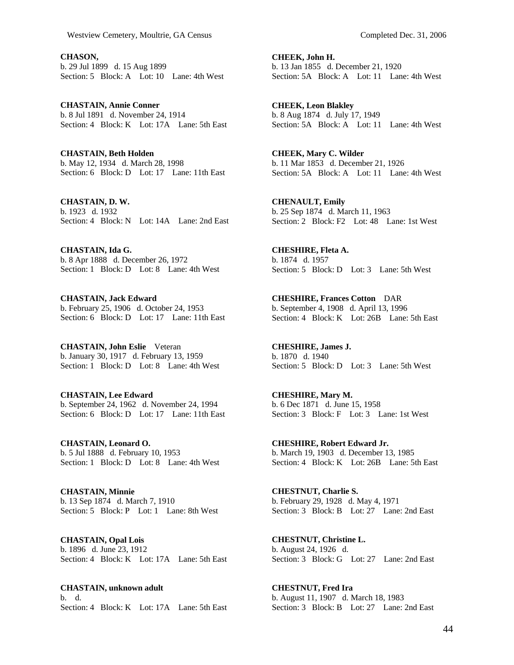**CHASON,**  b. 29 Jul 1899 d. 15 Aug 1899 Section: 5 Block: A Lot: 10 Lane: 4th West

**CHASTAIN, Annie Conner**  b. 8 Jul 1891 d. November 24, 1914 Section: 4 Block: K Lot: 17A Lane: 5th East

**CHASTAIN, Beth Holden**  b. May 12, 1934 d. March 28, 1998 Section: 6 Block: D Lot: 17 Lane: 11th East

**CHASTAIN, D. W.**  b. 1923 d. 1932 Section: 4 Block: N Lot: 14A Lane: 2nd East

**CHASTAIN, Ida G.**  b. 8 Apr 1888 d. December 26, 1972 Section: 1 Block: D Lot: 8 Lane: 4th West

**CHASTAIN, Jack Edward**  b. February 25, 1906 d. October 24, 1953 Section: 6 Block: D Lot: 17 Lane: 11th East

**CHASTAIN, John Eslie** Veteran b. January 30, 1917 d. February 13, 1959 Section: 1 Block: D Lot: 8 Lane: 4th West

**CHASTAIN, Lee Edward**  b. September 24, 1962 d. November 24, 1994 Section: 6 Block: D Lot: 17 Lane: 11th East

**CHASTAIN, Leonard O.**  b. 5 Jul 1888 d. February 10, 1953 Section: 1 Block: D Lot: 8 Lane: 4th West

**CHASTAIN, Minnie**  b. 13 Sep 1874 d. March 7, 1910 Section: 5 Block: P Lot: 1 Lane: 8th West

**CHASTAIN, Opal Lois**  b. 1896 d. June 23, 1912 Section: 4 Block: K Lot: 17A Lane: 5th East

**CHASTAIN, unknown adult**  b. d. Section: 4 Block: K Lot: 17A Lane: 5th East

**CHEEK, John H.**  b. 13 Jan 1855 d. December 21, 1920 Section: 5A Block: A Lot: 11 Lane: 4th West

**CHEEK, Leon Blakley**  b. 8 Aug 1874 d. July 17, 1949 Section: 5A Block: A Lot: 11 Lane: 4th West

**CHEEK, Mary C. Wilder**  b. 11 Mar 1853 d. December 21, 1926 Section: 5A Block: A Lot: 11 Lane: 4th West

**CHENAULT, Emily**  b. 25 Sep 1874 d. March 11, 1963 Section: 2 Block: F2 Lot: 48 Lane: 1st West

**CHESHIRE, Fleta A.**  b. 1874 d. 1957 Section: 5 Block: D Lot: 3 Lane: 5th West

**CHESHIRE, Frances Cotton** DAR b. September 4, 1908 d. April 13, 1996 Section: 4 Block: K Lot: 26B Lane: 5th East

**CHESHIRE, James J.**  b. 1870 d. 1940 Section: 5 Block: D Lot: 3 Lane: 5th West

**CHESHIRE, Mary M.**  b. 6 Dec 1871 d. June 15, 1958 Section: 3 Block: F Lot: 3 Lane: 1st West

**CHESHIRE, Robert Edward Jr.**  b. March 19, 1903 d. December 13, 1985 Section: 4 Block: K Lot: 26B Lane: 5th East

**CHESTNUT, Charlie S.**  b. February 29, 1928 d. May 4, 1971 Section: 3 Block: B Lot: 27 Lane: 2nd East

**CHESTNUT, Christine L.**  b. August 24, 1926 d. Section: 3 Block: G Lot: 27 Lane: 2nd East

**CHESTNUT, Fred Ira**  b. August 11, 1907 d. March 18, 1983 Section: 3 Block: B Lot: 27 Lane: 2nd East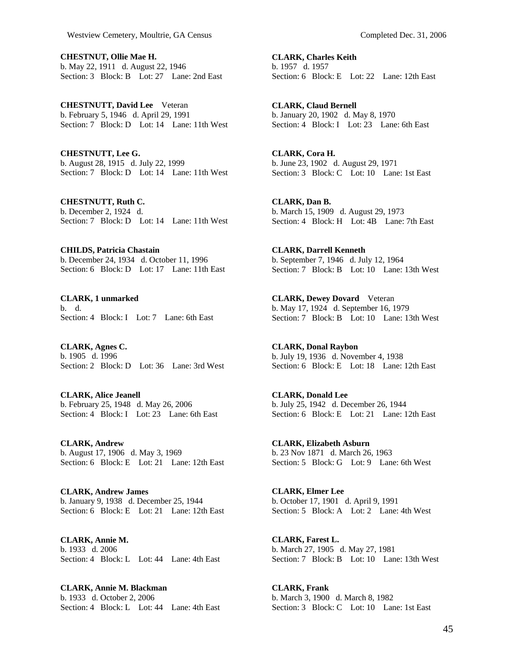**CHESTNUT, Ollie Mae H.**  b. May 22, 1911 d. August 22, 1946 Section: 3 Block: B Lot: 27 Lane: 2nd East

**CHESTNUTT, David Lee** Veteran b. February 5, 1946 d. April 29, 1991 Section: 7 Block: D Lot: 14 Lane: 11th West

**CHESTNUTT, Lee G.**  b. August 28, 1915 d. July 22, 1999 Section: 7 Block: D Lot: 14 Lane: 11th West

**CHESTNUTT, Ruth C.**  b. December 2, 1924 d. Section: 7 Block: D Lot: 14 Lane: 11th West

**CHILDS, Patricia Chastain**  b. December 24, 1934 d. October 11, 1996 Section: 6 Block: D Lot: 17 Lane: 11th East

**CLARK, 1 unmarked**  b. d. Section: 4 Block: I Lot: 7 Lane: 6th East

**CLARK, Agnes C.**  b. 1905 d. 1996 Section: 2 Block: D Lot: 36 Lane: 3rd West

**CLARK, Alice Jeanell**  b. February 25, 1948 d. May 26, 2006 Section: 4 Block: I Lot: 23 Lane: 6th East

**CLARK, Andrew**  b. August 17, 1906 d. May 3, 1969 Section: 6 Block: E Lot: 21 Lane: 12th East

**CLARK, Andrew James**  b. January 9, 1938 d. December 25, 1944 Section: 6 Block: E Lot: 21 Lane: 12th East

**CLARK, Annie M.**  b. 1933 d. 2006 Section: 4 Block: L Lot: 44 Lane: 4th East

**CLARK, Annie M. Blackman**  b. 1933 d. October 2, 2006 Section: 4 Block: L Lot: 44 Lane: 4th East **CLARK, Charles Keith**  b. 1957 d. 1957 Section: 6 Block: E Lot: 22 Lane: 12th East

**CLARK, Claud Bernell**  b. January 20, 1902 d. May 8, 1970 Section: 4 Block: I Lot: 23 Lane: 6th East

**CLARK, Cora H.**  b. June 23, 1902 d. August 29, 1971 Section: 3 Block: C Lot: 10 Lane: 1st East

**CLARK, Dan B.**  b. March 15, 1909 d. August 29, 1973 Section: 4 Block: H Lot: 4B Lane: 7th East

**CLARK, Darrell Kenneth**  b. September 7, 1946 d. July 12, 1964 Section: 7 Block: B Lot: 10 Lane: 13th West

**CLARK, Dewey Dovard** Veteran b. May 17, 1924 d. September 16, 1979 Section: 7 Block: B Lot: 10 Lane: 13th West

**CLARK, Donal Raybon**  b. July 19, 1936 d. November 4, 1938 Section: 6 Block: E Lot: 18 Lane: 12th East

**CLARK, Donald Lee**  b. July 25, 1942 d. December 26, 1944 Section: 6 Block: E Lot: 21 Lane: 12th East

**CLARK, Elizabeth Asburn**  b. 23 Nov 1871 d. March 26, 1963 Section: 5 Block: G Lot: 9 Lane: 6th West

**CLARK, Elmer Lee**  b. October 17, 1901 d. April 9, 1991 Section: 5 Block: A Lot: 2 Lane: 4th West

**CLARK, Farest L.**  b. March 27, 1905 d. May 27, 1981 Section: 7 Block: B Lot: 10 Lane: 13th West

**CLARK, Frank**  b. March 3, 1900 d. March 8, 1982 Section: 3 Block: C Lot: 10 Lane: 1st East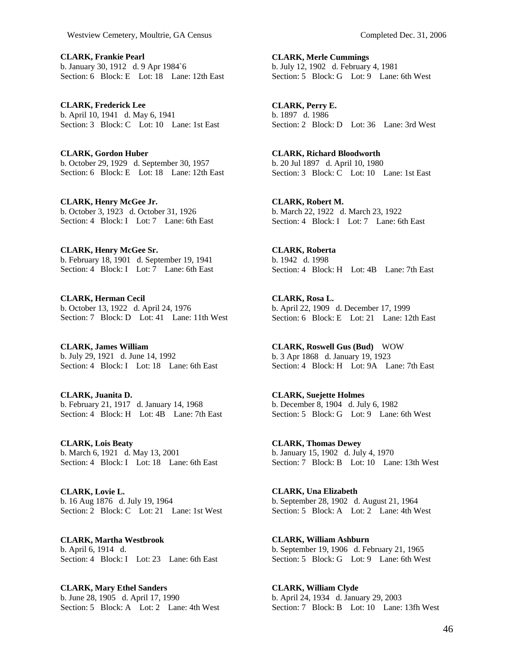**CLARK, Frankie Pearl**  b. January 30, 1912 d. 9 Apr 1984`6 Section: 6 Block: E Lot: 18 Lane: 12th East

**CLARK, Frederick Lee**  b. April 10, 1941 d. May 6, 1941 Section: 3 Block: C Lot: 10 Lane: 1st East

**CLARK, Gordon Huber**  b. October 29, 1929 d. September 30, 1957 Section: 6 Block: E Lot: 18 Lane: 12th East

**CLARK, Henry McGee Jr.**  b. October 3, 1923 d. October 31, 1926 Section: 4 Block: I Lot: 7 Lane: 6th East

**CLARK, Henry McGee Sr.**  b. February 18, 1901 d. September 19, 1941 Section:  $4$  Block: I Lot:  $7$  Lane: 6th East

**CLARK, Herman Cecil**  b. October 13, 1922 d. April 24, 1976 Section: 7 Block: D Lot: 41 Lane: 11th West

**CLARK, James William**  b. July 29, 1921 d. June 14, 1992 Section: 4 Block: I Lot: 18 Lane: 6th East

**CLARK, Juanita D.**  b. February 21, 1917 d. January 14, 1968 Section: 4 Block: H Lot: 4B Lane: 7th East

**CLARK, Lois Beaty**  b. March 6, 1921 d. May 13, 2001 Section: 4 Block: I Lot: 18 Lane: 6th East

**CLARK, Lovie L.**  b. 16 Aug 1876 d. July 19, 1964 Section: 2 Block: C Lot: 21 Lane: 1st West

**CLARK, Martha Westbrook**  b. April 6, 1914 d. Section: 4 Block: I Lot: 23 Lane: 6th East

**CLARK, Mary Ethel Sanders**  b. June 28, 1905 d. April 17, 1990 Section: 5 Block: A Lot: 2 Lane: 4th West

**CLARK, Merle Cummings**  b. July 12, 1902 d. February 4, 1981 Section: 5 Block: G Lot: 9 Lane: 6th West

**CLARK, Perry E.**  b. 1897 d. 1986 Section: 2 Block: D Lot: 36 Lane: 3rd West

**CLARK, Richard Bloodworth**  b. 20 Jul 1897 d. April 10, 1980 Section: 3 Block: C Lot: 10 Lane: 1st East

**CLARK, Robert M.**  b. March 22, 1922 d. March 23, 1922 Section: 4 Block: I Lot: 7 Lane: 6th East

**CLARK, Roberta**  b. 1942 d. 1998 Section: 4 Block: H Lot: 4B Lane: 7th East

**CLARK, Rosa L.**  b. April 22, 1909 d. December 17, 1999 Section: 6 Block: E Lot: 21 Lane: 12th East

**CLARK, Roswell Gus (Bud)** WOW b. 3 Apr 1868 d. January 19, 1923 Section: 4 Block: H Lot: 9A Lane: 7th East

**CLARK, Suejette Holmes**  b. December 8, 1904 d. July 6, 1982 Section: 5 Block: G Lot: 9 Lane: 6th West

**CLARK, Thomas Dewey**  b. January 15, 1902 d. July 4, 1970 Section: 7 Block: B Lot: 10 Lane: 13th West

**CLARK, Una Elizabeth**  b. September 28, 1902 d. August 21, 1964 Section: 5 Block: A Lot: 2 Lane: 4th West

**CLARK, William Ashburn**  b. September 19, 1906 d. February 21, 1965 Section: 5 Block: G Lot: 9 Lane: 6th West

**CLARK, William Clyde**  b. April 24, 1934 d. January 29, 2003 Section: 7 Block: B Lot: 10 Lane: 13fh West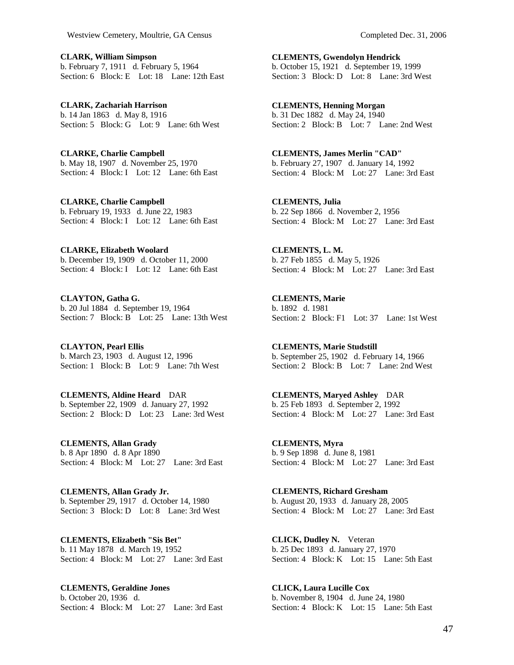**CLARK, William Simpson**  b. February 7, 1911 d. February 5, 1964 Section: 6 Block: E Lot: 18 Lane: 12th East

**CLARK, Zachariah Harrison**  b. 14 Jan 1863 d. May 8, 1916 Section: 5 Block: G Lot: 9 Lane: 6th West

**CLARKE, Charlie Campbell**  b. May 18, 1907 d. November 25, 1970 Section: 4 Block: I Lot: 12 Lane: 6th East

**CLARKE, Charlie Campbell**  b. February 19, 1933 d. June 22, 1983 Section: 4 Block: I Lot: 12 Lane: 6th East

**CLARKE, Elizabeth Woolard**  b. December 19, 1909 d. October 11, 2000 Section: 4 Block: I Lot: 12 Lane: 6th East

**CLAYTON, Gatha G.**  b. 20 Jul 1884 d. September 19, 1964 Section: 7 Block: B Lot: 25 Lane: 13th West

**CLAYTON, Pearl Ellis**  b. March 23, 1903 d. August 12, 1996 Section: 1 Block: B Lot: 9 Lane: 7th West

**CLEMENTS, Aldine Heard** DAR b. September 22, 1909 d. January 27, 1992 Section: 2 Block: D Lot: 23 Lane: 3rd West

**CLEMENTS, Allan Grady**  b. 8 Apr 1890 d. 8 Apr 1890 Section: 4 Block: M Lot: 27 Lane: 3rd East

**CLEMENTS, Allan Grady Jr.**  b. September 29, 1917 d. October 14, 1980 Section: 3 Block: D Lot: 8 Lane: 3rd West

**CLEMENTS, Elizabeth "Sis Bet"**  b. 11 May 1878 d. March 19, 1952 Section: 4 Block: M Lot: 27 Lane: 3rd East

**CLEMENTS, Geraldine Jones**  b. October 20, 1936 d. Section: 4 Block: M Lot: 27 Lane: 3rd East

**CLEMENTS, Gwendolyn Hendrick**  b. October 15, 1921 d. September 19, 1999 Section: 3 Block: D Lot: 8 Lane: 3rd West

**CLEMENTS, Henning Morgan**  b. 31 Dec 1882 d. May 24, 1940 Section: 2 Block: B Lot: 7 Lane: 2nd West

**CLEMENTS, James Merlin "CAD"**  b. February 27, 1907 d. January 14, 1992 Section:  $\overrightarrow{4}$  Block: M Lot: 27 Lane: 3rd East

**CLEMENTS, Julia**  b. 22 Sep 1866 d. November 2, 1956 Section: 4 Block: M Lot: 27 Lane: 3rd East

**CLEMENTS, L. M.**  b. 27 Feb 1855 d. May 5, 1926 Section: 4 Block: M Lot: 27 Lane: 3rd East

**CLEMENTS, Marie**  b. 1892 d. 1981 Section: 2 Block: F1 Lot: 37 Lane: 1st West

**CLEMENTS, Marie Studstill**  b. September 25, 1902 d. February 14, 1966 Section: 2 Block: B Lot: 7 Lane: 2nd West

**CLEMENTS, Maryed Ashley** DAR b. 25 Feb 1893 d. September 2, 1992 Section: 4 Block: M Lot: 27 Lane: 3rd East

**CLEMENTS, Myra**  b. 9 Sep 1898 d. June 8, 1981 Section: 4 Block: M Lot: 27 Lane: 3rd East

**CLEMENTS, Richard Gresham**  b. August 20, 1933 d. January 28, 2005 Section: 4 Block: M Lot: 27 Lane: 3rd East

**CLICK, Dudley N.** Veteran b. 25 Dec 1893 d. January 27, 1970 Section: 4 Block: K Lot: 15 Lane: 5th East

**CLICK, Laura Lucille Cox**  b. November 8, 1904 d. June 24, 1980 Section: 4 Block: K Lot: 15 Lane: 5th East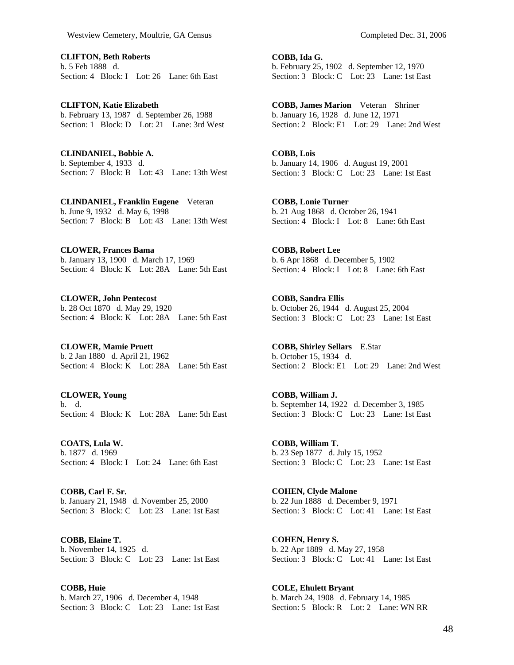**CLIFTON, Beth Roberts**  b. 5 Feb 1888 d. Section: 4 Block: I Lot: 26 Lane: 6th East

**CLIFTON, Katie Elizabeth**  b. February 13, 1987 d. September 26, 1988 Section: 1 Block: D Lot: 21 Lane: 3rd West

**CLINDANIEL, Bobbie A.**  b. September 4, 1933 d. Section: 7 Block: B Lot: 43 Lane: 13th West

**CLINDANIEL, Franklin Eugene** Veteran b. June 9, 1932 d. May 6, 1998 Section: 7 Block: B Lot: 43 Lane: 13th West

**CLOWER, Frances Bama**  b. January 13, 1900 d. March 17, 1969 Section: 4 Block: K Lot: 28A Lane: 5th East

**CLOWER, John Pentecost**  b. 28 Oct 1870 d. May 29, 1920 Section: 4 Block: K Lot: 28A Lane: 5th East

**CLOWER, Mamie Pruett**  b. 2 Jan 1880 d. April 21, 1962 Section: 4 Block: K Lot: 28A Lane: 5th East

**CLOWER, Young**  b. d. Section: 4 Block: K Lot: 28A Lane: 5th East

**COATS, Lula W.**  b. 1877 d. 1969 Section: 4 Block: I Lot: 24 Lane: 6th East

**COBB, Carl F. Sr.**  b. January 21, 1948 d. November 25, 2000 Section: 3 Block: C Lot: 23 Lane: 1st East

**COBB, Elaine T.**  b. November 14, 1925 d. Section: 3 Block: C Lot: 23 Lane: 1st East

**COBB, Huie**  b. March 27, 1906 d. December 4, 1948 Section: 3 Block: C Lot: 23 Lane: 1st East

**COBB, Ida G.**  b. February 25, 1902 d. September 12, 1970 Section: 3 Block: C Lot: 23 Lane: 1st East

**COBB, James Marion** Veteran Shriner b. January 16, 1928 d. June 12, 1971 Section: 2 Block: E1 Lot: 29 Lane: 2nd West

**COBB, Lois**  b. January 14, 1906 d. August 19, 2001 Section: 3 Block: C Lot: 23 Lane: 1st East

**COBB, Lonie Turner**  b. 21 Aug 1868 d. October 26, 1941 Section: 4 Block: I Lot: 8 Lane: 6th East

**COBB, Robert Lee**  b. 6 Apr 1868 d. December 5, 1902 Section: 4 Block: I Lot: 8 Lane: 6th East

**COBB, Sandra Ellis**  b. October 26, 1944 d. August 25, 2004 Section: 3 Block: C Lot: 23 Lane: 1st East

**COBB, Shirley Sellars** E.Star b. October 15, 1934 d. Section: 2 Block: E1 Lot: 29 Lane: 2nd West

**COBB, William J.**  b. September 14, 1922 d. December 3, 1985 Section: 3 Block: C Lot: 23 Lane: 1st East

**COBB, William T.**  b. 23 Sep 1877 d. July 15, 1952 Section: 3 Block: C Lot: 23 Lane: 1st East

**COHEN, Clyde Malone**  b. 22 Jun 1888 d. December 9, 1971 Section: 3 Block: C Lot: 41 Lane: 1st East

**COHEN, Henry S.**  b. 22 Apr 1889 d. May 27, 1958 Section: 3 Block: C Lot: 41 Lane: 1st East

**COLE, Ehulett Bryant**  b. March 24, 1908 d. February 14, 1985 Section: 5 Block: R Lot: 2 Lane: WN RR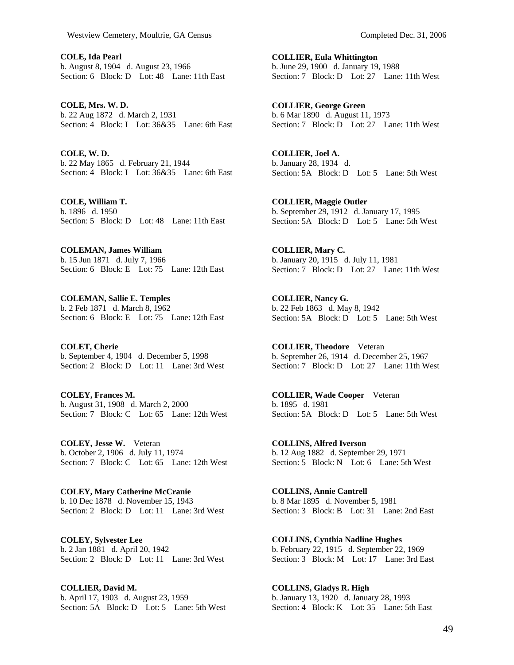**COLE, Ida Pearl**  b. August 8, 1904 d. August 23, 1966 Section: 6 Block: D Lot: 48 Lane: 11th East

**COLE, Mrs. W. D.**  b. 22 Aug 1872 d. March 2, 1931 Section: 4 Block: I Lot: 36&35 Lane: 6th East

**COLE, W. D.**  b. 22 May 1865 d. February 21, 1944 Section: 4 Block: I Lot: 36&35 Lane: 6th East

**COLE, William T.**  b. 1896 d. 1950 Section: 5 Block: D Lot: 48 Lane: 11th East

**COLEMAN, James William**  b. 15 Jun 1871 d. July 7, 1966 Section: 6 Block: E Lot: 75 Lane: 12th East

**COLEMAN, Sallie E. Temples**  b. 2 Feb 1871 d. March 8, 1962 Section: 6 Block: E Lot: 75 Lane: 12th East

**COLET, Cherie**  b. September 4, 1904 d. December 5, 1998 Section: 2 Block: D Lot: 11 Lane: 3rd West

**COLEY, Frances M.**  b. August 31, 1908 d. March 2, 2000 Section: 7 Block: C Lot: 65 Lane: 12th West

**COLEY, Jesse W.** Veteran b. October 2, 1906 d. July 11, 1974 Section: 7 Block: C Lot: 65 Lane: 12th West

**COLEY, Mary Catherine McCranie**  b. 10 Dec 1878 d. November 15, 1943 Section: 2 Block: D Lot: 11 Lane: 3rd West

**COLEY, Sylvester Lee**  b. 2 Jan 1881 d. April 20, 1942 Section: 2 Block:  $\overline{D}$  Lot: 11 Lane: 3rd West

**COLLIER, David M.**  b. April 17, 1903 d. August 23, 1959 Section: 5A Block: D Lot: 5 Lane: 5th West **COLLIER, Eula Whittington**  b. June 29, 1900 d. January 19, 1988 Section: 7 Block: D Lot: 27 Lane: 11th West

**COLLIER, George Green**  b. 6 Mar 1890 d. August 11, 1973 Section: 7 Block: D Lot: 27 Lane: 11th West

**COLLIER, Joel A.**  b. January 28, 1934 d. Section: 5A Block: D Lot: 5 Lane: 5th West

**COLLIER, Maggie Outler**  b. September 29, 1912 d. January 17, 1995 Section: 5A Block: D Lot: 5 Lane: 5th West

**COLLIER, Mary C.**  b. January 20, 1915 d. July 11, 1981 Section: 7 Block: D Lot: 27 Lane: 11th West

**COLLIER, Nancy G.**  b. 22 Feb 1863 d. May 8, 1942 Section: 5A Block: D Lot: 5 Lane: 5th West

**COLLIER, Theodore** Veteran b. September 26, 1914 d. December 25, 1967 Section: 7 Block: D Lot: 27 Lane: 11th West

**COLLIER, Wade Cooper** Veteran b. 1895 d. 1981 Section: 5A Block: D Lot: 5 Lane: 5th West

**COLLINS, Alfred Iverson**  b. 12 Aug 1882 d. September 29, 1971 Section: 5 Block: N Lot: 6 Lane: 5th West

**COLLINS, Annie Cantrell**  b. 8 Mar 1895 d. November 5, 1981 Section: 3 Block: B Lot: 31 Lane: 2nd East

**COLLINS, Cynthia Nadline Hughes**  b. February 22, 1915 d. September 22, 1969 Section: 3 Block: M Lot: 17 Lane: 3rd East

**COLLINS, Gladys R. High**  b. January 13, 1920 d. January 28, 1993 Section: 4 Block: K Lot: 35 Lane: 5th East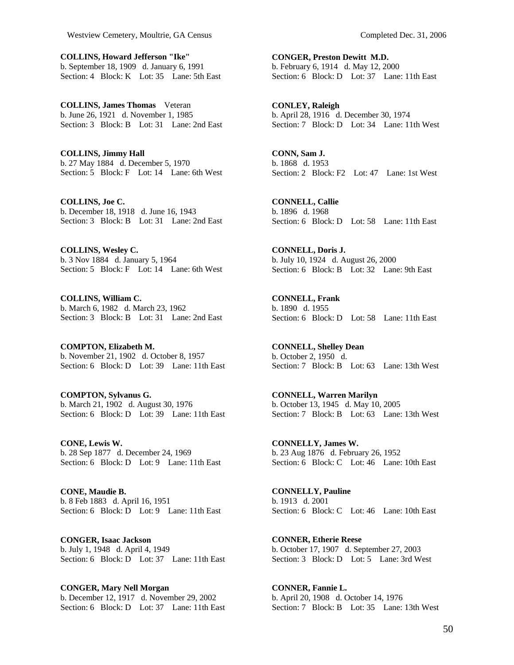**COLLINS, Howard Jefferson "Ike"**  b. September 18, 1909 d. January 6, 1991 Section: 4 Block: K Lot: 35 Lane: 5th East

**COLLINS, James Thomas** Veteran b. June 26, 1921 d. November 1, 1985 Section: 3 Block: B Lot: 31 Lane: 2nd East

**COLLINS, Jimmy Hall**  b. 27 May 1884 d. December 5, 1970 Section: 5 Block: F Lot: 14 Lane: 6th West

**COLLINS, Joe C.**  b. December 18, 1918 d. June 16, 1943 Section: 3 Block: B Lot: 31 Lane: 2nd East

**COLLINS, Wesley C.**  b. 3 Nov 1884 d. January 5, 1964 Section: 5 Block: F Lot: 14 Lane: 6th West

**COLLINS, William C.**  b. March 6, 1982 d. March 23, 1962 Section: 3 Block: B Lot: 31 Lane: 2nd East

**COMPTON, Elizabeth M.**  b. November 21, 1902 d. October 8, 1957 Section: 6 Block: D Lot: 39 Lane: 11th East

**COMPTON, Sylvanus G.**  b. March 21, 1902 d. August 30, 1976 Section: 6 Block: D Lot: 39 Lane: 11th East

**CONE, Lewis W.**  b. 28 Sep 1877 d. December 24, 1969 Section: 6 Block: D Lot: 9 Lane: 11th East

**CONE, Maudie B.**  b. 8 Feb 1883 d. April 16, 1951 Section: 6 Block: D Lot: 9 Lane: 11th East

**CONGER, Isaac Jackson**  b. July 1, 1948 d. April 4, 1949 Section: 6 Block: D Lot: 37 Lane: 11th East

**CONGER, Mary Nell Morgan**  b. December 12, 1917 d. November 29, 2002 Section: 6 Block: D Lot: 37 Lane: 11th East

**CONGER, Preston Dewitt M.D.**  b. February 6, 1914 d. May 12, 2000 Section: 6 Block: D Lot: 37 Lane: 11th East

**CONLEY, Raleigh**  b. April 28, 1916 d. December 30, 1974 Section: 7 Block: D Lot: 34 Lane: 11th West

**CONN, Sam J.**  b. 1868 d. 1953 Section: 2 Block: F2 Lot: 47 Lane: 1st West

**CONNELL, Callie**  b. 1896 d. 1968 Section: 6 Block: D Lot: 58 Lane: 11th East

**CONNELL, Doris J.**  b. July 10, 1924 d. August 26, 2000 Section: 6 Block: B Lot: 32 Lane: 9th East

**CONNELL, Frank**  b. 1890 d. 1955 Section: 6 Block: D Lot: 58 Lane: 11th East

**CONNELL, Shelley Dean**  b. October 2, 1950 d. Section: 7 Block: B Lot: 63 Lane: 13th West

**CONNELL, Warren Marilyn**  b. October 13, 1945 d. May 10, 2005 Section: 7 Block: B Lot: 63 Lane: 13th West

**CONNELLY, James W.**  b. 23 Aug 1876 d. February 26, 1952 Section: 6 Block: C Lot: 46 Lane: 10th East

**CONNELLY, Pauline**  b. 1913 d. 2001 Section: 6 Block: C Lot: 46 Lane: 10th East

**CONNER, Etherie Reese**  b. October 17, 1907 d. September 27, 2003 Section: 3 Block: D Lot: 5 Lane: 3rd West

**CONNER, Fannie L.**  b. April 20, 1908 d. October 14, 1976 Section: 7 Block: B Lot: 35 Lane: 13th West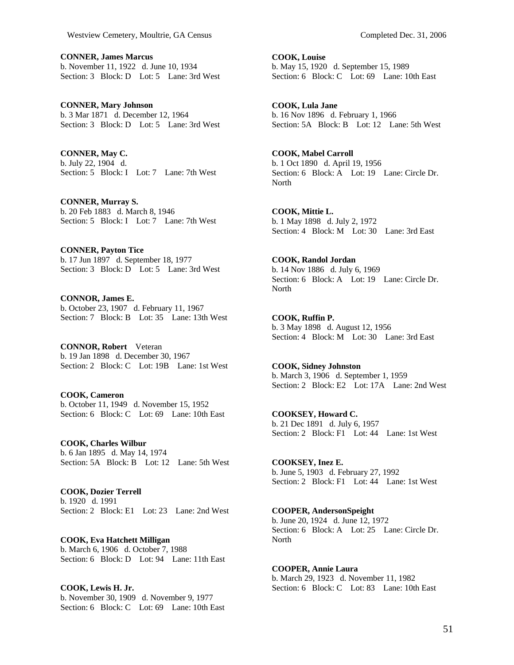**CONNER, James Marcus**  b. November 11, 1922 d. June 10, 1934 Section: 3 Block: D Lot: 5 Lane: 3rd West

**CONNER, Mary Johnson**  b. 3 Mar 1871 d. December 12, 1964 Section: 3 Block: D Lot: 5 Lane: 3rd West

**CONNER, May C.**  b. July 22, 1904 d. Section: 5 Block: I Lot: 7 Lane: 7th West

**CONNER, Murray S.**  b. 20 Feb 1883 d. March 8, 1946 Section: 5 Block: I Lot: 7 Lane: 7th West

**CONNER, Payton Tice**  b. 17 Jun 1897 d. September 18, 1977 Section: 3 Block: D Lot: 5 Lane: 3rd West

**CONNOR, James E.**  b. October 23, 1907 d. February 11, 1967 Section: 7 Block: B Lot: 35 Lane: 13th West

**CONNOR, Robert** Veteran b. 19 Jan 1898 d. December 30, 1967 Section: 2 Block: C Lot: 19B Lane: 1st West

**COOK, Cameron**  b. October 11, 1949 d. November 15, 1952 Section: 6 Block: C Lot: 69 Lane: 10th East

**COOK, Charles Wilbur**  b. 6 Jan 1895 d. May 14, 1974 Section: 5A Block: B Lot: 12 Lane: 5th West

**COOK, Dozier Terrell**  b. 1920 d. 1991 Section: 2 Block: E1 Lot: 23 Lane: 2nd West

**COOK, Eva Hatchett Milligan**  b. March 6, 1906 d. October 7, 1988 Section: 6 Block: D Lot: 94 Lane: 11th East

**COOK, Lewis H. Jr.**  b. November 30, 1909 d. November 9, 1977 Section: 6 Block: C Lot: 69 Lane: 10th East

**COOK, Lula Jane**  b. 16 Nov 1896 d. February 1, 1966 Section: 5A Block: B Lot: 12 Lane: 5th West

**COOK, Mabel Carroll**  b. 1 Oct 1890 d. April 19, 1956 Section: 6 Block: A Lot: 19 Lane: Circle Dr. North

**COOK, Mittie L.**  b. 1 May 1898 d. July 2, 1972 Section: 4 Block: M Lot: 30 Lane: 3rd East

**COOK, Randol Jordan**  b. 14 Nov 1886 d. July 6, 1969 Section: 6 Block: A Lot: 19 Lane: Circle Dr. **North** 

**COOK, Ruffin P.**  b. 3 May 1898 d. August 12, 1956 Section: 4 Block: M Lot: 30 Lane: 3rd East

**COOK, Sidney Johnston**  b. March 3, 1906 d. September 1, 1959 Section: 2 Block: E2 Lot: 17A Lane: 2nd West

**COOKSEY, Howard C.**  b. 21 Dec 1891 d. July 6, 1957 Section: 2 Block: F1 Lot: 44 Lane: 1st West

**COOKSEY, Inez E.**  b. June 5, 1903 d. February 27, 1992 Section: 2 Block: F1 Lot: 44 Lane: 1st West

**COOPER, AndersonSpeight**  b. June 20, 1924 d. June 12, 1972 Section: 6 Block: A Lot: 25 Lane: Circle Dr. North

**COOPER, Annie Laura**  b. March 29, 1923 d. November 11, 1982 Section: 6 Block: C Lot: 83 Lane: 10th East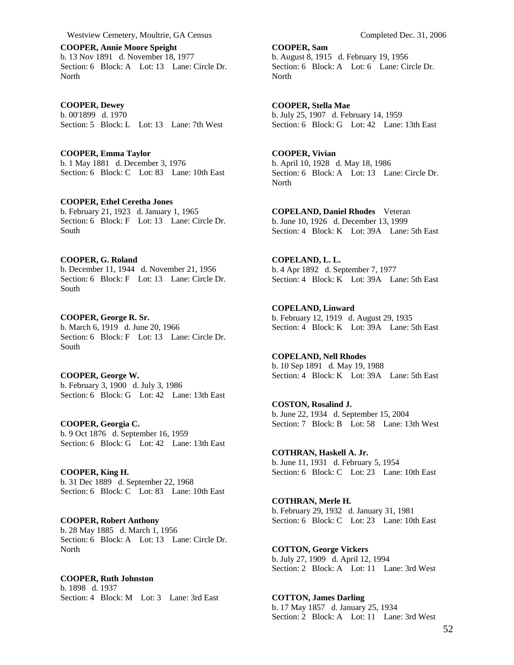**COOPER, Annie Moore Speight**  b. 13 Nov 1891 d. November 18, 1977 Section: 6 Block: A Lot: 13 Lane: Circle Dr. North

**COOPER, Dewey**  b. 00'1899 d. 1970 Section: 5 Block: L Lot: 13 Lane: 7th West

**COOPER, Emma Taylor**  b. 1 May 1881 d. December 3, 1976 Section: 6 Block: C Lot: 83 Lane: 10th East

**COOPER, Ethel Ceretha Jones**  b. February 21, 1923 d. January 1, 1965 Section: 6 Block: F Lot: 13 Lane: Circle Dr. South

## **COOPER, G. Roland**

b. December 11, 1944 d. November 21, 1956 Section: 6 Block: F Lot: 13 Lane: Circle Dr. South

**COOPER, George R. Sr.**  b. March 6, 1919 d. June 20, 1966 Section: 6 Block: F Lot: 13 Lane: Circle Dr. South

**COOPER, George W.**  b. February 3, 1900 d. July 3, 1986 Section: 6 Block: G Lot: 42 Lane: 13th East

**COOPER, Georgia C.**  b. 9 Oct 1876 d. September 16, 1959 Section: 6 Block: G Lot: 42 Lane: 13th East

**COOPER, King H.**  b. 31 Dec 1889 d. September 22, 1968 Section: 6 Block: C Lot: 83 Lane: 10th East

**COOPER, Robert Anthony**  b. 28 May 1885 d. March 1, 1956 Section: 6 Block: A Lot: 13 Lane: Circle Dr. North

**COOPER, Ruth Johnston**  b. 1898 d. 1937

Section: 4 Block: M Lot: 3 Lane: 3rd East

**COOPER, Sam**  b. August 8, 1915 d. February 19, 1956 Section: 6 Block: A Lot: 6 Lane: Circle Dr. North

**COOPER, Stella Mae**  b. July 25, 1907 d. February 14, 1959 Section: 6 Block: G Lot: 42 Lane: 13th East

**COOPER, Vivian**  b. April 10, 1928 d. May 18, 1986 Section: 6 Block: A Lot: 13 Lane: Circle Dr. North

**COPELAND, Daniel Rhodes** Veteran b. June 10, 1926 d. December 13, 1999 Section: 4 Block: K Lot: 39A Lane: 5th East

**COPELAND, L. L.**  b. 4 Apr 1892 d. September 7, 1977 Section: 4 Block: K Lot: 39A Lane: 5th East

**COPELAND, Linward**  b. February 12, 1919 d. August 29, 1935 Section: 4 Block: K Lot: 39A Lane: 5th East

**COPELAND, Nell Rhodes**  b. 10 Sep 1891 d. May 19, 1988 Section: 4 Block: K Lot: 39A Lane: 5th East

**COSTON, Rosalind J.**  b. June 22, 1934 d. September 15, 2004 Section: 7 Block: B Lot: 58 Lane: 13th West

**COTHRAN, Haskell A. Jr.**  b. June 11, 1931 d. February 5, 1954 Section: 6 Block: C Lot: 23 Lane: 10th East

**COTHRAN, Merle H.**  b. February 29, 1932 d. January 31, 1981 Section: 6 Block: C Lot: 23 Lane: 10th East

**COTTON, George Vickers**  b. July 27, 1909 d. April 12, 1994 Section: 2 Block: A Lot: 11 Lane: 3rd West

**COTTON, James Darling**  b. 17 May 1857 d. January 25, 1934 Section: 2 Block: A Lot: 11 Lane: 3rd West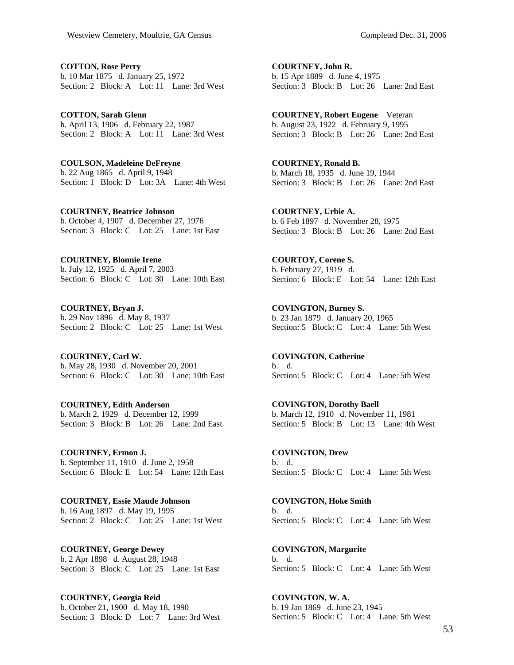**COTTON, Rose Perry**  b. 10 Mar 1875 d. January 25, 1972 Section: 2 Block: A Lot: 11 Lane: 3rd West

**COTTON, Sarah Glenn**  b. April 13, 1906 d. February 22, 1987 Section: 2 Block: A Lot: 11 Lane: 3rd West

**COULSON, Madeleine DeFreyne**  b. 22 Aug 1865 d. April 9, 1948 Section: 1 Block: D Lot: 3A Lane: 4th West

**COURTNEY, Beatrice Johnson**  b. October 4, 1907 d. December 27, 1976 Section: 3 Block: C Lot: 25 Lane: 1st East

**COURTNEY, Blonnie Irene**  b. July 12, 1925 d. April 7, 2003 Section: 6 Block: C Lot: 30 Lane: 10th East

**COURTNEY, Bryan J.**  b. 29 Nov 1896 d. May 8, 1937 Section: 2 Block: C Lot: 25 Lane: 1st West

**COURTNEY, Carl W.**  b. May 28, 1930 d. November 20, 2001 Section: 6 Block: C Lot: 30 Lane: 10th East

**COURTNEY, Edith Anderson**  b. March 2, 1929 d. December 12, 1999 Section: 3 Block: B Lot: 26 Lane: 2nd East

**COURTNEY, Ermon J.**  b. September 11, 1910 d. June 2, 1958 Section: 6 Block: E Lot: 54 Lane: 12th East

**COURTNEY, Essie Maude Johnson**  b. 16 Aug 1897 d. May 19, 1995 Section: 2 Block: C Lot: 25 Lane: 1st West

**COURTNEY, George Dewey**  b. 2 Apr 1898 d. August 28, 1948 Section: 3 Block: C Lot: 25 Lane: 1st East

**COURTNEY, Georgia Reid**  b. October 21, 1900 d. May 18, 1990 Section: 3 Block: D Lot: 7 Lane: 3rd West

**COURTNEY, John R.**  b. 15 Apr 1889 d. June 4, 1975 Section: 3 Block: B Lot: 26 Lane: 2nd East

**COURTNEY, Robert Eugene** Veteran b. August 23, 1922 d. February 9, 1995 Section: 3 Block: B Lot: 26 Lane: 2nd East

**COURTNEY, Ronald B.**  b. March 18, 1935 d. June 19, 1944 Section: 3 Block: B Lot: 26 Lane: 2nd East

**COURTNEY, Urbie A.**  b. 6 Feb 1897 d. November 28, 1975 Section: 3 Block: B Lot: 26 Lane: 2nd East

**COURTOY, Corene S.**  b. February 27, 1919 d. Section: 6 Block: E Lot: 54 Lane: 12th East

**COVINGTON, Burney S.**  b. 23 Jan 1879 d. January 20, 1965 Section: 5 Block: C Lot: 4 Lane: 5th West

**COVINGTON, Catherine**  b. d. Section: 5 Block: C Lot: 4 Lane: 5th West

**COVINGTON, Dorothy Baell**  b. March 12, 1910 d. November 11, 1981 Section: 5 Block: B Lot: 13 Lane: 4th West

**COVINGTON, Drew**  b. d. Section: 5 Block: C Lot: 4 Lane: 5th West

**COVINGTON, Hoke Smith**  b. d. Section: 5 Block: C Lot: 4 Lane: 5th West

**COVINGTON, Margurite**  b. d. Section: 5 Block: C Lot: 4 Lane: 5th West

**COVINGTON, W. A.**  b. 19 Jan 1869 d. June 23, 1945 Section: 5 Block: C Lot: 4 Lane: 5th West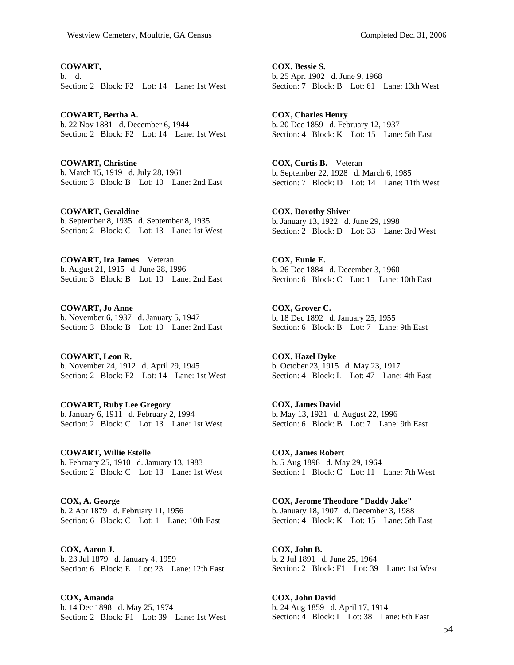**COWART,**  b. d. Section: 2 Block: F2 Lot: 14 Lane: 1st West

**COWART, Bertha A.**  b. 22 Nov 1881 d. December 6, 1944 Section: 2 Block: F2 Lot: 14 Lane: 1st West

**COWART, Christine**  b. March 15, 1919 d. July 28, 1961 Section: 3 Block: B Lot: 10 Lane: 2nd East

**COWART, Geraldine**  b. September 8, 1935 d. September 8, 1935 Section: 2 Block: C Lot: 13 Lane: 1st West

**COWART, Ira James** Veteran b. August 21, 1915 d. June 28, 1996 Section: 3 Block: B Lot: 10 Lane: 2nd East

**COWART, Jo Anne**  b. November 6, 1937 d. January 5, 1947 Section: 3 Block: B Lot: 10 Lane: 2nd East

**COWART, Leon R.**  b. November 24, 1912 d. April 29, 1945 Section: 2 Block: F2 Lot: 14 Lane: 1st West

**COWART, Ruby Lee Gregory**  b. January 6, 1911 d. February 2, 1994 Section: 2 Block: C Lot: 13 Lane: 1st West

**COWART, Willie Estelle**  b. February 25, 1910 d. January 13, 1983 Section: 2 Block: C Lot: 13 Lane: 1st West

**COX, A. George**  b. 2 Apr 1879 d. February 11, 1956 Section: 6 Block: C Lot: 1 Lane: 10th East

**COX, Aaron J.**  b. 23 Jul 1879 d. January 4, 1959 Section: 6 Block: E Lot: 23 Lane: 12th East

**COX, Amanda**  b. 14 Dec 1898 d. May 25, 1974 Section: 2 Block: F1 Lot: 39 Lane: 1st West

**COX, Bessie S.**  b. 25 Apr. 1902 d. June 9, 1968 Section: 7 Block: B Lot: 61 Lane: 13th West

**COX, Charles Henry**  b. 20 Dec 1859 d. February 12, 1937 Section: 4 Block: K Lot: 15 Lane: 5th East

**COX, Curtis B.** Veteran b. September 22, 1928 d. March 6, 1985 Section: 7 Block: D Lot: 14 Lane: 11th West

**COX, Dorothy Shiver**  b. January 13, 1922 d. June 29, 1998 Section: 2 Block: D Lot: 33 Lane: 3rd West

**COX, Eunie E.**  b. 26 Dec 1884 d. December 3, 1960 Section: 6 Block: C Lot: 1 Lane: 10th East

**COX, Grover C.**  b. 18 Dec 1892 d. January 25, 1955 Section: 6 Block: B Lot: 7 Lane: 9th East

**COX, Hazel Dyke**  b. October 23, 1915 d. May 23, 1917 Section: 4 Block: L Lot: 47 Lane: 4th East

**COX, James David**  b. May 13, 1921 d. August 22, 1996 Section: 6 Block: B Lot: 7 Lane: 9th East

**COX, James Robert**  b. 5 Aug 1898 d. May 29, 1964 Section: 1 Block: C Lot: 11 Lane: 7th West

**COX, Jerome Theodore "Daddy Jake"**  b. January 18, 1907 d. December 3, 1988 Section: 4 Block: K Lot: 15 Lane: 5th East

**COX, John B.**  b. 2 Jul 1891 d. June 25, 1964 Section: 2 Block: F1 Lot: 39 Lane: 1st West

**COX, John David**  b. 24 Aug 1859 d. April 17, 1914 Section: 4 Block: I Lot: 38 Lane: 6th East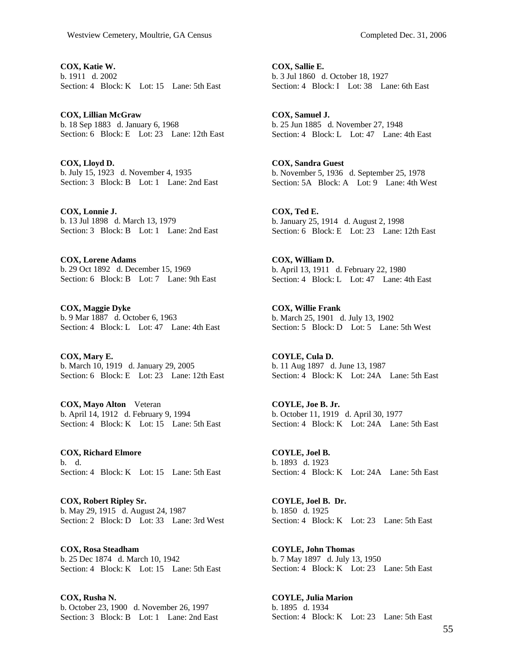**COX, Katie W.**  b. 1911 d. 2002 Section: 4 Block: K Lot: 15 Lane: 5th East

**COX, Lillian McGraw**  b. 18 Sep 1883 d. January 6, 1968 Section: 6 Block: E Lot: 23 Lane: 12th East

**COX, Lloyd D.**  b. July 15, 1923 d. November 4, 1935 Section: 3 Block: B Lot: 1 Lane: 2nd East

**COX, Lonnie J.**  b. 13 Jul 1898 d. March 13, 1979 Section: 3 Block: B Lot: 1 Lane: 2nd East

**COX, Lorene Adams**  b. 29 Oct 1892 d. December 15, 1969 Section: 6 Block: B Lot: 7 Lane: 9th East

**COX, Maggie Dyke**  b. 9 Mar 1887 d. October 6, 1963 Section: 4 Block: L Lot: 47 Lane: 4th East

**COX, Mary E.**  b. March 10, 1919 d. January 29, 2005 Section: 6 Block: E Lot: 23 Lane: 12th East

**COX, Mayo Alton** Veteran b. April 14, 1912 d. February 9, 1994 Section: 4 Block: K Lot: 15 Lane: 5th East

**COX, Richard Elmore**  b. d. Section: 4 Block: K Lot: 15 Lane: 5th East

**COX, Robert Ripley Sr.**  b. May 29, 1915 d. August 24, 1987 Section: 2 Block: D Lot: 33 Lane: 3rd West

**COX, Rosa Steadham**  b. 25 Dec 1874 d. March 10, 1942 Section: 4 Block: K Lot: 15 Lane: 5th East

**COX, Rusha N.**  b. October 23, 1900 d. November 26, 1997 Section: 3 Block: B Lot: 1 Lane: 2nd East

**COX, Sallie E.**  b. 3 Jul 1860 d. October 18, 1927 Section: 4 Block: I Lot: 38 Lane: 6th East

**COX, Samuel J.**  b. 25 Jun 1885 d. November 27, 1948 Section: 4 Block: L Lot: 47 Lane: 4th East

**COX, Sandra Guest**  b. November 5, 1936 d. September 25, 1978 Section: 5A Block: A Lot: 9 Lane: 4th West

**COX, Ted E.**  b. January 25, 1914 d. August 2, 1998 Section: 6 Block: E Lot: 23 Lane: 12th East

**COX, William D.**  b. April 13, 1911 d. February 22, 1980 Section: 4 Block: L Lot: 47 Lane: 4th East

**COX, Willie Frank**  b. March 25, 1901 d. July 13, 1902 Section: 5 Block: D Lot: 5 Lane: 5th West

**COYLE, Cula D.**  b. 11 Aug 1897 d. June 13, 1987 Section: 4 Block: K Lot: 24A Lane: 5th East

**COYLE, Joe B. Jr.**  b. October 11, 1919 d. April 30, 1977 Section: 4 Block: K Lot: 24A Lane: 5th East

**COYLE, Joel B.**  b. 1893 d. 1923 Section: 4 Block: K Lot: 24A Lane: 5th East

**COYLE, Joel B. Dr.**  b. 1850 d. 1925 Section: 4 Block: K Lot: 23 Lane: 5th East

**COYLE, John Thomas**  b. 7 May 1897 d. July 13, 1950 Section: 4 Block: K Lot: 23 Lane: 5th East

**COYLE, Julia Marion**  b. 1895 d. 1934 Section: 4 Block: K Lot: 23 Lane: 5th East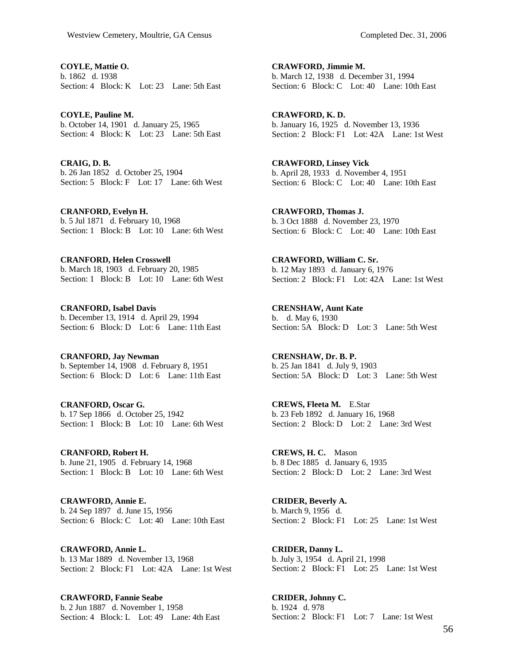**COYLE, Mattie O.**  b. 1862 d. 1938 Section: 4 Block: K Lot: 23 Lane: 5th East

**COYLE, Pauline M.**  b. October 14, 1901 d. January 25, 1965 Section: 4 Block: K Lot: 23 Lane: 5th East

**CRAIG, D. B.**  b. 26 Jan 1852 d. October 25, 1904 Section: 5 Block: F Lot: 17 Lane: 6th West

**CRANFORD, Evelyn H.**  b. 5 Jul 1871 d. February 10, 1968 Section: 1 Block: B Lot: 10 Lane: 6th West

**CRANFORD, Helen Crosswell**  b. March 18, 1903 d. February 20, 1985 Section: 1 Block: B Lot: 10 Lane: 6th West

**CRANFORD, Isabel Davis**  b. December 13, 1914 d. April 29, 1994 Section: 6 Block: D Lot: 6 Lane: 11th East

**CRANFORD, Jay Newman**  b. September 14, 1908 d. February 8, 1951 Section: 6 Block: D Lot: 6 Lane: 11th East

**CRANFORD, Oscar G.**  b. 17 Sep 1866 d. October 25, 1942 Section: 1 Block: B Lot: 10 Lane: 6th West

**CRANFORD, Robert H.**  b. June 21, 1905 d. February 14, 1968 Section: 1 Block: B Lot: 10 Lane: 6th West

**CRAWFORD, Annie E.**  b. 24 Sep 1897 d. June 15, 1956 Section: 6 Block: C Lot: 40 Lane: 10th East

**CRAWFORD, Annie L.**  b. 13 Mar 1889 d. November 13, 1968 Section: 2 Block: F1 Lot: 42A Lane: 1st West

**CRAWFORD, Fannie Seabe**  b. 2 Jun 1887 d. November 1, 1958 Section: 4 Block: L Lot: 49 Lane: 4th East

**CRAWFORD, Jimmie M.**  b. March 12, 1938 d. December 31, 1994 Section: 6 Block: C Lot: 40 Lane: 10th East

**CRAWFORD, K. D.**  b. January 16, 1925 d. November 13, 1936 Section: 2 Block: F1 Lot: 42A Lane: 1st West

**CRAWFORD, Linsey Vick**  b. April 28, 1933 d. November 4, 1951 Section: 6 Block: C Lot: 40 Lane: 10th East

**CRAWFORD, Thomas J.**  b. 3 Oct 1888 d. November 23, 1970 Section: 6 Block: C Lot: 40 Lane: 10th East

**CRAWFORD, William C. Sr.**  b. 12 May 1893 d. January 6, 1976 Section: 2 Block: F1 Lot: 42A Lane: 1st West

**CRENSHAW, Aunt Kate**  b. d. May 6, 1930 Section: 5A Block: D Lot: 3 Lane: 5th West

**CRENSHAW, Dr. B. P.**  b. 25 Jan 1841 d. July 9, 1903 Section: 5A Block: D Lot: 3 Lane: 5th West

**CREWS, Fleeta M.** E.Star b. 23 Feb 1892 d. January 16, 1968 Section: 2 Block: D Lot: 2 Lane: 3rd West

**CREWS, H. C.** Mason b. 8 Dec 1885 d. January 6, 1935 Section: 2 Block: D Lot: 2 Lane: 3rd West

**CRIDER, Beverly A.**  b. March 9, 1956 d. Section: 2 Block: F1 Lot: 25 Lane: 1st West

**CRIDER, Danny L.**  b. July 3, 1954 d. April 21, 1998 Section: 2 Block: F1 Lot: 25 Lane: 1st West

**CRIDER, Johnny C.**  b. 1924 d. 978 Section: 2 Block: F1 Lot: 7 Lane: 1st West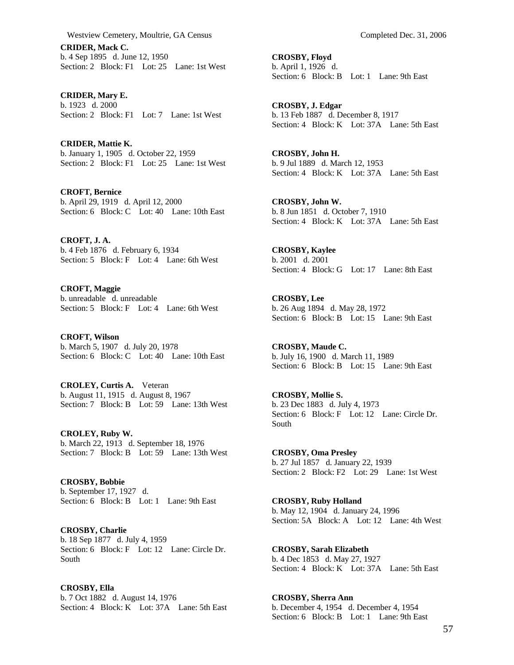**CRIDER, Mack C.**  b. 4 Sep 1895 d. June 12, 1950 Section: 2 Block: F1 Lot: 25 Lane: 1st West

**CRIDER, Mary E.**  b. 1923 d. 2000 Section: 2 Block: F1 Lot: 7 Lane: 1st West

**CRIDER, Mattie K.**  b. January 1, 1905 d. October 22, 1959 Section: 2 Block: F1 Lot: 25 Lane: 1st West

**CROFT, Bernice**  b. April 29, 1919 d. April 12, 2000 Section: 6 Block: C Lot: 40 Lane: 10th East

**CROFT, J. A.**  b. 4 Feb 1876 d. February 6, 1934 Section: 5 Block: F Lot: 4 Lane: 6th West

**CROFT, Maggie**  b. unreadable d. unreadable Section: 5 Block: F Lot: 4 Lane: 6th West

**CROFT, Wilson**  b. March 5, 1907 d. July 20, 1978 Section: 6 Block: C Lot: 40 Lane: 10th East

**CROLEY, Curtis A.** Veteran b. August 11, 1915 d. August 8, 1967 Section: 7 Block: B Lot: 59 Lane: 13th West

**CROLEY, Ruby W.**  b. March 22, 1913 d. September 18, 1976 Section: 7 Block: B Lot: 59 Lane: 13th West

**CROSBY, Bobbie**  b. September 17, 1927 d. Section: 6 Block: B Lot: 1 Lane: 9th East

**CROSBY, Charlie**  b. 18 Sep 1877 d. July 4, 1959 Section: 6 Block: F Lot: 12 Lane: Circle Dr. South

**CROSBY, Ella**  b. 7 Oct 1882 d. August 14, 1976 Section: 4 Block: K Lot: 37A Lane: 5th East **CROSBY, Floyd**  b. April 1, 1926 d. Section: 6 Block: B Lot: 1 Lane: 9th East

**CROSBY, J. Edgar**  b. 13 Feb 1887 d. December 8, 1917 Section: 4 Block: K Lot: 37A Lane: 5th East

**CROSBY, John H.**  b. 9 Jul 1889 d. March 12, 1953 Section: 4 Block: K Lot: 37A Lane: 5th East

**CROSBY, John W.**  b. 8 Jun 1851 d. October 7, 1910 Section: 4 Block: K Lot: 37A Lane: 5th East

**CROSBY, Kaylee**  b. 2001 d. 2001 Section: 4 Block: G Lot: 17 Lane: 8th East

**CROSBY, Lee**  b. 26 Aug 1894 d. May 28, 1972 Section: 6 Block: B Lot: 15 Lane: 9th East

**CROSBY, Maude C.**  b. July 16, 1900 d. March 11, 1989 Section: 6 Block: B Lot: 15 Lane: 9th East

**CROSBY, Mollie S.**  b. 23 Dec 1883 d. July 4, 1973 Section: 6 Block: F Lot: 12 Lane: Circle Dr. South

**CROSBY, Oma Presley**  b. 27 Jul 1857 d. January 22, 1939 Section: 2 Block: F2 Lot: 29 Lane: 1st West

**CROSBY, Ruby Holland**  b. May 12, 1904 d. January 24, 1996 Section: 5A Block: A Lot: 12 Lane: 4th West

**CROSBY, Sarah Elizabeth**  b. 4 Dec 1853 d. May 27, 1927 Section: 4 Block: K Lot: 37A Lane: 5th East

**CROSBY, Sherra Ann**  b. December 4, 1954 d. December 4, 1954 Section: 6 Block: B Lot: 1 Lane: 9th East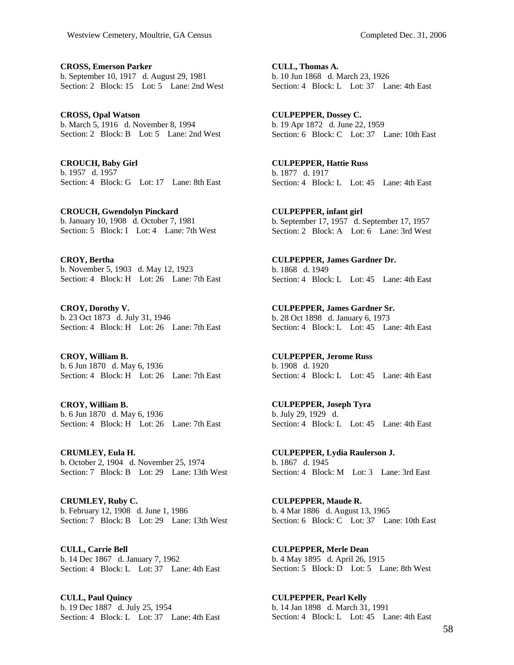**CROSS, Emerson Parker**  b. September 10, 1917 d. August 29, 1981 Section: 2 Block: 15 Lot: 5 Lane: 2nd West

**CROSS, Opal Watson**  b. March 5, 1916 d. November 8, 1994 Section: 2 Block: B Lot: 5 Lane: 2nd West

**CROUCH, Baby Girl**  b. 1957 d. 1957 Section: 4 Block: G Lot: 17 Lane: 8th East

**CROUCH, Gwendolyn Pinckard**  b. January 10, 1908 d. October 7, 1981 Section: 5 Block: I Lot: 4 Lane: 7th West

**CROY, Bertha**  b. November 5, 1903 d. May 12, 1923 Section: 4 Block: H Lot: 26 Lane: 7th East

**CROY, Dorothy V.**  b. 23 Oct 1873 d. July 31, 1946 Section: 4 Block: H Lot: 26 Lane: 7th East

**CROY, William B.**  b. 6 Jun 1870 d. May 6, 1936 Section: 4 Block: H Lot: 26 Lane: 7th East

**CROY, William B.**  b. 6 Jun 1870 d. May 6, 1936 Section: 4 Block: H Lot: 26 Lane: 7th East

**CRUMLEY, Eula H.**  b. October 2, 1904 d. November 25, 1974 Section: 7 Block: B Lot: 29 Lane: 13th West

**CRUMLEY, Ruby C.**  b. February 12, 1908 d. June 1, 1986 Section: 7 Block: B Lot: 29 Lane: 13th West

**CULL, Carrie Bell**  b. 14 Dec 1867 d. January 7, 1962 Section: 4 Block: L Lot: 37 Lane: 4th East

**CULL, Paul Quincy**  b. 19 Dec 1887 d. July 25, 1954 Section: 4 Block: L Lot: 37 Lane: 4th East **CULL, Thomas A.**  b. 10 Jun 1868 d. March 23, 1926 Section: 4 Block: L Lot: 37 Lane: 4th East

**CULPEPPER, Dossey C.**  b. 19 Apr 1872 d. June 22, 1959 Section: 6 Block: C Lot: 37 Lane: 10th East

**CULPEPPER, Hattie Russ**  b. 1877 d. 1917 Section: 4 Block: L Lot: 45 Lane: 4th East

**CULPEPPER, infant girl**  b. September 17, 1957 d. September 17, 1957 Section: 2 Block: A Lot: 6 Lane: 3rd West

**CULPEPPER, James Gardner Dr.**  b. 1868 d. 1949 Section: 4 Block: L Lot: 45 Lane: 4th East

**CULPEPPER, James Gardner Sr.**  b. 28 Oct 1898 d. January 6, 1973 Section: 4 Block: L Lot: 45 Lane: 4th East

**CULPEPPER, Jerome Russ**  b. 1908 d. 1920 Section: 4 Block: L Lot: 45 Lane: 4th East

**CULPEPPER, Joseph Tyra**  b. July 29, 1929 d. Section: 4 Block: L Lot: 45 Lane: 4th East

**CULPEPPER, Lydia Raulerson J.**  b. 1867 d. 1945 Section: 4 Block: M Lot: 3 Lane: 3rd East

**CULPEPPER, Maude R.**  b. 4 Mar 1886 d. August 13, 1965 Section: 6 Block: C Lot: 37 Lane: 10th East

**CULPEPPER, Merle Dean**  b. 4 May 1895 d. April 26, 1915 Section: 5 Block: D Lot: 5 Lane: 8th West

**CULPEPPER, Pearl Kelly**  b. 14 Jan 1898 d. March 31, 1991 Section: 4 Block: L Lot: 45 Lane: 4th East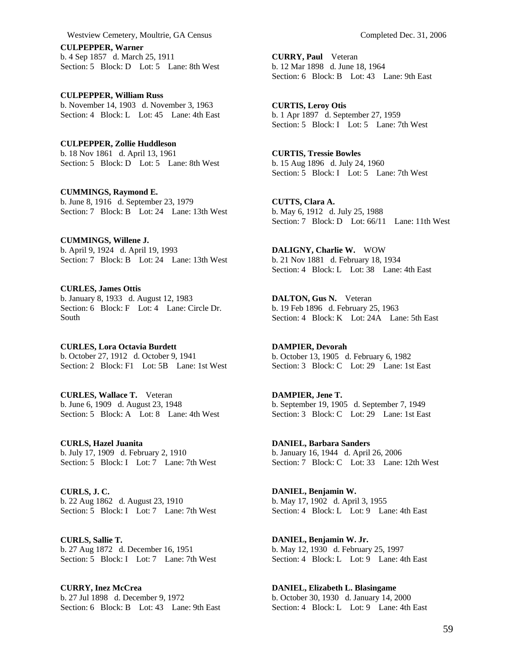**CULPEPPER, Warner**  b. 4 Sep 1857 d. March 25, 1911 Section: 5 Block: D Lot: 5 Lane: 8th West

**CULPEPPER, William Russ**  b. November 14, 1903 d. November 3, 1963 Section: 4 Block: L Lot: 45 Lane: 4th East

**CULPEPPER, Zollie Huddleson**  b. 18 Nov 1861 d. April 13, 1961 Section: 5 Block: D Lot: 5 Lane: 8th West

**CUMMINGS, Raymond E.**  b. June 8, 1916 d. September 23, 1979 Section: 7 Block: B Lot: 24 Lane: 13th West

**CUMMINGS, Willene J.**  b. April 9, 1924 d. April 19, 1993 Section: 7 Block: B Lot: 24 Lane: 13th West

**CURLES, James Ottis**  b. January 8, 1933 d. August 12, 1983 Section: 6 Block: F Lot: 4 Lane: Circle Dr. South

**CURLES, Lora Octavia Burdett**  b. October 27, 1912 d. October 9, 1941 Section: 2 Block: F1 Lot: 5B Lane: 1st West

**CURLES, Wallace T.** Veteran b. June 6, 1909 d. August 23, 1948 Section: 5 Block: A Lot: 8 Lane: 4th West

**CURLS, Hazel Juanita**  b. July 17, 1909 d. February 2, 1910 Section: 5 Block: I Lot: 7 Lane: 7th West

**CURLS, J. C.**  b. 22 Aug 1862 d. August 23, 1910 Section: 5 Block: I Lot: 7 Lane: 7th West

**CURLS, Sallie T.**  b. 27 Aug 1872 d. December 16, 1951 Section: 5 Block: I Lot: 7 Lane: 7th West

**CURRY, Inez McCrea**  b. 27 Jul 1898 d. December 9, 1972 Section: 6 Block: B Lot: 43 Lane: 9th East **CURRY, Paul** Veteran b. 12 Mar 1898 d. June 18, 1964 Section: 6 Block: B Lot: 43 Lane: 9th East

**CURTIS, Leroy Otis**  b. 1 Apr 1897 d. September 27, 1959 Section: 5 Block: I Lot: 5 Lane: 7th West

**CURTIS, Tressie Bowles**  b. 15 Aug 1896 d. July 24, 1960 Section: 5 Block: I Lot: 5 Lane: 7th West

**CUTTS, Clara A.**  b. May 6, 1912 d. July 25, 1988 Section: 7 Block: D Lot: 66/11 Lane: 11th West

**DALIGNY, Charlie W.** WOW b. 21 Nov 1881 d. February 18, 1934 Section: 4 Block: L Lot: 38 Lane: 4th East

**DALTON, Gus N.** Veteran b. 19 Feb 1896 d. February 25, 1963 Section: 4 Block: K Lot: 24A Lane: 5th East

**DAMPIER, Devorah**  b. October 13, 1905 d. February 6, 1982 Section: 3 Block: C Lot: 29 Lane: 1st East

**DAMPIER, Jene T.**  b. September 19, 1905 d. September 7, 1949 Section: 3 Block: C Lot: 29 Lane: 1st East

**DANIEL, Barbara Sanders**  b. January 16, 1944 d. April 26, 2006 Section: 7 Block: C Lot: 33 Lane: 12th West

**DANIEL, Benjamin W.**  b. May 17, 1902 d. April 3, 1955 Section: 4 Block: L Lot: 9 Lane: 4th East

**DANIEL, Benjamin W. Jr.**  b. May 12, 1930 d. February 25, 1997 Section: 4 Block: L Lot: 9 Lane: 4th East

**DANIEL, Elizabeth L. Blasingame**  b. October 30, 1930 d. January 14, 2000 Section: 4 Block: L Lot: 9 Lane: 4th East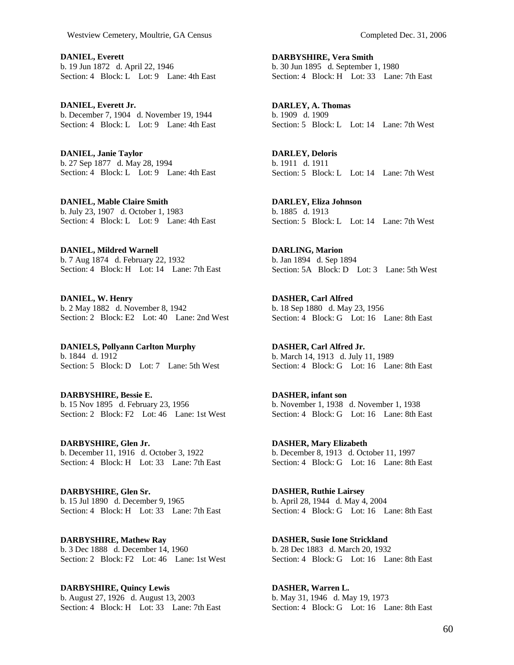**DANIEL, Everett**  b. 19 Jun 1872 d. April 22, 1946 Section: 4 Block: L Lot: 9 Lane: 4th East

**DANIEL, Everett Jr.**  b. December 7, 1904 d. November 19, 1944 Section: 4 Block: L Lot: 9 Lane: 4th East

**DANIEL, Janie Taylor**  b. 27 Sep 1877 d. May 28, 1994 Section: 4 Block: L Lot: 9 Lane: 4th East

**DANIEL, Mable Claire Smith**  b. July 23, 1907 d. October 1, 1983 Section: 4 Block: L Lot: 9 Lane: 4th East

**DANIEL, Mildred Warnell**  b. 7 Aug 1874 d. February 22, 1932 Section: 4 Block: H Lot: 14 Lane: 7th East

**DANIEL, W. Henry**  b. 2 May 1882 d. November 8, 1942 Section: 2 Block: E2 Lot: 40 Lane: 2nd West

**DANIELS, Pollyann Carlton Murphy**  b. 1844 d. 1912 Section: 5 Block: D Lot: 7 Lane: 5th West

**DARBYSHIRE, Bessie E.**  b. 15 Nov 1895 d. February 23, 1956 Section: 2 Block: F2 Lot: 46 Lane: 1st West

**DARBYSHIRE, Glen Jr.**  b. December 11, 1916 d. October 3, 1922 Section: 4 Block: H Lot: 33 Lane: 7th East

**DARBYSHIRE, Glen Sr.**  b. 15 Jul 1890 d. December 9, 1965 Section: 4 Block: H Lot: 33 Lane: 7th East

**DARBYSHIRE, Mathew Ray**  b. 3 Dec 1888 d. December 14, 1960 Section: 2 Block: F2 Lot: 46 Lane: 1st West

**DARBYSHIRE, Quincy Lewis**  b. August 27, 1926 d. August 13, 2003 Section: 4 Block: H Lot: 33 Lane: 7th East **DARBYSHIRE, Vera Smith**  b. 30 Jun 1895 d. September 1, 1980 Section: 4 Block: H Lot: 33 Lane: 7th East

**DARLEY, A. Thomas**  b. 1909 d. 1909 Section: 5 Block: L Lot: 14 Lane: 7th West

**DARLEY, Deloris**  b. 1911 d. 1911 Section: 5 Block: L Lot: 14 Lane: 7th West

**DARLEY, Eliza Johnson**  b. 1885 d. 1913 Section: 5 Block: L Lot: 14 Lane: 7th West

**DARLING, Marion**  b. Jan 1894 d. Sep 1894 Section: 5A Block: D Lot: 3 Lane: 5th West

**DASHER, Carl Alfred**  b. 18 Sep 1880 d. May 23, 1956 Section: 4 Block: G Lot: 16 Lane: 8th East

**DASHER, Carl Alfred Jr.**  b. March 14, 1913 d. July 11, 1989 Section: 4 Block: G Lot: 16 Lane: 8th East

**DASHER, infant son**  b. November 1, 1938 d. November 1, 1938 Section: 4 Block: G Lot: 16 Lane: 8th East

**DASHER, Mary Elizabeth**  b. December 8, 1913 d. October 11, 1997 Section: 4 Block: G Lot: 16 Lane: 8th East

**DASHER, Ruthie Lairsey**  b. April 28, 1944 d. May 4, 2004 Section: 4 Block: G Lot: 16 Lane: 8th East

**DASHER, Susie Ione Strickland**  b. 28 Dec 1883 d. March 20, 1932 Section: 4 Block: G Lot: 16 Lane: 8th East

**DASHER, Warren L.**  b. May 31, 1946 d. May 19, 1973 Section: 4 Block: G Lot: 16 Lane: 8th East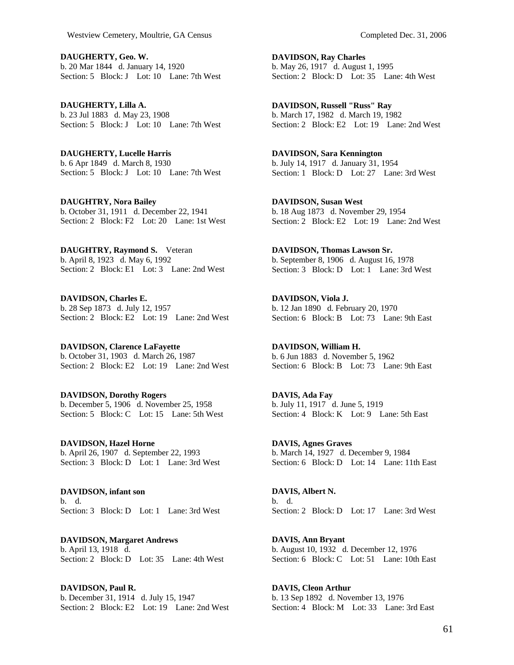**DAUGHERTY, Geo. W.**  b. 20 Mar 1844 d. January 14, 1920 Section: 5 Block: J Lot: 10 Lane: 7th West

**DAUGHERTY, Lilla A.**  b. 23 Jul 1883 d. May 23, 1908 Section: 5 Block: J Lot: 10 Lane: 7th West

**DAUGHERTY, Lucelle Harris**  b. 6 Apr 1849 d. March 8, 1930 Section: 5 Block: J Lot: 10 Lane: 7th West

**DAUGHTRY, Nora Bailey**  b. October 31, 1911 d. December 22, 1941 Section: 2 Block: F2 Lot: 20 Lane: 1st West

**DAUGHTRY, Raymond S.** Veteran b. April 8, 1923 d. May 6, 1992 Section: 2 Block: E1 Lot: 3 Lane: 2nd West

**DAVIDSON, Charles E.**  b. 28 Sep 1873 d. July 12, 1957 Section: 2 Block: E2 Lot: 19 Lane: 2nd West

**DAVIDSON, Clarence LaFayette**  b. October 31, 1903 d. March 26, 1987 Section: 2 Block: E2 Lot: 19 Lane: 2nd West

**DAVIDSON, Dorothy Rogers**  b. December 5, 1906 d. November 25, 1958 Section: 5 Block: C Lot: 15 Lane: 5th West

**DAVIDSON, Hazel Horne**  b. April 26, 1907 d. September 22, 1993 Section: 3 Block: D Lot: 1 Lane: 3rd West

**DAVIDSON, infant son**  b. d. Section: 3 Block: D Lot: 1 Lane: 3rd West

**DAVIDSON, Margaret Andrews**  b. April 13, 1918 d. Section: 2 Block: D Lot: 35 Lane: 4th West

**DAVIDSON, Paul R.**  b. December 31, 1914 d. July 15, 1947 Section: 2 Block: E2 Lot: 19 Lane: 2nd West **DAVIDSON, Ray Charles**  b. May 26, 1917 d. August 1, 1995 Section: 2 Block: D Lot: 35 Lane: 4th West

**DAVIDSON, Russell "Russ" Ray**  b. March 17, 1982 d. March 19, 1982 Section: 2 Block: E2 Lot: 19 Lane: 2nd West

**DAVIDSON, Sara Kennington**  b. July 14, 1917 d. January 31, 1954 Section: 1 Block: D Lot: 27 Lane: 3rd West

**DAVIDSON, Susan West**  b. 18 Aug 1873 d. November 29, 1954 Section: 2 Block: E2 Lot: 19 Lane: 2nd West

**DAVIDSON, Thomas Lawson Sr.**  b. September 8, 1906 d. August 16, 1978 Section: 3 Block: D Lot: 1 Lane: 3rd West

**DAVIDSON, Viola J.**  b. 12 Jan 1890 d. February 20, 1970 Section: 6 Block: B Lot: 73 Lane: 9th East

**DAVIDSON, William H.**  b. 6 Jun 1883 d. November 5, 1962 Section: 6 Block: B Lot: 73 Lane: 9th East

**DAVIS, Ada Fay**  b. July 11, 1917 d. June 5, 1919 Section: 4 Block: K Lot: 9 Lane: 5th East

**DAVIS, Agnes Graves**  b. March 14, 1927 d. December 9, 1984 Section: 6 Block: D Lot: 14 Lane: 11th East

**DAVIS, Albert N.**  b. d. Section: 2 Block: D Lot: 17 Lane: 3rd West

**DAVIS, Ann Bryant**  b. August 10, 1932 d. December 12, 1976 Section: 6 Block: C Lot: 51 Lane: 10th East

**DAVIS, Cleon Arthur**  b. 13 Sep 1892 d. November 13, 1976 Section: 4 Block: M Lot: 33 Lane: 3rd East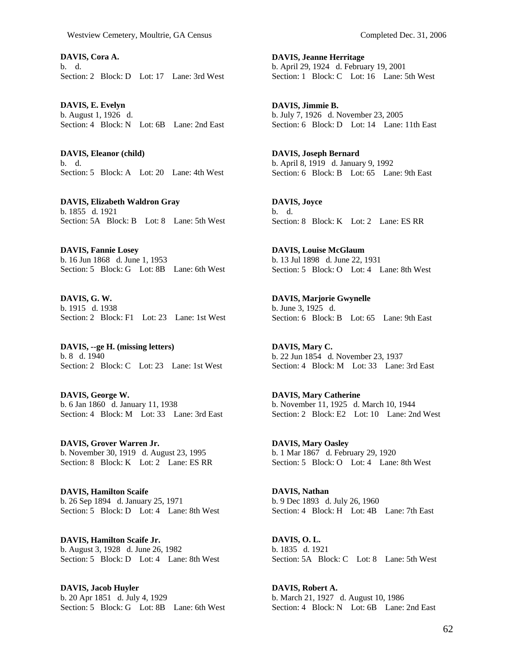**DAVIS, Cora A.**  b. d. Section: 2 Block: D Lot: 17 Lane: 3rd West

**DAVIS, E. Evelyn**  b. August 1, 1926 d. Section: 4 Block: N Lot: 6B Lane: 2nd East

**DAVIS, Eleanor (child)**  b. d. Section: 5 Block: A Lot: 20 Lane: 4th West

**DAVIS, Elizabeth Waldron Gray**  b. 1855 d. 1921 Section: 5A Block: B Lot: 8 Lane: 5th West

**DAVIS, Fannie Losey**  b. 16 Jun 1868 d. June 1, 1953 Section: 5 Block: G Lot: 8B Lane: 6th West

**DAVIS, G. W.**  b. 1915 d. 1938 Section: 2 Block: F1 Lot: 23 Lane: 1st West

**DAVIS, --ge H. (missing letters)**  b. 8 d. 1940 Section: 2 Block: C Lot: 23 Lane: 1st West

**DAVIS, George W.**  b. 6 Jan 1860 d. January 11, 1938 Section: 4 Block: M Lot: 33 Lane: 3rd East

**DAVIS, Grover Warren Jr.**  b. November 30, 1919 d. August 23, 1995 Section: 8 Block: K Lot: 2 Lane: ES RR

**DAVIS, Hamilton Scaife**  b. 26 Sep 1894 d. January 25, 1971 Section: 5 Block: D Lot: 4 Lane: 8th West

**DAVIS, Hamilton Scaife Jr.**  b. August 3, 1928 d. June 26, 1982 Section: 5 Block: D Lot: 4 Lane: 8th West

**DAVIS, Jacob Huyler**  b. 20 Apr 1851 d. July 4, 1929 Section: 5 Block: G Lot: 8B Lane: 6th West **DAVIS, Jeanne Herritage**  b. April 29, 1924 d. February 19, 2001 Section: 1 Block: C Lot: 16 Lane: 5th West

**DAVIS, Jimmie B.**  b. July 7, 1926 d. November 23, 2005 Section: 6 Block: D Lot: 14 Lane: 11th East

**DAVIS, Joseph Bernard**  b. April 8, 1919 d. January 9, 1992 Section: 6 Block: B Lot: 65 Lane: 9th East

**DAVIS, Joyce**  b. d. Section: 8 Block: K Lot: 2 Lane: ES RR

**DAVIS, Louise McGlaum**  b. 13 Jul 1898 d. June 22, 1931 Section: 5 Block: O Lot: 4 Lane: 8th West

**DAVIS, Marjorie Gwynelle**  b. June 3, 1925 d. Section: 6 Block: B Lot: 65 Lane: 9th East

**DAVIS, Mary C.**  b. 22 Jun 1854 d. November 23, 1937 Section: 4 Block: M Lot: 33 Lane: 3rd East

**DAVIS, Mary Catherine**  b. November 11, 1925 d. March 10, 1944 Section: 2 Block: E2 Lot: 10 Lane: 2nd West

**DAVIS, Mary Oasley**  b. 1 Mar 1867 d. February 29, 1920 Section: 5 Block: O Lot: 4 Lane: 8th West

**DAVIS, Nathan**  b. 9 Dec 1893 d. July 26, 1960 Section: 4 Block: H Lot: 4B Lane: 7th East

**DAVIS, O. L.**  b. 1835 d. 1921 Section: 5A Block: C Lot: 8 Lane: 5th West

**DAVIS, Robert A.**  b. March 21, 1927 d. August 10, 1986 Section: 4 Block: N Lot: 6B Lane: 2nd East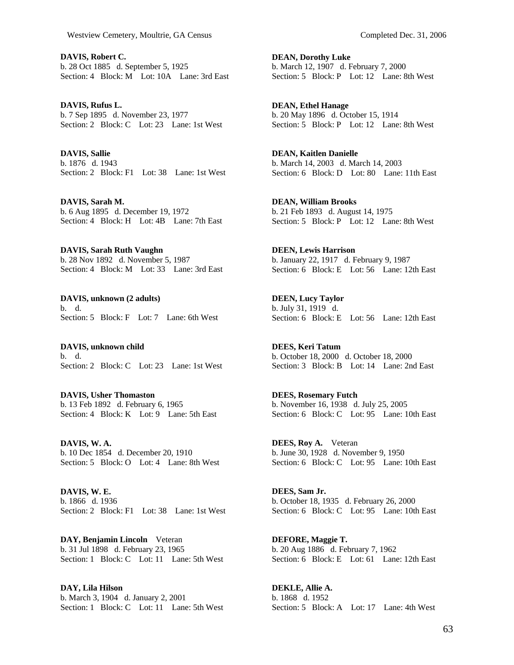**DAVIS, Robert C.**  b. 28 Oct 1885 d. September 5, 1925 Section: 4 Block: M Lot: 10A Lane: 3rd East

**DAVIS, Rufus L.**  b. 7 Sep 1895 d. November 23, 1977 Section: 2 Block: C Lot: 23 Lane: 1st West

**DAVIS, Sallie**  b. 1876 d. 1943 Section: 2 Block: F1 Lot: 38 Lane: 1st West

**DAVIS, Sarah M.**  b. 6 Aug 1895 d. December 19, 1972 Section: 4 Block: H Lot: 4B Lane: 7th East

**DAVIS, Sarah Ruth Vaughn**  b. 28 Nov 1892 d. November 5, 1987 Section: 4 Block: M Lot: 33 Lane: 3rd East

**DAVIS, unknown (2 adults)**  b. d. Section: 5 Block: F Lot: 7 Lane: 6th West

**DAVIS, unknown child**  b. d. Section: 2 Block: C Lot: 23 Lane: 1st West

**DAVIS, Usher Thomaston**  b. 13 Feb 1892 d. February 6, 1965 Section: 4 Block: K Lot: 9 Lane: 5th East

**DAVIS, W. A.**  b. 10 Dec 1854 d. December 20, 1910 Section: 5 Block: O Lot: 4 Lane: 8th West

**DAVIS, W. E.**  b. 1866 d. 1936 Section: 2 Block: F1 Lot: 38 Lane: 1st West

**DAY, Benjamin Lincoln** Veteran b. 31 Jul 1898 d. February 23, 1965 Section: 1 Block: C Lot: 11 Lane: 5th West

**DAY, Lila Hilson**  b. March 3, 1904 d. January 2, 2001 Section: 1 Block: C Lot: 11 Lane: 5th West **DEAN, Dorothy Luke**  b. March 12, 1907 d. February 7, 2000 Section: 5 Block: P Lot: 12 Lane: 8th West

**DEAN, Ethel Hanage**  b. 20 May 1896 d. October 15, 1914 Section: 5 Block: P Lot: 12 Lane: 8th West

**DEAN, Kaitlen Danielle**  b. March 14, 2003 d. March 14, 2003 Section: 6 Block: D Lot: 80 Lane: 11th East

**DEAN, William Brooks**  b. 21 Feb 1893 d. August 14, 1975 Section: 5 Block: P Lot: 12 Lane: 8th West

**DEEN, Lewis Harrison**  b. January 22, 1917 d. February 9, 1987 Section: 6 Block: E Lot: 56 Lane: 12th East

**DEEN, Lucy Taylor**  b. July 31, 1919 d. Section: 6 Block: E Lot: 56 Lane: 12th East

**DEES, Keri Tatum**  b. October 18, 2000 d. October 18, 2000 Section: 3 Block: B Lot: 14 Lane: 2nd East

**DEES, Rosemary Futch**  b. November 16, 1938 d. July 25, 2005 Section: 6 Block: C Lot: 95 Lane: 10th East

**DEES, Roy A.** Veteran b. June 30, 1928 d. November 9, 1950 Section: 6 Block: C Lot: 95 Lane: 10th East

**DEES, Sam Jr.**  b. October 18, 1935 d. February 26, 2000 Section: 6 Block: C Lot: 95 Lane: 10th East

**DEFORE, Maggie T.**  b. 20 Aug 1886 d. February 7, 1962 Section: 6 Block: E Lot: 61 Lane: 12th East

**DEKLE, Allie A.**  b. 1868 d. 1952 Section: 5 Block: A Lot: 17 Lane: 4th West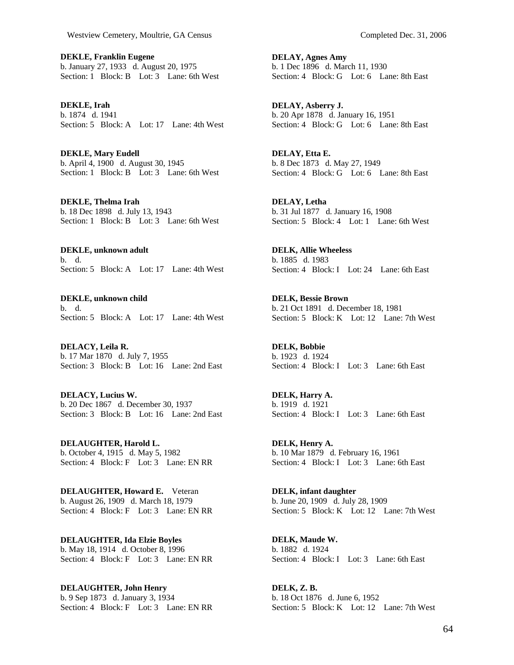**DEKLE, Franklin Eugene**  b. January 27, 1933 d. August 20, 1975 Section: 1 Block: B Lot: 3 Lane: 6th West

**DEKLE, Irah**  b. 1874 d. 1941 Section: 5 Block: A Lot: 17 Lane: 4th West

**DEKLE, Mary Eudell**  b. April 4, 1900 d. August 30, 1945 Section: 1 Block: B Lot: 3 Lane: 6th West

**DEKLE, Thelma Irah**  b. 18 Dec 1898 d. July 13, 1943 Section: 1 Block: B Lot: 3 Lane: 6th West

**DEKLE, unknown adult**  b. d. Section: 5 Block: A Lot: 17 Lane: 4th West

**DEKLE, unknown child**  b. d. Section: 5 Block: A Lot: 17 Lane: 4th West

**DELACY, Leila R.**  b. 17 Mar 1870 d. July 7, 1955 Section: 3 Block: B Lot: 16 Lane: 2nd East

**DELACY, Lucius W.**  b. 20 Dec 1867 d. December 30, 1937 Section: 3 Block: B Lot: 16 Lane: 2nd East

**DELAUGHTER, Harold L.**  b. October 4, 1915 d. May 5, 1982 Section: 4 Block: F Lot: 3 Lane: EN RR

**DELAUGHTER, Howard E.** Veteran b. August 26, 1909 d. March 18, 1979 Section: 4 Block: F Lot: 3 Lane: EN RR

**DELAUGHTER, Ida Elzie Boyles**  b. May 18, 1914 d. October 8, 1996 Section: 4 Block: F Lot: 3 Lane: EN RR

**DELAUGHTER, John Henry**  b. 9 Sep 1873 d. January 3, 1934 Section: 4 Block: F Lot: 3 Lane: EN RR **DELAY, Agnes Amy**  b. 1 Dec 1896 d. March 11, 1930 Section: 4 Block: G Lot: 6 Lane: 8th East

**DELAY, Asberry J.**  b. 20 Apr 1878 d. January 16, 1951 Section: 4 Block: G Lot: 6 Lane: 8th East

**DELAY, Etta E.**  b. 8 Dec 1873 d. May 27, 1949 Section: 4 Block: G Lot: 6 Lane: 8th East

**DELAY, Letha**  b. 31 Jul 1877 d. January 16, 1908 Section: 5 Block: 4 Lot: 1 Lane: 6th West

**DELK, Allie Wheeless**  b. 1885 d. 1983 Section: 4 Block: I Lot: 24 Lane: 6th East

**DELK, Bessie Brown**  b. 21 Oct 1891 d. December 18, 1981 Section: 5 Block: K Lot: 12 Lane: 7th West

**DELK, Bobbie**  b. 1923 d. 1924 Section: 4 Block: I Lot: 3 Lane: 6th East

**DELK, Harry A.**  b. 1919 d. 1921 Section: 4 Block: I Lot: 3 Lane: 6th East

**DELK, Henry A.**  b. 10 Mar 1879 d. February 16, 1961 Section: 4 Block: I Lot: 3 Lane: 6th East

**DELK, infant daughter**  b. June 20, 1909 d. July 28, 1909 Section: 5 Block: K Lot: 12 Lane: 7th West

**DELK, Maude W.**  b. 1882 d. 1924 Section: 4 Block: I Lot: 3 Lane: 6th East

**DELK, Z. B.**  b. 18 Oct 1876 d. June 6, 1952 Section: 5 Block: K Lot: 12 Lane: 7th West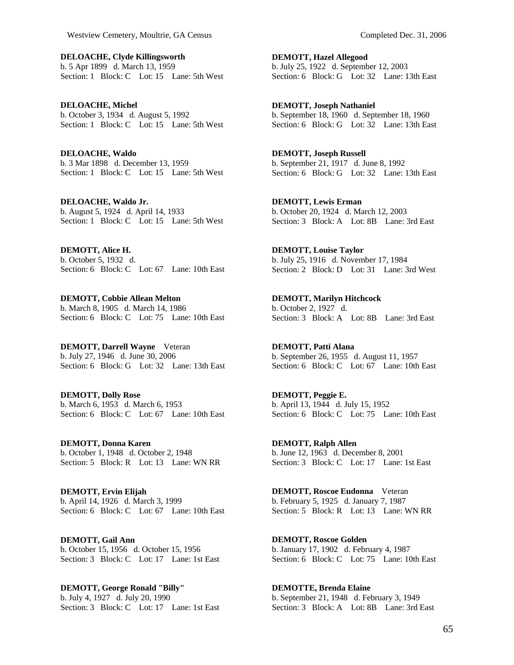**DELOACHE, Clyde Killingsworth**  b. 5 Apr 1899 d. March 13, 1959 Section: 1 Block: C Lot: 15 Lane: 5th West

**DELOACHE, Michel**  b. October 3, 1934 d. August 5, 1992 Section: 1 Block: C Lot: 15 Lane: 5th West

**DELOACHE, Waldo**  b. 3 Mar 1898 d. December 13, 1959 Section: 1 Block: C Lot: 15 Lane: 5th West

**DELOACHE, Waldo Jr.**  b. August 5, 1924 d. April 14, 1933 Section: 1 Block: C Lot: 15 Lane: 5th West

**DEMOTT, Alice H.**  b. October 5, 1932 d. Section: 6 Block: C Lot: 67 Lane: 10th East

**DEMOTT, Cobbie Allean Melton**  b. March 8, 1905 d. March 14, 1986 Section: 6 Block: C Lot: 75 Lane: 10th East

**DEMOTT, Darrell Wayne** Veteran b. July 27, 1946 d. June 30, 2006 Section: 6 Block: G Lot: 32 Lane: 13th East

**DEMOTT, Dolly Rose**  b. March 6, 1953 d. March 6, 1953 Section: 6 Block: C Lot: 67 Lane: 10th East

**DEMOTT, Donna Karen**  b. October 1, 1948 d. October 2, 1948 Section: 5 Block: R Lot: 13 Lane: WN RR

**DEMOTT, Ervin Elijah**  b. April 14, 1926 d. March 3, 1999 Section: 6 Block: C Lot: 67 Lane: 10th East

**DEMOTT, Gail Ann**  b. October 15, 1956 d. October 15, 1956 Section: 3 Block: C Lot: 17 Lane: 1st East

**DEMOTT, George Ronald "Billy"**  b. July 4, 1927 d. July 20, 1990 Section: 3 Block: C Lot: 17 Lane: 1st East **DEMOTT, Hazel Allegood**  b. July 25, 1922 d. September 12, 2003 Section: 6 Block: G Lot: 32 Lane: 13th East

**DEMOTT, Joseph Nathaniel**  b. September 18, 1960 d. September 18, 1960 Section: 6 Block: G Lot: 32 Lane: 13th East

**DEMOTT, Joseph Russell**  b. September 21, 1917 d. June 8, 1992 Section: 6 Block: G Lot: 32 Lane: 13th East

**DEMOTT, Lewis Erman**  b. October 20, 1924 d. March 12, 2003 Section: 3 Block: A Lot: 8B Lane: 3rd East

**DEMOTT, Louise Taylor**  b. July 25, 1916 d. November 17, 1984 Section: 2 Block: D Lot: 31 Lane: 3rd West

**DEMOTT, Marilyn Hitchcock**  b. October 2, 1927 d. Section: 3 Block: A Lot: 8B Lane: 3rd East

**DEMOTT, Patti Alana**  b. September 26, 1955 d. August 11, 1957 Section: 6 Block: C Lot: 67 Lane: 10th East

**DEMOTT, Peggie E.**  b. April 13, 1944 d. July 15, 1952 Section: 6 Block: C Lot: 75 Lane: 10th East

**DEMOTT, Ralph Allen**  b. June 12, 1963 d. December 8, 2001 Section: 3 Block: C Lot: 17 Lane: 1st East

**DEMOTT, Roscoe Eudonna** Veteran b. February 5, 1925 d. January 7, 1987 Section: 5 Block: R Lot: 13 Lane: WN RR

**DEMOTT, Roscoe Golden**  b. January 17, 1902 d. February 4, 1987 Section: 6 Block: C Lot: 75 Lane: 10th East

**DEMOTTE, Brenda Elaine**  b. September 21, 1948 d. February 3, 1949 Section: 3 Block: A Lot: 8B Lane: 3rd East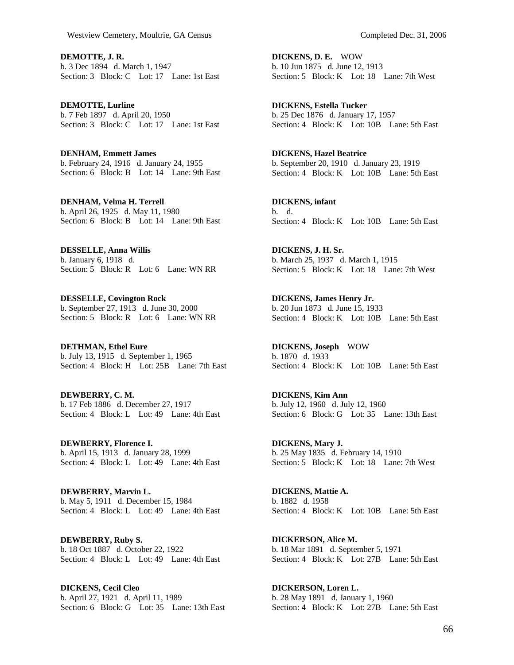**DEMOTTE, J. R.**  b. 3 Dec 1894 d. March 1, 1947 Section: 3 Block: C Lot: 17 Lane: 1st East

**DEMOTTE, Lurline**  b. 7 Feb 1897 d. April 20, 1950 Section: 3 Block: C Lot: 17 Lane: 1st East

**DENHAM, Emmett James**  b. February 24, 1916 d. January 24, 1955 Section: 6 Block: B Lot: 14 Lane: 9th East

**DENHAM, Velma H. Terrell**  b. April 26, 1925 d. May 11, 1980 Section: 6 Block: B Lot: 14 Lane: 9th East

**DESSELLE, Anna Willis**  b. January 6, 1918 d. Section: 5 Block: R Lot: 6 Lane: WN RR

**DESSELLE, Covington Rock**  b. September 27, 1913 d. June 30, 2000 Section: 5 Block: R Lot: 6 Lane: WN RR

**DETHMAN, Ethel Eure**  b. July 13, 1915 d. September 1, 1965 Section: 4 Block: H Lot: 25B Lane: 7th East

**DEWBERRY, C. M.**  b. 17 Feb 1886 d. December 27, 1917 Section: 4 Block: L Lot: 49 Lane: 4th East

**DEWBERRY, Florence I.**  b. April 15, 1913 d. January 28, 1999 Section: 4 Block: L Lot: 49 Lane: 4th East

**DEWBERRY, Marvin L.**  b. May 5, 1911 d. December 15, 1984 Section: 4 Block: L Lot: 49 Lane: 4th East

**DEWBERRY, Ruby S.**  b. 18 Oct 1887 d. October 22, 1922 Section: 4 Block: L Lot: 49 Lane: 4th East

**DICKENS, Cecil Cleo**  b. April 27, 1921 d. April 11, 1989 Section: 6 Block: G Lot: 35 Lane: 13th East **DICKENS, D. E.** WOW b. 10 Jun 1875 d. June 12, 1913 Section: 5 Block: K Lot: 18 Lane: 7th West

**DICKENS, Estella Tucker**  b. 25 Dec 1876 d. January 17, 1957 Section: 4 Block: K Lot: 10B Lane: 5th East

**DICKENS, Hazel Beatrice**  b. September 20, 1910 d. January 23, 1919 Section: 4 Block: K Lot: 10B Lane: 5th East

**DICKENS, infant**  b. d. Section: 4 Block: K Lot: 10B Lane: 5th East

**DICKENS, J. H. Sr.**  b. March 25, 1937 d. March 1, 1915 Section: 5 Block: K Lot: 18 Lane: 7th West

**DICKENS, James Henry Jr.**  b. 20 Jun 1873 d. June 15, 1933 Section: 4 Block: K Lot: 10B Lane: 5th East

**DICKENS, Joseph** WOW b. 1870 d. 1933 Section: 4 Block: K Lot: 10B Lane: 5th East

**DICKENS, Kim Ann**  b. July 12, 1960 d. July 12, 1960 Section: 6 Block: G Lot: 35 Lane: 13th East

**DICKENS, Mary J.**  b. 25 May 1835 d. February 14, 1910 Section: 5 Block: K Lot: 18 Lane: 7th West

**DICKENS, Mattie A.**  b. 1882 d. 1958 Section: 4 Block: K Lot: 10B Lane: 5th East

**DICKERSON, Alice M.**  b. 18 Mar 1891 d. September 5, 1971 Section: 4 Block: K Lot: 27B Lane: 5th East

**DICKERSON, Loren L.**  b. 28 May 1891 d. January 1, 1960 Section: 4 Block: K Lot: 27B Lane: 5th East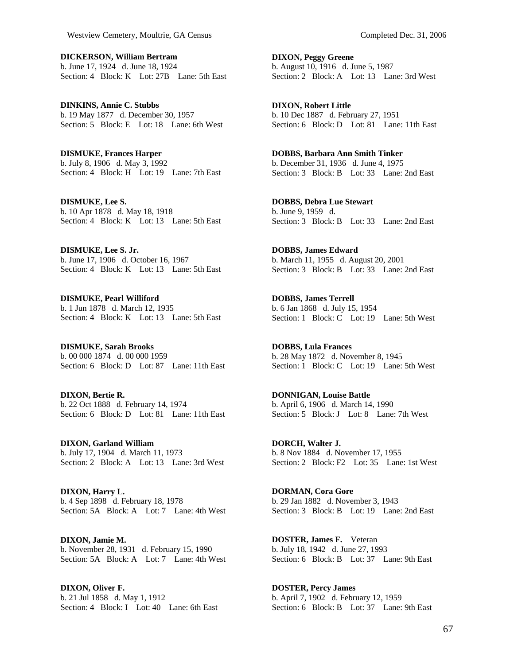**DICKERSON, William Bertram**  b. June 17, 1924 d. June 18, 1924 Section: 4 Block: K Lot: 27B Lane: 5th East

**DINKINS, Annie C. Stubbs**  b. 19 May 1877 d. December 30, 1957 Section: 5 Block: E Lot: 18 Lane: 6th West

**DISMUKE, Frances Harper**  b. July 8, 1906 d. May 3, 1992 Section: 4 Block: H Lot: 19 Lane: 7th East

**DISMUKE, Lee S.**  b. 10 Apr 1878 d. May 18, 1918 Section: 4 Block: K Lot: 13 Lane: 5th East

**DISMUKE, Lee S. Jr.**  b. June 17, 1906 d. October 16, 1967 Section: 4 Block: K Lot: 13 Lane: 5th East

**DISMUKE, Pearl Williford**  b. 1 Jun 1878 d. March 12, 1935 Section: 4 Block: K Lot: 13 Lane: 5th East

**DISMUKE, Sarah Brooks**  b. 00 000 1874 d. 00 000 1959 Section: 6 Block: D Lot: 87 Lane: 11th East

**DIXON, Bertie R.**  b. 22 Oct 1888 d. February 14, 1974 Section: 6 Block: D Lot: 81 Lane: 11th East

**DIXON, Garland William**  b. July 17, 1904 d. March 11, 1973 Section: 2 Block: A Lot: 13 Lane: 3rd West

**DIXON, Harry L.**  b. 4 Sep 1898 d. February 18, 1978 Section: 5A Block: A Lot: 7 Lane: 4th West

**DIXON, Jamie M.**  b. November 28, 1931 d. February 15, 1990 Section: 5A Block: A Lot: 7 Lane: 4th West

**DIXON, Oliver F.**  b. 21 Jul 1858 d. May 1, 1912 Section: 4 Block: I Lot: 40 Lane: 6th East **DIXON, Peggy Greene**  b. August 10, 1916 d. June 5, 1987 Section: 2 Block: A Lot: 13 Lane: 3rd West

**DIXON, Robert Little**  b. 10 Dec 1887 d. February 27, 1951 Section: 6 Block: D Lot: 81 Lane: 11th East

**DOBBS, Barbara Ann Smith Tinker**  b. December 31, 1936 d. June 4, 1975 Section: 3 Block: B Lot: 33 Lane: 2nd East

**DOBBS, Debra Lue Stewart**  b. June 9, 1959 d. Section: 3 Block: B Lot: 33 Lane: 2nd East

**DOBBS, James Edward**  b. March 11, 1955 d. August 20, 2001 Section: 3 Block: B Lot: 33 Lane: 2nd East

**DOBBS, James Terrell**  b. 6 Jan 1868 d. July 15, 1954 Section: 1 Block: C Lot: 19 Lane: 5th West

**DOBBS, Lula Frances**  b. 28 May 1872 d. November 8, 1945 Section: 1 Block: C Lot: 19 Lane: 5th West

**DONNIGAN, Louise Battle**  b. April 6, 1906 d. March 14, 1990 Section: 5 Block: J Lot: 8 Lane: 7th West

**DORCH, Walter J.**  b. 8 Nov 1884 d. November 17, 1955 Section: 2 Block: F2 Lot: 35 Lane: 1st West

**DORMAN, Cora Gore**  b. 29 Jan 1882 d. November 3, 1943 Section: 3 Block: B Lot: 19 Lane: 2nd East

**DOSTER, James F.** Veteran b. July 18, 1942 d. June 27, 1993 Section: 6 Block: B Lot: 37 Lane: 9th East

**DOSTER, Percy James**  b. April 7, 1902 d. February 12, 1959 Section: 6 Block: B Lot: 37 Lane: 9th East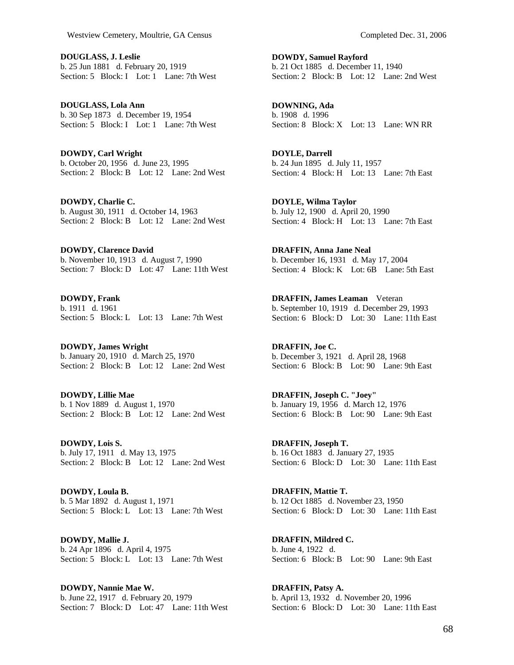**DOUGLASS, J. Leslie**  b. 25 Jun 1881 d. February 20, 1919 Section: 5 Block: I Lot: 1 Lane: 7th West

**DOUGLASS, Lola Ann**  b. 30 Sep 1873 d. December 19, 1954 Section: 5 Block: I Lot: 1 Lane: 7th West

**DOWDY, Carl Wright**  b. October 20, 1956 d. June 23, 1995 Section: 2 Block: B Lot: 12 Lane: 2nd West

**DOWDY, Charlie C.**  b. August 30, 1911 d. October 14, 1963 Section: 2 Block: B Lot: 12 Lane: 2nd West

**DOWDY, Clarence David**  b. November 10, 1913 d. August 7, 1990 Section: 7 Block: D Lot: 47 Lane: 11th West

**DOWDY, Frank**  b. 1911 d. 1961 Section: 5 Block: L Lot: 13 Lane: 7th West

**DOWDY, James Wright**  b. January 20, 1910 d. March 25, 1970 Section: 2 Block: B Lot: 12 Lane: 2nd West

**DOWDY, Lillie Mae**  b. 1 Nov 1889 d. August 1, 1970 Section: 2 Block: B Lot: 12 Lane: 2nd West

**DOWDY, Lois S.**  b. July 17, 1911 d. May 13, 1975 Section: 2 Block: B Lot: 12 Lane: 2nd West

**DOWDY, Loula B.**  b. 5 Mar 1892 d. August 1, 1971 Section: 5 Block: L Lot: 13 Lane: 7th West

**DOWDY, Mallie J.**  b. 24 Apr 1896 d. April 4, 1975 Section: 5 Block: L Lot: 13 Lane: 7th West

**DOWDY, Nannie Mae W.**  b. June 22, 1917 d. February 20, 1979 Section: 7 Block: D Lot: 47 Lane: 11th West **DOWDY, Samuel Rayford**  b. 21 Oct 1885 d. December 11, 1940 Section: 2 Block: B Lot: 12 Lane: 2nd West

**DOWNING, Ada**  b. 1908 d. 1996 Section: 8 Block: X Lot: 13 Lane: WN RR

**DOYLE, Darrell**  b. 24 Jun 1895 d. July 11, 1957 Section: 4 Block: H Lot: 13 Lane: 7th East

**DOYLE, Wilma Taylor**  b. July 12, 1900 d. April 20, 1990 Section: 4 Block: H Lot: 13 Lane: 7th East

**DRAFFIN, Anna Jane Neal**  b. December 16, 1931 d. May 17, 2004 Section: 4 Block: K Lot: 6B Lane: 5th East

**DRAFFIN, James Leaman** Veteran b. September 10, 1919 d. December 29, 1993 Section: 6 Block: D Lot: 30 Lane: 11th East

**DRAFFIN, Joe C.**  b. December 3, 1921 d. April 28, 1968 Section: 6 Block: B Lot: 90 Lane: 9th East

**DRAFFIN, Joseph C. "Joey"**  b. January 19, 1956 d. March 12, 1976 Section: 6 Block: B Lot: 90 Lane: 9th East

**DRAFFIN, Joseph T.**  b. 16 Oct 1883 d. January 27, 1935 Section: 6 Block: D Lot: 30 Lane: 11th East

**DRAFFIN, Mattie T.**  b. 12 Oct 1885 d. November 23, 1950 Section: 6 Block: D Lot: 30 Lane: 11th East

**DRAFFIN, Mildred C.**  b. June 4, 1922 d. Section: 6 Block: B Lot: 90 Lane: 9th East

**DRAFFIN, Patsy A.**  b. April 13, 1932 d. November 20, 1996 Section: 6 Block: D Lot: 30 Lane: 11th East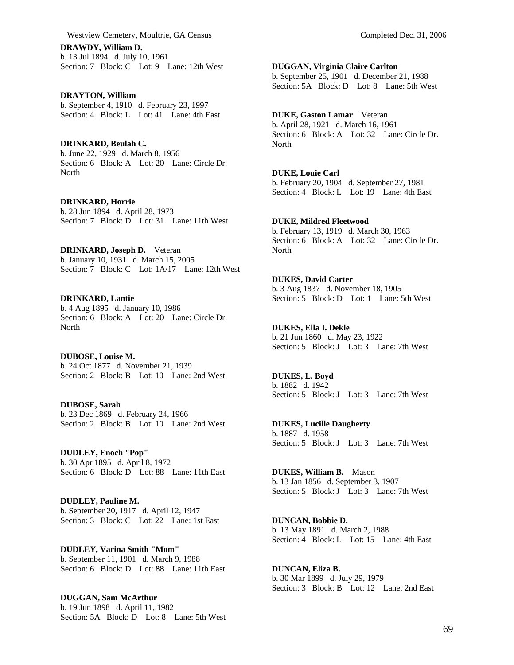**DRAWDY, William D.**  b. 13 Jul 1894 d. July 10, 1961 Section: 7 Block: C Lot: 9 Lane: 12th West

**DRAYTON, William**  b. September 4, 1910 d. February 23, 1997 Section: 4 Block: L Lot: 41 Lane: 4th East

**DRINKARD, Beulah C.**  b. June 22, 1929 d. March 8, 1956 Section: 6 Block: A Lot: 20 Lane: Circle Dr. **North** 

**DRINKARD, Horrie**  b. 28 Jun 1894 d. April 28, 1973 Section: 7 Block: D Lot: 31 Lane: 11th West

**DRINKARD, Joseph D.** Veteran b. January 10, 1931 d. March 15, 2005 Section: 7 Block: C Lot: 1A/17 Lane: 12th West

**DRINKARD, Lantie**  b. 4 Aug 1895 d. January 10, 1986 Section: 6 Block: A Lot: 20 Lane: Circle Dr. **North** 

**DUBOSE, Louise M.**  b. 24 Oct 1877 d. November 21, 1939 Section: 2 Block: B Lot: 10 Lane: 2nd West

**DUBOSE, Sarah**  b. 23 Dec 1869 d. February 24, 1966 Section: 2 Block: B Lot: 10 Lane: 2nd West

**DUDLEY, Enoch "Pop"**  b. 30 Apr 1895 d. April 8, 1972 Section: 6 Block: D Lot: 88 Lane: 11th East

**DUDLEY, Pauline M.**  b. September 20, 1917 d. April 12, 1947 Section: 3 Block: C Lot: 22 Lane: 1st East

**DUDLEY, Varina Smith "Mom"**  b. September 11, 1901 d. March 9, 1988 Section: 6 Block: D Lot: 88 Lane: 11th East

**DUGGAN, Sam McArthur**  b. 19 Jun 1898 d. April 11, 1982 Section: 5A Block: D Lot: 8 Lane: 5th West **DUGGAN, Virginia Claire Carlton** 

b. September 25, 1901 d. December 21, 1988 Section: 5A Block: D Lot: 8 Lane: 5th West

## **DUKE, Gaston Lamar** Veteran

b. April 28, 1921 d. March 16, 1961 Section: 6 Block: A Lot: 32 Lane: Circle Dr. North

## **DUKE, Louie Carl**

b. February 20, 1904 d. September 27, 1981 Section: 4 Block: L Lot: 19 Lane: 4th East

## **DUKE, Mildred Fleetwood**

b. February 13, 1919 d. March 30, 1963 Section: 6 Block: A Lot: 32 Lane: Circle Dr. North

**DUKES, David Carter**  b. 3 Aug 1837 d. November 18, 1905 Section: 5 Block: D Lot: 1 Lane: 5th West

**DUKES, Ella I. Dekle**  b. 21 Jun 1860 d. May 23, 1922 Section: 5 Block: J Lot: 3 Lane: 7th West

**DUKES, L. Boyd**  b. 1882 d. 1942 Section: 5 Block: J Lot: 3 Lane: 7th West

**DUKES, Lucille Daugherty**  b. 1887 d. 1958 Section: 5 Block: J Lot: 3 Lane: 7th West

**DUKES, William B.** Mason b. 13 Jan 1856 d. September 3, 1907 Section: 5 Block: J Lot: 3 Lane: 7th West

**DUNCAN, Bobbie D.**  b. 13 May 1891 d. March 2, 1988 Section: 4 Block: L Lot: 15 Lane: 4th East

**DUNCAN, Eliza B.**  b. 30 Mar 1899 d. July 29, 1979 Section: 3 Block: B Lot: 12 Lane: 2nd East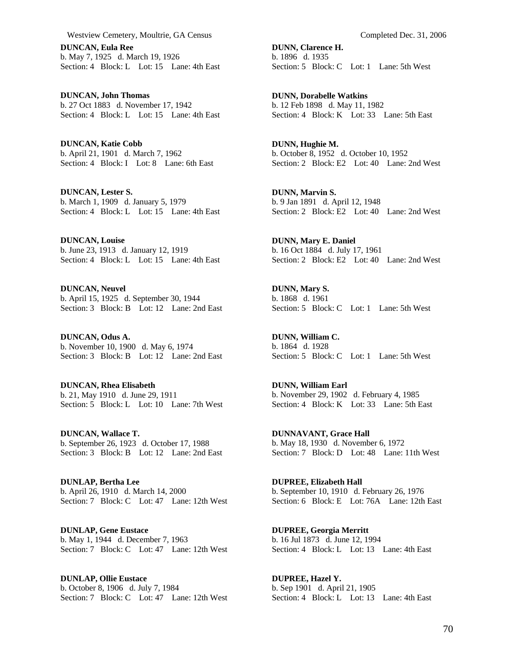**DUNCAN, Eula Ree**  b. May 7, 1925 d. March 19, 1926 Section: 4 Block: L Lot: 15 Lane: 4th East

**DUNCAN, John Thomas**  b. 27 Oct 1883 d. November 17, 1942 Section: 4 Block: L Lot: 15 Lane: 4th East

**DUNCAN, Katie Cobb**  b. April 21, 1901 d. March 7, 1962 Section: 4 Block: I Lot: 8 Lane: 6th East

**DUNCAN, Lester S.**  b. March 1, 1909 d. January 5, 1979 Section: 4 Block: L Lot: 15 Lane: 4th East

**DUNCAN, Louise**  b. June 23, 1913 d. January 12, 1919 Section: 4 Block: L Lot: 15 Lane: 4th East

**DUNCAN, Neuvel**  b. April 15, 1925 d. September 30, 1944 Section: 3 Block: B Lot: 12 Lane: 2nd East

**DUNCAN, Odus A.**  b. November 10, 1900 d. May 6, 1974 Section: 3 Block: B Lot: 12 Lane: 2nd East

**DUNCAN, Rhea Elisabeth**  b. 21, May 1910 d. June 29, 1911 Section: 5 Block: L Lot: 10 Lane: 7th West

**DUNCAN, Wallace T.**  b. September 26, 1923 d. October 17, 1988 Section: 3 Block: B Lot: 12 Lane: 2nd East

**DUNLAP, Bertha Lee**  b. April 26, 1910 d. March 14, 2000 Section: 7 Block: C Lot: 47 Lane: 12th West

**DUNLAP, Gene Eustace**  b. May 1, 1944 d. December 7, 1963 Section: 7 Block: C Lot: 47 Lane: 12th West

**DUNLAP, Ollie Eustace**  b. October 8, 1906 d. July 7, 1984 Section: 7 Block: C Lot: 47 Lane: 12th West **DUNN, Clarence H.**  b. 1896 d. 1935 Section: 5 Block: C Lot: 1 Lane: 5th West

**DUNN, Dorabelle Watkins**  b. 12 Feb 1898 d. May 11, 1982 Section: 4 Block: K Lot: 33 Lane: 5th East

**DUNN, Hughie M.**  b. October 8, 1952 d. October 10, 1952 Section: 2 Block: E2 Lot: 40 Lane: 2nd West

**DUNN, Marvin S.**  b. 9 Jan 1891 d. April 12, 1948 Section: 2 Block: E2 Lot: 40 Lane: 2nd West

**DUNN, Mary E. Daniel**  b. 16 Oct 1884 d. July 17, 1961 Section: 2 Block: E2 Lot: 40 Lane: 2nd West

**DUNN, Mary S.**  b. 1868 d. 1961 Section: 5 Block: C Lot: 1 Lane: 5th West

**DUNN, William C.**  b. 1864 d. 1928 Section: 5 Block: C Lot: 1 Lane: 5th West

**DUNN, William Earl**  b. November 29, 1902 d. February 4, 1985 Section: 4 Block: K Lot: 33 Lane: 5th East

**DUNNAVANT, Grace Hall**  b. May 18, 1930 d. November 6, 1972 Section: 7 Block: D Lot: 48 Lane: 11th West

**DUPREE, Elizabeth Hall**  b. September 10, 1910 d. February 26, 1976 Section: 6 Block: E Lot: 76A Lane: 12th East

**DUPREE, Georgia Merritt**  b. 16 Jul 1873 d. June 12, 1994 Section: 4 Block: L Lot: 13 Lane: 4th East

**DUPREE, Hazel Y.**  b. Sep 1901 d. April 21, 1905 Section: 4 Block: L Lot: 13 Lane: 4th East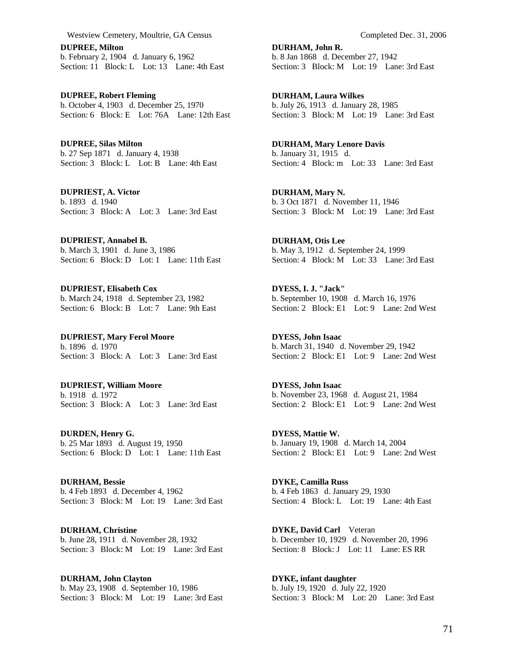**DUPREE, Milton**  b. February 2, 1904 d. January 6, 1962 Section: 11 Block: L Lot: 13 Lane: 4th East

**DUPREE, Robert Fleming**  b. October 4, 1903 d. December 25, 1970 Section: 6 Block: E Lot: 76A Lane: 12th East

**DUPREE, Silas Milton**  b. 27 Sep 1871 d. January 4, 1938 Section: 3 Block: L Lot: B Lane: 4th East

**DUPRIEST, A. Victor**  b. 1893 d. 1940 Section: 3 Block: A Lot: 3 Lane: 3rd East

**DUPRIEST, Annabel B.**  b. March 3, 1901 d. June 3, 1986 Section: 6 Block: D Lot: 1 Lane: 11th East

**DUPRIEST, Elisabeth Cox**  b. March 24, 1918 d. September 23, 1982 Section: 6 Block: B Lot: 7 Lane: 9th East

**DUPRIEST, Mary Ferol Moore**  b. 1896 d. 1970 Section: 3 Block: A Lot: 3 Lane: 3rd East

**DUPRIEST, William Moore**  b. 1918 d. 1972 Section: 3 Block: A Lot: 3 Lane: 3rd East

**DURDEN, Henry G.**  b. 25 Mar 1893 d. August 19, 1950 Section: 6 Block: D Lot: 1 Lane: 11th East

**DURHAM, Bessie**  b. 4 Feb 1893 d. December 4, 1962 Section: 3 Block: M Lot: 19 Lane: 3rd East

**DURHAM, Christine**  b. June 28, 1911 d. November 28, 1932 Section: 3 Block: M Lot: 19 Lane: 3rd East

**DURHAM, John Clayton**  b. May 23, 1908 d. September 10, 1986 Section: 3 Block: M Lot: 19 Lane: 3rd East **DURHAM, John R.**  b. 8 Jan 1868 d. December 27, 1942 Section: 3 Block: M Lot: 19 Lane: 3rd East

**DURHAM, Laura Wilkes**  b. July 26, 1913 d. January 28, 1985 Section: 3 Block: M Lot: 19 Lane: 3rd East

**DURHAM, Mary Lenore Davis**  b. January 31, 1915 d. Section: 4 Block: m Lot: 33 Lane: 3rd East

**DURHAM, Mary N.**  b. 3 Oct 1871 d. November 11, 1946 Section: 3 Block: M Lot: 19 Lane: 3rd East

**DURHAM, Otis Lee**  b. May 3, 1912 d. September 24, 1999 Section: 4 Block: M Lot: 33 Lane: 3rd East

**DYESS, I. J. "Jack"**  b. September 10, 1908 d. March 16, 1976 Section: 2 Block: E1 Lot: 9 Lane: 2nd West

**DYESS, John Isaac**  b. March 31, 1940 d. November 29, 1942 Section: 2 Block: E1 Lot: 9 Lane: 2nd West

**DYESS, John Isaac**  b. November 23, 1968 d. August 21, 1984 Section: 2 Block: E1 Lot: 9 Lane: 2nd West

**DYESS, Mattie W.**  b. January 19, 1908 d. March 14, 2004 Section: 2 Block: E1 Lot: 9 Lane: 2nd West

**DYKE, Camilla Russ**  b. 4 Feb 1863 d. January 29, 1930 Section: 4 Block: L Lot: 19 Lane: 4th East

**DYKE, David Carl** Veteran b. December 10, 1929 d. November 20, 1996 Section: 8 Block: J Lot: 11 Lane: ESRR

**DYKE, infant daughter**  b. July 19, 1920 d. July 22, 1920 Section: 3 Block: M Lot: 20 Lane: 3rd East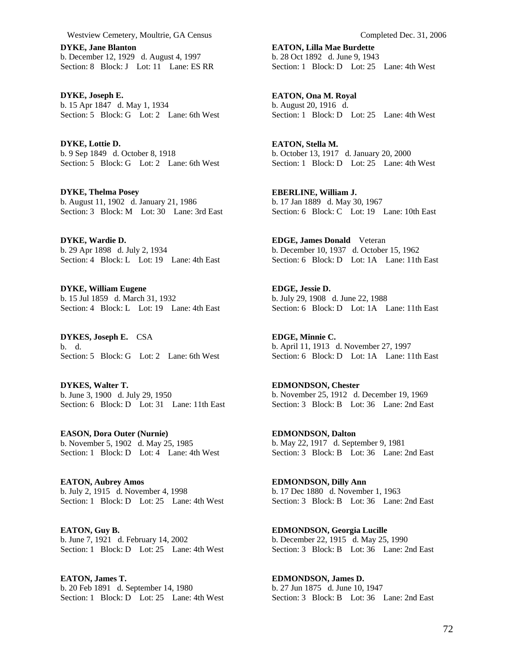**DYKE, Jane Blanton**  b. December 12, 1929 d. August 4, 1997 Section: 8 Block: J Lot: 11 Lane: ES RR

**DYKE, Joseph E.**  b. 15 Apr 1847 d. May 1, 1934 Section: 5 Block: G Lot: 2 Lane: 6th West

**DYKE, Lottie D.**  b. 9 Sep 1849 d. October 8, 1918 Section: 5 Block: G Lot: 2 Lane: 6th West

**DYKE, Thelma Posey**  b. August 11, 1902 d. January 21, 1986 Section: 3 Block: M Lot: 30 Lane: 3rd East

**DYKE, Wardie D.**  b. 29 Apr 1898 d. July 2, 1934 Section: 4 Block: L Lot: 19 Lane: 4th East

**DYKE, William Eugene**  b. 15 Jul 1859 d. March 31, 1932 Section: 4 Block: L Lot: 19 Lane: 4th East

**DYKES, Joseph E.** CSA b. d. Section: 5 Block: G Lot: 2 Lane: 6th West

**DYKES, Walter T.**  b. June 3, 1900 d. July 29, 1950 Section: 6 Block: D Lot: 31 Lane: 11th East

**EASON, Dora Outer (Nurnie)**  b. November 5, 1902 d. May 25, 1985 Section: 1 Block: D Lot: 4 Lane: 4th West

**EATON, Aubrey Amos**  b. July 2, 1915 d. November 4, 1998 Section: 1 Block: D Lot: 25 Lane: 4th West

**EATON, Guy B.**  b. June 7, 1921 d. February 14, 2002 Section: 1 Block: D Lot: 25 Lane: 4th West

**EATON, James T.**  b. 20 Feb 1891 d. September 14, 1980 Section: 1 Block: D Lot: 25 Lane: 4th West **EATON, Lilla Mae Burdette**  b. 28 Oct 1892 d. June 9, 1943 Section: 1 Block: D Lot: 25 Lane: 4th West

**EATON, Ona M. Royal**  b. August 20, 1916 d. Section: 1 Block: D Lot: 25 Lane: 4th West

**EATON, Stella M.**  b. October 13, 1917 d. January 20, 2000 Section: 1 Block: D Lot: 25 Lane: 4th West

**EBERLINE, William J.**  b. 17 Jan 1889 d. May 30, 1967 Section: 6 Block: C Lot: 19 Lane: 10th East

**EDGE, James Donald** Veteran b. December 10, 1937 d. October 15, 1962 Section: 6 Block: D Lot: 1A Lane: 11th East

**EDGE, Jessie D.**  b. July 29, 1908 d. June 22, 1988 Section: 6 Block: D Lot: 1A Lane: 11th East

**EDGE, Minnie C.**  b. April 11, 1913 d. November 27, 1997 Section: 6 Block: D Lot: 1A Lane: 11th East

**EDMONDSON, Chester**  b. November 25, 1912 d. December 19, 1969 Section: 3 Block: B Lot: 36 Lane: 2nd East

**EDMONDSON, Dalton**  b. May 22, 1917 d. September 9, 1981 Section: 3 Block: B Lot: 36 Lane: 2nd East

**EDMONDSON, Dilly Ann**  b. 17 Dec 1880 d. November 1, 1963 Section: 3 Block: B Lot: 36 Lane: 2nd East

**EDMONDSON, Georgia Lucille**  b. December 22, 1915 d. May 25, 1990 Section: 3 Block: B Lot: 36 Lane: 2nd East

**EDMONDSON, James D.**  b. 27 Jun 1875 d. June 10, 1947 Section: 3 Block: B Lot: 36 Lane: 2nd East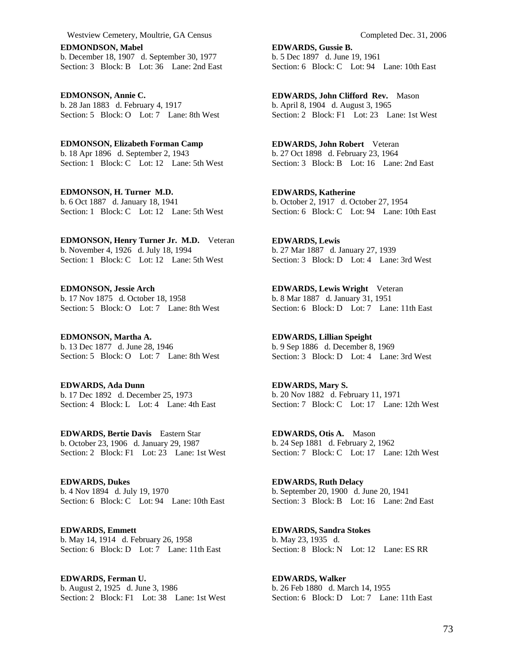**EDMONDSON, Mabel**  b. December 18, 1907 d. September 30, 1977 Section: 3 Block: B Lot: 36 Lane: 2nd East

**EDMONSON, Annie C.**  b. 28 Jan 1883 d. February 4, 1917 Section: 5 Block: O Lot: 7 Lane: 8th West

**EDMONSON, Elizabeth Forman Camp**  b. 18 Apr 1896 d. September 2, 1943 Section: 1 Block: C Lot: 12 Lane: 5th West

**EDMONSON, H. Turner M.D.**  b. 6 Oct 1887 d. January 18, 1941 Section: 1 Block: C Lot: 12 Lane: 5th West

**EDMONSON, Henry Turner Jr. M.D.** Veteran b. November 4, 1926 d. July 18, 1994 Section: 1 Block: C Lot: 12 Lane: 5th West

**EDMONSON, Jessie Arch**  b. 17 Nov 1875 d. October 18, 1958 Section: 5 Block: O Lot: 7 Lane: 8th West

**EDMONSON, Martha A.**  b. 13 Dec 1877 d. June 28, 1946 Section: 5 Block: O Lot: 7 Lane: 8th West

**EDWARDS, Ada Dunn**  b. 17 Dec 1892 d. December 25, 1973 Section: 4 Block: L Lot: 4 Lane: 4th East

**EDWARDS, Bertie Davis** Eastern Star b. October 23, 1906 d. January 29, 1987 Section: 2 Block: F1 Lot: 23 Lane: 1st West

**EDWARDS, Dukes**  b. 4 Nov 1894 d. July 19, 1970 Section: 6 Block: C Lot: 94 Lane: 10th East

**EDWARDS, Emmett**  b. May 14, 1914 d. February 26, 1958 Section: 6 Block: D Lot: 7 Lane: 11th East

**EDWARDS, Ferman U.**  b. August 2, 1925 d. June 3, 1986 Section: 2 Block: F1 Lot: 38 Lane: 1st West **EDWARDS, Gussie B.**  b. 5 Dec 1897 d. June 19, 1961 Section: 6 Block: C Lot: 94 Lane: 10th East

**EDWARDS, John Clifford Rev.** Mason b. April 8, 1904 d. August 3, 1965 Section: 2 Block: F1 Lot: 23 Lane: 1st West

**EDWARDS, John Robert** Veteran b. 27 Oct 1898 d. February 23, 1964 Section: 3 Block: B Lot: 16 Lane: 2nd East

**EDWARDS, Katherine**  b. October 2, 1917 d. October 27, 1954 Section: 6 Block: C Lot: 94 Lane: 10th East

**EDWARDS, Lewis**  b. 27 Mar 1887 d. January 27, 1939 Section: 3 Block: D Lot: 4 Lane: 3rd West

**EDWARDS, Lewis Wright** Veteran b. 8 Mar 1887 d. January 31, 1951 Section: 6 Block: D Lot: 7 Lane: 11th East

**EDWARDS, Lillian Speight**  b. 9 Sep 1886 d. December 8, 1969 Section: 3 Block: D Lot: 4 Lane: 3rd West

**EDWARDS, Mary S.**  b. 20 Nov 1882 d. February 11, 1971 Section: 7 Block: C Lot: 17 Lane: 12th West

**EDWARDS, Otis A.** Mason b. 24 Sep 1881 d. February 2, 1962 Section: 7 Block: C Lot: 17 Lane: 12th West

**EDWARDS, Ruth Delacy**  b. September 20, 1900 d. June 20, 1941 Section: 3 Block: B Lot: 16 Lane: 2nd East

**EDWARDS, Sandra Stokes**  b. May 23, 1935 d. Section: 8 Block: N Lot: 12 Lane: ES RR

**EDWARDS, Walker**  b. 26 Feb 1880 d. March 14, 1955 Section: 6 Block: D Lot: 7 Lane: 11th East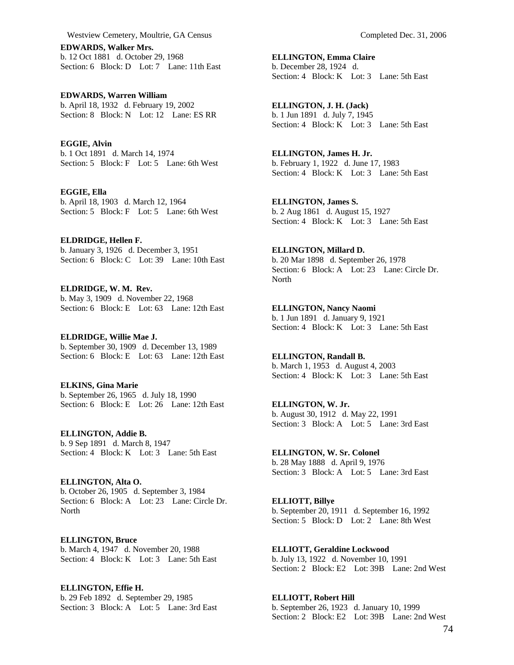**EDWARDS, Walker Mrs.**  b. 12 Oct 1881 d. October 29, 1968 Section: 6 Block: D Lot: 7 Lane: 11th East

**EDWARDS, Warren William**  b. April 18, 1932 d. February 19, 2002 Section: 8 Block: N Lot: 12 Lane: ES RR

**EGGIE, Alvin**  b. 1 Oct 1891 d. March 14, 1974 Section: 5 Block: F Lot: 5 Lane: 6th West

**EGGIE, Ella**  b. April 18, 1903 d. March 12, 1964 Section: 5 Block: F Lot: 5 Lane: 6th West

**ELDRIDGE, Hellen F.**  b. January 3, 1926 d. December 3, 1951 Section: 6 Block: C Lot: 39 Lane: 10th East

**ELDRIDGE, W. M. Rev.**  b. May 3, 1909 d. November 22, 1968 Section: 6 Block: E Lot: 63 Lane: 12th East

**ELDRIDGE, Willie Mae J.**  b. September 30, 1909 d. December 13, 1989 Section: 6 Block: E Lot: 63 Lane: 12th East

**ELKINS, Gina Marie**  b. September 26, 1965 d. July 18, 1990 Section: 6 Block: E Lot: 26 Lane: 12th East

**ELLINGTON, Addie B.**  b. 9 Sep 1891 d. March 8, 1947 Section: 4 Block: K Lot: 3 Lane: 5th East

**ELLINGTON, Alta O.**  b. October 26, 1905 d. September 3, 1984 Section: 6 Block: A Lot: 23 Lane: Circle Dr. **North** 

**ELLINGTON, Bruce**  b. March 4, 1947 d. November 20, 1988 Section: 4 Block: K Lot: 3 Lane: 5th East

**ELLINGTON, Effie H.**  b. 29 Feb 1892 d. September 29, 1985 Section: 3 Block: A Lot: 5 Lane: 3rd East **ELLINGTON, Emma Claire**  b. December 28, 1924 d. Section: 4 Block: K Lot: 3 Lane: 5th East

**ELLINGTON, J. H. (Jack)**  b. 1 Jun 1891 d. July 7, 1945 Section: 4 Block: K Lot: 3 Lane: 5th East

**ELLINGTON, James H. Jr.**  b. February 1, 1922 d. June 17, 1983 Section: 4 Block: K Lot: 3 Lane: 5th East

**ELLINGTON, James S.**  b. 2 Aug 1861 d. August 15, 1927 Section: 4 Block: K Lot: 3 Lane: 5th East

**ELLINGTON, Millard D.**  b. 20 Mar 1898 d. September 26, 1978 Section: 6 Block: A Lot: 23 Lane: Circle Dr. North

**ELLINGTON, Nancy Naomi**  b. 1 Jun 1891 d. January 9, 1921 Section: 4 Block: K Lot: 3 Lane: 5th East

**ELLINGTON, Randall B.**  b. March 1, 1953 d. August 4, 2003 Section: 4 Block: K Lot: 3 Lane: 5th East

**ELLINGTON, W. Jr.**  b. August 30, 1912 d. May 22, 1991 Section: 3 Block: A Lot: 5 Lane: 3rd East

**ELLINGTON, W. Sr. Colonel**  b. 28 May 1888 d. April 9, 1976 Section: 3 Block: A Lot: 5 Lane: 3rd East

**ELLIOTT, Billye**  b. September 20, 1911 d. September 16, 1992 Section: 5 Block: D Lot: 2 Lane: 8th West

**ELLIOTT, Geraldine Lockwood**  b. July 13, 1922 d. November 10, 1991 Section: 2 Block: E2 Lot: 39B Lane: 2nd West

**ELLIOTT, Robert Hill**  b. September 26, 1923 d. January 10, 1999 Section: 2 Block: E2 Lot: 39B Lane: 2nd West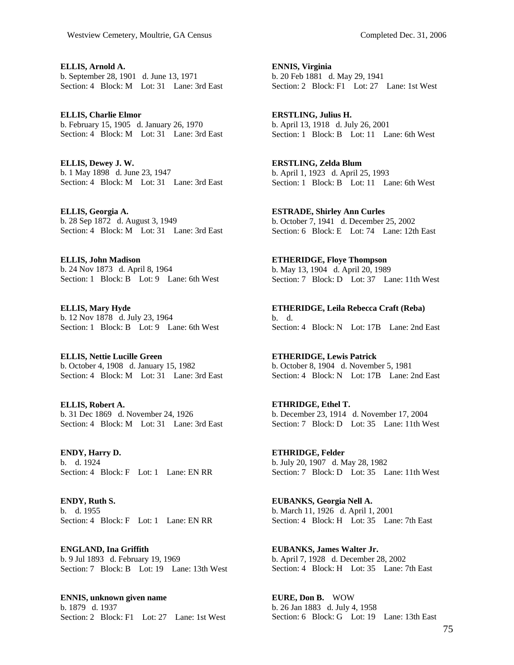**ELLIS, Arnold A.**  b. September 28, 1901 d. June 13, 1971 Section: 4 Block: M Lot: 31 Lane: 3rd East

**ELLIS, Charlie Elmor**  b. February 15, 1905 d. January 26, 1970 Section: 4 Block: M Lot: 31 Lane: 3rd East

**ELLIS, Dewey J. W.**  b. 1 May 1898 d. June 23, 1947 Section: 4 Block: M Lot: 31 Lane: 3rd East

**ELLIS, Georgia A.**  b. 28 Sep 1872 d. August 3, 1949 Section: 4 Block: M Lot: 31 Lane: 3rd East

**ELLIS, John Madison**  b. 24 Nov 1873 d. April 8, 1964 Section: 1 Block: B Lot: 9 Lane: 6th West

**ELLIS, Mary Hyde**  b. 12 Nov 1878 d. July 23, 1964 Section: 1 Block: B Lot: 9 Lane: 6th West

**ELLIS, Nettie Lucille Green**  b. October 4, 1908 d. January 15, 1982 Section: 4 Block: M Lot: 31 Lane: 3rd East

**ELLIS, Robert A.**  b. 31 Dec 1869 d. November 24, 1926 Section: 4 Block: M Lot: 31 Lane: 3rd East

**ENDY, Harry D.**  b. d. 1924 Section: 4 Block: F Lot: 1 Lane: EN RR

**ENDY, Ruth S.**  b. d. 1955 Section: 4 Block: F Lot: 1 Lane: EN RR

**ENGLAND, Ina Griffith**  b. 9 Jul 1893 d. February 19, 1969 Section: 7 Block: B Lot: 19 Lane: 13th West

**ENNIS, unknown given name**  b. 1879 d. 1937 Section: 2 Block: F1 Lot: 27 Lane: 1st West **ENNIS, Virginia**  b. 20 Feb 1881 d. May 29, 1941 Section: 2 Block: F1 Lot: 27 Lane: 1st West

**ERSTLING, Julius H.**  b. April 13, 1918 d. July 26, 2001 Section: 1 Block: B Lot: 11 Lane: 6th West

**ERSTLING, Zelda Blum**  b. April 1, 1923 d. April 25, 1993 Section: 1 Block: B Lot: 11 Lane: 6th West

**ESTRADE, Shirley Ann Curles**  b. October 7, 1941 d. December 25, 2002 Section: 6 Block: E Lot: 74 Lane: 12th East

**ETHERIDGE, Floye Thompson**  b. May 13, 1904 d. April 20, 1989 Section: 7 Block: D Lot: 37 Lane: 11th West

**ETHERIDGE, Leila Rebecca Craft (Reba)**  b. d. Section: 4 Block: N Lot: 17B Lane: 2nd East

**ETHERIDGE, Lewis Patrick**  b. October 8, 1904 d. November 5, 1981 Section: 4 Block: N Lot: 17B Lane: 2nd East

**ETHRIDGE, Ethel T.**  b. December 23, 1914 d. November 17, 2004 Section: 7 Block: D Lot: 35 Lane: 11th West

**ETHRIDGE, Felder**  b. July 20, 1907 d. May 28, 1982 Section: 7 Block: D Lot: 35 Lane: 11th West

**EUBANKS, Georgia Nell A.**  b. March 11, 1926 d. April 1, 2001 Section: 4 Block: H Lot: 35 Lane: 7th East

**EUBANKS, James Walter Jr.**  b. April 7, 1928 d. December 28, 2002 Section: 4 Block: H Lot: 35 Lane: 7th East

**EURE, Don B.** WOW b. 26 Jan 1883 d. July 4, 1958 Section: 6 Block: G Lot: 19 Lane: 13th East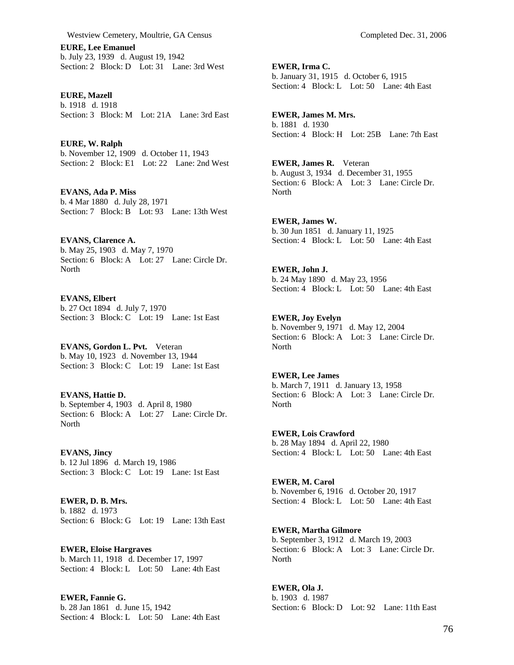**EURE, Lee Emanuel**  b. July 23, 1939 d. August 19, 1942 Section: 2 Block: D Lot: 31 Lane: 3rd West

**EURE, Mazell**  b. 1918 d. 1918 Section: 3 Block: M Lot: 21A Lane: 3rd East

**EURE, W. Ralph**  b. November 12, 1909 d. October 11, 1943 Section: 2 Block: E1 Lot: 22 Lane: 2nd West

**EVANS, Ada P. Miss**  b. 4 Mar 1880 d. July 28, 1971 Section: 7 Block: B Lot: 93 Lane: 13th West

**EVANS, Clarence A.**  b. May 25, 1903 d. May 7, 1970 Section: 6 Block: A Lot: 27 Lane: Circle Dr. **North** 

**EVANS, Elbert**  b. 27 Oct 1894 d. July 7, 1970 Section: 3 Block: C Lot: 19 Lane: 1st East

**EVANS, Gordon L. Pvt.** Veteran b. May 10, 1923 d. November 13, 1944 Section: 3 Block: C Lot: 19 Lane: 1st East

## **EVANS, Hattie D.**  b. September 4, 1903 d. April 8, 1980 Section: 6 Block: A Lot: 27 Lane: Circle Dr. **North**

**EVANS, Jincy**  b. 12 Jul 1896 d. March 19, 1986 Section: 3 Block: C Lot: 19 Lane: 1st East

**EWER, D. B. Mrs.**  b. 1882 d. 1973 Section: 6 Block: G Lot: 19 Lane: 13th East

**EWER, Eloise Hargraves**  b. March 11, 1918 d. December 17, 1997 Section: 4 Block: L Lot: 50 Lane: 4th East

**EWER, Fannie G.**  b. 28 Jan 1861 d. June 15, 1942 Section: 4 Block: L Lot: 50 Lane: 4th East **EWER, Irma C.**  b. January 31, 1915 d. October 6, 1915 Section: 4 Block: L Lot: 50 Lane: 4th East

**EWER, James M. Mrs.**  b. 1881 d. 1930 Section: 4 Block: H Lot: 25B Lane: 7th East

**EWER, James R.** Veteran b. August 3, 1934 d. December 31, 1955 Section: 6 Block: A Lot: 3 Lane: Circle Dr. North

**EWER, James W.**  b. 30 Jun 1851 d. January 11, 1925 Section: 4 Block: L Lot: 50 Lane: 4th East

**EWER, John J.**  b. 24 May 1890 d. May 23, 1956 Section: 4 Block: L Lot: 50 Lane: 4th East

**EWER, Joy Evelyn**  b. November 9, 1971 d. May 12, 2004 Section: 6 Block: A Lot: 3 Lane: Circle Dr. North

**EWER, Lee James**  b. March 7, 1911 d. January 13, 1958 Section: 6 Block: A Lot: 3 Lane: Circle Dr. **North** 

**EWER, Lois Crawford**  b. 28 May 1894 d. April 22, 1980 Section: 4 Block: L Lot: 50 Lane: 4th East

**EWER, M. Carol**  b. November 6, 1916 d. October 20, 1917 Section: 4 Block: L Lot: 50 Lane: 4th East

**EWER, Martha Gilmore**  b. September 3, 1912 d. March 19, 2003 Section: 6 Block: A Lot: 3 Lane: Circle Dr. North

**EWER, Ola J.**  b. 1903 d. 1987 Section: 6 Block: D Lot: 92 Lane: 11th East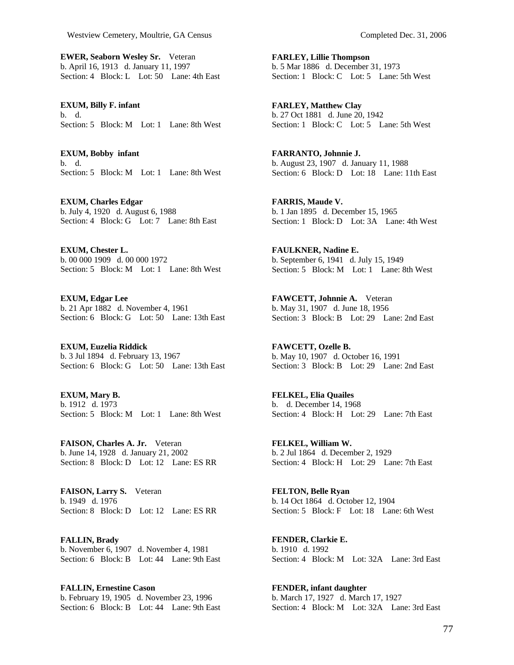**EWER, Seaborn Wesley Sr.** Veteran b. April 16, 1913 d. January 11, 1997 Section: 4 Block: L Lot: 50 Lane: 4th East

**EXUM, Billy F. infant**  b. d. Section: 5 Block: M Lot: 1 Lane: 8th West

**EXUM, Bobby infant**  b. d. Section: 5 Block: M Lot: 1 Lane: 8th West

**EXUM, Charles Edgar**  b. July 4, 1920 d. August 6, 1988 Section: 4 Block: G Lot: 7 Lane: 8th East

**EXUM, Chester L.**  b. 00 000 1909 d. 00 000 1972 Section: 5 Block: M Lot: 1 Lane: 8th West

**EXUM, Edgar Lee**  b. 21 Apr 1882 d. November 4, 1961 Section: 6 Block: G Lot: 50 Lane: 13th East

**EXUM, Euzelia Riddick**  b. 3 Jul 1894 d. February 13, 1967 Section: 6 Block: G Lot: 50 Lane: 13th East

**EXUM, Mary B.**  b. 1912 d. 1973 Section: 5 Block: M Lot: 1 Lane: 8th West

**FAISON, Charles A. Jr.** Veteran b. June 14, 1928 d. January 21, 2002 Section: 8 Block: D Lot: 12 Lane: ES RR

**FAISON, Larry S.** Veteran b. 1949 d. 1976 Section: 8 Block: D Lot: 12 Lane: ES RR

**FALLIN, Brady**  b. November 6, 1907 d. November 4, 1981 Section: 6 Block: B Lot: 44 Lane: 9th East

**FALLIN, Ernestine Cason**  b. February 19, 1905 d. November 23, 1996 Section: 6 Block: B Lot: 44 Lane: 9th East **FARLEY, Lillie Thompson**  b. 5 Mar 1886 d. December 31, 1973 Section: 1 Block: C Lot: 5 Lane: 5th West

**FARLEY, Matthew Clay**  b. 27 Oct 1881 d. June 20, 1942 Section: 1 Block: C Lot: 5 Lane: 5th West

**FARRANTO, Johnnie J.**  b. August 23, 1907 d. January 11, 1988 Section: 6 Block: D Lot: 18 Lane: 11th East

**FARRIS, Maude V.**  b. 1 Jan 1895 d. December 15, 1965 Section: 1 Block: D Lot: 3A Lane: 4th West

**FAULKNER, Nadine E.**  b. September 6, 1941 d. July 15, 1949 Section: 5 Block: M Lot: 1 Lane: 8th West

**FAWCETT, Johnnie A.** Veteran b. May 31, 1907 d. June 18, 1956 Section: 3 Block: B Lot: 29 Lane: 2nd East

**FAWCETT, Ozelle B.**  b. May 10, 1907 d. October 16, 1991 Section: 3 Block: B Lot: 29 Lane: 2nd East

**FELKEL, Elia Quailes**  b. d. December 14, 1968 Section: 4 Block: H Lot: 29 Lane: 7th East

**FELKEL, William W.**  b. 2 Jul 1864 d. December 2, 1929 Section: 4 Block: H Lot: 29 Lane: 7th East

**FELTON, Belle Ryan**  b. 14 Oct 1864 d. October 12, 1904 Section: 5 Block: F Lot: 18 Lane: 6th West

**FENDER, Clarkie E.**  b. 1910 d. 1992 Section: 4 Block: M Lot: 32A Lane: 3rd East

**FENDER, infant daughter**  b. March 17, 1927 d. March 17, 1927 Section: 4 Block: M Lot: 32A Lane: 3rd East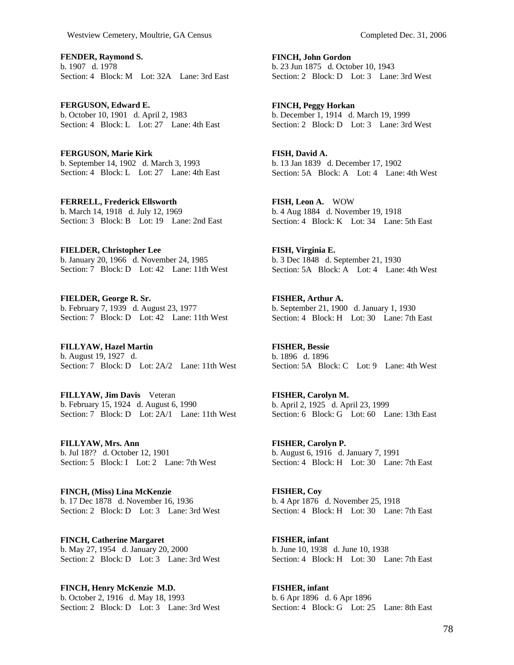**FENDER, Raymond S.**  b. 1907 d. 1978 Section: 4 Block: M Lot: 32A Lane: 3rd East

**FERGUSON, Edward E.**  b. October 10, 1901 d. April 2, 1983 Section: 4 Block: L Lot: 27 Lane: 4th East

**FERGUSON, Marie Kirk**  b. September 14, 1902 d. March 3, 1993 Section: 4 Block: L Lot: 27 Lane: 4th East

**FERRELL, Frederick Ellsworth**  b. March 14, 1918 d. July 12, 1969 Section: 3 Block: B Lot: 19 Lane: 2nd East

**FIELDER, Christopher Lee**  b. January 20, 1966 d. November 24, 1985 Section: 7 Block: D Lot: 42 Lane: 11th West

**FIELDER, George R. Sr.**  b. February 7, 1939 d. August 23, 1977 Section: 7 Block: D Lot: 42 Lane: 11th West

**FILLYAW, Hazel Martin**  b. August 19, 1927 d. Section: 7 Block: D Lot: 2A/2 Lane: 11th West

**FILLYAW, Jim Davis** Veteran b. February 15, 1924 d. August 6, 1990 Section: 7 Block: D Lot: 2A/1 Lane: 11th West

**FILLYAW, Mrs. Ann**  b. Jul 18?? d. October 12, 1901 Section: 5 Block: I Lot: 2 Lane: 7th West

**FINCH, (Miss) Lina McKenzie**  b. 17 Dec 1878 d. November 16, 1936 Section: 2 Block: D Lot: 3 Lane: 3rd West

**FINCH, Catherine Margaret**  b. May 27, 1954 d. January 20, 2000 Section: 2 Block: D Lot: 3 Lane: 3rd West

**FINCH, Henry McKenzie M.D.**  b. October 2, 1916 d. May 18, 1993 Section: 2 Block: D Lot: 3 Lane: 3rd West **FINCH, John Gordon**  b. 23 Jun 1875 d. October 10, 1943 Section: 2 Block: D Lot: 3 Lane: 3rd West

**FINCH, Peggy Horkan**  b. December 1, 1914 d. March 19, 1999 Section: 2 Block: D Lot: 3 Lane: 3rd West

**FISH, David A.**  b. 13 Jan 1839 d. December 17, 1902 Section: 5A Block: A Lot: 4 Lane: 4th West

**FISH, Leon A.** WOW b. 4 Aug 1884 d. November 19, 1918 Section: 4 Block: K Lot: 34 Lane: 5th East

**FISH, Virginia E.**  b. 3 Dec 1848 d. September 21, 1930 Section: 5A Block: A Lot: 4 Lane: 4th West

**FISHER, Arthur A.**  b. September 21, 1900 d. January 1, 1930 Section: 4 Block: H Lot: 30 Lane: 7th East

**FISHER, Bessie**  b. 1896 d. 1896 Section: 5A Block: C Lot: 9 Lane: 4th West

**FISHER, Carolyn M.**  b. April 2, 1925 d. April 23, 1999 Section: 6 Block: G Lot: 60 Lane: 13th East

**FISHER, Carolyn P.**  b. August 6, 1916 d. January 7, 1991 Section: 4 Block: H Lot: 30 Lane: 7th East

**FISHER, Coy**  b. 4 Apr 1876 d. November 25, 1918 Section: 4 Block: H Lot: 30 Lane: 7th East

**FISHER, infant**  b. June 10, 1938 d. June 10, 1938 Section: 4 Block: H Lot: 30 Lane: 7th East

**FISHER, infant**  b. 6 Apr 1896 d. 6 Apr 1896 Section: 4 Block: G Lot: 25 Lane: 8th East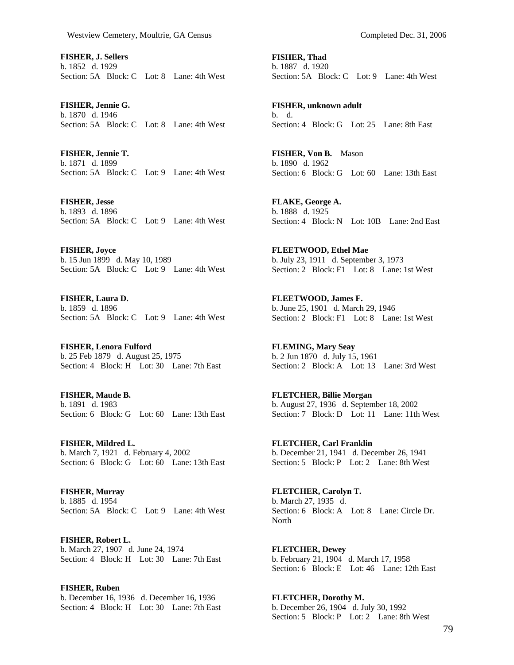**FISHER, J. Sellers**  b. 1852 d. 1929 Section: 5A Block: C Lot: 8 Lane: 4th West

**FISHER, Jennie G.**  b. 1870 d. 1946 Section: 5A Block: C Lot: 8 Lane: 4th West

**FISHER, Jennie T.**  b. 1871 d. 1899 Section: 5A Block: C Lot: 9 Lane: 4th West

**FISHER, Jesse**  b. 1893 d. 1896 Section: 5A Block: C Lot: 9 Lane: 4th West

**FISHER, Joyce**  b. 15 Jun 1899 d. May 10, 1989 Section: 5A Block: C Lot: 9 Lane: 4th West

**FISHER, Laura D.**  b. 1859 d. 1896 Section: 5A Block: C Lot: 9 Lane: 4th West

**FISHER, Lenora Fulford**  b. 25 Feb 1879 d. August 25, 1975 Section: 4 Block: H Lot: 30 Lane: 7th East

**FISHER, Maude B.**  b. 1891 d. 1983 Section: 6 Block: G Lot: 60 Lane: 13th East

**FISHER, Mildred L.**  b. March 7, 1921 d. February 4, 2002 Section: 6 Block: G Lot: 60 Lane: 13th East

**FISHER, Murray**  b. 1885 d. 1954 Section: 5A Block: C Lot: 9 Lane: 4th West

**FISHER, Robert L.**  b. March 27, 1907 d. June 24, 1974 Section: 4 Block: H Lot: 30 Lane: 7th East

**FISHER, Ruben**  b. December 16, 1936 d. December 16, 1936 Section: 4 Block: H Lot: 30 Lane: 7th East **FISHER, Thad**  b. 1887 d. 1920 Section: 5A Block: C Lot: 9 Lane: 4th West

**FISHER, unknown adult**  b. d. Section: 4 Block: G Lot: 25 Lane: 8th East

**FISHER, Von B.** Mason b. 1890 d. 1962 Section: 6 Block: G Lot: 60 Lane: 13th East

**FLAKE, George A.**  b. 1888 d. 1925 Section: 4 Block: N Lot: 10B Lane: 2nd East

**FLEETWOOD, Ethel Mae**  b. July 23, 1911 d. September 3, 1973 Section: 2 Block: F1 Lot: 8 Lane: 1st West

**FLEETWOOD, James F.**  b. June 25, 1901 d. March 29, 1946 Section: 2 Block: F1 Lot: 8 Lane: 1st West

**FLEMING, Mary Seay**  b. 2 Jun 1870 d. July 15, 1961 Section: 2 Block: A Lot: 13 Lane: 3rd West

**FLETCHER, Billie Morgan**  b. August 27, 1936 d. September 18, 2002 Section: 7 Block: D Lot: 11 Lane: 11th West

**FLETCHER, Carl Franklin**  b. December 21, 1941 d. December 26, 1941 Section: 5 Block: P Lot: 2 Lane: 8th West

**FLETCHER, Carolyn T.**  b. March 27, 1935 d. Section: 6 Block: A Lot: 8 Lane: Circle Dr. North

**FLETCHER, Dewey**  b. February 21, 1904 d. March 17, 1958 Section: 6 Block: E Lot: 46 Lane: 12th East

**FLETCHER, Dorothy M.**  b. December 26, 1904 d. July 30, 1992 Section: 5 Block: P Lot: 2 Lane: 8th West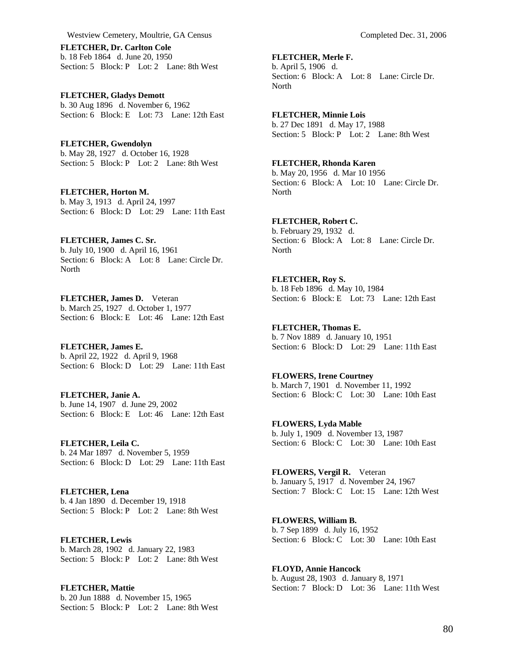**FLETCHER, Dr. Carlton Cole**  b. 18 Feb 1864 d. June 20, 1950 Section: 5 Block: P Lot: 2 Lane: 8th West

**FLETCHER, Gladys Demott**  b. 30 Aug 1896 d. November 6, 1962 Section: 6 Block: E Lot: 73 Lane: 12th East

**FLETCHER, Gwendolyn**  b. May 28, 1927 d. October 16, 1928 Section: 5 Block: P Lot: 2 Lane: 8th West

**FLETCHER, Horton M.**  b. May 3, 1913 d. April 24, 1997 Section: 6 Block: D Lot: 29 Lane: 11th East

**FLETCHER, James C. Sr.**  b. July 10, 1900 d. April 16, 1961 Section: 6 Block: A Lot: 8 Lane: Circle Dr. **North** 

**FLETCHER, James D.** Veteran b. March 25, 1927 d. October 1, 1977 Section: 6 Block: E Lot: 46 Lane: 12th East

**FLETCHER, James E.**  b. April 22, 1922 d. April 9, 1968 Section: 6 Block: D Lot: 29 Lane: 11th East

**FLETCHER, Janie A.**  b. June 14, 1907 d. June 29, 2002 Section: 6 Block: E Lot: 46 Lane: 12th East

**FLETCHER, Leila C.**  b. 24 Mar 1897 d. November 5, 1959 Section: 6 Block: D Lot: 29 Lane: 11th East

**FLETCHER, Lena**  b. 4 Jan 1890 d. December 19, 1918 Section: 5 Block: P Lot: 2 Lane: 8th West

**FLETCHER, Lewis**  b. March 28, 1902 d. January 22, 1983 Section: 5 Block: P Lot: 2 Lane: 8th West

**FLETCHER, Mattie**  b. 20 Jun 1888 d. November 15, 1965 Section: 5 Block: P Lot: 2 Lane: 8th West

**FLETCHER, Merle F.**  b. April 5, 1906 d. Section: 6 Block: A Lot: 8 Lane: Circle Dr. North

**FLETCHER, Minnie Lois**  b. 27 Dec 1891 d. May 17, 1988 Section: 5 Block: P Lot: 2 Lane: 8th West

**FLETCHER, Rhonda Karen**  b. May 20, 1956 d. Mar 10 1956 Section: 6 Block: A Lot: 10 Lane: Circle Dr. North

**FLETCHER, Robert C.**  b. February 29, 1932 d. Section: 6 Block: A Lot: 8 Lane: Circle Dr. North

**FLETCHER, Roy S.**  b. 18 Feb 1896 d. May 10, 1984 Section: 6 Block: E Lot: 73 Lane: 12th East

**FLETCHER, Thomas E.**  b. 7 Nov 1889 d. January 10, 1951 Section: 6 Block: D Lot: 29 Lane: 11th East

**FLOWERS, Irene Courtney**  b. March 7, 1901 d. November 11, 1992 Section: 6 Block: C Lot: 30 Lane: 10th East

**FLOWERS, Lyda Mable**  b. July 1, 1909 d. November 13, 1987 Section: 6 Block: C Lot: 30 Lane: 10th East

**FLOWERS, Vergil R.** Veteran b. January 5, 1917 d. November 24, 1967 Section: 7 Block: C Lot: 15 Lane: 12th West

**FLOWERS, William B.**  b. 7 Sep 1899 d. July 16, 1952 Section: 6 Block: C Lot: 30 Lane: 10th East

**FLOYD, Annie Hancock**  b. August 28, 1903 d. January 8, 1971 Section: 7 Block: D Lot: 36 Lane: 11th West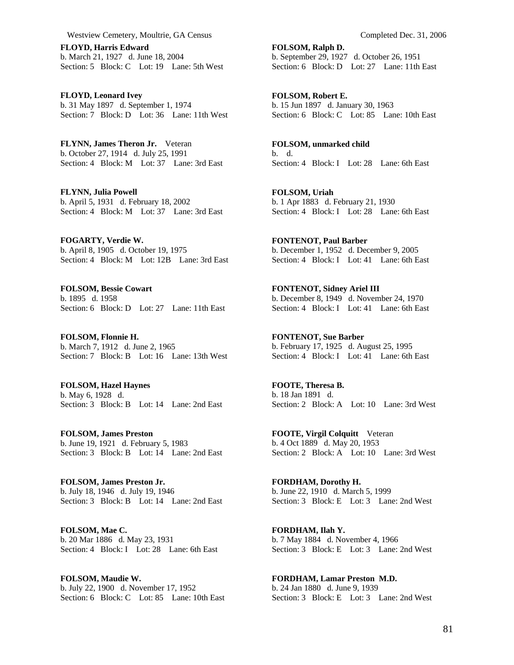**FLOYD, Harris Edward**  b. March 21, 1927 d. June 18, 2004 Section: 5 Block: C Lot: 19 Lane: 5th West

**FLOYD, Leonard Ivey**  b. 31 May 1897 d. September 1, 1974 Section: 7 Block: D Lot: 36 Lane: 11th West

**FLYNN, James Theron Jr.** Veteran b. October 27, 1914 d. July 25, 1991 Section: 4 Block: M Lot: 37 Lane: 3rd East

**FLYNN, Julia Powell**  b. April 5, 1931 d. February 18, 2002 Section: 4 Block: M Lot: 37 Lane: 3rd East

**FOGARTY, Verdie W.**  b. April 8, 1905 d. October 19, 1975 Section: 4 Block: M Lot: 12B Lane: 3rd East

**FOLSOM, Bessie Cowart**  b. 1895 d. 1958 Section: 6 Block: D Lot: 27 Lane: 11th East

**FOLSOM, Flonnie H.**  b. March 7, 1912 d. June 2, 1965 Section: 7 Block: B Lot: 16 Lane: 13th West

**FOLSOM, Hazel Haynes**  b. May 6, 1928 d. Section: 3 Block: B Lot: 14 Lane: 2nd East

**FOLSOM, James Preston**  b. June 19, 1921 d. February 5, 1983 Section: 3 Block: B Lot: 14 Lane: 2nd East

**FOLSOM, James Preston Jr.**  b. July 18, 1946 d. July 19, 1946 Section: 3 Block: B Lot: 14 Lane: 2nd East

**FOLSOM, Mae C.**  b. 20 Mar 1886 d. May 23, 1931 Section: 4 Block: I Lot: 28 Lane: 6th East

**FOLSOM, Maudie W.**  b. July 22, 1900 d. November 17, 1952 Section: 6 Block: C Lot: 85 Lane: 10th East **FOLSOM, Ralph D.**  b. September 29, 1927 d. October 26, 1951 Section: 6 Block: D Lot: 27 Lane: 11th East

**FOLSOM, Robert E.**  b. 15 Jun 1897 d. January 30, 1963 Section: 6 Block: C Lot: 85 Lane: 10th East

**FOLSOM, unmarked child**  b. d. Section: 4 Block: I Lot: 28 Lane: 6th East

**FOLSOM, Uriah**  b. 1 Apr 1883 d. February 21, 1930 Section: 4 Block: I Lot: 28 Lane: 6th East

**FONTENOT, Paul Barber**  b. December 1, 1952 d. December 9, 2005 Section: 4 Block: I Lot: 41 Lane: 6th East

**FONTENOT, Sidney Ariel III**  b. December 8, 1949 d. November 24, 1970 Section: 4 Block: I Lot: 41 Lane: 6th East

**FONTENOT, Sue Barber**  b. February 17, 1925 d. August 25, 1995 Section: 4 Block: I Lot: 41 Lane: 6th East

**FOOTE, Theresa B.**  b. 18 Jan 1891 d. Section: 2 Block: A Lot: 10 Lane: 3rd West

**FOOTE, Virgil Colquitt** Veteran b. 4 Oct 1889 d. May 20, 1953 Section: 2 Block: A Lot: 10 Lane: 3rd West

**FORDHAM, Dorothy H.**  b. June 22, 1910 d. March 5, 1999 Section: 3 Block: E Lot: 3 Lane: 2nd West

**FORDHAM, Ilah Y.**  b. 7 May 1884 d. November 4, 1966 Section: 3 Block: E Lot: 3 Lane: 2nd West

**FORDHAM, Lamar Preston M.D.**  b. 24 Jan 1880 d. June 9, 1939 Section: 3 Block: E Lot: 3 Lane: 2nd West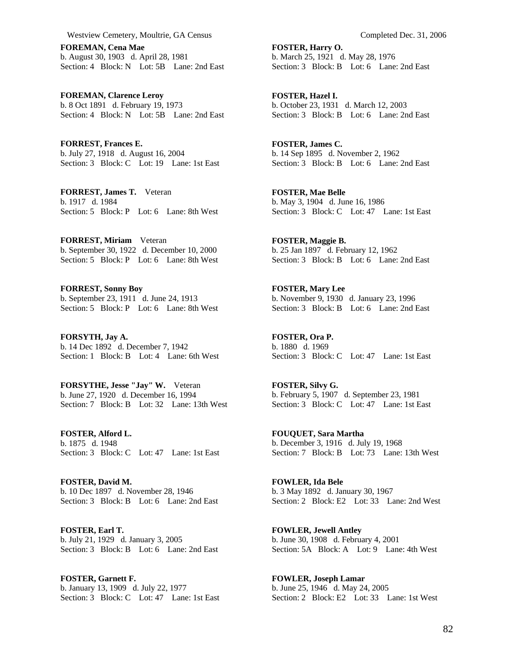**FOREMAN, Cena Mae**  b. August 30, 1903 d. April 28, 1981 Section: 4 Block: N Lot: 5B Lane: 2nd East

**FOREMAN, Clarence Leroy**  b. 8 Oct 1891 d. February 19, 1973 Section: 4 Block: N Lot: 5B Lane: 2nd East

**FORREST, Frances E.**  b. July 27, 1918 d. August 16, 2004 Section: 3 Block: C Lot: 19 Lane: 1st East

**FORREST, James T.** Veteran b. 1917 d. 1984 Section: 5 Block: P Lot: 6 Lane: 8th West

**FORREST, Miriam** Veteran b. September 30, 1922 d. December 10, 2000 Section: 5 Block: P Lot: 6 Lane: 8th West

**FORREST, Sonny Boy**  b. September 23, 1911 d. June 24, 1913 Section: 5 Block: P Lot: 6 Lane: 8th West

**FORSYTH, Jay A.**  b. 14 Dec 1892 d. December 7, 1942 Section: 1 Block: B Lot: 4 Lane: 6th West

**FORSYTHE, Jesse "Jay" W.** Veteran b. June 27, 1920 d. December 16, 1994 Section: 7 Block: B Lot: 32 Lane: 13th West

**FOSTER, Alford L.**  b. 1875 d. 1948 Section: 3 Block: C Lot: 47 Lane: 1st East

**FOSTER, David M.**  b. 10 Dec 1897 d. November 28, 1946 Section: 3 Block: B Lot: 6 Lane: 2nd East

**FOSTER, Earl T.**  b. July 21, 1929 d. January 3, 2005 Section: 3 Block: B Lot: 6 Lane: 2nd East

**FOSTER, Garnett F.**  b. January 13, 1909 d. July 22, 1977 Section: 3 Block: C Lot: 47 Lane: 1st East **FOSTER, Harry O.**  b. March 25, 1921 d. May 28, 1976 Section: 3 Block: B Lot: 6 Lane: 2nd East

**FOSTER, Hazel I.**  b. October 23, 1931 d. March 12, 2003 Section: 3 Block: B Lot: 6 Lane: 2nd East

**FOSTER, James C.**  b. 14 Sep 1895 d. November 2, 1962 Section: 3 Block: B Lot: 6 Lane: 2nd East

**FOSTER, Mae Belle**  b. May 3, 1904 d. June 16, 1986 Section: 3 Block: C Lot: 47 Lane: 1st East

**FOSTER, Maggie B.**  b. 25 Jan 1897 d. February 12, 1962 Section: 3 Block: B Lot: 6 Lane: 2nd East

**FOSTER, Mary Lee**  b. November 9, 1930 d. January 23, 1996 Section: 3 Block: B Lot: 6 Lane: 2nd East

**FOSTER, Ora P.**  b. 1880 d. 1969 Section: 3 Block: C Lot: 47 Lane: 1st East

**FOSTER, Silvy G.**  b. February 5, 1907 d. September 23, 1981 Section: 3 Block: C Lot: 47 Lane: 1st East

**FOUQUET, Sara Martha**  b. December 3, 1916 d. July 19, 1968 Section: 7 Block: B Lot: 73 Lane: 13th West

**FOWLER, Ida Bele**  b. 3 May 1892 d. January 30, 1967 Section: 2 Block: E2 Lot: 33 Lane: 2nd West

**FOWLER, Jewell Antley**  b. June 30, 1908 d. February 4, 2001 Section: 5A Block: A Lot: 9 Lane: 4th West

**FOWLER, Joseph Lamar**  b. June 25, 1946 d. May 24, 2005 Section: 2 Block: E2 Lot: 33 Lane: 1st West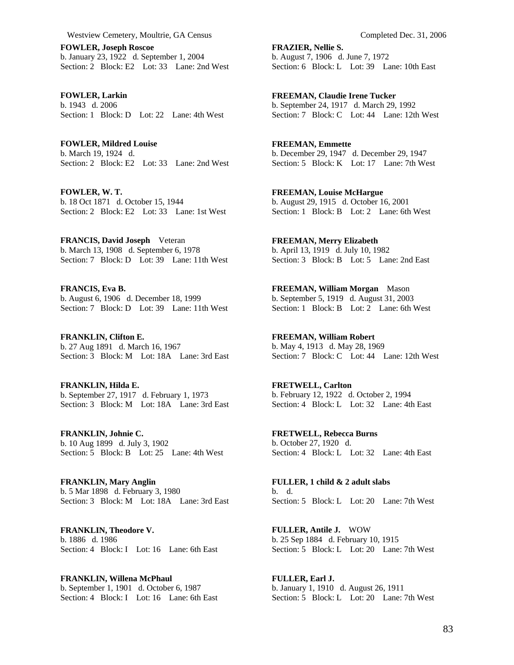**FOWLER, Joseph Roscoe**  b. January 23, 1922 d. September 1, 2004 Section: 2 Block: E2 Lot: 33 Lane: 2nd West

**FOWLER, Larkin**  b. 1943 d. 2006 Section: 1 Block: D Lot: 22 Lane: 4th West

**FOWLER, Mildred Louise**  b. March 19, 1924 d. Section: 2 Block: E2 Lot: 33 Lane: 2nd West

**FOWLER, W. T.**  b. 18 Oct 1871 d. October 15, 1944 Section: 2 Block: E2 Lot: 33 Lane: 1st West

**FRANCIS, David Joseph** Veteran b. March 13, 1908 d. September 6, 1978 Section: 7 Block: D Lot: 39 Lane: 11th West

**FRANCIS, Eva B.**  b. August 6, 1906 d. December 18, 1999 Section: 7 Block: D Lot: 39 Lane: 11th West

**FRANKLIN, Clifton E.**  b. 27 Aug 1891 d. March 16, 1967 Section: 3 Block: M Lot: 18A Lane: 3rd East

**FRANKLIN, Hilda E.**  b. September 27, 1917 d. February 1, 1973 Section: 3 Block: M Lot: 18A Lane: 3rd East

**FRANKLIN, Johnie C.**  b. 10 Aug 1899 d. July 3, 1902 Section: 5 Block: B Lot: 25 Lane: 4th West

**FRANKLIN, Mary Anglin**  b. 5 Mar 1898 d. February 3, 1980 Section: 3 Block: M Lot: 18A Lane: 3rd East

**FRANKLIN, Theodore V.**  b. 1886 d. 1986 Section: 4 Block: I Lot: 16 Lane: 6th East

**FRANKLIN, Willena McPhaul**  b. September 1, 1901 d. October 6, 1987 Section: 4 Block: I Lot: 16 Lane: 6th East

**FRAZIER, Nellie S.**  b. August 7, 1906 d. June 7, 1972 Section: 6 Block: L Lot: 39 Lane: 10th East

**FREEMAN, Claudie Irene Tucker**  b. September 24, 1917 d. March 29, 1992 Section: 7 Block: C Lot: 44 Lane: 12th West

**FREEMAN, Emmette**  b. December 29, 1947 d. December 29, 1947 Section: 5 Block: K Lot: 17 Lane: 7th West

**FREEMAN, Louise McHargue**  b. August 29, 1915 d. October 16, 2001 Section: 1 Block: B Lot: 2 Lane: 6th West

**FREEMAN, Merry Elizabeth**  b. April 13, 1919 d. July 10, 1982 Section: 3 Block: B Lot: 5 Lane: 2nd East

**FREEMAN, William Morgan** Mason b. September 5, 1919 d. August 31, 2003 Section: 1 Block: B Lot: 2 Lane: 6th West

**FREEMAN, William Robert**  b. May 4, 1913 d. May 28, 1969 Section: 7 Block: C Lot: 44 Lane: 12th West

**FRETWELL, Carlton**  b. February 12, 1922 d. October 2, 1994 Section: 4 Block: L Lot: 32 Lane: 4th East

**FRETWELL, Rebecca Burns**  b. October 27, 1920 d. Section: 4 Block: L Lot: 32 Lane: 4th East

**FULLER, 1 child & 2 adult slabs**  b. d. Section: 5 Block: L Lot: 20 Lane: 7th West

**FULLER, Antile J.** WOW b. 25 Sep 1884 d. February 10, 1915 Section: 5 Block: L Lot: 20 Lane: 7th West

**FULLER, Earl J.**  b. January 1, 1910 d. August 26, 1911 Section: 5 Block: L Lot: 20 Lane: 7th West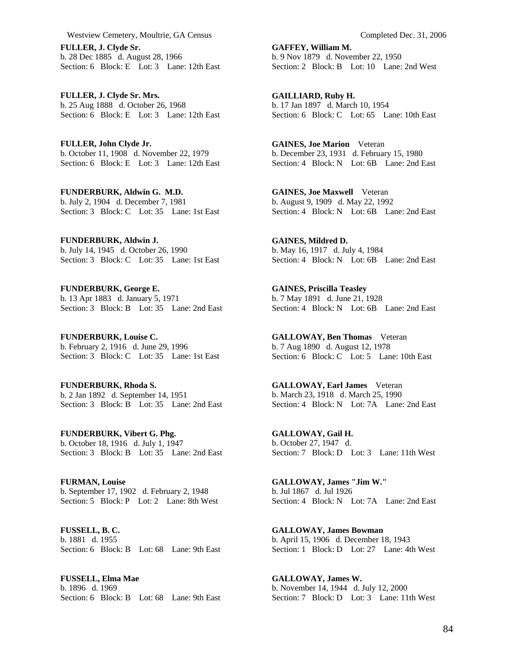**FULLER, J. Clyde Sr.**  b. 28 Dec 1885 d. August 28, 1966 Section: 6 Block: E Lot: 3 Lane: 12th East

**FULLER, J. Clyde Sr. Mrs.**  b. 25 Aug 1888 d. October 26, 1968 Section: 6 Block: E Lot: 3 Lane: 12th East

**FULLER, John Clyde Jr.**  b. October 11, 1908 d. November 22, 1979 Section: 6 Block: E Lot: 3 Lane: 12th East

**FUNDERBURK, Aldwin G. M.D.**  b. July 2, 1904 d. December 7, 1981 Section: 3 Block: C Lot: 35 Lane: 1st East

**FUNDERBURK, Aldwin J.**  b. July 14, 1945 d. October 26, 1990 Section: 3 Block: C Lot: 35 Lane: 1st East

**FUNDERBURK, George E.**  b. 13 Apr 1883 d. January 5, 1971 Section: 3 Block: B Lot: 35 Lane: 2nd East

**FUNDERBURK, Louise C.**  b. February 2, 1916 d. June 29, 1996 Section: 3 Block: C Lot: 35 Lane: 1st East

**FUNDERBURK, Rhoda S.**  b. 2 Jan 1892 d. September 14, 1951 Section: 3 Block: B Lot: 35 Lane: 2nd East

**FUNDERBURK, Vibert G. Phg.**  b. October 18, 1916 d. July 1, 1947 Section: 3 Block: B Lot: 35 Lane: 2nd East

**FURMAN, Louise**  b. September 17, 1902 d. February 2, 1948 Section: 5 Block: P Lot: 2 Lane: 8th West

**FUSSELL, B. C.**  b. 1881 d. 1955 Section: 6 Block: B Lot: 68 Lane: 9th East

**FUSSELL, Elma Mae**  b. 1896 d. 1969 Section: 6 Block: B Lot: 68 Lane: 9th East **GAFFEY, William M.**  b. 9 Nov 1879 d. November 22, 1950 Section: 2 Block: B Lot: 10 Lane: 2nd West

**GAILLIARD, Ruby H.**  b. 17 Jan 1897 d. March 10, 1954 Section: 6 Block: C Lot: 65 Lane: 10th East

**GAINES, Joe Marion** Veteran b. December 23, 1931 d. February 15, 1980 Section: 4 Block: N Lot: 6B Lane: 2nd East

**GAINES, Joe Maxwell** Veteran b. August 9, 1909 d. May 22, 1992 Section: 4 Block: N Lot: 6B Lane: 2nd East

**GAINES, Mildred D.**  b. May 16, 1917 d. July 4, 1984 Section: 4 Block: N Lot: 6B Lane: 2nd East

**GAINES, Priscilla Teasley**  b. 7 May 1891 d. June 21, 1928 Section: 4 Block: N Lot: 6B Lane: 2nd East

**GALLOWAY, Ben Thomas** Veteran b. 7 Aug 1890 d. August 12, 1978 Section: 6 Block: C Lot: 5 Lane: 10th East

**GALLOWAY, Earl James** Veteran b. March 23, 1918 d. March 25, 1990 Section: 4 Block: N Lot: 7A Lane: 2nd East

**GALLOWAY, Gail H.**  b. October 27, 1947 d. Section: 7 Block: D Lot: 3 Lane: 11th West

**GALLOWAY, James "Jim W."**  b. Jul 1867 d. Jul 1926 Section: 4 Block: N Lot: 7A Lane: 2nd East

**GALLOWAY, James Bowman**  b. April 15, 1906 d. December 18, 1943 Section: 1 Block: D Lot: 27 Lane: 4th West

**GALLOWAY, James W.**  b. November 14, 1944 d. July 12, 2000 Section: 7 Block: D Lot: 3 Lane: 11th West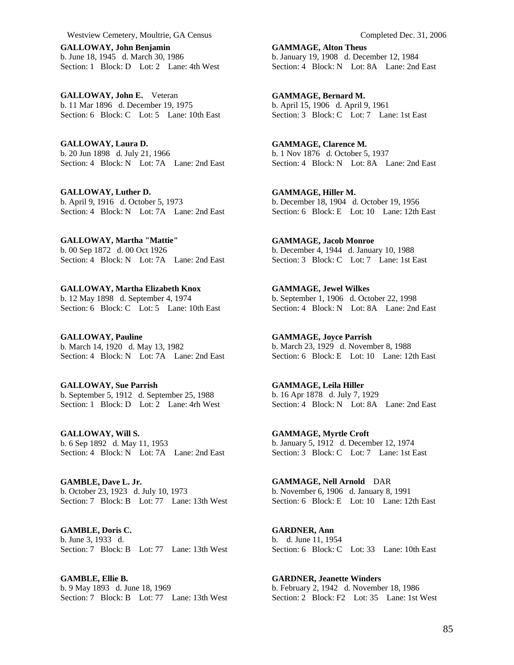**GALLOWAY, John Benjamin**  b. June 18, 1945 d. March 30, 1986 Section: 1 Block: D Lot: 2 Lane: 4th West

**GALLOWAY, John E.** Veteran b. 11 Mar 1896 d. December 19, 1975 Section: 6 Block: C Lot: 5 Lane: 10th East

**GALLOWAY, Laura D.**  b. 20 Jun 1898 d. July 21, 1966 Section: 4 Block: N Lot: 7A Lane: 2nd East

**GALLOWAY, Luther D.**  b. April 9, 1916 d. October 5, 1973 Section: 4 Block: N Lot: 7A Lane: 2nd East

**GALLOWAY, Martha "Mattie"**  b. 00 Sep 1872 d. 00 Oct 1926 Section: 4 Block: N Lot: 7A Lane: 2nd East

**GALLOWAY, Martha Elizabeth Knox**  b. 12 May 1898 d. September 4, 1974 Section: 6 Block: C Lot: 5 Lane: 10th East

**GALLOWAY, Pauline**  b. March 14, 1920 d. May 13, 1982 Section: 4 Block: N Lot: 7A Lane: 2nd East

**GALLOWAY, Sue Parrish**  b. September 5, 1912 d. September 25, 1988 Section: 1 Block: D Lot: 2 Lane: 4rh West

**GALLOWAY, Will S.**  b. 6 Sep 1892 d. May 11, 1953 Section: 4 Block: N Lot: 7A Lane: 2nd East

**GAMBLE, Dave L. Jr.**  b. October 23, 1923 d. July 10, 1973 Section: 7 Block: B Lot: 77 Lane: 13th West

**GAMBLE, Doris C.**  b. June 3, 1933 d. Section: 7 Block: B Lot: 77 Lane: 13th West

**GAMBLE, Ellie B.**  b. 9 May 1893 d. June 18, 1969 Section: 7 Block: B Lot: 77 Lane: 13th West **GAMMAGE, Alton Theus**  b. January 19, 1908 d. December 12, 1984 Section: 4 Block: N Lot: 8A Lane: 2nd East

**GAMMAGE, Bernard M.**  b. April 15, 1906 d. April 9, 1961 Section: 3 Block: C Lot: 7 Lane: 1st East

**GAMMAGE, Clarence M.**  b. 1 Nov 1876 d. October 5, 1937 Section: 4 Block: N Lot: 8A Lane: 2nd East

**GAMMAGE, Hiller M.**  b. December 18, 1904 d. October 19, 1956 Section: 6 Block: E Lot: 10 Lane: 12th East

**GAMMAGE, Jacob Monroe**  b. December 4, 1944 d. January 10, 1988 Section: 3 Block: C Lot: 7 Lane: 1st East

**GAMMAGE, Jewel Wilkes**  b. September 1, 1906 d. October 22, 1998 Section: 4 Block: N Lot: 8A Lane: 2nd East

**GAMMAGE, Joyce Parrish**  b. March 23, 1929 d. November 8, 1988 Section: 6 Block: E Lot: 10 Lane: 12th East

**GAMMAGE, Leila Hiller**  b. 16 Apr 1878 d. July 7, 1929 Section: 4 Block: N Lot: 8A Lane: 2nd East

**GAMMAGE, Myrtle Croft**  b. January 5, 1912 d. December 12, 1974 Section: 3 Block: C Lot: 7 Lane: 1st East

**GAMMAGE, Nell Arnold** DAR b. November 6, 1906 d. January 8, 1991 Section: 6 Block: E Lot: 10 Lane: 12th East

**GARDNER, Ann**  b. d. June 11, 1954 Section: 6 Block: C Lot: 33 Lane: 10th East

**GARDNER, Jeanette Winders**  b. February 2, 1942 d. November 18, 1986 Section: 2 Block: F2 Lot: 35 Lane: 1st West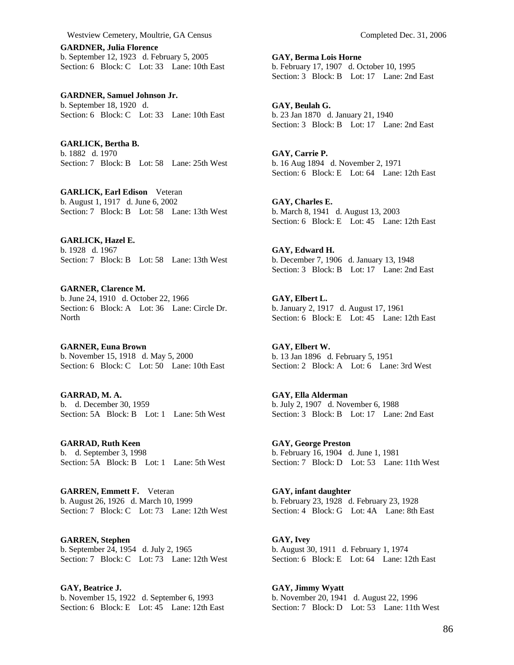**GARDNER, Julia Florence**  b. September 12, 1923 d. February 5, 2005 Section: 6 Block: C Lot: 33 Lane: 10th East

**GARDNER, Samuel Johnson Jr.**  b. September 18, 1920 d. Section: 6 Block: C Lot: 33 Lane: 10th East

**GARLICK, Bertha B.**  b. 1882 d. 1970 Section: 7 Block: B Lot: 58 Lane: 25th West

**GARLICK, Earl Edison** Veteran b. August 1, 1917 d. June 6, 2002 Section: 7 Block: B Lot: 58 Lane: 13th West

**GARLICK, Hazel E.**  b. 1928 d. 1967 Section: 7 Block: B Lot: 58 Lane: 13th West

**GARNER, Clarence M.**  b. June 24, 1910 d. October 22, 1966 Section: 6 Block: A Lot: 36 Lane: Circle Dr. **North** 

**GARNER, Euna Brown**  b. November 15, 1918 d. May 5, 2000 Section: 6 Block: C Lot: 50 Lane: 10th East

**GARRAD, M. A.**  b. d. December 30, 1959 Section: 5A Block: B Lot: 1 Lane: 5th West

**GARRAD, Ruth Keen**  b. d. September 3, 1998 Section: 5A Block: B Lot: 1 Lane: 5th West

**GARREN, Emmett F.** Veteran b. August 26, 1926 d. March 10, 1999 Section: 7 Block: C Lot: 73 Lane: 12th West

**GARREN, Stephen**  b. September 24, 1954 d. July 2, 1965 Section: 7 Block: C Lot: 73 Lane: 12th West

**GAY, Beatrice J.**  b. November 15, 1922 d. September 6, 1993 Section: 6 Block: E Lot: 45 Lane: 12th East **GAY, Berma Lois Horne**  b. February 17, 1907 d. October 10, 1995 Section: 3 Block: B Lot: 17 Lane: 2nd East

**GAY, Beulah G.**  b. 23 Jan 1870 d. January 21, 1940 Section: 3 Block: B Lot: 17 Lane: 2nd East

**GAY, Carrie P.**  b. 16 Aug 1894 d. November 2, 1971 Section: 6 Block: E Lot: 64 Lane: 12th East

**GAY, Charles E.**  b. March 8, 1941 d. August 13, 2003 Section: 6 Block: E Lot: 45 Lane: 12th East

**GAY, Edward H.**  b. December 7, 1906 d. January 13, 1948 Section: 3 Block: B Lot: 17 Lane: 2nd East

**GAY, Elbert L.**  b. January 2, 1917 d. August 17, 1961 Section: 6 Block: E Lot: 45 Lane: 12th East

**GAY, Elbert W.**  b. 13 Jan 1896 d. February 5, 1951 Section: 2 Block: A Lot: 6 Lane: 3rd West

**GAY, Ella Alderman**  b. July 2, 1907 d. November 6, 1988 Section: 3 Block: B Lot: 17 Lane: 2nd East

**GAY, George Preston**  b. February 16, 1904 d. June 1, 1981 Section: 7 Block: D Lot: 53 Lane: 11th West

**GAY, infant daughter**  b. February 23, 1928 d. February 23, 1928 Section: 4 Block: G Lot: 4A Lane: 8th East

**GAY, Ivey**  b. August 30, 1911 d. February 1, 1974 Section: 6 Block: E Lot: 64 Lane: 12th East

**GAY, Jimmy Wyatt**  b. November 20, 1941 d. August 22, 1996 Section: 7 Block: D Lot: 53 Lane: 11th West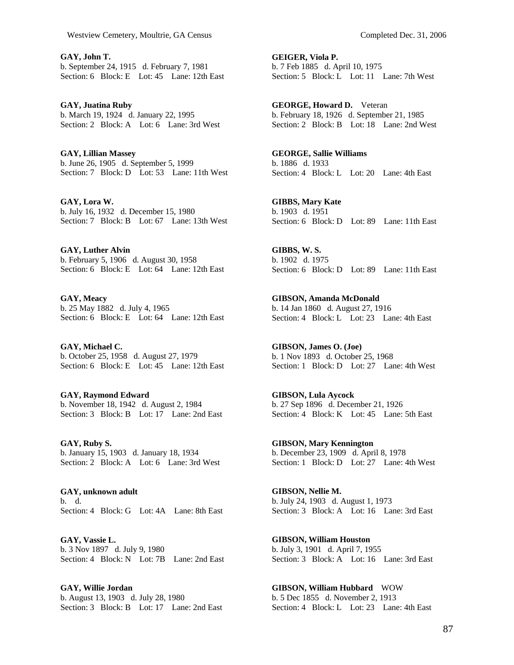**GAY, John T.**  b. September 24, 1915 d. February 7, 1981 Section: 6 Block: E Lot: 45 Lane: 12th East

**GAY, Juatina Ruby**  b. March 19, 1924 d. January 22, 1995 Section: 2 Block: A Lot: 6 Lane: 3rd West

**GAY, Lillian Massey**  b. June 26, 1905 d. September 5, 1999 Section: 7 Block: D Lot: 53 Lane: 11th West

**GAY, Lora W.**  b. July 16, 1932 d. December 15, 1980 Section: 7 Block: B Lot: 67 Lane: 13th West

**GAY, Luther Alvin**  b. February 5, 1906 d. August 30, 1958 Section: 6 Block: E Lot: 64 Lane: 12th East

**GAY, Meacy**  b. 25 May 1882 d. July 4, 1965 Section: 6 Block: E Lot: 64 Lane: 12th East

**GAY, Michael C.**  b. October 25, 1958 d. August 27, 1979 Section: 6 Block: E Lot: 45 Lane: 12th East

**GAY, Raymond Edward**  b. November 18, 1942 d. August 2, 1984 Section: 3 Block: B Lot: 17 Lane: 2nd East

**GAY, Ruby S.**  b. January 15, 1903 d. January 18, 1934 Section: 2 Block: A Lot: 6 Lane: 3rd West

**GAY, unknown adult**  b. d. Section: 4 Block: G Lot: 4A Lane: 8th East

**GAY, Vassie L.**  b. 3 Nov 1897 d. July 9, 1980 Section: 4 Block: N Lot: 7B Lane: 2nd East

**GAY, Willie Jordan**  b. August 13, 1903 d. July 28, 1980 Section: 3 Block: B Lot: 17 Lane: 2nd East

**GEIGER, Viola P.**  b. 7 Feb 1885 d. April 10, 1975 Section: 5 Block: L Lot: 11 Lane: 7th West

**GEORGE, Howard D.** Veteran b. February 18, 1926 d. September 21, 1985 Section: 2 Block: B Lot: 18 Lane: 2nd West

**GEORGE, Sallie Williams**  b. 1886 d. 1933 Section: 4 Block: L Lot: 20 Lane: 4th East

**GIBBS, Mary Kate**  b. 1903 d. 1951 Section: 6 Block: D Lot: 89 Lane: 11th East

**GIBBS, W. S.**  b. 1902 d. 1975 Section: 6 Block: D Lot: 89 Lane: 11th East

**GIBSON, Amanda McDonald**  b. 14 Jan 1860 d. August 27, 1916 Section: 4 Block: L Lot: 23 Lane: 4th East

**GIBSON, James O. (Joe)**  b. 1 Nov 1893 d. October 25, 1968 Section: 1 Block: D Lot: 27 Lane: 4th West

**GIBSON, Lula Aycock**  b. 27 Sep 1896 d. December 21, 1926 Section: 4 Block: K Lot: 45 Lane: 5th East

**GIBSON, Mary Kennington**  b. December 23, 1909 d. April 8, 1978 Section: 1 Block: D Lot: 27 Lane: 4th West

**GIBSON, Nellie M.**  b. July 24, 1903 d. August 1, 1973 Section: 3 Block: A Lot: 16 Lane: 3rd East

**GIBSON, William Houston**  b. July 3, 1901 d. April 7, 1955 Section: 3 Block: A Lot: 16 Lane: 3rd East

**GIBSON, William Hubbard** WOW b. 5 Dec 1855 d. November 2, 1913 Section: 4 Block: L Lot: 23 Lane: 4th East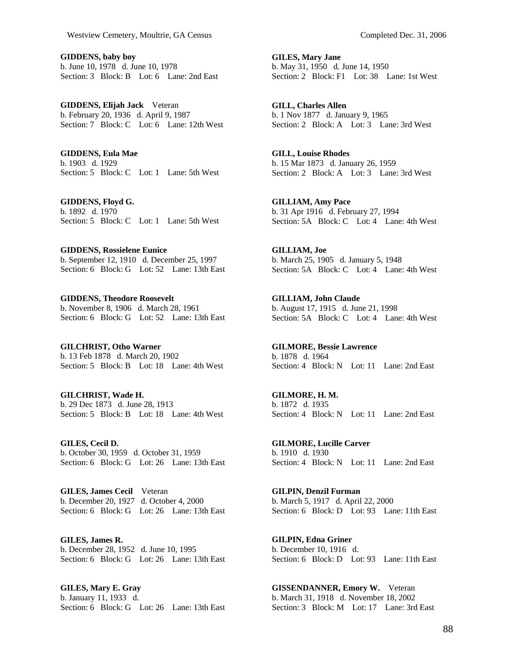**GIDDENS, baby boy**  b. June 10, 1978 d. June 10, 1978 Section: 3 Block: B Lot: 6 Lane: 2nd East

**GIDDENS, Elijah Jack** Veteran b. February 20, 1936 d. April 9, 1987 Section: 7 Block: C Lot: 6 Lane: 12th West

**GIDDENS, Eula Mae**  b. 1903 d. 1929 Section: 5 Block: C Lot: 1 Lane: 5th West

**GIDDENS, Floyd G.**  b. 1892 d. 1970 Section: 5 Block: C Lot: 1 Lane: 5th West

**GIDDENS, Rossielene Eunice**  b. September 12, 1910 d. December 25, 1997 Section: 6 Block: G Lot: 52 Lane: 13th East

**GIDDENS, Theodore Roosevelt**  b. November 8, 1906 d. March 28, 1961 Section: 6 Block: G Lot: 52 Lane: 13th East

**GILCHRIST, Otho Warner**  b. 13 Feb 1878 d. March 20, 1902 Section: 5 Block: B Lot: 18 Lane: 4th West

**GILCHRIST, Wade H.**  b. 29 Dec 1873 d. June 28, 1913 Section: 5 Block: B Lot: 18 Lane: 4th West

**GILES, Cecil D.**  b. October 30, 1959 d. October 31, 1959 Section: 6 Block: G Lot: 26 Lane: 13th East

**GILES, James Cecil** Veteran b. December 20, 1927 d. October 4, 2000 Section: 6 Block: G Lot: 26 Lane: 13th East

**GILES, James R.**  b. December 28, 1952 d. June 10, 1995 Section: 6 Block: G Lot: 26 Lane: 13th East

**GILES, Mary E. Gray**  b. January 11, 1933 d. Section: 6 Block: G Lot: 26 Lane: 13th East

**GILES, Mary Jane**  b. May 31, 1950 d. June 14, 1950 Section: 2 Block: F1 Lot: 38 Lane: 1st West

**GILL, Charles Allen**  b. 1 Nov 1877 d. January 9, 1965 Section: 2 Block: A Lot: 3 Lane: 3rd West

**GILL, Louise Rhodes**  b. 15 Mar 1873 d. January 26, 1959 Section: 2 Block: A Lot: 3 Lane: 3rd West

**GILLIAM, Amy Pace**  b. 31 Apr 1916 d. February 27, 1994 Section: 5A Block: C Lot: 4 Lane: 4th West

**GILLIAM, Joe**  b. March 25, 1905 d. January 5, 1948 Section: 5A Block: C Lot: 4 Lane: 4th West

**GILLIAM, John Claude**  b. August 17, 1915 d. June 21, 1998 Section: 5A Block: C Lot: 4 Lane: 4th West

**GILMORE, Bessie Lawrence**  b. 1878 d. 1964 Section: 4 Block: N Lot: 11 Lane: 2nd East

**GILMORE, H. M.**  b. 1872 d. 1935 Section: 4 Block: N Lot: 11 Lane: 2nd East

**GILMORE, Lucille Carver**  b. 1910 d. 1930 Section: 4 Block: N Lot: 11 Lane: 2nd East

**GILPIN, Denzil Furman**  b. March 5, 1917 d. April 22, 2000 Section: 6 Block: D Lot: 93 Lane: 11th East

**GILPIN, Edna Griner**  b. December 10, 1916 d. Section: 6 Block: D Lot: 93 Lane: 11th East

**GISSENDANNER, Emory W.** Veteran b. March 31, 1918 d. November 18, 2002 Section: 3 Block: M Lot: 17 Lane: 3rd East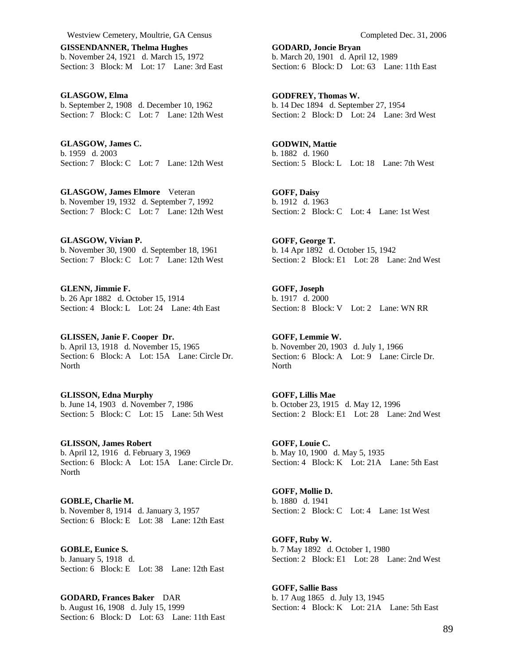**GISSENDANNER, Thelma Hughes**  b. November 24, 1921 d. March 15, 1972 Section: 3 Block: M Lot: 17 Lane: 3rd East

**GLASGOW, Elma**  b. September 2, 1908 d. December 10, 1962 Section: 7 Block: C Lot: 7 Lane: 12th West

**GLASGOW, James C.**  b. 1959 d. 2003 Section: 7 Block: C Lot: 7 Lane: 12th West

**GLASGOW, James Elmore** Veteran b. November 19, 1932 d. September 7, 1992 Section: 7 Block: C Lot: 7 Lane: 12th West

**GLASGOW, Vivian P.**  b. November 30, 1900 d. September 18, 1961 Section: 7 Block: C Lot: 7 Lane: 12th West

**GLENN, Jimmie F.**  b. 26 Apr 1882 d. October 15, 1914 Section: 4 Block: L Lot: 24 Lane: 4th East

**GLISSEN, Janie F. Cooper Dr.**  b. April 13, 1918 d. November 15, 1965 Section: 6 Block: A Lot: 15A Lane: Circle Dr. North

**GLISSON, Edna Murphy**  b. June 14, 1903 d. November 7, 1986 Section: 5 Block: C Lot: 15 Lane: 5th West

**GLISSON, James Robert**  b. April 12, 1916 d. February 3, 1969 Section: 6 Block: A Lot: 15A Lane: Circle Dr. North

**GOBLE, Charlie M.**  b. November 8, 1914 d. January 3, 1957 Section: 6 Block: E Lot: 38 Lane: 12th East

**GOBLE, Eunice S.**  b. January 5, 1918 d. Section: 6 Block: E Lot: 38 Lane: 12th East

**GODARD, Frances Baker** DAR b. August 16, 1908 d. July 15, 1999 Section: 6 Block: D Lot: 63 Lane: 11th East **GODARD, Joncie Bryan**  b. March 20, 1901 d. April 12, 1989 Section: 6 Block: D Lot: 63 Lane: 11th East

**GODFREY, Thomas W.**  b. 14 Dec 1894 d. September 27, 1954 Section: 2 Block: D Lot: 24 Lane: 3rd West

**GODWIN, Mattie**  b. 1882 d. 1960 Section: 5 Block: L Lot: 18 Lane: 7th West

**GOFF, Daisy**  b. 1912 d. 1963 Section: 2 Block: C Lot: 4 Lane: 1st West

**GOFF, George T.**  b. 14 Apr 1892 d. October 15, 1942 Section: 2 Block: E1 Lot: 28 Lane: 2nd West

**GOFF, Joseph**  b. 1917 d. 2000 Section: 8 Block: V Lot: 2 Lane: WN RR

**GOFF, Lemmie W.**  b. November 20, 1903 d. July 1, 1966 Section: 6 Block: A Lot: 9 Lane: Circle Dr. North

**GOFF, Lillis Mae**  b. October 23, 1915 d. May 12, 1996 Section: 2 Block: E1 Lot: 28 Lane: 2nd West

**GOFF, Louie C.**  b. May 10, 1900 d. May 5, 1935 Section: 4 Block: K Lot: 21A Lane: 5th East

**GOFF, Mollie D.**  b. 1880 d. 1941 Section: 2 Block: C Lot: 4 Lane: 1st West

**GOFF, Ruby W.**  b. 7 May 1892 d. October 1, 1980 Section: 2 Block: E1 Lot: 28 Lane: 2nd West

**GOFF, Sallie Bass**  b. 17 Aug 1865 d. July 13, 1945 Section: 4 Block: K Lot: 21A Lane: 5th East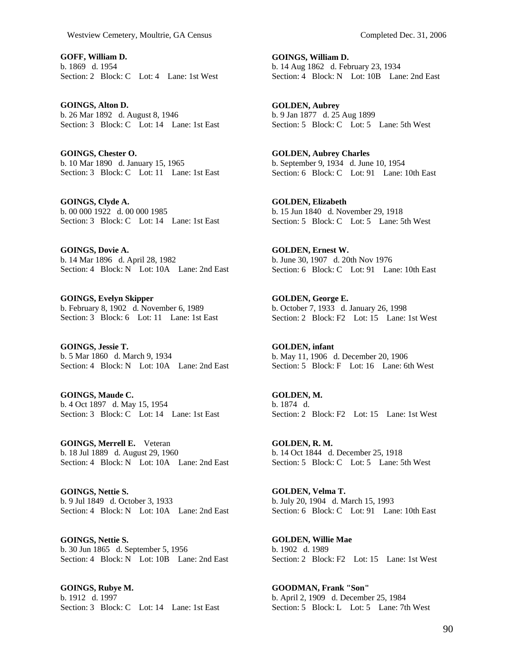**GOFF, William D.**  b. 1869 d. 1954 Section: 2 Block: C Lot: 4 Lane: 1st West

**GOINGS, Alton D.**  b. 26 Mar 1892 d. August 8, 1946 Section: 3 Block: C Lot: 14 Lane: 1st East

**GOINGS, Chester O.**  b. 10 Mar 1890 d. January 15, 1965 Section: 3 Block: C Lot: 11 Lane: 1st East

**GOINGS, Clyde A.**  b. 00 000 1922 d. 00 000 1985 Section: 3 Block: C Lot: 14 Lane: 1st East

**GOINGS, Dovie A.**  b. 14 Mar 1896 d. April 28, 1982 Section: 4 Block: N Lot: 10A Lane: 2nd East

**GOINGS, Evelyn Skipper**  b. February 8, 1902 d. November 6, 1989 Section: 3 Block: 6 Lot: 11 Lane: 1st East

**GOINGS, Jessie T.**  b. 5 Mar 1860 d. March 9, 1934 Section: 4 Block: N Lot: 10A Lane: 2nd East

**GOINGS, Maude C.**  b. 4 Oct 1897 d. May 15, 1954 Section: 3 Block: C Lot: 14 Lane: 1st East

**GOINGS, Merrell E.** Veteran b. 18 Jul 1889 d. August 29, 1960 Section: 4 Block: N Lot: 10A Lane: 2nd East

**GOINGS, Nettie S.**  b. 9 Jul 1849 d. October 3, 1933 Section: 4 Block: N Lot: 10A Lane: 2nd East

**GOINGS, Nettie S.**  b. 30 Jun 1865 d. September 5, 1956 Section: 4 Block: N Lot: 10B Lane: 2nd East

**GOINGS, Rubye M.**  b. 1912 d. 1997 Section: 3 Block: C Lot: 14 Lane: 1st East

**GOINGS, William D.**  b. 14 Aug 1862 d. February 23, 1934 Section: 4 Block: N Lot: 10B Lane: 2nd East

**GOLDEN, Aubrey**  b. 9 Jan 1877 d. 25 Aug 1899 Section: 5 Block: C Lot: 5 Lane: 5th West

**GOLDEN, Aubrey Charles**  b. September 9, 1934 d. June 10, 1954 Section: 6 Block: C Lot: 91 Lane: 10th East

**GOLDEN, Elizabeth**  b. 15 Jun 1840 d. November 29, 1918 Section: 5 Block: C Lot: 5 Lane: 5th West

**GOLDEN, Ernest W.**  b. June 30, 1907 d. 20th Nov 1976 Section: 6 Block: C Lot: 91 Lane: 10th East

**GOLDEN, George E.**  b. October 7, 1933 d. January 26, 1998 Section: 2 Block: F2 Lot: 15 Lane: 1st West

**GOLDEN, infant**  b. May 11, 1906 d. December 20, 1906 Section: 5 Block: F Lot: 16 Lane: 6th West

**GOLDEN, M.**  b. 1874 d. Section: 2 Block: F2 Lot: 15 Lane: 1st West

**GOLDEN, R. M.**  b. 14 Oct 1844 d. December 25, 1918 Section: 5 Block: C Lot: 5 Lane: 5th West

**GOLDEN, Velma T.**  b. July 20, 1904 d. March 15, 1993 Section: 6 Block: C Lot: 91 Lane: 10th East

**GOLDEN, Willie Mae**  b. 1902 d. 1989 Section: 2 Block: F2 Lot: 15 Lane: 1st West

**GOODMAN, Frank "Son"**  b. April 2, 1909 d. December 25, 1984 Section: 5 Block: L Lot: 5 Lane: 7th West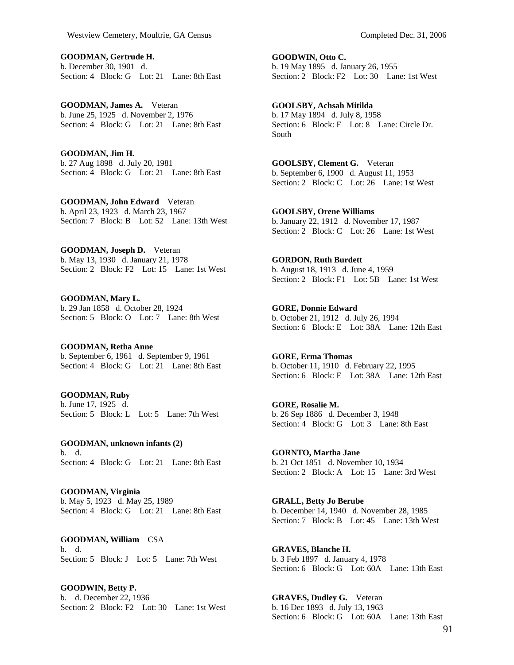**GOODMAN, Gertrude H.**  b. December 30, 1901 d. Section: 4 Block: G Lot: 21 Lane: 8th East

**GOODMAN, James A.** Veteran b. June 25, 1925 d. November 2, 1976 Section: 4 Block: G Lot: 21 Lane: 8th East

**GOODMAN, Jim H.**  b. 27 Aug 1898 d. July 20, 1981 Section: 4 Block: G Lot: 21 Lane: 8th East

**GOODMAN, John Edward** Veteran b. April 23, 1923 d. March 23, 1967 Section: 7 Block: B Lot: 52 Lane: 13th West

**GOODMAN, Joseph D.** Veteran b. May 13, 1930 d. January 21, 1978 Section: 2 Block: F2 Lot: 15 Lane: 1st West

**GOODMAN, Mary L.**  b. 29 Jan 1858 d. October 28, 1924 Section: 5 Block: O Lot: 7 Lane: 8th West

**GOODMAN, Retha Anne**  b. September 6, 1961 d. September 9, 1961 Section: 4 Block: G Lot: 21 Lane: 8th East

**GOODMAN, Ruby**  b. June 17, 1925 d. Section: 5 Block: L Lot: 5 Lane: 7th West

**GOODMAN, unknown infants (2)**  b. d. Section: 4 Block: G Lot: 21 Lane: 8th East

**GOODMAN, Virginia**  b. May 5, 1923 d. May 25, 1989 Section: 4 Block: G Lot: 21 Lane: 8th East

**GOODMAN, William** CSA b. d. Section: 5 Block: J Lot: 5 Lane: 7th West

**GOODWIN, Betty P.**  b. d. December 22, 1936 Section: 2 Block: F2 Lot: 30 Lane: 1st West **GOODWIN, Otto C.**  b. 19 May 1895 d. January 26, 1955 Section: 2 Block: F2 Lot: 30 Lane: 1st West

**GOOLSBY, Achsah Mitilda**  b. 17 May 1894 d. July 8, 1958 Section: 6 Block: F Lot: 8 Lane: Circle Dr. South

**GOOLSBY, Clement G.** Veteran b. September 6, 1900 d. August 11, 1953 Section: 2 Block: C Lot: 26 Lane: 1st West

**GOOLSBY, Orene Williams**  b. January 22, 1912 d. November 17, 1987 Section: 2 Block: C Lot: 26 Lane: 1st West

**GORDON, Ruth Burdett**  b. August 18, 1913 d. June 4, 1959 Section: 2 Block: F1 Lot: 5B Lane: 1st West

**GORE, Donnie Edward**  b. October 21, 1912 d. July 26, 1994 Section: 6 Block: E Lot: 38A Lane: 12th East

**GORE, Erma Thomas**  b. October 11, 1910 d. February 22, 1995 Section: 6 Block: E Lot: 38A Lane: 12th East

**GORE, Rosalie M.**  b. 26 Sep 1886 d. December 3, 1948 Section: 4 Block: G Lot: 3 Lane: 8th East

**GORNTO, Martha Jane**  b. 21 Oct 1851 d. November 10, 1934 Section: 2 Block: A Lot: 15 Lane: 3rd West

**GRALL, Betty Jo Berube**  b. December 14, 1940 d. November 28, 1985 Section: 7 Block: B Lot: 45 Lane: 13th West

**GRAVES, Blanche H.**  b. 3 Feb 1897 d. January 4, 1978 Section: 6 Block: G Lot: 60A Lane: 13th East

**GRAVES, Dudley G.** Veteran b. 16 Dec 1893 d. July 13, 1963 Section: 6 Block: G Lot: 60A Lane: 13th East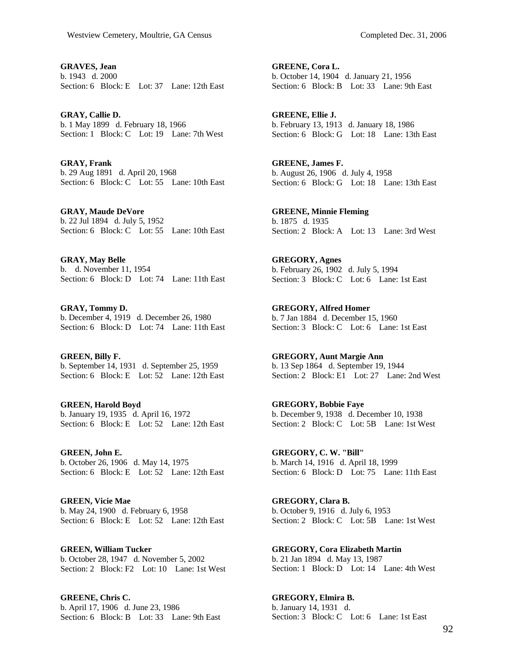**GRAVES, Jean**  b. 1943 d. 2000 Section: 6 Block: E Lot: 37 Lane: 12th East

**GRAY, Callie D.**  b. 1 May 1899 d. February 18, 1966 Section: 1 Block: C Lot: 19 Lane: 7th West

**GRAY, Frank**  b. 29 Aug 1891 d. April 20, 1968 Section: 6 Block: C Lot: 55 Lane: 10th East

**GRAY, Maude DeVore**  b. 22 Jul 1894 d. July 5, 1952 Section: 6 Block: C Lot: 55 Lane: 10th East

**GRAY, May Belle**  b. d. November 11, 1954 Section: 6 Block: D Lot: 74 Lane: 11th East

**GRAY, Tommy D.**  b. December 4, 1919 d. December 26, 1980 Section: 6 Block: D Lot: 74 Lane: 11th East

**GREEN, Billy F.**  b. September 14, 1931 d. September 25, 1959 Section: 6 Block: E Lot: 52 Lane: 12th East

**GREEN, Harold Boyd**  b. January 19, 1935 d. April 16, 1972 Section: 6 Block: E Lot: 52 Lane: 12th East

**GREEN, John E.**  b. October 26, 1906 d. May 14, 1975 Section: 6 Block: E Lot: 52 Lane: 12th East

**GREEN, Vicie Mae**  b. May 24, 1900 d. February 6, 1958 Section: 6 Block: E Lot: 52 Lane: 12th East

**GREEN, William Tucker**  b. October 28, 1947 d. November 5, 2002 Section: 2 Block: F2 Lot: 10 Lane: 1st West

**GREENE, Chris C.**  b. April 17, 1906 d. June 23, 1986 Section: 6 Block: B Lot: 33 Lane: 9th East **GREENE, Cora L.**  b. October 14, 1904 d. January 21, 1956 Section: 6 Block: B Lot: 33 Lane: 9th East

**GREENE, Ellie J.**  b. February 13, 1913 d. January 18, 1986 Section: 6 Block: G Lot: 18 Lane: 13th East

**GREENE, James F.**  b. August 26, 1906 d. July 4, 1958 Section: 6 Block: G Lot: 18 Lane: 13th East

**GREENE, Minnie Fleming**  b. 1875 d. 1935 Section: 2 Block: A Lot: 13 Lane: 3rd West

**GREGORY, Agnes**  b. February 26, 1902 d. July 5, 1994 Section: 3 Block: C Lot: 6 Lane: 1st East

**GREGORY, Alfred Homer**  b. 7 Jan 1884 d. December 15, 1960 Section: 3 Block: C Lot: 6 Lane: 1st East

**GREGORY, Aunt Margie Ann**  b. 13 Sep 1864 d. September 19, 1944 Section: 2 Block: E1 Lot: 27 Lane: 2nd West

**GREGORY, Bobbie Faye**  b. December 9, 1938 d. December 10, 1938 Section: 2 Block: C Lot: 5B Lane: 1st West

**GREGORY, C. W. "Bill"**  b. March 14, 1916 d. April 18, 1999 Section: 6 Block: D Lot: 75 Lane: 11th East

**GREGORY, Clara B.**  b. October 9, 1916 d. July 6, 1953 Section: 2 Block: C Lot: 5B Lane: 1st West

**GREGORY, Cora Elizabeth Martin**  b. 21 Jan 1894 d. May 13, 1987 Section: 1 Block: D Lot: 14 Lane: 4th West

**GREGORY, Elmira B.**  b. January 14, 1931 d. Section: 3 Block: C Lot: 6 Lane: 1st East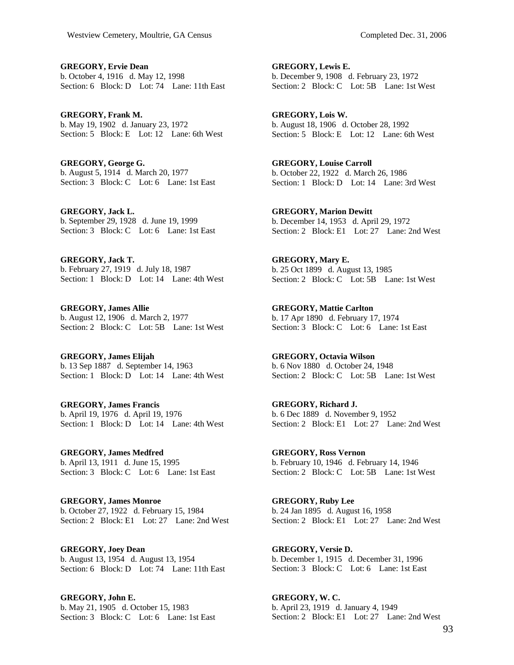**GREGORY, Ervie Dean**  b. October 4, 1916 d. May 12, 1998 Section: 6 Block: D Lot: 74 Lane: 11th East

**GREGORY, Frank M.**  b. May 19, 1902 d. January 23, 1972 Section: 5 Block: E Lot: 12 Lane: 6th West

**GREGORY, George G.**  b. August 5, 1914 d. March 20, 1977 Section: 3 Block: C Lot: 6 Lane: 1st East

**GREGORY, Jack L.**  b. September 29, 1928 d. June 19, 1999 Section: 3 Block: C Lot: 6 Lane: 1st East

**GREGORY, Jack T.**  b. February 27, 1919 d. July 18, 1987 Section: 1 Block: D Lot: 14 Lane: 4th West

**GREGORY, James Allie**  b. August 12, 1906 d. March 2, 1977 Section: 2 Block: C Lot: 5B Lane: 1st West

**GREGORY, James Elijah**  b. 13 Sep 1887 d. September 14, 1963 Section: 1 Block: D Lot: 14 Lane: 4th West

**GREGORY, James Francis**  b. April 19, 1976 d. April 19, 1976 Section: 1 Block: D Lot: 14 Lane: 4th West

**GREGORY, James Medfred**  b. April 13, 1911 d. June 15, 1995 Section: 3 Block: C Lot: 6 Lane: 1st East

**GREGORY, James Monroe**  b. October 27, 1922 d. February 15, 1984 Section: 2 Block: E1 Lot: 27 Lane: 2nd West

**GREGORY, Joey Dean**  b. August 13, 1954 d. August 13, 1954 Section: 6 Block: D Lot: 74 Lane: 11th East

**GREGORY, John E.**  b. May 21, 1905 d. October 15, 1983 Section: 3 Block: C Lot: 6 Lane: 1st East

**GREGORY, Lewis E.**  b. December 9, 1908 d. February 23, 1972 Section: 2 Block: C Lot: 5B Lane: 1st West

**GREGORY, Lois W.**  b. August 18, 1906 d. October 28, 1992 Section: 5 Block: E Lot: 12 Lane: 6th West

**GREGORY, Louise Carroll**  b. October 22, 1922 d. March 26, 1986 Section: 1 Block: D Lot: 14 Lane: 3rd West

**GREGORY, Marion Dewitt**  b. December 14, 1953 d. April 29, 1972 Section: 2 Block: E1 Lot: 27 Lane: 2nd West

**GREGORY, Mary E.**  b. 25 Oct 1899 d. August 13, 1985 Section: 2 Block: C Lot: 5B Lane: 1st West

**GREGORY, Mattie Carlton**  b. 17 Apr 1890 d. February 17, 1974 Section: 3 Block: C Lot: 6 Lane: 1st East

**GREGORY, Octavia Wilson**  b. 6 Nov 1880 d. October 24, 1948 Section: 2 Block: C Lot: 5B Lane: 1st West

**GREGORY, Richard J.**  b. 6 Dec 1889 d. November 9, 1952 Section: 2 Block: E1 Lot: 27 Lane: 2nd West

**GREGORY, Ross Vernon**  b. February 10, 1946 d. February 14, 1946 Section: 2 Block: C Lot: 5B Lane: 1st West

**GREGORY, Ruby Lee**  b. 24 Jan 1895 d. August 16, 1958 Section: 2 Block: E1 Lot: 27 Lane: 2nd West

**GREGORY, Versie D.**  b. December 1, 1915 d. December 31, 1996 Section: 3 Block: C Lot: 6 Lane: 1st East

**GREGORY, W. C.**  b. April 23, 1919 d. January 4, 1949 Section: 2 Block: E1 Lot: 27 Lane: 2nd West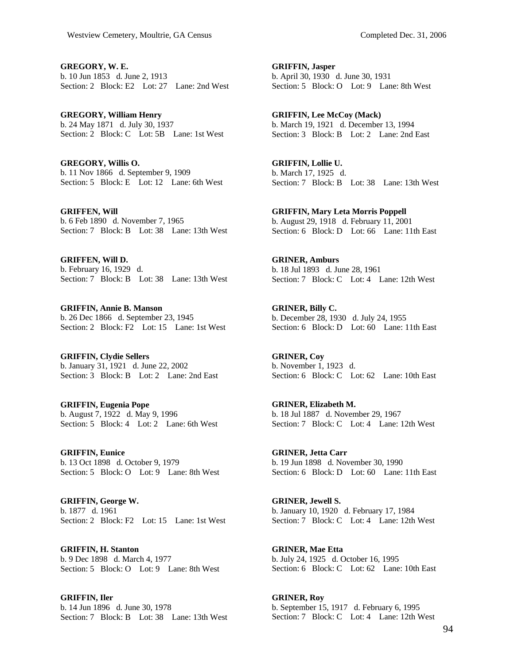**GREGORY, W. E.**  b. 10 Jun 1853 d. June 2, 1913 Section: 2 Block: E2 Lot: 27 Lane: 2nd West

**GREGORY, William Henry**  b. 24 May 1871 d. July 30, 1937 Section: 2 Block: C Lot: 5B Lane: 1st West

**GREGORY, Willis O.**  b. 11 Nov 1866 d. September 9, 1909 Section: 5 Block: E Lot: 12 Lane: 6th West

**GRIFFEN, Will**  b. 6 Feb 1890 d. November 7, 1965 Section: 7 Block: B Lot: 38 Lane: 13th West

**GRIFFEN, Will D.**  b. February 16, 1929 d. Section: 7 Block: B Lot: 38 Lane: 13th West

**GRIFFIN, Annie B. Manson**  b. 26 Dec 1866 d. September 23, 1945 Section: 2 Block: F2 Lot: 15 Lane: 1st West

**GRIFFIN, Clydie Sellers**  b. January 31, 1921 d. June 22, 2002 Section: 3 Block: B Lot: 2 Lane: 2nd East

**GRIFFIN, Eugenia Pope**  b. August 7, 1922 d. May 9, 1996 Section: 5 Block: 4 Lot: 2 Lane: 6th West

**GRIFFIN, Eunice**  b. 13 Oct 1898 d. October 9, 1979 Section: 5 Block: O Lot: 9 Lane: 8th West

**GRIFFIN, George W.**  b. 1877 d. 1961 Section: 2 Block: F2 Lot: 15 Lane: 1st West

**GRIFFIN, H. Stanton**  b. 9 Dec 1898 d. March 4, 1977 Section: 5 Block: O Lot: 9 Lane: 8th West

**GRIFFIN, Iler**  b. 14 Jun 1896 d. June 30, 1978 Section: 7 Block: B Lot: 38 Lane: 13th West **GRIFFIN, Jasper**  b. April 30, 1930 d. June 30, 1931 Section: 5 Block: O Lot: 9 Lane: 8th West

**GRIFFIN, Lee McCoy (Mack)**  b. March 19, 1921 d. December 13, 1994 Section: 3 Block: B Lot: 2 Lane: 2nd East

**GRIFFIN, Lollie U.**  b. March 17, 1925 d. Section: 7 Block: B Lot: 38 Lane: 13th West

**GRIFFIN, Mary Leta Morris Poppell**  b. August 29, 1918 d. February 11, 2001 Section: 6 Block: D Lot: 66 Lane: 11th East

**GRINER, Amburs**  b. 18 Jul 1893 d. June 28, 1961 Section: 7 Block: C Lot: 4 Lane: 12th West

**GRINER, Billy C.**  b. December 28, 1930 d. July 24, 1955 Section: 6 Block: D Lot: 60 Lane: 11th East

**GRINER, Coy**  b. November 1, 1923 d. Section: 6 Block: C Lot: 62 Lane: 10th East

**GRINER, Elizabeth M.**  b. 18 Jul 1887 d. November 29, 1967 Section: 7 Block: C Lot: 4 Lane: 12th West

**GRINER, Jetta Carr**  b. 19 Jun 1898 d. November 30, 1990 Section: 6 Block: D Lot: 60 Lane: 11th East

**GRINER, Jewell S.**  b. January 10, 1920 d. February 17, 1984 Section: 7 Block: C Lot: 4 Lane: 12th West

**GRINER, Mae Etta**  b. July 24, 1925 d. October 16, 1995 Section: 6 Block: C Lot: 62 Lane: 10th East

**GRINER, Roy**  b. September 15, 1917 d. February 6, 1995 Section: 7 Block: C Lot: 4 Lane: 12th West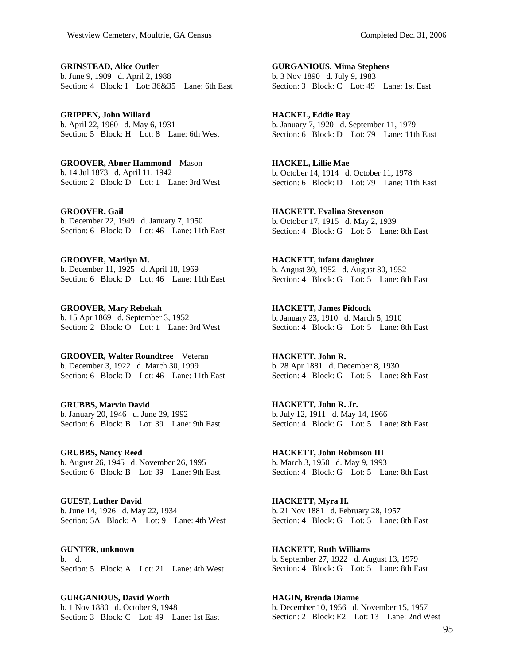**GRINSTEAD, Alice Outler**  b. June 9, 1909 d. April 2, 1988 Section: 4 Block: I Lot: 36&35 Lane: 6th East

**GRIPPEN, John Willard**  b. April 22, 1960 d. May 6, 1931 Section: 5 Block: H Lot: 8 Lane: 6th West

**GROOVER, Abner Hammond** Mason b. 14 Jul 1873 d. April 11, 1942 Section: 2 Block: D Lot: 1 Lane: 3rd West

**GROOVER, Gail**  b. December 22, 1949 d. January 7, 1950 Section: 6 Block: D Lot: 46 Lane: 11th East

**GROOVER, Marilyn M.**  b. December 11, 1925 d. April 18, 1969 Section: 6 Block: D Lot: 46 Lane: 11th East

**GROOVER, Mary Rebekah**  b. 15 Apr 1869 d. September 3, 1952 Section: 2 Block: O Lot: 1 Lane: 3rd West

**GROOVER, Walter Roundtree** Veteran b. December 3, 1922 d. March 30, 1999 Section: 6 Block: D Lot: 46 Lane: 11th East

**GRUBBS, Marvin David**  b. January 20, 1946 d. June 29, 1992 Section: 6 Block: B Lot: 39 Lane: 9th East

**GRUBBS, Nancy Reed**  b. August 26, 1945 d. November 26, 1995 Section: 6 Block: B Lot: 39 Lane: 9th East

**GUEST, Luther David**  b. June 14, 1926 d. May 22, 1934 Section: 5A Block: A Lot: 9 Lane: 4th West

**GUNTER, unknown**  b. d. Section: 5 Block: A Lot: 21 Lane: 4th West

**GURGANIOUS, David Worth**  b. 1 Nov 1880 d. October 9, 1948 Section: 3 Block: C Lot: 49 Lane: 1st East

**GURGANIOUS, Mima Stephens**  b. 3 Nov 1890 d. July 9, 1983 Section: 3 Block: C Lot: 49 Lane: 1st East

**HACKEL, Eddie Ray**  b. January 7, 1920 d. September 11, 1979 Section: 6 Block: D Lot: 79 Lane: 11th East

**HACKEL, Lillie Mae**  b. October 14, 1914 d. October 11, 1978 Section: 6 Block: D Lot: 79 Lane: 11th East

**HACKETT, Evalina Stevenson**  b. October 17, 1915 d. May 2, 1939 Section: 4 Block: G Lot: 5 Lane: 8th East

**HACKETT, infant daughter**  b. August 30, 1952 d. August 30, 1952 Section: 4 Block: G Lot: 5 Lane: 8th East

**HACKETT, James Pidcock**  b. January 23, 1910 d. March 5, 1910 Section: 4 Block: G Lot: 5 Lane: 8th East

**HACKETT, John R.**  b. 28 Apr 1881 d. December 8, 1930 Section: 4 Block: G Lot: 5 Lane: 8th East

**HACKETT, John R. Jr.**  b. July 12, 1911 d. May 14, 1966 Section: 4 Block: G Lot: 5 Lane: 8th East

**HACKETT, John Robinson III**  b. March 3, 1950 d. May 9, 1993 Section: 4 Block: G Lot: 5 Lane: 8th East

**HACKETT, Myra H.**  b. 21 Nov 1881 d. February 28, 1957 Section: 4 Block: G Lot: 5 Lane: 8th East

**HACKETT, Ruth Williams**  b. September 27, 1922 d. August 13, 1979 Section: 4 Block: G Lot: 5 Lane: 8th East

**HAGIN, Brenda Dianne**  b. December 10, 1956 d. November 15, 1957 Section: 2 Block: E2 Lot: 13 Lane: 2nd West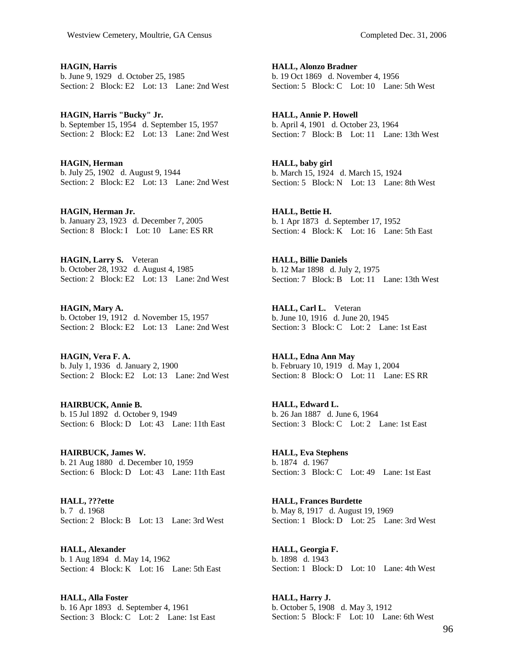**HAGIN, Harris**  b. June 9, 1929 d. October 25, 1985 Section: 2 Block: E2 Lot: 13 Lane: 2nd West

**HAGIN, Harris "Bucky" Jr.**  b. September 15, 1954 d. September 15, 1957 Section: 2 Block: E2 Lot: 13 Lane: 2nd West

**HAGIN, Herman**  b. July 25, 1902 d. August 9, 1944 Section: 2 Block: E2 Lot: 13 Lane: 2nd West

**HAGIN, Herman Jr.**  b. January 23, 1923 d. December 7, 2005 Section: 8 Block: I Lot: 10 Lane: ES RR

**HAGIN, Larry S.** Veteran b. October 28, 1932 d. August 4, 1985 Section: 2 Block: E2 Lot: 13 Lane: 2nd West

**HAGIN, Mary A.**  b. October 19, 1912 d. November 15, 1957 Section: 2 Block: E2 Lot: 13 Lane: 2nd West

**HAGIN, Vera F. A.**  b. July 1, 1936 d. January 2, 1900 Section: 2 Block: E2 Lot: 13 Lane: 2nd West

**HAIRBUCK, Annie B.**  b. 15 Jul 1892 d. October 9, 1949 Section: 6 Block: D Lot: 43 Lane: 11th East

**HAIRBUCK, James W.**  b. 21 Aug 1880 d. December 10, 1959 Section: 6 Block: D Lot: 43 Lane: 11th East

**HALL, ???ette**  b. 7 d. 1968 Section: 2 Block: B Lot: 13 Lane: 3rd West

**HALL, Alexander**  b. 1 Aug 1894 d. May 14, 1962 Section: 4 Block: K Lot: 16 Lane: 5th East

**HALL, Alla Foster**  b. 16 Apr 1893 d. September 4, 1961 Section: 3 Block: C Lot: 2 Lane: 1st East **HALL, Alonzo Bradner**  b. 19 Oct 1869 d. November 4, 1956 Section: 5 Block: C Lot: 10 Lane: 5th West

**HALL, Annie P. Howell**  b. April 4, 1901 d. October 23, 1964 Section: 7 Block: B Lot: 11 Lane: 13th West

**HALL, baby girl**  b. March 15, 1924 d. March 15, 1924 Section: 5 Block: N Lot: 13 Lane: 8th West

**HALL, Bettie H.**  b. 1 Apr 1873 d. September 17, 1952 Section: 4 Block: K Lot: 16 Lane: 5th East

**HALL, Billie Daniels**  b. 12 Mar 1898 d. July 2, 1975 Section: 7 Block: B Lot: 11 Lane: 13th West

**HALL, Carl L.** Veteran b. June 10, 1916 d. June 20, 1945 Section: 3 Block: C Lot: 2 Lane: 1st East

**HALL, Edna Ann May**  b. February 10, 1919 d. May 1, 2004 Section: 8 Block: O Lot: 11 Lane: ES RR

**HALL, Edward L.**  b. 26 Jan 1887 d. June 6, 1964 Section: 3 Block: C Lot: 2 Lane: 1st East

**HALL, Eva Stephens**  b. 1874 d. 1967 Section: 3 Block: C Lot: 49 Lane: 1st East

**HALL, Frances Burdette**  b. May 8, 1917 d. August 19, 1969 Section: 1 Block: D Lot: 25 Lane: 3rd West

**HALL, Georgia F.**  b. 1898 d. 1943 Section: 1 Block: D Lot: 10 Lane: 4th West

**HALL, Harry J.**  b. October 5, 1908 d. May 3, 1912 Section: 5 Block: F Lot: 10 Lane: 6th West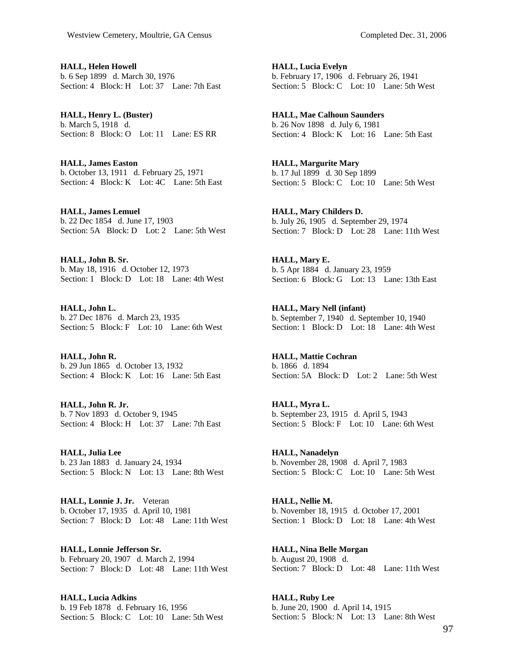**HALL, Helen Howell**  b. 6 Sep 1899 d. March 30, 1976 Section: 4 Block: H Lot: 37 Lane: 7th East

**HALL, Henry L. (Buster)**  b. March 5, 1918 d. Section: 8 Block: O Lot: 11 Lane: ES RR

**HALL, James Easton**  b. October 13, 1911 d. February 25, 1971 Section: 4 Block: K Lot: 4C Lane: 5th East

**HALL, James Lemuel**  b. 22 Dec 1854 d. June 17, 1903 Section: 5A Block: D Lot: 2 Lane: 5th West

**HALL, John B. Sr.**  b. May 18, 1916 d. October 12, 1973 Section: 1 Block: D Lot: 18 Lane: 4th West

**HALL, John L.**  b. 27 Dec 1876 d. March 23, 1935 Section: 5 Block: F Lot: 10 Lane: 6th West

**HALL, John R.**  b. 29 Jun 1865 d. October 13, 1932 Section: 4 Block: K Lot: 16 Lane: 5th East

**HALL, John R. Jr.**  b. 7 Nov 1893 d. October 9, 1945 Section: 4 Block: H Lot: 37 Lane: 7th East

**HALL, Julia Lee**  b. 23 Jan 1883 d. January 24, 1934 Section: 5 Block: N Lot: 13 Lane: 8th West

**HALL, Lonnie J. Jr.** Veteran b. October 17, 1935 d. April 10, 1981 Section: 7 Block: D Lot: 48 Lane: 11th West

**HALL, Lonnie Jefferson Sr.**  b. February 20, 1907 d. March 2, 1994 Section: 7 Block: D Lot: 48 Lane: 11th West

**HALL, Lucia Adkins**  b. 19 Feb 1878 d. February 16, 1956 Section: 5 Block: C Lot: 10 Lane: 5th West **HALL, Lucia Evelyn**  b. February 17, 1906 d. February 26, 1941 Section: 5 Block: C Lot: 10 Lane: 5th West

**HALL, Mae Calhoun Saunders**  b. 26 Nov 1898 d. July 6, 1981 Section: 4 Block: K Lot: 16 Lane: 5th East

**HALL, Margurite Mary**  b. 17 Jul 1899 d. 30 Sep 1899 Section: 5 Block: C Lot: 10 Lane: 5th West

**HALL, Mary Childers D.**  b. July 26, 1905 d. September 29, 1974 Section: 7 Block: D Lot: 28 Lane: 11th West

**HALL, Mary E.**  b. 5 Apr 1884 d. January 23, 1959 Section: 6 Block: G Lot: 13 Lane: 13th East

**HALL, Mary Nell (infant)**  b. September 7, 1940 d. September 10, 1940 Section: 1 Block: D Lot: 18 Lane: 4th West

**HALL, Mattie Cochran**  b. 1866 d. 1894 Section: 5A Block: D Lot: 2 Lane: 5th West

**HALL, Myra L.**  b. September 23, 1915 d. April 5, 1943 Section: 5 Block: F Lot: 10 Lane: 6th West

**HALL, Nanadelyn**  b. November 28, 1908 d. April 7, 1983 Section: 5 Block: C Lot: 10 Lane: 5th West

**HALL, Nellie M.**  b. November 18, 1915 d. October 17, 2001 Section: 1 Block: D Lot: 18 Lane: 4th West

**HALL, Nina Belle Morgan**  b. August 20, 1908 d. Section: 7 Block: D Lot: 48 Lane: 11th West

**HALL, Ruby Lee**  b. June 20, 1900 d. April 14, 1915 Section: 5 Block: N Lot: 13 Lane: 8th West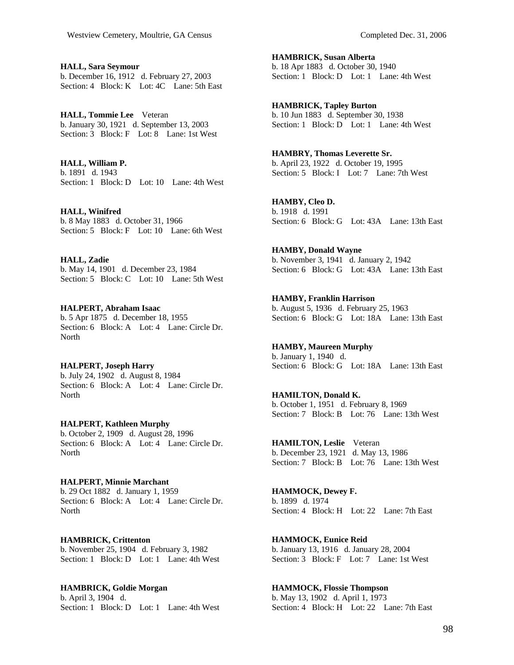**HALL, Sara Seymour**  b. December 16, 1912 d. February 27, 2003 Section: 4 Block: K Lot: 4C Lane: 5th East

**HALL, Tommie Lee** Veteran b. January 30, 1921 d. September 13, 2003 Section: 3 Block: F Lot: 8 Lane: 1st West

**HALL, William P.**  b. 1891 d. 1943 Section: 1 Block: D Lot: 10 Lane: 4th West

**HALL, Winifred**  b. 8 May 1883 d. October 31, 1966 Section: 5 Block: F Lot: 10 Lane: 6th West

**HALL, Zadie**  b. May 14, 1901 d. December 23, 1984 Section: 5 Block: C Lot: 10 Lane: 5th West

**HALPERT, Abraham Isaac**  b. 5 Apr 1875 d. December 18, 1955 Section: 6 Block: A Lot: 4 Lane: Circle Dr. North

**HALPERT, Joseph Harry**  b. July 24, 1902 d. August 8, 1984 Section: 6 Block: A Lot: 4 Lane: Circle Dr. North

**HALPERT, Kathleen Murphy**  b. October 2, 1909 d. August 28, 1996 Section: 6 Block: A Lot: 4 Lane: Circle Dr. **North** 

**HALPERT, Minnie Marchant**  b. 29 Oct 1882 d. January 1, 1959 Section: 6 Block: A Lot: 4 Lane: Circle Dr. North

**HAMBRICK, Crittenton**  b. November 25, 1904 d. February 3, 1982 Section: 1 Block: D Lot: 1 Lane: 4th West

**HAMBRICK, Goldie Morgan**  b. April 3, 1904 d. Section: 1 Block: D Lot: 1 Lane: 4th West **HAMBRICK, Susan Alberta**  b. 18 Apr 1883 d. October 30, 1940 Section: 1 Block: D Lot: 1 Lane: 4th West

**HAMBRICK, Tapley Burton**  b. 10 Jun 1883 d. September 30, 1938 Section: 1 Block: D Lot: 1 Lane: 4th West

**HAMBRY, Thomas Leverette Sr.**  b. April 23, 1922 d. October 19, 1995 Section: 5 Block: I Lot: 7 Lane: 7th West

**HAMBY, Cleo D.**  b. 1918 d. 1991 Section: 6 Block: G Lot: 43A Lane: 13th East

**HAMBY, Donald Wayne**  b. November 3, 1941 d. January 2, 1942 Section: 6 Block: G Lot: 43A Lane: 13th East

**HAMBY, Franklin Harrison**  b. August 5, 1936 d. February 25, 1963 Section: 6 Block: G Lot: 18A Lane: 13th East

**HAMBY, Maureen Murphy**  b. January 1, 1940 d. Section: 6 Block: G Lot: 18A Lane: 13th East

**HAMILTON, Donald K.**  b. October 1, 1951 d. February 8, 1969 Section: 7 Block: B Lot: 76 Lane: 13th West

**HAMILTON, Leslie** Veteran b. December 23, 1921 d. May 13, 1986 Section: 7 Block: B Lot: 76 Lane: 13th West

**HAMMOCK, Dewey F.**  b. 1899 d. 1974 Section: 4 Block: H Lot: 22 Lane: 7th East

**HAMMOCK, Eunice Reid**  b. January 13, 1916 d. January 28, 2004 Section: 3 Block: F Lot: 7 Lane: 1st West

**HAMMOCK, Flossie Thompson**  b. May 13, 1902 d. April 1, 1973 Section: 4 Block: H Lot: 22 Lane: 7th East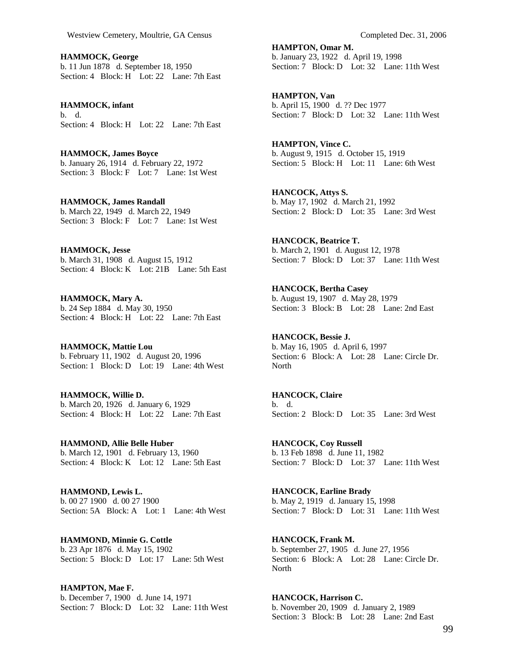**HAMMOCK, George**  b. 11 Jun 1878 d. September 18, 1950 Section: 4 Block: H Lot: 22 Lane: 7th East

**HAMMOCK, infant**  b. d. Section: 4 Block: H Lot: 22 Lane: 7th East

**HAMMOCK, James Boyce**  b. January 26, 1914 d. February 22, 1972 Section: 3 Block: F Lot: 7 Lane: 1st West

**HAMMOCK, James Randall**  b. March 22, 1949 d. March 22, 1949 Section: 3 Block: F Lot: 7 Lane: 1st West

**HAMMOCK, Jesse**  b. March 31, 1908 d. August 15, 1912 Section: 4 Block: K Lot: 21B Lane: 5th East

**HAMMOCK, Mary A.**  b. 24 Sep 1884 d. May 30, 1950 Section: 4 Block: H Lot: 22 Lane: 7th East

**HAMMOCK, Mattie Lou**  b. February 11, 1902 d. August 20, 1996 Section: 1 Block: D Lot: 19 Lane: 4th West

**HAMMOCK, Willie D.**  b. March 20, 1926 d. January 6, 1929 Section: 4 Block: H Lot: 22 Lane: 7th East

**HAMMOND, Allie Belle Huber**  b. March 12, 1901 d. February 13, 1960 Section: 4 Block: K Lot: 12 Lane: 5th East

**HAMMOND, Lewis L.**  b. 00 27 1900 d. 00 27 1900 Section: 5A Block: A Lot: 1 Lane: 4th West

**HAMMOND, Minnie G. Cottle**  b. 23 Apr 1876 d. May 15, 1902 Section: 5 Block: D Lot: 17 Lane: 5th West

**HAMPTON, Mae F.**  b. December 7, 1900 d. June 14, 1971 Section: 7 Block: D Lot: 32 Lane: 11th West

**HAMPTON, Omar M.**  b. January 23, 1922 d. April 19, 1998 Section: 7 Block: D Lot: 32 Lane: 11th West

**HAMPTON, Van**  b. April 15, 1900 d. ?? Dec 1977 Section: 7 Block: D Lot: 32 Lane: 11th West

**HAMPTON, Vince C.**  b. August 9, 1915 d. October 15, 1919 Section: 5 Block: H Lot: 11 Lane: 6th West

**HANCOCK, Attys S.**  b. May 17, 1902 d. March 21, 1992 Section: 2 Block: D Lot: 35 Lane: 3rd West

**HANCOCK, Beatrice T.**  b. March 2, 1901 d. August 12, 1978 Section: 7 Block: D Lot: 37 Lane: 11th West

**HANCOCK, Bertha Casey**  b. August 19, 1907 d. May 28, 1979 Section: 3 Block: B Lot: 28 Lane: 2nd East

**HANCOCK, Bessie J.**  b. May 16, 1905 d. April 6, 1997 Section: 6 Block: A Lot: 28 Lane: Circle Dr. North

**HANCOCK, Claire**  b. d. Section: 2 Block: D Lot: 35 Lane: 3rd West

**HANCOCK, Coy Russell**  b. 13 Feb 1898 d. June 11, 1982 Section: 7 Block: D Lot: 37 Lane: 11th West

**HANCOCK, Earline Brady**  b. May 2, 1919 d. January 15, 1998 Section: 7 Block: D Lot: 31 Lane: 11th West

**HANCOCK, Frank M.**  b. September 27, 1905 d. June 27, 1956 Section: 6 Block: A Lot: 28 Lane: Circle Dr. North

**HANCOCK, Harrison C.**  b. November 20, 1909 d. January 2, 1989 Section: 3 Block: B Lot: 28 Lane: 2nd East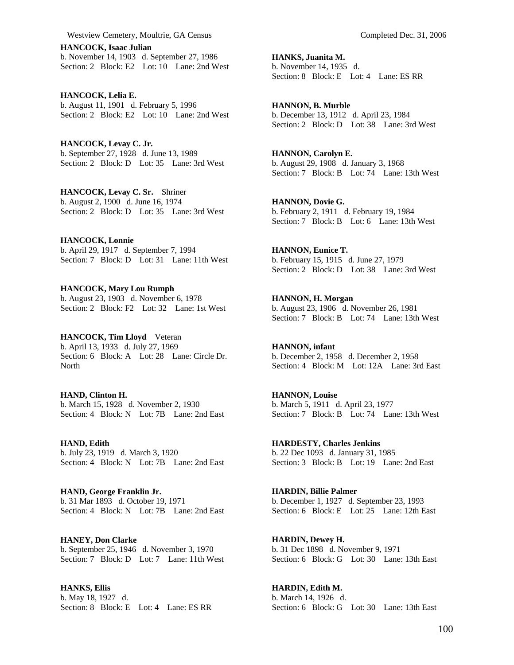**HANCOCK, Isaac Julian**  b. November 14, 1903 d. September 27, 1986 Section: 2 Block: E2 Lot: 10 Lane: 2nd West

**HANCOCK, Lelia E.**  b. August 11, 1901 d. February 5, 1996 Section: 2 Block: E2 Lot: 10 Lane: 2nd West

**HANCOCK, Levay C. Jr.**  b. September 27, 1928 d. June 13, 1989 Section: 2 Block: D Lot: 35 Lane: 3rd West

**HANCOCK, Levay C. Sr.** Shriner b. August 2, 1900 d. June 16, 1974 Section: 2 Block: D Lot: 35 Lane: 3rd West

**HANCOCK, Lonnie**  b. April 29, 1917 d. September 7, 1994 Section: 7 Block: D Lot: 31 Lane: 11th West

**HANCOCK, Mary Lou Rumph**  b. August 23, 1903 d. November 6, 1978 Section: 2 Block: F2 Lot: 32 Lane: 1st West

**HANCOCK, Tim Lloyd** Veteran b. April 13, 1933 d. July 27, 1969 Section: 6 Block: A Lot: 28 Lane: Circle Dr. North

**HAND, Clinton H.**  b. March 15, 1928 d. November 2, 1930 Section: 4 Block: N Lot: 7B Lane: 2nd East

**HAND, Edith**  b. July 23, 1919 d. March 3, 1920 Section: 4 Block: N Lot: 7B Lane: 2nd East

**HAND, George Franklin Jr.**  b. 31 Mar 1893 d. October 19, 1971 Section: 4 Block: N Lot: 7B Lane: 2nd East

**HANEY, Don Clarke**  b. September 25, 1946 d. November 3, 1970 Section: 7 Block: D Lot: 7 Lane: 11th West

**HANKS, Ellis**  b. May 18, 1927 d. Section: 8 Block: E Lot: 4 Lane: ES RR **HANKS, Juanita M.**  b. November 14, 1935 d. Section: 8 Block: E Lot: 4 Lane: ES RR

**HANNON, B. Murble**  b. December 13, 1912 d. April 23, 1984 Section: 2 Block: D Lot: 38 Lane: 3rd West

**HANNON, Carolyn E.**  b. August 29, 1908 d. January 3, 1968 Section: 7 Block: B Lot: 74 Lane: 13th West

**HANNON, Dovie G.**  b. February 2, 1911 d. February 19, 1984 Section: 7 Block: B Lot: 6 Lane: 13th West

**HANNON, Eunice T.**  b. February 15, 1915 d. June 27, 1979 Section: 2 Block: D Lot: 38 Lane: 3rd West

**HANNON, H. Morgan**  b. August 23, 1906 d. November 26, 1981 Section: 7 Block: B Lot: 74 Lane: 13th West

**HANNON, infant**  b. December 2, 1958 d. December 2, 1958 Section: 4 Block: M Lot: 12A Lane: 3rd East

**HANNON, Louise**  b. March 5, 1911 d. April 23, 1977 Section: 7 Block: B Lot: 74 Lane: 13th West

**HARDESTY, Charles Jenkins**  b. 22 Dec 1093 d. January 31, 1985 Section: 3 Block: B Lot: 19 Lane: 2nd East

**HARDIN, Billie Palmer**  b. December 1, 1927 d. September 23, 1993 Section: 6 Block: E Lot: 25 Lane: 12th East

**HARDIN, Dewey H.**  b. 31 Dec 1898 d. November 9, 1971 Section: 6 Block: G Lot: 30 Lane: 13th East

**HARDIN, Edith M.**  b. March 14, 1926 d. Section: 6 Block: G Lot: 30 Lane: 13th East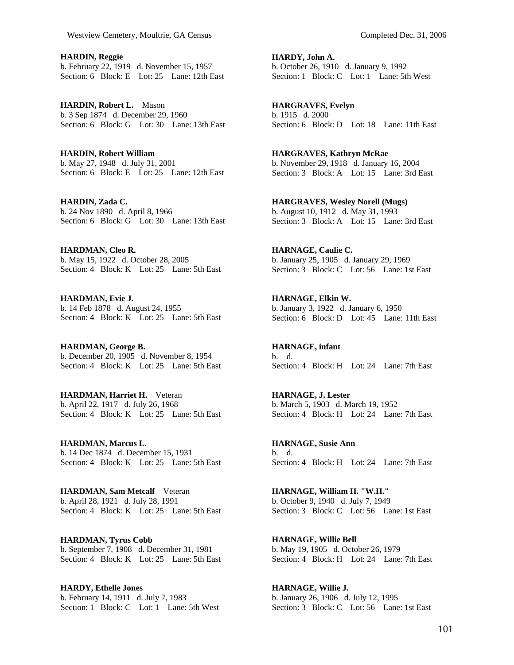**HARDIN, Reggie**  b. February 22, 1919 d. November 15, 1957 Section: 6 Block: E Lot: 25 Lane: 12th East

**HARDIN, Robert L.** Mason b. 3 Sep 1874 d. December 29, 1960 Section: 6 Block: G Lot: 30 Lane: 13th East

**HARDIN, Robert William**  b. May 27, 1948 d. July 31, 2001 Section: 6 Block: E Lot: 25 Lane: 12th East

**HARDIN, Zada C.**  b. 24 Nov 1890 d. April 8, 1966 Section: 6 Block: G Lot: 30 Lane: 13th East

**HARDMAN, Cleo R.**  b. May 15, 1922 d. October 28, 2005 Section: 4 Block: K Lot: 25 Lane: 5th East

**HARDMAN, Evie J.**  b. 14 Feb 1878 d. August 24, 1955 Section: 4 Block: K Lot: 25 Lane: 5th East

**HARDMAN, George B.**  b. December 20, 1905 d. November 8, 1954 Section: 4 Block: K Lot: 25 Lane: 5th East

**HARDMAN, Harriet H.** Veteran b. April 22, 1917 d. July 26, 1968 Section: 4 Block: K Lot: 25 Lane: 5th East

**HARDMAN, Marcus L.**  b. 14 Dec 1874 d. December 15, 1931 Section: 4 Block: K Lot: 25 Lane: 5th East

**HARDMAN, Sam Metcalf** Veteran b. April 28, 1921 d. July 28, 1991 Section: 4 Block: K Lot: 25 Lane: 5th East

**HARDMAN, Tyrus Cobb**  b. September 7, 1908 d. December 31, 1981 Section: 4 Block: K Lot: 25 Lane: 5th East

**HARDY, Ethelle Jones**  b. February 14, 1911 d. July 7, 1983 Section: 1 Block: C Lot: 1 Lane: 5th West **HARDY, John A.**  b. October 26, 1910 d. January 9, 1992 Section: 1 Block: C Lot: 1 Lane: 5th West

**HARGRAVES, Evelyn**  b. 1915 d. 2000 Section: 6 Block: D Lot: 18 Lane: 11th East

**HARGRAVES, Kathryn McRae**  b. November 29, 1918 d. January 16, 2004 Section: 3 Block: A Lot: 15 Lane: 3rd East

**HARGRAVES, Wesley Norell (Mugs)**  b. August 10, 1912 d. May 31, 1993 Section: 3 Block: A Lot: 15 Lane: 3rd East

**HARNAGE, Caulie C.**  b. January 25, 1905 d. January 29, 1969 Section: 3 Block: C Lot: 56 Lane: 1st East

**HARNAGE, Elkin W.**  b. January 3, 1922 d. January 6, 1950 Section: 6 Block: D Lot: 45 Lane: 11th East

**HARNAGE, infant**  b. d. Section: 4 Block: H Lot: 24 Lane: 7th East

**HARNAGE, J. Lester**  b. March 5, 1903 d. March 19, 1952 Section: 4 Block: H Lot: 24 Lane: 7th East

**HARNAGE, Susie Ann**  b. d. Section: 4 Block: H Lot: 24 Lane: 7th East

**HARNAGE, William H. "W.H."**  b. October 9, 1940 d. July 7, 1949 Section: 3 Block: C Lot: 56 Lane: 1st East

**HARNAGE, Willie Bell**  b. May 19, 1905 d. October 26, 1979 Section: 4 Block: H Lot: 24 Lane: 7th East

**HARNAGE, Willie J.**  b. January 26, 1906 d. July 12, 1995 Section: 3 Block: C Lot: 56 Lane: 1st East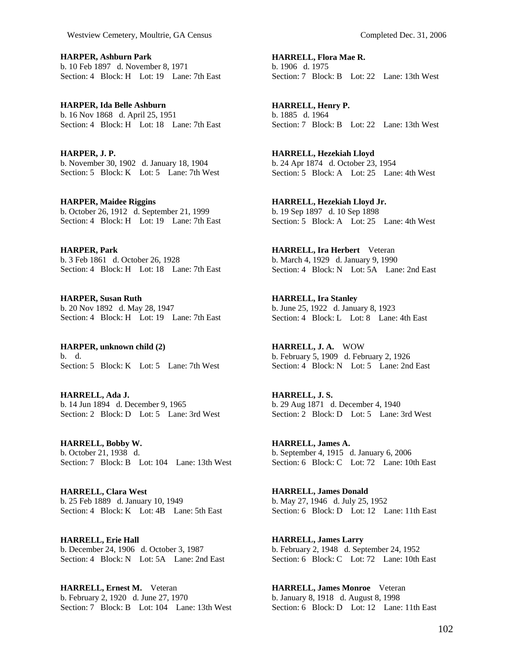**HARPER, Ashburn Park**  b. 10 Feb 1897 d. November 8, 1971 Section: 4 Block: H Lot: 19 Lane: 7th East

**HARPER, Ida Belle Ashburn**  b. 16 Nov 1868 d. April 25, 1951 Section: 4 Block: H Lot: 18 Lane: 7th East

**HARPER, J. P.**  b. November 30, 1902 d. January 18, 1904 Section: 5 Block: K Lot: 5 Lane: 7th West

**HARPER, Maidee Riggins**  b. October 26, 1912 d. September 21, 1999 Section: 4 Block: H Lot: 19 Lane: 7th East

**HARPER, Park**  b. 3 Feb 1861 d. October 26, 1928 Section: 4 Block: H Lot: 18 Lane: 7th East

**HARPER, Susan Ruth**  b. 20 Nov 1892 d. May 28, 1947 Section: 4 Block: H Lot: 19 Lane: 7th East

**HARPER, unknown child (2)**  b. d. Section: 5 Block: K Lot: 5 Lane: 7th West

**HARRELL, Ada J.**  b. 14 Jun 1894 d. December 9, 1965 Section: 2 Block: D Lot: 5 Lane: 3rd West

**HARRELL, Bobby W.**  b. October 21, 1938 d. Section: 7 Block: B Lot: 104 Lane: 13th West

**HARRELL, Clara West**  b. 25 Feb 1889 d. January 10, 1949 Section: 4 Block: K Lot: 4B Lane: 5th East

**HARRELL, Erie Hall**  b. December 24, 1906 d. October 3, 1987 Section: 4 Block: N Lot: 5A Lane: 2nd East

**HARRELL, Ernest M.** Veteran b. February 2, 1920 d. June 27, 1970 Section: 7 Block: B Lot: 104 Lane: 13th West **HARRELL, Flora Mae R.**  b. 1906 d. 1975 Section: 7 Block: B Lot: 22 Lane: 13th West

**HARRELL, Henry P.**  b. 1885 d. 1964 Section: 7 Block: B Lot: 22 Lane: 13th West

**HARRELL, Hezekiah Lloyd**  b. 24 Apr 1874 d. October 23, 1954 Section: 5 Block: A Lot: 25 Lane: 4th West

**HARRELL, Hezekiah Lloyd Jr.**  b. 19 Sep 1897 d. 10 Sep 1898 Section: 5 Block: A Lot: 25 Lane: 4th West

**HARRELL, Ira Herbert** Veteran b. March 4, 1929 d. January 9, 1990 Section: 4 Block: N Lot: 5A Lane: 2nd East

**HARRELL, Ira Stanley**  b. June 25, 1922 d. January 8, 1923 Section: 4 Block: L Lot: 8 Lane: 4th East

**HARRELL, J. A.** WOW b. February 5, 1909 d. February 2, 1926 Section: 4 Block: N Lot: 5 Lane: 2nd East

**HARRELL, J. S.**  b. 29 Aug 1871 d. December 4, 1940 Section: 2 Block: D Lot: 5 Lane: 3rd West

**HARRELL, James A.**  b. September 4, 1915 d. January 6, 2006 Section: 6 Block: C Lot: 72 Lane: 10th East

**HARRELL, James Donald**  b. May 27, 1946 d. July 25, 1952 Section: 6 Block: D Lot: 12 Lane: 11th East

**HARRELL, James Larry**  b. February 2, 1948 d. September 24, 1952 Section: 6 Block: C Lot: 72 Lane: 10th East

**HARRELL, James Monroe** Veteran b. January 8, 1918 d. August 8, 1998 Section: 6 Block: D Lot: 12 Lane: 11th East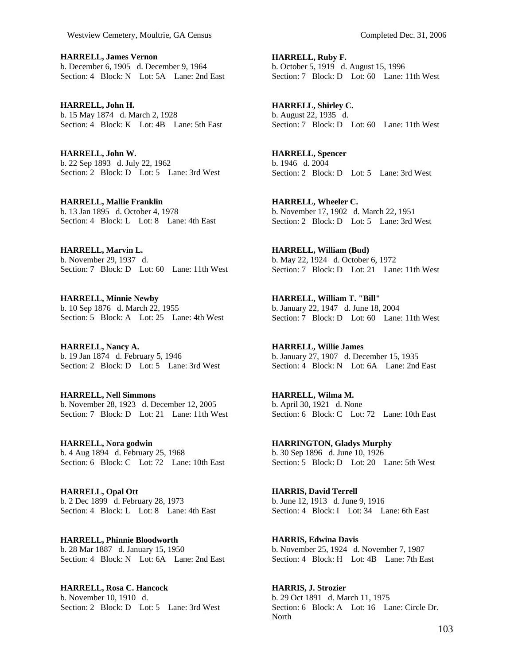**HARRELL, James Vernon**  b. December 6, 1905 d. December 9, 1964 Section: 4 Block: N Lot: 5A Lane: 2nd East

**HARRELL, John H.**  b. 15 May 1874 d. March 2, 1928 Section: 4 Block: K Lot: 4B Lane: 5th East

**HARRELL, John W.**  b. 22 Sep 1893 d. July 22, 1962 Section: 2 Block: D Lot: 5 Lane: 3rd West

**HARRELL, Mallie Franklin**  b. 13 Jan 1895 d. October 4, 1978 Section: 4 Block: L Lot: 8 Lane: 4th East

**HARRELL, Marvin L.**  b. November 29, 1937 d. Section: 7 Block: D Lot: 60 Lane: 11th West

**HARRELL, Minnie Newby**  b. 10 Sep 1876 d. March 22, 1955 Section: 5 Block: A Lot: 25 Lane: 4th West

**HARRELL, Nancy A.**  b. 19 Jan 1874 d. February 5, 1946 Section: 2 Block: D Lot: 5 Lane: 3rd West

**HARRELL, Nell Simmons**  b. November 28, 1923 d. December 12, 2005 Section: 7 Block: D Lot: 21 Lane: 11th West

**HARRELL, Nora godwin**  b. 4 Aug 1894 d. February 25, 1968 Section: 6 Block: C Lot: 72 Lane: 10th East

**HARRELL, Opal Ott**  b. 2 Dec 1899 d. February 28, 1973 Section: 4 Block: L Lot: 8 Lane: 4th East

**HARRELL, Phinnie Bloodworth**  b. 28 Mar 1887 d. January 15, 1950 Section: 4 Block: N Lot: 6A Lane: 2nd East

**HARRELL, Rosa C. Hancock**  b. November 10, 1910 d. Section: 2 Block: D Lot: 5 Lane: 3rd West **HARRELL, Ruby F.**  b. October 5, 1919 d. August 15, 1996 Section: 7 Block: D Lot: 60 Lane: 11th West

**HARRELL, Shirley C.**  b. August 22, 1935 d. Section: 7 Block: D Lot: 60 Lane: 11th West

**HARRELL, Spencer**  b. 1946 d. 2004 Section: 2 Block: D Lot: 5 Lane: 3rd West

**HARRELL, Wheeler C.**  b. November 17, 1902 d. March 22, 1951 Section: 2 Block: D Lot: 5 Lane: 3rd West

**HARRELL, William (Bud)**  b. May 22, 1924 d. October 6, 1972 Section: 7 Block: D Lot: 21 Lane: 11th West

**HARRELL, William T. "Bill"**  b. January 22, 1947 d. June 18, 2004 Section: 7 Block: D Lot: 60 Lane: 11th West

**HARRELL, Willie James**  b. January 27, 1907 d. December 15, 1935 Section: 4 Block: N Lot: 6A Lane: 2nd East

**HARRELL, Wilma M.**  b. April 30, 1921 d. None Section: 6 Block: C Lot: 72 Lane: 10th East

**HARRINGTON, Gladys Murphy**  b. 30 Sep 1896 d. June 10, 1926 Section: 5 Block: D Lot: 20 Lane: 5th West

**HARRIS, David Terrell**  b. June 12, 1913 d. June 9, 1916 Section: 4 Block: I Lot: 34 Lane: 6th East

**HARRIS, Edwina Davis**  b. November 25, 1924 d. November 7, 1987 Section: 4 Block: H Lot: 4B Lane: 7th East

**HARRIS, J. Strozier**  b. 29 Oct 1891 d. March 11, 1975 Section: 6 Block: A Lot: 16 Lane: Circle Dr. North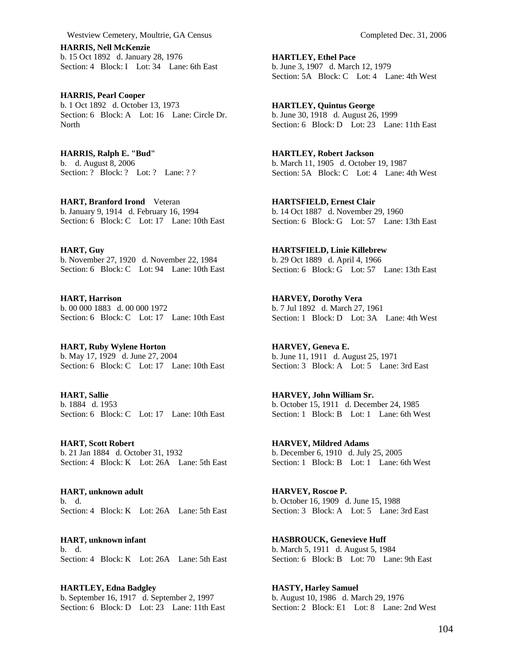**HARRIS, Nell McKenzie**  b. 15 Oct 1892 d. January 28, 1976 Section: 4 Block: I Lot: 34 Lane: 6th East

**HARRIS, Pearl Cooper**  b. 1 Oct 1892 d. October 13, 1973 Section: 6 Block: A Lot: 16 Lane: Circle Dr. **North** 

**HARRIS, Ralph E. "Bud"**  b. d. August 8, 2006 Section: ? Block: ? Lot: ? Lane: ? ?

**HART, Branford Irond** Veteran b. January 9, 1914 d. February 16, 1994 Section: 6 Block: C Lot: 17 Lane: 10th East

**HART, Guy**  b. November 27, 1920 d. November 22, 1984 Section: 6 Block: C Lot: 94 Lane: 10th East

**HART, Harrison**  b. 00 000 1883 d. 00 000 1972 Section: 6 Block: C Lot: 17 Lane: 10th East

**HART, Ruby Wylene Horton**  b. May 17, 1929 d. June 27, 2004 Section: 6 Block: C Lot: 17 Lane: 10th East

**HART, Sallie**  b. 1884 d. 1953 Section: 6 Block: C Lot: 17 Lane: 10th East

**HART, Scott Robert**  b. 21 Jan 1884 d. October 31, 1932 Section: 4 Block: K Lot: 26A Lane: 5th East

**HART, unknown adult**  b. d. Section: 4 Block: K Lot: 26A Lane: 5th East

**HART, unknown infant**  b. d. Section: 4 Block: K Lot: 26A Lane: 5th East

**HARTLEY, Edna Badgley**  b. September 16, 1917 d. September 2, 1997 Section: 6 Block: D Lot: 23 Lane: 11th East **HARTLEY, Ethel Pace**  b. June 3, 1907 d. March 12, 1979 Section: 5A Block: C Lot: 4 Lane: 4th West

**HARTLEY, Quintus George**  b. June 30, 1918 d. August 26, 1999 Section: 6 Block: D Lot: 23 Lane: 11th East

**HARTLEY, Robert Jackson**  b. March 11, 1905 d. October 19, 1987 Section: 5A Block: C Lot: 4 Lane: 4th West

**HARTSFIELD, Ernest Clair**  b. 14 Oct 1887 d. November 29, 1960 Section: 6 Block: G Lot: 57 Lane: 13th East

**HARTSFIELD, Linie Killebrew**  b. 29 Oct 1889 d. April 4, 1966 Section: 6 Block: G Lot: 57 Lane: 13th East

**HARVEY, Dorothy Vera**  b. 7 Jul 1892 d. March 27, 1961 Section: 1 Block: D Lot: 3A Lane: 4th West

**HARVEY, Geneva E.**  b. June 11, 1911 d. August 25, 1971 Section: 3 Block: A Lot: 5 Lane: 3rd East

**HARVEY, John William Sr.**  b. October 15, 1911 d. December 24, 1985 Section: 1 Block: B Lot: 1 Lane: 6th West

**HARVEY, Mildred Adams**  b. December 6, 1910 d. July 25, 2005 Section: 1 Block: B Lot: 1 Lane: 6th West

**HARVEY, Roscoe P.**  b. October 16, 1909 d. June 15, 1988 Section: 3 Block: A Lot: 5 Lane: 3rd East

**HASBROUCK, Genevieve Huff**  b. March 5, 1911 d. August 5, 1984 Section: 6 Block: B Lot: 70 Lane: 9th East

**HASTY, Harley Samuel**  b. August 10, 1986 d. March 29, 1976 Section: 2 Block: E1 Lot: 8 Lane: 2nd West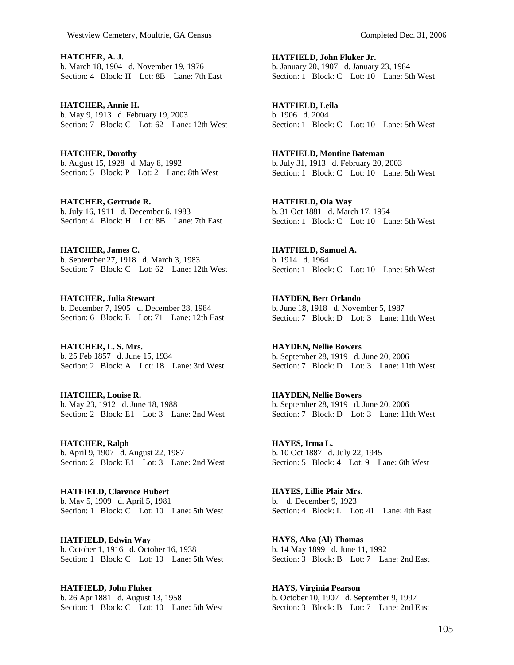**HATCHER, A. J.**  b. March 18, 1904 d. November 19, 1976 Section: 4 Block: H Lot: 8B Lane: 7th East

**HATCHER, Annie H.**  b. May 9, 1913 d. February 19, 2003 Section: 7 Block: C Lot: 62 Lane: 12th West

**HATCHER, Dorothy**  b. August 15, 1928 d. May 8, 1992 Section: 5 Block: P Lot: 2 Lane: 8th West

**HATCHER, Gertrude R.**  b. July 16, 1911 d. December 6, 1983 Section: 4 Block: H Lot: 8B Lane: 7th East

**HATCHER, James C.**  b. September 27, 1918 d. March 3, 1983 Section: 7 Block: C Lot: 62 Lane: 12th West

**HATCHER, Julia Stewart**  b. December 7, 1905 d. December 28, 1984 Section: 6 Block: E Lot: 71 Lane: 12th East

**HATCHER, L. S. Mrs.**  b. 25 Feb 1857 d. June 15, 1934 Section: 2 Block: A Lot: 18 Lane: 3rd West

**HATCHER, Louise R.**  b. May 23, 1912 d. June 18, 1988 Section: 2 Block: E1 Lot: 3 Lane: 2nd West

**HATCHER, Ralph**  b. April 9, 1907 d. August 22, 1987 Section: 2 Block: E1 Lot: 3 Lane: 2nd West

**HATFIELD, Clarence Hubert**  b. May 5, 1909 d. April 5, 1981 Section: 1 Block: C Lot: 10 Lane: 5th West

**HATFIELD, Edwin Way**  b. October 1, 1916 d. October 16, 1938 Section: 1 Block: C Lot: 10 Lane: 5th West

**HATFIELD, John Fluker**  b. 26 Apr 1881 d. August 13, 1958 Section: 1 Block: C Lot: 10 Lane: 5th West **HATFIELD, John Fluker Jr.**  b. January 20, 1907 d. January 23, 1984 Section: 1 Block: C Lot: 10 Lane: 5th West

**HATFIELD, Leila**  b. 1906 d. 2004 Section: 1 Block: C Lot: 10 Lane: 5th West

**HATFIELD, Montine Bateman**  b. July 31, 1913 d. February 20, 2003 Section: 1 Block: C Lot: 10 Lane: 5th West

**HATFIELD, Ola Way**  b. 31 Oct 1881 d. March 17, 1954 Section: 1 Block: C Lot: 10 Lane: 5th West

**HATFIELD, Samuel A.**  b. 1914 d. 1964 Section: 1 Block: C Lot: 10 Lane: 5th West

**HAYDEN, Bert Orlando**  b. June 18, 1918 d. November 5, 1987 Section: 7 Block: D Lot: 3 Lane: 11th West

**HAYDEN, Nellie Bowers**  b. September 28, 1919 d. June 20, 2006 Section: 7 Block: D Lot: 3 Lane: 11th West

**HAYDEN, Nellie Bowers**  b. September 28, 1919 d. June 20, 2006 Section: 7 Block: D Lot: 3 Lane: 11th West

**HAYES, Irma L.**  b. 10 Oct 1887 d. July 22, 1945 Section: 5 Block: 4 Lot: 9 Lane: 6th West

**HAYES, Lillie Plair Mrs.**  b. d. December 9, 1923 Section: 4 Block: L Lot: 41 Lane: 4th East

**HAYS, Alva (Al) Thomas**  b. 14 May 1899 d. June 11, 1992 Section: 3 Block: B Lot: 7 Lane: 2nd East

**HAYS, Virginia Pearson**  b. October 10, 1907 d. September 9, 1997 Section: 3 Block: B Lot: 7 Lane: 2nd East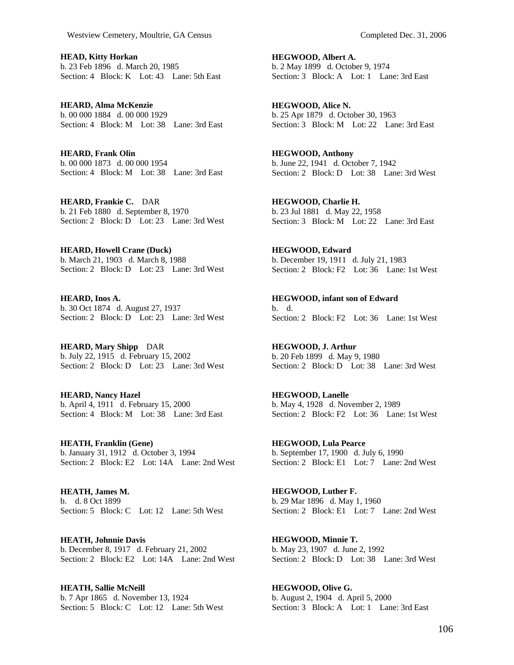**HEAD, Kitty Horkan**  b. 23 Feb 1896 d. March 20, 1985 Section: 4 Block: K Lot: 43 Lane: 5th East

**HEARD, Alma McKenzie**  b. 00 000 1884 d. 00 000 1929 Section: 4 Block: M Lot: 38 Lane: 3rd East

**HEARD, Frank Olin**  b. 00 000 1873 d. 00 000 1954 Section: 4 Block: M Lot: 38 Lane: 3rd East

**HEARD, Frankie C.** DAR b. 21 Feb 1880 d. September 8, 1970 Section: 2 Block: D Lot: 23 Lane: 3rd West

**HEARD, Howell Crane (Duck)**  b. March 21, 1903 d. March 8, 1988 Section: 2 Block: D Lot: 23 Lane: 3rd West

**HEARD, Inos A.**  b. 30 Oct 1874 d. August 27, 1937 Section: 2 Block: D Lot: 23 Lane: 3rd West

**HEARD, Mary Shipp** DAR b. July 22, 1915 d. February 15, 2002 Section: 2 Block: D Lot: 23 Lane: 3rd West

**HEARD, Nancy Hazel**  b. April 4, 1911 d. February 15, 2000 Section: 4 Block: M Lot: 38 Lane: 3rd East

**HEATH, Franklin (Gene)**  b. January 31, 1912 d. October 3, 1994 Section: 2 Block: E2 Lot: 14A Lane: 2nd West

**HEATH, James M.**  b. d. 8 Oct 1899 Section: 5 Block: C Lot: 12 Lane: 5th West

**HEATH, Johnnie Davis**  b. December 8, 1917 d. February 21, 2002 Section: 2 Block: E2 Lot: 14A Lane: 2nd West

**HEATH, Sallie McNeill**  b. 7 Apr 1865 d. November 13, 1924 Section: 5 Block: C Lot: 12 Lane: 5th West **HEGWOOD, Albert A.**  b. 2 May 1899 d. October 9, 1974 Section: 3 Block: A Lot: 1 Lane: 3rd East

**HEGWOOD, Alice N.**  b. 25 Apr 1879 d. October 30, 1963 Section: 3 Block: M Lot: 22 Lane: 3rd East

**HEGWOOD, Anthony**  b. June 22, 1941 d. October 7, 1942 Section: 2 Block: D Lot: 38 Lane: 3rd West

**HEGWOOD, Charlie H.**  b. 23 Jul 1881 d. May 22, 1958 Section: 3 Block: M Lot: 22 Lane: 3rd East

**HEGWOOD, Edward**  b. December 19, 1911 d. July 21, 1983 Section: 2 Block: F2 Lot: 36 Lane: 1st West

**HEGWOOD, infant son of Edward**  b. d. Section: 2 Block: F2 Lot: 36 Lane: 1st West

**HEGWOOD, J. Arthur**  b. 20 Feb 1899 d. May 9, 1980 Section: 2 Block: D Lot: 38 Lane: 3rd West

**HEGWOOD, Lanelle**  b. May 4, 1928 d. November 2, 1989 Section: 2 Block: F2 Lot: 36 Lane: 1st West

**HEGWOOD, Lula Pearce**  b. September 17, 1900 d. July 6, 1990 Section: 2 Block: E1 Lot: 7 Lane: 2nd West

**HEGWOOD, Luther F.**  b. 29 Mar 1896 d. May 1, 1960 Section: 2 Block: E1 Lot: 7 Lane: 2nd West

**HEGWOOD, Minnie T.**  b. May 23, 1907 d. June 2, 1992 Section: 2 Block: D Lot: 38 Lane: 3rd West

**HEGWOOD, Olive G.**  b. August 2, 1904 d. April 5, 2000 Section: 3 Block: A Lot: 1 Lane: 3rd East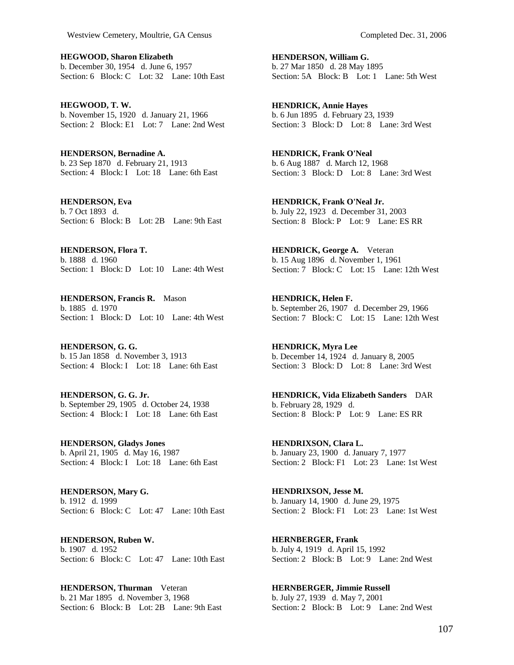**HEGWOOD, Sharon Elizabeth**  b. December 30, 1954 d. June 6, 1957 Section: 6 Block: C Lot: 32 Lane: 10th East

**HEGWOOD, T. W.**  b. November 15, 1920 d. January 21, 1966 Section: 2 Block: E1 Lot: 7 Lane: 2nd West

**HENDERSON, Bernadine A.**  b. 23 Sep 1870 d. February 21, 1913 Section: 4 Block: I Lot: 18 Lane: 6th East

**HENDERSON, Eva**  b. 7 Oct 1893 d. Section: 6 Block: B Lot: 2B Lane: 9th East

**HENDERSON, Flora T.**  b. 1888 d. 1960 Section: 1 Block: D Lot: 10 Lane: 4th West

**HENDERSON, Francis R.** Mason b. 1885 d. 1970 Section: 1 Block: D Lot: 10 Lane: 4th West

**HENDERSON, G. G.**  b. 15 Jan 1858 d. November 3, 1913 Section: 4 Block: I Lot: 18 Lane: 6th East

**HENDERSON, G. G. Jr.**  b. September 29, 1905 d. October 24, 1938 Section: 4 Block: I Lot: 18 Lane: 6th East

**HENDERSON, Gladys Jones**  b. April 21, 1905 d. May 16, 1987 Section: 4 Block: I Lot: 18 Lane: 6th East

**HENDERSON, Mary G.**  b. 1912 d. 1999 Section: 6 Block: C Lot: 47 Lane: 10th East

**HENDERSON, Ruben W.**  b. 1907 d. 1952 Section: 6 Block: C Lot: 47 Lane: 10th East

**HENDERSON, Thurman** Veteran b. 21 Mar 1895 d. November 3, 1968 Section: 6 Block: B Lot: 2B Lane: 9th East **HENDERSON, William G.**  b. 27 Mar 1850 d. 28 May 1895

Section: 5A Block: B Lot: 1 Lane: 5th West

**HENDRICK, Annie Hayes**  b. 6 Jun 1895 d. February 23, 1939 Section: 3 Block: D Lot: 8 Lane: 3rd West

**HENDRICK, Frank O'Neal**  b. 6 Aug 1887 d. March 12, 1968 Section: 3 Block: D Lot: 8 Lane: 3rd West

**HENDRICK, Frank O'Neal Jr.**  b. July 22, 1923 d. December 31, 2003 Section: 8 Block: P Lot: 9 Lane: ES RR

**HENDRICK, George A.** Veteran b. 15 Aug 1896 d. November 1, 1961 Section: 7 Block: C Lot: 15 Lane: 12th West

**HENDRICK, Helen F.**  b. September 26, 1907 d. December 29, 1966 Section: 7 Block: C Lot: 15 Lane: 12th West

**HENDRICK, Myra Lee**  b. December 14, 1924 d. January 8, 2005 Section: 3 Block: D Lot: 8 Lane: 3rd West

**HENDRICK, Vida Elizabeth Sanders** DAR b. February 28, 1929 d. Section: 8 Block: P Lot: 9 Lane: ES RR

**HENDRIXSON, Clara L.**  b. January 23, 1900 d. January 7, 1977 Section: 2 Block: F1 Lot: 23 Lane: 1st West

**HENDRIXSON, Jesse M.**  b. January 14, 1900 d. June 29, 1975 Section: 2 Block: F1 Lot: 23 Lane: 1st West

**HERNBERGER, Frank**  b. July 4, 1919 d. April 15, 1992 Section: 2 Block: B Lot: 9 Lane: 2nd West

**HERNBERGER, Jimmie Russell**  b. July 27, 1939 d. May 7, 2001 Section: 2 Block: B Lot: 9 Lane: 2nd West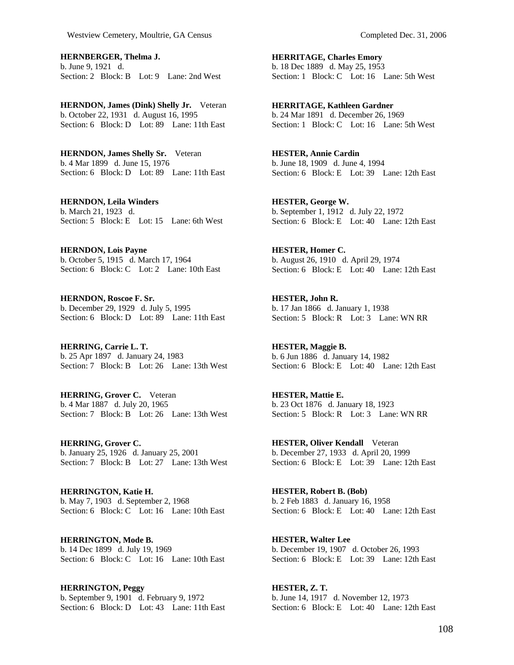**HERNBERGER, Thelma J.**  b. June 9, 1921 d. Section: 2 Block: B Lot: 9 Lane: 2nd West

**HERNDON, James (Dink) Shelly Jr.** Veteran b. October 22, 1931 d. August 16, 1995 Section: 6 Block: D Lot: 89 Lane: 11th East

**HERNDON, James Shelly Sr.** Veteran b. 4 Mar 1899 d. June 15, 1976 Section: 6 Block: D Lot: 89 Lane: 11th East

**HERNDON, Leila Winders**  b. March 21, 1923 d. Section: 5 Block: E Lot: 15 Lane: 6th West

**HERNDON, Lois Payne**  b. October 5, 1915 d. March 17, 1964 Section: 6 Block: C Lot: 2 Lane: 10th East

**HERNDON, Roscoe F. Sr.**  b. December 29, 1929 d. July 5, 1995 Section: 6 Block: D Lot: 89 Lane: 11th East

**HERRING, Carrie L. T.**  b. 25 Apr 1897 d. January 24, 1983 Section: 7 Block: B Lot: 26 Lane: 13th West

**HERRING, Grover C.** Veteran b. 4 Mar 1887 d. July 20, 1965 Section: 7 Block: B Lot: 26 Lane: 13th West

**HERRING, Grover C.**  b. January 25, 1926 d. January 25, 2001 Section: 7 Block: B Lot: 27 Lane: 13th West

**HERRINGTON, Katie H.**  b. May 7, 1903 d. September 2, 1968 Section: 6 Block: C Lot: 16 Lane: 10th East

**HERRINGTON, Mode B.**  b. 14 Dec 1899 d. July 19, 1969 Section: 6 Block: C Lot: 16 Lane: 10th East

**HERRINGTON, Peggy**  b. September 9, 1901 d. February 9, 1972 Section: 6 Block: D Lot: 43 Lane: 11th East **HERRITAGE, Charles Emory**  b. 18 Dec 1889 d. May 25, 1953 Section: 1 Block: C Lot: 16 Lane: 5th West

**HERRITAGE, Kathleen Gardner**  b. 24 Mar 1891 d. December 26, 1969 Section: 1 Block: C Lot: 16 Lane: 5th West

**HESTER, Annie Cardin**  b. June 18, 1909 d. June 4, 1994 Section: 6 Block: E Lot: 39 Lane: 12th East

**HESTER, George W.**  b. September 1, 1912 d. July 22, 1972 Section: 6 Block: E Lot: 40 Lane: 12th East

**HESTER, Homer C.**  b. August 26, 1910 d. April 29, 1974 Section: 6 Block: E Lot: 40 Lane: 12th East

**HESTER, John R.**  b. 17 Jan 1866 d. January 1, 1938 Section: 5 Block: R Lot: 3 Lane: WN RR

**HESTER, Maggie B.**  b. 6 Jun 1886 d. January 14, 1982 Section: 6 Block: E Lot: 40 Lane: 12th East

**HESTER, Mattie E.**  b. 23 Oct 1876 d. January 18, 1923 Section: 5 Block: R Lot: 3 Lane: WN RR

**HESTER, Oliver Kendall** Veteran b. December 27, 1933 d. April 20, 1999 Section: 6 Block: E Lot: 39 Lane: 12th East

**HESTER, Robert B. (Bob)**  b. 2 Feb 1883 d. January 16, 1958 Section: 6 Block: E Lot: 40 Lane: 12th East

**HESTER, Walter Lee**  b. December 19, 1907 d. October 26, 1993 Section: 6 Block: E Lot: 39 Lane: 12th East

**HESTER, Z. T.**  b. June 14, 1917 d. November 12, 1973 Section: 6 Block: E Lot: 40 Lane: 12th East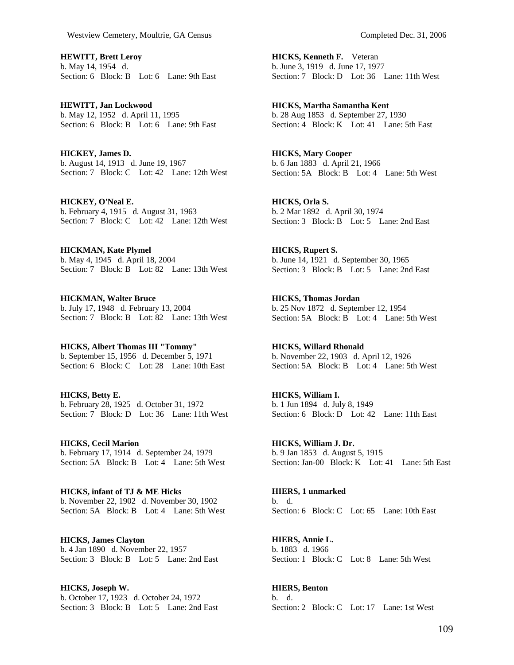**HEWITT, Brett Leroy**  b. May 14, 1954 d. Section: 6 Block: B Lot: 6 Lane: 9th East

**HEWITT, Jan Lockwood**  b. May 12, 1952 d. April 11, 1995 Section: 6 Block: B Lot: 6 Lane: 9th East

**HICKEY, James D.**  b. August 14, 1913 d. June 19, 1967 Section: 7 Block: C Lot: 42 Lane: 12th West

**HICKEY, O'Neal E.**  b. February 4, 1915 d. August 31, 1963 Section: 7 Block: C Lot: 42 Lane: 12th West

**HICKMAN, Kate Plymel**  b. May 4, 1945 d. April 18, 2004 Section: 7 Block: B Lot: 82 Lane: 13th West

**HICKMAN, Walter Bruce**  b. July 17, 1948 d. February 13, 2004 Section: 7 Block: B Lot: 82 Lane: 13th West

**HICKS, Albert Thomas III "Tommy"**  b. September 15, 1956 d. December 5, 1971 Section: 6 Block: C Lot: 28 Lane: 10th East

**HICKS, Betty E.**  b. February 28, 1925 d. October 31, 1972 Section: 7 Block: D Lot: 36 Lane: 11th West

**HICKS, Cecil Marion**  b. February 17, 1914 d. September 24, 1979 Section: 5A Block: B Lot: 4 Lane: 5th West

**HICKS, infant of TJ & ME Hicks**  b. November 22, 1902 d. November 30, 1902 Section: 5A Block: B Lot: 4 Lane: 5th West

**HICKS, James Clayton**  b. 4 Jan 1890 d. November 22, 1957 Section: 3 Block: B Lot: 5 Lane: 2nd East

**HICKS, Joseph W.**  b. October 17, 1923 d. October 24, 1972 Section: 3 Block: B Lot: 5 Lane: 2nd East **HICKS, Kenneth F.** Veteran b. June 3, 1919 d. June 17, 1977 Section: 7 Block: D Lot: 36 Lane: 11th West

**HICKS, Martha Samantha Kent**  b. 28 Aug 1853 d. September 27, 1930 Section: 4 Block: K Lot: 41 Lane: 5th East

**HICKS, Mary Cooper**  b. 6 Jan 1883 d. April 21, 1966 Section: 5A Block: B Lot: 4 Lane: 5th West

**HICKS, Orla S.**  b. 2 Mar 1892 d. April 30, 1974 Section: 3 Block: B Lot: 5 Lane: 2nd East

**HICKS, Rupert S.**  b. June 14, 1921 d. September 30, 1965 Section: 3 Block: B Lot: 5 Lane: 2nd East

**HICKS, Thomas Jordan**  b. 25 Nov 1872 d. September 12, 1954 Section: 5A Block: B Lot: 4 Lane: 5th West

**HICKS, Willard Rhonald**  b. November 22, 1903 d. April 12, 1926 Section: 5A Block: B Lot: 4 Lane: 5th West

**HICKS, William I.**  b. 1 Jun 1894 d. July 8, 1949 Section: 6 Block: D Lot: 42 Lane: 11th East

**HICKS, William J. Dr.**  b. 9 Jan 1853 d. August 5, 1915 Section: Jan-00 Block: K Lot: 41 Lane: 5th East

**HIERS, 1 unmarked**  b. d. Section: 6 Block: C Lot: 65 Lane: 10th East

**HIERS, Annie L.**  b. 1883 d. 1966 Section: 1 Block: C Lot: 8 Lane: 5th West

b. d. Section: 2 Block: C Lot: 17 Lane: 1st West

**HIERS, Benton**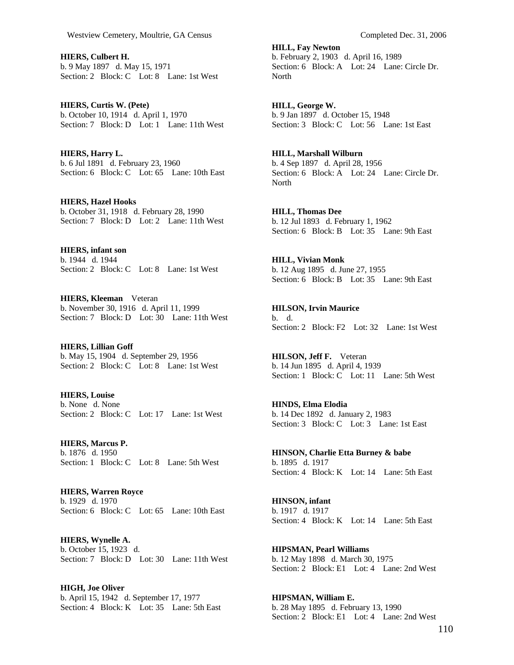**HIERS, Culbert H.**  b. 9 May 1897 d. May 15, 1971 Section: 2 Block: C Lot: 8 Lane: 1st West

**HIERS, Curtis W. (Pete)**  b. October 10, 1914 d. April 1, 1970 Section: 7 Block: D Lot: 1 Lane: 11th West

**HIERS, Harry L.**  b. 6 Jul 1891 d. February 23, 1960 Section: 6 Block: C Lot: 65 Lane: 10th East

**HIERS, Hazel Hooks**  b. October 31, 1918 d. February 28, 1990 Section: 7 Block: D Lot: 2 Lane: 11th West

**HIERS, infant son**  b. 1944 d. 1944 Section: 2 Block: C Lot: 8 Lane: 1st West

**HIERS, Kleeman** Veteran b. November 30, 1916 d. April 11, 1999 Section: 7 Block: D Lot: 30 Lane: 11th West

**HIERS, Lillian Goff**  b. May 15, 1904 d. September 29, 1956 Section: 2 Block: C Lot: 8 Lane: 1st West

**HIERS, Louise**  b. None d. None Section: 2 Block: C Lot: 17 Lane: 1st West

**HIERS, Marcus P.**  b. 1876 d. 1950 Section: 1 Block: C Lot: 8 Lane: 5th West

**HIERS, Warren Royce**  b. 1929 d. 1970 Section: 6 Block: C Lot: 65 Lane: 10th East

**HIERS, Wynelle A.**  b. October 15, 1923 d. Section: 7 Block: D Lot: 30 Lane: 11th West

**HIGH, Joe Oliver**  b. April 15, 1942 d. September 17, 1977 Section: 4 Block: K Lot: 35 Lane: 5th East

**HILL, Fay Newton**  b. February 2, 1903 d. April 16, 1989 Section: 6 Block: A Lot: 24 Lane: Circle Dr. North

**HILL, George W.**  b. 9 Jan 1897 d. October 15, 1948 Section: 3 Block: C Lot: 56 Lane: 1st East

**HILL, Marshall Wilburn**  b. 4 Sep 1897 d. April 28, 1956 Section: 6 Block: A Lot: 24 Lane: Circle Dr. North

**HILL, Thomas Dee**  b. 12 Jul 1893 d. February 1, 1962 Section: 6 Block: B Lot: 35 Lane: 9th East

**HILL, Vivian Monk**  b. 12 Aug 1895 d. June 27, 1955 Section: 6 Block: B Lot: 35 Lane: 9th East

**HILSON, Irvin Maurice**  b. d. Section: 2 Block: F2 Lot: 32 Lane: 1st West

**HILSON, Jeff F.** Veteran b. 14 Jun 1895 d. April 4, 1939 Section: 1 Block: C Lot: 11 Lane: 5th West

**HINDS, Elma Elodia**  b. 14 Dec 1892 d. January 2, 1983 Section: 3 Block: C Lot: 3 Lane: 1st East

**HINSON, Charlie Etta Burney & babe**  b. 1895 d. 1917 Section: 4 Block: K Lot: 14 Lane: 5th East

**HINSON, infant**  b. 1917 d. 1917 Section: 4 Block: K Lot: 14 Lane: 5th East

**HIPSMAN, Pearl Williams**  b. 12 May 1898 d. March 30, 1975 Section: 2 Block: E1 Lot: 4 Lane: 2nd West

**HIPSMAN, William E.**  b. 28 May 1895 d. February 13, 1990 Section: 2 Block: E1 Lot: 4 Lane: 2nd West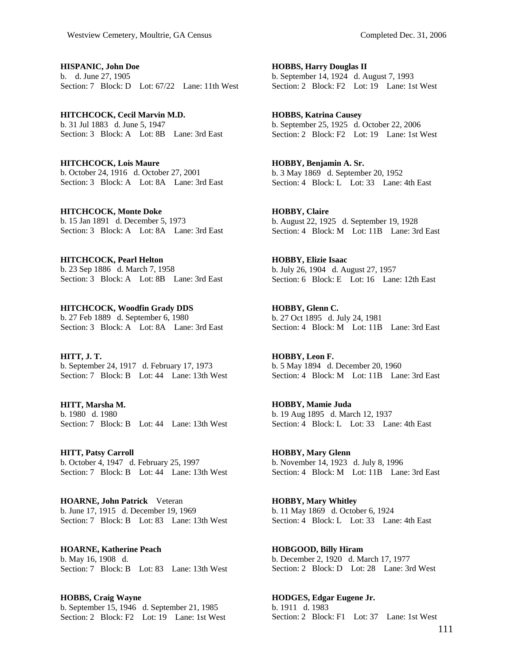**HISPANIC, John Doe**  b. d. June 27, 1905 Section: 7 Block: D Lot: 67/22 Lane: 11th West

**HITCHCOCK, Cecil Marvin M.D.**  b. 31 Jul 1883 d. June 5, 1947 Section: 3 Block: A Lot: 8B Lane: 3rd East

**HITCHCOCK, Lois Maure**  b. October 24, 1916 d. October 27, 2001 Section: 3 Block: A Lot: 8A Lane: 3rd East

**HITCHCOCK, Monte Doke**  b. 15 Jan 1891 d. December 5, 1973 Section: 3 Block: A Lot: 8A Lane: 3rd East

**HITCHCOCK, Pearl Helton**  b. 23 Sep 1886 d. March 7, 1958 Section: 3 Block: A Lot: 8B Lane: 3rd East

**HITCHCOCK, Woodfin Grady DDS**  b. 27 Feb 1889 d. September 6, 1980 Section: 3 Block: A Lot: 8A Lane: 3rd East

**HITT, J. T.**  b. September 24, 1917 d. February 17, 1973 Section: 7 Block: B Lot: 44 Lane: 13th West

**HITT, Marsha M.**  b. 1980 d. 1980 Section: 7 Block: B Lot: 44 Lane: 13th West

**HITT, Patsy Carroll**  b. October 4, 1947 d. February 25, 1997 Section: 7 Block: B Lot: 44 Lane: 13th West

**HOARNE, John Patrick** Veteran b. June 17, 1915 d. December 19, 1969 Section: 7 Block: B Lot: 83 Lane: 13th West

**HOARNE, Katherine Peach**  b. May 16, 1908 d. Section: 7 Block: B Lot: 83 Lane: 13th West

**HOBBS, Craig Wayne**  b. September 15, 1946 d. September 21, 1985 Section: 2 Block: F2 Lot: 19 Lane: 1st West **HOBBS, Harry Douglas II**  b. September 14, 1924 d. August 7, 1993 Section: 2 Block: F2 Lot: 19 Lane: 1st West

**HOBBS, Katrina Causey**  b. September 25, 1925 d. October 22, 2006 Section: 2 Block: F2 Lot: 19 Lane: 1st West

**HOBBY, Benjamin A. Sr.**  b. 3 May 1869 d. September 20, 1952 Section: 4 Block: L Lot: 33 Lane: 4th East

**HOBBY, Claire**  b. August 22, 1925 d. September 19, 1928 Section: 4 Block: M Lot: 11B Lane: 3rd East

**HOBBY, Elizie Isaac**  b. July 26, 1904 d. August 27, 1957 Section: 6 Block: E Lot: 16 Lane: 12th East

**HOBBY, Glenn C.**  b. 27 Oct 1895 d. July 24, 1981 Section: 4 Block: M Lot: 11B Lane: 3rd East

**HOBBY, Leon F.**  b. 5 May 1894 d. December 20, 1960 Section: 4 Block: M Lot: 11B Lane: 3rd East

**HOBBY, Mamie Juda**  b. 19 Aug 1895 d. March 12, 1937 Section: 4 Block: L Lot: 33 Lane: 4th East

**HOBBY, Mary Glenn**  b. November 14, 1923 d. July 8, 1996 Section: 4 Block: M Lot: 11B Lane: 3rd East

**HOBBY, Mary Whitley**  b. 11 May 1869 d. October 6, 1924 Section: 4 Block: L Lot: 33 Lane: 4th East

**HOBGOOD, Billy Hiram**  b. December 2, 1920 d. March 17, 1977 Section: 2 Block: D Lot: 28 Lane: 3rd West

**HODGES, Edgar Eugene Jr.**  b. 1911 d. 1983 Section: 2 Block: F1 Lot: 37 Lane: 1st West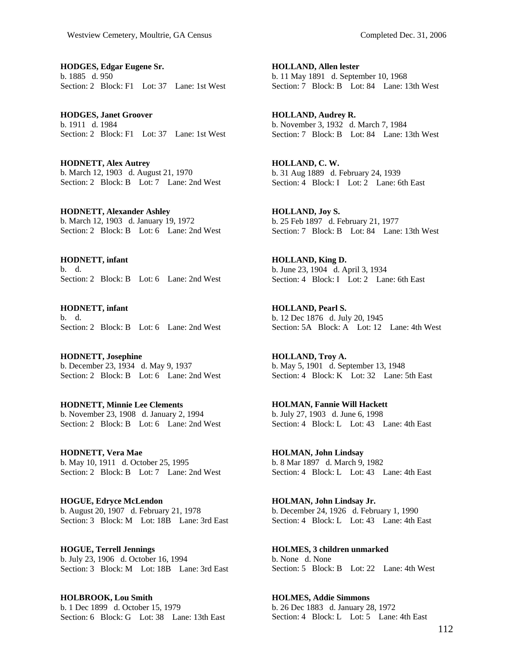**HODGES, Edgar Eugene Sr.**  b. 1885 d. 950 Section: 2 Block: F1 Lot: 37 Lane: 1st West

**HODGES, Janet Groover**  b. 1911 d. 1984 Section: 2 Block: F1 Lot: 37 Lane: 1st West

**HODNETT, Alex Autrey**  b. March 12, 1903 d. August 21, 1970 Section: 2 Block: B Lot: 7 Lane: 2nd West

**HODNETT, Alexander Ashley**  b. March 12, 1903 d. January 19, 1972 Section: 2 Block: B Lot: 6 Lane: 2nd West

**HODNETT, infant**  b. d. Section: 2 Block: B Lot: 6 Lane: 2nd West

**HODNETT, infant**  b. d. Section: 2 Block: B Lot: 6 Lane: 2nd West

**HODNETT, Josephine**  b. December 23, 1934 d. May 9, 1937 Section: 2 Block: B Lot: 6 Lane: 2nd West

**HODNETT, Minnie Lee Clements**  b. November 23, 1908 d. January 2, 1994 Section: 2 Block: B Lot: 6 Lane: 2nd West

**HODNETT, Vera Mae**  b. May 10, 1911 d. October 25, 1995 Section: 2 Block: B Lot: 7 Lane: 2nd West

**HOGUE, Edryce McLendon**  b. August 20, 1907 d. February 21, 1978 Section: 3 Block: M Lot: 18B Lane: 3rd East

**HOGUE, Terrell Jennings**  b. July 23, 1906 d. October 16, 1994 Section: 3 Block: M Lot: 18B Lane: 3rd East

**HOLBROOK, Lou Smith**  b. 1 Dec 1899 d. October 15, 1979 Section: 6 Block: G Lot: 38 Lane: 13th East **HOLLAND, Allen lester**  b. 11 May 1891 d. September 10, 1968 Section: 7 Block: B Lot: 84 Lane: 13th West

**HOLLAND, Audrey R.**  b. November 3, 1932 d. March 7, 1984 Section: 7 Block: B Lot: 84 Lane: 13th West

**HOLLAND, C. W.**  b. 31 Aug 1889 d. February 24, 1939 Section: 4 Block: I Lot: 2 Lane: 6th East

**HOLLAND, Joy S.**  b. 25 Feb 1897 d. February 21, 1977 Section: 7 Block: B Lot: 84 Lane: 13th West

**HOLLAND, King D.**  b. June 23, 1904 d. April 3, 1934 Section: 4 Block: I Lot: 2 Lane: 6th East

**HOLLAND, Pearl S.**  b. 12 Dec 1876 d. July 20, 1945 Section: 5A Block: A Lot: 12 Lane: 4th West

**HOLLAND, Troy A.**  b. May 5, 1901 d. September 13, 1948 Section: 4 Block: K Lot: 32 Lane: 5th East

**HOLMAN, Fannie Will Hackett**  b. July 27, 1903 d. June 6, 1998 Section: 4 Block: L Lot: 43 Lane: 4th East

**HOLMAN, John Lindsay**  b. 8 Mar 1897 d. March 9, 1982 Section: 4 Block: L Lot: 43 Lane: 4th East

**HOLMAN, John Lindsay Jr.**  b. December 24, 1926 d. February 1, 1990 Section: 4 Block: L Lot: 43 Lane: 4th East

**HOLMES, 3 children unmarked**  b. None d. None Section: 5 Block: B Lot: 22 Lane: 4th West

**HOLMES, Addie Simmons**  b. 26 Dec 1883 d. January 28, 1972 Section: 4 Block: L Lot: 5 Lane: 4th East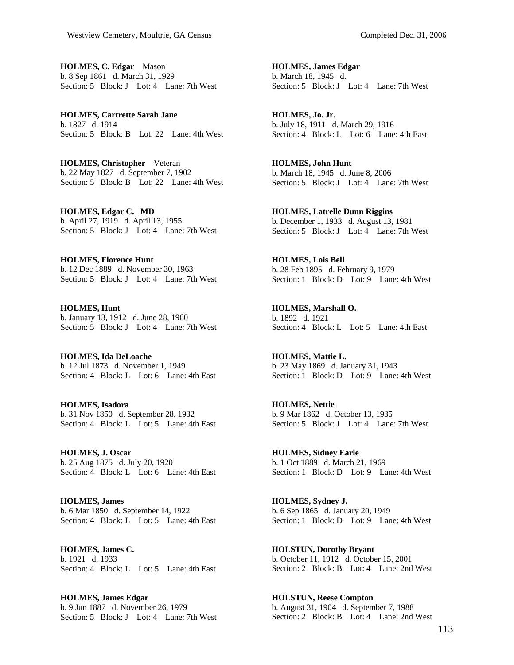**HOLMES, C. Edgar** Mason b. 8 Sep 1861 d. March 31, 1929 Section: 5 Block: J Lot: 4 Lane: 7th West

**HOLMES, Cartrette Sarah Jane**  b. 1827 d. 1914 Section: 5 Block: B Lot: 22 Lane: 4th West

**HOLMES, Christopher** Veteran b. 22 May 1827 d. September 7, 1902 Section: 5 Block: B Lot: 22 Lane: 4th West

**HOLMES, Edgar C. MD**  b. April 27, 1919 d. April 13, 1955 Section: 5 Block: J Lot: 4 Lane: 7th West

**HOLMES, Florence Hunt**  b. 12 Dec 1889 d. November 30, 1963 Section: 5 Block: J Lot: 4 Lane: 7th West

**HOLMES, Hunt**  b. January 13, 1912 d. June 28, 1960 Section: 5 Block: J Lot: 4 Lane: 7th West

**HOLMES, Ida DeLoache**  b. 12 Jul 1873 d. November 1, 1949 Section: 4 Block: L Lot: 6 Lane: 4th East

**HOLMES, Isadora**  b. 31 Nov 1850 d. September 28, 1932 Section: 4 Block: L Lot: 5 Lane: 4th East

**HOLMES, J. Oscar**  b. 25 Aug 1875 d. July 20, 1920 Section: 4 Block: L Lot: 6 Lane: 4th East

**HOLMES, James**  b. 6 Mar 1850 d. September 14, 1922 Section: 4 Block: L Lot: 5 Lane: 4th East

**HOLMES, James C.**  b. 1921 d. 1933 Section: 4 Block: L Lot: 5 Lane: 4th East

**HOLMES, James Edgar**  b. 9 Jun 1887 d. November 26, 1979 Section: 5 Block: J Lot: 4 Lane: 7th West **HOLMES, James Edgar**  b. March 18, 1945 d. Section: 5 Block: J Lot: 4 Lane: 7th West

**HOLMES, Jo. Jr.**  b. July 18, 1911 d. March 29, 1916 Section: 4 Block: L Lot: 6 Lane: 4th East

**HOLMES, John Hunt**  b. March 18, 1945 d. June 8, 2006 Section: 5 Block: J Lot: 4 Lane: 7th West

**HOLMES, Latrelle Dunn Riggins**  b. December 1, 1933 d. August 13, 1981 Section: 5 Block: J Lot: 4 Lane: 7th West

**HOLMES, Lois Bell**  b. 28 Feb 1895 d. February 9, 1979 Section: 1 Block: D Lot: 9 Lane: 4th West

**HOLMES, Marshall O.**  b. 1892 d. 1921 Section: 4 Block: L Lot: 5 Lane: 4th East

**HOLMES, Mattie L.**  b. 23 May 1869 d. January 31, 1943 Section: 1 Block: D Lot: 9 Lane: 4th West

**HOLMES, Nettie**  b. 9 Mar 1862 d. October 13, 1935 Section: 5 Block: J Lot: 4 Lane: 7th West

**HOLMES, Sidney Earle**  b. 1 Oct 1889 d. March 21, 1969 Section: 1 Block: D Lot: 9 Lane: 4th West

**HOLMES, Sydney J.**  b. 6 Sep 1865 d. January 20, 1949 Section: 1 Block: D Lot: 9 Lane: 4th West

**HOLSTUN, Dorothy Bryant**  b. October 11, 1912 d. October 15, 2001 Section: 2 Block: B Lot: 4 Lane: 2nd West

**HOLSTUN, Reese Compton**  b. August 31, 1904 d. September 7, 1988 Section: 2 Block: B Lot: 4 Lane: 2nd West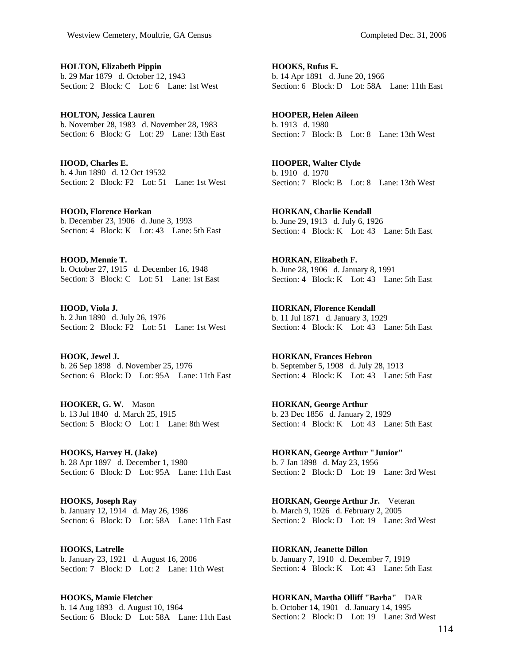**HOLTON, Elizabeth Pippin**  b. 29 Mar 1879 d. October 12, 1943 Section: 2 Block: C Lot: 6 Lane: 1st West

**HOLTON, Jessica Lauren**  b. November 28, 1983 d. November 28, 1983 Section: 6 Block: G Lot: 29 Lane: 13th East

**HOOD, Charles E.**  b. 4 Jun 1890 d. 12 Oct 19532 Section: 2 Block: F2 Lot: 51 Lane: 1st West

**HOOD, Florence Horkan**  b. December 23, 1906 d. June 3, 1993 Section: 4 Block: K Lot: 43 Lane: 5th East

**HOOD, Mennie T.**  b. October 27, 1915 d. December 16, 1948 Section: 3 Block: C Lot: 51 Lane: 1st East

**HOOD, Viola J.**  b. 2 Jun 1890 d. July 26, 1976 Section: 2 Block: F2 Lot: 51 Lane: 1st West

**HOOK, Jewel J.**  b. 26 Sep 1898 d. November 25, 1976 Section: 6 Block: D Lot: 95A Lane: 11th East

**HOOKER, G. W.** Mason b. 13 Jul 1840 d. March 25, 1915 Section: 5 Block: O Lot: 1 Lane: 8th West

**HOOKS, Harvey H. (Jake)**  b. 28 Apr 1897 d. December 1, 1980 Section: 6 Block: D Lot: 95A Lane: 11th East

**HOOKS, Joseph Ray**  b. January 12, 1914 d. May 26, 1986 Section: 6 Block: D Lot: 58A Lane: 11th East

**HOOKS, Latrelle**  b. January 23, 1921 d. August 16, 2006 Section: 7 Block: D Lot: 2 Lane: 11th West

**HOOKS, Mamie Fletcher**  b. 14 Aug 1893 d. August 10, 1964 Section: 6 Block: D Lot: 58A Lane: 11th East **HOOKS, Rufus E.**  b. 14 Apr 1891 d. June 20, 1966 Section: 6 Block: D Lot: 58A Lane: 11th East

**HOOPER, Helen Aileen**  b. 1913 d. 1980 Section: 7 Block: B Lot: 8 Lane: 13th West

**HOOPER, Walter Clyde**  b. 1910 d. 1970 Section: 7 Block: B Lot: 8 Lane: 13th West

**HORKAN, Charlie Kendall**  b. June 29, 1913 d. July 6, 1926 Section: 4 Block: K Lot: 43 Lane: 5th East

**HORKAN, Elizabeth F.**  b. June 28, 1906 d. January 8, 1991 Section: 4 Block: K Lot: 43 Lane: 5th East

**HORKAN, Florence Kendall**  b. 11 Jul 1871 d. January 3, 1929 Section: 4 Block: K Lot: 43 Lane: 5th East

**HORKAN, Frances Hebron**  b. September 5, 1908 d. July 28, 1913 Section: 4 Block: K Lot: 43 Lane: 5th East

**HORKAN, George Arthur**  b. 23 Dec 1856 d. January 2, 1929 Section: 4 Block: K Lot: 43 Lane: 5th East

**HORKAN, George Arthur "Junior"**  b. 7 Jan 1898 d. May 23, 1956 Section: 2 Block: D Lot: 19 Lane: 3rd West

**HORKAN, George Arthur Jr.** Veteran b. March 9, 1926 d. February 2, 2005 Section: 2 Block: D Lot: 19 Lane: 3rd West

**HORKAN, Jeanette Dillon**  b. January 7, 1910 d. December 7, 1919 Section: 4 Block: K Lot: 43 Lane: 5th East

**HORKAN, Martha Olliff "Barba"** DAR b. October 14, 1901 d. January 14, 1995 Section: 2 Block: D Lot: 19 Lane: 3rd West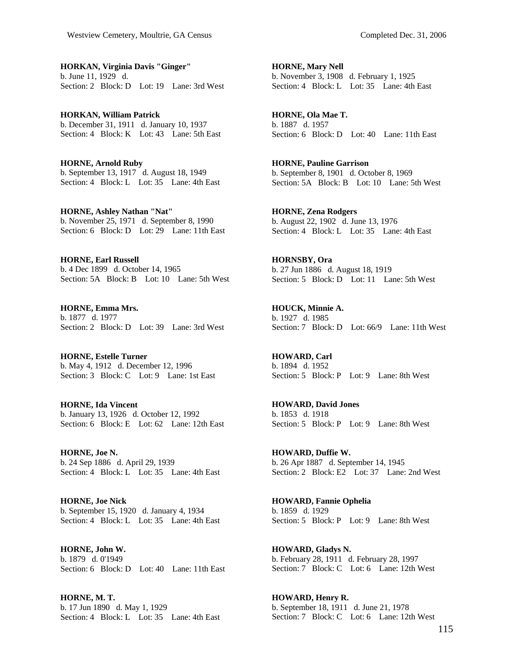**HORKAN, Virginia Davis "Ginger"**  b. June 11, 1929 d. Section: 2 Block: D Lot: 19 Lane: 3rd West

**HORKAN, William Patrick**  b. December 31, 1911 d. January 10, 1937 Section: 4 Block: K Lot: 43 Lane: 5th East

**HORNE, Arnold Ruby**  b. September 13, 1917 d. August 18, 1949 Section: 4 Block: L Lot: 35 Lane: 4th East

**HORNE, Ashley Nathan "Nat"**  b. November 25, 1971 d. September 8, 1990 Section: 6 Block: D Lot: 29 Lane: 11th East

**HORNE, Earl Russell**  b. 4 Dec 1899 d. October 14, 1965 Section: 5A Block: B Lot: 10 Lane: 5th West

**HORNE, Emma Mrs.**  b. 1877 d. 1977 Section: 2 Block: D Lot: 39 Lane: 3rd West

**HORNE, Estelle Turner**  b. May 4, 1912 d. December 12, 1996 Section: 3 Block: C Lot: 9 Lane: 1st East

**HORNE, Ida Vincent**  b. January 13, 1926 d. October 12, 1992 Section: 6 Block: E Lot: 62 Lane: 12th East

**HORNE, Joe N.**  b. 24 Sep 1886 d. April 29, 1939 Section: 4 Block: L Lot: 35 Lane: 4th East

**HORNE, Joe Nick**  b. September 15, 1920 d. January 4, 1934 Section: 4 Block: L Lot: 35 Lane: 4th East

**HORNE, John W.**  b. 1879 d. 0'1949 Section: 6 Block: D Lot: 40 Lane: 11th East

**HORNE, M. T.**  b. 17 Jun 1890 d. May 1, 1929 Section: 4 Block: L Lot: 35 Lane: 4th East **HORNE, Mary Nell**  b. November 3, 1908 d. February 1, 1925 Section: 4 Block: L Lot: 35 Lane: 4th East

**HORNE, Ola Mae T.**  b. 1887 d. 1957 Section: 6 Block: D Lot: 40 Lane: 11th East

**HORNE, Pauline Garrison**  b. September 8, 1901 d. October 8, 1969 Section: 5A Block: B Lot: 10 Lane: 5th West

**HORNE, Zena Rodgers**  b. August 22, 1902 d. June 13, 1976 Section: 4 Block: L Lot: 35 Lane: 4th East

**HORNSBY, Ora**  b. 27 Jun 1886 d. August 18, 1919 Section: 5 Block: D Lot: 11 Lane: 5th West

**HOUCK, Minnie A.**  b. 1927 d. 1985 Section: 7 Block: D Lot: 66/9 Lane: 11th West

**HOWARD, Carl**  b. 1894 d. 1952 Section: 5 Block: P Lot: 9 Lane: 8th West

**HOWARD, David Jones**  b. 1853 d. 1918 Section: 5 Block: P Lot: 9 Lane: 8th West

**HOWARD, Duffie W.**  b. 26 Apr 1887 d. September 14, 1945 Section: 2 Block: E2 Lot: 37 Lane: 2nd West

**HOWARD, Fannie Ophelia**  b. 1859 d. 1929 Section: 5 Block: P Lot: 9 Lane: 8th West

**HOWARD, Gladys N.**  b. February 28, 1911 d. February 28, 1997 Section: 7 Block: C Lot: 6 Lane: 12th West

**HOWARD, Henry R.**  b. September 18, 1911 d. June 21, 1978 Section: 7 Block: C Lot: 6 Lane: 12th West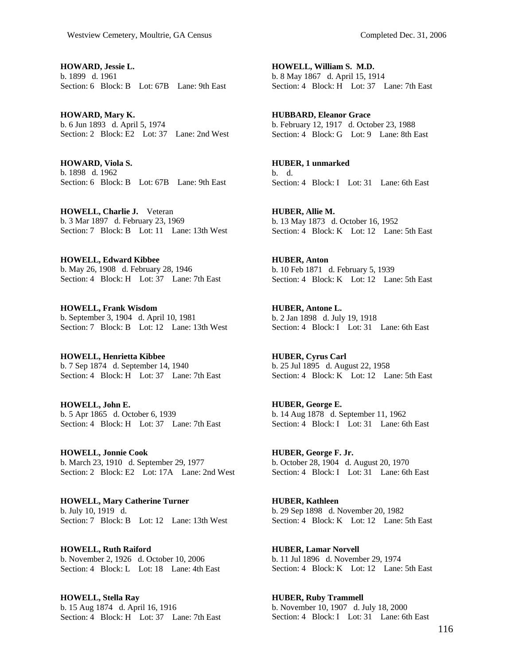**HOWARD, Jessie L.**  b. 1899 d. 1961 Section: 6 Block: B Lot: 67B Lane: 9th East

**HOWARD, Mary K.**  b. 6 Jun 1893 d. April 5, 1974 Section: 2 Block: E2 Lot: 37 Lane: 2nd West

**HOWARD, Viola S.**  b. 1898 d. 1962 Section: 6 Block: B Lot: 67B Lane: 9th East

**HOWELL, Charlie J.** Veteran b. 3 Mar 1897 d. February 23, 1969 Section: 7 Block: B Lot: 11 Lane: 13th West

**HOWELL, Edward Kibbee**  b. May 26, 1908 d. February 28, 1946 Section: 4 Block: H Lot: 37 Lane: 7th East

**HOWELL, Frank Wisdom**  b. September 3, 1904 d. April 10, 1981 Section: 7 Block: B Lot: 12 Lane: 13th West

**HOWELL, Henrietta Kibbee**  b. 7 Sep 1874 d. September 14, 1940 Section: 4 Block: H Lot: 37 Lane: 7th East

**HOWELL, John E.**  b. 5 Apr 1865 d. October 6, 1939 Section: 4 Block: H Lot: 37 Lane: 7th East

**HOWELL, Jonnie Cook**  b. March 23, 1910 d. September 29, 1977 Section: 2 Block: E2 Lot: 17A Lane: 2nd West

**HOWELL, Mary Catherine Turner**  b. July 10, 1919 d. Section: 7 Block: B Lot: 12 Lane: 13th West

**HOWELL, Ruth Raiford**  b. November 2, 1926 d. October 10, 2006 Section: 4 Block: L Lot: 18 Lane: 4th East

**HOWELL, Stella Ray**  b. 15 Aug 1874 d. April 16, 1916 Section: 4 Block: H Lot: 37 Lane: 7th East

**HOWELL, William S. M.D.**  b. 8 May 1867 d. April 15, 1914 Section: 4 Block: H Lot: 37 Lane: 7th East

**HUBBARD, Eleanor Grace**  b. February 12, 1917 d. October 23, 1988 Section: 4 Block: G Lot: 9 Lane: 8th East

**HUBER, 1 unmarked**  b. d. Section: 4 Block: I Lot: 31 Lane: 6th East

**HUBER, Allie M.**  b. 13 May 1873 d. October 16, 1952 Section: 4 Block: K Lot: 12 Lane: 5th East

**HUBER, Anton**  b. 10 Feb 1871 d. February 5, 1939 Section: 4 Block: K Lot: 12 Lane: 5th East

**HUBER, Antone L.**  b. 2 Jan 1898 d. July 19, 1918 Section: 4 Block: I Lot: 31 Lane: 6th East

**HUBER, Cyrus Carl**  b. 25 Jul 1895 d. August 22, 1958 Section: 4 Block: K Lot: 12 Lane: 5th East

**HUBER, George E.**  b. 14 Aug 1878 d. September 11, 1962 Section: 4 Block: I Lot: 31 Lane: 6th East

**HUBER, George F. Jr.**  b. October 28, 1904 d. August 20, 1970 Section: 4 Block: I Lot:  $31$  Lane: 6th East

**HUBER, Kathleen**  b. 29 Sep 1898 d. November 20, 1982 Section: 4 Block: K Lot: 12 Lane: 5th East

**HUBER, Lamar Norvell**  b. 11 Jul 1896 d. November 29, 1974 Section: 4 Block: K Lot: 12 Lane: 5th East

**HUBER, Ruby Trammell**  b. November 10, 1907 d. July 18, 2000 Section: 4 Block: I Lot: 31 Lane: 6th East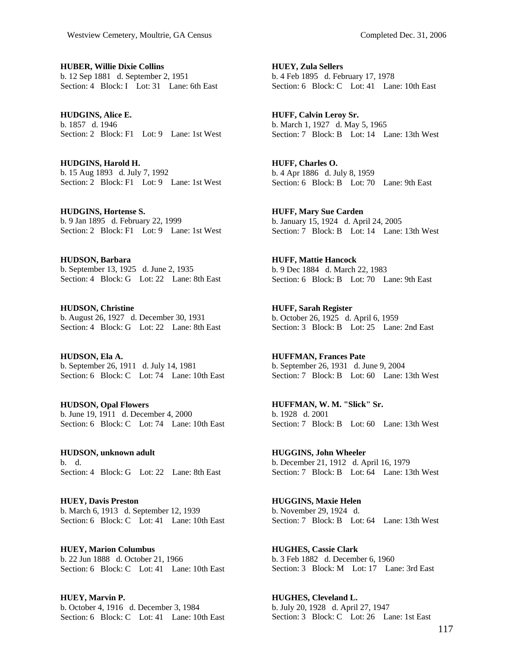**HUBER, Willie Dixie Collins**  b. 12 Sep 1881 d. September 2, 1951 Section: 4 Block: I Lot: 31 Lane: 6th East

**HUDGINS, Alice E.**  b. 1857 d. 1946 Section: 2 Block: F1 Lot: 9 Lane: 1st West

**HUDGINS, Harold H.**  b. 15 Aug 1893 d. July 7, 1992 Section: 2 Block: F1 Lot: 9 Lane: 1st West

**HUDGINS, Hortense S.**  b. 9 Jan 1895 d. February 22, 1999 Section: 2 Block: F1 Lot: 9 Lane: 1st West

**HUDSON, Barbara**  b. September 13, 1925 d. June 2, 1935 Section: 4 Block: G Lot: 22 Lane: 8th East

**HUDSON, Christine**  b. August 26, 1927 d. December 30, 1931 Section: 4 Block: G Lot: 22 Lane: 8th East

**HUDSON, Ela A.**  b. September 26, 1911 d. July 14, 1981 Section: 6 Block: C Lot: 74 Lane: 10th East

**HUDSON, Opal Flowers**  b. June 19, 1911 d. December 4, 2000 Section: 6 Block: C Lot: 74 Lane: 10th East

**HUDSON, unknown adult**  b. d. Section: 4 Block: G Lot: 22 Lane: 8th East

**HUEY, Davis Preston**  b. March 6, 1913 d. September 12, 1939 Section: 6 Block: C Lot: 41 Lane: 10th East

**HUEY, Marion Columbus**  b. 22 Jun 1888 d. October 21, 1966 Section: 6 Block: C Lot: 41 Lane: 10th East

**HUEY, Marvin P.**  b. October 4, 1916 d. December 3, 1984 Section: 6 Block: C Lot: 41 Lane: 10th East **HUEY, Zula Sellers**  b. 4 Feb 1895 d. February 17, 1978 Section: 6 Block: C Lot: 41 Lane: 10th East

**HUFF, Calvin Leroy Sr.**  b. March 1, 1927 d. May 5, 1965 Section: 7 Block: B Lot: 14 Lane: 13th West

**HUFF, Charles O.**  b. 4 Apr 1886 d. July 8, 1959 Section: 6 Block: B Lot: 70 Lane: 9th East

**HUFF, Mary Sue Carden**  b. January 15, 1924 d. April 24, 2005 Section: 7 Block: B Lot: 14 Lane: 13th West

**HUFF, Mattie Hancock**  b. 9 Dec 1884 d. March 22, 1983 Section: 6 Block: B Lot: 70 Lane: 9th East

**HUFF, Sarah Register**  b. October 26, 1925 d. April 6, 1959 Section: 3 Block: B Lot: 25 Lane: 2nd East

**HUFFMAN, Frances Pate**  b. September 26, 1931 d. June 9, 2004 Section: 7 Block: B Lot: 60 Lane: 13th West

**HUFFMAN, W. M. "Slick" Sr.**  b. 1928 d. 2001 Section: 7 Block: B Lot: 60 Lane: 13th West

**HUGGINS, John Wheeler**  b. December 21, 1912 d. April 16, 1979 Section: 7 Block: B Lot: 64 Lane: 13th West

**HUGGINS, Maxie Helen**  b. November 29, 1924 d. Section: 7 Block: B Lot: 64 Lane: 13th West

**HUGHES, Cassie Clark**  b. 3 Feb 1882 d. December 6, 1960 Section: 3 Block: M Lot: 17 Lane: 3rd East

**HUGHES, Cleveland L.**  b. July 20, 1928 d. April 27, 1947 Section: 3 Block: C Lot: 26 Lane: 1st East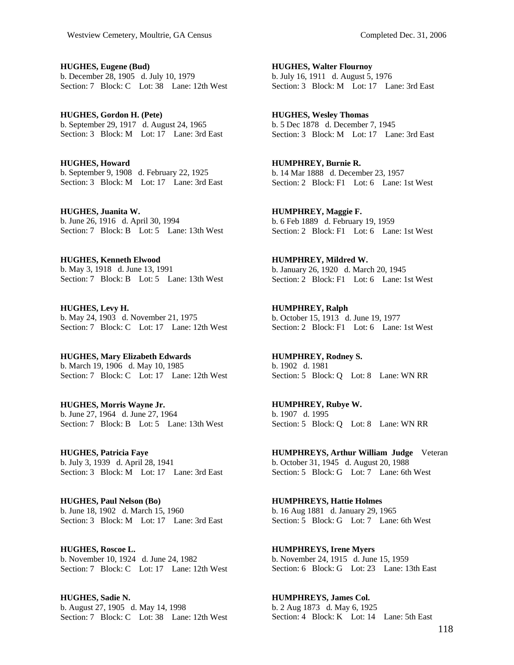**HUGHES, Eugene (Bud)**  b. December 28, 1905 d. July 10, 1979 Section: 7 Block: C Lot: 38 Lane: 12th West

**HUGHES, Gordon H. (Pete)**  b. September 29, 1917 d. August 24, 1965 Section: 3 Block: M Lot: 17 Lane: 3rd East

**HUGHES, Howard**  b. September 9, 1908 d. February 22, 1925 Section: 3 Block: M Lot: 17 Lane: 3rd East

**HUGHES, Juanita W.**  b. June 26, 1916 d. April 30, 1994 Section: 7 Block: B Lot: 5 Lane: 13th West

**HUGHES, Kenneth Elwood**  b. May 3, 1918 d. June 13, 1991 Section: 7 Block: B Lot: 5 Lane: 13th West

**HUGHES, Levy H.**  b. May 24, 1903 d. November 21, 1975 Section: 7 Block: C Lot: 17 Lane: 12th West

**HUGHES, Mary Elizabeth Edwards**  b. March 19, 1906 d. May 10, 1985 Section: 7 Block: C Lot: 17 Lane: 12th West

**HUGHES, Morris Wayne Jr.**  b. June 27, 1964 d. June 27, 1964 Section: 7 Block: B Lot: 5 Lane: 13th West

**HUGHES, Patricia Faye**  b. July 3, 1939 d. April 28, 1941 Section: 3 Block: M Lot: 17 Lane: 3rd East

**HUGHES, Paul Nelson (Bo)**  b. June 18, 1902 d. March 15, 1960 Section: 3 Block: M Lot: 17 Lane: 3rd East

**HUGHES, Roscoe L.**  b. November 10, 1924 d. June 24, 1982 Section: 7 Block: C Lot: 17 Lane: 12th West

**HUGHES, Sadie N.**  b. August 27, 1905 d. May 14, 1998 Section: 7 Block: C Lot: 38 Lane: 12th West **HUGHES, Walter Flournoy**  b. July 16, 1911 d. August 5, 1976 Section: 3 Block: M Lot: 17 Lane: 3rd East

**HUGHES, Wesley Thomas**  b. 5 Dec 1878 d. December 7, 1945 Section: 3 Block: M Lot: 17 Lane: 3rd East

**HUMPHREY, Burnie R.**  b. 14 Mar 1888 d. December 23, 1957 Section: 2 Block: F1 Lot: 6 Lane: 1st West

**HUMPHREY, Maggie F.**  b. 6 Feb 1889 d. February 19, 1959 Section: 2 Block: F1 Lot: 6 Lane: 1st West

**HUMPHREY, Mildred W.**  b. January 26, 1920 d. March 20, 1945 Section: 2 Block: F1 Lot: 6 Lane: 1st West

**HUMPHREY, Ralph**  b. October 15, 1913 d. June 19, 1977 Section: 2 Block: F1 Lot: 6 Lane: 1st West

**HUMPHREY, Rodney S.**  b. 1902 d. 1981 Section: 5 Block: Q Lot: 8 Lane: WN RR

**HUMPHREY, Rubye W.**  b. 1907 d. 1995 Section: 5 Block: Q Lot: 8 Lane: WN RR

**HUMPHREYS, Arthur William Judge** Veteran b. October 31, 1945 d. August 20, 1988 Section: 5 Block: G Lot: 7 Lane: 6th West

**HUMPHREYS, Hattie Holmes**  b. 16 Aug 1881 d. January 29, 1965 Section: 5 Block: G Lot: 7 Lane: 6th West

**HUMPHREYS, Irene Myers**  b. November 24, 1915 d. June 15, 1959 Section: 6 Block: G Lot: 23 Lane: 13th East

**HUMPHREYS, James Col.**  b. 2 Aug 1873 d. May 6, 1925 Section: 4 Block: K Lot: 14 Lane: 5th East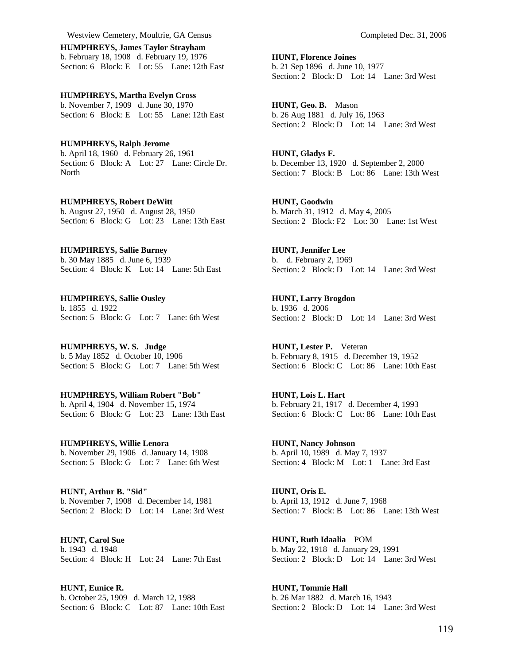Westview Cemetery, Moultrie, GA Census Completed Dec. 31, 2006

**HUMPHREYS, James Taylor Strayham**  b. February 18, 1908 d. February 19, 1976 Section: 6 Block: E Lot: 55 Lane: 12th East

**HUMPHREYS, Martha Evelyn Cross**  b. November 7, 1909 d. June 30, 1970 Section: 6 Block: E Lot: 55 Lane: 12th East

**HUMPHREYS, Ralph Jerome**  b. April 18, 1960 d. February 26, 1961 Section: 6 Block: A Lot: 27 Lane: Circle Dr. **North** 

**HUMPHREYS, Robert DeWitt**  b. August 27, 1950 d. August 28, 1950 Section: 6 Block: G Lot: 23 Lane: 13th East

**HUMPHREYS, Sallie Burney**  b. 30 May 1885 d. June 6, 1939 Section: 4 Block: K Lot: 14 Lane: 5th East

**HUMPHREYS, Sallie Ousley**  b. 1855 d. 1922 Section: 5 Block: G Lot: 7 Lane: 6th West

**HUMPHREYS, W. S. Judge**  b. 5 May 1852 d. October 10, 1906 Section: 5 Block: G Lot: 7 Lane: 5th West

**HUMPHREYS, William Robert "Bob"**  b. April 4, 1904 d. November 15, 1974 Section: 6 Block: G Lot: 23 Lane: 13th East

**HUMPHREYS, Willie Lenora**  b. November 29, 1906 d. January 14, 1908 Section: 5 Block: G Lot: 7 Lane: 6th West

**HUNT, Arthur B. "Sid"**  b. November 7, 1908 d. December 14, 1981 Section: 2 Block: D Lot: 14 Lane: 3rd West

**HUNT, Carol Sue**  b. 1943 d. 1948 Section: 4 Block: H Lot: 24 Lane: 7th East

**HUNT, Eunice R.**  b. October 25, 1909 d. March 12, 1988 Section: 6 Block: C Lot: 87 Lane: 10th East **HUNT, Florence Joines**  b. 21 Sep 1896 d. June 10, 1977 Section: 2 Block: D Lot: 14 Lane: 3rd West

**HUNT, Geo. B.** Mason b. 26 Aug 1881 d. July 16, 1963 Section: 2 Block: D Lot: 14 Lane: 3rd West

**HUNT, Gladys F.**  b. December 13, 1920 d. September 2, 2000 Section: 7 Block: B Lot: 86 Lane: 13th West

**HUNT, Goodwin**  b. March 31, 1912 d. May 4, 2005 Section: 2 Block: F2 Lot: 30 Lane: 1st West

**HUNT, Jennifer Lee**  b. d. February 2, 1969 Section: 2 Block: D Lot: 14 Lane: 3rd West

**HUNT, Larry Brogdon**  b. 1936 d. 2006 Section: 2 Block: D Lot: 14 Lane: 3rd West

**HUNT, Lester P.** Veteran b. February 8, 1915 d. December 19, 1952 Section: 6 Block: C Lot: 86 Lane: 10th East

**HUNT, Lois L. Hart**  b. February 21, 1917 d. December 4, 1993 Section: 6 Block: C Lot: 86 Lane: 10th East

**HUNT, Nancy Johnson**  b. April 10, 1989 d. May 7, 1937 Section: 4 Block: M Lot: 1 Lane: 3rd East

**HUNT, Oris E.**  b. April 13, 1912 d. June 7, 1968 Section: 7 Block: B Lot: 86 Lane: 13th West

**HUNT, Ruth Idaalia** POM b. May 22, 1918 d. January 29, 1991 Section: 2 Block: D Lot: 14 Lane: 3rd West

**HUNT, Tommie Hall**  b. 26 Mar 1882 d. March 16, 1943 Section: 2 Block: D Lot: 14 Lane: 3rd West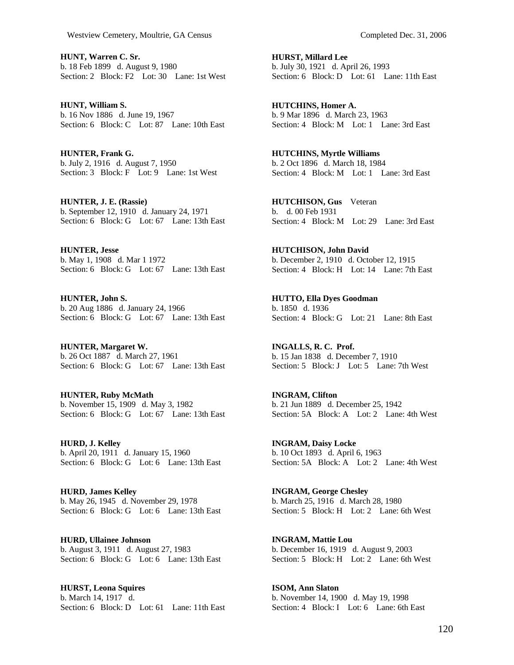**HUNT, Warren C. Sr.**  b. 18 Feb 1899 d. August 9, 1980 Section: 2 Block: F2 Lot: 30 Lane: 1st West

**HUNT, William S.**  b. 16 Nov 1886 d. June 19, 1967 Section: 6 Block: C Lot: 87 Lane: 10th East

**HUNTER, Frank G.**  b. July 2, 1916 d. August 7, 1950 Section: 3 Block: F Lot: 9 Lane: 1st West

**HUNTER, J. E. (Rassie)**  b. September 12, 1910 d. January 24, 1971 Section: 6 Block: G Lot: 67 Lane: 13th East

**HUNTER, Jesse**  b. May 1, 1908 d. Mar 1 1972 Section: 6 Block: G Lot: 67 Lane: 13th East

**HUNTER, John S.**  b. 20 Aug 1886 d. January 24, 1966 Section: 6 Block: G Lot: 67 Lane: 13th East

**HUNTER, Margaret W.**  b. 26 Oct 1887 d. March 27, 1961 Section: 6 Block: G Lot: 67 Lane: 13th East

**HUNTER, Ruby McMath**  b. November 15, 1909 d. May 3, 1982 Section: 6 Block: G Lot: 67 Lane: 13th East

**HURD, J. Kelley**  b. April 20, 1911 d. January 15, 1960 Section: 6 Block: G Lot: 6 Lane: 13th East

**HURD, James Kelley**  b. May 26, 1945 d. November 29, 1978 Section: 6 Block: G Lot: 6 Lane: 13th East

**HURD, Ullainee Johnson**  b. August 3, 1911 d. August 27, 1983 Section: 6 Block: G Lot: 6 Lane: 13th East

**HURST, Leona Squires**  b. March 14, 1917 d. Section: 6 Block: D Lot: 61 Lane: 11th East **HURST, Millard Lee**  b. July 30, 1921 d. April 26, 1993 Section: 6 Block: D Lot: 61 Lane: 11th East

**HUTCHINS, Homer A.**  b. 9 Mar 1896 d. March 23, 1963 Section: 4 Block: M Lot: 1 Lane: 3rd East

**HUTCHINS, Myrtle Williams**  b. 2 Oct 1896 d. March 18, 1984 Section: 4 Block: M Lot: 1 Lane: 3rd East

**HUTCHISON, Gus** Veteran b. d. 00 Feb 1931 Section: 4 Block: M Lot: 29 Lane: 3rd East

**HUTCHISON, John David**  b. December 2, 1910 d. October 12, 1915 Section: 4 Block: H Lot: 14 Lane: 7th East

**HUTTO, Ella Dyes Goodman**  b. 1850 d. 1936 Section: 4 Block: G Lot: 21 Lane: 8th East

**INGALLS, R. C. Prof.**  b. 15 Jan 1838 d. December 7, 1910 Section: 5 Block: J Lot: 5 Lane: 7th West

**INGRAM, Clifton**  b. 21 Jun 1889 d. December 25, 1942 Section: 5A Block: A Lot: 2 Lane: 4th West

**INGRAM, Daisy Locke**  b. 10 Oct 1893 d. April 6, 1963 Section: 5A Block: A Lot: 2 Lane: 4th West

**INGRAM, George Chesley**  b. March 25, 1916 d. March 28, 1980 Section: 5 Block: H Lot: 2 Lane: 6th West

**INGRAM, Mattie Lou**  b. December 16, 1919 d. August 9, 2003 Section: 5 Block: H Lot: 2 Lane: 6th West

**ISOM, Ann Slaton**  b. November 14, 1900 d. May 19, 1998 Section: 4 Block: I Lot: 6 Lane: 6th East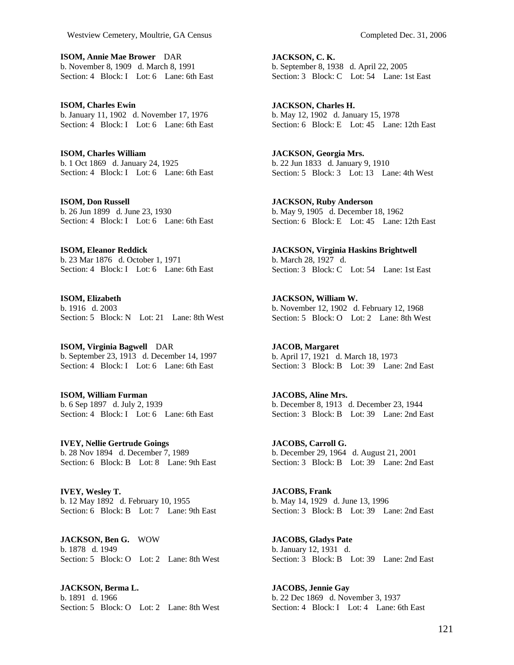**ISOM, Annie Mae Brower** DAR b. November 8, 1909 d. March 8, 1991 Section: 4 Block: I Lot: 6 Lane: 6th East

**ISOM, Charles Ewin**  b. January 11, 1902 d. November 17, 1976 Section: 4 Block: I Lot: 6 Lane: 6th East

**ISOM, Charles William**  b. 1 Oct 1869 d. January 24, 1925 Section: 4 Block: I Lot: 6 Lane: 6th East

**ISOM, Don Russell**  b. 26 Jun 1899 d. June 23, 1930 Section: 4 Block: I Lot: 6 Lane: 6th East

**ISOM, Eleanor Reddick**  b. 23 Mar 1876 d. October 1, 1971 Section: 4 Block: I Lot: 6 Lane: 6th East

**ISOM, Elizabeth**  b. 1916 d. 2003 Section: 5 Block: N Lot: 21 Lane: 8th West

**ISOM, Virginia Bagwell** DAR b. September 23, 1913 d. December 14, 1997 Section: 4 Block: I Lot: 6 Lane: 6th East

**ISOM, William Furman**  b. 6 Sep 1897 d. July 2, 1939 Section: 4 Block: I Lot: 6 Lane: 6th East

**IVEY, Nellie Gertrude Goings**  b. 28 Nov 1894 d. December 7, 1989 Section: 6 Block: B Lot: 8 Lane: 9th East

**IVEY, Wesley T.**  b. 12 May 1892 d. February 10, 1955 Section: 6 Block: B Lot: 7 Lane: 9th East

**JACKSON, Ben G.** WOW b. 1878 d. 1949 Section: 5 Block: O Lot: 2 Lane: 8th West

**JACKSON, Berma L.**  b. 1891 d. 1966 Section: 5 Block: O Lot: 2 Lane: 8th West **JACKSON, C. K.**  b. September 8, 1938 d. April 22, 2005 Section: 3 Block: C Lot: 54 Lane: 1st East

**JACKSON, Charles H.**  b. May 12, 1902 d. January 15, 1978 Section: 6 Block: E Lot: 45 Lane: 12th East

**JACKSON, Georgia Mrs.**  b. 22 Jun 1833 d. January 9, 1910 Section: 5 Block: 3 Lot: 13 Lane: 4th West

**JACKSON, Ruby Anderson**  b. May 9, 1905 d. December 18, 1962 Section: 6 Block: E Lot: 45 Lane: 12th East

**JACKSON, Virginia Haskins Brightwell**  b. March 28, 1927 d. Section: 3 Block: C Lot: 54 Lane: 1st East

**JACKSON, William W.**  b. November 12, 1902 d. February 12, 1968 Section: 5 Block: O Lot: 2 Lane: 8th West

**JACOB, Margaret**  b. April 17, 1921 d. March 18, 1973 Section: 3 Block: B Lot: 39 Lane: 2nd East

**JACOBS, Aline Mrs.**  b. December 8, 1913 d. December 23, 1944 Section: 3 Block: B Lot: 39 Lane: 2nd East

**JACOBS, Carroll G.**  b. December 29, 1964 d. August 21, 2001 Section: 3 Block: B Lot: 39 Lane: 2nd East

**JACOBS, Frank**  b. May 14, 1929 d. June 13, 1996 Section: 3 Block: B Lot: 39 Lane: 2nd East

**JACOBS, Gladys Pate**  b. January 12, 1931 d. Section: 3 Block: B Lot: 39 Lane: 2nd East

**JACOBS, Jennie Gay**  b. 22 Dec 1869 d. November 3, 1937 Section: 4 Block: I Lot: 4 Lane: 6th East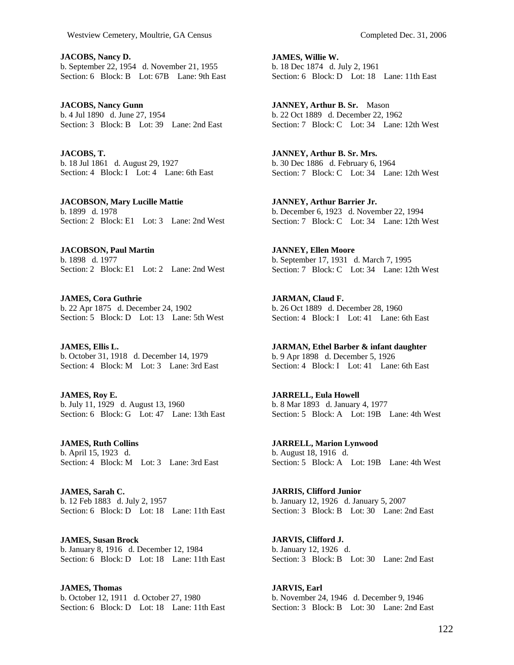**JACOBS, Nancy D.**  b. September 22, 1954 d. November 21, 1955 Section: 6 Block: B Lot: 67B Lane: 9th East

**JACOBS, Nancy Gunn**  b. 4 Jul 1890 d. June 27, 1954 Section: 3 Block: B Lot: 39 Lane: 2nd East

**JACOBS, T.**  b. 18 Jul 1861 d. August 29, 1927 Section: 4 Block: I Lot: 4 Lane: 6th East

**JACOBSON, Mary Lucille Mattie**  b. 1899 d. 1978 Section: 2 Block: E1 Lot: 3 Lane: 2nd West

**JACOBSON, Paul Martin**  b. 1898 d. 1977 Section: 2 Block: E1 Lot: 2 Lane: 2nd West

**JAMES, Cora Guthrie**  b. 22 Apr 1875 d. December 24, 1902 Section: 5 Block: D Lot: 13 Lane: 5th West

**JAMES, Ellis L.**  b. October 31, 1918 d. December 14, 1979 Section: 4 Block: M Lot: 3 Lane: 3rd East

**JAMES, Roy E.**  b. July 11, 1929 d. August 13, 1960 Section: 6 Block: G Lot: 47 Lane: 13th East

**JAMES, Ruth Collins**  b. April 15, 1923 d. Section: 4 Block: M Lot: 3 Lane: 3rd East

**JAMES, Sarah C.**  b. 12 Feb 1883 d. July 2, 1957 Section: 6 Block: D Lot: 18 Lane: 11th East

**JAMES, Susan Brock**  b. January 8, 1916 d. December 12, 1984 Section: 6 Block: D Lot: 18 Lane: 11th East

**JAMES, Thomas**  b. October 12, 1911 d. October 27, 1980 Section: 6 Block: D Lot: 18 Lane: 11th East **JAMES, Willie W.**  b. 18 Dec 1874 d. July 2, 1961 Section: 6 Block: D Lot: 18 Lane: 11th East

**JANNEY, Arthur B. Sr.** Mason b. 22 Oct 1889 d. December 22, 1962 Section: 7 Block: C Lot: 34 Lane: 12th West

**JANNEY, Arthur B. Sr. Mrs.**  b. 30 Dec 1886 d. February 6, 1964 Section: 7 Block: C Lot: 34 Lane: 12th West

**JANNEY, Arthur Barrier Jr.**  b. December 6, 1923 d. November 22, 1994 Section: 7 Block: C Lot: 34 Lane: 12th West

**JANNEY, Ellen Moore**  b. September 17, 1931 d. March 7, 1995 Section: 7 Block: C Lot: 34 Lane: 12th West

**JARMAN, Claud F.**  b. 26 Oct 1889 d. December 28, 1960 Section: 4 Block: I Lot: 41 Lane: 6th East

**JARMAN, Ethel Barber & infant daughter**  b. 9 Apr 1898 d. December 5, 1926 Section: 4 Block: I Lot: 41 Lane: 6th East

**JARRELL, Eula Howell**  b. 8 Mar 1893 d. January 4, 1977 Section: 5 Block: A Lot: 19B Lane: 4th West

**JARRELL, Marion Lynwood**  b. August 18, 1916 d. Section: 5 Block: A Lot: 19B Lane: 4th West

**JARRIS, Clifford Junior**  b. January 12, 1926 d. January 5, 2007 Section: 3 Block: B Lot: 30 Lane: 2nd East

**JARVIS, Clifford J.**  b. January 12, 1926 d. Section: 3 Block: B Lot: 30 Lane: 2nd East

**JARVIS, Earl**  b. November 24, 1946 d. December 9, 1946 Section: 3 Block: B Lot: 30 Lane: 2nd East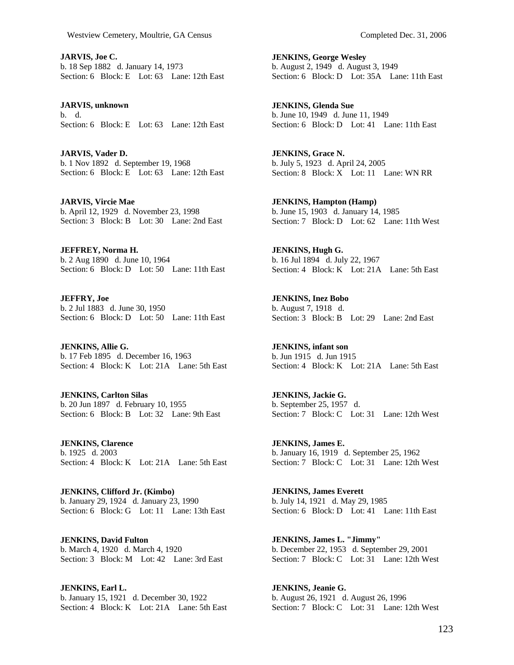**JARVIS, Joe C.**  b. 18 Sep 1882 d. January 14, 1973 Section: 6 Block: E Lot: 63 Lane: 12th East

**JARVIS, unknown**  b. d. Section: 6 Block: E Lot: 63 Lane: 12th East

**JARVIS, Vader D.**  b. 1 Nov 1892 d. September 19, 1968 Section: 6 Block: E Lot: 63 Lane: 12th East

**JARVIS, Vircie Mae**  b. April 12, 1929 d. November 23, 1998 Section: 3 Block: B Lot: 30 Lane: 2nd East

**JEFFREY, Norma H.**  b. 2 Aug 1890 d. June 10, 1964 Section: 6 Block: D Lot: 50 Lane: 11th East

**JEFFRY, Joe**  b. 2 Jul 1883 d. June 30, 1950 Section: 6 Block: D Lot: 50 Lane: 11th East

**JENKINS, Allie G.**  b. 17 Feb 1895 d. December 16, 1963 Section: 4 Block: K Lot: 21A Lane: 5th East

**JENKINS, Carlton Silas**  b. 20 Jun 1897 d. February 10, 1955 Section: 6 Block: B Lot: 32 Lane: 9th East

**JENKINS, Clarence**  b. 1925 d. 2003 Section: 4 Block: K Lot: 21A Lane: 5th East

**JENKINS, Clifford Jr. (Kimbo)**  b. January 29, 1924 d. January 23, 1990 Section: 6 Block: G Lot: 11 Lane: 13th East

**JENKINS, David Fulton**  b. March 4, 1920 d. March 4, 1920 Section: 3 Block: M Lot: 42 Lane: 3rd East

**JENKINS, Earl L.**  b. January 15, 1921 d. December 30, 1922 Section: 4 Block: K Lot: 21A Lane: 5th East **JENKINS, George Wesley**  b. August 2, 1949 d. August 3, 1949 Section: 6 Block: D Lot: 35A Lane: 11th East

**JENKINS, Glenda Sue**  b. June 10, 1949 d. June 11, 1949 Section: 6 Block: D Lot: 41 Lane: 11th East

**JENKINS, Grace N.**  b. July 5, 1923 d. April 24, 2005 Section: 8 Block: X Lot: 11 Lane: WN RR

**JENKINS, Hampton (Hamp)**  b. June 15, 1903 d. January 14, 1985 Section: 7 Block: D Lot: 62 Lane: 11th West

**JENKINS, Hugh G.**  b. 16 Jul 1894 d. July 22, 1967 Section: 4 Block: K Lot: 21A Lane: 5th East

**JENKINS, Inez Bobo**  b. August 7, 1918 d. Section: 3 Block: B Lot: 29 Lane: 2nd East

**JENKINS, infant son**  b. Jun 1915 d. Jun 1915 Section: 4 Block: K Lot: 21A Lane: 5th East

**JENKINS, Jackie G.**  b. September 25, 1957 d. Section: 7 Block: C Lot: 31 Lane: 12th West

**JENKINS, James E.**  b. January 16, 1919 d. September 25, 1962 Section: 7 Block: C Lot: 31 Lane: 12th West

**JENKINS, James Everett**  b. July 14, 1921 d. May 29, 1985 Section: 6 Block: D Lot: 41 Lane: 11th East

**JENKINS, James L. "Jimmy"**  b. December 22, 1953 d. September 29, 2001 Section: 7 Block: C Lot: 31 Lane: 12th West

**JENKINS, Jeanie G.**  b. August 26, 1921 d. August 26, 1996 Section: 7 Block: C Lot: 31 Lane: 12th West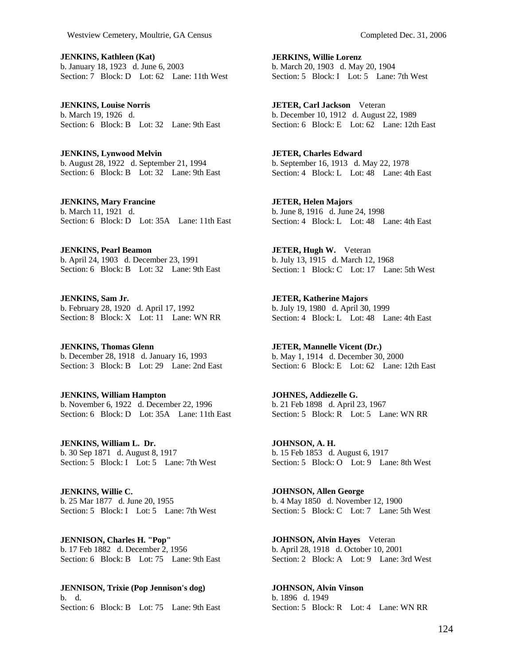**JENKINS, Kathleen (Kat)**  b. January 18, 1923 d. June 6, 2003 Section: 7 Block: D Lot: 62 Lane: 11th West

**JENKINS, Louise Norris**  b. March 19, 1926 d. Section: 6 Block: B Lot: 32 Lane: 9th East

**JENKINS, Lynwood Melvin**  b. August 28, 1922 d. September 21, 1994 Section: 6 Block: B Lot: 32 Lane: 9th East

**JENKINS, Mary Francine**  b. March 11, 1921 d. Section: 6 Block: D Lot: 35A Lane: 11th East

**JENKINS, Pearl Beamon**  b. April 24, 1903 d. December 23, 1991 Section: 6 Block: B Lot: 32 Lane: 9th East

**JENKINS, Sam Jr.**  b. February 28, 1920 d. April 17, 1992 Section: 8 Block: X Lot: 11 Lane: WN RR

**JENKINS, Thomas Glenn**  b. December 28, 1918 d. January 16, 1993 Section: 3 Block: B Lot: 29 Lane: 2nd East

**JENKINS, William Hampton**  b. November 6, 1922 d. December 22, 1996 Section: 6 Block: D Lot: 35A Lane: 11th East

**JENKINS, William L. Dr.**  b. 30 Sep 1871 d. August 8, 1917 Section: 5 Block: I Lot: 5 Lane: 7th West

**JENKINS, Willie C.**  b. 25 Mar 1877 d. June 20, 1955 Section: 5 Block: I Lot: 5 Lane: 7th West

**JENNISON, Charles H. "Pop"**  b. 17 Feb 1882 d. December 2, 1956 Section: 6 Block: B Lot: 75 Lane: 9th East

**JENNISON, Trixie (Pop Jennison's dog)**  b. d. Section: 6 Block: B Lot: 75 Lane: 9th East **JERKINS, Willie Lorenz**  b. March 20, 1903 d. May 20, 1904 Section: 5 Block: I Lot: 5 Lane: 7th West

**JETER, Carl Jackson** Veteran b. December 10, 1912 d. August 22, 1989 Section: 6 Block: E Lot: 62 Lane: 12th East

**JETER, Charles Edward**  b. September 16, 1913 d. May 22, 1978 Section: 4 Block: L Lot: 48 Lane: 4th East

**JETER, Helen Majors**  b. June 8, 1916 d. June 24, 1998 Section: 4 Block: L Lot: 48 Lane: 4th East

**JETER, Hugh W.** Veteran b. July 13, 1915 d. March 12, 1968 Section: 1 Block: C Lot: 17 Lane: 5th West

**JETER, Katherine Majors**  b. July 19, 1980 d. April 30, 1999 Section: 4 Block: L Lot: 48 Lane: 4th East

**JETER, Mannelle Vicent (Dr.)**  b. May 1, 1914 d. December 30, 2000 Section: 6 Block: E Lot: 62 Lane: 12th East

**JOHNES, Addiezelle G.**  b. 21 Feb 1898 d. April 23, 1967 Section: 5 Block: R Lot: 5 Lane: WN RR

**JOHNSON, A. H.**  b. 15 Feb 1853 d. August 6, 1917 Section: 5 Block: O Lot: 9 Lane: 8th West

**JOHNSON, Allen George**  b. 4 May 1850 d. November 12, 1900 Section: 5 Block: C Lot: 7 Lane: 5th West

**JOHNSON, Alvin Hayes** Veteran b. April 28, 1918 d. October 10, 2001 Section: 2 Block: A Lot: 9 Lane: 3rd West

**JOHNSON, Alvin Vinson**  b. 1896 d. 1949 Section: 5 Block: R Lot: 4 Lane: WN RR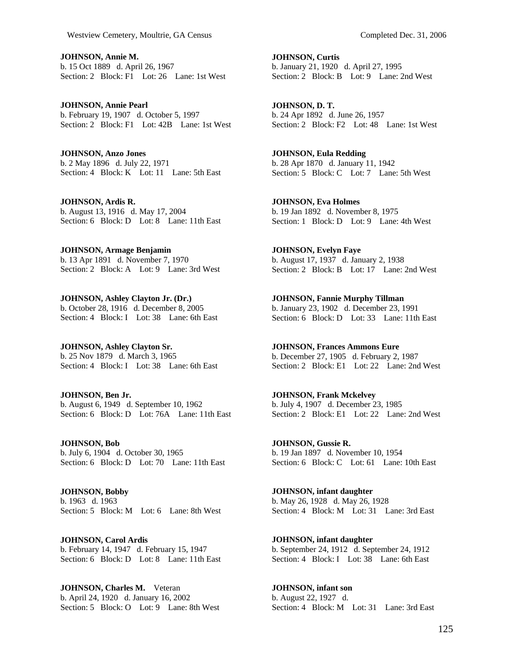**JOHNSON, Annie M.**  b. 15 Oct 1889 d. April 26, 1967 Section: 2 Block: F1 Lot: 26 Lane: 1st West

**JOHNSON, Annie Pearl**  b. February 19, 1907 d. October 5, 1997 Section: 2 Block: F1 Lot: 42B Lane: 1st West

**JOHNSON, Anzo Jones**  b. 2 May 1896 d. July 22, 1971 Section: 4 Block: K Lot: 11 Lane: 5th East

**JOHNSON, Ardis R.**  b. August 13, 1916 d. May 17, 2004 Section: 6 Block: D Lot: 8 Lane: 11th East

**JOHNSON, Armage Benjamin**  b. 13 Apr 1891 d. November 7, 1970 Section: 2 Block: A Lot: 9 Lane: 3rd West

**JOHNSON, Ashley Clayton Jr. (Dr.)**  b. October 28, 1916 d. December 8, 2005 Section: 4 Block: I Lot: 38 Lane: 6th East

**JOHNSON, Ashley Clayton Sr.**  b. 25 Nov 1879 d. March 3, 1965 Section: 4 Block: I Lot: 38 Lane: 6th East

**JOHNSON, Ben Jr.**  b. August 6, 1949 d. September 10, 1962 Section: 6 Block: D Lot: 76A Lane: 11th East

**JOHNSON, Bob**  b. July 6, 1904 d. October 30, 1965 Section: 6 Block: D Lot: 70 Lane: 11th East

**JOHNSON, Bobby**  b. 1963 d. 1963 Section: 5 Block: M Lot: 6 Lane: 8th West

**JOHNSON, Carol Ardis**  b. February 14, 1947 d. February 15, 1947 Section: 6 Block: D Lot: 8 Lane: 11th East

**JOHNSON, Charles M.** Veteran b. April 24, 1920 d. January 16, 2002 Section: 5 Block: O Lot: 9 Lane: 8th West **JOHNSON, Curtis**  b. January 21, 1920 d. April 27, 1995 Section: 2 Block: B Lot: 9 Lane: 2nd West

**JOHNSON, D. T.**  b. 24 Apr 1892 d. June 26, 1957 Section: 2 Block: F2 Lot: 48 Lane: 1st West

**JOHNSON, Eula Redding**  b. 28 Apr 1870 d. January 11, 1942 Section: 5 Block: C Lot: 7 Lane: 5th West

**JOHNSON, Eva Holmes**  b. 19 Jan 1892 d. November 8, 1975 Section: 1 Block: D Lot: 9 Lane: 4th West

**JOHNSON, Evelyn Faye**  b. August 17, 1937 d. January 2, 1938 Section: 2 Block: B Lot: 17 Lane: 2nd West

**JOHNSON, Fannie Murphy Tillman**  b. January 23, 1902 d. December 23, 1991 Section: 6 Block: D Lot: 33 Lane: 11th East

**JOHNSON, Frances Ammons Eure**  b. December 27, 1905 d. February 2, 1987 Section: 2 Block: E1 Lot: 22 Lane: 2nd West

**JOHNSON, Frank Mckelvey**  b. July 4, 1907 d. December 23, 1985 Section: 2 Block: E1 Lot: 22 Lane: 2nd West

**JOHNSON, Gussie R.**  b. 19 Jan 1897 d. November 10, 1954 Section: 6 Block: C Lot: 61 Lane: 10th East

**JOHNSON, infant daughter**  b. May 26, 1928 d. May 26, 1928 Section: 4 Block: M Lot: 31 Lane: 3rd East

**JOHNSON, infant daughter**  b. September 24, 1912 d. September 24, 1912 Section: 4 Block: I Lot: 38 Lane: 6th East

**JOHNSON, infant son**  b. August 22, 1927 d. Section: 4 Block: M Lot: 31 Lane: 3rd East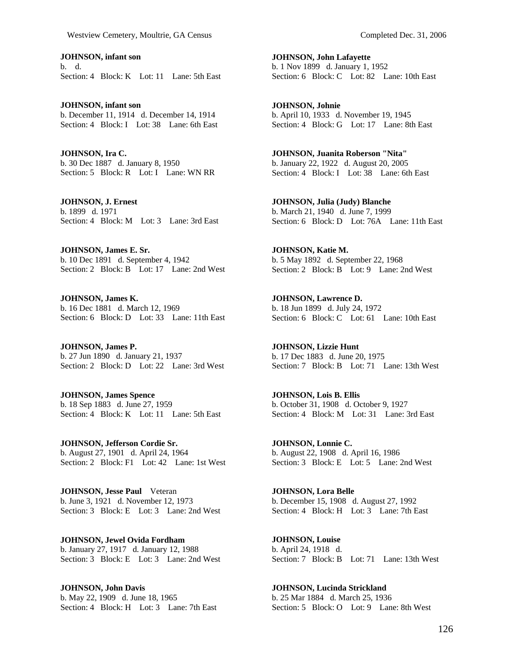**JOHNSON, infant son**  b. d. Section: 4 Block: K Lot: 11 Lane: 5th East

**JOHNSON, infant son**  b. December 11, 1914 d. December 14, 1914 Section: 4 Block: I Lot: 38 Lane: 6th East

**JOHNSON, Ira C.**  b. 30 Dec 1887 d. January 8, 1950 Section: 5 Block: R Lot: I Lane: WN RR

**JOHNSON, J. Ernest**  b. 1899 d. 1971 Section: 4 Block: M Lot: 3 Lane: 3rd East

**JOHNSON, James E. Sr.**  b. 10 Dec 1891 d. September 4, 1942 Section: 2 Block: B Lot: 17 Lane: 2nd West

**JOHNSON, James K.**  b. 16 Dec 1881 d. March 12, 1969 Section: 6 Block: D Lot: 33 Lane: 11th East

**JOHNSON, James P.**  b. 27 Jun 1890 d. January 21, 1937 Section: 2 Block: D Lot: 22 Lane: 3rd West

**JOHNSON, James Spence**  b. 18 Sep 1883 d. June 27, 1959 Section: 4 Block: K Lot: 11 Lane: 5th East

**JOHNSON, Jefferson Cordie Sr.**  b. August 27, 1901 d. April 24, 1964 Section: 2 Block: F1 Lot: 42 Lane: 1st West

**JOHNSON, Jesse Paul** Veteran b. June 3, 1921 d. November 12, 1973 Section: 3 Block: E Lot: 3 Lane: 2nd West

**JOHNSON, Jewel Ovida Fordham**  b. January 27, 1917 d. January 12, 1988 Section: 3 Block: E Lot: 3 Lane: 2nd West

**JOHNSON, John Davis**  b. May 22, 1909 d. June 18, 1965 Section: 4 Block: H Lot: 3 Lane: 7th East **JOHNSON, John Lafayette**  b. 1 Nov 1899 d. January 1, 1952 Section: 6 Block: C Lot: 82 Lane: 10th East

**JOHNSON, Johnie**  b. April 10, 1933 d. November 19, 1945 Section: 4 Block: G Lot: 17 Lane: 8th East

**JOHNSON, Juanita Roberson "Nita"**  b. January 22, 1922 d. August 20, 2005 Section: 4 Block: I Lot: 38 Lane: 6th East

**JOHNSON, Julia (Judy) Blanche**  b. March 21, 1940 d. June 7, 1999 Section: 6 Block: D Lot: 76A Lane: 11th East

**JOHNSON, Katie M.**  b. 5 May 1892 d. September 22, 1968 Section: 2 Block: B Lot: 9 Lane: 2nd West

**JOHNSON, Lawrence D.**  b. 18 Jun 1899 d. July 24, 1972 Section: 6 Block: C Lot: 61 Lane: 10th East

**JOHNSON, Lizzie Hunt**  b. 17 Dec 1883 d. June 20, 1975 Section: 7 Block: B Lot: 71 Lane: 13th West

**JOHNSON, Lois B. Ellis**  b. October 31, 1908 d. October 9, 1927 Section: 4 Block: M Lot: 31 Lane: 3rd East

**JOHNSON, Lonnie C.**  b. August 22, 1908 d. April 16, 1986 Section: 3 Block: E Lot: 5 Lane: 2nd West

**JOHNSON, Lora Belle**  b. December 15, 1908 d. August 27, 1992 Section: 4 Block: H Lot: 3 Lane: 7th East

**JOHNSON, Louise**  b. April 24, 1918 d. Section: 7 Block: B Lot: 71 Lane: 13th West

**JOHNSON, Lucinda Strickland**  b. 25 Mar 1884 d. March 25, 1936 Section: 5 Block: O Lot: 9 Lane: 8th West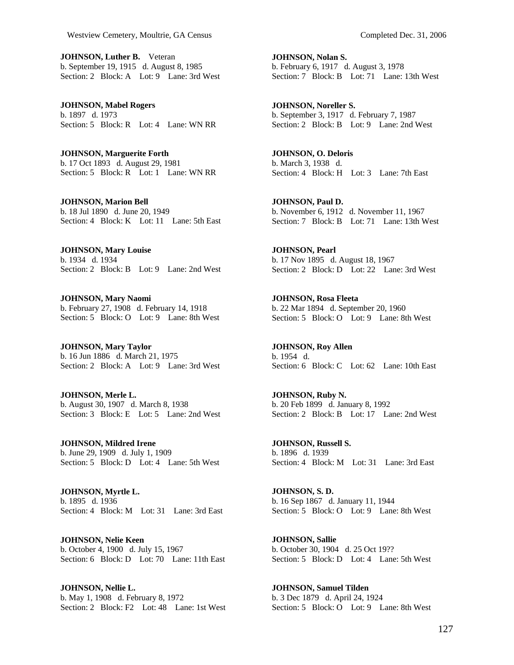**JOHNSON, Luther B.** Veteran b. September 19, 1915 d. August 8, 1985 Section: 2 Block: A Lot: 9 Lane: 3rd West

**JOHNSON, Mabel Rogers**  b. 1897 d. 1973 Section: 5 Block: R Lot: 4 Lane: WN RR

**JOHNSON, Marguerite Forth**  b. 17 Oct 1893 d. August 29, 1981 Section: 5 Block: R Lot: 1 Lane: WN RR

**JOHNSON, Marion Bell**  b. 18 Jul 1890 d. June 20, 1949 Section: 4 Block: K Lot: 11 Lane: 5th East

**JOHNSON, Mary Louise**  b. 1934 d. 1934 Section: 2 Block: B Lot: 9 Lane: 2nd West

**JOHNSON, Mary Naomi**  b. February 27, 1908 d. February 14, 1918 Section: 5 Block: O Lot: 9 Lane: 8th West

**JOHNSON, Mary Taylor**  b. 16 Jun 1886 d. March 21, 1975 Section: 2 Block: A Lot: 9 Lane: 3rd West

**JOHNSON, Merle L.**  b. August 30, 1907 d. March 8, 1938 Section: 3 Block: E Lot: 5 Lane: 2nd West

**JOHNSON, Mildred Irene**  b. June 29, 1909 d. July 1, 1909 Section: 5 Block: D Lot: 4 Lane: 5th West

**JOHNSON, Myrtle L.**  b. 1895 d. 1936 Section: 4 Block: M Lot: 31 Lane: 3rd East

**JOHNSON, Nelie Keen**  b. October 4, 1900 d. July 15, 1967 Section: 6 Block: D Lot: 70 Lane: 11th East

**JOHNSON, Nellie L.**  b. May 1, 1908 d. February 8, 1972 Section: 2 Block: F2 Lot: 48 Lane: 1st West **JOHNSON, Nolan S.**  b. February 6, 1917 d. August 3, 1978 Section: 7 Block: B Lot: 71 Lane: 13th West

**JOHNSON, Noreller S.**  b. September 3, 1917 d. February 7, 1987 Section: 2 Block: B Lot: 9 Lane: 2nd West

**JOHNSON, O. Deloris**  b. March 3, 1938 d. Section: 4 Block: H Lot: 3 Lane: 7th East

**JOHNSON, Paul D.**  b. November 6, 1912 d. November 11, 1967 Section: 7 Block: B Lot: 71 Lane: 13th West

**JOHNSON, Pearl**  b. 17 Nov 1895 d. August 18, 1967 Section: 2 Block: D Lot: 22 Lane: 3rd West

**JOHNSON, Rosa Fleeta**  b. 22 Mar 1894 d. September 20, 1960 Section: 5 Block: O Lot: 9 Lane: 8th West

**JOHNSON, Roy Allen**  b. 1954 d. Section: 6 Block: C Lot: 62 Lane: 10th East

**JOHNSON, Ruby N.**  b. 20 Feb 1899 d. January 8, 1992 Section: 2 Block: B Lot: 17 Lane: 2nd West

**JOHNSON, Russell S.**  b. 1896 d. 1939 Section: 4 Block: M Lot: 31 Lane: 3rd East

**JOHNSON, S. D.**  b. 16 Sep 1867 d. January 11, 1944 Section: 5 Block: O Lot: 9 Lane: 8th West

**JOHNSON, Sallie**  b. October 30, 1904 d. 25 Oct 19?? Section: 5 Block: D Lot: 4 Lane: 5th West

**JOHNSON, Samuel Tilden**  b. 3 Dec 1879 d. April 24, 1924 Section: 5 Block: O Lot: 9 Lane: 8th West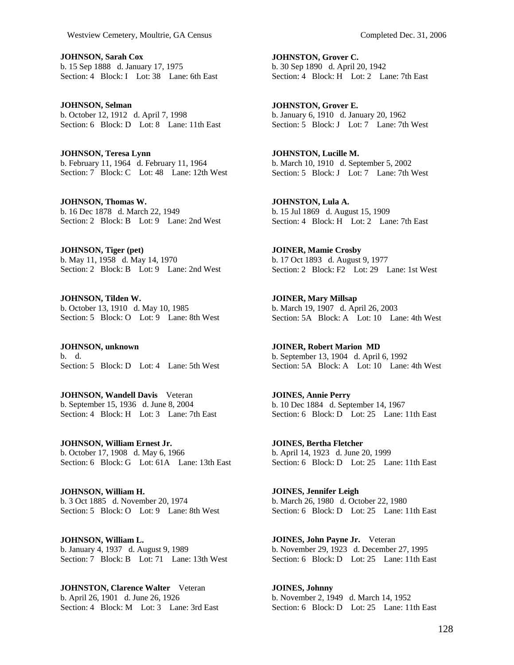**JOHNSON, Sarah Cox**  b. 15 Sep 1888 d. January 17, 1975 Section: 4 Block: I Lot: 38 Lane: 6th East

**JOHNSON, Selman**  b. October 12, 1912 d. April 7, 1998 Section: 6 Block: D Lot: 8 Lane: 11th East

**JOHNSON, Teresa Lynn**  b. February 11, 1964 d. February 11, 1964 Section: 7 Block: C Lot: 48 Lane: 12th West

**JOHNSON, Thomas W.**  b. 16 Dec 1878 d. March 22, 1949 Section: 2 Block: B Lot: 9 Lane: 2nd West

**JOHNSON, Tiger (pet)**  b. May 11, 1958 d. May 14, 1970 Section: 2 Block: B Lot: 9 Lane: 2nd West

**JOHNSON, Tilden W.**  b. October 13, 1910 d. May 10, 1985 Section: 5 Block: O Lot: 9 Lane: 8th West

**JOHNSON, unknown**  b. d. Section: 5 Block: D Lot: 4 Lane: 5th West

**JOHNSON, Wandell Davis** Veteran b. September 15, 1936 d. June 8, 2004 Section: 4 Block: H Lot: 3 Lane: 7th East

**JOHNSON, William Ernest Jr.**  b. October 17, 1908 d. May 6, 1966 Section: 6 Block: G Lot: 61A Lane: 13th East

**JOHNSON, William H.**  b. 3 Oct 1885 d. November 20, 1974 Section: 5 Block: O Lot: 9 Lane: 8th West

**JOHNSON, William L.**  b. January 4, 1937 d. August 9, 1989 Section: 7 Block: B Lot: 71 Lane: 13th West

**JOHNSTON, Clarence Walter** Veteran b. April 26, 1901 d. June 26, 1926

Section: 4 Block: M Lot: 3 Lane: 3rd East

**JOHNSTON, Grover C.**  b. 30 Sep 1890 d. April 20, 1942 Section: 4 Block: H Lot: 2 Lane: 7th East

**JOHNSTON, Grover E.**  b. January 6, 1910 d. January 20, 1962 Section: 5 Block: J Lot: 7 Lane: 7th West

**JOHNSTON, Lucille M.**  b. March 10, 1910 d. September 5, 2002 Section: 5 Block: J Lot: 7 Lane: 7th West

**JOHNSTON, Lula A.**  b. 15 Jul 1869 d. August 15, 1909 Section: 4 Block: H Lot: 2 Lane: 7th East

**JOINER, Mamie Crosby**  b. 17 Oct 1893 d. August 9, 1977 Section: 2 Block: F2 Lot: 29 Lane: 1st West

**JOINER, Mary Millsap**  b. March 19, 1907 d. April 26, 2003 Section: 5A Block: A Lot: 10 Lane: 4th West

**JOINER, Robert Marion MD**  b. September 13, 1904 d. April 6, 1992 Section: 5A Block: A Lot: 10 Lane: 4th West

**JOINES, Annie Perry**  b. 10 Dec 1884 d. September 14, 1967 Section: 6 Block: D Lot: 25 Lane: 11th East

**JOINES, Bertha Fletcher**  b. April 14, 1923 d. June 20, 1999 Section: 6 Block: D Lot: 25 Lane: 11th East

**JOINES, Jennifer Leigh**  b. March 26, 1980 d. October 22, 1980 Section: 6 Block: D Lot: 25 Lane: 11th East

**JOINES, John Payne Jr.** Veteran b. November 29, 1923 d. December 27, 1995 Section: 6 Block: D Lot: 25 Lane: 11th East

**JOINES, Johnny**  b. November 2, 1949 d. March 14, 1952 Section: 6 Block: D Lot: 25 Lane: 11th East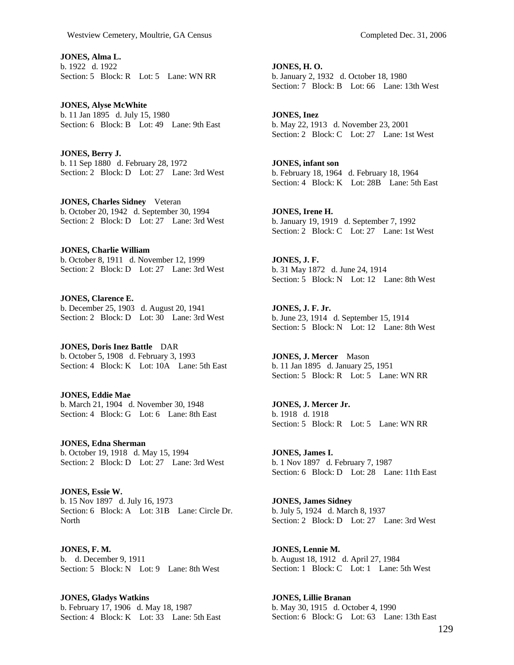**JONES, Alma L.**  b. 1922 d. 1922 Section: 5 Block: R Lot: 5 Lane: WN RR

**JONES, Alyse McWhite**  b. 11 Jan 1895 d. July 15, 1980 Section: 6 Block: B Lot: 49 Lane: 9th East

**JONES, Berry J.**  b. 11 Sep 1880 d. February 28, 1972 Section: 2 Block: D Lot: 27 Lane: 3rd West

**JONES, Charles Sidney** Veteran b. October 20, 1942 d. September 30, 1994 Section: 2 Block: D Lot: 27 Lane: 3rd West

**JONES, Charlie William**  b. October 8, 1911 d. November 12, 1999 Section: 2 Block: D Lot: 27 Lane: 3rd West

**JONES, Clarence E.**  b. December 25, 1903 d. August 20, 1941 Section: 2 Block: D Lot: 30 Lane: 3rd West

**JONES, Doris Inez Battle** DAR b. October 5, 1908 d. February 3, 1993 Section: 4 Block: K Lot: 10A Lane: 5th East

**JONES, Eddie Mae**  b. March 21, 1904 d. November 30, 1948 Section: 4 Block: G Lot: 6 Lane: 8th East

**JONES, Edna Sherman**  b. October 19, 1918 d. May 15, 1994 Section: 2 Block: D Lot: 27 Lane: 3rd West

**JONES, Essie W.**  b. 15 Nov 1897 d. July 16, 1973 Section: 6 Block: A Lot: 31B Lane: Circle Dr. North

**JONES, F. M.**  b. d. December 9, 1911 Section: 5 Block: N Lot: 9 Lane: 8th West

**JONES, Gladys Watkins**  b. February 17, 1906 d. May 18, 1987 Section: 4 Block: K Lot: 33 Lane: 5th East **JONES, H. O.**  b. January 2, 1932 d. October 18, 1980 Section: 7 Block: B Lot: 66 Lane: 13th West

**JONES, Inez**  b. May 22, 1913 d. November 23, 2001 Section: 2 Block: C Lot: 27 Lane: 1st West

**JONES, infant son**  b. February 18, 1964 d. February 18, 1964 Section: 4 Block: K Lot: 28B Lane: 5th East

**JONES, Irene H.**  b. January 19, 1919 d. September 7, 1992 Section: 2 Block: C Lot: 27 Lane: 1st West

**JONES, J. F.**  b. 31 May 1872 d. June 24, 1914 Section: 5 Block: N Lot: 12 Lane: 8th West

**JONES, J. F. Jr.**  b. June 23, 1914 d. September 15, 1914 Section: 5 Block: N Lot: 12 Lane: 8th West

**JONES, J. Mercer** Mason b. 11 Jan 1895 d. January 25, 1951 Section: 5 Block: R Lot: 5 Lane: WN RR

**JONES, J. Mercer Jr.**  b. 1918 d. 1918 Section: 5 Block: R Lot: 5 Lane: WN RR

**JONES, James I.**  b. 1 Nov 1897 d. February 7, 1987 Section: 6 Block: D Lot: 28 Lane: 11th East

**JONES, James Sidney**  b. July 5, 1924 d. March 8, 1937 Section: 2 Block: D Lot: 27 Lane: 3rd West

**JONES, Lennie M.**  b. August 18, 1912 d. April 27, 1984 Section: 1 Block: C Lot: 1 Lane: 5th West

**JONES, Lillie Branan**  b. May 30, 1915 d. October 4, 1990 Section: 6 Block: G Lot: 63 Lane: 13th East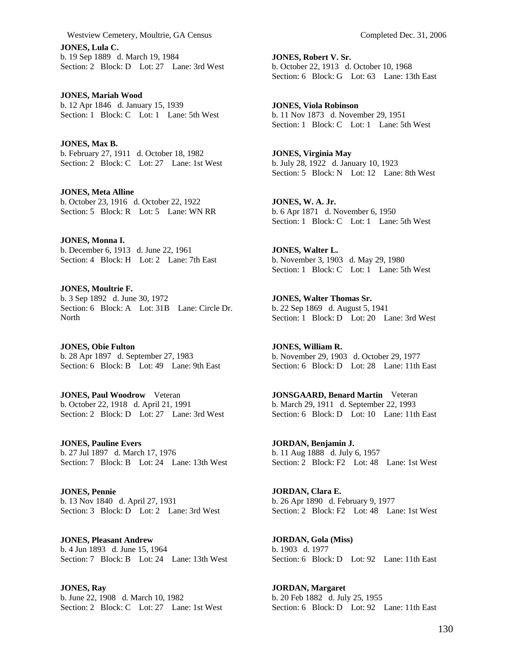Westview Cemetery, Moultrie, GA Census Completed Dec. 31, 2006

**JONES, Lula C.**  b. 19 Sep 1889 d. March 19, 1984 Section: 2 Block: D Lot: 27 Lane: 3rd West

**JONES, Mariah Wood**  b. 12 Apr 1846 d. January 15, 1939 Section: 1 Block: C Lot: 1 Lane: 5th West

**JONES, Max B.**  b. February 27, 1911 d. October 18, 1982 Section: 2 Block: C Lot: 27 Lane: 1st West

**JONES, Meta Alline**  b. October 23, 1916 d. October 22, 1922 Section: 5 Block: R Lot: 5 Lane: WN RR

**JONES, Monna I.**  b. December 6, 1913 d. June 22, 1961 Section: 4 Block: H Lot: 2 Lane: 7th East

**JONES, Moultrie F.**  b. 3 Sep 1892 d. June 30, 1972 Section: 6 Block: A Lot: 31B Lane: Circle Dr. **North** 

**JONES, Obie Fulton**  b. 28 Apr 1897 d. September 27, 1983 Section: 6 Block: B Lot: 49 Lane: 9th East

**JONES, Paul Woodrow** Veteran b. October 22, 1918 d. April 21, 1991 Section: 2 Block: D Lot: 27 Lane: 3rd West

**JONES, Pauline Evers**  b. 27 Jul 1897 d. March 17, 1976 Section: 7 Block: B Lot: 24 Lane: 13th West

**JONES, Pennie**  b. 13 Nov 1840 d. April 27, 1931 Section: 3 Block: D Lot: 2 Lane: 3rd West

**JONES, Pleasant Andrew**  b. 4 Jun 1893 d. June 15, 1964 Section: 7 Block: B Lot: 24 Lane: 13th West

**JONES, Ray**  b. June 22, 1908 d. March 10, 1982 Section: 2 Block: C Lot: 27 Lane: 1st West

**JONES, Robert V. Sr.**  b. October 22, 1913 d. October 10, 1968 Section: 6 Block: G Lot: 63 Lane: 13th East

**JONES, Viola Robinson**  b. 11 Nov 1873 d. November 29, 1951 Section: 1 Block: C Lot: 1 Lane: 5th West

**JONES, Virginia May**  b. July 28, 1922 d. January 10, 1923 Section: 5 Block: N Lot: 12 Lane: 8th West

**JONES, W. A. Jr.**  b. 6 Apr 1871 d. November 6, 1950 Section: 1 Block: C Lot: 1 Lane: 5th West

**JONES, Walter L.**  b. November 3, 1903 d. May 29, 1980 Section: 1 Block: C Lot: 1 Lane: 5th West

**JONES, Walter Thomas Sr.**  b. 22 Sep 1869 d. August 5, 1941 Section: 1 Block: D Lot: 20 Lane: 3rd West

**JONES, William R.**  b. November 29, 1903 d. October 29, 1977 Section: 6 Block: D Lot: 28 Lane: 11th East

**JONSGAARD, Benard Martin** Veteran b. March 29, 1911 d. September 22, 1993 Section: 6 Block: D Lot: 10 Lane: 11th East

**JORDAN, Benjamin J.**  b. 11 Aug 1888 d. July 6, 1957 Section: 2 Block: F2 Lot: 48 Lane: 1st West

**JORDAN, Clara E.**  b. 26 Apr 1890 d. February 9, 1977 Section: 2 Block: F2 Lot: 48 Lane: 1st West

**JORDAN, Gola (Miss)**  b. 1903 d. 1977 Section: 6 Block: D Lot: 92 Lane: 11th East

**JORDAN, Margaret**  b. 20 Feb 1882 d. July 25, 1955 Section: 6 Block: D Lot: 92 Lane: 11th East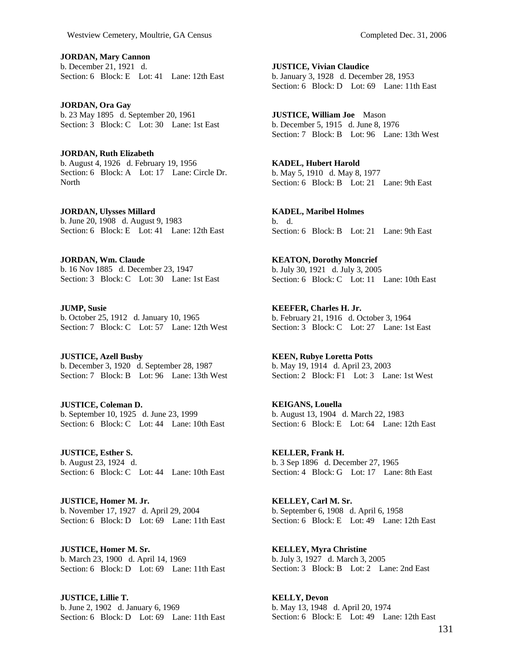**JORDAN, Mary Cannon**  b. December 21, 1921 d. Section: 6 Block: E Lot: 41 Lane: 12th East

**JORDAN, Ora Gay**  b. 23 May 1895 d. September 20, 1961 Section: 3 Block: C Lot: 30 Lane: 1st East

**JORDAN, Ruth Elizabeth**  b. August 4, 1926 d. February 19, 1956 Section: 6 Block: A Lot: 17 Lane: Circle Dr. **North** 

**JORDAN, Ulysses Millard**  b. June 20, 1908 d. August 9, 1983 Section: 6 Block: E Lot: 41 Lane: 12th East

**JORDAN, Wm. Claude**  b. 16 Nov 1885 d. December 23, 1947 Section: 3 Block: C Lot: 30 Lane: 1st East

**JUMP, Susie**  b. October 25, 1912 d. January 10, 1965 Section: 7 Block: C Lot: 57 Lane: 12th West

**JUSTICE, Azell Busby**  b. December 3, 1920 d. September 28, 1987 Section: 7 Block: B Lot: 96 Lane: 13th West

**JUSTICE, Coleman D.**  b. September 10, 1925 d. June 23, 1999 Section: 6 Block: C Lot: 44 Lane: 10th East

**JUSTICE, Esther S.**  b. August 23, 1924 d. Section: 6 Block: C Lot: 44 Lane: 10th East

**JUSTICE, Homer M. Jr.**  b. November 17, 1927 d. April 29, 2004 Section: 6 Block: D Lot: 69 Lane: 11th East

**JUSTICE, Homer M. Sr.**  b. March 23, 1900 d. April 14, 1969 Section: 6 Block: D Lot: 69 Lane: 11th East

**JUSTICE, Lillie T.**  b. June 2, 1902 d. January 6, 1969 Section: 6 Block: D Lot: 69 Lane: 11th East **JUSTICE, Vivian Claudice**  b. January 3, 1928 d. December 28, 1953 Section: 6 Block: D Lot: 69 Lane: 11th East

**JUSTICE, William Joe** Mason b. December 5, 1915 d. June 8, 1976 Section: 7 Block: B Lot: 96 Lane: 13th West

**KADEL, Hubert Harold**  b. May 5, 1910 d. May 8, 1977 Section: 6 Block: B Lot: 21 Lane: 9th East

**KADEL, Maribel Holmes**  b. d. Section: 6 Block: B Lot: 21 Lane: 9th East

**KEATON, Dorothy Moncrief**  b. July 30, 1921 d. July 3, 2005 Section: 6 Block: C Lot: 11 Lane: 10th East

**KEEFER, Charles H. Jr.**  b. February 21, 1916 d. October 3, 1964 Section: 3 Block: C Lot: 27 Lane: 1st East

**KEEN, Rubye Loretta Potts**  b. May 19, 1914 d. April 23, 2003 Section: 2 Block: F1 Lot: 3 Lane: 1st West

**KEIGANS, Louella**  b. August 13, 1904 d. March 22, 1983 Section: 6 Block: E Lot: 64 Lane: 12th East

**KELLER, Frank H.**  b. 3 Sep 1896 d. December 27, 1965 Section: 4 Block: G Lot: 17 Lane: 8th East

**KELLEY, Carl M. Sr.**  b. September 6, 1908 d. April 6, 1958 Section: 6 Block: E Lot: 49 Lane: 12th East

**KELLEY, Myra Christine**  b. July 3, 1927 d. March 3, 2005 Section: 3 Block: B Lot: 2 Lane: 2nd East

**KELLY, Devon**  b. May 13, 1948 d. April 20, 1974 Section: 6 Block: E Lot: 49 Lane: 12th East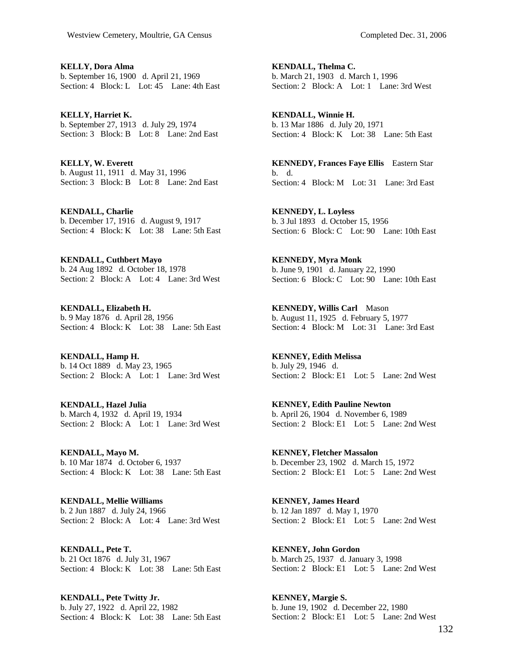**KELLY, Dora Alma**  b. September 16, 1900 d. April 21, 1969 Section: 4 Block: L Lot: 45 Lane: 4th East

**KELLY, Harriet K.**  b. September 27, 1913 d. July 29, 1974 Section: 3 Block: B Lot: 8 Lane: 2nd East

**KELLY, W. Everett**  b. August 11, 1911 d. May 31, 1996 Section: 3 Block: B Lot: 8 Lane: 2nd East

**KENDALL, Charlie**  b. December 17, 1916 d. August 9, 1917 Section: 4 Block: K Lot: 38 Lane: 5th East

**KENDALL, Cuthbert Mayo**  b. 24 Aug 1892 d. October 18, 1978 Section: 2 Block: A Lot: 4 Lane: 3rd West

**KENDALL, Elizabeth H.**  b. 9 May 1876 d. April 28, 1956 Section: 4 Block: K Lot: 38 Lane: 5th East

**KENDALL, Hamp H.**  b. 14 Oct 1889 d. May 23, 1965 Section: 2 Block: A Lot: 1 Lane: 3rd West

**KENDALL, Hazel Julia**  b. March 4, 1932 d. April 19, 1934 Section: 2 Block: A Lot: 1 Lane: 3rd West

**KENDALL, Mayo M.**  b. 10 Mar 1874 d. October 6, 1937 Section: 4 Block: K Lot: 38 Lane: 5th East

**KENDALL, Mellie Williams**  b. 2 Jun 1887 d. July 24, 1966 Section: 2 Block: A Lot: 4 Lane: 3rd West

**KENDALL, Pete T.**  b. 21 Oct 1876 d. July 31, 1967 Section: 4 Block: K Lot: 38 Lane: 5th East

**KENDALL, Pete Twitty Jr.**  b. July 27, 1922 d. April 22, 1982 Section: 4 Block: K Lot: 38 Lane: 5th East **KENDALL, Thelma C.**  b. March 21, 1903 d. March 1, 1996 Section: 2 Block: A Lot: 1 Lane: 3rd West

**KENDALL, Winnie H.**  b. 13 Mar 1886 d. July 20, 1971 Section: 4 Block: K Lot: 38 Lane: 5th East

**KENNEDY, Frances Faye Ellis** Eastern Star b. d. Section: 4 Block: M Lot: 31 Lane: 3rd East

**KENNEDY, L. Loyless**  b. 3 Jul 1893 d. October 15, 1956 Section: 6 Block: C Lot: 90 Lane: 10th East

**KENNEDY, Myra Monk**  b. June 9, 1901 d. January 22, 1990 Section: 6 Block: C Lot: 90 Lane: 10th East

**KENNEDY, Willis Carl** Mason b. August 11, 1925 d. February 5, 1977 Section: 4 Block: M Lot: 31 Lane: 3rd East

**KENNEY, Edith Melissa**  b. July 29, 1946 d. Section: 2 Block: E1 Lot: 5 Lane: 2nd West

**KENNEY, Edith Pauline Newton**  b. April 26, 1904 d. November 6, 1989 Section: 2 Block: E1 Lot: 5 Lane: 2nd West

**KENNEY, Fletcher Massalon**  b. December 23, 1902 d. March 15, 1972 Section: 2 Block: E1 Lot: 5 Lane: 2nd West

**KENNEY, James Heard**  b. 12 Jan 1897 d. May 1, 1970 Section: 2 Block: E1 Lot: 5 Lane: 2nd West

**KENNEY, John Gordon**  b. March 25, 1937 d. January 3, 1998 Section: 2 Block: E1 Lot: 5 Lane: 2nd West

**KENNEY, Margie S.**  b. June 19, 1902 d. December 22, 1980 Section: 2 Block: E1 Lot: 5 Lane: 2nd West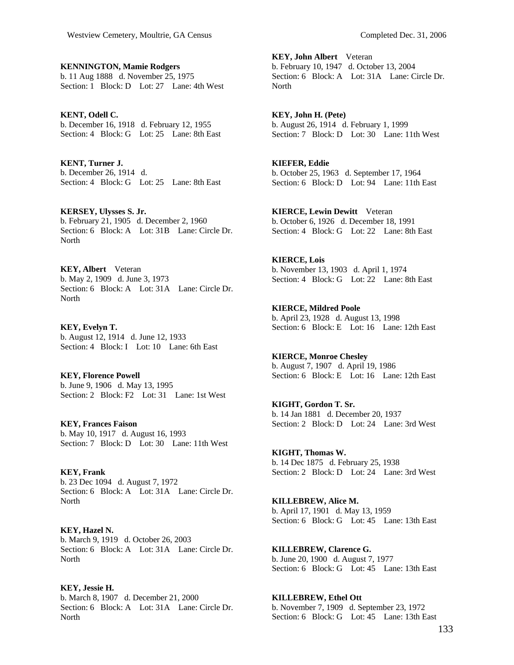**KENNINGTON, Mamie Rodgers**  b. 11 Aug 1888 d. November 25, 1975 Section: 1 Block: D Lot: 27 Lane: 4th West

**KENT, Odell C.**  b. December 16, 1918 d. February 12, 1955 Section: 4 Block: G Lot: 25 Lane: 8th East

**KENT, Turner J.**  b. December 26, 1914 d. Section: 4 Block: G Lot: 25 Lane: 8th East

**KERSEY, Ulysses S. Jr.**  b. February 21, 1905 d. December 2, 1960 Section: 6 Block: A Lot: 31B Lane: Circle Dr. **North** 

**KEY, Albert** Veteran b. May 2, 1909 d. June 3, 1973 Section: 6 Block: A Lot: 31A Lane: Circle Dr. North

**KEY, Evelyn T.**  b. August 12, 1914 d. June 12, 1933 Section: 4 Block: I Lot: 10 Lane: 6th East

**KEY, Florence Powell**  b. June 9, 1906 d. May 13, 1995 Section: 2 Block: F2 Lot: 31 Lane: 1st West

**KEY, Frances Faison**  b. May 10, 1917 d. August 16, 1993 Section: 7 Block: D Lot: 30 Lane: 11th West

**KEY, Frank**  b. 23 Dec 1094 d. August 7, 1972 Section: 6 Block: A Lot: 31A Lane: Circle Dr. North

**KEY, Hazel N.**  b. March 9, 1919 d. October 26, 2003 Section: 6 Block: A Lot: 31A Lane: Circle Dr. North

**KEY, Jessie H.**  b. March 8, 1907 d. December 21, 2000 Section: 6 Block: A Lot: 31A Lane: Circle Dr. **North** 

**KEY, John Albert** Veteran b. February 10, 1947 d. October 13, 2004 Section: 6 Block: A Lot: 31A Lane: Circle Dr. North

**KEY, John H. (Pete)**  b. August 26, 1914 d. February 1, 1999 Section: 7 Block: D Lot: 30 Lane: 11th West

**KIEFER, Eddie**  b. October 25, 1963 d. September 17, 1964 Section: 6 Block: D Lot: 94 Lane: 11th East

**KIERCE, Lewin Dewitt** Veteran b. October 6, 1926 d. December 18, 1991 Section: 4 Block: G Lot: 22 Lane: 8th East

**KIERCE, Lois**  b. November 13, 1903 d. April 1, 1974 Section: 4 Block: G Lot: 22 Lane: 8th East

**KIERCE, Mildred Poole**  b. April 23, 1928 d. August 13, 1998 Section: 6 Block: E Lot: 16 Lane: 12th East

**KIERCE, Monroe Chesley**  b. August 7, 1907 d. April 19, 1986 Section: 6 Block: E Lot: 16 Lane: 12th East

**KIGHT, Gordon T. Sr.**  b. 14 Jan 1881 d. December 20, 1937 Section: 2 Block: D Lot: 24 Lane: 3rd West

**KIGHT, Thomas W.**  b. 14 Dec 1875 d. February 25, 1938 Section: 2 Block: D Lot: 24 Lane: 3rd West

**KILLEBREW, Alice M.**  b. April 17, 1901 d. May 13, 1959 Section: 6 Block: G Lot: 45 Lane: 13th East

**KILLEBREW, Clarence G.**  b. June 20, 1900 d. August 7, 1977 Section: 6 Block: G Lot: 45 Lane: 13th East

**KILLEBREW, Ethel Ott**  b. November 7, 1909 d. September 23, 1972 Section: 6 Block: G Lot: 45 Lane: 13th East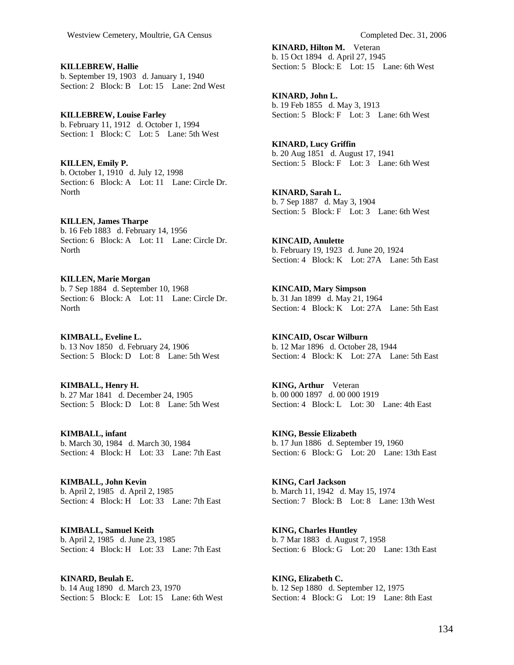**KILLEBREW, Hallie**  b. September 19, 1903 d. January 1, 1940 Section: 2 Block: B Lot: 15 Lane: 2nd West

**KILLEBREW, Louise Farley**  b. February 11, 1912 d. October 1, 1994 Section: 1 Block: C Lot: 5 Lane: 5th West

**KILLEN, Emily P.**  b. October 1, 1910 d. July 12, 1998 Section: 6 Block: A Lot: 11 Lane: Circle Dr. North

**KILLEN, James Tharpe**  b. 16 Feb 1883 d. February 14, 1956 Section: 6 Block: A Lot: 11 Lane: Circle Dr. North

**KILLEN, Marie Morgan**  b. 7 Sep 1884 d. September 10, 1968 Section: 6 Block: A Lot: 11 Lane: Circle Dr. **North** 

**KIMBALL, Eveline L.**  b. 13 Nov 1850 d. February 24, 1906 Section: 5 Block: D Lot: 8 Lane: 5th West

**KIMBALL, Henry H.**  b. 27 Mar 1841 d. December 24, 1905 Section: 5 Block: D Lot: 8 Lane: 5th West

**KIMBALL, infant**  b. March 30, 1984 d. March 30, 1984 Section: 4 Block: H Lot: 33 Lane: 7th East

**KIMBALL, John Kevin**  b. April 2, 1985 d. April 2, 1985 Section: 4 Block: H Lot: 33 Lane: 7th East

**KIMBALL, Samuel Keith**  b. April 2, 1985 d. June 23, 1985 Section: 4 Block: H Lot: 33 Lane: 7th East

**KINARD, Beulah E.**  b. 14 Aug 1890 d. March 23, 1970 Section: 5 Block: E Lot: 15 Lane: 6th West **KINARD, Hilton M.** Veteran b. 15 Oct 1894 d. April 27, 1945 Section: 5 Block: E Lot: 15 Lane: 6th West

**KINARD, John L.**  b. 19 Feb 1855 d. May 3, 1913 Section: 5 Block: F Lot: 3 Lane: 6th West

**KINARD, Lucy Griffin**  b. 20 Aug 1851 d. August 17, 1941 Section: 5 Block: F Lot: 3 Lane: 6th West

**KINARD, Sarah L.**  b. 7 Sep 1887 d. May 3, 1904 Section: 5 Block: F Lot: 3 Lane: 6th West

**KINCAID, Anulette**  b. February 19, 1923 d. June 20, 1924 Section: 4 Block: K Lot: 27A Lane: 5th East

**KINCAID, Mary Simpson**  b. 31 Jan 1899 d. May 21, 1964 Section: 4 Block: K Lot: 27A Lane: 5th East

**KINCAID, Oscar Wilburn**  b. 12 Mar 1896 d. October 28, 1944 Section: 4 Block: K Lot: 27A Lane: 5th East

**KING, Arthur** Veteran b. 00 000 1897 d. 00 000 1919 Section: 4 Block: L Lot: 30 Lane: 4th East

**KING, Bessie Elizabeth**  b. 17 Jun 1886 d. September 19, 1960 Section: 6 Block: G Lot: 20 Lane: 13th East

**KING, Carl Jackson**  b. March 11, 1942 d. May 15, 1974 Section: 7 Block: B Lot: 8 Lane: 13th West

**KING, Charles Huntley**  b. 7 Mar 1883 d. August 7, 1958 Section: 6 Block: G Lot: 20 Lane: 13th East

**KING, Elizabeth C.**  b. 12 Sep 1880 d. September 12, 1975 Section: 4 Block: G Lot: 19 Lane: 8th East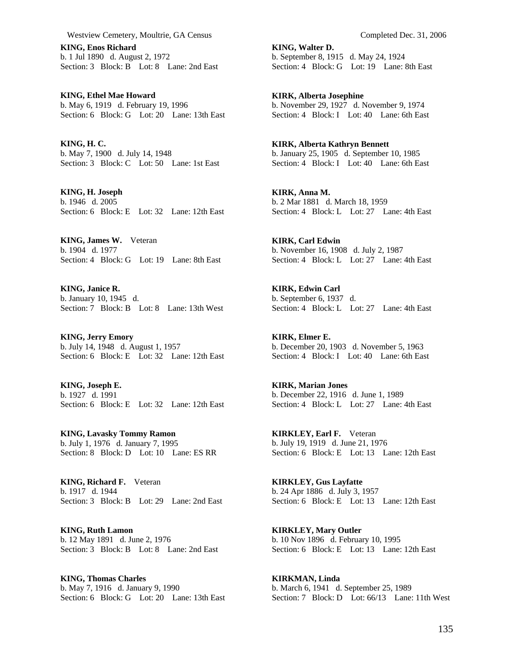Westview Cemetery, Moultrie, GA Census Completed Dec. 31, 2006

**KING, Enos Richard**  b. 1 Jul 1890 d. August 2, 1972 Section: 3 Block: B Lot: 8 Lane: 2nd East

**KING, Ethel Mae Howard**  b. May 6, 1919 d. February 19, 1996 Section: 6 Block: G Lot: 20 Lane: 13th East

**KING, H. C.**  b. May 7, 1900 d. July 14, 1948 Section: 3 Block: C Lot: 50 Lane: 1st East

**KING, H. Joseph**  b. 1946 d. 2005 Section: 6 Block: E Lot: 32 Lane: 12th East

**KING, James W.** Veteran b. 1904 d. 1977 Section: 4 Block: G Lot: 19 Lane: 8th East

**KING, Janice R.**  b. January 10, 1945 d. Section: 7 Block: B Lot: 8 Lane: 13th West

**KING, Jerry Emory**  b. July 14, 1948 d. August 1, 1957 Section: 6 Block: E Lot: 32 Lane: 12th East

**KING, Joseph E.**  b. 1927 d. 1991 Section: 6 Block: E Lot: 32 Lane: 12th East

**KING, Lavasky Tommy Ramon**  b. July 1, 1976 d. January 7, 1995 Section: 8 Block: D Lot: 10 Lane: ES RR

**KING, Richard F.** Veteran b. 1917 d. 1944 Section: 3 Block: B Lot: 29 Lane: 2nd East

**KING, Ruth Lamon**  b. 12 May 1891 d. June 2, 1976 Section: 3 Block: B Lot: 8 Lane: 2nd East

**KING, Thomas Charles**  b. May 7, 1916 d. January 9, 1990 Section: 6 Block: G Lot: 20 Lane: 13th East

**KING, Walter D.**  b. September 8, 1915 d. May 24, 1924 Section: 4 Block: G Lot: 19 Lane: 8th East

**KIRK, Alberta Josephine**  b. November 29, 1927 d. November 9, 1974 Section: 4 Block: I Lot: 40 Lane: 6th East

**KIRK, Alberta Kathryn Bennett**  b. January 25, 1905 d. September 10, 1985 Section: 4 Block: I Lot: 40 Lane: 6th East

**KIRK, Anna M.**  b. 2 Mar 1881 d. March 18, 1959 Section: 4 Block: L Lot: 27 Lane: 4th East

**KIRK, Carl Edwin**  b. November 16, 1908 d. July 2, 1987 Section: 4 Block: L Lot: 27 Lane: 4th East

**KIRK, Edwin Carl**  b. September 6, 1937 d. Section: 4 Block: L Lot: 27 Lane: 4th East

**KIRK, Elmer E.**  b. December 20, 1903 d. November 5, 1963 Section: 4 Block: I Lot: 40 Lane: 6th East

**KIRK, Marian Jones**  b. December 22, 1916 d. June 1, 1989 Section: 4 Block: L Lot: 27 Lane: 4th East

**KIRKLEY, Earl F.** Veteran b. July 19, 1919 d. June 21, 1976 Section: 6 Block: E Lot: 13 Lane: 12th East

**KIRKLEY, Gus Layfatte**  b. 24 Apr 1886 d. July 3, 1957 Section: 6 Block: E Lot: 13 Lane: 12th East

**KIRKLEY, Mary Outler**  b. 10 Nov 1896 d. February 10, 1995 Section: 6 Block: E Lot: 13 Lane: 12th East

**KIRKMAN, Linda**  b. March 6, 1941 d. September 25, 1989 Section: 7 Block: D Lot: 66/13 Lane: 11th West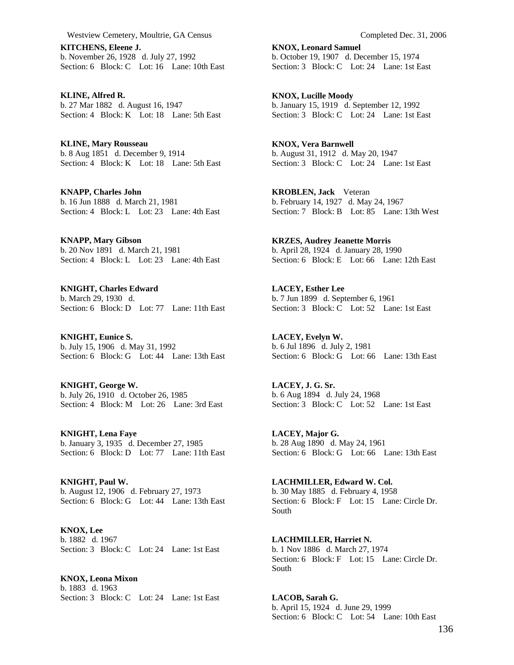Westview Cemetery, Moultrie, GA Census Completed Dec. 31, 2006

**KITCHENS, Eleene J.**  b. November 26, 1928 d. July 27, 1992 Section: 6 Block: C Lot: 16 Lane: 10th East

**KLINE, Alfred R.**  b. 27 Mar 1882 d. August 16, 1947 Section: 4 Block: K Lot: 18 Lane: 5th East

**KLINE, Mary Rousseau**  b. 8 Aug 1851 d. December 9, 1914 Section: 4 Block: K Lot: 18 Lane: 5th East

**KNAPP, Charles John**  b. 16 Jun 1888 d. March 21, 1981 Section: 4 Block: L Lot: 23 Lane: 4th East

**KNAPP, Mary Gibson**  b. 20 Nov 1891 d. March 21, 1981 Section: 4 Block: L Lot: 23 Lane: 4th East

**KNIGHT, Charles Edward**  b. March 29, 1930 d. Section: 6 Block: D Lot: 77 Lane: 11th East

**KNIGHT, Eunice S.**  b. July 15, 1906 d. May 31, 1992 Section: 6 Block: G Lot: 44 Lane: 13th East

**KNIGHT, George W.**  b. July 26, 1910 d. October 26, 1985 Section: 4 Block: M Lot: 26 Lane: 3rd East

**KNIGHT, Lena Faye**  b. January 3, 1935 d. December 27, 1985 Section: 6 Block: D Lot: 77 Lane: 11th East

**KNIGHT, Paul W.**  b. August 12, 1906 d. February 27, 1973 Section: 6 Block: G Lot: 44 Lane: 13th East

**KNOX, Lee**  b. 1882 d. 1967 Section: 3 Block: C Lot: 24 Lane: 1st East

**KNOX, Leona Mixon**  b. 1883 d. 1963 Section: 3 Block: C Lot: 24 Lane: 1st East **KNOX, Leonard Samuel**  b. October 19, 1907 d. December 15, 1974 Section: 3 Block: C Lot: 24 Lane: 1st East

**KNOX, Lucille Moody**  b. January 15, 1919 d. September 12, 1992 Section: 3 Block: C Lot: 24 Lane: 1st East

**KNOX, Vera Barnwell**  b. August 31, 1912 d. May 20, 1947 Section: 3 Block: C Lot: 24 Lane: 1st East

**KROBLEN, Jack** Veteran b. February 14, 1927 d. May 24, 1967 Section: 7 Block: B Lot: 85 Lane: 13th West

**KRZES, Audrey Jeanette Morris**  b. April 28, 1924 d. January 28, 1990 Section: 6 Block: E Lot: 66 Lane: 12th East

**LACEY, Esther Lee**  b. 7 Jun 1899 d. September 6, 1961 Section: 3 Block: C Lot: 52 Lane: 1st East

**LACEY, Evelyn W.**  b. 6 Jul 1896 d. July 2, 1981 Section: 6 Block: G Lot: 66 Lane: 13th East

**LACEY, J. G. Sr.**  b. 6 Aug 1894 d. July 24, 1968 Section: 3 Block: C Lot: 52 Lane: 1st East

**LACEY, Major G.**  b. 28 Aug 1890 d. May 24, 1961 Section: 6 Block: G Lot: 66 Lane: 13th East

**LACHMILLER, Edward W. Col.**  b. 30 May 1885 d. February 4, 1958 Section: 6 Block: F Lot: 15 Lane: Circle Dr. South

**LACHMILLER, Harriet N.**  b. 1 Nov 1886 d. March 27, 1974 Section: 6 Block: F Lot: 15 Lane: Circle Dr. South

**LACOB, Sarah G.**  b. April 15, 1924 d. June 29, 1999 Section: 6 Block: C Lot: 54 Lane: 10th East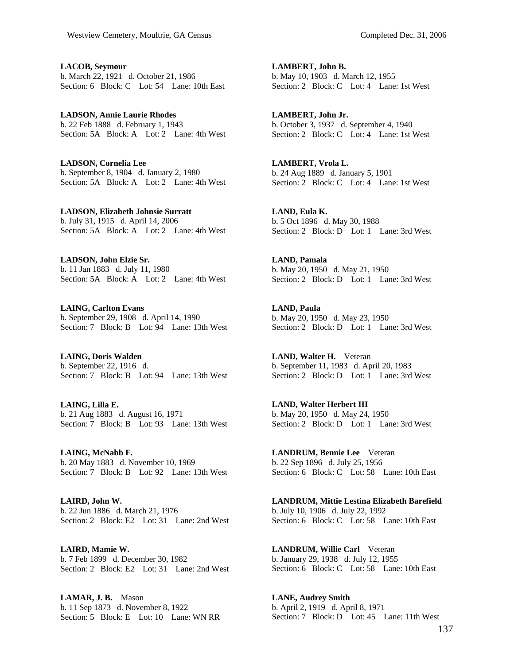**LACOB, Seymour**  b. March 22, 1921 d. October 21, 1986 Section: 6 Block: C Lot: 54 Lane: 10th East

**LADSON, Annie Laurie Rhodes**  b. 22 Feb 1888 d. February 1, 1943 Section: 5A Block: A Lot: 2 Lane: 4th West

**LADSON, Cornelia Lee**  b. September 8, 1904 d. January 2, 1980 Section: 5A Block: A Lot: 2 Lane: 4th West

**LADSON, Elizabeth Johnsie Surratt**  b. July 31, 1915 d. April 14, 2006 Section: 5A Block: A Lot: 2 Lane: 4th West

**LADSON, John Elzie Sr.**  b. 11 Jan 1883 d. July 11, 1980 Section: 5A Block: A Lot: 2 Lane: 4th West

**LAING, Carlton Evans**  b. September 29, 1908 d. April 14, 1990 Section: 7 Block: B Lot: 94 Lane: 13th West

**LAING, Doris Walden**  b. September 22, 1916 d. Section: 7 Block: B Lot: 94 Lane: 13th West

**LAING, Lilla E.**  b. 21 Aug 1883 d. August 16, 1971 Section: 7 Block: B Lot: 93 Lane: 13th West

**LAING, McNabb F.**  b. 20 May 1883 d. November 10, 1969 Section: 7 Block: B Lot: 92 Lane: 13th West

**LAIRD, John W.**  b. 22 Jun 1886 d. March 21, 1976 Section: 2 Block: E2 Lot: 31 Lane: 2nd West

**LAIRD, Mamie W.**  b. 7 Feb 1899 d. December 30, 1982 Section: 2 Block: E2 Lot: 31 Lane: 2nd West

**LAMAR, J. B.** Mason b. 11 Sep 1873 d. November 8, 1922 Section: 5 Block: E Lot: 10 Lane: WN RR **LAMBERT, John B.**  b. May 10, 1903 d. March 12, 1955 Section: 2 Block: C Lot: 4 Lane: 1st West

**LAMBERT, John Jr.**  b. October 3, 1937 d. September 4, 1940 Section: 2 Block: C Lot: 4 Lane: 1st West

**LAMBERT, Vrola L.**  b. 24 Aug 1889 d. January 5, 1901 Section: 2 Block: C Lot: 4 Lane: 1st West

**LAND, Eula K.**  b. 5 Oct 1896 d. May 30, 1988 Section: 2 Block: D Lot: 1 Lane: 3rd West

**LAND, Pamala**  b. May 20, 1950 d. May 21, 1950 Section: 2 Block: D Lot: 1 Lane: 3rd West

**LAND, Paula**  b. May 20, 1950 d. May 23, 1950 Section: 2 Block: D Lot: 1 Lane: 3rd West

**LAND, Walter H.** Veteran b. September 11, 1983 d. April 20, 1983 Section: 2 Block: D Lot: 1 Lane: 3rd West

**LAND, Walter Herbert III**  b. May 20, 1950 d. May 24, 1950 Section: 2 Block: D Lot: 1 Lane: 3rd West

**LANDRUM, Bennie Lee** Veteran b. 22 Sep 1896 d. July 25, 1956 Section: 6 Block: C Lot: 58 Lane: 10th East

**LANDRUM, Mittie Lestina Elizabeth Barefield**  b. July 10, 1906 d. July 22, 1992 Section: 6 Block: C Lot: 58 Lane: 10th East

**LANDRUM, Willie Carl** Veteran b. January 29, 1938 d. July 12, 1955 Section: 6 Block: C Lot: 58 Lane: 10th East

**LANE, Audrey Smith**  b. April 2, 1919 d. April 8, 1971 Section: 7 Block: D Lot: 45 Lane: 11th West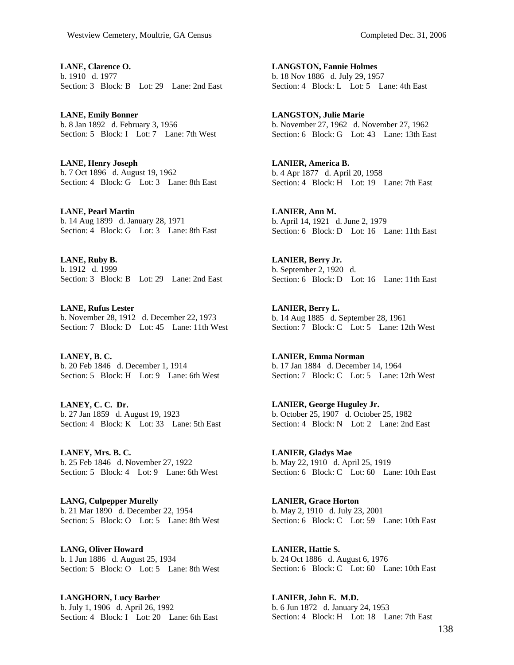**LANE, Clarence O.**  b. 1910 d. 1977 Section: 3 Block: B Lot: 29 Lane: 2nd East

**LANE, Emily Bonner**  b. 8 Jan 1892 d. February 3, 1956 Section: 5 Block: I Lot: 7 Lane: 7th West

**LANE, Henry Joseph**  b. 7 Oct 1896 d. August 19, 1962 Section: 4 Block: G Lot: 3 Lane: 8th East

**LANE, Pearl Martin**  b. 14 Aug 1899 d. January 28, 1971 Section: 4 Block: G Lot: 3 Lane: 8th East

**LANE, Ruby B.**  b. 1912 d. 1999 Section: 3 Block: B Lot: 29 Lane: 2nd East

**LANE, Rufus Lester**  b. November 28, 1912 d. December 22, 1973 Section: 7 Block: D Lot: 45 Lane: 11th West

**LANEY, B. C.**  b. 20 Feb 1846 d. December 1, 1914 Section: 5 Block: H Lot: 9 Lane: 6th West

**LANEY, C. C. Dr.**  b. 27 Jan 1859 d. August 19, 1923 Section: 4 Block: K Lot: 33 Lane: 5th East

**LANEY, Mrs. B. C.**  b. 25 Feb 1846 d. November 27, 1922 Section: 5 Block: 4 Lot: 9 Lane: 6th West

**LANG, Culpepper Murelly**  b. 21 Mar 1890 d. December 22, 1954 Section: 5 Block: O Lot: 5 Lane: 8th West

**LANG, Oliver Howard**  b. 1 Jun 1886 d. August 25, 1934 Section: 5 Block: O Lot: 5 Lane: 8th West

**LANGHORN, Lucy Barber**  b. July 1, 1906 d. April 26, 1992 Section: 4 Block: I Lot: 20 Lane: 6th East **LANGSTON, Fannie Holmes**  b. 18 Nov 1886 d. July 29, 1957 Section: 4 Block: L Lot: 5 Lane: 4th East

**LANGSTON, Julie Marie**  b. November 27, 1962 d. November 27, 1962 Section: 6 Block: G Lot: 43 Lane: 13th East

**LANIER, America B.**  b. 4 Apr 1877 d. April 20, 1958 Section: 4 Block: H Lot: 19 Lane: 7th East

**LANIER, Ann M.**  b. April 14, 1921 d. June 2, 1979 Section: 6 Block: D Lot: 16 Lane: 11th East

**LANIER, Berry Jr.**  b. September 2, 1920 d. Section: 6 Block: D Lot: 16 Lane: 11th East

**LANIER, Berry L.**  b. 14 Aug 1885 d. September 28, 1961 Section: 7 Block: C Lot: 5 Lane: 12th West

**LANIER, Emma Norman**  b. 17 Jan 1884 d. December 14, 1964 Section: 7 Block: C Lot: 5 Lane: 12th West

**LANIER, George Huguley Jr.**  b. October 25, 1907 d. October 25, 1982 Section: 4 Block: N Lot: 2 Lane: 2nd East

**LANIER, Gladys Mae**  b. May 22, 1910 d. April 25, 1919 Section: 6 Block: C Lot: 60 Lane: 10th East

**LANIER, Grace Horton**  b. May 2, 1910 d. July 23, 2001 Section: 6 Block: C Lot: 59 Lane: 10th East

**LANIER, Hattie S.**  b. 24 Oct 1886 d. August 6, 1976 Section: 6 Block: C Lot: 60 Lane: 10th East

**LANIER, John E. M.D.**  b. 6 Jun 1872 d. January 24, 1953 Section: 4 Block: H Lot: 18 Lane: 7th East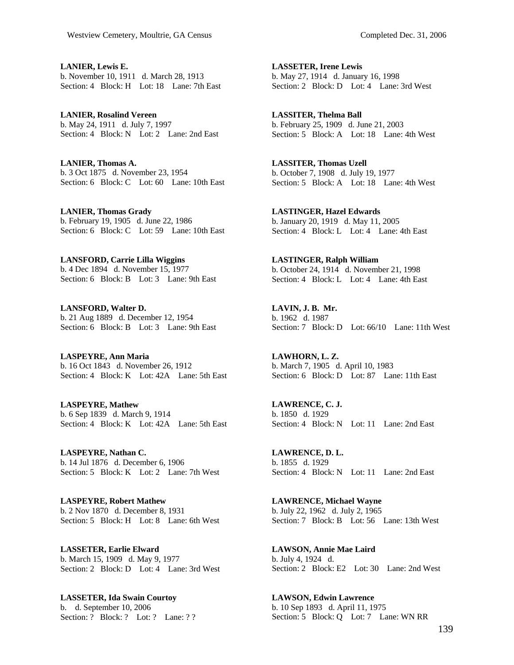**LANIER, Lewis E.**  b. November 10, 1911 d. March 28, 1913 Section: 4 Block: H Lot: 18 Lane: 7th East

**LANIER, Rosalind Vereen**  b. May 24, 1911 d. July 7, 1997 Section: 4 Block: N Lot: 2 Lane: 2nd East

**LANIER, Thomas A.**  b. 3 Oct 1875 d. November 23, 1954 Section: 6 Block: C Lot: 60 Lane: 10th East

**LANIER, Thomas Grady**  b. February 19, 1905 d. June 22, 1986 Section: 6 Block: C Lot: 59 Lane: 10th East

**LANSFORD, Carrie Lilla Wiggins**  b. 4 Dec 1894 d. November 15, 1977 Section: 6 Block: B Lot: 3 Lane: 9th East

**LANSFORD, Walter D.**  b. 21 Aug 1889 d. December 12, 1954 Section: 6 Block: B Lot: 3 Lane: 9th East

**LASPEYRE, Ann Maria**  b. 16 Oct 1843 d. November 26, 1912 Section: 4 Block: K Lot: 42A Lane: 5th East

**LASPEYRE, Mathew**  b. 6 Sep 1839 d. March 9, 1914 Section: 4 Block: K Lot: 42A Lane: 5th East

**LASPEYRE, Nathan C.**  b. 14 Jul 1876 d. December 6, 1906 Section: 5 Block: K Lot: 2 Lane: 7th West

**LASPEYRE, Robert Mathew**  b. 2 Nov 1870 d. December 8, 1931 Section: 5 Block: H Lot: 8 Lane: 6th West

**LASSETER, Earlie Elward**  b. March 15, 1909 d. May 9, 1977 Section: 2 Block: D Lot: 4 Lane: 3rd West

**LASSETER, Ida Swain Courtoy**  b. d. September 10, 2006 Section: ? Block: ? Lot: ? Lane: ? ? **LASSETER, Irene Lewis**  b. May 27, 1914 d. January 16, 1998 Section: 2 Block: D Lot: 4 Lane: 3rd West

**LASSITER, Thelma Ball**  b. February 25, 1909 d. June 21, 2003 Section: 5 Block: A Lot: 18 Lane: 4th West

**LASSITER, Thomas Uzell**  b. October 7, 1908 d. July 19, 1977 Section: 5 Block: A Lot: 18 Lane: 4th West

**LASTINGER, Hazel Edwards**  b. January 20, 1919 d. May 11, 2005 Section: 4 Block: L Lot: 4 Lane: 4th East

**LASTINGER, Ralph William**  b. October 24, 1914 d. November 21, 1998 Section: 4 Block: L Lot: 4 Lane: 4th East

**LAVIN, J. B. Mr.**  b. 1962 d. 1987 Section: 7 Block: D Lot: 66/10 Lane: 11th West

**LAWHORN, L. Z.**  b. March 7, 1905 d. April 10, 1983 Section: 6 Block: D Lot: 87 Lane: 11th East

**LAWRENCE, C. J.**  b. 1850 d. 1929 Section: 4 Block: N Lot: 11 Lane: 2nd East

**LAWRENCE, D. L.**  b. 1855 d. 1929 Section: 4 Block: N Lot: 11 Lane: 2nd East

**LAWRENCE, Michael Wayne**  b. July 22, 1962 d. July 2, 1965 Section: 7 Block: B Lot: 56 Lane: 13th West

**LAWSON, Annie Mae Laird**  b. July 4, 1924 d. Section: 2 Block: E2 Lot: 30 Lane: 2nd West

**LAWSON, Edwin Lawrence**  b. 10 Sep 1893 d. April 11, 1975 Section: 5 Block: Q Lot: 7 Lane: WN RR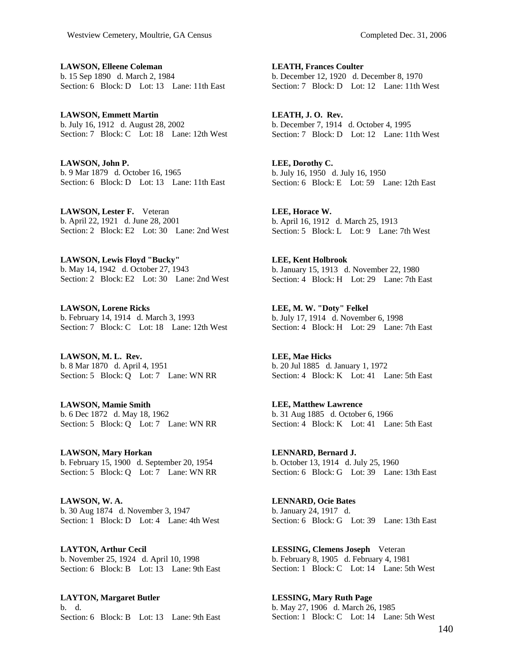**LAWSON, Elleene Coleman**  b. 15 Sep 1890 d. March 2, 1984 Section: 6 Block: D Lot: 13 Lane: 11th East

**LAWSON, Emmett Martin**  b. July 16, 1912 d. August 28, 2002 Section: 7 Block: C Lot: 18 Lane: 12th West

**LAWSON, John P.**  b. 9 Mar 1879 d. October 16, 1965 Section: 6 Block: D Lot: 13 Lane: 11th East

**LAWSON, Lester F.** Veteran b. April 22, 1921 d. June 28, 2001 Section: 2 Block: E2 Lot: 30 Lane: 2nd West

**LAWSON, Lewis Floyd "Bucky"**  b. May 14, 1942 d. October 27, 1943 Section: 2 Block: E2 Lot: 30 Lane: 2nd West

**LAWSON, Lorene Ricks**  b. February 14, 1914 d. March 3, 1993 Section: 7 Block: C Lot: 18 Lane: 12th West

**LAWSON, M. L. Rev.**  b. 8 Mar 1870 d. April 4, 1951 Section: 5 Block: Q Lot: 7 Lane: WN RR

**LAWSON, Mamie Smith**  b. 6 Dec 1872 d. May 18, 1962 Section: 5 Block: Q Lot: 7 Lane: WN RR

**LAWSON, Mary Horkan**  b. February 15, 1900 d. September 20, 1954 Section: 5 Block: Q Lot: 7 Lane: WN RR

**LAWSON, W. A.**  b. 30 Aug 1874 d. November 3, 1947 Section: 1 Block: D Lot: 4 Lane: 4th West

**LAYTON, Arthur Cecil**  b. November 25, 1924 d. April 10, 1998 Section: 6 Block: B Lot: 13 Lane: 9th East

**LAYTON, Margaret Butler**  b. d. Section: 6 Block: B Lot: 13 Lane: 9th East **LEATH, Frances Coulter**  b. December 12, 1920 d. December 8, 1970 Section: 7 Block: D Lot: 12 Lane: 11th West

**LEATH, J. O. Rev.**  b. December 7, 1914 d. October 4, 1995 Section: 7 Block: D Lot: 12 Lane: 11th West

**LEE, Dorothy C.**  b. July 16, 1950 d. July 16, 1950 Section: 6 Block: E Lot: 59 Lane: 12th East

**LEE, Horace W.**  b. April 16, 1912 d. March 25, 1913 Section: 5 Block: L Lot: 9 Lane: 7th West

**LEE, Kent Holbrook**  b. January 15, 1913 d. November 22, 1980 Section: 4 Block: H Lot: 29 Lane: 7th East

**LEE, M. W. "Doty" Felkel**  b. July 17, 1914 d. November 6, 1998 Section: 4 Block: H Lot: 29 Lane: 7th East

**LEE, Mae Hicks**  b. 20 Jul 1885 d. January 1, 1972 Section: 4 Block: K Lot: 41 Lane: 5th East

**LEE, Matthew Lawrence**  b. 31 Aug 1885 d. October 6, 1966 Section: 4 Block: K Lot: 41 Lane: 5th East

**LENNARD, Bernard J.**  b. October 13, 1914 d. July 25, 1960 Section: 6 Block: G Lot: 39 Lane: 13th East

**LENNARD, Ocie Bates**  b. January 24, 1917 d. Section: 6 Block: G Lot: 39 Lane: 13th East

**LESSING, Clemens Joseph** Veteran b. February 8, 1905 d. February 4, 1981 Section: 1 Block: C Lot: 14 Lane: 5th West

**LESSING, Mary Ruth Page**  b. May 27, 1906 d. March 26, 1985 Section: 1 Block: C Lot: 14 Lane: 5th West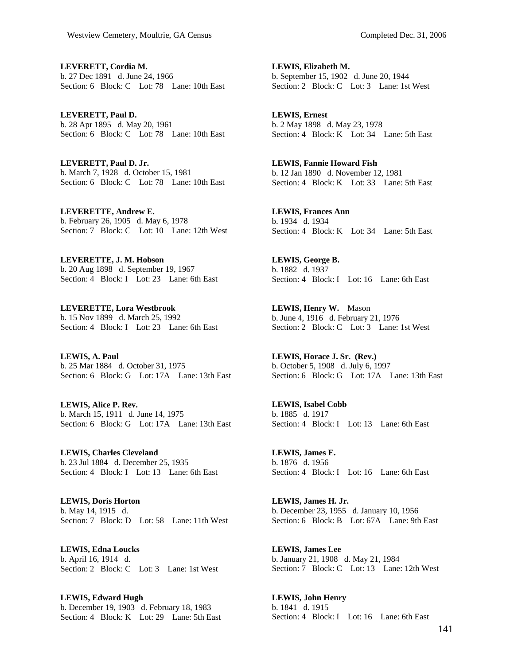**LEVERETT, Cordia M.**  b. 27 Dec 1891 d. June 24, 1966 Section: 6 Block: C Lot: 78 Lane: 10th East

**LEVERETT, Paul D.**  b. 28 Apr 1895 d. May 20, 1961 Section: 6 Block: C Lot: 78 Lane: 10th East

**LEVERETT, Paul D. Jr.**  b. March 7, 1928 d. October 15, 1981 Section: 6 Block: C Lot: 78 Lane: 10th East

**LEVERETTE, Andrew E.**  b. February 26, 1905 d. May 6, 1978 Section: 7 Block: C Lot: 10 Lane: 12th West

**LEVERETTE, J. M. Hobson**  b. 20 Aug 1898 d. September 19, 1967 Section: 4 Block: I Lot: 23 Lane: 6th East

**LEVERETTE, Lora Westbrook**  b. 15 Nov 1899 d. March 25, 1992 Section: 4 Block: I Lot: 23 Lane: 6th East

**LEWIS, A. Paul**  b. 25 Mar 1884 d. October 31, 1975 Section: 6 Block: G Lot: 17A Lane: 13th East

**LEWIS, Alice P. Rev.**  b. March 15, 1911 d. June 14, 1975 Section: 6 Block: G Lot: 17A Lane: 13th East

**LEWIS, Charles Cleveland**  b. 23 Jul 1884 d. December 25, 1935 Section: 4 Block: I Lot: 13 Lane: 6th East

**LEWIS, Doris Horton**  b. May 14, 1915 d. Section: 7 Block: D Lot: 58 Lane: 11th West

**LEWIS, Edna Loucks**  b. April 16, 1914 d. Section: 2 Block: C Lot: 3 Lane: 1st West

**LEWIS, Edward Hugh**  b. December 19, 1903 d. February 18, 1983 Section: 4 Block: K Lot: 29 Lane: 5th East **LEWIS, Elizabeth M.**  b. September 15, 1902 d. June 20, 1944 Section: 2 Block: C Lot: 3 Lane: 1st West

**LEWIS, Ernest**  b. 2 May 1898 d. May 23, 1978 Section: 4 Block: K Lot: 34 Lane: 5th East

**LEWIS, Fannie Howard Fish**  b. 12 Jan 1890 d. November 12, 1981 Section: 4 Block: K Lot: 33 Lane: 5th East

**LEWIS, Frances Ann**  b. 1934 d. 1934 Section: 4 Block: K Lot: 34 Lane: 5th East

**LEWIS, George B.**  b. 1882 d. 1937 Section: 4 Block: I Lot: 16 Lane: 6th East

**LEWIS, Henry W.** Mason b. June 4, 1916 d. February 21, 1976 Section: 2 Block: C Lot: 3 Lane: 1st West

**LEWIS, Horace J. Sr. (Rev.)**  b. October 5, 1908 d. July 6, 1997 Section: 6 Block: G Lot: 17A Lane: 13th East

**LEWIS, Isabel Cobb**  b. 1885 d. 1917 Section: 4 Block: I Lot: 13 Lane: 6th East

**LEWIS, James E.**  b. 1876 d. 1956 Section: 4 Block: I Lot: 16 Lane: 6th East

**LEWIS, James H. Jr.**  b. December 23, 1955 d. January 10, 1956 Section: 6 Block: B Lot: 67A Lane: 9th East

**LEWIS, James Lee**  b. January 21, 1908 d. May 21, 1984 Section: 7 Block: C Lot: 13 Lane: 12th West

**LEWIS, John Henry**  b. 1841 d. 1915 Section: 4 Block: I Lot: 16 Lane: 6th East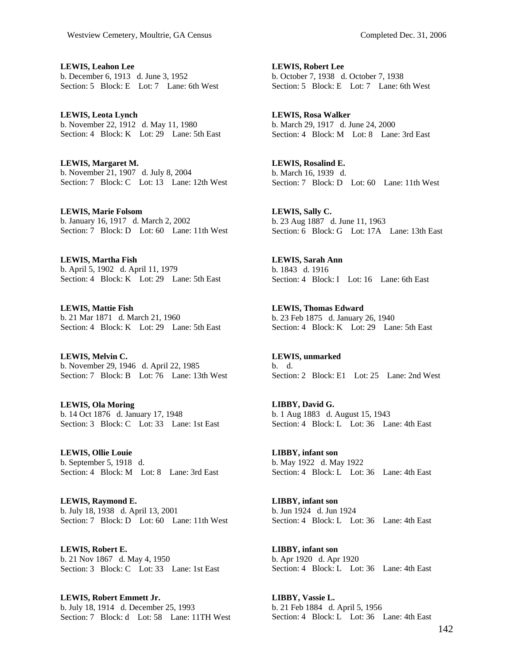**LEWIS, Leahon Lee**  b. December 6, 1913 d. June 3, 1952 Section: 5 Block: E Lot: 7 Lane: 6th West

**LEWIS, Leota Lynch**  b. November 22, 1912 d. May 11, 1980 Section: 4 Block: K Lot: 29 Lane: 5th East

**LEWIS, Margaret M.**  b. November 21, 1907 d. July 8, 2004 Section: 7 Block: C Lot: 13 Lane: 12th West

**LEWIS, Marie Folsom**  b. January 16, 1917 d. March 2, 2002 Section: 7 Block: D Lot: 60 Lane: 11th West

**LEWIS, Martha Fish**  b. April 5, 1902 d. April 11, 1979 Section: 4 Block: K Lot: 29 Lane: 5th East

**LEWIS, Mattie Fish**  b. 21 Mar 1871 d. March 21, 1960 Section: 4 Block: K Lot: 29 Lane: 5th East

**LEWIS, Melvin C.**  b. November 29, 1946 d. April 22, 1985 Section: 7 Block: B Lot: 76 Lane: 13th West

**LEWIS, Ola Moring**  b. 14 Oct 1876 d. January 17, 1948 Section: 3 Block: C Lot: 33 Lane: 1st East

**LEWIS, Ollie Louie**  b. September 5, 1918 d. Section: 4 Block: M Lot: 8 Lane: 3rd East

**LEWIS, Raymond E.**  b. July 18, 1938 d. April 13, 2001 Section: 7 Block: D Lot: 60 Lane: 11th West

**LEWIS, Robert E.**  b. 21 Nov 1867 d. May 4, 1950 Section: 3 Block: C Lot: 33 Lane: 1st East

**LEWIS, Robert Emmett Jr.**  b. July 18, 1914 d. December 25, 1993 Section: 7 Block: d Lot: 58 Lane: 11TH West **LEWIS, Robert Lee**  b. October 7, 1938 d. October 7, 1938 Section: 5 Block: E Lot: 7 Lane: 6th West

**LEWIS, Rosa Walker**  b. March 29, 1917 d. June 24, 2000 Section: 4 Block: M Lot: 8 Lane: 3rd East

**LEWIS, Rosalind E.**  b. March 16, 1939 d. Section: 7 Block: D Lot: 60 Lane: 11th West

**LEWIS, Sally C.**  b. 23 Aug 1887 d. June 11, 1963 Section: 6 Block: G Lot: 17A Lane: 13th East

**LEWIS, Sarah Ann**  b. 1843 d. 1916 Section: 4 Block: I Lot: 16 Lane: 6th East

**LEWIS, Thomas Edward**  b. 23 Feb 1875 d. January 26, 1940 Section: 4 Block: K Lot: 29 Lane: 5th East

**LEWIS, unmarked**  b. d. Section: 2 Block: E1 Lot: 25 Lane: 2nd West

**LIBBY, David G.**  b. 1 Aug 1883 d. August 15, 1943 Section: 4 Block: L Lot: 36 Lane: 4th East

**LIBBY, infant son**  b. May 1922 d. May 1922 Section: 4 Block: L Lot: 36 Lane: 4th East

**LIBBY, infant son**  b. Jun 1924 d. Jun 1924 Section: 4 Block: L Lot: 36 Lane: 4th East

**LIBBY, infant son**  b. Apr 1920 d. Apr 1920 Section: 4 Block: L Lot: 36 Lane: 4th East

**LIBBY, Vassie L.**  b. 21 Feb 1884 d. April 5, 1956 Section: 4 Block: L Lot: 36 Lane: 4th East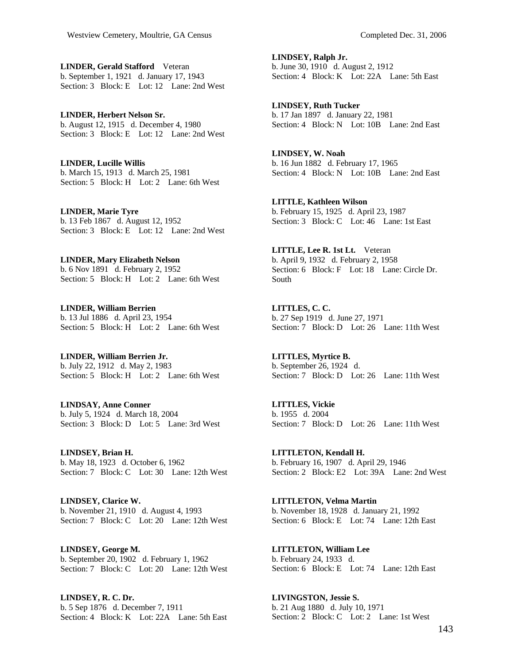**LINDER, Gerald Stafford** Veteran b. September 1, 1921 d. January 17, 1943 Section: 3 Block: E Lot: 12 Lane: 2nd West

**LINDER, Herbert Nelson Sr.**  b. August 12, 1915 d. December 4, 1980 Section: 3 Block: E Lot: 12 Lane: 2nd West

**LINDER, Lucille Willis**  b. March 15, 1913 d. March 25, 1981 Section: 5 Block: H Lot: 2 Lane: 6th West

**LINDER, Marie Tyre**  b. 13 Feb 1867 d. August 12, 1952 Section: 3 Block: E Lot: 12 Lane: 2nd West

**LINDER, Mary Elizabeth Nelson**  b. 6 Nov 1891 d. February 2, 1952 Section: 5 Block: H Lot: 2 Lane: 6th West

**LINDER, William Berrien**  b. 13 Jul 1886 d. April 23, 1954 Section: 5 Block: H Lot: 2 Lane: 6th West

**LINDER, William Berrien Jr.**  b. July 22, 1912 d. May 2, 1983 Section: 5 Block: H Lot: 2 Lane: 6th West

**LINDSAY, Anne Conner**  b. July 5, 1924 d. March 18, 2004 Section: 3 Block: D Lot: 5 Lane: 3rd West

**LINDSEY, Brian H.**  b. May 18, 1923 d. October 6, 1962 Section: 7 Block: C Lot: 30 Lane: 12th West

**LINDSEY, Clarice W.**  b. November 21, 1910 d. August 4, 1993 Section: 7 Block: C Lot: 20 Lane: 12th West

**LINDSEY, George M.**  b. September 20, 1902 d. February 1, 1962 Section: 7 Block: C Lot: 20 Lane: 12th West

**LINDSEY, R. C. Dr.**  b. 5 Sep 1876 d. December 7, 1911 Section: 4 Block: K Lot: 22A Lane: 5th East **LINDSEY, Ralph Jr.**  b. June 30, 1910 d. August 2, 1912 Section: 4 Block: K Lot: 22A Lane: 5th East

**LINDSEY, Ruth Tucker**  b. 17 Jan 1897 d. January 22, 1981 Section: 4 Block: N Lot: 10B Lane: 2nd East

**LINDSEY, W. Noah**  b. 16 Jun 1882 d. February 17, 1965 Section: 4 Block: N Lot: 10B Lane: 2nd East

**LITTLE, Kathleen Wilson**  b. February 15, 1925 d. April 23, 1987 Section: 3 Block: C Lot: 46 Lane: 1st East

**LITTLE, Lee R. 1st Lt.** Veteran b. April 9, 1932 d. February 2, 1958 Section: 6 Block: F Lot: 18 Lane: Circle Dr. South

**LITTLES, C. C.**  b. 27 Sep 1919 d. June 27, 1971 Section: 7 Block: D Lot: 26 Lane: 11th West

**LITTLES, Myrtice B.**  b. September 26, 1924 d. Section: 7 Block: D Lot: 26 Lane: 11th West

**LITTLES, Vickie**  b. 1955 d. 2004 Section: 7 Block: D Lot: 26 Lane: 11th West

**LITTLETON, Kendall H.**  b. February 16, 1907 d. April 29, 1946 Section: 2 Block: E2 Lot: 39A Lane: 2nd West

**LITTLETON, Velma Martin**  b. November 18, 1928 d. January 21, 1992 Section: 6 Block: E Lot: 74 Lane: 12th East

**LITTLETON, William Lee**  b. February 24, 1933 d. Section: 6 Block: E Lot: 74 Lane: 12th East

**LIVINGSTON, Jessie S.**  b. 21 Aug 1880 d. July 10, 1971 Section: 2 Block: C Lot: 2 Lane: 1st West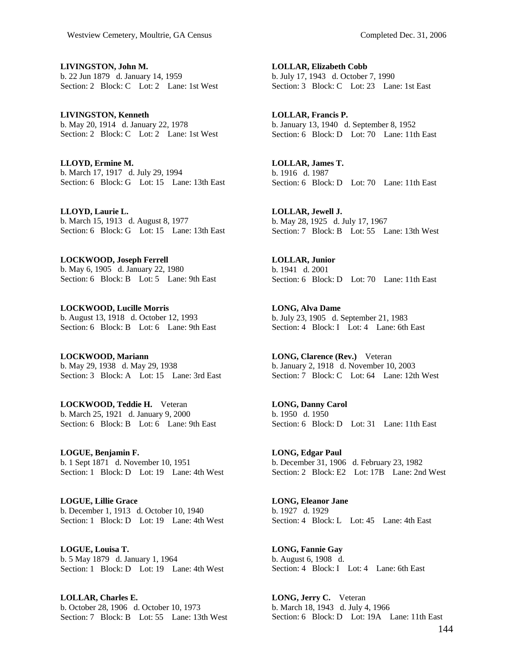**LIVINGSTON, John M.**  b. 22 Jun 1879 d. January 14, 1959 Section: 2 Block: C Lot: 2 Lane: 1st West

**LIVINGSTON, Kenneth**  b. May 20, 1914 d. January 22, 1978 Section: 2 Block: C Lot: 2 Lane: 1st West

**LLOYD, Ermine M.**  b. March 17, 1917 d. July 29, 1994 Section: 6 Block: G Lot: 15 Lane: 13th East

**LLOYD, Laurie L.**  b. March 15, 1913 d. August 8, 1977 Section: 6 Block: G Lot: 15 Lane: 13th East

**LOCKWOOD, Joseph Ferrell**  b. May 6, 1905 d. January 22, 1980 Section: 6 Block: B Lot: 5 Lane: 9th East

**LOCKWOOD, Lucille Morris**  b. August 13, 1918 d. October 12, 1993 Section: 6 Block: B Lot: 6 Lane: 9th East

**LOCKWOOD, Mariann**  b. May 29, 1938 d. May 29, 1938 Section: 3 Block: A Lot: 15 Lane: 3rd East

**LOCKWOOD, Teddie H.** Veteran b. March 25, 1921 d. January 9, 2000 Section: 6 Block: B Lot: 6 Lane: 9th East

**LOGUE, Benjamin F.**  b. 1 Sept 1871 d. November 10, 1951 Section: 1 Block: D Lot: 19 Lane: 4th West

**LOGUE, Lillie Grace**  b. December 1, 1913 d. October 10, 1940 Section: 1 Block: D Lot: 19 Lane: 4th West

**LOGUE, Louisa T.**  b. 5 May 1879 d. January 1, 1964 Section: 1 Block: D Lot: 19 Lane: 4th West

**LOLLAR, Charles E.**  b. October 28, 1906 d. October 10, 1973 Section: 7 Block: B Lot: 55 Lane: 13th West **LOLLAR, Elizabeth Cobb**  b. July 17, 1943 d. October 7, 1990 Section: 3 Block: C Lot: 23 Lane: 1st East

**LOLLAR, Francis P.**  b. January 13, 1940 d. September 8, 1952 Section: 6 Block: D Lot: 70 Lane: 11th East

**LOLLAR, James T.**  b. 1916 d. 1987 Section: 6 Block: D Lot: 70 Lane: 11th East

**LOLLAR, Jewell J.**  b. May 28, 1925 d. July 17, 1967 Section: 7 Block: B Lot: 55 Lane: 13th West

**LOLLAR, Junior**  b. 1941 d. 2001 Section: 6 Block: D Lot: 70 Lane: 11th East

**LONG, Alva Dame**  b. July 23, 1905 d. September 21, 1983 Section: 4 Block: I Lot: 4 Lane: 6th East

**LONG, Clarence (Rev.)** Veteran b. January 2, 1918 d. November 10, 2003 Section: 7 Block: C Lot: 64 Lane: 12th West

**LONG, Danny Carol**  b. 1950 d. 1950 Section: 6 Block: D Lot: 31 Lane: 11th East

**LONG, Edgar Paul**  b. December 31, 1906 d. February 23, 1982 Section: 2 Block: E2 Lot: 17B Lane: 2nd West

**LONG, Eleanor Jane**  b. 1927 d. 1929 Section: 4 Block: L Lot: 45 Lane: 4th East

**LONG, Fannie Gay**  b. August 6, 1908 d. Section: 4 Block: I Lot: 4 Lane: 6th East

**LONG, Jerry C.** Veteran b. March 18, 1943 d. July 4, 1966 Section: 6 Block: D Lot: 19A Lane: 11th East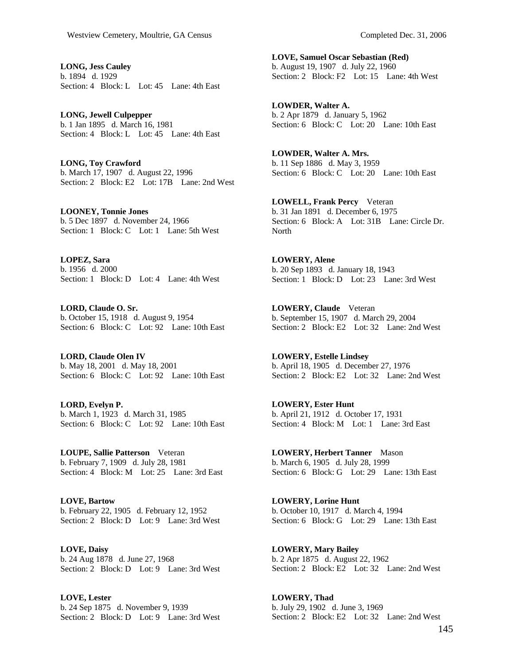**LONG, Jess Cauley**  b. 1894 d. 1929 Section: 4 Block: L Lot: 45 Lane: 4th East

**LONG, Jewell Culpepper**  b. 1 Jan 1895 d. March 16, 1981 Section: 4 Block: L Lot: 45 Lane: 4th East

**LONG, Toy Crawford**  b. March 17, 1907 d. August 22, 1996 Section: 2 Block: E2 Lot: 17B Lane: 2nd West

**LOONEY, Tonnie Jones**  b. 5 Dec 1897 d. November 24, 1966 Section: 1 Block: C Lot: 1 Lane: 5th West

**LOPEZ, Sara**  b. 1956 d. 2000 Section: 1 Block: D Lot: 4 Lane: 4th West

**LORD, Claude O. Sr.**  b. October 15, 1918 d. August 9, 1954 Section: 6 Block: C Lot: 92 Lane: 10th East

**LORD, Claude Olen IV**  b. May 18, 2001 d. May 18, 2001 Section: 6 Block: C Lot: 92 Lane: 10th East

**LORD, Evelyn P.**  b. March 1, 1923 d. March 31, 1985 Section: 6 Block: C Lot: 92 Lane: 10th East

**LOUPE, Sallie Patterson** Veteran b. February 7, 1909 d. July 28, 1981 Section: 4 Block: M Lot: 25 Lane: 3rd East

**LOVE, Bartow**  b. February 22, 1905 d. February 12, 1952 Section: 2 Block: D Lot: 9 Lane: 3rd West

**LOVE, Daisy**  b. 24 Aug 1878 d. June 27, 1968 Section: 2 Block: D Lot: 9 Lane: 3rd West

**LOVE, Lester**  b. 24 Sep 1875 d. November 9, 1939 Section: 2 Block: D Lot: 9 Lane: 3rd West **LOVE, Samuel Oscar Sebastian (Red)**  b. August 19, 1907 d. July 22, 1960 Section: 2 Block: F2 Lot: 15 Lane: 4th West

**LOWDER, Walter A.**  b. 2 Apr 1879 d. January 5, 1962 Section: 6 Block: C Lot: 20 Lane: 10th East

**LOWDER, Walter A. Mrs.**  b. 11 Sep 1886 d. May 3, 1959 Section: 6 Block: C Lot: 20 Lane: 10th East

**LOWELL, Frank Percy** Veteran b. 31 Jan 1891 d. December 6, 1975 Section: 6 Block: A Lot: 31B Lane: Circle Dr. North

**LOWERY, Alene**  b. 20 Sep 1893 d. January 18, 1943 Section: 1 Block: D Lot: 23 Lane: 3rd West

**LOWERY, Claude** Veteran b. September 15, 1907 d. March 29, 2004 Section: 2 Block: E2 Lot: 32 Lane: 2nd West

**LOWERY, Estelle Lindsey**  b. April 18, 1905 d. December 27, 1976 Section: 2 Block: E2 Lot: 32 Lane: 2nd West

**LOWERY, Ester Hunt**  b. April 21, 1912 d. October 17, 1931 Section: 4 Block: M Lot: 1 Lane: 3rd East

**LOWERY, Herbert Tanner** Mason b. March 6, 1905 d. July 28, 1999 Section: 6 Block: G Lot: 29 Lane: 13th East

**LOWERY, Lorine Hunt**  b. October 10, 1917 d. March 4, 1994 Section: 6 Block: G Lot: 29 Lane: 13th East

**LOWERY, Mary Bailey**  b. 2 Apr 1875 d. August 22, 1962 Section: 2 Block: E2 Lot: 32 Lane: 2nd West

**LOWERY, Thad**  b. July 29, 1902 d. June 3, 1969 Section: 2 Block: E2 Lot: 32 Lane: 2nd West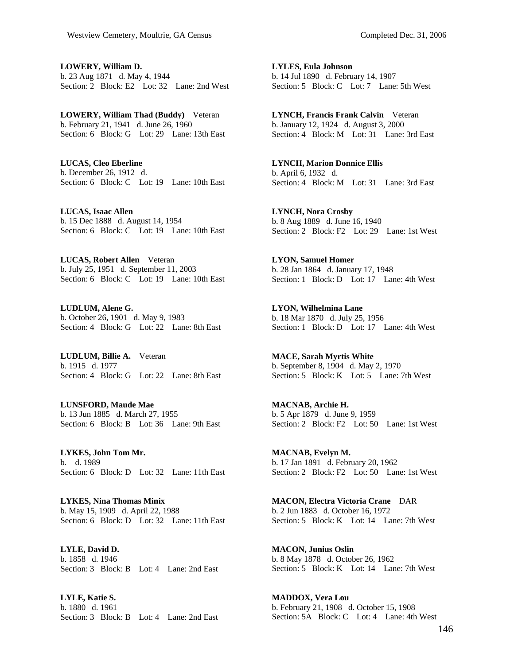**LOWERY, William D.**  b. 23 Aug 1871 d. May 4, 1944 Section: 2 Block: E2 Lot: 32 Lane: 2nd West

**LOWERY, William Thad (Buddy)** Veteran b. February 21, 1941 d. June 26, 1960 Section: 6 Block: G Lot: 29 Lane: 13th East

**LUCAS, Cleo Eberline**  b. December 26, 1912 d. Section: 6 Block: C Lot: 19 Lane: 10th East

**LUCAS, Isaac Allen**  b. 15 Dec 1888 d. August 14, 1954 Section: 6 Block: C Lot: 19 Lane: 10th East

**LUCAS, Robert Allen** Veteran b. July 25, 1951 d. September 11, 2003 Section: 6 Block: C Lot: 19 Lane: 10th East

**LUDLUM, Alene G.**  b. October 26, 1901 d. May 9, 1983 Section: 4 Block: G Lot: 22 Lane: 8th East

**LUDLUM, Billie A.** Veteran b. 1915 d. 1977 Section: 4 Block: G Lot: 22 Lane: 8th East

**LUNSFORD, Maude Mae**  b. 13 Jun 1885 d. March 27, 1955 Section: 6 Block: B Lot: 36 Lane: 9th East

**LYKES, John Tom Mr.**  b. d. 1989 Section: 6 Block: D Lot: 32 Lane: 11th East

**LYKES, Nina Thomas Minix**  b. May 15, 1909 d. April 22, 1988 Section: 6 Block: D Lot: 32 Lane: 11th East

**LYLE, David D.**  b. 1858 d. 1946 Section: 3 Block: B Lot: 4 Lane: 2nd East

**LYLE, Katie S.**  b. 1880 d. 1961 Section: 3 Block: B Lot: 4 Lane: 2nd East **LYLES, Eula Johnson**  b. 14 Jul 1890 d. February 14, 1907 Section: 5 Block: C Lot: 7 Lane: 5th West

**LYNCH, Francis Frank Calvin** Veteran b. January 12, 1924 d. August 3, 2000 Section: 4 Block: M Lot: 31 Lane: 3rd East

**LYNCH, Marion Donnice Ellis**  b. April 6, 1932 d. Section: 4 Block: M Lot: 31 Lane: 3rd East

**LYNCH, Nora Crosby**  b. 8 Aug 1889 d. June 16, 1940 Section: 2 Block: F2 Lot: 29 Lane: 1st West

**LYON, Samuel Homer**  b. 28 Jan 1864 d. January 17, 1948 Section: 1 Block: D Lot: 17 Lane: 4th West

**LYON, Wilhelmina Lane**  b. 18 Mar 1870 d. July 25, 1956 Section: 1 Block: D Lot: 17 Lane: 4th West

**MACE, Sarah Myrtis White**  b. September 8, 1904 d. May 2, 1970 Section: 5 Block: K Lot: 5 Lane: 7th West

**MACNAB, Archie H.**  b. 5 Apr 1879 d. June 9, 1959 Section: 2 Block: F2 Lot: 50 Lane: 1st West

**MACNAB, Evelyn M.**  b. 17 Jan 1891 d. February 20, 1962 Section: 2 Block: F2 Lot: 50 Lane: 1st West

**MACON, Electra Victoria Crane** DAR b. 2 Jun 1883 d. October 16, 1972 Section: 5 Block: K Lot: 14 Lane: 7th West

**MACON, Junius Oslin**  b. 8 May 1878 d. October 26, 1962 Section: 5 Block: K Lot: 14 Lane: 7th West

**MADDOX, Vera Lou**  b. February 21, 1908 d. October 15, 1908 Section: 5A Block: C Lot: 4 Lane: 4th West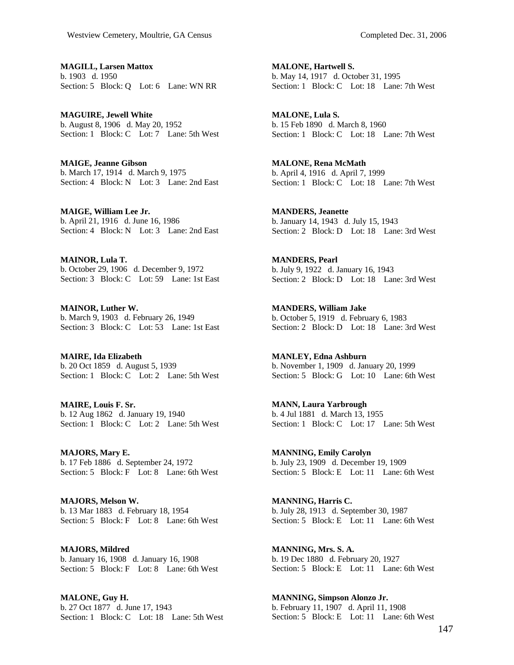**MAGILL, Larsen Mattox**  b. 1903 d. 1950 Section: 5 Block: Q Lot: 6 Lane: WN RR

**MAGUIRE, Jewell White**  b. August 8, 1906 d. May 20, 1952 Section: 1 Block: C Lot: 7 Lane: 5th West

**MAIGE, Jeanne Gibson**  b. March 17, 1914 d. March 9, 1975 Section: 4 Block: N Lot: 3 Lane: 2nd East

**MAIGE, William Lee Jr.**  b. April 21, 1916 d. June 16, 1986 Section: 4 Block: N Lot: 3 Lane: 2nd East

**MAINOR, Lula T.**  b. October 29, 1906 d. December 9, 1972 Section: 3 Block: C Lot: 59 Lane: 1st East

**MAINOR, Luther W.**  b. March 9, 1903 d. February 26, 1949 Section: 3 Block: C Lot: 53 Lane: 1st East

**MAIRE, Ida Elizabeth**  b. 20 Oct 1859 d. August 5, 1939 Section: 1 Block: C Lot: 2 Lane: 5th West

**MAIRE, Louis F. Sr.**  b. 12 Aug 1862 d. January 19, 1940 Section: 1 Block: C Lot: 2 Lane: 5th West

**MAJORS, Mary E.**  b. 17 Feb 1886 d. September 24, 1972 Section: 5 Block: F Lot: 8 Lane: 6th West

**MAJORS, Melson W.**  b. 13 Mar 1883 d. February 18, 1954 Section: 5 Block: F Lot: 8 Lane: 6th West

**MAJORS, Mildred**  b. January 16, 1908 d. January 16, 1908 Section: 5 Block: F Lot: 8 Lane: 6th West

**MALONE, Guy H.**  b. 27 Oct 1877 d. June 17, 1943 Section: 1 Block: C Lot: 18 Lane: 5th West **MALONE, Hartwell S.**  b. May 14, 1917 d. October 31, 1995 Section: 1 Block: C Lot: 18 Lane: 7th West

**MALONE, Lula S.**  b. 15 Feb 1890 d. March 8, 1960 Section: 1 Block: C Lot: 18 Lane: 7th West

**MALONE, Rena McMath**  b. April 4, 1916 d. April 7, 1999 Section: 1 Block: C Lot: 18 Lane: 7th West

**MANDERS, Jeanette**  b. January 14, 1943 d. July 15, 1943 Section: 2 Block: D Lot: 18 Lane: 3rd West

**MANDERS, Pearl**  b. July 9, 1922 d. January 16, 1943 Section: 2 Block: D Lot: 18 Lane: 3rd West

**MANDERS, William Jake**  b. October 5, 1919 d. February 6, 1983 Section: 2 Block: D Lot: 18 Lane: 3rd West

**MANLEY, Edna Ashburn**  b. November 1, 1909 d. January 20, 1999 Section: 5 Block: G Lot: 10 Lane: 6th West

**MANN, Laura Yarbrough**  b. 4 Jul 1881 d. March 13, 1955 Section: 1 Block: C Lot: 17 Lane: 5th West

**MANNING, Emily Carolyn**  b. July 23, 1909 d. December 19, 1909 Section: 5 Block: E Lot: 11 Lane: 6th West

**MANNING, Harris C.**  b. July 28, 1913 d. September 30, 1987 Section: 5 Block: E Lot: 11 Lane: 6th West

**MANNING, Mrs. S. A.**  b. 19 Dec 1880 d. February 20, 1927 Section: 5 Block: E Lot: 11 Lane: 6th West

**MANNING, Simpson Alonzo Jr.**  b. February 11, 1907 d. April 11, 1908 Section: 5 Block: E Lot: 11 Lane: 6th West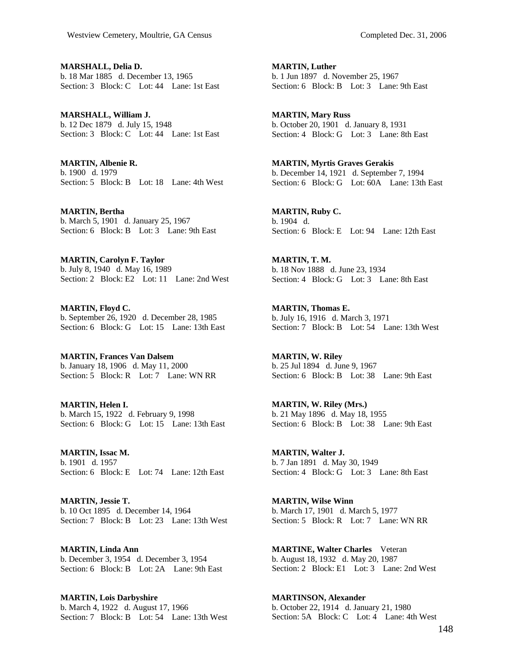**MARSHALL, Delia D.**  b. 18 Mar 1885 d. December 13, 1965 Section: 3 Block: C Lot: 44 Lane: 1st East

**MARSHALL, William J.**  b. 12 Dec 1879 d. July 15, 1948 Section: 3 Block: C Lot: 44 Lane: 1st East

**MARTIN, Albenie R.**  b. 1900 d. 1979 Section: 5 Block: B Lot: 18 Lane: 4th West

**MARTIN, Bertha**  b. March 5, 1901 d. January 25, 1967 Section: 6 Block: B Lot: 3 Lane: 9th East

**MARTIN, Carolyn F. Taylor**  b. July 8, 1940 d. May 16, 1989 Section: 2 Block: E2 Lot: 11 Lane: 2nd West

**MARTIN, Floyd C.**  b. September 26, 1920 d. December 28, 1985 Section: 6 Block: G Lot: 15 Lane: 13th East

**MARTIN, Frances Van Dalsem**  b. January 18, 1906 d. May 11, 2000 Section: 5 Block: R Lot: 7 Lane: WN RR

**MARTIN, Helen I.**  b. March 15, 1922 d. February 9, 1998 Section: 6 Block: G Lot: 15 Lane: 13th East

**MARTIN, Issac M.**  b. 1901 d. 1957 Section: 6 Block: E Lot: 74 Lane: 12th East

**MARTIN, Jessie T.**  b. 10 Oct 1895 d. December 14, 1964 Section: 7 Block: B Lot: 23 Lane: 13th West

**MARTIN, Linda Ann**  b. December 3, 1954 d. December 3, 1954 Section: 6 Block: B Lot: 2A Lane: 9th East

**MARTIN, Lois Darbyshire**  b. March 4, 1922 d. August 17, 1966 Section: 7 Block: B Lot: 54 Lane: 13th West **MARTIN, Luther**  b. 1 Jun 1897 d. November 25, 1967 Section: 6 Block: B Lot: 3 Lane: 9th East

**MARTIN, Mary Russ**  b. October 20, 1901 d. January 8, 1931 Section: 4 Block: G Lot: 3 Lane: 8th East

**MARTIN, Myrtis Graves Gerakis**  b. December 14, 1921 d. September 7, 1994 Section: 6 Block: G Lot: 60A Lane: 13th East

**MARTIN, Ruby C.**  b. 1904 d. Section: 6 Block: E Lot: 94 Lane: 12th East

**MARTIN, T. M.**  b. 18 Nov 1888 d. June 23, 1934 Section: 4 Block: G Lot: 3 Lane: 8th East

**MARTIN, Thomas E.**  b. July 16, 1916 d. March 3, 1971 Section: 7 Block: B Lot: 54 Lane: 13th West

**MARTIN, W. Riley**  b. 25 Jul 1894 d. June 9, 1967 Section: 6 Block: B Lot: 38 Lane: 9th East

**MARTIN, W. Riley (Mrs.)**  b. 21 May 1896 d. May 18, 1955 Section: 6 Block: B Lot: 38 Lane: 9th East

**MARTIN, Walter J.**  b. 7 Jan 1891 d. May 30, 1949 Section: 4 Block: G Lot: 3 Lane: 8th East

**MARTIN, Wilse Winn**  b. March 17, 1901 d. March 5, 1977 Section: 5 Block: R Lot: 7 Lane: WN RR

**MARTINE, Walter Charles** Veteran b. August 18, 1932 d. May 20, 1987 Section: 2 Block: E1 Lot: 3 Lane: 2nd West

**MARTINSON, Alexander**  b. October 22, 1914 d. January 21, 1980 Section: 5A Block: C Lot: 4 Lane: 4th West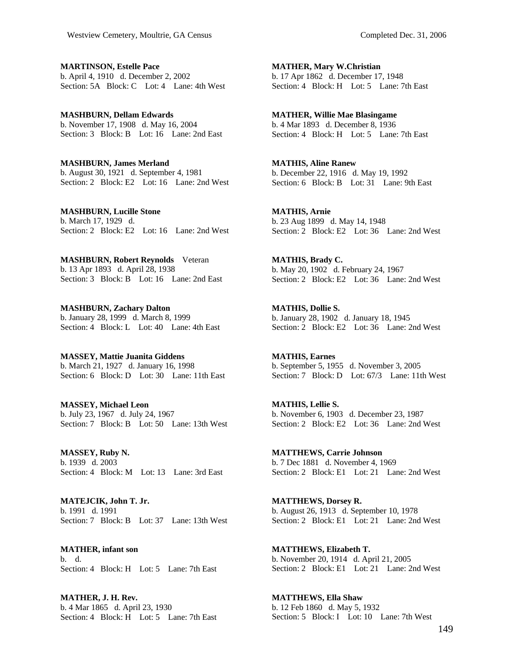**MARTINSON, Estelle Pace**  b. April 4, 1910 d. December 2, 2002 Section: 5A Block: C Lot: 4 Lane: 4th West

**MASHBURN, Dellam Edwards**  b. November 17, 1908 d. May 16, 2004 Section: 3 Block: B Lot: 16 Lane: 2nd East

**MASHBURN, James Merland**  b. August 30, 1921 d. September 4, 1981 Section: 2 Block: E2 Lot: 16 Lane: 2nd West

**MASHBURN, Lucille Stone**  b. March 17, 1929 d. Section: 2 Block: E2 Lot: 16 Lane: 2nd West

**MASHBURN, Robert Reynolds** Veteran b. 13 Apr 1893 d. April 28, 1938 Section: 3 Block: B Lot: 16 Lane: 2nd East

**MASHBURN, Zachary Dalton**  b. January 28, 1999 d. March 8, 1999 Section: 4 Block: L Lot: 40 Lane: 4th East

**MASSEY, Mattie Juanita Giddens**  b. March 21, 1927 d. January 16, 1998 Section: 6 Block: D Lot: 30 Lane: 11th East

**MASSEY, Michael Leon**  b. July 23, 1967 d. July 24, 1967 Section: 7 Block: B Lot: 50 Lane: 13th West

**MASSEY, Ruby N.**  b. 1939 d. 2003 Section: 4 Block: M Lot: 13 Lane: 3rd East

**MATEJCIK, John T. Jr.**  b. 1991 d. 1991 Section: 7 Block: B Lot: 37 Lane: 13th West

**MATHER, infant son**  b. d. Section: 4 Block: H Lot: 5 Lane: 7th East

**MATHER, J. H. Rev.**  b. 4 Mar 1865 d. April 23, 1930 Section: 4 Block: H Lot: 5 Lane: 7th East **MATHER, Mary W.Christian**  b. 17 Apr 1862 d. December 17, 1948 Section: 4 Block: H Lot: 5 Lane: 7th East

**MATHER, Willie Mae Blasingame**  b. 4 Mar 1893 d. December 8, 1936 Section: 4 Block: H Lot: 5 Lane: 7th East

**MATHIS, Aline Ranew**  b. December 22, 1916 d. May 19, 1992 Section: 6 Block: B Lot: 31 Lane: 9th East

**MATHIS, Arnie**  b. 23 Aug 1899 d. May 14, 1948 Section: 2 Block: E2 Lot: 36 Lane: 2nd West

**MATHIS, Brady C.**  b. May 20, 1902 d. February 24, 1967 Section: 2 Block: E2 Lot: 36 Lane: 2nd West

**MATHIS, Dollie S.**  b. January 28, 1902 d. January 18, 1945 Section: 2 Block: E2 Lot: 36 Lane: 2nd West

**MATHIS, Earnes**  b. September 5, 1955 d. November 3, 2005 Section: 7 Block: D Lot: 67/3 Lane: 11th West

**MATHIS, Lellie S.**  b. November 6, 1903 d. December 23, 1987 Section: 2 Block: E2 Lot: 36 Lane: 2nd West

**MATTHEWS, Carrie Johnson**  b. 7 Dec 1881 d. November 4, 1969 Section: 2 Block: E1 Lot: 21 Lane: 2nd West

**MATTHEWS, Dorsey R.**  b. August 26, 1913 d. September 10, 1978 Section: 2 Block: E1 Lot: 21 Lane: 2nd West

**MATTHEWS, Elizabeth T.**  b. November 20, 1914 d. April 21, 2005 Section: 2 Block: E1 Lot: 21 Lane: 2nd West

**MATTHEWS, Ella Shaw**  b. 12 Feb 1860 d. May 5, 1932 Section: 5 Block: I Lot: 10 Lane: 7th West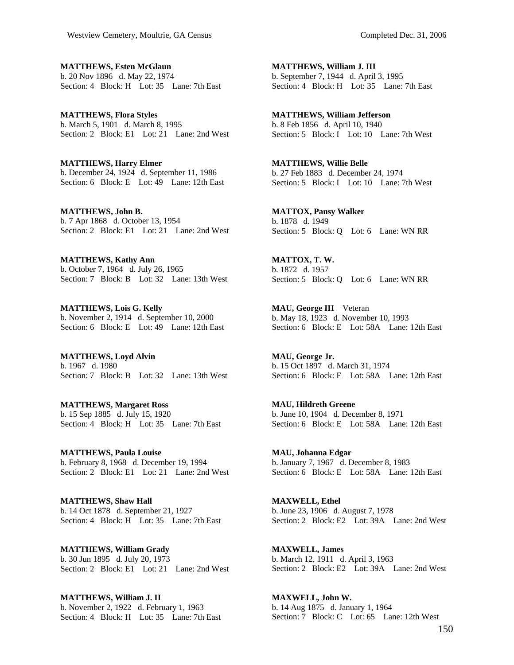**MATTHEWS, Esten McGlaun**  b. 20 Nov 1896 d. May 22, 1974 Section: 4 Block: H Lot: 35 Lane: 7th East

**MATTHEWS, Flora Styles**  b. March 5, 1901 d. March 8, 1995 Section: 2 Block: E1 Lot: 21 Lane: 2nd West

**MATTHEWS, Harry Elmer**  b. December 24, 1924 d. September 11, 1986 Section: 6 Block: E Lot: 49 Lane: 12th East

**MATTHEWS, John B.**  b. 7 Apr 1868 d. October 13, 1954 Section: 2 Block: E1 Lot: 21 Lane: 2nd West

**MATTHEWS, Kathy Ann**  b. October 7, 1964 d. July 26, 1965 Section: 7 Block: B Lot: 32 Lane: 13th West

**MATTHEWS, Lois G. Kelly**  b. November 2, 1914 d. September 10, 2000 Section: 6 Block: E Lot: 49 Lane: 12th East

**MATTHEWS, Loyd Alvin**  b. 1967 d. 1980 Section: 7 Block: B Lot: 32 Lane: 13th West

**MATTHEWS, Margaret Ross**  b. 15 Sep 1885 d. July 15, 1920 Section: 4 Block: H Lot: 35 Lane: 7th East

**MATTHEWS, Paula Louise**  b. February 8, 1968 d. December 19, 1994 Section: 2 Block: E1 Lot: 21 Lane: 2nd West

**MATTHEWS, Shaw Hall**  b. 14 Oct 1878 d. September 21, 1927 Section: 4 Block: H Lot: 35 Lane: 7th East

**MATTHEWS, William Grady**  b. 30 Jun 1895 d. July 20, 1973 Section: 2 Block: E1 Lot: 21 Lane: 2nd West

**MATTHEWS, William J. II**  b. November 2, 1922 d. February 1, 1963 Section: 4 Block: H Lot: 35 Lane: 7th East **MATTHEWS, William J. III**  b. September 7, 1944 d. April 3, 1995 Section: 4 Block: H Lot: 35 Lane: 7th East

**MATTHEWS, William Jefferson**  b. 8 Feb 1856 d. April 10, 1940 Section: 5 Block: I Lot: 10 Lane: 7th West

**MATTHEWS, Willie Belle**  b. 27 Feb 1883 d. December 24, 1974 Section: 5 Block: I Lot: 10 Lane: 7th West

**MATTOX, Pansy Walker**  b. 1878 d. 1949 Section: 5 Block: Q Lot: 6 Lane: WN RR

**MATTOX, T. W.**  b. 1872 d. 1957 Section: 5 Block: Q Lot: 6 Lane: WN RR

**MAU, George III** Veteran b. May 18, 1923 d. November 10, 1993 Section: 6 Block: E Lot: 58A Lane: 12th East

**MAU, George Jr.**  b. 15 Oct 1897 d. March 31, 1974 Section: 6 Block: E Lot: 58A Lane: 12th East

**MAU, Hildreth Greene**  b. June 10, 1904 d. December 8, 1971 Section: 6 Block: E Lot: 58A Lane: 12th East

**MAU, Johanna Edgar**  b. January 7, 1967 d. December 8, 1983 Section: 6 Block: E Lot: 58A Lane: 12th East

**MAXWELL, Ethel**  b. June 23, 1906 d. August 7, 1978 Section: 2 Block: E2 Lot: 39A Lane: 2nd West

**MAXWELL, James**  b. March 12, 1911 d. April 3, 1963 Section: 2 Block: E2 Lot: 39A Lane: 2nd West

**MAXWELL, John W.**  b. 14 Aug 1875 d. January 1, 1964 Section: 7 Block: C Lot: 65 Lane: 12th West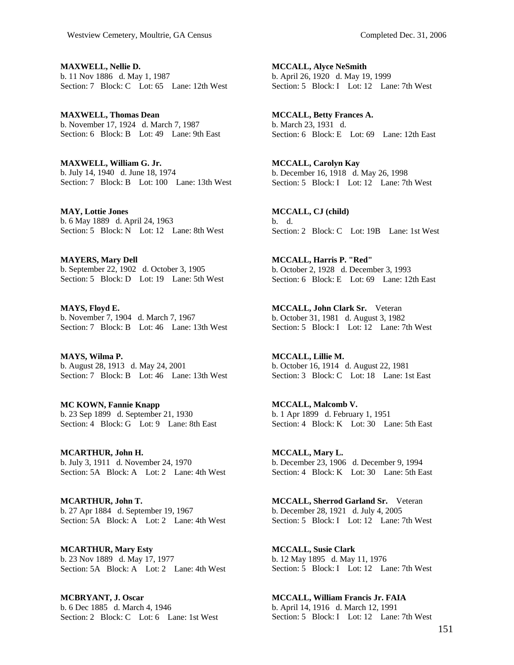**MAXWELL, Nellie D.**  b. 11 Nov 1886 d. May 1, 1987 Section: 7 Block: C Lot: 65 Lane: 12th West

**MAXWELL, Thomas Dean**  b. November 17, 1924 d. March 7, 1987 Section: 6 Block: B Lot: 49 Lane: 9th East

**MAXWELL, William G. Jr.**  b. July 14, 1940 d. June 18, 1974 Section: 7 Block: B Lot: 100 Lane: 13th West

**MAY, Lottie Jones**  b. 6 May 1889 d. April 24, 1963 Section: 5 Block: N Lot: 12 Lane: 8th West

**MAYERS, Mary Dell**  b. September 22, 1902 d. October 3, 1905 Section: 5 Block: D Lot: 19 Lane: 5th West

**MAYS, Floyd E.**  b. November 7, 1904 d. March 7, 1967 Section: 7 Block: B Lot: 46 Lane: 13th West

**MAYS, Wilma P.**  b. August 28, 1913 d. May 24, 2001 Section: 7 Block: B Lot: 46 Lane: 13th West

**MC KOWN, Fannie Knapp**  b. 23 Sep 1899 d. September 21, 1930 Section: 4 Block: G Lot: 9 Lane: 8th East

**MCARTHUR, John H.**  b. July 3, 1911 d. November 24, 1970 Section: 5A Block: A Lot: 2 Lane: 4th West

**MCARTHUR, John T.**  b. 27 Apr 1884 d. September 19, 1967 Section: 5A Block: A Lot: 2 Lane: 4th West

**MCARTHUR, Mary Esty**  b. 23 Nov 1889 d. May 17, 1977 Section: 5A Block: A Lot: 2 Lane: 4th West

**MCBRYANT, J. Oscar**  b. 6 Dec 1885 d. March 4, 1946 Section: 2 Block: C Lot: 6 Lane: 1st West **MCCALL, Alyce NeSmith**  b. April 26, 1920 d. May 19, 1999 Section: 5 Block: I Lot: 12 Lane: 7th West

**MCCALL, Betty Frances A.**  b. March 23, 1931 d. Section: 6 Block: E Lot: 69 Lane: 12th East

**MCCALL, Carolyn Kay**  b. December 16, 1918 d. May 26, 1998 Section: 5 Block: I Lot: 12 Lane: 7th West

**MCCALL, CJ (child)**  b. d. Section: 2 Block: C Lot: 19B Lane: 1st West

**MCCALL, Harris P. "Red"**  b. October 2, 1928 d. December 3, 1993 Section: 6 Block: E Lot: 69 Lane: 12th East

**MCCALL, John Clark Sr.** Veteran b. October 31, 1981 d. August 3, 1982 Section: 5 Block: I Lot: 12 Lane: 7th West

**MCCALL, Lillie M.**  b. October 16, 1914 d. August 22, 1981 Section: 3 Block: C Lot: 18 Lane: 1st East

**MCCALL, Malcomb V.**  b. 1 Apr 1899 d. February 1, 1951 Section: 4 Block: K Lot: 30 Lane: 5th East

**MCCALL, Mary L.**  b. December 23, 1906 d. December 9, 1994 Section: 4 Block: K Lot: 30 Lane: 5th East

**MCCALL, Sherrod Garland Sr.** Veteran b. December 28, 1921 d. July 4, 2005 Section: 5 Block: I Lot: 12 Lane: 7th West

**MCCALL, Susie Clark**  b. 12 May 1895 d. May 11, 1976 Section: 5 Block: I Lot: 12 Lane: 7th West

**MCCALL, William Francis Jr. FAIA**  b. April 14, 1916 d. March 12, 1991 Section: 5 Block: I Lot: 12 Lane: 7th West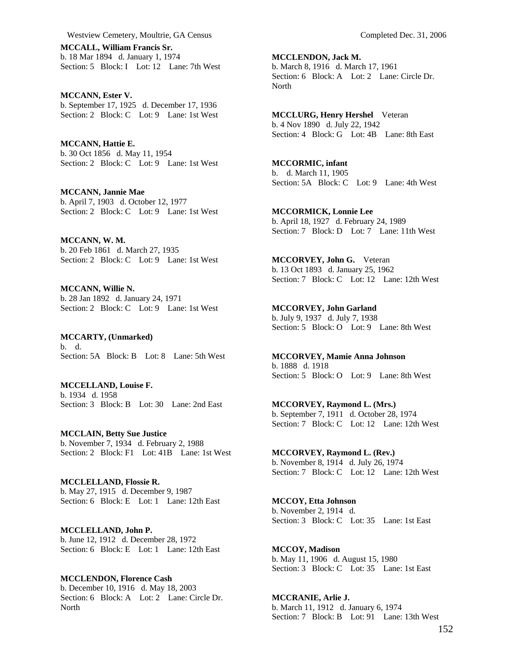**MCCALL, William Francis Sr.**  b. 18 Mar 1894 d. January 1, 1974 Section: 5 Block: I Lot: 12 Lane: 7th West

**MCCANN, Ester V.**  b. September 17, 1925 d. December 17, 1936 Section: 2 Block: C Lot: 9 Lane: 1st West

**MCCANN, Hattie E.**  b. 30 Oct 1856 d. May 11, 1954 Section: 2 Block: C Lot: 9 Lane: 1st West

**MCCANN, Jannie Mae**  b. April 7, 1903 d. October 12, 1977 Section: 2 Block: C Lot: 9 Lane: 1st West

**MCCANN, W. M.**  b. 20 Feb 1861 d. March 27, 1935 Section: 2 Block: C Lot: 9 Lane: 1st West

**MCCANN, Willie N.**  b. 28 Jan 1892 d. January 24, 1971 Section: 2 Block: C Lot: 9 Lane: 1st West

**MCCARTY, (Unmarked)**  b. d. Section: 5A Block: B Lot: 8 Lane: 5th West

**MCCELLAND, Louise F.**  b. 1934 d. 1958 Section: 3 Block: B Lot: 30 Lane: 2nd East

**MCCLAIN, Betty Sue Justice**  b. November 7, 1934 d. February 2, 1988 Section: 2 Block: F1 Lot: 41B Lane: 1st West

**MCCLELLAND, Flossie R.**  b. May 27, 1915 d. December 9, 1987 Section: 6 Block: E Lot: 1 Lane: 12th East

**MCCLELLAND, John P.**  b. June 12, 1912 d. December 28, 1972 Section: 6 Block: E Lot: 1 Lane: 12th East

**MCCLENDON, Florence Cash**  b. December 10, 1916 d. May 18, 2003 Section: 6 Block: A Lot: 2 Lane: Circle Dr. North

**MCCLENDON, Jack M.**  b. March 8, 1916 d. March 17, 1961 Section: 6 Block: A Lot: 2 Lane: Circle Dr. North

**MCCLURG, Henry Hershel** Veteran b. 4 Nov 1890 d. July 22, 1942 Section: 4 Block: G Lot: 4B Lane: 8th East

**MCCORMIC, infant**  b. d. March 11, 1905 Section: 5A Block: C Lot: 9 Lane: 4th West

**MCCORMICK, Lonnie Lee**  b. April 18, 1927 d. February 24, 1989 Section: 7 Block: D Lot: 7 Lane: 11th West

**MCCORVEY, John G.** Veteran b. 13 Oct 1893 d. January 25, 1962 Section: 7 Block: C Lot: 12 Lane: 12th West

**MCCORVEY, John Garland**  b. July 9, 1937 d. July 7, 1938 Section: 5 Block: O Lot: 9 Lane: 8th West

**MCCORVEY, Mamie Anna Johnson**  b. 1888 d. 1918 Section: 5 Block: O Lot: 9 Lane: 8th West

**MCCORVEY, Raymond L. (Mrs.)**  b. September 7, 1911 d. October 28, 1974 Section: 7 Block: C Lot: 12 Lane: 12th West

**MCCORVEY, Raymond L. (Rev.)**  b. November 8, 1914 d. July 26, 1974 Section: 7 Block: C Lot: 12 Lane: 12th West

**MCCOY, Etta Johnson**  b. November 2, 1914 d. Section: 3 Block: C Lot: 35 Lane: 1st East

**MCCOY, Madison**  b. May 11, 1906 d. August 15, 1980 Section: 3 Block: C Lot: 35 Lane: 1st East

**MCCRANIE, Arlie J.**  b. March 11, 1912 d. January 6, 1974 Section: 7 Block: B Lot: 91 Lane: 13th West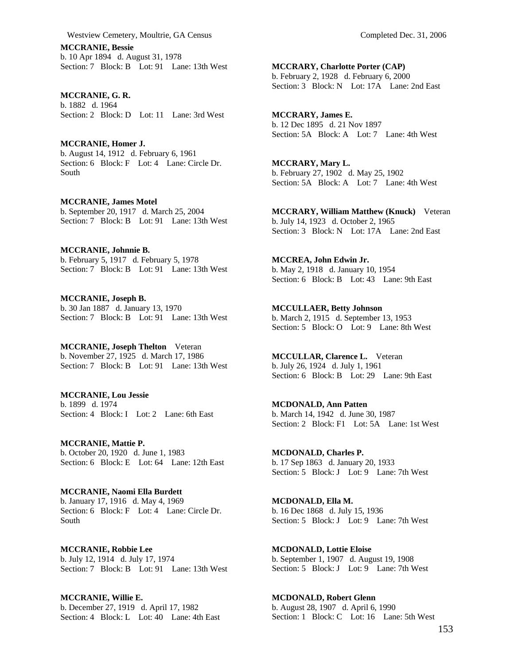**MCCRANIE, Bessie**  b. 10 Apr 1894 d. August 31, 1978 Section: 7 Block: B Lot: 91 Lane: 13th West

**MCCRANIE, G. R.**  b. 1882 d. 1964 Section: 2 Block: D Lot: 11 Lane: 3rd West

**MCCRANIE, Homer J.**  b. August 14, 1912 d. February 6, 1961 Section: 6 Block: F Lot: 4 Lane: Circle Dr. South

**MCCRANIE, James Motel**  b. September 20, 1917 d. March 25, 2004 Section: 7 Block: B Lot: 91 Lane: 13th West

**MCCRANIE, Johnnie B.**  b. February 5, 1917 d. February 5, 1978 Section: 7 Block: B Lot: 91 Lane: 13th West

**MCCRANIE, Joseph B.**  b. 30 Jan 1887 d. January 13, 1970 Section: 7 Block: B Lot: 91 Lane: 13th West

**MCCRANIE, Joseph Thelton** Veteran b. November 27, 1925 d. March 17, 1986 Section: 7 Block: B Lot: 91 Lane: 13th West

**MCCRANIE, Lou Jessie**  b. 1899 d. 1974 Section: 4 Block: I Lot: 2 Lane: 6th East

**MCCRANIE, Mattie P.**  b. October 20, 1920 d. June 1, 1983 Section: 6 Block: E Lot: 64 Lane: 12th East

**MCCRANIE, Naomi Ella Burdett**  b. January 17, 1916 d. May 4, 1969 Section: 6 Block: F Lot: 4 Lane: Circle Dr. South

**MCCRANIE, Robbie Lee**  b. July 12, 1914 d. July 17, 1974 Section: 7 Block: B Lot: 91 Lane: 13th West

**MCCRANIE, Willie E.**  b. December 27, 1919 d. April 17, 1982 Section: 4 Block: L Lot: 40 Lane: 4th East **MCCRARY, Charlotte Porter (CAP)**  b. February 2, 1928 d. February 6, 2000 Section: 3 Block: N Lot: 17A Lane: 2nd East

**MCCRARY, James E.**  b. 12 Dec 1895 d. 21 Nov 1897 Section: 5A Block: A Lot: 7 Lane: 4th West

**MCCRARY, Mary L.**  b. February 27, 1902 d. May 25, 1902 Section: 5A Block: A Lot: 7 Lane: 4th West

**MCCRARY, William Matthew (Knuck)** Veteran b. July 14, 1923 d. October 2, 1965 Section: 3 Block: N Lot: 17A Lane: 2nd East

**MCCREA, John Edwin Jr.**  b. May 2, 1918 d. January 10, 1954 Section: 6 Block: B Lot: 43 Lane: 9th East

**MCCULLAER, Betty Johnson**  b. March 2, 1915 d. September 13, 1953 Section: 5 Block: O Lot: 9 Lane: 8th West

**MCCULLAR, Clarence L.** Veteran b. July 26, 1924 d. July 1, 1961 Section: 6 Block: B Lot: 29 Lane: 9th East

**MCDONALD, Ann Patten**  b. March 14, 1942 d. June 30, 1987 Section: 2 Block: F1 Lot: 5A Lane: 1st West

**MCDONALD, Charles P.**  b. 17 Sep 1863 d. January 20, 1933 Section: 5 Block: J Lot: 9 Lane: 7th West

**MCDONALD, Ella M.**  b. 16 Dec 1868 d. July 15, 1936 Section: 5 Block: J Lot: 9 Lane: 7th West

**MCDONALD, Lottie Eloise**  b. September 1, 1907 d. August 19, 1908 Section: 5 Block: J Lot: 9 Lane: 7th West

**MCDONALD, Robert Glenn**  b. August 28, 1907 d. April 6, 1990 Section: 1 Block: C Lot: 16 Lane: 5th West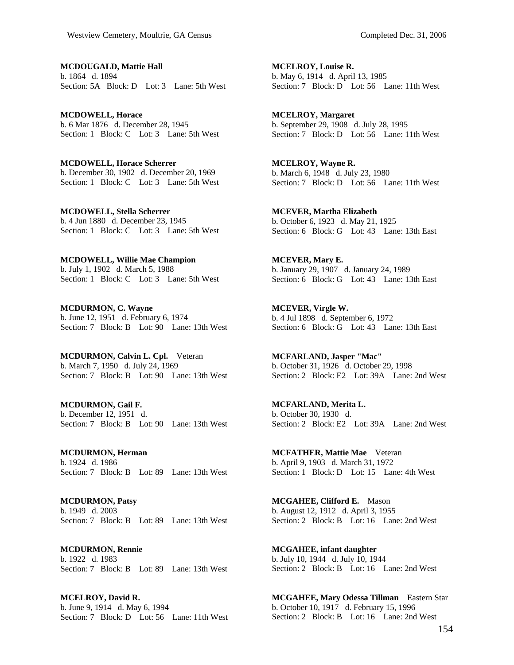**MCDOUGALD, Mattie Hall**  b. 1864 d. 1894 Section: 5A Block: D Lot: 3 Lane: 5th West

**MCDOWELL, Horace**  b. 6 Mar 1876 d. December 28, 1945 Section: 1 Block: C Lot: 3 Lane: 5th West

**MCDOWELL, Horace Scherrer**  b. December 30, 1902 d. December 20, 1969 Section: 1 Block: C Lot: 3 Lane: 5th West

**MCDOWELL, Stella Scherrer**  b. 4 Jun 1880 d. December 23, 1945 Section: 1 Block: C Lot: 3 Lane: 5th West

**MCDOWELL, Willie Mae Champion**  b. July 1, 1902 d. March 5, 1988 Section: 1 Block: C Lot: 3 Lane: 5th West

**MCDURMON, C. Wayne**  b. June 12, 1951 d. February 6, 1974 Section: 7 Block: B Lot: 90 Lane: 13th West

**MCDURMON, Calvin L. Cpl.** Veteran b. March 7, 1950 d. July 24, 1969 Section: 7 Block: B Lot: 90 Lane: 13th West

**MCDURMON, Gail F.**  b. December 12, 1951 d. Section: 7 Block: B Lot: 90 Lane: 13th West

**MCDURMON, Herman**  b. 1924 d. 1986 Section: 7 Block: B Lot: 89 Lane: 13th West

**MCDURMON, Patsy**  b. 1949 d. 2003 Section: 7 Block: B Lot: 89 Lane: 13th West

**MCDURMON, Rennie**  b. 1922 d. 1983 Section: 7 Block: B Lot: 89 Lane: 13th West

**MCELROY, David R.**  b. June 9, 1914 d. May 6, 1994 Section: 7 Block: D Lot: 56 Lane: 11th West

**MCELROY, Louise R.**  b. May 6, 1914 d. April 13, 1985 Section: 7 Block: D Lot: 56 Lane: 11th West

**MCELROY, Margaret**  b. September 29, 1908 d. July 28, 1995 Section: 7 Block: D Lot: 56 Lane: 11th West

**MCELROY, Wayne R.**  b. March 6, 1948 d. July 23, 1980 Section: 7 Block: D Lot: 56 Lane: 11th West

**MCEVER, Martha Elizabeth**  b. October 6, 1923 d. May 21, 1925 Section: 6 Block: G Lot: 43 Lane: 13th East

**MCEVER, Mary E.**  b. January 29, 1907 d. January 24, 1989 Section: 6 Block: G Lot: 43 Lane: 13th East

**MCEVER, Virgle W.**  b. 4 Jul 1898 d. September 6, 1972 Section: 6 Block: G Lot: 43 Lane: 13th East

**MCFARLAND, Jasper "Mac"**  b. October 31, 1926 d. October 29, 1998 Section: 2 Block: E2 Lot: 39A Lane: 2nd West

**MCFARLAND, Merita L.**  b. October 30, 1930 d. Section: 2 Block: E2 Lot: 39A Lane: 2nd West

**MCFATHER, Mattie Mae** Veteran b. April 9, 1903 d. March 31, 1972 Section: 1 Block: D Lot: 15 Lane: 4th West

**MCGAHEE, Clifford E.** Mason b. August 12, 1912 d. April 3, 1955 Section: 2 Block: B Lot: 16 Lane: 2nd West

**MCGAHEE, infant daughter**  b. July 10, 1944 d. July 10, 1944 Section: 2 Block: B Lot: 16 Lane: 2nd West

**MCGAHEE, Mary Odessa Tillman** Eastern Star b. October 10, 1917 d. February 15, 1996 Section: 2 Block: B Lot: 16 Lane: 2nd West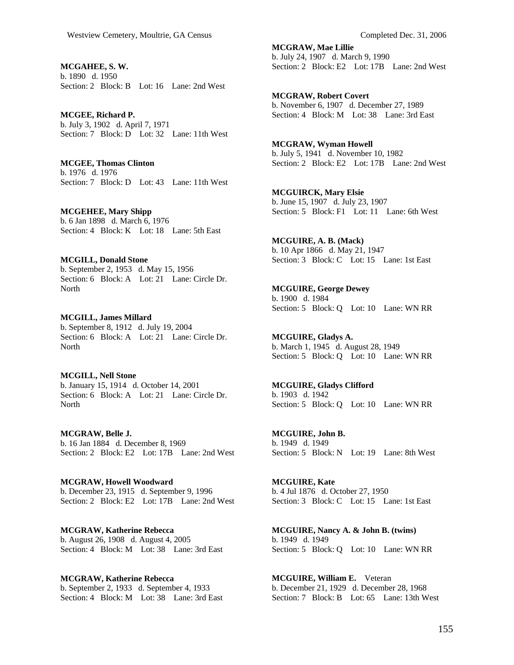**MCGAHEE, S. W.**  b. 1890 d. 1950 Section: 2 Block: B Lot: 16 Lane: 2nd West

**MCGEE, Richard P.**  b. July 3, 1902 d. April 7, 1971 Section: 7 Block: D Lot: 32 Lane: 11th West

**MCGEE, Thomas Clinton**  b. 1976 d. 1976 Section: 7 Block: D Lot: 43 Lane: 11th West

**MCGEHEE, Mary Shipp**  b. 6 Jan 1898 d. March 6, 1976 Section: 4 Block: K Lot: 18 Lane: 5th East

**MCGILL, Donald Stone**  b. September 2, 1953 d. May 15, 1956 Section: 6 Block: A Lot: 21 Lane: Circle Dr. **North** 

**MCGILL, James Millard**  b. September 8, 1912 d. July 19, 2004 Section: 6 Block: A Lot: 21 Lane: Circle Dr. **North** 

**MCGILL, Nell Stone**  b. January 15, 1914 d. October 14, 2001 Section: 6 Block: A Lot: 21 Lane: Circle Dr. **North** 

**MCGRAW, Belle J.**  b. 16 Jan 1884 d. December 8, 1969 Section: 2 Block: E2 Lot: 17B Lane: 2nd West

**MCGRAW, Howell Woodward**  b. December 23, 1915 d. September 9, 1996 Section: 2 Block: E2 Lot: 17B Lane: 2nd West

**MCGRAW, Katherine Rebecca**  b. August 26, 1908 d. August 4, 2005 Section: 4 Block: M Lot: 38 Lane: 3rd East

**MCGRAW, Katherine Rebecca**  b. September 2, 1933 d. September 4, 1933 Section: 4 Block: M Lot: 38 Lane: 3rd East **MCGRAW, Mae Lillie**  b. July 24, 1907 d. March 9, 1990 Section: 2 Block: E2 Lot: 17B Lane: 2nd West

**MCGRAW, Robert Covert**  b. November 6, 1907 d. December 27, 1989 Section: 4 Block: M Lot: 38 Lane: 3rd East

**MCGRAW, Wyman Howell**  b. July 5, 1941 d. November 10, 1982 Section: 2 Block: E2 Lot: 17B Lane: 2nd West

**MCGUIRCK, Mary Elsie**  b. June 15, 1907 d. July 23, 1907 Section: 5 Block: F1 Lot: 11 Lane: 6th West

**MCGUIRE, A. B. (Mack)**  b. 10 Apr 1866 d. May 21, 1947 Section: 3 Block: C Lot: 15 Lane: 1st East

**MCGUIRE, George Dewey**  b. 1900 d. 1984 Section: 5 Block: Q Lot: 10 Lane: WN RR

**MCGUIRE, Gladys A.**  b. March 1, 1945 d. August 28, 1949 Section: 5 Block: Q Lot: 10 Lane: WN RR

**MCGUIRE, Gladys Clifford**  b. 1903 d. 1942 Section: 5 Block: Q Lot: 10 Lane: WN RR

**MCGUIRE, John B.**  b. 1949 d. 1949 Section: 5 Block: N Lot: 19 Lane: 8th West

**MCGUIRE, Kate**  b. 4 Jul 1876 d. October 27, 1950 Section: 3 Block: C Lot: 15 Lane: 1st East

**MCGUIRE, Nancy A. & John B. (twins)**  b. 1949 d. 1949 Section: 5 Block: Q Lot: 10 Lane: WN RR

**MCGUIRE, William E.** Veteran b. December 21, 1929 d. December 28, 1968 Section: 7 Block: B Lot: 65 Lane: 13th West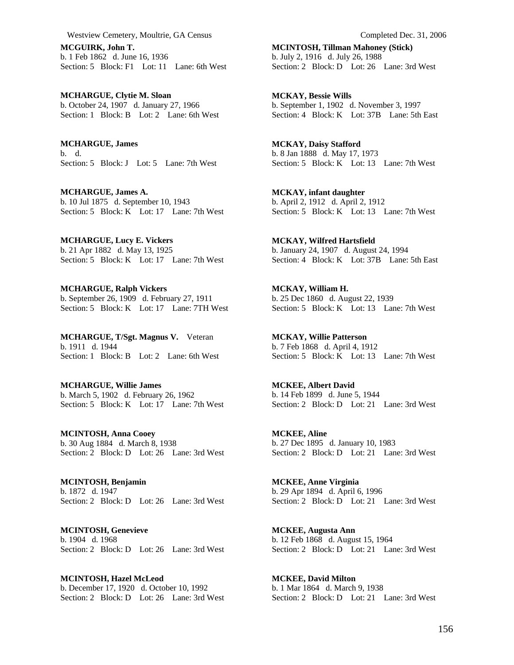**MCGUIRK, John T.**  b. 1 Feb 1862 d. June 16, 1936 Section: 5 Block: F1 Lot: 11 Lane: 6th West

**MCHARGUE, Clytie M. Sloan**  b. October 24, 1907 d. January 27, 1966 Section: 1 Block: B Lot: 2 Lane: 6th West

**MCHARGUE, James**  b. d. Section: 5 Block: J Lot: 5 Lane: 7th West

**MCHARGUE, James A.**  b. 10 Jul 1875 d. September 10, 1943 Section: 5 Block: K Lot: 17 Lane: 7th West

**MCHARGUE, Lucy E. Vickers**  b. 21 Apr 1882 d. May 13, 1925 Section: 5 Block: K Lot: 17 Lane: 7th West

**MCHARGUE, Ralph Vickers**  b. September 26, 1909 d. February 27, 1911 Section: 5 Block: K Lot: 17 Lane: 7TH West

**MCHARGUE, T/Sgt. Magnus V.** Veteran b. 1911 d. 1944 Section: 1 Block: B Lot: 2 Lane: 6th West

**MCHARGUE, Willie James**  b. March 5, 1902 d. February 26, 1962 Section: 5 Block: K Lot: 17 Lane: 7th West

**MCINTOSH, Anna Cooey**  b. 30 Aug 1884 d. March 8, 1938 Section: 2 Block: D Lot: 26 Lane: 3rd West

**MCINTOSH, Benjamin**  b. 1872 d. 1947 Section: 2 Block: D Lot: 26 Lane: 3rd West

**MCINTOSH, Genevieve**  b. 1904 d. 1968 Section: 2 Block: D Lot: 26 Lane: 3rd West

**MCINTOSH, Hazel McLeod**  b. December 17, 1920 d. October 10, 1992 Section: 2 Block: D Lot: 26 Lane: 3rd West **MCINTOSH, Tillman Mahoney (Stick)**  b. July 2, 1916 d. July 26, 1988 Section: 2 Block: D Lot: 26 Lane: 3rd West

**MCKAY, Bessie Wills**  b. September 1, 1902 d. November 3, 1997 Section: 4 Block: K Lot: 37B Lane: 5th East

**MCKAY, Daisy Stafford**  b. 8 Jan 1888 d. May 17, 1973 Section: 5 Block: K Lot: 13 Lane: 7th West

**MCKAY, infant daughter**  b. April 2, 1912 d. April 2, 1912 Section: 5 Block: K Lot: 13 Lane: 7th West

**MCKAY, Wilfred Hartsfield**  b. January 24, 1907 d. August 24, 1994 Section: 4 Block: K Lot: 37B Lane: 5th East

**MCKAY, William H.**  b. 25 Dec 1860 d. August 22, 1939 Section: 5 Block: K Lot: 13 Lane: 7th West

**MCKAY, Willie Patterson**  b. 7 Feb 1868 d. April 4, 1912 Section: 5 Block:  $\overline{K}$  Lot: 13 Lane: 7th West

**MCKEE, Albert David**  b. 14 Feb 1899 d. June 5, 1944 Section: 2 Block: D Lot: 21 Lane: 3rd West

**MCKEE, Aline**  b. 27 Dec 1895 d. January 10, 1983 Section: 2 Block: D Lot: 21 Lane: 3rd West

**MCKEE, Anne Virginia**  b. 29 Apr 1894 d. April 6, 1996 Section: 2 Block: D Lot: 21 Lane: 3rd West

**MCKEE, Augusta Ann**  b. 12 Feb 1868 d. August 15, 1964 Section: 2 Block: D Lot: 21 Lane: 3rd West

**MCKEE, David Milton**  b. 1 Mar 1864 d. March 9, 1938 Section: 2 Block: D Lot: 21 Lane: 3rd West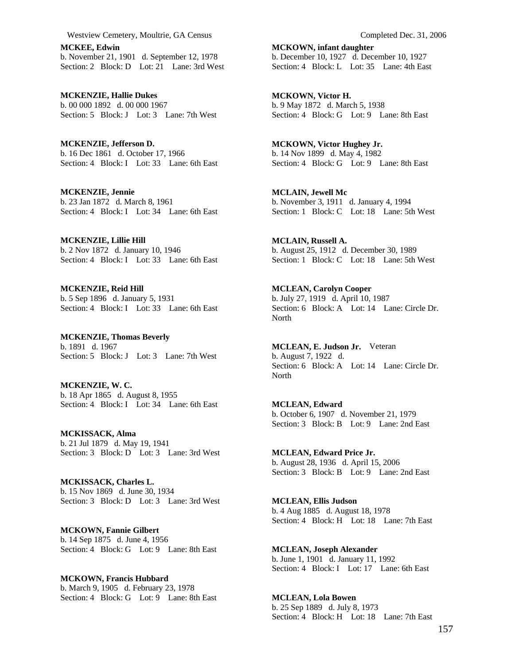**MCKEE, Edwin**  b. November 21, 1901 d. September 12, 1978 Section: 2 Block: D Lot: 21 Lane: 3rd West

**MCKENZIE, Hallie Dukes**  b. 00 000 1892 d. 00 000 1967 Section: 5 Block: J Lot: 3 Lane: 7th West

**MCKENZIE, Jefferson D.**  b. 16 Dec 1861 d. October 17, 1966 Section: 4 Block: I Lot: 33 Lane: 6th East

**MCKENZIE, Jennie**  b. 23 Jan 1872 d. March 8, 1961 Section: 4 Block: I Lot: 34 Lane: 6th East

**MCKENZIE, Lillie Hill**  b. 2 Nov 1872 d. January 10, 1946 Section: 4 Block: I Lot: 33 Lane: 6th East

**MCKENZIE, Reid Hill**  b. 5 Sep 1896 d. January 5, 1931 Section: 4 Block: I Lot: 33 Lane: 6th East

**MCKENZIE, Thomas Beverly**  b. 1891 d. 1967 Section: 5 Block: J Lot: 3 Lane: 7th West

**MCKENZIE, W. C.**  b. 18 Apr 1865 d. August 8, 1955 Section: 4 Block: I Lot: 34 Lane: 6th East

**MCKISSACK, Alma**  b. 21 Jul 1879 d. May 19, 1941 Section: 3 Block: D Lot: 3 Lane: 3rd West

**MCKISSACK, Charles L.**  b. 15 Nov 1869 d. June 30, 1934 Section: 3 Block: D Lot: 3 Lane: 3rd West

**MCKOWN, Fannie Gilbert**  b. 14 Sep 1875 d. June 4, 1956 Section: 4 Block: G Lot: 9 Lane: 8th East

**MCKOWN, Francis Hubbard**  b. March 9, 1905 d. February 23, 1978 Section: 4 Block: G Lot: 9 Lane: 8th East **MCKOWN, infant daughter**  b. December 10, 1927 d. December 10, 1927 Section: 4 Block: L Lot: 35 Lane: 4th East

**MCKOWN, Victor H.**  b. 9 May 1872 d. March 5, 1938 Section: 4 Block: G Lot: 9 Lane: 8th East

**MCKOWN, Victor Hughey Jr.**  b. 14 Nov 1899 d. May 4, 1982 Section: 4 Block: G Lot: 9 Lane: 8th East

**MCLAIN, Jewell Mc**  b. November 3, 1911 d. January 4, 1994 Section: 1 Block: C Lot: 18 Lane: 5th West

**MCLAIN, Russell A.**  b. August 25, 1912 d. December 30, 1989 Section: 1 Block: C Lot: 18 Lane: 5th West

**MCLEAN, Carolyn Cooper**  b. July 27, 1919 d. April 10, 1987 Section: 6 Block: A Lot: 14 Lane: Circle Dr. North

**MCLEAN, E. Judson Jr.** Veteran b. August 7, 1922 d. Section: 6 Block: A Lot: 14 Lane: Circle Dr. North

**MCLEAN, Edward**  b. October 6, 1907 d. November 21, 1979 Section: 3 Block: B Lot: 9 Lane: 2nd East

**MCLEAN, Edward Price Jr.**  b. August 28, 1936 d. April 15, 2006 Section: 3 Block: B Lot: 9 Lane: 2nd East

**MCLEAN, Ellis Judson**  b. 4 Aug 1885 d. August 18, 1978 Section: 4 Block: H Lot: 18 Lane: 7th East

**MCLEAN, Joseph Alexander**  b. June 1, 1901 d. January 11, 1992 Section: 4 Block: I Lot: 17 Lane: 6th East

**MCLEAN, Lola Bowen**  b. 25 Sep 1889 d. July 8, 1973 Section: 4 Block: H Lot: 18 Lane: 7th East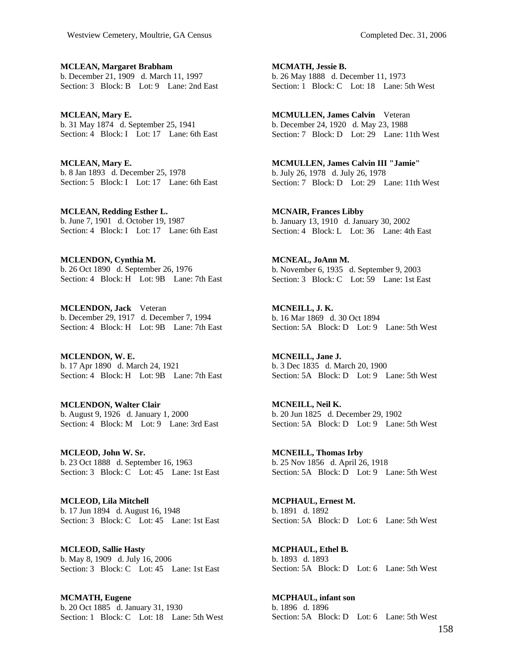**MCLEAN, Margaret Brabham**  b. December 21, 1909 d. March 11, 1997 Section: 3 Block: B Lot: 9 Lane: 2nd East

**MCLEAN, Mary E.**  b. 31 May 1874 d. September 25, 1941 Section: 4 Block: I Lot: 17 Lane: 6th East

**MCLEAN, Mary E.**  b. 8 Jan 1893 d. December 25, 1978 Section: 5 Block: I Lot: 17 Lane: 6th East

**MCLEAN, Redding Esther L.**  b. June 7, 1901 d. October 19, 1987 Section: 4 Block: I Lot: 17 Lane: 6th East

**MCLENDON, Cynthia M.**  b. 26 Oct 1890 d. September 26, 1976 Section: 4 Block: H Lot: 9B Lane: 7th East

**MCLENDON, Jack** Veteran b. December 29, 1917 d. December 7, 1994 Section: 4 Block: H Lot: 9B Lane: 7th East

**MCLENDON, W. E.**  b. 17 Apr 1890 d. March 24, 1921 Section: 4 Block: H Lot: 9B Lane: 7th East

**MCLENDON, Walter Clair**  b. August 9, 1926 d. January 1, 2000 Section: 4 Block: M Lot: 9 Lane: 3rd East

**MCLEOD, John W. Sr.**  b. 23 Oct 1888 d. September 16, 1963 Section: 3 Block: C Lot: 45 Lane: 1st East

**MCLEOD, Lila Mitchell**  b. 17 Jun 1894 d. August 16, 1948 Section: 3 Block: C Lot: 45 Lane: 1st East

**MCLEOD, Sallie Hasty**  b. May 8, 1909 d. July 16, 2006 Section: 3 Block: C Lot: 45 Lane: 1st East

**MCMATH, Eugene**  b. 20 Oct 1885 d. January 31, 1930 Section: 1 Block: C Lot: 18 Lane: 5th West **MCMATH, Jessie B.**  b. 26 May 1888 d. December 11, 1973 Section: 1 Block: C Lot: 18 Lane: 5th West

**MCMULLEN, James Calvin** Veteran b. December 24, 1920 d. May 23, 1988 Section: 7 Block: D Lot: 29 Lane: 11th West

**MCMULLEN, James Calvin III "Jamie"**  b. July 26, 1978 d. July 26, 1978 Section: 7 Block: D Lot: 29 Lane: 11th West

**MCNAIR, Frances Libby**  b. January 13, 1910 d. January 30, 2002 Section: 4 Block: L Lot: 36 Lane: 4th East

**MCNEAL, JoAnn M.**  b. November 6, 1935 d. September 9, 2003 Section: 3 Block: C Lot: 59 Lane: 1st East

**MCNEILL, J. K.**  b. 16 Mar 1869 d. 30 Oct 1894 Section: 5A Block: D Lot: 9 Lane: 5th West

**MCNEILL, Jane J.**  b. 3 Dec 1835 d. March 20, 1900 Section: 5A Block: D Lot: 9 Lane: 5th West

**MCNEILL, Neil K.**  b. 20 Jun 1825 d. December 29, 1902 Section: 5A Block: D Lot: 9 Lane: 5th West

**MCNEILL, Thomas Irby**  b. 25 Nov 1856 d. April 26, 1918 Section: 5A Block: D Lot: 9 Lane: 5th West

**MCPHAUL, Ernest M.**  b. 1891 d. 1892 Section: 5A Block: D Lot: 6 Lane: 5th West

**MCPHAUL, Ethel B.**  b. 1893 d. 1893 Section: 5A Block: D Lot: 6 Lane: 5th West

**MCPHAUL, infant son**  b. 1896 d. 1896 Section: 5A Block: D Lot: 6 Lane: 5th West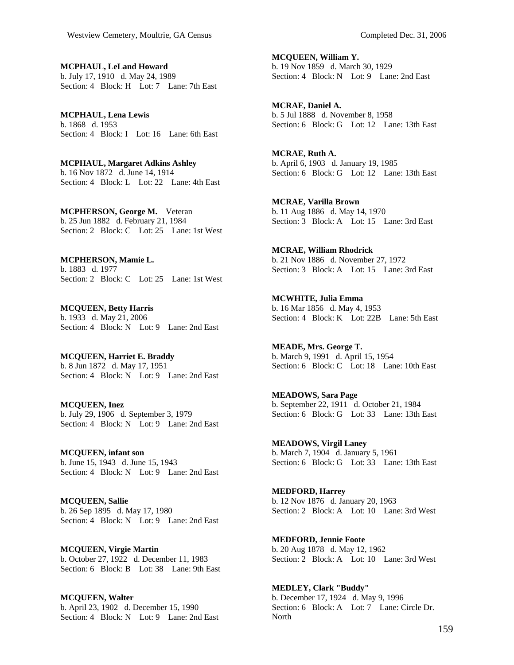**MCPHAUL, LeLand Howard**  b. July 17, 1910 d. May 24, 1989 Section: 4 Block: H Lot: 7 Lane: 7th East

**MCPHAUL, Lena Lewis**  b. 1868 d. 1953 Section: 4 Block: I Lot: 16 Lane: 6th East

**MCPHAUL, Margaret Adkins Ashley**  b. 16 Nov 1872 d. June 14, 1914 Section: 4 Block: L Lot: 22 Lane: 4th East

**MCPHERSON, George M.** Veteran b. 25 Jun 1882 d. February 21, 1984 Section: 2 Block: C Lot: 25 Lane: 1st West

**MCPHERSON, Mamie L.**  b. 1883 d. 1977 Section: 2 Block: C Lot: 25 Lane: 1st West

**MCQUEEN, Betty Harris**  b. 1933 d. May 21, 2006 Section: 4 Block: N Lot: 9 Lane: 2nd East

**MCQUEEN, Harriet E. Braddy**  b. 8 Jun 1872 d. May 17, 1951 Section: 4 Block: N Lot: 9 Lane: 2nd East

**MCQUEEN, Inez**  b. July 29, 1906 d. September 3, 1979 Section: 4 Block: N Lot: 9 Lane: 2nd East

**MCQUEEN, infant son**  b. June 15, 1943 d. June 15, 1943 Section: 4 Block: N Lot: 9 Lane: 2nd East

**MCQUEEN, Sallie**  b. 26 Sep 1895 d. May 17, 1980 Section: 4 Block: N Lot: 9 Lane: 2nd East

**MCQUEEN, Virgie Martin**  b. October 27, 1922 d. December 11, 1983 Section: 6 Block: B Lot: 38 Lane: 9th East

**MCQUEEN, Walter**  b. April 23, 1902 d. December 15, 1990 Section: 4 Block: N Lot: 9 Lane: 2nd East **MCQUEEN, William Y.**  b. 19 Nov 1859 d. March 30, 1929 Section: 4 Block: N Lot: 9 Lane: 2nd East

**MCRAE, Daniel A.**  b. 5 Jul 1888 d. November 8, 1958 Section: 6 Block: G Lot: 12 Lane: 13th East

**MCRAE, Ruth A.**  b. April 6, 1903 d. January 19, 1985 Section: 6 Block: G Lot: 12 Lane: 13th East

**MCRAE, Varilla Brown**  b. 11 Aug 1886 d. May 14, 1970 Section: 3 Block: A Lot: 15 Lane: 3rd East

**MCRAE, William Rhodrick**  b. 21 Nov 1886 d. November 27, 1972 Section: 3 Block: A Lot: 15 Lane: 3rd East

**MCWHITE, Julia Emma**  b. 16 Mar 1856 d. May 4, 1953 Section: 4 Block: K Lot: 22B Lane: 5th East

**MEADE, Mrs. George T.**  b. March 9, 1991 d. April 15, 1954 Section: 6 Block: C Lot: 18 Lane: 10th East

**MEADOWS, Sara Page**  b. September 22, 1911 d. October 21, 1984 Section: 6 Block: G Lot: 33 Lane: 13th East

**MEADOWS, Virgil Laney**  b. March 7, 1904 d. January 5, 1961 Section: 6 Block: G Lot: 33 Lane: 13th East

**MEDFORD, Harrey**  b. 12 Nov 1876 d. January 20, 1963 Section: 2 Block: A Lot: 10 Lane: 3rd West

**MEDFORD, Jennie Foote**  b. 20 Aug 1878 d. May 12, 1962 Section: 2 Block: A Lot: 10 Lane: 3rd West

**MEDLEY, Clark "Buddy"**  b. December 17, 1924 d. May 9, 1996 Section: 6 Block: A Lot: 7 Lane: Circle Dr. North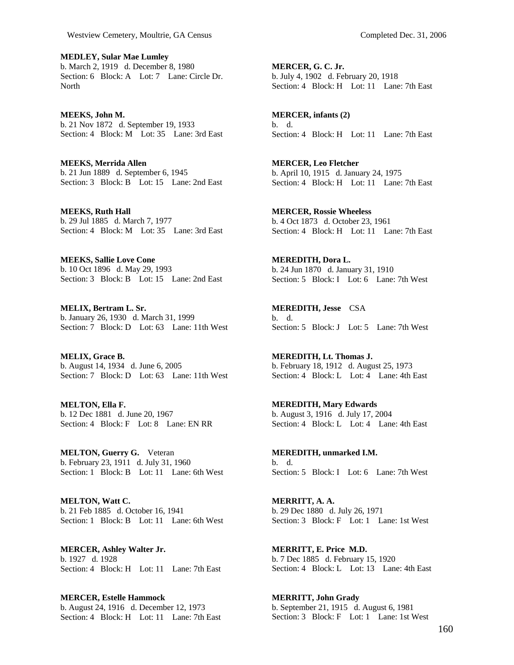**MEDLEY, Sular Mae Lumley**  b. March 2, 1919 d. December 8, 1980 Section: 6 Block: A Lot: 7 Lane: Circle Dr. **North** 

**MEEKS, John M.**  b. 21 Nov 1872 d. September 19, 1933 Section: 4 Block: M Lot: 35 Lane: 3rd East

**MEEKS, Merrida Allen**  b. 21 Jun 1889 d. September 6, 1945 Section: 3 Block: B Lot: 15 Lane: 2nd East

**MEEKS, Ruth Hall**  b. 29 Jul 1885 d. March 7, 1977 Section: 4 Block: M Lot: 35 Lane: 3rd East

**MEEKS, Sallie Love Cone**  b. 10 Oct 1896 d. May 29, 1993 Section: 3 Block: B Lot: 15 Lane: 2nd East

**MELIX, Bertram L. Sr.**  b. January 26, 1930 d. March 31, 1999 Section: 7 Block: D Lot: 63 Lane: 11th West

**MELIX, Grace B.**  b. August 14, 1934 d. June 6, 2005 Section: 7 Block: D Lot: 63 Lane: 11th West

**MELTON, Ella F.**  b. 12 Dec 1881 d. June 20, 1967 Section: 4 Block: F Lot: 8 Lane: EN RR

**MELTON, Guerry G.** Veteran b. February 23, 1911 d. July 31, 1960 Section: 1 Block: B Lot: 11 Lane: 6th West

**MELTON, Watt C.**  b. 21 Feb 1885 d. October 16, 1941 Section: 1 Block: B Lot: 11 Lane: 6th West

**MERCER, Ashley Walter Jr.**  b. 1927 d. 1928 Section: 4 Block: H Lot: 11 Lane: 7th East

**MERCER, Estelle Hammock**  b. August 24, 1916 d. December 12, 1973 Section: 4 Block: H Lot: 11 Lane: 7th East

**MERCER, G. C. Jr.**  b. July 4, 1902 d. February 20, 1918 Section: 4 Block: H Lot: 11 Lane: 7th East

**MERCER, infants (2)**  b. d. Section: 4 Block: H Lot: 11 Lane: 7th East

**MERCER, Leo Fletcher**  b. April 10, 1915 d. January 24, 1975 Section: 4 Block: H Lot: 11 Lane: 7th East

**MERCER, Rossie Wheeless**  b. 4 Oct 1873 d. October 23, 1961 Section: 4 Block: H Lot: 11 Lane: 7th East

**MEREDITH, Dora L.**  b. 24 Jun 1870 d. January 31, 1910 Section: 5 Block: I Lot: 6 Lane: 7th West

**MEREDITH, Jesse** CSA b. d. Section: 5 Block: J Lot: 5 Lane: 7th West

**MEREDITH, Lt. Thomas J.**  b. February 18, 1912 d. August 25, 1973 Section: 4 Block: L Lot: 4 Lane: 4th East

**MEREDITH, Mary Edwards**  b. August 3, 1916 d. July 17, 2004 Section: 4 Block: L Lot: 4 Lane: 4th East

**MEREDITH, unmarked I.M.**  b. d. Section: 5 Block: I Lot: 6 Lane: 7th West

**MERRITT, A. A.**  b. 29 Dec 1880 d. July 26, 1971 Section: 3 Block: F Lot: 1 Lane: 1st West

**MERRITT, E. Price M.D.**  b. 7 Dec 1885 d. February 15, 1920 Section: 4 Block: L Lot: 13 Lane: 4th East

**MERRITT, John Grady**  b. September 21, 1915 d. August 6, 1981 Section: 3 Block: F Lot: 1 Lane: 1st West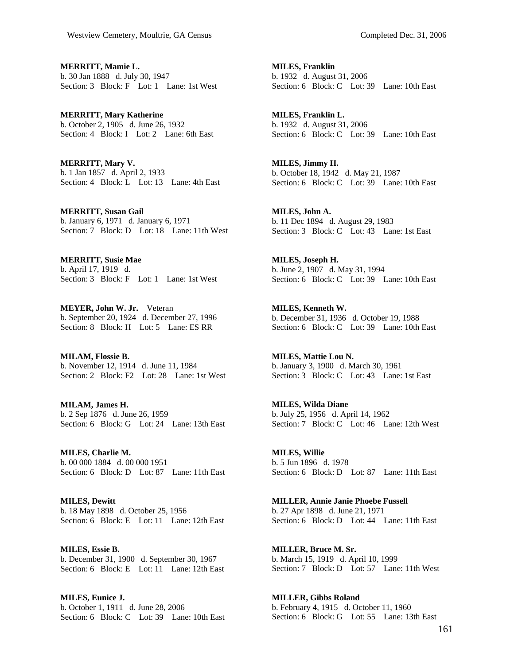**MERRITT, Mamie L.**  b. 30 Jan 1888 d. July 30, 1947 Section: 3 Block: F Lot: 1 Lane: 1st West

**MERRITT, Mary Katherine**  b. October 2, 1905 d. June 26, 1932 Section: 4 Block: I Lot: 2 Lane: 6th East

**MERRITT, Mary V.**  b. 1 Jan 1857 d. April 2, 1933 Section: 4 Block: L Lot: 13 Lane: 4th East

**MERRITT, Susan Gail**  b. January 6, 1971 d. January 6, 1971 Section: 7 Block: D Lot: 18 Lane: 11th West

**MERRITT, Susie Mae**  b. April 17, 1919 d. Section: 3 Block: F Lot: 1 Lane: 1st West

**MEYER, John W. Jr.** Veteran b. September 20, 1924 d. December 27, 1996 Section: 8 Block: H Lot: 5 Lane: ES RR

**MILAM, Flossie B.**  b. November 12, 1914 d. June 11, 1984 Section: 2 Block: F2 Lot: 28 Lane: 1st West

**MILAM, James H.**  b. 2 Sep 1876 d. June 26, 1959 Section: 6 Block: G Lot: 24 Lane: 13th East

**MILES, Charlie M.**  b. 00 000 1884 d. 00 000 1951 Section: 6 Block: D Lot: 87 Lane: 11th East

**MILES, Dewitt**  b. 18 May 1898 d. October 25, 1956 Section: 6 Block: E Lot: 11 Lane: 12th East

**MILES, Essie B.**  b. December 31, 1900 d. September 30, 1967 Section: 6 Block: E Lot: 11 Lane: 12th East

**MILES, Eunice J.**  b. October 1, 1911 d. June 28, 2006 Section: 6 Block: C Lot: 39 Lane: 10th East **MILES, Franklin**  b. 1932 d. August 31, 2006 Section: 6 Block: C Lot: 39 Lane: 10th East

**MILES, Franklin L.**  b. 1932 d. August 31, 2006 Section: 6 Block: C Lot: 39 Lane: 10th East

**MILES, Jimmy H.**  b. October 18, 1942 d. May 21, 1987 Section: 6 Block: C Lot: 39 Lane: 10th East

**MILES, John A.**  b. 11 Dec 1894 d. August 29, 1983 Section: 3 Block: C Lot: 43 Lane: 1st East

**MILES, Joseph H.**  b. June 2, 1907 d. May 31, 1994 Section: 6 Block: C Lot: 39 Lane: 10th East

**MILES, Kenneth W.**  b. December 31, 1936 d. October 19, 1988 Section: 6 Block: C Lot: 39 Lane: 10th East

**MILES, Mattie Lou N.**  b. January 3, 1900 d. March 30, 1961 Section: 3 Block: C Lot: 43 Lane: 1st East

**MILES, Wilda Diane**  b. July 25, 1956 d. April 14, 1962 Section: 7 Block: C Lot: 46 Lane: 12th West

**MILES, Willie**  b. 5 Jun 1896 d. 1978 Section: 6 Block: D Lot: 87 Lane: 11th East

**MILLER, Annie Janie Phoebe Fussell**  b. 27 Apr 1898 d. June 21, 1971 Section: 6 Block: D Lot: 44 Lane: 11th East

**MILLER, Bruce M. Sr.**  b. March 15, 1919 d. April 10, 1999 Section: 7 Block: D Lot: 57 Lane: 11th West

**MILLER, Gibbs Roland**  b. February 4, 1915 d. October 11, 1960 Section: 6 Block: G Lot: 55 Lane: 13th East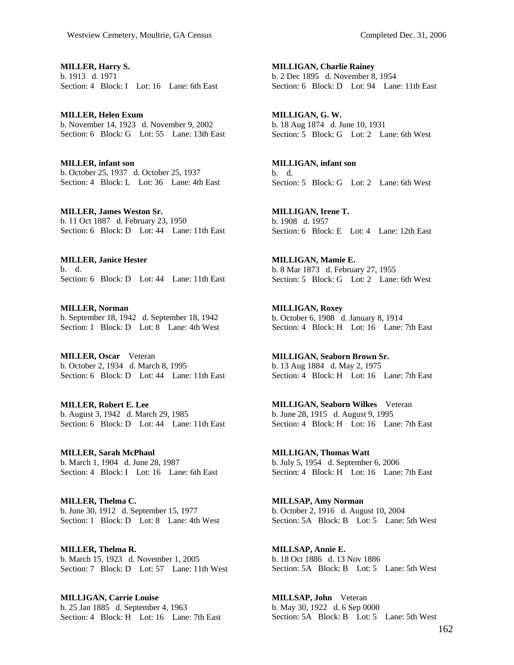**MILLER, Harry S.**  b. 1913 d. 1971 Section: 4 Block: I Lot: 16 Lane: 6th East

**MILLER, Helen Exum**  b. November 14, 1923 d. November 9, 2002 Section: 6 Block: G Lot: 55 Lane: 13th East

**MILLER, infant son**  b. October 25, 1937 d. October 25, 1937 Section: 4 Block: L Lot: 36 Lane: 4th East

**MILLER, James Weston Sr.**  b. 11 Oct 1887 d. February 23, 1950 Section: 6 Block: D Lot: 44 Lane: 11th East

**MILLER, Janice Hester**  b. d. Section: 6 Block: D Lot: 44 Lane: 11th East

**MILLER, Norman**  b. September 18, 1942 d. September 18, 1942 Section: 1 Block: D Lot: 8 Lane: 4th West

**MILLER, Oscar** Veteran b. October 2, 1934 d. March 8, 1995 Section: 6 Block: D Lot: 44 Lane: 11th East

**MILLER, Robert E. Lee**  b. August 3, 1942 d. March 29, 1985 Section: 6 Block: D Lot: 44 Lane: 11th East

**MILLER, Sarah McPhaul**  b. March 1, 1904 d. June 28, 1987 Section: 4 Block: I Lot: 16 Lane: 6th East

**MILLER, Thelma C.**  b. June 30, 1912 d. September 15, 1977 Section: 1 Block: D Lot: 8 Lane: 4th West

**MILLER, Thelma R.**  b. March 15, 1923 d. November 1, 2005 Section: 7 Block: D Lot: 57 Lane: 11th West

**MILLIGAN, Carrie Louise**  b. 25 Jan 1885 d. September 4, 1963 Section: 4 Block: H Lot: 16 Lane: 7th East **MILLIGAN, Charlie Rainey**  b. 2 Dec 1895 d. November 8, 1954 Section: 6 Block: D Lot: 94 Lane: 11th East

**MILLIGAN, G. W.**  b. 18 Aug 1874 d. June 10, 1931 Section: 5 Block: G Lot: 2 Lane: 6th West

**MILLIGAN, infant son**  b. d. Section: 5 Block: G Lot: 2 Lane: 6th West

**MILLIGAN, Irene T.**  b. 1908 d. 1957 Section: 6 Block: E Lot: 4 Lane: 12th East

**MILLIGAN, Mamie E.**  b. 8 Mar 1873 d. February 27, 1955 Section: 5 Block: G Lot: 2 Lane: 6th West

**MILLIGAN, Roxey**  b. October 6, 1908 d. January 8, 1914 Section: 4 Block: H Lot: 16 Lane: 7th East

**MILLIGAN, Seaborn Brown Sr.**  b. 13 Aug 1884 d. May 2, 1975 Section: 4 Block: H Lot: 16 Lane: 7th East

**MILLIGAN, Seaborn Wilkes** Veteran b. June 28, 1915 d. August 9, 1995 Section: 4 Block: H Lot: 16 Lane: 7th East

**MILLIGAN, Thomas Watt**  b. July 5, 1954 d. September 6, 2006 Section: 4 Block: H Lot: 16 Lane: 7th East

**MILLSAP, Amy Norman**  b. October 2, 1916 d. August 10, 2004 Section: 5A Block: B Lot: 5 Lane: 5th West

**MILLSAP, Annie E.**  b. 18 Oct 1886 d. 13 Nov 1886 Section: 5A Block: B Lot: 5 Lane: 5th West

**MILLSAP, John** Veteran b. May 30, 1922 d. 6 Sep 0000 Section: 5A Block: B Lot: 5 Lane: 5th West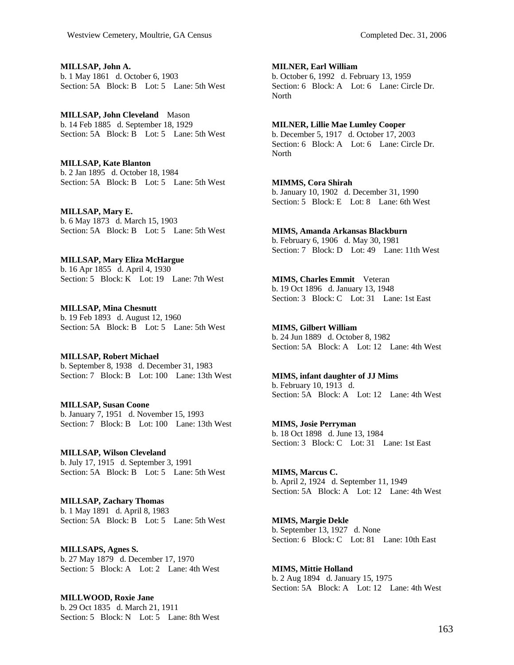**MILLSAP, John A.**  b. 1 May 1861 d. October 6, 1903 Section: 5A Block: B Lot: 5 Lane: 5th West

**MILLSAP, John Cleveland** Mason b. 14 Feb 1885 d. September 18, 1929 Section: 5A Block: B Lot: 5 Lane: 5th West

**MILLSAP, Kate Blanton**  b. 2 Jan 1895 d. October 18, 1984 Section: 5A Block: B Lot: 5 Lane: 5th West

**MILLSAP, Mary E.**  b. 6 May 1873 d. March 15, 1903 Section: 5A Block: B Lot: 5 Lane: 5th West

**MILLSAP, Mary Eliza McHargue**  b. 16 Apr 1855 d. April 4, 1930 Section: 5 Block: K Lot: 19 Lane: 7th West

**MILLSAP, Mina Chesnutt**  b. 19 Feb 1893 d. August 12, 1960 Section: 5A Block: B Lot: 5 Lane: 5th West

**MILLSAP, Robert Michael**  b. September 8, 1938 d. December 31, 1983 Section: 7 Block: B Lot: 100 Lane: 13th West

**MILLSAP, Susan Coone**  b. January 7, 1951 d. November 15, 1993 Section: 7 Block: B Lot: 100 Lane: 13th West

**MILLSAP, Wilson Cleveland**  b. July 17, 1915 d. September 3, 1991 Section: 5A Block: B Lot: 5 Lane: 5th West

**MILLSAP, Zachary Thomas**  b. 1 May 1891 d. April 8, 1983 Section: 5A Block: B Lot: 5 Lane: 5th West

**MILLSAPS, Agnes S.**  b. 27 May 1879 d. December 17, 1970 Section: 5 Block: A Lot: 2 Lane: 4th West

**MILLWOOD, Roxie Jane**  b. 29 Oct 1835 d. March 21, 1911 Section: 5 Block: N Lot: 5 Lane: 8th West **MILNER, Earl William** 

b. October 6, 1992 d. February 13, 1959 Section: 6 Block: A Lot: 6 Lane: Circle Dr. North

## **MILNER, Lillie Mae Lumley Cooper**

b. December 5, 1917 d. October 17, 2003 Section: 6 Block: A Lot: 6 Lane: Circle Dr. North

## **MIMMS, Cora Shirah**

b. January 10, 1902 d. December 31, 1990 Section: 5 Block: E Lot: 8 Lane: 6th West

## **MIMS, Amanda Arkansas Blackburn**

b. February 6, 1906 d. May 30, 1981 Section: 7 Block: D Lot: 49 Lane: 11th West

**MIMS, Charles Emmit** Veteran b. 19 Oct 1896 d. January 13, 1948 Section: 3 Block: C Lot: 31 Lane: 1st East

**MIMS, Gilbert William**  b. 24 Jun 1889 d. October 8, 1982 Section: 5A Block: A Lot: 12 Lane: 4th West

**MIMS, infant daughter of JJ Mims**  b. February 10, 1913 d. Section: 5A Block: A Lot: 12 Lane: 4th West

**MIMS, Josie Perryman**  b. 18 Oct 1898 d. June 13, 1984 Section: 3 Block: C Lot: 31 Lane: 1st East

**MIMS, Marcus C.**  b. April 2, 1924 d. September 11, 1949 Section: 5A Block: A Lot: 12 Lane: 4th West

**MIMS, Margie Dekle**  b. September 13, 1927 d. None Section: 6 Block: C Lot: 81 Lane: 10th East

**MIMS, Mittie Holland**  b. 2 Aug 1894 d. January 15, 1975 Section: 5A Block: A Lot: 12 Lane: 4th West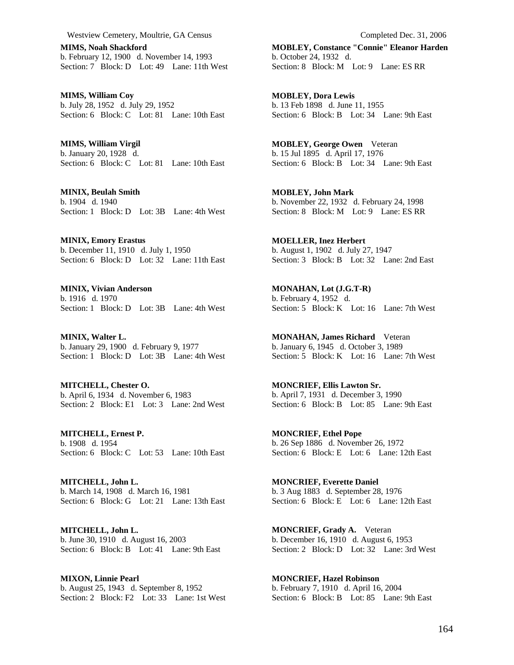**MIMS, Noah Shackford**  b. February 12, 1900 d. November 14, 1993 Section: 7 Block: D Lot: 49 Lane: 11th West

**MIMS, William Coy**  b. July 28, 1952 d. July 29, 1952 Section: 6 Block: C Lot: 81 Lane: 10th East

**MIMS, William Virgil**  b. January 20, 1928 d. Section: 6 Block: C Lot: 81 Lane: 10th East

**MINIX, Beulah Smith**  b. 1904 d. 1940 Section: 1 Block: D Lot: 3B Lane: 4th West

**MINIX, Emory Erastus**  b. December 11, 1910 d. July 1, 1950 Section: 6 Block: D Lot: 32 Lane: 11th East

**MINIX, Vivian Anderson**  b. 1916 d. 1970 Section: 1 Block: D Lot: 3B Lane: 4th West

**MINIX, Walter L.**  b. January 29, 1900 d. February 9, 1977 Section: 1 Block: D Lot: 3B Lane: 4th West

**MITCHELL, Chester O.**  b. April 6, 1934 d. November 6, 1983 Section: 2 Block: E1 Lot: 3 Lane: 2nd West

**MITCHELL, Ernest P.**  b. 1908 d. 1954 Section: 6 Block: C Lot: 53 Lane: 10th East

**MITCHELL, John L.**  b. March 14, 1908 d. March 16, 1981 Section: 6 Block: G Lot: 21 Lane: 13th East

**MITCHELL, John L.**  b. June 30, 1910 d. August 16, 2003 Section: 6 Block: B Lot: 41 Lane: 9th East

**MIXON, Linnie Pearl**  b. August 25, 1943 d. September 8, 1952 Section: 2 Block: F2 Lot: 33 Lane: 1st West **MOBLEY, Constance "Connie" Eleanor Harden**  b. October 24, 1932 d. Section: 8 Block: M Lot: 9 Lane: ES RR

**MOBLEY, Dora Lewis**  b. 13 Feb 1898 d. June 11, 1955 Section: 6 Block: B Lot: 34 Lane: 9th East

**MOBLEY, George Owen** Veteran b. 15 Jul 1895 d. April 17, 1976 Section: 6 Block: B Lot: 34 Lane: 9th East

**MOBLEY, John Mark**  b. November 22, 1932 d. February 24, 1998 Section: 8 Block: M Lot: 9 Lane: ES RR

**MOELLER, Inez Herbert**  b. August 1, 1902 d. July 27, 1947 Section: 3 Block: B Lot: 32 Lane: 2nd East

**MONAHAN, Lot (J.G.T-R)**  b. February 4, 1952 d. Section: 5 Block: K Lot: 16 Lane: 7th West

**MONAHAN, James Richard** Veteran b. January 6, 1945 d. October 3, 1989 Section: 5 Block: K Lot: 16 Lane: 7th West

**MONCRIEF, Ellis Lawton Sr.**  b. April 7, 1931 d. December 3, 1990 Section: 6 Block: B Lot: 85 Lane: 9th East

**MONCRIEF, Ethel Pope**  b. 26 Sep 1886 d. November 26, 1972 Section: 6 Block: E Lot: 6 Lane: 12th East

**MONCRIEF, Everette Daniel**  b. 3 Aug 1883 d. September 28, 1976 Section: 6 Block: E Lot: 6 Lane: 12th East

**MONCRIEF, Grady A.** Veteran b. December 16, 1910 d. August 6, 1953 Section: 2 Block: D Lot: 32 Lane: 3rd West

**MONCRIEF, Hazel Robinson**  b. February 7, 1910 d. April 16, 2004 Section: 6 Block: B Lot: 85 Lane: 9th East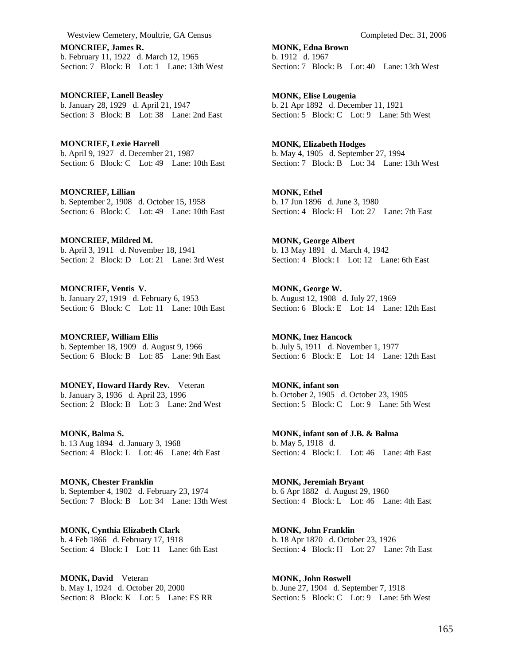**MONCRIEF, James R.**  b. February 11, 1922 d. March 12, 1965 Section: 7 Block: B Lot: 1 Lane: 13th West

**MONCRIEF, Lanell Beasley**  b. January 28, 1929 d. April 21, 1947 Section: 3 Block: B Lot: 38 Lane: 2nd East

**MONCRIEF, Lexie Harrell**  b. April 9, 1927 d. December 21, 1987 Section: 6 Block: C Lot: 49 Lane: 10th East

**MONCRIEF, Lillian**  b. September 2, 1908 d. October 15, 1958 Section: 6 Block: C Lot: 49 Lane: 10th East

**MONCRIEF, Mildred M.**  b. April 3, 1911 d. November 18, 1941 Section: 2 Block: D Lot: 21 Lane: 3rd West

**MONCRIEF, Ventis V.**  b. January 27, 1919 d. February 6, 1953 Section: 6 Block: C Lot: 11 Lane: 10th East

**MONCRIEF, William Ellis**  b. September 18, 1909 d. August 9, 1966 Section: 6 Block: B Lot: 85 Lane: 9th East

**MONEY, Howard Hardy Rev.** Veteran b. January 3, 1936 d. April 23, 1996 Section: 2 Block: B Lot: 3 Lane: 2nd West

**MONK, Balma S.**  b. 13 Aug 1894 d. January 3, 1968 Section:  $\overline{4}$  Block: L Lot: 46 Lane: 4th East

**MONK, Chester Franklin**  b. September 4, 1902 d. February 23, 1974 Section: 7 Block: B Lot: 34 Lane: 13th West

**MONK, Cynthia Elizabeth Clark**  b. 4 Feb 1866 d. February 17, 1918 Section: 4 Block: I Lot: 11 Lane: 6th East

**MONK, David** Veteran b. May 1, 1924 d. October 20, 2000 Section: 8 Block: K Lot: 5 Lane: ES RR **MONK, Edna Brown**  b. 1912 d. 1967 Section: 7 Block: B Lot: 40 Lane: 13th West

**MONK, Elise Lougenia**  b. 21 Apr 1892 d. December 11, 1921 Section: 5 Block: C Lot: 9 Lane: 5th West

**MONK, Elizabeth Hodges**  b. May 4, 1905 d. September 27, 1994 Section: 7 Block: B Lot: 34 Lane: 13th West

**MONK, Ethel**  b. 17 Jun 1896 d. June 3, 1980 Section: 4 Block: H Lot: 27 Lane: 7th East

**MONK, George Albert**  b. 13 May 1891 d. March 4, 1942 Section: 4 Block: I Lot: 12 Lane: 6th East

**MONK, George W.**  b. August 12, 1908 d. July 27, 1969 Section: 6 Block: E Lot: 14 Lane: 12th East

**MONK, Inez Hancock**  b. July 5, 1911 d. November 1, 1977 Section: 6 Block: E Lot: 14 Lane: 12th East

**MONK, infant son**  b. October 2, 1905 d. October 23, 1905 Section: 5 Block: C Lot: 9 Lane: 5th West

**MONK, infant son of J.B. & Balma**  b. May 5, 1918 d. Section: 4 Block: L Lot: 46 Lane: 4th East

**MONK, Jeremiah Bryant**  b. 6 Apr 1882 d. August 29, 1960 Section: 4 Block: L Lot: 46 Lane: 4th East

**MONK, John Franklin**  b. 18 Apr 1870 d. October 23, 1926 Section: 4 Block: H Lot: 27 Lane: 7th East

**MONK, John Roswell**  b. June 27, 1904 d. September 7, 1918 Section: 5 Block: C Lot: 9 Lane: 5th West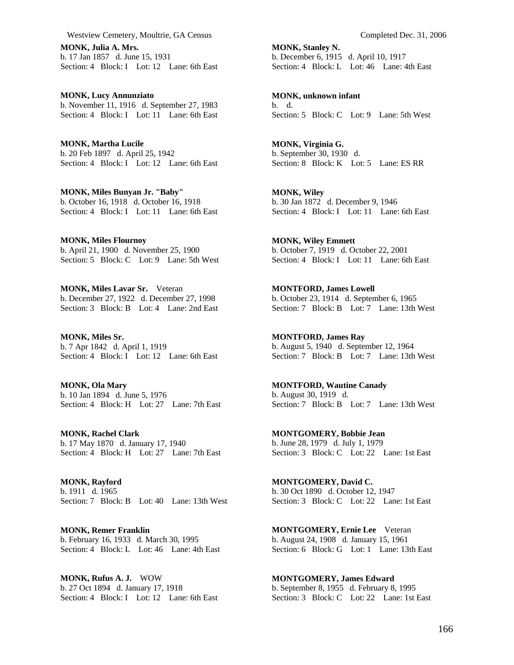**MONK, Julia A. Mrs.**  b. 17 Jan 1857 d. June 15, 1931 Section: 4 Block: I Lot: 12 Lane: 6th East

**MONK, Lucy Annunziato**  b. November 11, 1916 d. September 27, 1983 Section: 4 Block: I Lot: 11 Lane: 6th East

**MONK, Martha Lucile**  b. 20 Feb 1897 d. April 25, 1942 Section: 4 Block: I Lot: 12 Lane: 6th East

**MONK, Miles Bunyan Jr. "Baby"**  b. October 16, 1918 d. October 16, 1918 Section: 4 Block: I Lot: 11 Lane: 6th East

**MONK, Miles Flournoy**  b. April 21, 1900 d. November 25, 1900 Section: 5 Block: C Lot: 9 Lane: 5th West

**MONK, Miles Lavar Sr.** Veteran b. December 27, 1922 d. December 27, 1998 Section: 3 Block: B Lot: 4 Lane: 2nd East

**MONK, Miles Sr.**  b. 7 Apr 1842 d. April 1, 1919 Section: 4 Block: I Lot: 12 Lane: 6th East

**MONK, Ola Mary**  b. 10 Jan 1894 d. June 5, 1976 Section: 4 Block: H Lot: 27 Lane: 7th East

**MONK, Rachel Clark**  b. 17 May 1870 d. January 17, 1940 Section: 4 Block: H Lot: 27 Lane: 7th East

**MONK, Rayford**  b. 1911 d. 1965 Section: 7 Block: B Lot: 40 Lane: 13th West

**MONK, Remer Franklin**  b. February 16, 1933 d. March 30, 1995 Section: 4 Block: L Lot: 46 Lane: 4th East

**MONK, Rufus A. J.** WOW b. 27 Oct 1894 d. January 17, 1918 Section: 4 Block: I Lot: 12 Lane: 6th East

**MONK, Stanley N.**  b. December 6, 1915 d. April 10, 1917 Section: 4 Block: L Lot: 46 Lane: 4th East

**MONK, unknown infant**  b. d. Section: 5 Block: C Lot: 9 Lane: 5th West

**MONK, Virginia G.**  b. September 30, 1930 d. Section: 8 Block: K Lot: 5 Lane: ES RR

**MONK, Wiley**  b. 30 Jan 1872 d. December 9, 1946 Section: 4 Block: I Lot: 11 Lane: 6th East

**MONK, Wiley Emmett**  b. October 7, 1919 d. October 22, 2001 Section: 4 Block: I Lot: 11 Lane: 6th East

**MONTFORD, James Lowell**  b. October 23, 1914 d. September 6, 1965 Section: 7 Block: B Lot: 7 Lane: 13th West

**MONTFORD, James Ray**  b. August 5, 1940 d. September 12, 1964 Section: 7 Block: B Lot: 7 Lane: 13th West

**MONTFORD, Wautine Canady**  b. August 30, 1919 d. Section: 7 Block: B Lot: 7 Lane: 13th West

**MONTGOMERY, Bobbie Jean**  b. June 28, 1979 d. July 1, 1979 Section: 3 Block: C Lot: 22 Lane: 1st East

**MONTGOMERY, David C.**  b. 30 Oct 1890 d. October 12, 1947 Section: 3 Block: C Lot: 22 Lane: 1st East

**MONTGOMERY, Ernie Lee** Veteran b. August 24, 1908 d. January 15, 1961 Section: 6 Block: G Lot: 1 Lane: 13th East

**MONTGOMERY, James Edward**  b. September 8, 1955 d. February 8, 1995 Section: 3 Block: C Lot: 22 Lane: 1st East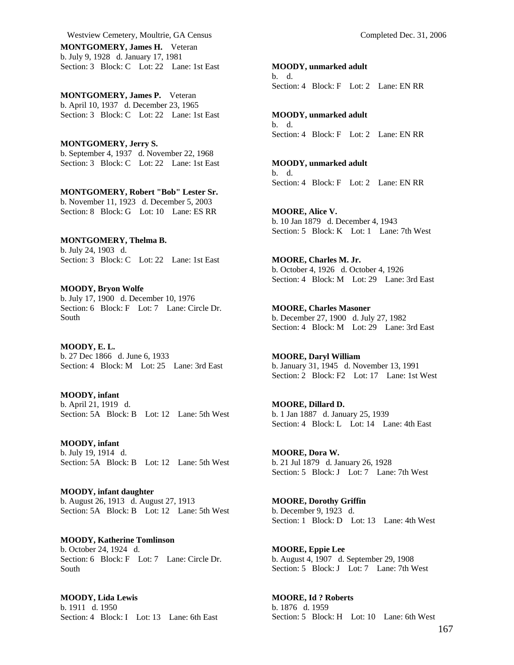Westview Cemetery, Moultrie, GA Census Completed Dec. 31, 2006 **MONTGOMERY, James H.** Veteran

b. July 9, 1928 d. January 17, 1981 Section: 3 Block: C Lot: 22 Lane: 1st East

**MONTGOMERY, James P.** Veteran b. April 10, 1937 d. December 23, 1965 Section: 3 Block: C Lot: 22 Lane: 1st East

**MONTGOMERY, Jerry S.**  b. September 4, 1937 d. November 22, 1968 Section: 3 Block: C Lot: 22 Lane: 1st East

**MONTGOMERY, Robert "Bob" Lester Sr.**  b. November 11, 1923 d. December 5, 2003 Section: 8 Block: G Lot: 10 Lane: ES RR

**MONTGOMERY, Thelma B.**  b. July 24, 1903 d. Section: 3 Block: C Lot: 22 Lane: 1st East

**MOODY, Bryon Wolfe**  b. July 17, 1900 d. December 10, 1976 Section: 6 Block: F Lot: 7 Lane: Circle Dr. South

**MOODY, E. L.**  b. 27 Dec 1866 d. June 6, 1933 Section: 4 Block: M Lot: 25 Lane: 3rd East

**MOODY, infant**  b. April 21, 1919 d. Section: 5A Block: B Lot: 12 Lane: 5th West

**MOODY, infant**  b. July 19, 1914 d. Section: 5A Block: B Lot: 12 Lane: 5th West

**MOODY, infant daughter**  b. August 26, 1913 d. August 27, 1913 Section: 5A Block: B Lot: 12 Lane: 5th West

**MOODY, Katherine Tomlinson**  b. October 24, 1924 d. Section: 6 Block: F Lot: 7 Lane: Circle Dr. South

**MOODY, Lida Lewis**  b. 1911 d. 1950 Section: 4 Block: I Lot: 13 Lane: 6th East **MOODY, unmarked adult** 

b. d. Section: 4 Block: F Lot: 2 Lane: EN RR

**MOODY, unmarked adult**  b. d. Section: 4 Block: F Lot: 2 Lane: EN RR

**MOODY, unmarked adult**  b. d. Section: 4 Block: F Lot: 2 Lane: EN RR

**MOORE, Alice V.**  b. 10 Jan 1879 d. December 4, 1943 Section: 5 Block: K Lot: 1 Lane: 7th West

**MOORE, Charles M. Jr.**  b. October 4, 1926 d. October 4, 1926 Section: 4 Block: M Lot: 29 Lane: 3rd East

**MOORE, Charles Masoner**  b. December 27, 1900 d. July 27, 1982 Section: 4 Block: M Lot: 29 Lane: 3rd East

**MOORE, Daryl William**  b. January 31, 1945 d. November 13, 1991 Section: 2 Block: F2 Lot: 17 Lane: 1st West

**MOORE, Dillard D.**  b. 1 Jan 1887 d. January 25, 1939 Section: 4 Block: L Lot: 14 Lane: 4th East

**MOORE, Dora W.**  b. 21 Jul 1879 d. January 26, 1928 Section: 5 Block: J Lot: 7 Lane: 7th West

**MOORE, Dorothy Griffin**  b. December 9, 1923 d. Section: 1 Block: D Lot: 13 Lane: 4th West

**MOORE, Eppie Lee**  b. August 4, 1907 d. September 29, 1908 Section: 5 Block: J Lot: 7 Lane: 7th West

**MOORE, Id ? Roberts**  b. 1876 d. 1959 Section: 5 Block: H Lot: 10 Lane: 6th West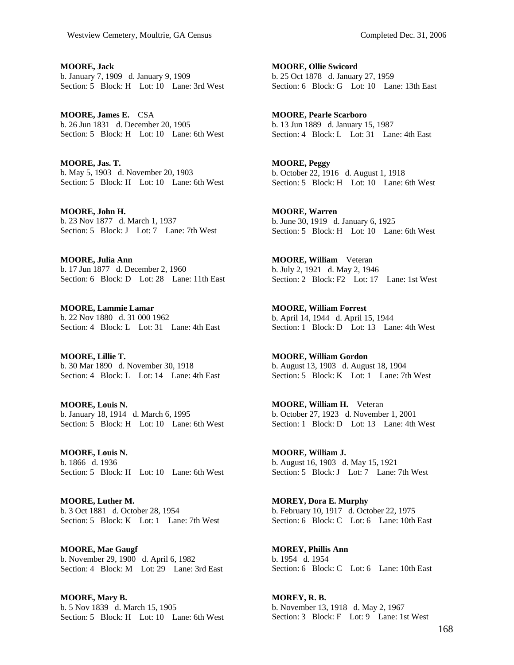**MOORE, Jack**  b. January 7, 1909 d. January 9, 1909 Section: 5 Block: H Lot: 10 Lane: 3rd West

**MOORE, James E.** CSA b. 26 Jun 1831 d. December 20, 1905 Section: 5 Block: H Lot: 10 Lane: 6th West

**MOORE, Jas. T.**  b. May 5, 1903 d. November 20, 1903 Section: 5 Block: H Lot: 10 Lane: 6th West

**MOORE, John H.**  b. 23 Nov 1877 d. March 1, 1937 Section: 5 Block: J Lot: 7 Lane: 7th West

**MOORE, Julia Ann**  b. 17 Jun 1877 d. December 2, 1960 Section: 6 Block: D Lot: 28 Lane: 11th East

**MOORE, Lammie Lamar**  b. 22 Nov 1880 d. 31 000 1962 Section: 4 Block: L Lot: 31 Lane: 4th East

**MOORE, Lillie T.**  b. 30 Mar 1890 d. November 30, 1918 Section: 4 Block: L Lot: 14 Lane: 4th East

**MOORE, Louis N.**  b. January 18, 1914 d. March 6, 1995 Section: 5 Block: H Lot: 10 Lane: 6th West

**MOORE, Louis N.**  b. 1866 d. 1936 Section: 5 Block: H Lot: 10 Lane: 6th West

**MOORE, Luther M.**  b. 3 Oct 1881 d. October 28, 1954 Section: 5 Block: K Lot: 1 Lane: 7th West

**MOORE, Mae Gaugf**  b. November 29, 1900 d. April 6, 1982 Section: 4 Block: M Lot: 29 Lane: 3rd East

**MOORE, Mary B.**  b. 5 Nov 1839 d. March 15, 1905 Section: 5 Block: H Lot: 10 Lane: 6th West **MOORE, Ollie Swicord**  b. 25 Oct 1878 d. January 27, 1959 Section: 6 Block: G Lot: 10 Lane: 13th East

**MOORE, Pearle Scarboro**  b. 13 Jun 1889 d. January 15, 1987 Section: 4 Block: L Lot: 31 Lane: 4th East

**MOORE, Peggy**  b. October 22, 1916 d. August 1, 1918 Section: 5 Block: H Lot: 10 Lane: 6th West

**MOORE, Warren**  b. June 30, 1919 d. January 6, 1925 Section: 5 Block: H Lot: 10 Lane: 6th West

**MOORE, William** Veteran b. July 2, 1921 d. May 2, 1946 Section: 2 Block: F2 Lot: 17 Lane: 1st West

**MOORE, William Forrest**  b. April 14, 1944 d. April 15, 1944 Section: 1 Block: D Lot: 13 Lane: 4th West

**MOORE, William Gordon**  b. August 13, 1903 d. August 18, 1904 Section: 5 Block: K Lot: 1 Lane: 7th West

**MOORE, William H.** Veteran b. October 27, 1923 d. November 1, 2001 Section: 1 Block: D Lot: 13 Lane: 4th West

**MOORE, William J.**  b. August 16, 1903 d. May 15, 1921 Section: 5 Block: J Lot: 7 Lane: 7th West

**MOREY, Dora E. Murphy**  b. February 10, 1917 d. October 22, 1975 Section: 6 Block: C Lot: 6 Lane: 10th East

**MOREY, Phillis Ann**  b. 1954 d. 1954 Section: 6 Block: C Lot: 6 Lane: 10th East

**MOREY, R. B.**  b. November 13, 1918 d. May 2, 1967 Section: 3 Block: F Lot: 9 Lane: 1st West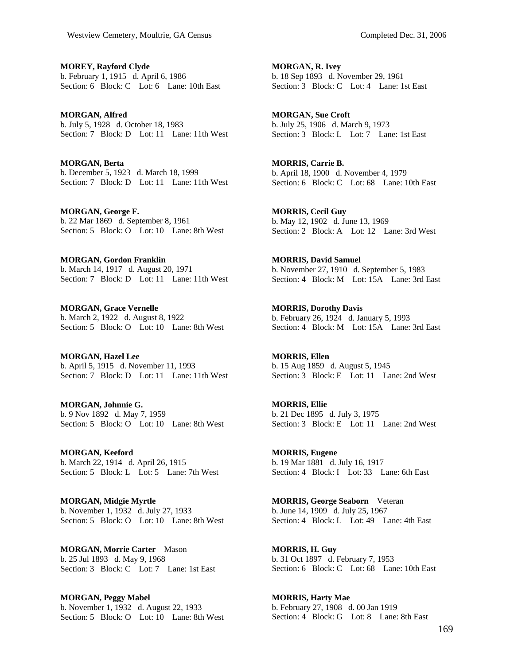**MOREY, Rayford Clyde**  b. February 1, 1915 d. April 6, 1986 Section: 6 Block: C Lot: 6 Lane: 10th East

**MORGAN, Alfred**  b. July 5, 1928 d. October 18, 1983 Section: 7 Block: D Lot: 11 Lane: 11th West

**MORGAN, Berta**  b. December 5, 1923 d. March 18, 1999 Section: 7 Block: D Lot: 11 Lane: 11th West

**MORGAN, George F.**  b. 22 Mar 1869 d. September 8, 1961 Section: 5 Block: O Lot: 10 Lane: 8th West

**MORGAN, Gordon Franklin**  b. March 14, 1917 d. August 20, 1971 Section: 7 Block: D Lot: 11 Lane: 11th West

**MORGAN, Grace Vernelle**  b. March 2, 1922 d. August 8, 1922 Section: 5 Block: O Lot: 10 Lane: 8th West

**MORGAN, Hazel Lee**  b. April 5, 1915 d. November 11, 1993 Section: 7 Block: D Lot: 11 Lane: 11th West

**MORGAN, Johnnie G.**  b. 9 Nov 1892 d. May 7, 1959 Section: 5 Block: O Lot: 10 Lane: 8th West

**MORGAN, Keeford**  b. March 22, 1914 d. April 26, 1915 Section: 5 Block: L Lot: 5 Lane: 7th West

**MORGAN, Midgie Myrtle**  b. November 1, 1932 d. July 27, 1933 Section: 5 Block: O Lot: 10 Lane: 8th West

**MORGAN, Morrie Carter** Mason b. 25 Jul 1893 d. May 9, 1968 Section: 3 Block: C Lot: 7 Lane: 1st East

**MORGAN, Peggy Mabel**  b. November 1, 1932 d. August 22, 1933 Section: 5 Block: O Lot: 10 Lane: 8th West **MORGAN, R. Ivey**  b. 18 Sep 1893 d. November 29, 1961 Section: 3 Block: C Lot: 4 Lane: 1st East

**MORGAN, Sue Croft**  b. July 25, 1906 d. March 9, 1973 Section: 3 Block: L Lot: 7 Lane: 1st East

**MORRIS, Carrie B.**  b. April 18, 1900 d. November 4, 1979 Section: 6 Block: C Lot: 68 Lane: 10th East

**MORRIS, Cecil Guy**  b. May 12, 1902 d. June 13, 1969 Section: 2 Block: A Lot: 12 Lane: 3rd West

**MORRIS, David Samuel**  b. November 27, 1910 d. September 5, 1983 Section: 4 Block: M Lot: 15A Lane: 3rd East

**MORRIS, Dorothy Davis**  b. February 26, 1924 d. January 5, 1993 Section: 4 Block: M Lot: 15A Lane: 3rd East

**MORRIS, Ellen**  b. 15 Aug 1859 d. August 5, 1945 Section: 3 Block: E Lot: 11 Lane: 2nd West

**MORRIS, Ellie**  b. 21 Dec 1895 d. July 3, 1975 Section: 3 Block: E Lot: 11 Lane: 2nd West

**MORRIS, Eugene**  b. 19 Mar 1881 d. July 16, 1917 Section: 4 Block: I Lot: 33 Lane: 6th East

**MORRIS, George Seaborn** Veteran b. June 14, 1909 d. July 25, 1967 Section: 4 Block: L Lot: 49 Lane: 4th East

**MORRIS, H. Guy**  b. 31 Oct 1897 d. February 7, 1953 Section: 6 Block: C Lot: 68 Lane: 10th East

**MORRIS, Harty Mae**  b. February 27, 1908 d. 00 Jan 1919 Section: 4 Block: G Lot: 8 Lane: 8th East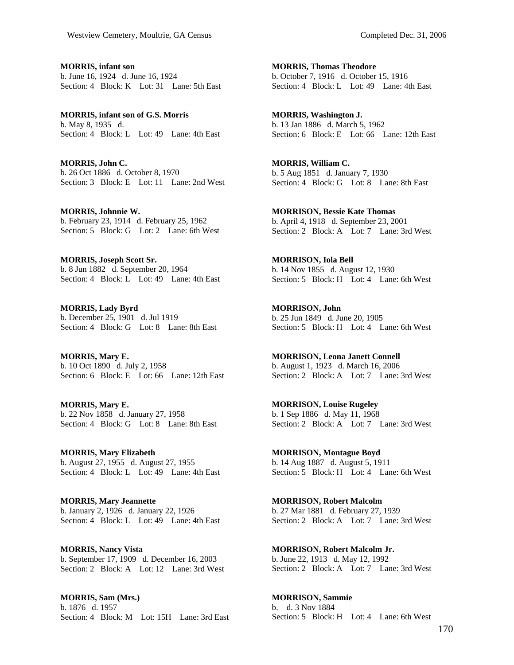**MORRIS, infant son**  b. June 16, 1924 d. June 16, 1924 Section: 4 Block: K Lot: 31 Lane: 5th East

**MORRIS, infant son of G.S. Morris**  b. May 8, 1935 d. Section: 4 Block: L Lot: 49 Lane: 4th East

**MORRIS, John C.**  b. 26 Oct 1886 d. October 8, 1970 Section: 3 Block: E Lot: 11 Lane: 2nd West

**MORRIS, Johnnie W.**  b. February 23, 1914 d. February 25, 1962 Section: 5 Block: G Lot: 2 Lane: 6th West

**MORRIS, Joseph Scott Sr.**  b. 8 Jun 1882 d. September 20, 1964 Section: 4 Block: L Lot: 49 Lane: 4th East

**MORRIS, Lady Byrd**  b. December 25, 1901 d. Jul 1919 Section: 4 Block: G Lot: 8 Lane: 8th East

**MORRIS, Mary E.**  b. 10 Oct 1890 d. July 2, 1958 Section: 6 Block: E Lot: 66 Lane: 12th East

**MORRIS, Mary E.**  b. 22 Nov 1858 d. January 27, 1958 Section: 4 Block: G Lot: 8 Lane: 8th East

**MORRIS, Mary Elizabeth**  b. August 27, 1955 d. August 27, 1955 Section: 4 Block: L Lot: 49 Lane: 4th East

**MORRIS, Mary Jeannette**  b. January 2, 1926 d. January 22, 1926 Section: 4 Block: L Lot: 49 Lane: 4th East

**MORRIS, Nancy Vista**  b. September 17, 1909 d. December 16, 2003 Section: 2 Block: A Lot: 12 Lane: 3rd West

**MORRIS, Sam (Mrs.)**  b. 1876 d. 1957 Section: 4 Block: M Lot: 15H Lane: 3rd East

**MORRIS, Thomas Theodore**  b. October 7, 1916 d. October 15, 1916 Section: 4 Block: L Lot: 49 Lane: 4th East

**MORRIS, Washington J.**  b. 13 Jan 1886 d. March 5, 1962 Section: 6 Block: E Lot: 66 Lane: 12th East

**MORRIS, William C.**  b. 5 Aug 1851 d. January 7, 1930 Section: 4 Block: G Lot: 8 Lane: 8th East

**MORRISON, Bessie Kate Thomas**  b. April 4, 1918 d. September 23, 2001 Section: 2 Block: A Lot: 7 Lane: 3rd West

**MORRISON, Iola Bell**  b. 14 Nov 1855 d. August 12, 1930 Section: 5 Block: H Lot: 4 Lane: 6th West

**MORRISON, John**  b. 25 Jun 1849 d. June 20, 1905 Section: 5 Block: H Lot: 4 Lane: 6th West

**MORRISON, Leona Janett Connell**  b. August 1, 1923 d. March 16, 2006 Section: 2 Block: A Lot: 7 Lane: 3rd West

**MORRISON, Louise Rugeley**  b. 1 Sep 1886 d. May 11, 1968 Section: 2 Block: A Lot: 7 Lane: 3rd West

**MORRISON, Montague Boyd**  b. 14 Aug 1887 d. August 5, 1911 Section: 5 Block: H Lot: 4 Lane: 6th West

**MORRISON, Robert Malcolm**  b. 27 Mar 1881 d. February 27, 1939 Section: 2 Block: A Lot: 7 Lane: 3rd West

**MORRISON, Robert Malcolm Jr.**  b. June 22, 1913 d. May 12, 1992 Section: 2 Block: A Lot: 7 Lane: 3rd West

**MORRISON, Sammie**  b. d. 3 Nov 1884 Section: 5 Block: H Lot: 4 Lane: 6th West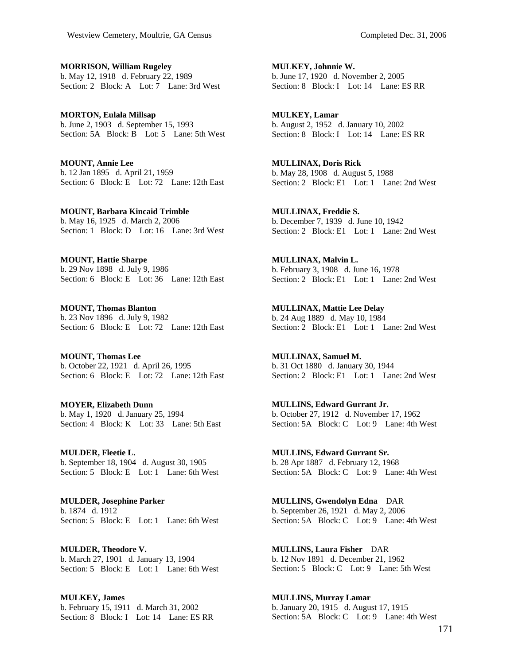**MORRISON, William Rugeley**  b. May 12, 1918 d. February 22, 1989 Section: 2 Block: A Lot: 7 Lane: 3rd West

**MORTON, Eulala Millsap**  b. June 2, 1903 d. September 15, 1993 Section: 5A Block: B Lot: 5 Lane: 5th West

**MOUNT, Annie Lee**  b. 12 Jan 1895 d. April 21, 1959 Section: 6 Block: E Lot: 72 Lane: 12th East

**MOUNT, Barbara Kincaid Trimble**  b. May 16, 1925 d. March 2, 2006 Section: 1 Block: D Lot: 16 Lane: 3rd West

**MOUNT, Hattie Sharpe**  b. 29 Nov 1898 d. July 9, 1986 Section: 6 Block: E Lot: 36 Lane: 12th East

**MOUNT, Thomas Blanton**  b. 23 Nov 1896 d. July 9, 1982 Section: 6 Block: E Lot: 72 Lane: 12th East

**MOUNT, Thomas Lee**  b. October 22, 1921 d. April 26, 1995 Section: 6 Block: E Lot: 72 Lane: 12th East

**MOYER, Elizabeth Dunn**  b. May 1, 1920 d. January 25, 1994 Section: 4 Block: K Lot: 33 Lane: 5th East

**MULDER, Fleetie L.**  b. September 18, 1904 d. August 30, 1905 Section: 5 Block: E Lot: 1 Lane: 6th West

**MULDER, Josephine Parker**  b. 1874 d. 1912 Section: 5 Block: E Lot: 1 Lane: 6th West

**MULDER, Theodore V.**  b. March 27, 1901 d. January 13, 1904 Section: 5 Block: E Lot: 1 Lane: 6th West

**MULKEY, James**  b. February 15, 1911 d. March 31, 2002 Section: 8 Block: I Lot: 14 Lane: ES RR **MULKEY, Johnnie W.**  b. June 17, 1920 d. November 2, 2005 Section: 8 Block: I Lot: 14 Lane: ES RR

**MULKEY, Lamar**  b. August 2, 1952 d. January 10, 2002 Section: 8 Block: I Lot: 14 Lane: ESRR

**MULLINAX, Doris Rick**  b. May 28, 1908 d. August 5, 1988 Section: 2 Block: E1 Lot: 1 Lane: 2nd West

**MULLINAX, Freddie S.**  b. December 7, 1939 d. June 10, 1942 Section: 2 Block: E1 Lot: 1 Lane: 2nd West

**MULLINAX, Malvin L.**  b. February 3, 1908 d. June 16, 1978 Section: 2 Block: E1 Lot: 1 Lane: 2nd West

**MULLINAX, Mattie Lee Delay**  b. 24 Aug 1889 d. May 10, 1984 Section: 2 Block: E1 Lot: 1 Lane: 2nd West

**MULLINAX, Samuel M.**  b. 31 Oct 1880 d. January 30, 1944 Section: 2 Block: E1 Lot: 1 Lane: 2nd West

**MULLINS, Edward Gurrant Jr.**  b. October 27, 1912 d. November 17, 1962 Section: 5A Block: C Lot: 9 Lane: 4th West

**MULLINS, Edward Gurrant Sr.**  b. 28 Apr 1887 d. February 12, 1968 Section: 5A Block: C Lot: 9 Lane: 4th West

**MULLINS, Gwendolyn Edna** DAR b. September 26, 1921 d. May 2, 2006 Section: 5A Block: C Lot: 9 Lane: 4th West

**MULLINS, Laura Fisher** DAR b. 12 Nov 1891 d. December 21, 1962 Section: 5 Block: C Lot: 9 Lane: 5th West

**MULLINS, Murray Lamar**  b. January 20, 1915 d. August 17, 1915 Section: 5A Block: C Lot: 9 Lane: 4th West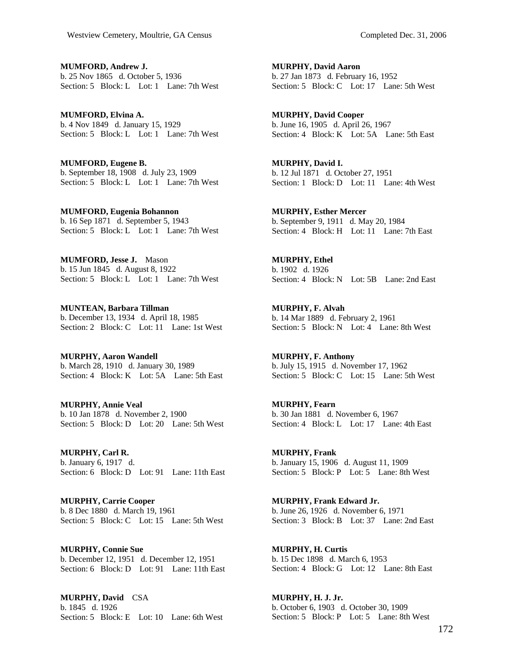**MUMFORD, Andrew J.**  b. 25 Nov 1865 d. October 5, 1936 Section: 5 Block: L Lot: 1 Lane: 7th West

**MUMFORD, Elvina A.**  b. 4 Nov 1849 d. January 15, 1929 Section: 5 Block: L Lot: 1 Lane: 7th West

**MUMFORD, Eugene B.**  b. September 18, 1908 d. July 23, 1909 Section: 5 Block: L Lot: 1 Lane: 7th West

**MUMFORD, Eugenia Bohannon**  b. 16 Sep 1871 d. September 5, 1943 Section: 5 Block: L Lot: 1 Lane: 7th West

**MUMFORD, Jesse J.** Mason b. 15 Jun 1845 d. August 8, 1922 Section: 5 Block: L Lot: 1 Lane: 7th West

**MUNTEAN, Barbara Tillman**  b. December 13, 1934 d. April 18, 1985 Section: 2 Block: C Lot: 11 Lane: 1st West

**MURPHY, Aaron Wandell**  b. March 28, 1910 d. January 30, 1989 Section: 4 Block: K Lot: 5A Lane: 5th East

**MURPHY, Annie Veal**  b. 10 Jan 1878 d. November 2, 1900 Section: 5 Block: D Lot: 20 Lane: 5th West

**MURPHY, Carl R.**  b. January 6, 1917 d. Section: 6 Block: D Lot: 91 Lane: 11th East

**MURPHY, Carrie Cooper**  b. 8 Dec 1880 d. March 19, 1961 Section: 5 Block: C Lot: 15 Lane: 5th West

**MURPHY, Connie Sue**  b. December 12, 1951 d. December 12, 1951 Section: 6 Block: D Lot: 91 Lane: 11th East

**MURPHY, David** CSA b. 1845 d. 1926 Section: 5 Block: E Lot: 10 Lane: 6th West **MURPHY, David Aaron**  b. 27 Jan 1873 d. February 16, 1952 Section: 5 Block: C Lot: 17 Lane: 5th West

**MURPHY, David Cooper**  b. June 16, 1905 d. April 26, 1967 Section: 4 Block: K Lot: 5A Lane: 5th East

**MURPHY, David I.**  b. 12 Jul 1871 d. October 27, 1951 Section: 1 Block: D Lot: 11 Lane: 4th West

**MURPHY, Esther Mercer**  b. September 9, 1911 d. May 20, 1984 Section: 4 Block: H Lot: 11 Lane: 7th East

**MURPHY, Ethel**  b. 1902 d. 1926 Section: 4 Block: N Lot: 5B Lane: 2nd East

**MURPHY, F. Alvah**  b. 14 Mar 1889 d. February 2, 1961 Section: 5 Block: N Lot: 4 Lane: 8th West

**MURPHY, F. Anthony**  b. July 15, 1915 d. November 17, 1962 Section: 5 Block: C Lot: 15 Lane: 5th West

**MURPHY, Fearn**  b. 30 Jan 1881 d. November 6, 1967 Section: 4 Block: L Lot: 17 Lane: 4th East

**MURPHY, Frank**  b. January 15, 1906 d. August 11, 1909 Section: 5 Block: P Lot: 5 Lane: 8th West

**MURPHY, Frank Edward Jr.**  b. June 26, 1926 d. November 6, 1971 Section: 3 Block: B Lot: 37 Lane: 2nd East

**MURPHY, H. Curtis**  b. 15 Dec 1898 d. March 6, 1953 Section: 4 Block: G Lot: 12 Lane: 8th East

**MURPHY, H. J. Jr.**  b. October 6, 1903 d. October 30, 1909 Section: 5 Block: P Lot: 5 Lane: 8th West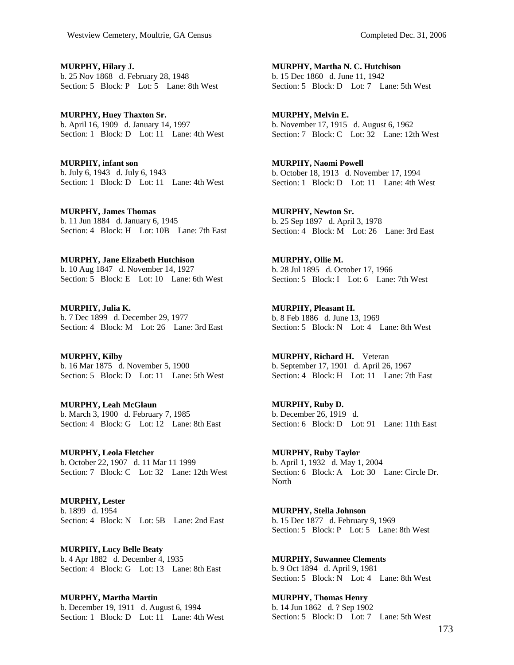**MURPHY, Hilary J.**  b. 25 Nov 1868 d. February 28, 1948 Section: 5 Block: P Lot: 5 Lane: 8th West

**MURPHY, Huey Thaxton Sr.**  b. April 16, 1909 d. January 14, 1997 Section: 1 Block: D Lot: 11 Lane: 4th West

**MURPHY, infant son**  b. July 6, 1943 d. July 6, 1943 Section: 1 Block: D Lot: 11 Lane: 4th West

**MURPHY, James Thomas**  b. 11 Jun 1884 d. January 6, 1945 Section: 4 Block: H Lot: 10B Lane: 7th East

**MURPHY, Jane Elizabeth Hutchison**  b. 10 Aug 1847 d. November 14, 1927 Section: 5 Block: E Lot: 10 Lane: 6th West

**MURPHY, Julia K.**  b. 7 Dec 1899 d. December 29, 1977 Section: 4 Block: M Lot: 26 Lane: 3rd East

**MURPHY, Kilby**  b. 16 Mar 1875 d. November 5, 1900 Section: 5 Block: D Lot: 11 Lane: 5th West

**MURPHY, Leah McGlaun**  b. March 3, 1900 d. February 7, 1985 Section: 4 Block: G Lot: 12 Lane: 8th East

**MURPHY, Leola Fletcher**  b. October 22, 1907 d. 11 Mar 11 1999 Section: 7 Block: C Lot: 32 Lane: 12th West

**MURPHY, Lester**  b. 1899 d. 1954 Section: 4 Block: N Lot: 5B Lane: 2nd East

**MURPHY, Lucy Belle Beaty**  b. 4 Apr 1882 d. December 4, 1935 Section: 4 Block: G Lot: 13 Lane: 8th East

**MURPHY, Martha Martin**  b. December 19, 1911 d. August 6, 1994 Section: 1 Block: D Lot: 11 Lane: 4th West **MURPHY, Martha N. C. Hutchison**  b. 15 Dec 1860 d. June 11, 1942 Section: 5 Block: D Lot: 7 Lane: 5th West

**MURPHY, Melvin E.**  b. November 17, 1915 d. August 6, 1962 Section: 7 Block: C Lot: 32 Lane: 12th West

**MURPHY, Naomi Powell**  b. October 18, 1913 d. November 17, 1994 Section: 1 Block: D Lot: 11 Lane: 4th West

**MURPHY, Newton Sr.**  b. 25 Sep 1897 d. April 3, 1978 Section: 4 Block: M Lot: 26 Lane: 3rd East

**MURPHY, Ollie M.**  b. 28 Jul 1895 d. October 17, 1966 Section: 5 Block: I Lot: 6 Lane: 7th West

**MURPHY, Pleasant H.**  b. 8 Feb 1886 d. June 13, 1969 Section: 5 Block: N Lot: 4 Lane: 8th West

**MURPHY, Richard H.** Veteran b. September 17, 1901 d. April 26, 1967 Section: 4 Block: H Lot: 11 Lane: 7th East

**MURPHY, Ruby D.**  b. December 26, 1919 d. Section: 6 Block: D Lot: 91 Lane: 11th East

**MURPHY, Ruby Taylor**  b. April 1, 1932 d. May 1, 2004 Section: 6 Block: A Lot: 30 Lane: Circle Dr. North

**MURPHY, Stella Johnson**  b. 15 Dec 1877 d. February 9, 1969 Section: 5 Block: P Lot: 5 Lane: 8th West

**MURPHY, Suwannee Clements**  b. 9 Oct 1894 d. April 9, 1981 Section: 5 Block: N Lot: 4 Lane: 8th West

**MURPHY, Thomas Henry**  b. 14 Jun 1862 d. ? Sep 1902 Section: 5 Block: D Lot: 7 Lane: 5th West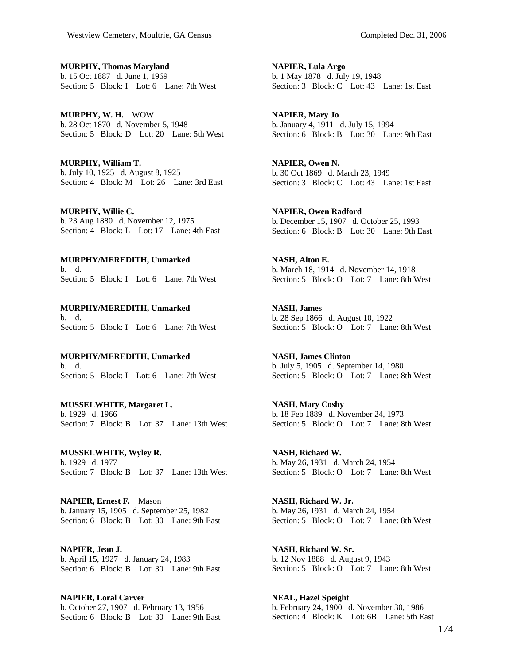**MURPHY, Thomas Maryland**  b. 15 Oct 1887 d. June 1, 1969 Section: 5 Block: I Lot: 6 Lane: 7th West

**MURPHY, W. H.** WOW b. 28 Oct 1870 d. November 5, 1948 Section: 5 Block: D Lot: 20 Lane: 5th West

**MURPHY, William T.**  b. July 10, 1925 d. August 8, 1925 Section: 4 Block: M Lot: 26 Lane: 3rd East

**MURPHY, Willie C.**  b. 23 Aug 1880 d. November 12, 1975 Section: 4 Block: L Lot: 17 Lane: 4th East

**MURPHY/MEREDITH, Unmarked**  b. d. Section: 5 Block: I Lot: 6 Lane: 7th West

**MURPHY/MEREDITH, Unmarked**  b. d. Section: 5 Block: I Lot: 6 Lane: 7th West

**MURPHY/MEREDITH, Unmarked**  b. d. Section: 5 Block: I Lot: 6 Lane: 7th West

**MUSSELWHITE, Margaret L.**  b. 1929 d. 1966 Section: 7 Block: B Lot: 37 Lane: 13th West

**MUSSELWHITE, Wyley R.**  b. 1929 d. 1977 Section: 7 Block: B Lot: 37 Lane: 13th West

**NAPIER, Ernest F.** Mason b. January 15, 1905 d. September 25, 1982 Section: 6 Block: B Lot: 30 Lane: 9th East

**NAPIER, Jean J.**  b. April 15, 1927 d. January 24, 1983 Section: 6 Block: B Lot: 30 Lane: 9th East

**NAPIER, Loral Carver**  b. October 27, 1907 d. February 13, 1956 Section: 6 Block: B Lot: 30 Lane: 9th East **NAPIER, Lula Argo**  b. 1 May 1878 d. July 19, 1948 Section: 3 Block: C Lot: 43 Lane: 1st East

**NAPIER, Mary Jo**  b. January 4, 1911 d. July 15, 1994 Section: 6 Block: B Lot: 30 Lane: 9th East

**NAPIER, Owen N.**  b. 30 Oct 1869 d. March 23, 1949 Section: 3 Block: C Lot: 43 Lane: 1st East

**NAPIER, Owen Radford**  b. December 15, 1907 d. October 25, 1993 Section: 6 Block: B Lot: 30 Lane: 9th East

**NASH, Alton E.**  b. March 18, 1914 d. November 14, 1918 Section: 5 Block: O Lot: 7 Lane: 8th West

**NASH, James**  b. 28 Sep 1866 d. August 10, 1922 Section: 5 Block: O Lot: 7 Lane: 8th West

**NASH, James Clinton**  b. July 5, 1905 d. September 14, 1980 Section: 5 Block: O Lot: 7 Lane: 8th West

**NASH, Mary Cosby**  b. 18 Feb 1889 d. November 24, 1973 Section: 5 Block: O Lot: 7 Lane: 8th West

**NASH, Richard W.**  b. May 26, 1931 d. March 24, 1954 Section: 5 Block: O Lot: 7 Lane: 8th West

**NASH, Richard W. Jr.**  b. May 26, 1931 d. March 24, 1954 Section: 5 Block: O Lot: 7 Lane: 8th West

**NASH, Richard W. Sr.**  b. 12 Nov 1888 d. August 9, 1943 Section: 5 Block: O Lot: 7 Lane: 8th West

**NEAL, Hazel Speight**  b. February 24, 1900 d. November 30, 1986 Section: 4 Block: K Lot: 6B Lane: 5th East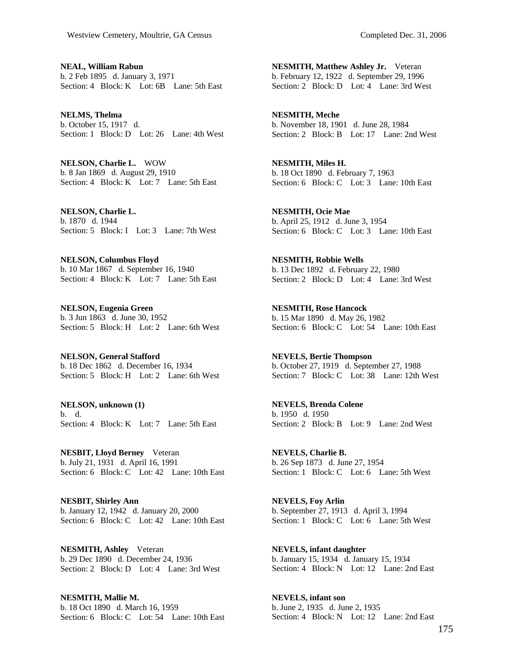**NEAL, William Rabun**  b. 2 Feb 1895 d. January 3, 1971 Section: 4 Block: K Lot: 6B Lane: 5th East

**NELMS, Thelma**  b. October 15, 1917 d. Section: 1 Block: D Lot: 26 Lane: 4th West

**NELSON, Charlie L.** WOW b. 8 Jan 1869 d. August 29, 1910 Section: 4 Block: K Lot: 7 Lane: 5th East

**NELSON, Charlie L.**  b. 1870 d. 1944 Section: 5 Block: I Lot: 3 Lane: 7th West

**NELSON, Columbus Floyd**  b. 10 Mar 1867 d. September 16, 1940 Section: 4 Block: K Lot: 7 Lane: 5th East

**NELSON, Eugenia Green**  b. 3 Jun 1863 d. June 30, 1952 Section: 5 Block: H Lot: 2 Lane: 6th West

**NELSON, General Stafford**  b. 18 Dec 1862 d. December 16, 1934 Section: 5 Block: H Lot: 2 Lane: 6th West

**NELSON, unknown (1)**  b. d. Section: 4 Block: K Lot: 7 Lane: 5th East

**NESBIT, Lloyd Berney** Veteran b. July 21, 1931 d. April 16, 1991 Section: 6 Block: C Lot: 42 Lane: 10th East

**NESBIT, Shirley Ann**  b. January 12, 1942 d. January 20, 2000 Section: 6 Block: C Lot: 42 Lane: 10th East

**NESMITH, Ashley** Veteran b. 29 Dec 1890 d. December 24, 1936 Section: 2 Block: D Lot: 4 Lane: 3rd West

**NESMITH, Mallie M.**  b. 18 Oct 1890 d. March 16, 1959 Section: 6 Block: C Lot: 54 Lane: 10th East **NESMITH, Matthew Ashley Jr.** Veteran b. February 12, 1922 d. September 29, 1996 Section: 2 Block: D Lot: 4 Lane: 3rd West

**NESMITH, Meche**  b. November 18, 1901 d. June 28, 1984 Section: 2 Block: B Lot: 17 Lane: 2nd West

**NESMITH, Miles H.**  b. 18 Oct 1890 d. February 7, 1963 Section: 6 Block: C Lot: 3 Lane: 10th East

**NESMITH, Ocie Mae**  b. April 25, 1912 d. June 3, 1954 Section: 6 Block: C Lot: 3 Lane: 10th East

**NESMITH, Robbie Wells**  b. 13 Dec 1892 d. February 22, 1980 Section: 2 Block: D Lot: 4 Lane: 3rd West

**NESMITH, Rose Hancock**  b. 15 Mar 1890 d. May 26, 1982 Section: 6 Block: C Lot: 54 Lane: 10th East

**NEVELS, Bertie Thompson**  b. October 27, 1919 d. September 27, 1988 Section: 7 Block: C Lot: 38 Lane: 12th West

**NEVELS, Brenda Colene**  b. 1950 d. 1950 Section: 2 Block: B Lot: 9 Lane: 2nd West

**NEVELS, Charlie B.**  b. 26 Sep 1873 d. June 27, 1954 Section: 1 Block: C Lot: 6 Lane: 5th West

**NEVELS, Foy Arlin**  b. September 27, 1913 d. April 3, 1994 Section: 1 Block: C Lot: 6 Lane: 5th West

**NEVELS, infant daughter**  b. January 15, 1934 d. January 15, 1934 Section: 4 Block: N Lot: 12 Lane: 2nd East

**NEVELS, infant son**  b. June 2, 1935 d. June 2, 1935 Section: 4 Block: N Lot: 12 Lane: 2nd East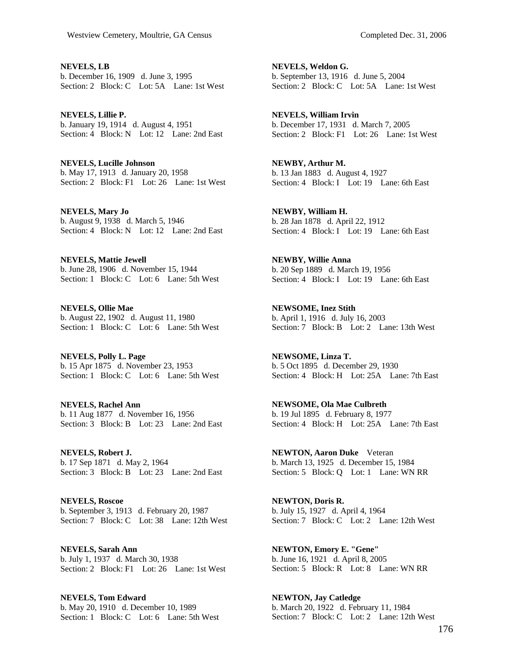**NEVELS, LB**  b. December 16, 1909 d. June 3, 1995 Section: 2 Block: C Lot: 5A Lane: 1st West

**NEVELS, Lillie P.**  b. January 19, 1914 d. August 4, 1951 Section: 4 Block: N Lot: 12 Lane: 2nd East

**NEVELS, Lucille Johnson**  b. May 17, 1913 d. January 20, 1958 Section: 2 Block: F1 Lot: 26 Lane: 1st West

**NEVELS, Mary Jo**  b. August 9, 1938 d. March 5, 1946 Section: 4 Block: N Lot: 12 Lane: 2nd East

**NEVELS, Mattie Jewell**  b. June 28, 1906 d. November 15, 1944 Section: 1 Block: C Lot: 6 Lane: 5th West

**NEVELS, Ollie Mae**  b. August 22, 1902 d. August 11, 1980 Section: 1 Block: C Lot: 6 Lane: 5th West

**NEVELS, Polly L. Page**  b. 15 Apr 1875 d. November 23, 1953 Section: 1 Block: C Lot: 6 Lane: 5th West

**NEVELS, Rachel Ann**  b. 11 Aug 1877 d. November 16, 1956 Section: 3 Block: B Lot: 23 Lane: 2nd East

**NEVELS, Robert J.**  b. 17 Sep 1871 d. May 2, 1964 Section: 3 Block: B Lot: 23 Lane: 2nd East

**NEVELS, Roscoe**  b. September 3, 1913 d. February 20, 1987 Section: 7 Block: C Lot: 38 Lane: 12th West

**NEVELS, Sarah Ann**  b. July 1, 1937 d. March 30, 1938 Section: 2 Block: F1 Lot: 26 Lane: 1st West

**NEVELS, Tom Edward**  b. May 20, 1910 d. December 10, 1989 Section: 1 Block: C Lot: 6 Lane: 5th West **NEVELS, Weldon G.**  b. September 13, 1916 d. June 5, 2004 Section: 2 Block: C Lot: 5A Lane: 1st West

**NEVELS, William Irvin**  b. December 17, 1931 d. March 7, 2005 Section: 2 Block: F1 Lot: 26 Lane: 1st West

**NEWBY, Arthur M.**  b. 13 Jan 1883 d. August 4, 1927 Section: 4 Block: I Lot: 19 Lane: 6th East

**NEWBY, William H.**  b. 28 Jan 1878 d. April 22, 1912 Section: 4 Block: I Lot: 19 Lane: 6th East

**NEWBY, Willie Anna**  b. 20 Sep 1889 d. March 19, 1956 Section: 4 Block: I Lot: 19 Lane: 6th East

**NEWSOME, Inez Stith**  b. April 1, 1916 d. July 16, 2003 Section: 7 Block: B Lot: 2 Lane: 13th West

**NEWSOME, Linza T.**  b. 5 Oct 1895 d. December 29, 1930 Section: 4 Block: H Lot: 25A Lane: 7th East

**NEWSOME, Ola Mae Culbreth**  b. 19 Jul 1895 d. February 8, 1977 Section: 4 Block: H Lot: 25A Lane: 7th East

**NEWTON, Aaron Duke** Veteran b. March 13, 1925 d. December 15, 1984 Section: 5 Block: Q Lot: 1 Lane: WN RR

**NEWTON, Doris R.**  b. July 15, 1927 d. April 4, 1964 Section: 7 Block: C Lot: 2 Lane: 12th West

**NEWTON, Emory E. "Gene"**  b. June 16, 1921 d. April 8, 2005 Section: 5 Block: R Lot: 8 Lane: WN RR

**NEWTON, Jay Catledge**  b. March 20, 1922 d. February 11, 1984 Section: 7 Block: C Lot: 2 Lane: 12th West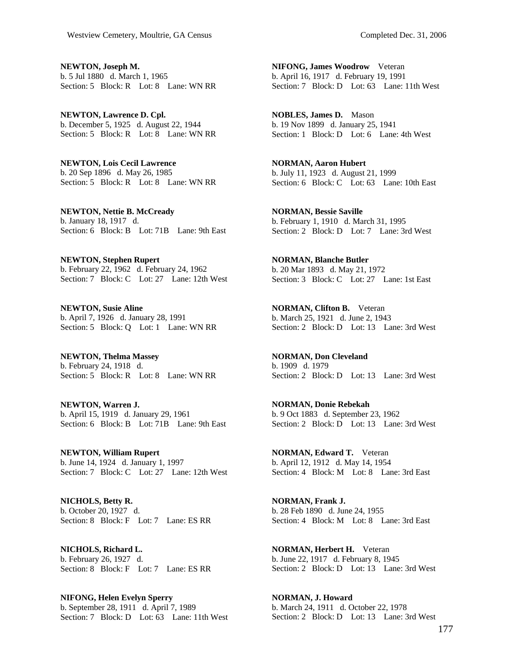**NEWTON, Joseph M.**  b. 5 Jul 1880 d. March 1, 1965 Section: 5 Block: R Lot: 8 Lane: WN RR

**NEWTON, Lawrence D. Cpl.**  b. December 5, 1925 d. August 22, 1944 Section: 5 Block: R Lot: 8 Lane: WN RR

**NEWTON, Lois Cecil Lawrence**  b. 20 Sep 1896 d. May 26, 1985 Section: 5 Block: R Lot: 8 Lane: WN RR

**NEWTON, Nettie B. McCready**  b. January 18, 1917 d. Section: 6 Block: B Lot: 71B Lane: 9th East

**NEWTON, Stephen Rupert**  b. February 22, 1962 d. February 24, 1962 Section: 7 Block: C Lot: 27 Lane: 12th West

**NEWTON, Susie Aline**  b. April 7, 1926 d. January 28, 1991 Section: 5 Block: Q Lot: 1 Lane: WN RR

**NEWTON, Thelma Massey**  b. February 24, 1918 d. Section: 5 Block: R Lot: 8 Lane: WN RR

**NEWTON, Warren J.**  b. April 15, 1919 d. January 29, 1961 Section: 6 Block: B Lot: 71B Lane: 9th East

**NEWTON, William Rupert**  b. June 14, 1924 d. January 1, 1997 Section: 7 Block: C Lot: 27 Lane: 12th West

**NICHOLS, Betty R.**  b. October 20, 1927 d. Section: 8 Block: F Lot: 7 Lane: ES RR

**NICHOLS, Richard L.**  b. February 26, 1927 d. Section: 8 Block: F Lot: 7 Lane: ES RR

**NIFONG, Helen Evelyn Sperry**  b. September 28, 1911 d. April 7, 1989 Section: 7 Block: D Lot: 63 Lane: 11th West

**NIFONG, James Woodrow** Veteran b. April 16, 1917 d. February 19, 1991 Section: 7 Block: D Lot: 63 Lane: 11th West

**NOBLES, James D.** Mason b. 19 Nov 1899 d. January 25, 1941 Section: 1 Block: D Lot: 6 Lane: 4th West

**NORMAN, Aaron Hubert**  b. July 11, 1923 d. August 21, 1999 Section: 6 Block: C Lot: 63 Lane: 10th East

**NORMAN, Bessie Saville**  b. February 1, 1910 d. March 31, 1995 Section: 2 Block: D Lot: 7 Lane: 3rd West

**NORMAN, Blanche Butler**  b. 20 Mar 1893 d. May 21, 1972 Section: 3 Block: C Lot: 27 Lane: 1st East

**NORMAN, Clifton B.** Veteran b. March 25, 1921 d. June 2, 1943 Section: 2 Block: D Lot: 13 Lane: 3rd West

**NORMAN, Don Cleveland**  b. 1909 d. 1979 Section: 2 Block: D Lot: 13 Lane: 3rd West

**NORMAN, Donie Rebekah**  b. 9 Oct 1883 d. September 23, 1962 Section: 2 Block: D Lot: 13 Lane: 3rd West

**NORMAN, Edward T.** Veteran b. April 12, 1912 d. May 14, 1954 Section: 4 Block: M Lot: 8 Lane: 3rd East

**NORMAN, Frank J.**  b. 28 Feb 1890 d. June 24, 1955 Section: 4 Block: M Lot: 8 Lane: 3rd East

**NORMAN, Herbert H.** Veteran b. June 22, 1917 d. February 8, 1945 Section: 2 Block: D Lot: 13 Lane: 3rd West

**NORMAN, J. Howard**  b. March 24, 1911 d. October 22, 1978 Section: 2 Block: D Lot: 13 Lane: 3rd West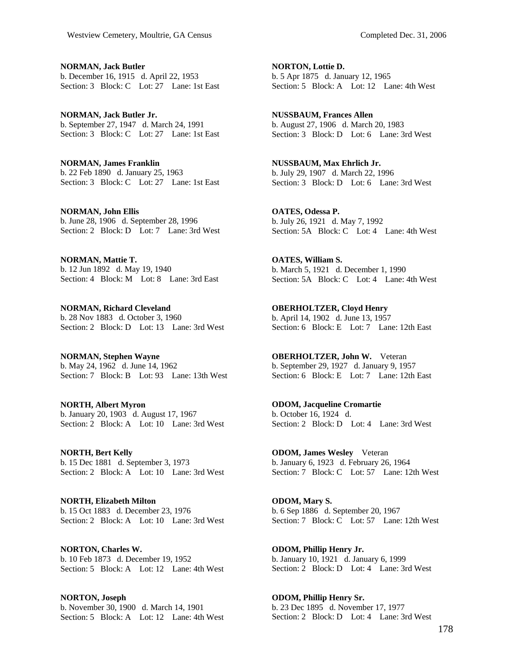**NORMAN, Jack Butler**  b. December 16, 1915 d. April 22, 1953 Section: 3 Block: C Lot: 27 Lane: 1st East

**NORMAN, Jack Butler Jr.**  b. September 27, 1947 d. March 24, 1991 Section: 3 Block: C Lot: 27 Lane: 1st East

**NORMAN, James Franklin**  b. 22 Feb 1890 d. January 25, 1963 Section: 3 Block: C Lot: 27 Lane: 1st East

**NORMAN, John Ellis**  b. June 28, 1906 d. September 28, 1996 Section: 2 Block: D Lot: 7 Lane: 3rd West

**NORMAN, Mattie T.**  b. 12 Jun 1892 d. May 19, 1940 Section: 4 Block: M Lot: 8 Lane: 3rd East

**NORMAN, Richard Cleveland**  b. 28 Nov 1883 d. October 3, 1960 Section: 2 Block: D Lot: 13 Lane: 3rd West

**NORMAN, Stephen Wayne**  b. May 24, 1962 d. June 14, 1962 Section: 7 Block: B Lot: 93 Lane: 13th West

**NORTH, Albert Myron**  b. January 20, 1903 d. August 17, 1967 Section: 2 Block: A Lot: 10 Lane: 3rd West

**NORTH, Bert Kelly**  b. 15 Dec 1881 d. September 3, 1973 Section: 2 Block: A Lot: 10 Lane: 3rd West

**NORTH, Elizabeth Milton**  b. 15 Oct 1883 d. December 23, 1976 Section: 2 Block: A Lot: 10 Lane: 3rd West

**NORTON, Charles W.**  b. 10 Feb 1873 d. December 19, 1952 Section: 5 Block: A Lot: 12 Lane: 4th West

**NORTON, Joseph**  b. November 30, 1900 d. March 14, 1901 Section: 5 Block: A Lot: 12 Lane: 4th West **NORTON, Lottie D.**  b. 5 Apr 1875 d. January 12, 1965 Section: 5 Block: A Lot: 12 Lane: 4th West

**NUSSBAUM, Frances Allen**  b. August 27, 1906 d. March 20, 1983 Section: 3 Block: D Lot: 6 Lane: 3rd West

**NUSSBAUM, Max Ehrlich Jr.**  b. July 29, 1907 d. March 22, 1996 Section: 3 Block: D Lot: 6 Lane: 3rd West

**OATES, Odessa P.**  b. July 26, 1921 d. May 7, 1992 Section: 5A Block: C Lot: 4 Lane: 4th West

**OATES, William S.**  b. March 5, 1921 d. December 1, 1990 Section: 5A Block: C Lot: 4 Lane: 4th West

**OBERHOLTZER, Cloyd Henry**  b. April 14, 1902 d. June 13, 1957 Section: 6 Block: E Lot: 7 Lane: 12th East

**OBERHOLTZER, John W.** Veteran b. September 29, 1927 d. January 9, 1957 Section: 6 Block: E Lot: 7 Lane: 12th East

**ODOM, Jacqueline Cromartie**  b. October 16, 1924 d. Section: 2 Block: D Lot: 4 Lane: 3rd West

**ODOM, James Wesley** Veteran b. January 6, 1923 d. February 26, 1964 Section: 7 Block: C Lot: 57 Lane: 12th West

**ODOM, Mary S.**  b. 6 Sep 1886 d. September 20, 1967 Section: 7 Block: C Lot: 57 Lane: 12th West

**ODOM, Phillip Henry Jr.**  b. January 10, 1921 d. January 6, 1999 Section: 2 Block: D Lot: 4 Lane: 3rd West

**ODOM, Phillip Henry Sr.**  b. 23 Dec 1895 d. November 17, 1977 Section: 2 Block: D Lot: 4 Lane: 3rd West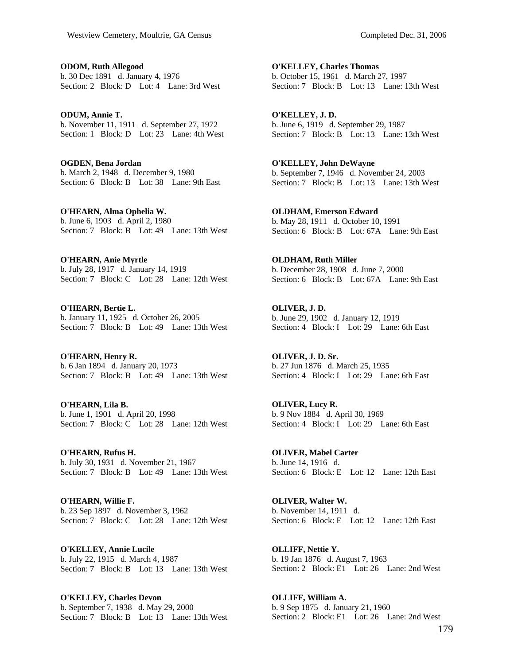**ODOM, Ruth Allegood**  b. 30 Dec 1891 d. January 4, 1976 Section: 2 Block: D Lot: 4 Lane: 3rd West

**ODUM, Annie T.**  b. November 11, 1911 d. September 27, 1972 Section: 1 Block: D Lot: 23 Lane: 4th West

**OGDEN, Bena Jordan**  b. March 2, 1948 d. December 9, 1980 Section: 6 Block: B Lot: 38 Lane: 9th East

**O'HEARN, Alma Ophelia W.**  b. June 6, 1903 d. April 2, 1980 Section: 7 Block: B Lot: 49 Lane: 13th West

**O'HEARN, Anie Myrtle**  b. July 28, 1917 d. January 14, 1919 Section: 7 Block: C Lot: 28 Lane: 12th West

**O'HEARN, Bertie L.**  b. January 11, 1925 d. October 26, 2005 Section: 7 Block: B Lot: 49 Lane: 13th West

**O'HEARN, Henry R.**  b. 6 Jan 1894 d. January 20, 1973 Section: 7 Block: B Lot: 49 Lane: 13th West

**O'HEARN, Lila B.**  b. June 1, 1901 d. April 20, 1998 Section: 7 Block: C Lot: 28 Lane: 12th West

**O'HEARN, Rufus H.**  b. July 30, 1931 d. November 21, 1967 Section: 7 Block: B Lot: 49 Lane: 13th West

**O'HEARN, Willie F.**  b. 23 Sep 1897 d. November 3, 1962 Section: 7 Block: C Lot: 28 Lane: 12th West

**O'KELLEY, Annie Lucile**  b. July 22, 1915 d. March 4, 1987 Section: 7 Block: B Lot: 13 Lane: 13th West

**O'KELLEY, Charles Devon**  b. September 7, 1938 d. May 29, 2000 Section: 7 Block: B Lot: 13 Lane: 13th West

**O'KELLEY, Charles Thomas**  b. October 15, 1961 d. March 27, 1997 Section: 7 Block: B Lot: 13 Lane: 13th West

**O'KELLEY, J. D.**  b. June 6, 1919 d. September 29, 1987 Section: 7 Block: B Lot: 13 Lane: 13th West

**O'KELLEY, John DeWayne**  b. September 7, 1946 d. November 24, 2003 Section: 7 Block: B Lot: 13 Lane: 13th West

**OLDHAM, Emerson Edward**  b. May 28, 1911 d. October 10, 1991 Section: 6 Block: B Lot: 67A Lane: 9th East

**OLDHAM, Ruth Miller**  b. December 28, 1908 d. June 7, 2000 Section: 6 Block: B Lot: 67A Lane: 9th East

**OLIVER, J. D.**  b. June 29, 1902 d. January 12, 1919 Section: 4 Block: I Lot: 29 Lane: 6th East

**OLIVER, J. D. Sr.**  b. 27 Jun 1876 d. March 25, 1935 Section: 4 Block: I Lot: 29 Lane: 6th East

**OLIVER, Lucy R.**  b. 9 Nov 1884 d. April 30, 1969 Section: 4 Block: I Lot: 29 Lane: 6th East

**OLIVER, Mabel Carter**  b. June 14, 1916 d. Section: 6 Block: E Lot: 12 Lane: 12th East

**OLIVER, Walter W.**  b. November 14, 1911 d. Section: 6 Block: E Lot: 12 Lane: 12th East

**OLLIFF, Nettie Y.**  b. 19 Jan 1876 d. August 7, 1963 Section: 2 Block: E1 Lot: 26 Lane: 2nd West

**OLLIFF, William A.**  b. 9 Sep 1875 d. January 21, 1960 Section: 2 Block: E1 Lot: 26 Lane: 2nd West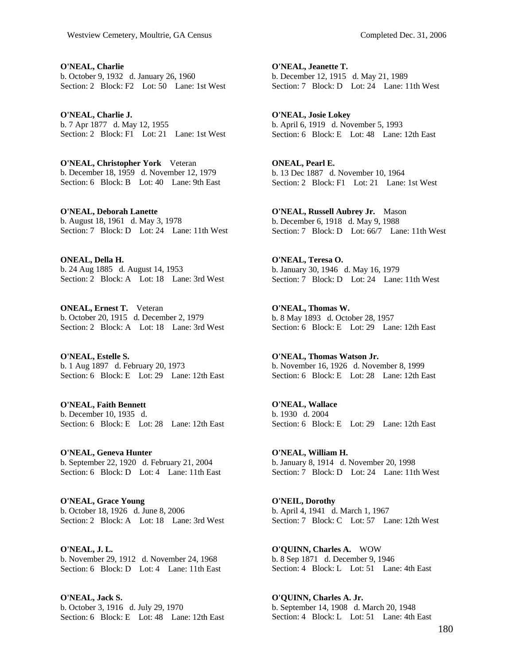**O'NEAL, Charlie**  b. October 9, 1932 d. January 26, 1960 Section: 2 Block: F2 Lot: 50 Lane: 1st West

**O'NEAL, Charlie J.**  b. 7 Apr 1877 d. May 12, 1955 Section: 2 Block: F1 Lot: 21 Lane: 1st West

**O'NEAL, Christopher York** Veteran b. December 18, 1959 d. November 12, 1979 Section: 6 Block: B Lot: 40 Lane: 9th East

**O'NEAL, Deborah Lanette**  b. August 18, 1961 d. May 3, 1978 Section: 7 Block: D Lot: 24 Lane: 11th West

**ONEAL, Della H.**  b. 24 Aug 1885 d. August 14, 1953 Section: 2 Block: A Lot: 18 Lane: 3rd West

**ONEAL, Ernest T.** Veteran b. October 20, 1915 d. December 2, 1979 Section: 2 Block: A Lot: 18 Lane: 3rd West

**O'NEAL, Estelle S.**  b. 1 Aug 1897 d. February 20, 1973 Section: 6 Block: E Lot: 29 Lane: 12th East

**O'NEAL, Faith Bennett**  b. December 10, 1935 d. Section: 6 Block: E Lot: 28 Lane: 12th East

**O'NEAL, Geneva Hunter**  b. September 22, 1920 d. February 21, 2004 Section: 6 Block: D Lot: 4 Lane: 11th East

**O'NEAL, Grace Young**  b. October 18, 1926 d. June 8, 2006 Section: 2 Block: A Lot: 18 Lane: 3rd West

**O'NEAL, J. L.**  b. November 29, 1912 d. November 24, 1968 Section: 6 Block: D Lot: 4 Lane: 11th East

**O'NEAL, Jack S.**  b. October 3, 1916 d. July 29, 1970 Section: 6 Block: E Lot: 48 Lane: 12th East

**O'NEAL, Jeanette T.**  b. December 12, 1915 d. May 21, 1989 Section: 7 Block: D Lot: 24 Lane: 11th West

**O'NEAL, Josie Lokey**  b. April 6, 1919 d. November 5, 1993 Section: 6 Block: E Lot: 48 Lane: 12th East

**ONEAL, Pearl E.**  b. 13 Dec 1887 d. November 10, 1964 Section: 2 Block: F1 Lot: 21 Lane: 1st West

**O'NEAL, Russell Aubrey Jr.** Mason b. December 6, 1918 d. May 9, 1988 Section: 7 Block: D Lot: 66/7 Lane: 11th West

**O'NEAL, Teresa O.**  b. January 30, 1946 d. May 16, 1979 Section: 7 Block: D Lot: 24 Lane: 11th West

**O'NEAL, Thomas W.**  b. 8 May 1893 d. October 28, 1957 Section: 6 Block: E Lot: 29 Lane: 12th East

**O'NEAL, Thomas Watson Jr.**  b. November 16, 1926 d. November 8, 1999 Section: 6 Block: E Lot: 28 Lane: 12th East

**O'NEAL, Wallace**  b. 1930 d. 2004 Section: 6 Block: E Lot: 29 Lane: 12th East

**O'NEAL, William H.**  b. January 8, 1914 d. November 20, 1998 Section: 7 Block: D Lot: 24 Lane: 11th West

**O'NEIL, Dorothy**  b. April 4, 1941 d. March 1, 1967 Section: 7 Block: C Lot: 57 Lane: 12th West

**O'QUINN, Charles A.** WOW b. 8 Sep 1871 d. December 9, 1946 Section: 4 Block: L Lot: 51 Lane: 4th East

**O'QUINN, Charles A. Jr.**  b. September 14, 1908 d. March 20, 1948 Section: 4 Block: L Lot: 51 Lane: 4th East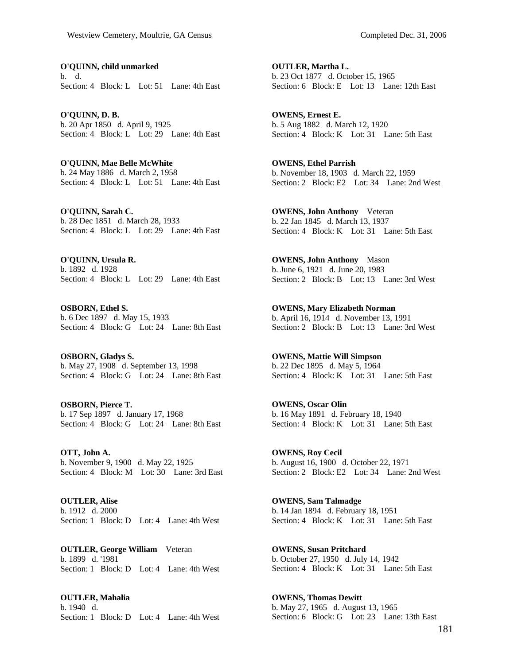**O'QUINN, child unmarked**  b. d. Section: 4 Block: L Lot: 51 Lane: 4th East

**O'QUINN, D. B.**  b. 20 Apr 1850 d. April 9, 1925 Section: 4 Block: L Lot: 29 Lane: 4th East

**O'QUINN, Mae Belle McWhite**  b. 24 May 1886 d. March 2, 1958 Section: 4 Block: L Lot: 51 Lane: 4th East

**O'QUINN, Sarah C.**  b. 28 Dec 1851 d. March 28, 1933 Section: 4 Block: L Lot: 29 Lane: 4th East

**O'QUINN, Ursula R.**  b. 1892 d. 1928 Section: 4 Block: L Lot: 29 Lane: 4th East

**OSBORN, Ethel S.**  b. 6 Dec 1897 d. May 15, 1933 Section: 4 Block: G Lot: 24 Lane: 8th East

**OSBORN, Gladys S.**  b. May 27, 1908 d. September 13, 1998 Section: 4 Block: G Lot: 24 Lane: 8th East

**OSBORN, Pierce T.**  b. 17 Sep 1897 d. January 17, 1968 Section: 4 Block: G Lot: 24 Lane: 8th East

**OTT, John A.**  b. November 9, 1900 d. May 22, 1925 Section: 4 Block: M Lot: 30 Lane: 3rd East

**OUTLER, Alise**  b. 1912 d. 2000 Section: 1 Block: D Lot: 4 Lane: 4th West

**OUTLER, George William** Veteran b. 1899 d. '1981 Section: 1 Block: D Lot: 4 Lane: 4th West

**OUTLER, Mahalia**  b. 1940 d. Section: 1 Block: D Lot: 4 Lane: 4th West

**OUTLER, Martha L.**  b. 23 Oct 1877 d. October 15, 1965 Section: 6 Block: E Lot: 13 Lane: 12th East

**OWENS, Ernest E.**  b. 5 Aug 1882 d. March 12, 1920 Section: 4 Block: K Lot: 31 Lane: 5th East

**OWENS, Ethel Parrish**  b. November 18, 1903 d. March 22, 1959 Section: 2 Block: E2 Lot: 34 Lane: 2nd West

**OWENS, John Anthony** Veteran b. 22 Jan 1845 d. March 13, 1937 Section: 4 Block: K Lot: 31 Lane: 5th East

**OWENS, John Anthony** Mason b. June 6, 1921 d. June 20, 1983 Section: 2 Block: B Lot: 13 Lane: 3rd West

**OWENS, Mary Elizabeth Norman**  b. April 16, 1914 d. November 13, 1991 Section: 2 Block: B Lot: 13 Lane: 3rd West

**OWENS, Mattie Will Simpson**  b. 22 Dec 1895 d. May 5, 1964 Section: 4 Block: K Lot: 31 Lane: 5th East

**OWENS, Oscar Olin**  b. 16 May 1891 d. February 18, 1940 Section: 4 Block: K Lot: 31 Lane: 5th East

**OWENS, Roy Cecil**  b. August 16, 1900 d. October 22, 1971 Section: 2 Block: E2 Lot: 34 Lane: 2nd West

**OWENS, Sam Talmadge**  b. 14 Jan 1894 d. February 18, 1951 Section: 4 Block: K Lot: 31 Lane: 5th East

**OWENS, Susan Pritchard**  b. October 27, 1950 d. July 14, 1942 Section: 4 Block: K Lot: 31 Lane: 5th East

**OWENS, Thomas Dewitt**  b. May 27, 1965 d. August 13, 1965 Section: 6 Block: G Lot: 23 Lane: 13th East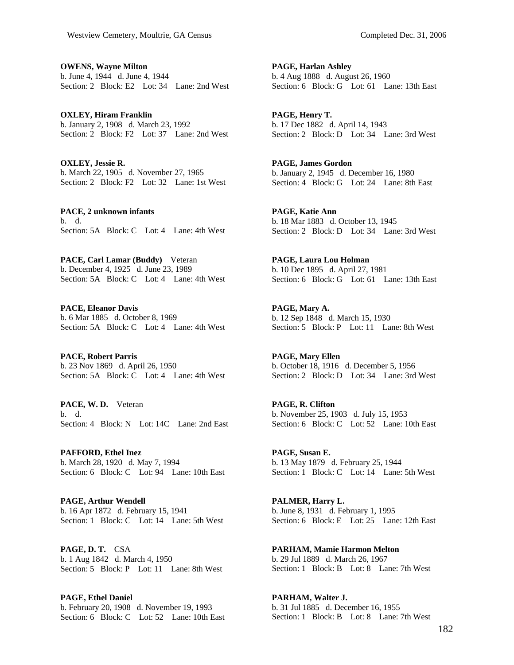**OWENS, Wayne Milton**  b. June 4, 1944 d. June 4, 1944 Section: 2 Block: E2 Lot: 34 Lane: 2nd West

**OXLEY, Hiram Franklin**  b. January 2, 1908 d. March 23, 1992 Section: 2 Block: F2 Lot: 37 Lane: 2nd West

**OXLEY, Jessie R.**  b. March 22, 1905 d. November 27, 1965 Section: 2 Block: F2 Lot: 32 Lane: 1st West

**PACE, 2 unknown infants**  b. d. Section: 5A Block: C Lot: 4 Lane: 4th West

**PACE, Carl Lamar (Buddy)** Veteran b. December 4, 1925 d. June 23, 1989 Section: 5A Block: C Lot: 4 Lane: 4th West

**PACE, Eleanor Davis**  b. 6 Mar 1885 d. October 8, 1969 Section: 5A Block: C Lot: 4 Lane: 4th West

**PACE, Robert Parris**  b. 23 Nov 1869 d. April 26, 1950 Section: 5A Block: C Lot: 4 Lane: 4th West

**PACE, W. D.** Veteran b. d. Section: 4 Block: N Lot: 14C Lane: 2nd East

**PAFFORD, Ethel Inez**  b. March 28, 1920 d. May 7, 1994 Section: 6 Block: C Lot: 94 Lane: 10th East

**PAGE, Arthur Wendell**  b. 16 Apr 1872 d. February 15, 1941 Section: 1 Block: C Lot: 14 Lane: 5th West

**PAGE, D. T.** CSA b. 1 Aug 1842 d. March 4, 1950 Section: 5 Block: P Lot: 11 Lane: 8th West

**PAGE, Ethel Daniel**  b. February 20, 1908 d. November 19, 1993 Section: 6 Block: C Lot: 52 Lane: 10th East **PAGE, Harlan Ashley**  b. 4 Aug 1888 d. August 26, 1960 Section: 6 Block: G Lot: 61 Lane: 13th East

**PAGE, Henry T.**  b. 17 Dec 1882 d. April 14, 1943 Section: 2 Block: D Lot: 34 Lane: 3rd West

**PAGE, James Gordon**  b. January 2, 1945 d. December 16, 1980 Section: 4 Block: G Lot: 24 Lane: 8th East

**PAGE, Katie Ann**  b. 18 Mar 1883 d. October 13, 1945 Section: 2 Block: D Lot: 34 Lane: 3rd West

**PAGE, Laura Lou Holman**  b. 10 Dec 1895 d. April 27, 1981 Section: 6 Block: G Lot: 61 Lane: 13th East

**PAGE, Mary A.**  b. 12 Sep 1848 d. March 15, 1930 Section: 5 Block: P Lot: 11 Lane: 8th West

**PAGE, Mary Ellen**  b. October 18, 1916 d. December 5, 1956 Section: 2 Block: D Lot: 34 Lane: 3rd West

**PAGE, R. Clifton**  b. November 25, 1903 d. July 15, 1953 Section: 6 Block: C Lot: 52 Lane: 10th East

**PAGE, Susan E.**  b. 13 May 1879 d. February 25, 1944 Section: 1 Block: C Lot: 14 Lane: 5th West

**PALMER, Harry L.**  b. June 8, 1931 d. February 1, 1995 Section: 6 Block: E Lot: 25 Lane: 12th East

**PARHAM, Mamie Harmon Melton**  b. 29 Jul 1889 d. March 26, 1967 Section: 1 Block: B Lot: 8 Lane: 7th West

**PARHAM, Walter J.**  b. 31 Jul 1885 d. December 16, 1955 Section: 1 Block: B Lot: 8 Lane: 7th West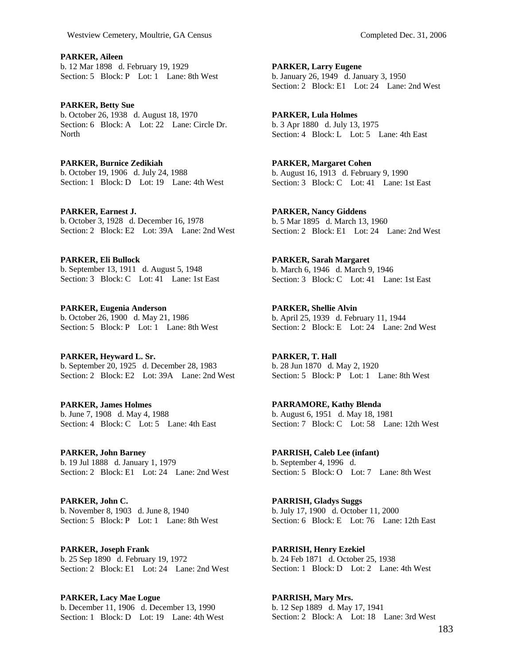**PARKER, Aileen**  b. 12 Mar 1898 d. February 19, 1929 Section: 5 Block: P Lot: 1 Lane: 8th West

**PARKER, Betty Sue**  b. October 26, 1938 d. August 18, 1970 Section: 6 Block: A Lot: 22 Lane: Circle Dr. North

**PARKER, Burnice Zedikiah**  b. October 19, 1906 d. July 24, 1988 Section: 1 Block: D Lot: 19 Lane: 4th West

**PARKER, Earnest J.**  b. October 3, 1928 d. December 16, 1978 Section: 2 Block: E2 Lot: 39A Lane: 2nd West

**PARKER, Eli Bullock**  b. September 13, 1911 d. August 5, 1948 Section: 3 Block: C Lot: 41 Lane: 1st East

**PARKER, Eugenia Anderson**  b. October 26, 1900 d. May 21, 1986 Section: 5 Block: P Lot: 1 Lane: 8th West

**PARKER, Heyward L. Sr.**  b. September 20, 1925 d. December 28, 1983 Section: 2 Block: E2 Lot: 39A Lane: 2nd West

**PARKER, James Holmes**  b. June 7, 1908 d. May 4, 1988 Section: 4 Block: C Lot: 5 Lane: 4th East

**PARKER, John Barney**  b. 19 Jul 1888 d. January 1, 1979 Section: 2 Block: E1 Lot: 24 Lane: 2nd West

**PARKER, John C.**  b. November 8, 1903 d. June 8, 1940 Section: 5 Block: P Lot: 1 Lane: 8th West

**PARKER, Joseph Frank**  b. 25 Sep 1890 d. February 19, 1972 Section: 2 Block: E1 Lot: 24 Lane: 2nd West

**PARKER, Lacy Mae Logue**  b. December 11, 1906 d. December 13, 1990 Section: 1 Block: D Lot: 19 Lane: 4th West **PARKER, Lula Holmes**  b. 3 Apr 1880 d. July 13, 1975 Section: 4 Block: L Lot: 5 Lane: 4th East

**PARKER, Margaret Cohen**  b. August 16, 1913 d. February 9, 1990 Section: 3 Block: C Lot: 41 Lane: 1st East

**PARKER, Nancy Giddens**  b. 5 Mar 1895 d. March 13, 1960 Section: 2 Block: E1 Lot: 24 Lane: 2nd West

**PARKER, Sarah Margaret**  b. March 6, 1946 d. March 9, 1946 Section: 3 Block: C Lot: 41 Lane: 1st East

**PARKER, Shellie Alvin**  b. April 25, 1939 d. February 11, 1944 Section: 2 Block: E Lot: 24 Lane: 2nd West

**PARKER, T. Hall**  b. 28 Jun 1870 d. May 2, 1920 Section: 5 Block: P Lot: 1 Lane: 8th West

**PARRAMORE, Kathy Blenda**  b. August 6, 1951 d. May 18, 1981 Section: 7 Block: C Lot: 58 Lane: 12th West

**PARRISH, Caleb Lee (infant)**  b. September 4, 1996 d. Section: 5 Block: O Lot: 7 Lane: 8th West

**PARRISH, Gladys Suggs**  b. July 17, 1900 d. October 11, 2000 Section: 6 Block: E Lot: 76 Lane: 12th East

**PARRISH, Henry Ezekiel**  b. 24 Feb 1871 d. October 25, 1938 Section: 1 Block: D Lot: 2 Lane: 4th West

**PARRISH, Mary Mrs.**  b. 12 Sep 1889 d. May 17, 1941 Section: 2 Block: A Lot: 18 Lane: 3rd West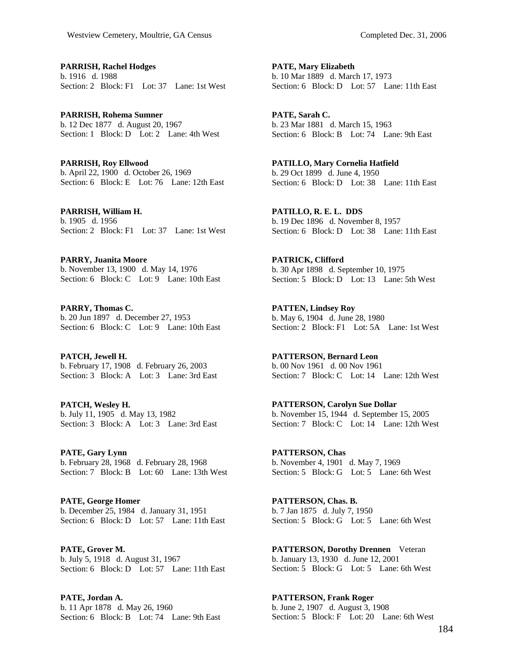**PARRISH, Rachel Hodges**  b. 1916 d. 1988 Section: 2 Block: F1 Lot: 37 Lane: 1st West

**PARRISH, Rohema Sumner**  b. 12 Dec 1877 d. August 20, 1967 Section: 1 Block: D Lot: 2 Lane: 4th West

**PARRISH, Roy Ellwood**  b. April 22, 1900 d. October 26, 1969 Section: 6 Block: E Lot: 76 Lane: 12th East

**PARRISH, William H.**  b. 1905 d. 1956 Section: 2 Block: F1 Lot: 37 Lane: 1st West

**PARRY, Juanita Moore**  b. November 13, 1900 d. May 14, 1976 Section: 6 Block: C Lot: 9 Lane: 10th East

**PARRY, Thomas C.**  b. 20 Jun 1897 d. December 27, 1953 Section: 6 Block: C Lot: 9 Lane: 10th East

**PATCH, Jewell H.**  b. February 17, 1908 d. February 26, 2003 Section: 3 Block: A Lot: 3 Lane: 3rd East

**PATCH, Wesley H.**  b. July 11, 1905 d. May 13, 1982 Section: 3 Block: A Lot: 3 Lane: 3rd East

**PATE, Gary Lynn**  b. February 28, 1968 d. February 28, 1968 Section: 7 Block: B Lot: 60 Lane: 13th West

**PATE, George Homer**  b. December 25, 1984 d. January 31, 1951 Section: 6 Block: D Lot: 57 Lane: 11th East

**PATE, Grover M.**  b. July 5, 1918 d. August 31, 1967 Section: 6 Block: D Lot: 57 Lane: 11th East

**PATE, Jordan A.**  b. 11 Apr 1878 d. May 26, 1960 Section: 6 Block: B Lot: 74 Lane: 9th East **PATE, Mary Elizabeth**  b. 10 Mar 1889 d. March 17, 1973 Section: 6 Block: D Lot: 57 Lane: 11th East

**PATE, Sarah C.**  b. 23 Mar 1881 d. March 15, 1963 Section: 6 Block: B Lot: 74 Lane: 9th East

**PATILLO, Mary Cornelia Hatfield**  b. 29 Oct 1899 d. June 4, 1950 Section: 6 Block: D Lot: 38 Lane: 11th East

**PATILLO, R. E. L. DDS**  b. 19 Dec 1896 d. November 8, 1957 Section: 6 Block: D Lot: 38 Lane: 11th East

**PATRICK, Clifford**  b. 30 Apr 1898 d. September 10, 1975 Section: 5 Block: D Lot: 13 Lane: 5th West

**PATTEN, Lindsey Roy**  b. May 6, 1904 d. June 28, 1980 Section: 2 Block: F1 Lot: 5A Lane: 1st West

**PATTERSON, Bernard Leon**  b. 00 Nov 1961 d. 00 Nov 1961 Section: 7 Block: C Lot: 14 Lane: 12th West

**PATTERSON, Carolyn Sue Dollar**  b. November 15, 1944 d. September 15, 2005 Section: 7 Block: C Lot: 14 Lane: 12th West

**PATTERSON, Chas**  b. November 4, 1901 d. May 7, 1969 Section: 5 Block: G Lot: 5 Lane: 6th West

**PATTERSON, Chas. B.**  b. 7 Jan 1875 d. July 7, 1950 Section: 5 Block: G Lot: 5 Lane: 6th West

**PATTERSON, Dorothy Drennen** Veteran b. January 13, 1930 d. June 12, 2001 Section: 5 Block: G Lot: 5 Lane: 6th West

**PATTERSON, Frank Roger**  b. June 2, 1907 d. August 3, 1908 Section: 5 Block: F Lot: 20 Lane: 6th West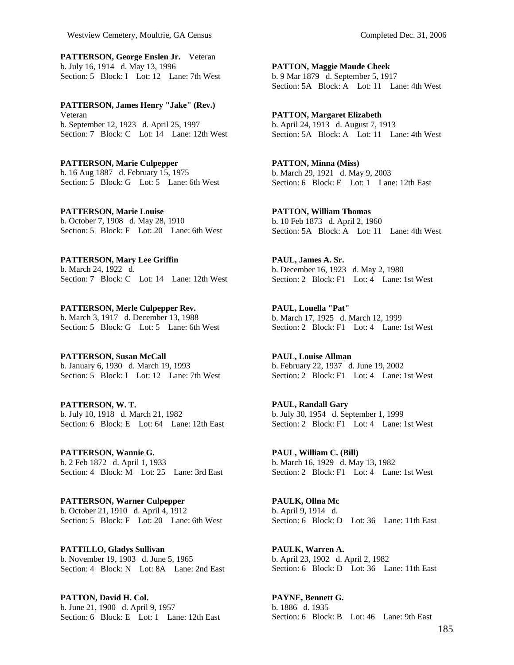**PATTERSON, George Enslen Jr.** Veteran b. July 16, 1914 d. May 13, 1996 Section: 5 Block: I Lot: 12 Lane: 7th West

**PATTERSON, James Henry "Jake" (Rev.)**  Veteran b. September 12, 1923 d. April 25, 1997 Section: 7 Block: C Lot: 14 Lane: 12th West

**PATTERSON, Marie Culpepper**  b. 16 Aug 1887 d. February 15, 1975 Section: 5 Block: G Lot: 5 Lane: 6th West

**PATTERSON, Marie Louise**  b. October 7, 1908 d. May 28, 1910 Section: 5 Block: F Lot: 20 Lane: 6th West

**PATTERSON, Mary Lee Griffin**  b. March 24, 1922 d. Section: 7 Block: C Lot: 14 Lane: 12th West

**PATTERSON, Merle Culpepper Rev.**  b. March 3, 1917 d. December 13, 1988 Section: 5 Block: G Lot: 5 Lane: 6th West

**PATTERSON, Susan McCall**  b. January 6, 1930 d. March 19, 1993 Section: 5 Block: I Lot: 12 Lane: 7th West

**PATTERSON, W. T.**  b. July 10, 1918 d. March 21, 1982 Section: 6 Block: E Lot: 64 Lane: 12th East

**PATTERSON, Wannie G.**  b. 2 Feb 1872 d. April 1, 1933 Section: 4 Block: M Lot: 25 Lane: 3rd East

**PATTERSON, Warner Culpepper**  b. October 21, 1910 d. April 4, 1912 Section: 5 Block: F Lot: 20 Lane: 6th West

**PATTILLO, Gladys Sullivan**  b. November 19, 1903 d. June 5, 1965 Section: 4 Block: N Lot: 8A Lane: 2nd East

**PATTON, David H. Col.**  b. June 21, 1900 d. April 9, 1957 Section: 6 Block: E Lot: 1 Lane: 12th East **PATTON, Maggie Maude Cheek**  b. 9 Mar 1879 d. September 5, 1917 Section: 5A Block: A Lot: 11 Lane: 4th West

**PATTON, Margaret Elizabeth**  b. April 24, 1913 d. August 7, 1913 Section: 5A Block: A Lot: 11 Lane: 4th West

**PATTON, Minna (Miss)**  b. March 29, 1921 d. May 9, 2003 Section: 6 Block: E Lot: 1 Lane: 12th East

**PATTON, William Thomas**  b. 10 Feb 1873 d. April 2, 1960 Section: 5A Block: A Lot: 11 Lane: 4th West

**PAUL, James A. Sr.**  b. December 16, 1923 d. May 2, 1980 Section: 2 Block: F1 Lot: 4 Lane: 1st West

**PAUL, Louella "Pat"**  b. March 17, 1925 d. March 12, 1999 Section: 2 Block: F1 Lot: 4 Lane: 1st West

**PAUL, Louise Allman**  b. February 22, 1937 d. June 19, 2002 Section: 2 Block: F1 Lot: 4 Lane: 1st West

**PAUL, Randall Gary**  b. July 30, 1954 d. September 1, 1999 Section: 2 Block: F1 Lot: 4 Lane: 1st West

**PAUL, William C. (Bill)**  b. March 16, 1929 d. May 13, 1982 Section: 2 Block: F1 Lot: 4 Lane: 1st West

**PAULK, Ollna Mc**  b. April 9, 1914 d. Section: 6 Block: D Lot: 36 Lane: 11th East

**PAULK, Warren A.**  b. April 23, 1902 d. April 2, 1982 Section: 6 Block: D Lot: 36 Lane: 11th East

**PAYNE, Bennett G.**  b. 1886 d. 1935 Section: 6 Block: B Lot: 46 Lane: 9th East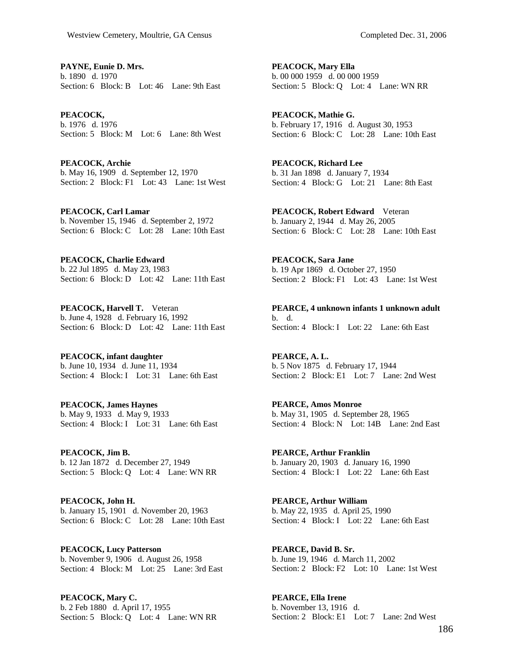**PAYNE, Eunie D. Mrs.**  b. 1890 d. 1970 Section: 6 Block: B Lot: 46 Lane: 9th East

**PEACOCK,**  b. 1976 d. 1976 Section: 5 Block: M Lot: 6 Lane: 8th West

**PEACOCK, Archie**  b. May 16, 1909 d. September 12, 1970 Section: 2 Block: F1 Lot: 43 Lane: 1st West

**PEACOCK, Carl Lamar**  b. November 15, 1946 d. September 2, 1972 Section: 6 Block: C Lot: 28 Lane: 10th East

**PEACOCK, Charlie Edward**  b. 22 Jul 1895 d. May 23, 1983 Section: 6 Block: D Lot: 42 Lane: 11th East

**PEACOCK, Harvell T.** Veteran b. June 4, 1928 d. February 16, 1992 Section: 6 Block: D Lot: 42 Lane: 11th East

**PEACOCK, infant daughter**  b. June 10, 1934 d. June 11, 1934 Section: 4 Block: I Lot: 31 Lane: 6th East

**PEACOCK, James Haynes**  b. May 9, 1933 d. May 9, 1933 Section: 4 Block: I Lot: 31 Lane: 6th East

**PEACOCK, Jim B.**  b. 12 Jan 1872 d. December 27, 1949 Section: 5 Block: Q Lot: 4 Lane: WN RR

**PEACOCK, John H.**  b. January 15, 1901 d. November 20, 1963 Section: 6 Block: C Lot: 28 Lane: 10th East

**PEACOCK, Lucy Patterson**  b. November 9, 1906 d. August 26, 1958 Section: 4 Block: M Lot: 25 Lane: 3rd East

**PEACOCK, Mary C.**  b. 2 Feb 1880 d. April 17, 1955 Section: 5 Block: Q Lot: 4 Lane: WN RR **PEACOCK, Mary Ella**  b. 00 000 1959 d. 00 000 1959 Section: 5 Block: Q Lot: 4 Lane: WN RR

**PEACOCK, Mathie G.**  b. February 17, 1916 d. August 30, 1953 Section: 6 Block: C Lot: 28 Lane: 10th East

**PEACOCK, Richard Lee**  b. 31 Jan 1898 d. January 7, 1934 Section: 4 Block: G Lot: 21 Lane: 8th East

**PEACOCK, Robert Edward** Veteran b. January 2, 1944 d. May 26, 2005 Section: 6 Block: C Lot: 28 Lane: 10th East

**PEACOCK, Sara Jane**  b. 19 Apr 1869 d. October 27, 1950 Section: 2 Block: F1 Lot: 43 Lane: 1st West

**PEARCE, 4 unknown infants 1 unknown adult**  b. d. Section: 4 Block: I Lot: 22 Lane: 6th East

**PEARCE, A. L.**  b. 5 Nov 1875 d. February 17, 1944 Section: 2 Block: E1 Lot: 7 Lane: 2nd West

**PEARCE, Amos Monroe**  b. May 31, 1905 d. September 28, 1965 Section: 4 Block: N Lot: 14B Lane: 2nd East

**PEARCE, Arthur Franklin**  b. January 20, 1903 d. January 16, 1990 Section: 4 Block: I Lot: 22 Lane: 6th East

**PEARCE, Arthur William**  b. May 22, 1935 d. April 25, 1990 Section: 4 Block: I Lot: 22 Lane: 6th East

**PEARCE, David B. Sr.**  b. June 19, 1946 d. March 11, 2002 Section: 2 Block: F2 Lot: 10 Lane: 1st West

**PEARCE, Ella Irene**  b. November 13, 1916 d. Section: 2 Block: E1 Lot: 7 Lane: 2nd West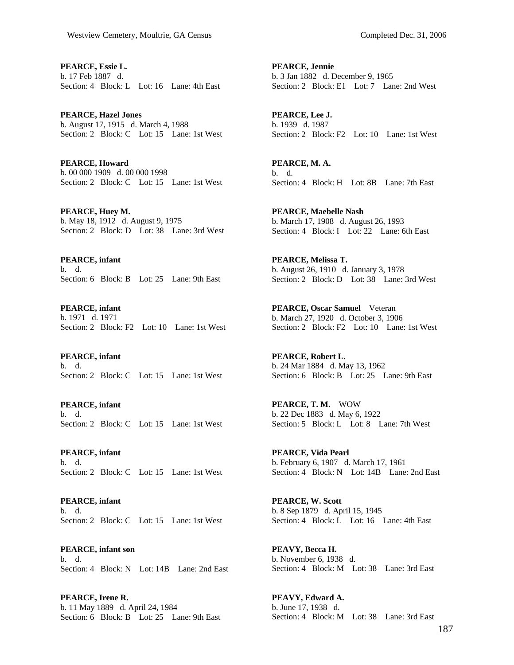**PEARCE, Essie L.**  b. 17 Feb 1887 d. Section: 4 Block: L Lot: 16 Lane: 4th East

**PEARCE, Hazel Jones**  b. August 17, 1915 d. March 4, 1988 Section: 2 Block: C Lot: 15 Lane: 1st West

**PEARCE, Howard**  b. 00 000 1909 d. 00 000 1998 Section: 2 Block: C Lot: 15 Lane: 1st West

**PEARCE, Huey M.**  b. May 18, 1912 d. August 9, 1975 Section: 2 Block: D Lot: 38 Lane: 3rd West

**PEARCE, infant**  b. d. Section: 6 Block: B Lot: 25 Lane: 9th East

**PEARCE, infant**  b. 1971 d. 1971 Section: 2 Block: F2 Lot: 10 Lane: 1st West

**PEARCE, infant**  b. d. Section: 2 Block: C Lot: 15 Lane: 1st West

**PEARCE, infant**  b. d. Section: 2 Block: C Lot: 15 Lane: 1st West

**PEARCE, infant**  b. d. Section: 2 Block: C Lot: 15 Lane: 1st West

**PEARCE, infant**  b. d. Section: 2 Block: C Lot: 15 Lane: 1st West

**PEARCE, infant son**  b. d. Section: 4 Block: N Lot: 14B Lane: 2nd East

**PEARCE, Irene R.**  b. 11 May 1889 d. April 24, 1984 Section: 6 Block: B Lot: 25 Lane: 9th East **PEARCE, Jennie**  b. 3 Jan 1882 d. December 9, 1965 Section: 2 Block: E1 Lot: 7 Lane: 2nd West

**PEARCE, Lee J.**  b. 1939 d. 1987 Section: 2 Block: F2 Lot: 10 Lane: 1st West

**PEARCE, M. A.**  b. d. Section: 4 Block: H Lot: 8B Lane: 7th East

**PEARCE, Maebelle Nash**  b. March 17, 1908 d. August 26, 1993 Section: 4 Block: I Lot: 22 Lane: 6th East

**PEARCE, Melissa T.**  b. August 26, 1910 d. January 3, 1978 Section: 2 Block: D Lot: 38 Lane: 3rd West

**PEARCE, Oscar Samuel** Veteran b. March 27, 1920 d. October 3, 1906 Section: 2 Block: F2 Lot: 10 Lane: 1st West

**PEARCE, Robert L.**  b. 24 Mar 1884 d. May 13, 1962 Section: 6 Block: B Lot: 25 Lane: 9th East

**PEARCE, T. M.** WOW b. 22 Dec 1883 d. May 6, 1922 Section: 5 Block: L Lot: 8 Lane: 7th West

**PEARCE, Vida Pearl**  b. February 6, 1907 d. March 17, 1961 Section: 4 Block: N Lot: 14B Lane: 2nd East

**PEARCE, W. Scott**  b. 8 Sep 1879 d. April 15, 1945 Section: 4 Block: L Lot: 16 Lane: 4th East

**PEAVY, Becca H.**  b. November 6, 1938 d. Section: 4 Block: M Lot: 38 Lane: 3rd East

**PEAVY, Edward A.**  b. June 17, 1938 d. Section: 4 Block: M Lot: 38 Lane: 3rd East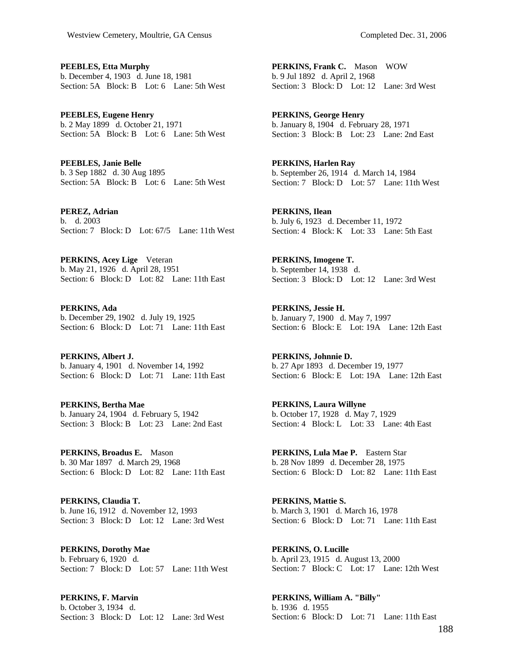**PEEBLES, Etta Murphy**  b. December 4, 1903 d. June 18, 1981 Section: 5A Block: B Lot: 6 Lane: 5th West

**PEEBLES, Eugene Henry**  b. 2 May 1899 d. October 21, 1971 Section: 5A Block: B Lot: 6 Lane: 5th West

**PEEBLES, Janie Belle**  b. 3 Sep 1882 d. 30 Aug 1895 Section: 5A Block: B Lot: 6 Lane: 5th West

**PEREZ, Adrian**  b. d. 2003 Section: 7 Block: D Lot: 67/5 Lane: 11th West

**PERKINS, Acey Lige** Veteran b. May 21, 1926 d. April 28, 1951 Section: 6 Block: D Lot: 82 Lane: 11th East

**PERKINS, Ada**  b. December 29, 1902 d. July 19, 1925 Section: 6 Block: D Lot: 71 Lane: 11th East

**PERKINS, Albert J.**  b. January 4, 1901 d. November 14, 1992 Section: 6 Block: D Lot: 71 Lane: 11th East

**PERKINS, Bertha Mae**  b. January 24, 1904 d. February 5, 1942 Section: 3 Block: B Lot: 23 Lane: 2nd East

**PERKINS, Broadus E.** Mason b. 30 Mar 1897 d. March 29, 1968 Section: 6 Block: D Lot: 82 Lane: 11th East

**PERKINS, Claudia T.**  b. June 16, 1912 d. November 12, 1993 Section: 3 Block: D Lot: 12 Lane: 3rd West

**PERKINS, Dorothy Mae**  b. February 6, 1920 d. Section: 7 Block: D Lot: 57 Lane: 11th West

**PERKINS, F. Marvin**  b. October 3, 1934 d. Section: 3 Block: D Lot: 12 Lane: 3rd West **PERKINS, Frank C.** Mason WOW b. 9 Jul 1892 d. April 2, 1968 Section: 3 Block: D Lot: 12 Lane: 3rd West

**PERKINS, George Henry**  b. January 8, 1904 d. February 28, 1971 Section: 3 Block: B Lot: 23 Lane: 2nd East

**PERKINS, Harlen Ray**  b. September 26, 1914 d. March 14, 1984 Section: 7 Block: D Lot: 57 Lane: 11th West

**PERKINS, Ilean**  b. July 6, 1923 d. December 11, 1972 Section: 4 Block: K Lot: 33 Lane: 5th East

**PERKINS, Imogene T.**  b. September 14, 1938 d. Section: 3 Block: D Lot: 12 Lane: 3rd West

**PERKINS, Jessie H.**  b. January 7, 1900 d. May 7, 1997 Section: 6 Block: E Lot: 19A Lane: 12th East

**PERKINS, Johnnie D.**  b. 27 Apr 1893 d. December 19, 1977 Section: 6 Block: E Lot: 19A Lane: 12th East

**PERKINS, Laura Willyne**  b. October 17, 1928 d. May 7, 1929 Section: 4 Block: L Lot: 33 Lane: 4th East

**PERKINS, Lula Mae P.** Eastern Star b. 28 Nov 1899 d. December 28, 1975 Section: 6 Block: D Lot: 82 Lane: 11th East

**PERKINS, Mattie S.**  b. March 3, 1901 d. March 16, 1978 Section: 6 Block: D Lot: 71 Lane: 11th East

**PERKINS, O. Lucille**  b. April 23, 1915 d. August 13, 2000 Section: 7 Block: C Lot: 17 Lane: 12th West

**PERKINS, William A. "Billy"**  b. 1936 d. 1955 Section: 6 Block: D Lot: 71 Lane: 11th East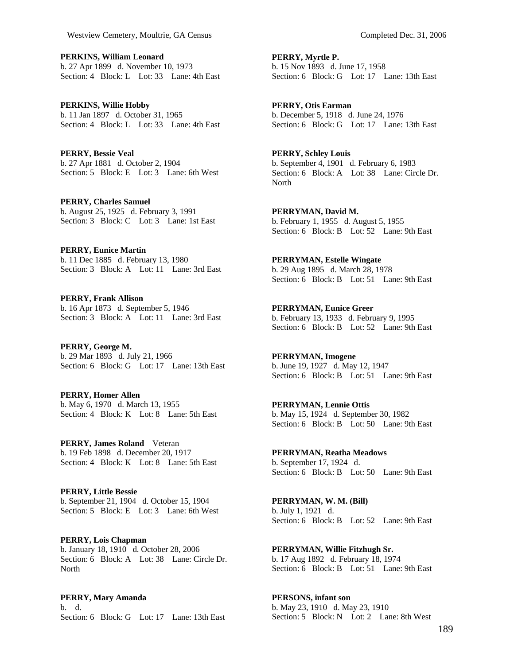**PERKINS, William Leonard**  b. 27 Apr 1899 d. November 10, 1973 Section: 4 Block: L Lot: 33 Lane: 4th East

**PERKINS, Willie Hobby**  b. 11 Jan 1897 d. October 31, 1965 Section: 4 Block: L Lot: 33 Lane: 4th East

**PERRY, Bessie Veal**  b. 27 Apr 1881 d. October 2, 1904 Section: 5 Block: E Lot: 3 Lane: 6th West

**PERRY, Charles Samuel**  b. August 25, 1925 d. February 3, 1991 Section: 3 Block: C Lot: 3 Lane: 1st East

**PERRY, Eunice Martin**  b. 11 Dec 1885 d. February 13, 1980 Section: 3 Block: A Lot: 11 Lane: 3rd East

**PERRY, Frank Allison**  b. 16 Apr 1873 d. September 5, 1946 Section: 3 Block: A Lot: 11 Lane: 3rd East

**PERRY, George M.**  b. 29 Mar 1893 d. July 21, 1966 Section: 6 Block: G Lot: 17 Lane: 13th East

**PERRY, Homer Allen**  b. May 6, 1970 d. March 13, 1955 Section: 4 Block: K Lot: 8 Lane: 5th East

**PERRY, James Roland** Veteran b. 19 Feb 1898 d. December 20, 1917 Section: 4 Block: K Lot: 8 Lane: 5th East

**PERRY, Little Bessie**  b. September 21, 1904 d. October 15, 1904 Section: 5 Block: E Lot: 3 Lane: 6th West

**PERRY, Lois Chapman**  b. January 18, 1910 d. October 28, 2006 Section: 6 Block: A Lot: 38 Lane: Circle Dr. **North** 

**PERRY, Mary Amanda**  b. d. Section: 6 Block: G Lot: 17 Lane: 13th East **PERRY, Myrtle P.**  b. 15 Nov 1893 d. June 17, 1958 Section: 6 Block: G Lot: 17 Lane: 13th East

**PERRY, Otis Earman**  b. December 5, 1918 d. June 24, 1976 Section: 6 Block: G Lot: 17 Lane: 13th East

**PERRY, Schley Louis**  b. September 4, 1901 d. February 6, 1983 Section: 6 Block: A Lot: 38 Lane: Circle Dr. North

**PERRYMAN, David M.**  b. February 1, 1955 d. August 5, 1955 Section: 6 Block: B Lot: 52 Lane: 9th East

**PERRYMAN, Estelle Wingate**  b. 29 Aug 1895 d. March 28, 1978 Section: 6 Block: B Lot: 51 Lane: 9th East

**PERRYMAN, Eunice Greer**  b. February 13, 1933 d. February 9, 1995 Section: 6 Block: B Lot: 52 Lane: 9th East

**PERRYMAN, Imogene**  b. June 19, 1927 d. May 12, 1947 Section: 6 Block: B Lot: 51 Lane: 9th East

**PERRYMAN, Lennie Ottis**  b. May 15, 1924 d. September 30, 1982 Section: 6 Block: B Lot: 50 Lane: 9th East

**PERRYMAN, Reatha Meadows**  b. September 17, 1924 d. Section: 6 Block: B Lot: 50 Lane: 9th East

**PERRYMAN, W. M. (Bill)**  b. July 1, 1921 d. Section: 6 Block: B Lot: 52 Lane: 9th East

**PERRYMAN, Willie Fitzhugh Sr.**  b. 17 Aug 1892 d. February 18, 1974 Section: 6 Block: B Lot: 51 Lane: 9th East

**PERSONS, infant son**  b. May 23, 1910 d. May 23, 1910 Section: 5 Block: N Lot: 2 Lane: 8th West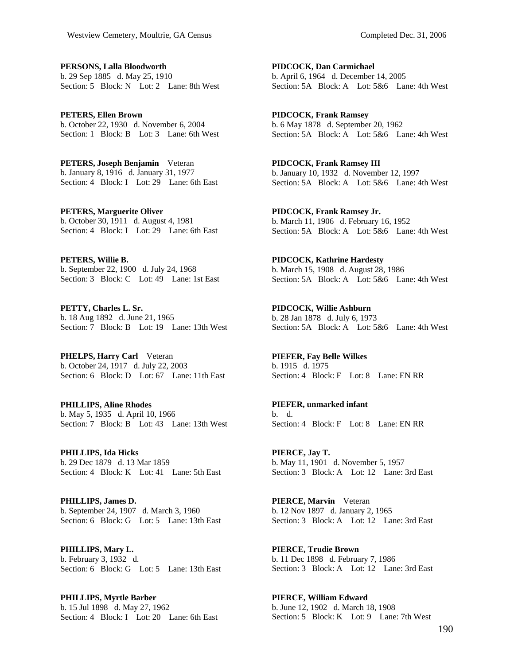**PERSONS, Lalla Bloodworth**  b. 29 Sep 1885 d. May 25, 1910 Section: 5 Block: N Lot: 2 Lane: 8th West

**PETERS, Ellen Brown**  b. October 22, 1930 d. November 6, 2004 Section: 1 Block: B Lot: 3 Lane: 6th West

**PETERS, Joseph Benjamin** Veteran b. January 8, 1916 d. January 31, 1977 Section: 4 Block: I Lot: 29 Lane: 6th East

**PETERS, Marguerite Oliver**  b. October 30, 1911 d. August 4, 1981 Section: 4 Block: I Lot: 29 Lane: 6th East

**PETERS, Willie B.**  b. September 22, 1900 d. July 24, 1968 Section: 3 Block: C Lot: 49 Lane: 1st East

**PETTY, Charles L. Sr.**  b. 18 Aug 1892 d. June 21, 1965 Section: 7 Block: B Lot: 19 Lane: 13th West

**PHELPS, Harry Carl** Veteran b. October 24, 1917 d. July 22, 2003 Section: 6 Block: D Lot: 67 Lane: 11th East

**PHILLIPS, Aline Rhodes**  b. May 5, 1935 d. April 10, 1966 Section: 7 Block: B Lot: 43 Lane: 13th West

**PHILLIPS, Ida Hicks**  b. 29 Dec 1879 d. 13 Mar 1859 Section: 4 Block: K Lot: 41 Lane: 5th East

**PHILLIPS, James D.**  b. September 24, 1907 d. March 3, 1960 Section: 6 Block: G Lot: 5 Lane: 13th East

**PHILLIPS, Mary L.**  b. February 3, 1932 d. Section: 6 Block: G Lot: 5 Lane: 13th East

**PHILLIPS, Myrtle Barber**  b. 15 Jul 1898 d. May 27, 1962 Section: 4 Block: I Lot: 20 Lane: 6th East

**PIDCOCK, Dan Carmichael**  b. April 6, 1964 d. December 14, 2005 Section: 5A Block: A Lot: 5&6 Lane: 4th West

**PIDCOCK, Frank Ramsey**  b. 6 May 1878 d. September 20, 1962 Section: 5A Block: A Lot: 5&6 Lane: 4th West

**PIDCOCK, Frank Ramsey III**  b. January 10, 1932 d. November 12, 1997 Section: 5A Block: A Lot: 5&6 Lane: 4th West

**PIDCOCK, Frank Ramsey Jr.**  b. March 11, 1906 d. February 16, 1952 Section: 5A Block: A Lot: 5&6 Lane: 4th West

**PIDCOCK, Kathrine Hardesty**  b. March 15, 1908 d. August 28, 1986 Section: 5A Block: A Lot: 5&6 Lane: 4th West

**PIDCOCK, Willie Ashburn**  b. 28 Jan 1878 d. July 6, 1973 Section: 5A Block: A Lot: 5&6 Lane: 4th West

**PIEFER, Fay Belle Wilkes**  b. 1915 d. 1975 Section: 4 Block: F Lot: 8 Lane: EN RR

**PIEFER, unmarked infant**  b. d. Section: 4 Block: F Lot: 8 Lane: EN RR

**PIERCE, Jay T.**  b. May 11, 1901 d. November 5, 1957 Section: 3 Block: A Lot: 12 Lane: 3rd East

**PIERCE, Marvin** Veteran b. 12 Nov 1897 d. January 2, 1965 Section: 3 Block: A Lot: 12 Lane: 3rd East

**PIERCE, Trudie Brown**  b. 11 Dec 1898 d. February 7, 1986 Section: 3 Block: A Lot: 12 Lane: 3rd East

**PIERCE, William Edward**  b. June 12, 1902 d. March 18, 1908 Section: 5 Block: K Lot: 9 Lane: 7th West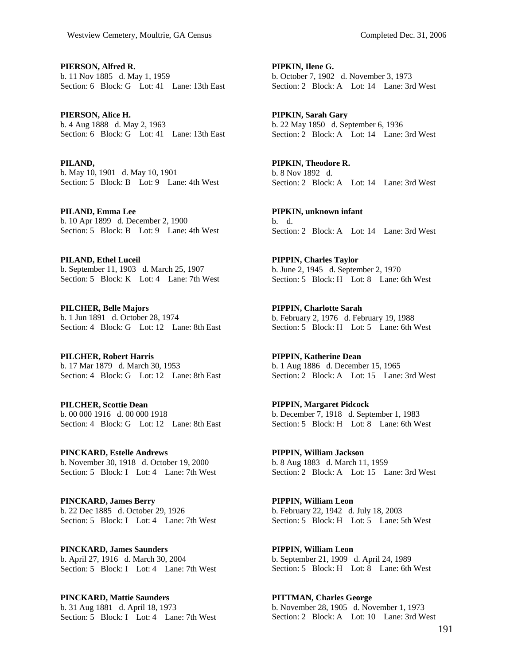**PIERSON, Alfred R.**  b. 11 Nov 1885 d. May 1, 1959 Section: 6 Block: G Lot: 41 Lane: 13th East

**PIERSON, Alice H.**  b. 4 Aug 1888 d. May 2, 1963 Section: 6 Block: G Lot: 41 Lane: 13th East

**PILAND,**  b. May 10, 1901 d. May 10, 1901 Section: 5 Block: B Lot: 9 Lane: 4th West

**PILAND, Emma Lee**  b. 10 Apr 1899 d. December 2, 1900 Section: 5 Block: B Lot: 9 Lane: 4th West

**PILAND, Ethel Luceil**  b. September 11, 1903 d. March 25, 1907 Section: 5 Block: K Lot: 4 Lane: 7th West

**PILCHER, Belle Majors**  b. 1 Jun 1891 d. October 28, 1974 Section: 4 Block: G Lot: 12 Lane: 8th East

**PILCHER, Robert Harris**  b. 17 Mar 1879 d. March 30, 1953 Section: 4 Block: G Lot: 12 Lane: 8th East

**PILCHER, Scottie Dean**  b. 00 000 1916 d. 00 000 1918 Section: 4 Block: G Lot: 12 Lane: 8th East

**PINCKARD, Estelle Andrews**  b. November 30, 1918 d. October 19, 2000 Section: 5 Block: I Lot: 4 Lane: 7th West

**PINCKARD, James Berry**  b. 22 Dec 1885 d. October 29, 1926 Section: 5 Block: I Lot: 4 Lane: 7th West

**PINCKARD, James Saunders**  b. April 27, 1916 d. March 30, 2004 Section: 5 Block: I Lot: 4 Lane: 7th West

**PINCKARD, Mattie Saunders**  b. 31 Aug 1881 d. April 18, 1973 Section: 5 Block: I Lot: 4 Lane: 7th West **PIPKIN, Ilene G.**  b. October 7, 1902 d. November 3, 1973 Section: 2 Block: A Lot: 14 Lane: 3rd West

**PIPKIN, Sarah Gary**  b. 22 May 1850 d. September 6, 1936 Section: 2 Block: A Lot: 14 Lane: 3rd West

**PIPKIN, Theodore R.**  b. 8 Nov 1892 d. Section: 2 Block: A Lot: 14 Lane: 3rd West

**PIPKIN, unknown infant**  b. d. Section: 2 Block: A Lot: 14 Lane: 3rd West

**PIPPIN, Charles Taylor**  b. June 2, 1945 d. September 2, 1970 Section: 5 Block: H Lot: 8 Lane: 6th West

**PIPPIN, Charlotte Sarah**  b. February 2, 1976 d. February 19, 1988 Section: 5 Block: H Lot: 5 Lane: 6th West

**PIPPIN, Katherine Dean**  b. 1 Aug 1886 d. December 15, 1965 Section: 2 Block: A Lot: 15 Lane: 3rd West

**PIPPIN, Margaret Pidcock**  b. December 7, 1918 d. September 1, 1983 Section: 5 Block: H Lot: 8 Lane: 6th West

**PIPPIN, William Jackson**  b. 8 Aug 1883 d. March 11, 1959 Section: 2 Block: A Lot: 15 Lane: 3rd West

**PIPPIN, William Leon**  b. February 22, 1942 d. July 18, 2003 Section: 5 Block: H Lot: 5 Lane: 5th West

**PIPPIN, William Leon**  b. September 21, 1909 d. April 24, 1989 Section: 5 Block: H Lot: 8 Lane: 6th West

**PITTMAN, Charles George**  b. November 28, 1905 d. November 1, 1973 Section: 2 Block: A Lot: 10 Lane: 3rd West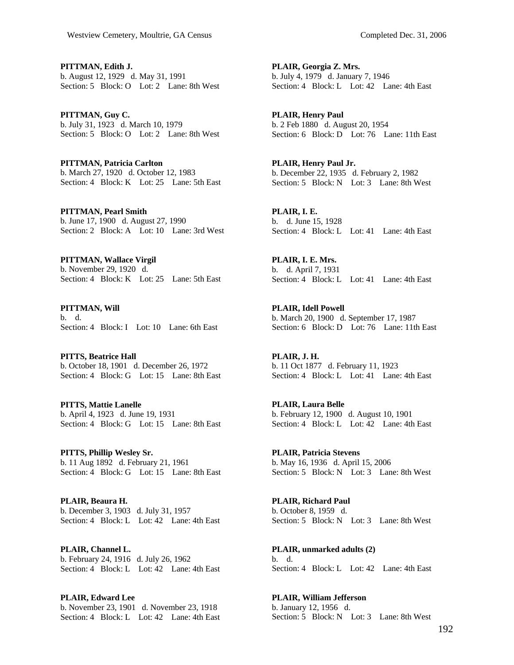**PITTMAN, Edith J.**  b. August 12, 1929 d. May 31, 1991 Section: 5 Block: O Lot: 2 Lane: 8th West

**PITTMAN, Guy C.**  b. July 31, 1923 d. March 10, 1979 Section: 5 Block: O Lot: 2 Lane: 8th West

**PITTMAN, Patricia Carlton**  b. March 27, 1920 d. October 12, 1983 Section: 4 Block: K Lot: 25 Lane: 5th East

**PITTMAN, Pearl Smith**  b. June 17, 1900 d. August 27, 1990 Section: 2 Block: A Lot: 10 Lane: 3rd West

**PITTMAN, Wallace Virgil**  b. November 29, 1920 d. Section: 4 Block: K Lot: 25 Lane: 5th East

**PITTMAN, Will**  b. d. Section: 4 Block: I Lot: 10 Lane: 6th East

**PITTS, Beatrice Hall**  b. October 18, 1901 d. December 26, 1972 Section: 4 Block: G Lot: 15 Lane: 8th East

**PITTS, Mattie Lanelle**  b. April 4, 1923 d. June 19, 1931 Section: 4 Block: G Lot: 15 Lane: 8th East

**PITTS, Phillip Wesley Sr.**  b. 11 Aug 1892 d. February 21, 1961 Section: 4 Block: G Lot: 15 Lane: 8th East

**PLAIR, Beaura H.**  b. December 3, 1903 d. July 31, 1957 Section: 4 Block: L Lot: 42 Lane: 4th East

**PLAIR, Channel L.**  b. February 24, 1916 d. July 26, 1962 Section: 4 Block: L Lot: 42 Lane: 4th East

**PLAIR, Edward Lee**  b. November 23, 1901 d. November 23, 1918 Section: 4 Block: L Lot: 42 Lane: 4th East **PLAIR, Georgia Z. Mrs.**  b. July 4, 1979 d. January 7, 1946 Section: 4 Block: L Lot: 42 Lane: 4th East

**PLAIR, Henry Paul**  b. 2 Feb 1880 d. August 20, 1954 Section: 6 Block: D Lot: 76 Lane: 11th East

**PLAIR, Henry Paul Jr.**  b. December 22, 1935 d. February 2, 1982 Section: 5 Block: N Lot: 3 Lane: 8th West

**PLAIR, I. E.**  b. d. June 15, 1928 Section: 4 Block: L Lot: 41 Lane: 4th East

**PLAIR, I. E. Mrs.**  b. d. April 7, 1931 Section: 4 Block: L Lot: 41 Lane: 4th East

**PLAIR, Idell Powell**  b. March 20, 1900 d. September 17, 1987 Section: 6 Block: D Lot: 76 Lane: 11th East

**PLAIR, J. H.**  b. 11 Oct 1877 d. February 11, 1923 Section: 4 Block: L Lot: 41 Lane: 4th East

**PLAIR, Laura Belle**  b. February 12, 1900 d. August 10, 1901 Section: 4 Block: L Lot: 42 Lane: 4th East

**PLAIR, Patricia Stevens**  b. May 16, 1936 d. April 15, 2006 Section: 5 Block: N Lot: 3 Lane: 8th West

**PLAIR, Richard Paul**  b. October 8, 1959 d. Section: 5 Block: N Lot: 3 Lane: 8th West

**PLAIR, unmarked adults (2)**  b. d. Section: 4 Block: L Lot: 42 Lane: 4th East

**PLAIR, William Jefferson**  b. January 12, 1956 d. Section: 5 Block: N Lot: 3 Lane: 8th West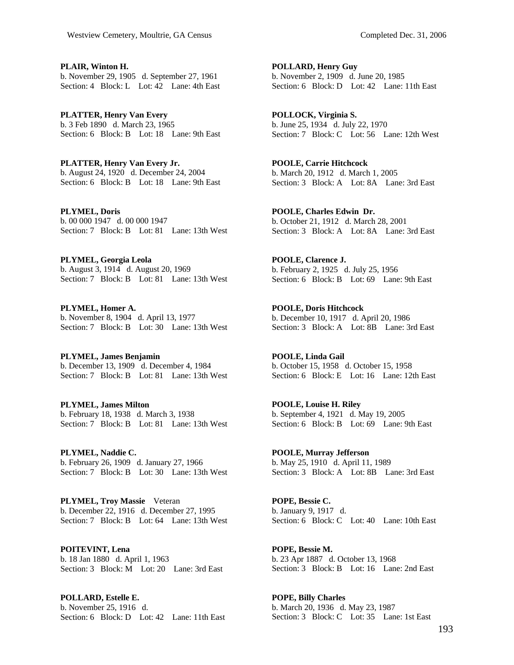**PLAIR, Winton H.**  b. November 29, 1905 d. September 27, 1961 Section: 4 Block: L Lot: 42 Lane: 4th East

**PLATTER, Henry Van Every**  b. 3 Feb 1890 d. March 23, 1965 Section: 6 Block: B Lot: 18 Lane: 9th East

**PLATTER, Henry Van Every Jr.**  b. August 24, 1920 d. December 24, 2004 Section: 6 Block: B Lot: 18 Lane: 9th East

**PLYMEL, Doris**  b. 00 000 1947 d. 00 000 1947 Section: 7 Block: B Lot: 81 Lane: 13th West

**PLYMEL, Georgia Leola**  b. August 3, 1914 d. August 20, 1969 Section: 7 Block: B Lot: 81 Lane: 13th West

**PLYMEL, Homer A.**  b. November 8, 1904 d. April 13, 1977 Section: 7 Block: B Lot: 30 Lane: 13th West

**PLYMEL, James Benjamin**  b. December 13, 1909 d. December 4, 1984 Section: 7 Block: B Lot: 81 Lane: 13th West

**PLYMEL, James Milton**  b. February 18, 1938 d. March 3, 1938 Section: 7 Block: B Lot: 81 Lane: 13th West

**PLYMEL, Naddie C.**  b. February 26, 1909 d. January 27, 1966 Section: 7 Block: B Lot: 30 Lane: 13th West

**PLYMEL, Troy Massie** Veteran b. December 22, 1916 d. December 27, 1995 Section: 7 Block: B Lot: 64 Lane: 13th West

**POITEVINT, Lena**  b. 18 Jan 1880 d. April 1, 1963 Section: 3 Block: M Lot: 20 Lane: 3rd East

**POLLARD, Estelle E.**  b. November 25, 1916 d. Section: 6 Block: D Lot: 42 Lane: 11th East

**POLLARD, Henry Guy**  b. November 2, 1909 d. June 20, 1985 Section: 6 Block: D Lot: 42 Lane: 11th East

**POLLOCK, Virginia S.**  b. June 25, 1934 d. July 22, 1970 Section: 7 Block: C Lot: 56 Lane: 12th West

**POOLE, Carrie Hitchcock**  b. March 20, 1912 d. March 1, 2005 Section: 3 Block: A Lot: 8A Lane: 3rd East

**POOLE, Charles Edwin Dr.**  b. October 21, 1912 d. March 28, 2001 Section: 3 Block: A Lot: 8A Lane: 3rd East

**POOLE, Clarence J.**  b. February 2, 1925 d. July 25, 1956 Section: 6 Block: B Lot: 69 Lane: 9th East

**POOLE, Doris Hitchcock**  b. December 10, 1917 d. April 20, 1986 Section: 3 Block: A Lot: 8B Lane: 3rd East

**POOLE, Linda Gail**  b. October 15, 1958 d. October 15, 1958 Section: 6 Block: E Lot: 16 Lane: 12th East

**POOLE, Louise H. Riley**  b. September 4, 1921 d. May 19, 2005 Section: 6 Block: B Lot: 69 Lane: 9th East

**POOLE, Murray Jefferson**  b. May 25, 1910 d. April 11, 1989 Section: 3 Block: A Lot: 8B Lane: 3rd East

**POPE, Bessie C.**  b. January 9, 1917 d. Section: 6 Block: C Lot: 40 Lane: 10th East

**POPE, Bessie M.**  b. 23 Apr 1887 d. October 13, 1968 Section: 3 Block: B Lot: 16 Lane: 2nd East

**POPE, Billy Charles**  b. March 20, 1936 d. May 23, 1987 Section: 3 Block: C Lot: 35 Lane: 1st East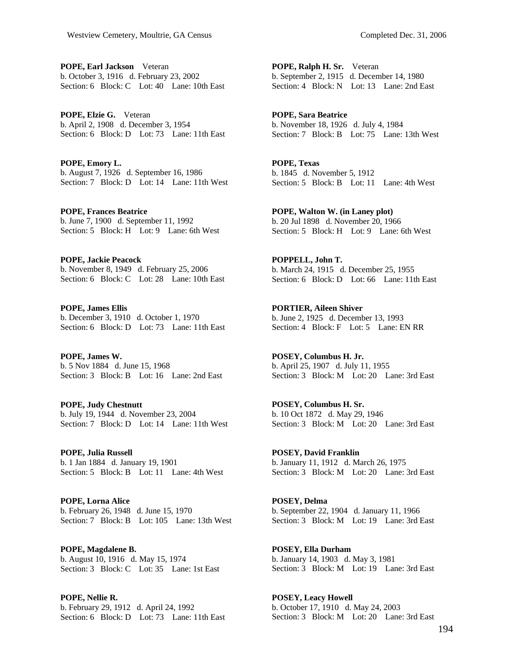**POPE, Earl Jackson** Veteran b. October 3, 1916 d. February 23, 2002 Section: 6 Block: C Lot: 40 Lane: 10th East

**POPE, Elzie G.** Veteran b. April 2, 1908 d. December 3, 1954 Section: 6 Block: D Lot: 73 Lane: 11th East

**POPE, Emory L.**  b. August 7, 1926 d. September 16, 1986 Section: 7 Block: D Lot: 14 Lane: 11th West

**POPE, Frances Beatrice**  b. June 7, 1900 d. September 11, 1992 Section: 5 Block: H Lot: 9 Lane: 6th West

**POPE, Jackie Peacock**  b. November 8, 1949 d. February 25, 2006 Section: 6 Block: C Lot: 28 Lane: 10th East

**POPE, James Ellis**  b. December 3, 1910 d. October 1, 1970 Section: 6 Block: D Lot: 73 Lane: 11th East

**POPE, James W.**  b. 5 Nov 1884 d. June 15, 1968 Section: 3 Block: B Lot: 16 Lane: 2nd East

**POPE, Judy Chestnutt**  b. July 19, 1944 d. November 23, 2004 Section: 7 Block: D Lot: 14 Lane: 11th West

**POPE, Julia Russell**  b. 1 Jan 1884 d. January 19, 1901 Section: 5 Block: B Lot: 11 Lane: 4th West

**POPE, Lorna Alice**  b. February 26, 1948 d. June 15, 1970 Section: 7 Block: B Lot: 105 Lane: 13th West

**POPE, Magdalene B.**  b. August 10, 1916 d. May 15, 1974 Section: 3 Block: C Lot: 35 Lane: 1st East

**POPE, Nellie R.**  b. February 29, 1912 d. April 24, 1992 Section: 6 Block: D Lot: 73 Lane: 11th East **POPE, Ralph H. Sr.** Veteran b. September 2, 1915 d. December 14, 1980 Section: 4 Block: N Lot: 13 Lane: 2nd East

**POPE, Sara Beatrice**  b. November 18, 1926 d. July 4, 1984 Section: 7 Block: B Lot: 75 Lane: 13th West

**POPE, Texas**  b. 1845 d. November 5, 1912 Section: 5 Block: B Lot: 11 Lane: 4th West

**POPE, Walton W. (in Laney plot)**  b. 20 Jul 1898 d. November 20, 1966 Section: 5 Block: H Lot: 9 Lane: 6th West

**POPPELL, John T.**  b. March 24, 1915 d. December 25, 1955 Section: 6 Block: D Lot: 66 Lane: 11th East

**PORTIER, Aileen Shiver**  b. June 2, 1925 d. December 13, 1993 Section: 4 Block: F Lot: 5 Lane: EN RR

**POSEY, Columbus H. Jr.**  b. April 25, 1907 d. July 11, 1955 Section: 3 Block: M Lot: 20 Lane: 3rd East

**POSEY, Columbus H. Sr.**  b. 10 Oct 1872 d. May 29, 1946 Section: 3 Block: M Lot: 20 Lane: 3rd East

**POSEY, David Franklin**  b. January 11, 1912 d. March 26, 1975 Section: 3 Block: M Lot: 20 Lane: 3rd East

**POSEY, Delma**  b. September 22, 1904 d. January 11, 1966 Section: 3 Block: M Lot: 19 Lane: 3rd East

**POSEY, Ella Durham**  b. January 14, 1903 d. May 3, 1981 Section: 3 Block: M Lot: 19 Lane: 3rd East

**POSEY, Leacy Howell**  b. October 17, 1910 d. May 24, 2003 Section: 3 Block: M Lot: 20 Lane: 3rd East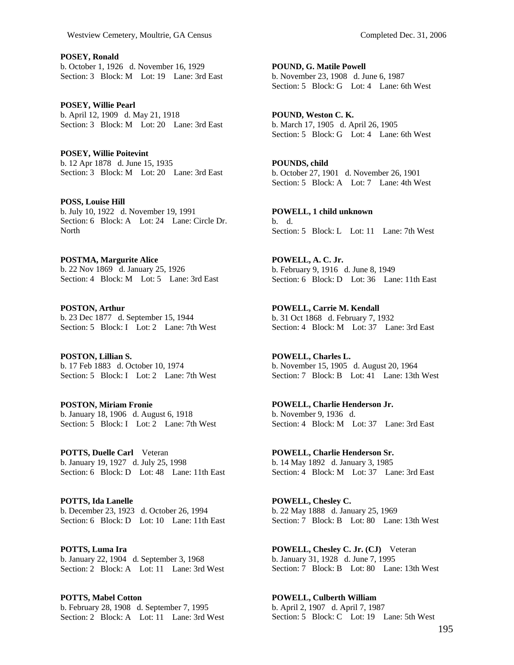**POSEY, Ronald**  b. October 1, 1926 d. November 16, 1929 Section: 3 Block: M Lot: 19 Lane: 3rd East

**POSEY, Willie Pearl**  b. April 12, 1909 d. May 21, 1918 Section: 3 Block: M Lot: 20 Lane: 3rd East

**POSEY, Willie Poitevint**  b. 12 Apr 1878 d. June 15, 1935 Section: 3 Block: M Lot: 20 Lane: 3rd East

**POSS, Louise Hill**  b. July 10, 1922 d. November 19, 1991 Section: 6 Block: A Lot: 24 Lane: Circle Dr. North

**POSTMA, Margurite Alice**  b. 22 Nov 1869 d. January 25, 1926 Section: 4 Block: M Lot: 5 Lane: 3rd East

**POSTON, Arthur**  b. 23 Dec 1877 d. September 15, 1944 Section: 5 Block: I Lot: 2 Lane: 7th West

**POSTON, Lillian S.**  b. 17 Feb 1883 d. October 10, 1974 Section: 5 Block: I Lot: 2 Lane: 7th West

**POSTON, Miriam Fronie**  b. January 18, 1906 d. August 6, 1918 Section: 5 Block: I Lot: 2 Lane: 7th West

**POTTS, Duelle Carl** Veteran b. January 19, 1927 d. July 25, 1998 Section: 6 Block: D Lot: 48 Lane: 11th East

**POTTS, Ida Lanelle**  b. December 23, 1923 d. October 26, 1994 Section: 6 Block: D Lot: 10 Lane: 11th East

**POTTS, Luma Ira**  b. January 22, 1904 d. September 3, 1968 Section: 2 Block: A Lot: 11 Lane: 3rd West

**POTTS, Mabel Cotton**  b. February 28, 1908 d. September 7, 1995 Section: 2 Block: A Lot: 11 Lane: 3rd West **POUND, G. Matile Powell**  b. November 23, 1908 d. June 6, 1987 Section: 5 Block: G Lot: 4 Lane: 6th West

**POUND, Weston C. K.**  b. March 17, 1905 d. April 26, 1905 Section: 5 Block: G Lot: 4 Lane: 6th West

**POUNDS, child**  b. October 27, 1901 d. November 26, 1901 Section: 5 Block: A Lot: 7 Lane: 4th West

**POWELL, 1 child unknown**  b. d. Section: 5 Block: L Lot: 11 Lane: 7th West

**POWELL, A. C. Jr.**  b. February 9, 1916 d. June 8, 1949 Section: 6 Block: D Lot: 36 Lane: 11th East

**POWELL, Carrie M. Kendall**  b. 31 Oct 1868 d. February 7, 1932 Section: 4 Block: M Lot: 37 Lane: 3rd East

**POWELL, Charles L.**  b. November 15, 1905 d. August 20, 1964 Section: 7 Block: B Lot: 41 Lane: 13th West

**POWELL, Charlie Henderson Jr.**  b. November 9, 1936 d. Section: 4 Block: M Lot: 37 Lane: 3rd East

**POWELL, Charlie Henderson Sr.**  b. 14 May 1892 d. January 3, 1985 Section: 4 Block: M Lot: 37 Lane: 3rd East

**POWELL, Chesley C.**  b. 22 May 1888 d. January 25, 1969 Section: 7 Block: B Lot: 80 Lane: 13th West

**POWELL, Chesley C. Jr. (CJ)** Veteran b. January 31, 1928 d. June 7, 1995 Section: 7 Block: B Lot: 80 Lane: 13th West

**POWELL, Culberth William**  b. April 2, 1907 d. April 7, 1987 Section: 5 Block: C Lot: 19 Lane: 5th West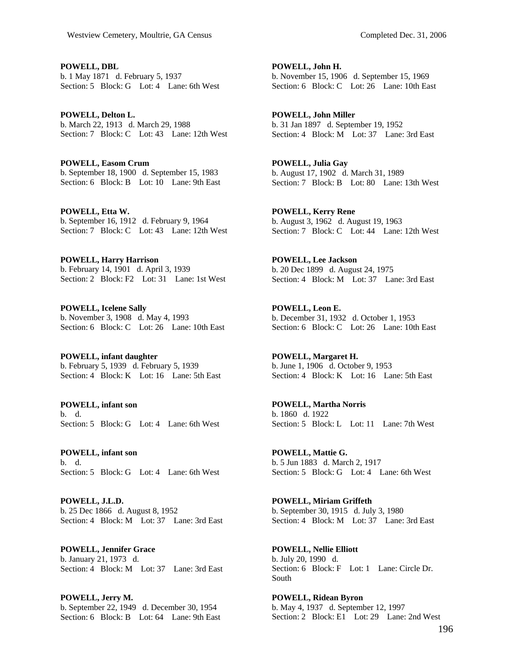**POWELL, DBL**  b. 1 May 1871 d. February 5, 1937 Section: 5 Block: G Lot: 4 Lane: 6th West

**POWELL, Delton L.**  b. March 22, 1913 d. March 29, 1988 Section: 7 Block: C Lot: 43 Lane: 12th West

**POWELL, Easom Crum**  b. September 18, 1900 d. September 15, 1983 Section: 6 Block: B Lot: 10 Lane: 9th East

**POWELL, Etta W.**  b. September 16, 1912 d. February 9, 1964 Section: 7 Block: C Lot: 43 Lane: 12th West

**POWELL, Harry Harrison**  b. February 14, 1901 d. April 3, 1939 Section: 2 Block: F2 Lot: 31 Lane: 1st West

**POWELL, Icelene Sally**  b. November 3, 1908 d. May 4, 1993 Section: 6 Block: C Lot: 26 Lane: 10th East

**POWELL, infant daughter**  b. February 5, 1939 d. February 5, 1939 Section: 4 Block: K Lot: 16 Lane: 5th East

**POWELL, infant son**  b. d. Section: 5 Block: G Lot: 4 Lane: 6th West

**POWELL, infant son**  b. d. Section: 5 Block: G Lot: 4 Lane: 6th West

**POWELL, J.L.D.**  b. 25 Dec 1866 d. August 8, 1952 Section: 4 Block: M Lot: 37 Lane: 3rd East

**POWELL, Jennifer Grace**  b. January 21, 1973 d. Section: 4 Block: M Lot: 37 Lane: 3rd East

**POWELL, Jerry M.**  b. September 22, 1949 d. December 30, 1954 Section: 6 Block: B Lot: 64 Lane: 9th East **POWELL, John H.**  b. November 15, 1906 d. September 15, 1969 Section: 6 Block: C Lot: 26 Lane: 10th East

**POWELL, John Miller**  b. 31 Jan 1897 d. September 19, 1952 Section: 4 Block: M Lot: 37 Lane: 3rd East

**POWELL, Julia Gay**  b. August 17, 1902 d. March 31, 1989 Section: 7 Block: B Lot: 80 Lane: 13th West

**POWELL, Kerry Rene**  b. August 3, 1962 d. August 19, 1963 Section: 7 Block: C Lot: 44 Lane: 12th West

**POWELL, Lee Jackson**  b. 20 Dec 1899 d. August 24, 1975 Section: 4 Block: M Lot: 37 Lane: 3rd East

**POWELL, Leon E.**  b. December 31, 1932 d. October 1, 1953 Section: 6 Block: C Lot: 26 Lane: 10th East

**POWELL, Margaret H.**  b. June 1, 1906 d. October 9, 1953 Section: 4 Block: K Lot: 16 Lane: 5th East

**POWELL, Martha Norris**  b. 1860 d. 1922 Section: 5 Block: L Lot: 11 Lane: 7th West

**POWELL, Mattie G.**  b. 5 Jun 1883 d. March 2, 1917 Section: 5 Block: G Lot: 4 Lane: 6th West

**POWELL, Miriam Griffeth**  b. September 30, 1915 d. July 3, 1980 Section: 4 Block: M Lot: 37 Lane: 3rd East

**POWELL, Nellie Elliott**  b. July 20, 1990 d. Section: 6 Block: F Lot: 1 Lane: Circle Dr. South

**POWELL, Ridean Byron**  b. May 4, 1937 d. September 12, 1997 Section: 2 Block: E1 Lot: 29 Lane: 2nd West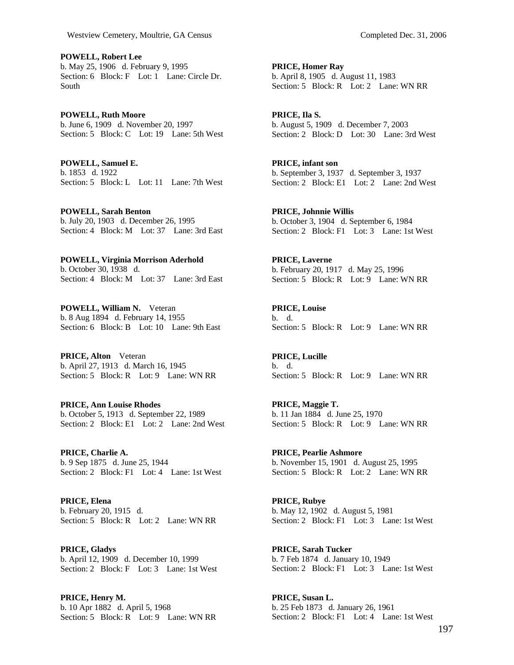**POWELL, Robert Lee**  b. May 25, 1906 d. February 9, 1995 Section: 6 Block: F Lot: 1 Lane: Circle Dr. South

**POWELL, Ruth Moore**  b. June 6, 1909 d. November 20, 1997 Section: 5 Block: C Lot: 19 Lane: 5th West

**POWELL, Samuel E.**  b. 1853 d. 1922 Section: 5 Block: L Lot: 11 Lane: 7th West

**POWELL, Sarah Benton**  b. July 20, 1903 d. December 26, 1995 Section: 4 Block: M Lot: 37 Lane: 3rd East

**POWELL, Virginia Morrison Aderhold**  b. October 30, 1938 d. Section: 4 Block: M Lot: 37 Lane: 3rd East

**POWELL, William N.** Veteran b. 8 Aug 1894 d. February 14, 1955 Section: 6 Block: B Lot: 10 Lane: 9th East

**PRICE, Alton** Veteran b. April 27, 1913 d. March 16, 1945 Section: 5 Block: R Lot: 9 Lane: WN RR

**PRICE, Ann Louise Rhodes**  b. October 5, 1913 d. September 22, 1989 Section: 2 Block: E1 Lot: 2 Lane: 2nd West

**PRICE, Charlie A.**  b. 9 Sep 1875 d. June 25, 1944 Section: 2 Block: F1 Lot: 4 Lane: 1st West

**PRICE, Elena**  b. February 20, 1915 d. Section: 5 Block: R Lot: 2 Lane: WN RR

**PRICE, Gladys**  b. April 12, 1909 d. December 10, 1999 Section: 2 Block: F Lot: 3 Lane: 1st West

**PRICE, Henry M.**  b. 10 Apr 1882 d. April 5, 1968 Section: 5 Block: R Lot: 9 Lane: WN RR

**PRICE, Homer Ray**  b. April 8, 1905 d. August 11, 1983 Section: 5 Block: R Lot: 2 Lane: WN RR

**PRICE, Ila S.**  b. August 5, 1909 d. December 7, 2003 Section: 2 Block: D Lot: 30 Lane: 3rd West

**PRICE, infant son**  b. September 3, 1937 d. September 3, 1937 Section: 2 Block: E1 Lot: 2 Lane: 2nd West

**PRICE, Johnnie Willis**  b. October 3, 1904 d. September 6, 1984 Section: 2 Block: F1 Lot: 3 Lane: 1st West

**PRICE, Laverne**  b. February 20, 1917 d. May 25, 1996 Section: 5 Block: R Lot: 9 Lane: WN RR

**PRICE, Louise**  b. d. Section: 5 Block: R Lot: 9 Lane: WN RR

**PRICE, Lucille**  b. d. Section: 5 Block: R Lot: 9 Lane: WN RR

**PRICE, Maggie T.**  b. 11 Jan 1884 d. June 25, 1970 Section: 5 Block: R Lot: 9 Lane: WN RR

**PRICE, Pearlie Ashmore**  b. November 15, 1901 d. August 25, 1995 Section: 5 Block: R Lot: 2 Lane: WN RR

**PRICE, Rubye**  b. May 12, 1902 d. August 5, 1981 Section: 2 Block: F1 Lot: 3 Lane: 1st West

**PRICE, Sarah Tucker**  b. 7 Feb 1874 d. January 10, 1949 Section: 2 Block: F1 Lot: 3 Lane: 1st West

**PRICE, Susan L.**  b. 25 Feb 1873 d. January 26, 1961 Section: 2 Block: F1 Lot: 4 Lane: 1st West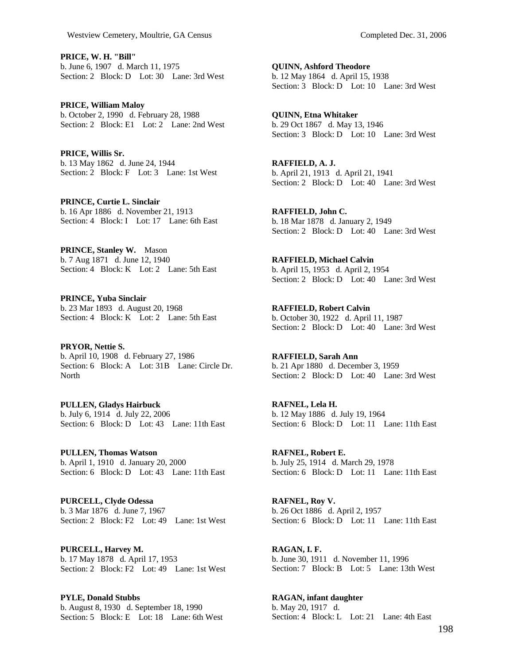**PRICE, W. H. "Bill"**  b. June 6, 1907 d. March 11, 1975 Section: 2 Block: D Lot: 30 Lane: 3rd West

**PRICE, William Maloy**  b. October 2, 1990 d. February 28, 1988 Section: 2 Block: E1 Lot: 2 Lane: 2nd West

**PRICE, Willis Sr.**  b. 13 May 1862 d. June 24, 1944 Section: 2 Block: F Lot: 3 Lane: 1st West

**PRINCE, Curtie L. Sinclair**  b. 16 Apr 1886 d. November 21, 1913 Section: 4 Block: I Lot: 17 Lane: 6th East

**PRINCE, Stanley W.** Mason b. 7 Aug 1871 d. June 12, 1940 Section: 4 Block: K Lot: 2 Lane: 5th East

**PRINCE, Yuba Sinclair**  b. 23 Mar 1893 d. August 20, 1968 Section: 4 Block: K Lot: 2 Lane: 5th East

**PRYOR, Nettie S.**  b. April 10, 1908 d. February 27, 1986 Section: 6 Block: A Lot: 31B Lane: Circle Dr. **North** 

**PULLEN, Gladys Hairbuck**  b. July 6, 1914 d. July 22, 2006 Section: 6 Block: D Lot: 43 Lane: 11th East

**PULLEN, Thomas Watson**  b. April 1, 1910 d. January 20, 2000 Section: 6 Block: D Lot: 43 Lane: 11th East

**PURCELL, Clyde Odessa**  b. 3 Mar 1876 d. June 7, 1967 Section: 2 Block: F2 Lot: 49 Lane: 1st West

**PURCELL, Harvey M.**  b. 17 May 1878 d. April 17, 1953 Section: 2 Block: F2 Lot: 49 Lane: 1st West

**PYLE, Donald Stubbs**  b. August 8, 1930 d. September 18, 1990 Section: 5 Block: E Lot: 18 Lane: 6th West

**QUINN, Ashford Theodore**  b. 12 May 1864 d. April 15, 1938 Section: 3 Block: D Lot: 10 Lane: 3rd West

**QUINN, Etna Whitaker**  b. 29 Oct 1867 d. May 13, 1946 Section: 3 Block: D Lot: 10 Lane: 3rd West

**RAFFIELD, A. J.**  b. April 21, 1913 d. April 21, 1941 Section: 2 Block: D Lot: 40 Lane: 3rd West

**RAFFIELD, John C.**  b. 18 Mar 1878 d. January 2, 1949 Section: 2 Block: D Lot: 40 Lane: 3rd West

**RAFFIELD, Michael Calvin**  b. April 15, 1953 d. April 2, 1954 Section: 2 Block: D Lot: 40 Lane: 3rd West

**RAFFIELD, Robert Calvin**  b. October 30, 1922 d. April 11, 1987 Section: 2 Block: D Lot: 40 Lane: 3rd West

**RAFFIELD, Sarah Ann**  b. 21 Apr 1880 d. December 3, 1959 Section: 2 Block: D Lot: 40 Lane: 3rd West

**RAFNEL, Lela H.**  b. 12 May 1886 d. July 19, 1964 Section: 6 Block: D Lot: 11 Lane: 11th East

**RAFNEL, Robert E.**  b. July 25, 1914 d. March 29, 1978 Section: 6 Block: D Lot: 11 Lane: 11th East

**RAFNEL, Roy V.**  b. 26 Oct 1886 d. April 2, 1957 Section: 6 Block: D Lot: 11 Lane: 11th East

**RAGAN, I. F.**  b. June 30, 1911 d. November 11, 1996 Section: 7 Block: B Lot: 5 Lane: 13th West

**RAGAN, infant daughter**  b. May 20, 1917 d. Section: 4 Block: L Lot: 21 Lane: 4th East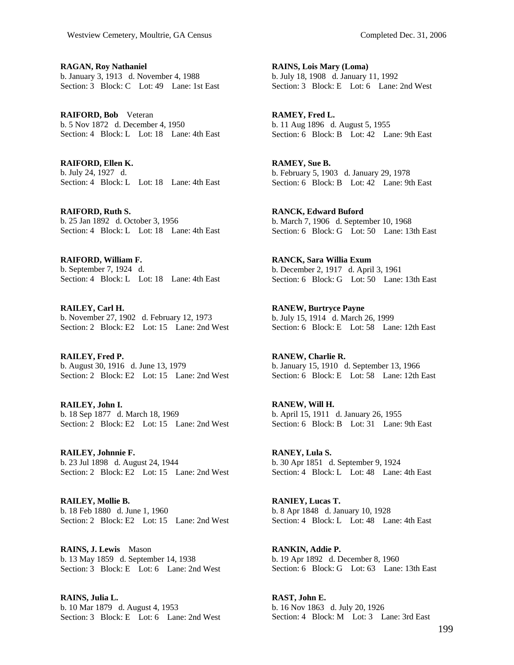**RAGAN, Roy Nathaniel**  b. January 3, 1913 d. November 4, 1988 Section: 3 Block: C Lot: 49 Lane: 1st East

**RAIFORD, Bob** Veteran b. 5 Nov 1872 d. December 4, 1950 Section: 4 Block: L Lot: 18 Lane: 4th East

**RAIFORD, Ellen K.**  b. July 24, 1927 d. Section: 4 Block: L Lot: 18 Lane: 4th East

**RAIFORD, Ruth S.**  b. 25 Jan 1892 d. October 3, 1956 Section: 4 Block: L Lot: 18 Lane: 4th East

**RAIFORD, William F.**  b. September 7, 1924 d. Section: 4 Block: L Lot: 18 Lane: 4th East

**RAILEY, Carl H.**  b. November 27, 1902 d. February 12, 1973 Section: 2 Block: E2 Lot: 15 Lane: 2nd West

**RAILEY, Fred P.**  b. August 30, 1916 d. June 13, 1979 Section: 2 Block: E2 Lot: 15 Lane: 2nd West

**RAILEY, John I.**  b. 18 Sep 1877 d. March 18, 1969 Section: 2 Block: E2 Lot: 15 Lane: 2nd West

**RAILEY, Johnnie F.**  b. 23 Jul 1898 d. August 24, 1944 Section: 2 Block: E2 Lot: 15 Lane: 2nd West

**RAILEY, Mollie B.**  b. 18 Feb 1880 d. June 1, 1960 Section: 2 Block: E2 Lot: 15 Lane: 2nd West

**RAINS, J. Lewis** Mason b. 13 May 1859 d. September 14, 1938 Section: 3 Block: E Lot: 6 Lane: 2nd West

**RAINS, Julia L.**  b. 10 Mar 1879 d. August 4, 1953 Section: 3 Block: E Lot: 6 Lane: 2nd West **RAINS, Lois Mary (Loma)**  b. July 18, 1908 d. January 11, 1992 Section: 3 Block: E Lot: 6 Lane: 2nd West

**RAMEY, Fred L.**  b. 11 Aug 1896 d. August 5, 1955 Section: 6 Block: B Lot: 42 Lane: 9th East

**RAMEY, Sue B.**  b. February 5, 1903 d. January 29, 1978 Section: 6 Block: B Lot: 42 Lane: 9th East

**RANCK, Edward Buford**  b. March 7, 1906 d. September 10, 1968 Section: 6 Block: G Lot: 50 Lane: 13th East

**RANCK, Sara Willia Exum**  b. December 2, 1917 d. April 3, 1961 Section: 6 Block: G Lot: 50 Lane: 13th East

**RANEW, Burtryce Payne**  b. July 15, 1914 d. March 26, 1999 Section: 6 Block: E Lot: 58 Lane: 12th East

**RANEW, Charlie R.**  b. January 15, 1910 d. September 13, 1966 Section: 6 Block: E Lot: 58 Lane: 12th East

**RANEW, Will H.**  b. April 15, 1911 d. January 26, 1955 Section: 6 Block: B Lot: 31 Lane: 9th East

**RANEY, Lula S.**  b. 30 Apr 1851 d. September 9, 1924 Section: 4 Block: L Lot: 48 Lane: 4th East

**RANIEY, Lucas T.**  b. 8 Apr 1848 d. January 10, 1928 Section: 4 Block: L Lot: 48 Lane: 4th East

**RANKIN, Addie P.**  b. 19 Apr 1892 d. December 8, 1960 Section: 6 Block: G Lot: 63 Lane: 13th East

**RAST, John E.**  b. 16 Nov 1863 d. July 20, 1926 Section: 4 Block: M Lot: 3 Lane: 3rd East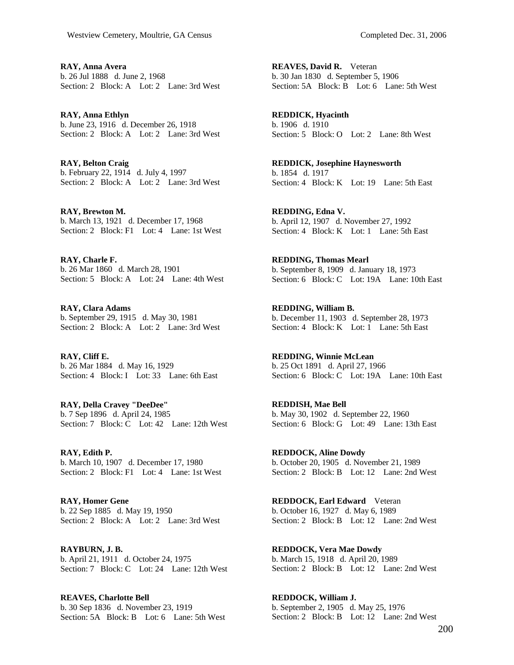**RAY, Anna Avera**  b. 26 Jul 1888 d. June 2, 1968 Section: 2 Block: A Lot: 2 Lane: 3rd West

**RAY, Anna Ethlyn**  b. June 23, 1916 d. December 26, 1918 Section: 2 Block: A Lot: 2 Lane: 3rd West

**RAY, Belton Craig**  b. February 22, 1914 d. July 4, 1997 Section: 2 Block: A Lot: 2 Lane: 3rd West

**RAY, Brewton M.**  b. March 13, 1921 d. December 17, 1968 Section: 2 Block: F1 Lot: 4 Lane: 1st West

**RAY, Charle F.**  b. 26 Mar 1860 d. March 28, 1901 Section: 5 Block: A Lot: 24 Lane: 4th West

**RAY, Clara Adams**  b. September 29, 1915 d. May 30, 1981 Section: 2 Block: A Lot: 2 Lane: 3rd West

**RAY, Cliff E.**  b. 26 Mar 1884 d. May 16, 1929 Section: 4 Block: I Lot: 33 Lane: 6th East

**RAY, Della Cravey "DeeDee"**  b. 7 Sep 1896 d. April 24, 1985 Section: 7 Block: C Lot: 42 Lane: 12th West

**RAY, Edith P.**  b. March 10, 1907 d. December 17, 1980 Section: 2 Block: F1 Lot: 4 Lane: 1st West

**RAY, Homer Gene**  b. 22 Sep 1885 d. May 19, 1950 Section: 2 Block: A Lot: 2 Lane: 3rd West

**RAYBURN, J. B.**  b. April 21, 1911 d. October 24, 1975 Section: 7 Block: C Lot: 24 Lane: 12th West

**REAVES, Charlotte Bell**  b. 30 Sep 1836 d. November 23, 1919 Section: 5A Block: B Lot: 6 Lane: 5th West

**REAVES, David R.** Veteran b. 30 Jan 1830 d. September 5, 1906 Section: 5A Block: B Lot: 6 Lane: 5th West

**REDDICK, Hyacinth**  b. 1906 d. 1910 Section: 5 Block: O Lot: 2 Lane: 8th West

**REDDICK, Josephine Haynesworth**  b. 1854 d. 1917 Section: 4 Block: K Lot: 19 Lane: 5th East

**REDDING, Edna V.**  b. April 12, 1907 d. November 27, 1992 Section: 4 Block: K Lot: 1 Lane: 5th East

**REDDING, Thomas Mearl**  b. September 8, 1909 d. January 18, 1973 Section: 6 Block: C Lot: 19A Lane: 10th East

**REDDING, William B.**  b. December 11, 1903 d. September 28, 1973 Section: 4 Block: K Lot: 1 Lane: 5th East

**REDDING, Winnie McLean**  b. 25 Oct 1891 d. April 27, 1966 Section: 6 Block: C Lot: 19A Lane: 10th East

**REDDISH, Mae Bell**  b. May 30, 1902 d. September 22, 1960 Section: 6 Block: G Lot: 49 Lane: 13th East

**REDDOCK, Aline Dowdy**  b. October 20, 1905 d. November 21, 1989 Section: 2 Block: B Lot: 12 Lane: 2nd West

**REDDOCK, Earl Edward** Veteran b. October 16, 1927 d. May 6, 1989 Section: 2 Block: B Lot: 12 Lane: 2nd West

**REDDOCK, Vera Mae Dowdy**  b. March 15, 1918 d. April 20, 1989 Section: 2 Block: B Lot: 12 Lane: 2nd West

**REDDOCK, William J.**  b. September 2, 1905 d. May 25, 1976 Section: 2 Block: B Lot: 12 Lane: 2nd West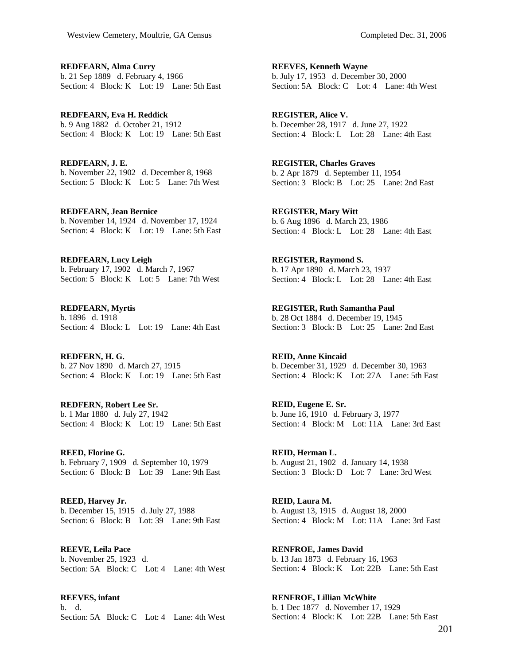**REDFEARN, Alma Curry**  b. 21 Sep 1889 d. February 4, 1966 Section: 4 Block: K Lot: 19 Lane: 5th East

**REDFEARN, Eva H. Reddick**  b. 9 Aug 1882 d. October 21, 1912 Section: 4 Block: K Lot: 19 Lane: 5th East

**REDFEARN, J. E.**  b. November 22, 1902 d. December 8, 1968 Section: 5 Block: K Lot: 5 Lane: 7th West

**REDFEARN, Jean Bernice**  b. November 14, 1924 d. November 17, 1924 Section: 4 Block: K Lot: 19 Lane: 5th East

**REDFEARN, Lucy Leigh**  b. February 17, 1902 d. March 7, 1967 Section: 5 Block: K Lot: 5 Lane: 7th West

**REDFEARN, Myrtis**  b. 1896 d. 1918 Section: 4 Block: L Lot: 19 Lane: 4th East

**REDFERN, H. G.**  b. 27 Nov 1890 d. March 27, 1915 Section: 4 Block: K Lot: 19 Lane: 5th East

**REDFERN, Robert Lee Sr.**  b. 1 Mar 1880 d. July 27, 1942 Section: 4 Block: K Lot: 19 Lane: 5th East

**REED, Florine G.**  b. February 7, 1909 d. September 10, 1979 Section: 6 Block: B Lot: 39 Lane: 9th East

**REED, Harvey Jr.**  b. December 15, 1915 d. July 27, 1988 Section: 6 Block: B Lot: 39 Lane: 9th East

**REEVE, Leila Pace**  b. November 25, 1923 d. Section: 5A Block: C Lot: 4 Lane: 4th West

**REEVES, infant**  b. d. Section: 5A Block: C Lot: 4 Lane: 4th West

**REEVES, Kenneth Wayne**  b. July 17, 1953 d. December 30, 2000 Section: 5A Block: C Lot: 4 Lane: 4th West

**REGISTER, Alice V.**  b. December 28, 1917 d. June 27, 1922 Section: 4 Block: L Lot: 28 Lane: 4th East

**REGISTER, Charles Graves**  b. 2 Apr 1879 d. September 11, 1954 Section: 3 Block: B Lot: 25 Lane: 2nd East

**REGISTER, Mary Witt**  b. 6 Aug 1896 d. March 23, 1986 Section: 4 Block: L Lot: 28 Lane: 4th East

**REGISTER, Raymond S.**  b. 17 Apr 1890 d. March 23, 1937 Section: 4 Block: L Lot: 28 Lane: 4th East

**REGISTER, Ruth Samantha Paul**  b. 28 Oct 1884 d. December 19, 1945 Section: 3 Block: B Lot: 25 Lane: 2nd East

**REID, Anne Kincaid**  b. December 31, 1929 d. December 30, 1963 Section: 4 Block: K Lot: 27A Lane: 5th East

**REID, Eugene E. Sr.**  b. June 16, 1910 d. February 3, 1977 Section: 4 Block: M Lot: 11A Lane: 3rd East

**REID, Herman L.**  b. August 21, 1902 d. January 14, 1938 Section: 3 Block: D Lot: 7 Lane: 3rd West

**REID, Laura M.**  b. August 13, 1915 d. August 18, 2000 Section: 4 Block: M Lot: 11A Lane: 3rd East

**RENFROE, James David**  b. 13 Jan 1873 d. February 16, 1963 Section: 4 Block: K Lot: 22B Lane: 5th East

**RENFROE, Lillian McWhite**  b. 1 Dec 1877 d. November 17, 1929 Section: 4 Block: K Lot: 22B Lane: 5th East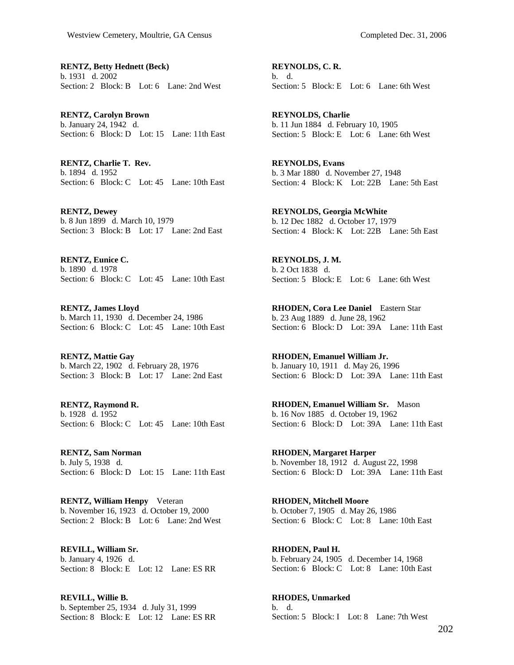**RENTZ, Betty Hednett (Beck)**  b. 1931 d. 2002 Section: 2 Block: B Lot: 6 Lane: 2nd West

**RENTZ, Carolyn Brown**  b. January 24, 1942 d. Section: 6 Block: D Lot: 15 Lane: 11th East

**RENTZ, Charlie T. Rev.**  b. 1894 d. 1952 Section: 6 Block: C Lot: 45 Lane: 10th East

**RENTZ, Dewey**  b. 8 Jun 1899 d. March 10, 1979 Section: 3 Block: B Lot: 17 Lane: 2nd East

**RENTZ, Eunice C.**  b. 1890 d. 1978 Section: 6 Block: C Lot: 45 Lane: 10th East

**RENTZ, James Lloyd**  b. March 11, 1930 d. December 24, 1986 Section: 6 Block: C Lot: 45 Lane: 10th East

**RENTZ, Mattie Gay**  b. March 22, 1902 d. February 28, 1976 Section: 3 Block: B Lot: 17 Lane: 2nd East

**RENTZ, Raymond R.**  b. 1928 d. 1952 Section: 6 Block: C Lot: 45 Lane: 10th East

**RENTZ, Sam Norman**  b. July 5, 1938 d. Section: 6 Block: D Lot: 15 Lane: 11th East

**RENTZ, William Henpy** Veteran b. November 16, 1923 d. October 19, 2000 Section: 2 Block: B Lot: 6 Lane: 2nd West

**REVILL, William Sr.**  b. January 4, 1926 d. Section: 8 Block: E Lot: 12 Lane: ES RR

**REVILL, Willie B.**  b. September 25, 1934 d. July 31, 1999 Section: 8 Block: E Lot: 12 Lane: ES RR

**REYNOLDS, C. R.**  b. d. Section: 5 Block: E Lot: 6 Lane: 6th West

**REYNOLDS, Charlie**  b. 11 Jun 1884 d. February 10, 1905 Section: 5 Block: E Lot: 6 Lane: 6th West

**REYNOLDS, Evans**  b. 3 Mar 1880 d. November 27, 1948 Section: 4 Block: K Lot: 22B Lane: 5th East

**REYNOLDS, Georgia McWhite**  b. 12 Dec 1882 d. October 17, 1979 Section: 4 Block: K Lot: 22B Lane: 5th East

**REYNOLDS, J. M.**  b. 2 Oct 1838 d. Section: 5 Block: E Lot: 6 Lane: 6th West

**RHODEN, Cora Lee Daniel** Eastern Star b. 23 Aug 1889 d. June 28, 1962 Section: 6 Block: D Lot: 39A Lane: 11th East

**RHODEN, Emanuel William Jr.**  b. January 10, 1911 d. May 26, 1996 Section: 6 Block: D Lot: 39A Lane: 11th East

**RHODEN, Emanuel William Sr.** Mason b. 16 Nov 1885 d. October 19, 1962 Section: 6 Block: D Lot: 39A Lane: 11th East

**RHODEN, Margaret Harper**  b. November 18, 1912 d. August 22, 1998 Section: 6 Block: D Lot: 39A Lane: 11th East

**RHODEN, Mitchell Moore**  b. October 7, 1905 d. May 26, 1986 Section: 6 Block: C Lot: 8 Lane: 10th East

**RHODEN, Paul H.**  b. February 24, 1905 d. December 14, 1968 Section: 6 Block: C Lot: 8 Lane: 10th East

**RHODES, Unmarked**  b. d. Section: 5 Block: I Lot: 8 Lane: 7th West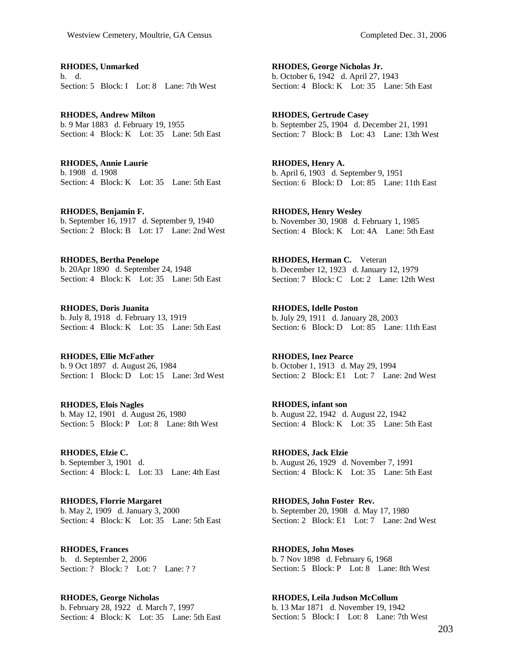**RHODES, Unmarked**  b. d. Section: 5 Block: I Lot: 8 Lane: 7th West

**RHODES, Andrew Milton**  b. 9 Mar 1883 d. February 19, 1955 Section: 4 Block: K Lot: 35 Lane: 5th East

**RHODES, Annie Laurie**  b. 1908 d. 1908 Section: 4 Block: K Lot: 35 Lane: 5th East

**RHODES, Benjamin F.**  b. September 16, 1917 d. September 9, 1940 Section: 2 Block: B Lot: 17 Lane: 2nd West

**RHODES, Bertha Penelope**  b. 20Apr 1890 d. September 24, 1948 Section: 4 Block: K Lot: 35 Lane: 5th East

**RHODES, Doris Juanita**  b. July 8, 1918 d. February 13, 1919 Section: 4 Block: K Lot: 35 Lane: 5th East

**RHODES, Ellie McFather**  b. 9 Oct 1897 d. August 26, 1984 Section: 1 Block: D Lot: 15 Lane: 3rd West

**RHODES, Elois Nagles**  b. May 12, 1901 d. August 26, 1980 Section: 5 Block: P Lot: 8 Lane: 8th West

**RHODES, Elzie C.**  b. September 3, 1901 d. Section: 4 Block: L Lot: 33 Lane: 4th East

**RHODES, Florrie Margaret**  b. May 2, 1909 d. January 3, 2000 Section: 4 Block: K Lot: 35 Lane: 5th East

**RHODES, Frances**  b. d. September 2, 2006 Section: ? Block: ? Lot: ? Lane: ? ?

**RHODES, George Nicholas**  b. February 28, 1922 d. March 7, 1997 Section: 4 Block: K Lot: 35 Lane: 5th East

**RHODES, George Nicholas Jr.**  b. October 6, 1942 d. April 27, 1943 Section: 4 Block: K Lot: 35 Lane: 5th East

**RHODES, Gertrude Casey**  b. September 25, 1904 d. December 21, 1991 Section: 7 Block: B Lot: 43 Lane: 13th West

**RHODES, Henry A.**  b. April 6, 1903 d. September 9, 1951 Section: 6 Block: D Lot: 85 Lane: 11th East

**RHODES, Henry Wesley**  b. November 30, 1908 d. February 1, 1985 Section: 4 Block: K Lot: 4A Lane: 5th East

**RHODES, Herman C.** Veteran b. December 12, 1923 d. January 12, 1979 Section: 7 Block: C Lot: 2 Lane: 12th West

**RHODES, Idelle Poston**  b. July 29, 1911 d. January 28, 2003 Section: 6 Block: D Lot: 85 Lane: 11th East

**RHODES, Inez Pearce**  b. October 1, 1913 d. May 29, 1994 Section: 2 Block: E1 Lot: 7 Lane: 2nd West

**RHODES, infant son**  b. August 22, 1942 d. August 22, 1942 Section: 4 Block: K Lot: 35 Lane: 5th East

**RHODES, Jack Elzie**  b. August 26, 1929 d. November 7, 1991 Section: 4 Block: K Lot: 35 Lane: 5th East

**RHODES, John Foster Rev.**  b. September 20, 1908 d. May 17, 1980 Section: 2 Block: E1 Lot: 7 Lane: 2nd West

**RHODES, John Moses**  b. 7 Nov 1898 d. February 6, 1968 Section: 5 Block: P Lot: 8 Lane: 8th West

**RHODES, Leila Judson McCollum**  b. 13 Mar 1871 d. November 19, 1942 Section: 5 Block: I Lot: 8 Lane: 7th West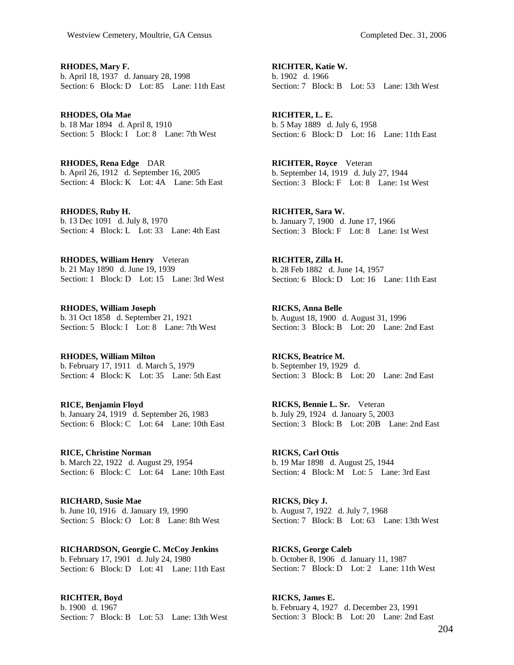**RHODES, Mary F.**  b. April 18, 1937 d. January 28, 1998 Section: 6 Block: D Lot: 85 Lane: 11th East

**RHODES, Ola Mae**  b. 18 Mar 1894 d. April 8, 1910 Section: 5 Block: I Lot: 8 Lane: 7th West

**RHODES, Rena Edge** DAR b. April 26, 1912 d. September 16, 2005 Section: 4 Block: K Lot: 4A Lane: 5th East

**RHODES, Ruby H.**  b. 13 Dec 1091 d. July 8, 1970 Section: 4 Block: L Lot: 33 Lane: 4th East

**RHODES, William Henry** Veteran b. 21 May 1890 d. June 19, 1939 Section: 1 Block: D Lot: 15 Lane: 3rd West

**RHODES, William Joseph**  b. 31 Oct 1858 d. September 21, 1921 Section: 5 Block: I Lot: 8 Lane: 7th West

**RHODES, William Milton**  b. February 17, 1911 d. March 5, 1979 Section: 4 Block: K Lot: 35 Lane: 5th East

**RICE, Benjamin Floyd**  b. January 24, 1919 d. September 26, 1983 Section: 6 Block: C Lot: 64 Lane: 10th East

**RICE, Christine Norman**  b. March 22, 1922 d. August 29, 1954 Section: 6 Block: C Lot: 64 Lane: 10th East

**RICHARD, Susie Mae**  b. June 10, 1916 d. January 19, 1990 Section: 5 Block: O Lot: 8 Lane: 8th West

**RICHARDSON, Georgie C. McCoy Jenkins**  b. February 17, 1901 d. July 24, 1980 Section: 6 Block: D Lot: 41 Lane: 11th East

**RICHTER, Boyd**  b. 1900 d. 1967 Section: 7 Block: B Lot: 53 Lane: 13th West

**RICHTER, Katie W.**  b. 1902 d. 1966 Section: 7 Block: B Lot: 53 Lane: 13th West

**RICHTER, L. E.**  b. 5 May 1889 d. July 6, 1958 Section: 6 Block: D Lot: 16 Lane: 11th East

**RICHTER, Royce** Veteran b. September 14, 1919 d. July 27, 1944 Section: 3 Block: F Lot: 8 Lane: 1st West

**RICHTER, Sara W.**  b. January 7, 1900 d. June 17, 1966 Section: 3 Block: F Lot: 8 Lane: 1st West

**RICHTER, Zilla H.**  b. 28 Feb 1882 d. June 14, 1957 Section: 6 Block: D Lot: 16 Lane: 11th East

**RICKS, Anna Belle**  b. August 18, 1900 d. August 31, 1996 Section: 3 Block: B Lot: 20 Lane: 2nd East

**RICKS, Beatrice M.**  b. September 19, 1929 d. Section: 3 Block: B Lot: 20 Lane: 2nd East

**RICKS, Bennie L. Sr.** Veteran b. July 29, 1924 d. January 5, 2003 Section: 3 Block: B Lot: 20B Lane: 2nd East

**RICKS, Carl Ottis**  b. 19 Mar 1898 d. August 25, 1944 Section: 4 Block: M Lot: 5 Lane: 3rd East

**RICKS, Dicy J.**  b. August 7, 1922 d. July 7, 1968 Section: 7 Block: B Lot: 63 Lane: 13th West

**RICKS, George Caleb**  b. October 8, 1906 d. January 11, 1987 Section: 7 Block: D Lot: 2 Lane: 11th West

**RICKS, James E.**  b. February 4, 1927 d. December 23, 1991 Section: 3 Block: B Lot: 20 Lane: 2nd East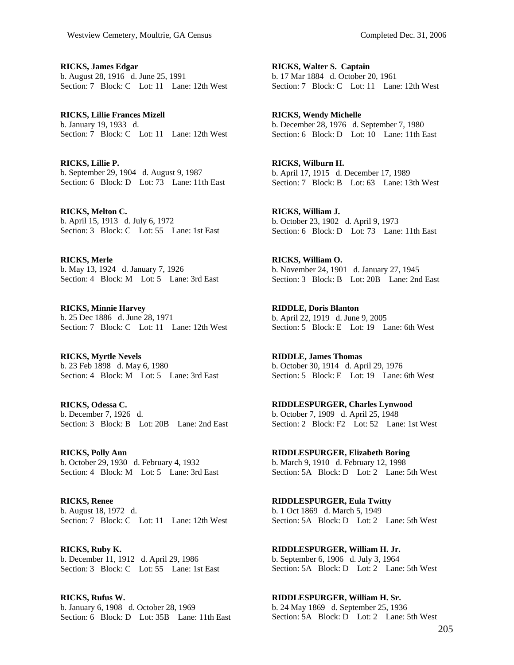**RICKS, James Edgar**  b. August 28, 1916 d. June 25, 1991 Section: 7 Block: C Lot: 11 Lane: 12th West

**RICKS, Lillie Frances Mizell**  b. January 19, 1933 d. Section: 7 Block: C Lot: 11 Lane: 12th West

**RICKS, Lillie P.**  b. September 29, 1904 d. August 9, 1987 Section: 6 Block: D Lot: 73 Lane: 11th East

**RICKS, Melton C.**  b. April 15, 1913 d. July 6, 1972 Section: 3 Block: C Lot: 55 Lane: 1st East

**RICKS, Merle**  b. May 13, 1924 d. January 7, 1926 Section: 4 Block: M Lot: 5 Lane: 3rd East

**RICKS, Minnie Harvey**  b. 25 Dec 1886 d. June 28, 1971 Section: 7 Block: C Lot: 11 Lane: 12th West

**RICKS, Myrtle Nevels**  b. 23 Feb 1898 d. May 6, 1980 Section: 4 Block: M Lot: 5 Lane: 3rd East

**RICKS, Odessa C.**  b. December 7, 1926 d. Section: 3 Block: B Lot: 20B Lane: 2nd East

**RICKS, Polly Ann**  b. October 29, 1930 d. February 4, 1932 Section: 4 Block: M Lot: 5 Lane: 3rd East

**RICKS, Renee**  b. August 18, 1972 d. Section: 7 Block: C Lot: 11 Lane: 12th West

**RICKS, Ruby K.**  b. December 11, 1912 d. April 29, 1986 Section: 3 Block: C Lot: 55 Lane: 1st East

**RICKS, Rufus W.**  b. January 6, 1908 d. October 28, 1969 Section: 6 Block: D Lot: 35B Lane: 11th East **RICKS, Walter S. Captain**  b. 17 Mar 1884 d. October 20, 1961 Section: 7 Block: C Lot: 11 Lane: 12th West

**RICKS, Wendy Michelle**  b. December 28, 1976 d. September 7, 1980 Section: 6 Block: D Lot: 10 Lane: 11th East

**RICKS, Wilburn H.**  b. April 17, 1915 d. December 17, 1989 Section: 7 Block: B Lot: 63 Lane: 13th West

**RICKS, William J.**  b. October 23, 1902 d. April 9, 1973 Section: 6 Block: D Lot: 73 Lane: 11th East

**RICKS, William O.**  b. November 24, 1901 d. January 27, 1945 Section: 3 Block: B Lot: 20B Lane: 2nd East

**RIDDLE, Doris Blanton**  b. April 22, 1919 d. June 9, 2005 Section: 5 Block: E Lot: 19 Lane: 6th West

**RIDDLE, James Thomas**  b. October 30, 1914 d. April 29, 1976 Section: 5 Block: E Lot: 19 Lane: 6th West

**RIDDLESPURGER, Charles Lynwood**  b. October 7, 1909 d. April 25, 1948 Section: 2 Block: F2 Lot: 52 Lane: 1st West

**RIDDLESPURGER, Elizabeth Boring**  b. March 9, 1910 d. February 12, 1998 Section: 5A Block: D Lot: 2 Lane: 5th West

**RIDDLESPURGER, Eula Twitty**  b. 1 Oct 1869 d. March 5, 1949 Section: 5A Block: D Lot: 2 Lane: 5th West

**RIDDLESPURGER, William H. Jr.**  b. September 6, 1906 d. July 3, 1964 Section: 5A Block: D Lot: 2 Lane: 5th West

**RIDDLESPURGER, William H. Sr.**  b. 24 May 1869 d. September 25, 1936 Section: 5A Block: D Lot: 2 Lane: 5th West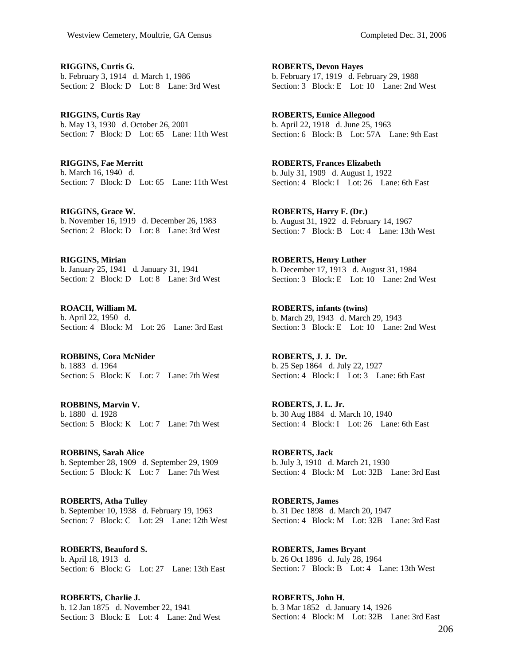**RIGGINS, Curtis G.**  b. February 3, 1914 d. March 1, 1986 Section: 2 Block: D Lot: 8 Lane: 3rd West

**RIGGINS, Curtis Ray**  b. May 13, 1930 d. October 26, 2001 Section: 7 Block: D Lot: 65 Lane: 11th West

**RIGGINS, Fae Merritt**  b. March 16, 1940 d. Section: 7 Block: D Lot: 65 Lane: 11th West

**RIGGINS, Grace W.**  b. November 16, 1919 d. December 26, 1983 Section: 2 Block: D Lot: 8 Lane: 3rd West

**RIGGINS, Mirian**  b. January 25, 1941 d. January 31, 1941 Section: 2 Block: D Lot: 8 Lane: 3rd West

**ROACH, William M.**  b. April 22, 1950 d. Section: 4 Block: M Lot: 26 Lane: 3rd East

**ROBBINS, Cora McNider**  b. 1883 d. 1964 Section: 5 Block: K Lot: 7 Lane: 7th West

**ROBBINS, Marvin V.**  b. 1880 d. 1928 Section: 5 Block: K Lot: 7 Lane: 7th West

**ROBBINS, Sarah Alice**  b. September 28, 1909 d. September 29, 1909 Section: 5 Block: K Lot: 7 Lane: 7th West

**ROBERTS, Atha Tulley**  b. September 10, 1938 d. February 19, 1963 Section: 7 Block: C Lot: 29 Lane: 12th West

**ROBERTS, Beauford S.**  b. April 18, 1913 d. Section: 6 Block: G Lot: 27 Lane: 13th East

**ROBERTS, Charlie J.**  b. 12 Jan 1875 d. November 22, 1941 Section: 3 Block: E Lot: 4 Lane: 2nd West

**ROBERTS, Devon Hayes**  b. February 17, 1919 d. February 29, 1988 Section: 3 Block: E Lot: 10 Lane: 2nd West

**ROBERTS, Eunice Allegood**  b. April 22, 1918 d. June 25, 1963 Section: 6 Block: B Lot: 57A Lane: 9th East

**ROBERTS, Frances Elizabeth**  b. July 31, 1909 d. August 1, 1922 Section: 4 Block: I Lot: 26 Lane: 6th East

**ROBERTS, Harry F. (Dr.)**  b. August 31, 1922 d. February 14, 1967 Section: 7 Block: B Lot: 4 Lane: 13th West

**ROBERTS, Henry Luther**  b. December 17, 1913 d. August 31, 1984 Section: 3 Block: E Lot: 10 Lane: 2nd West

**ROBERTS, infants (twins)**  b. March 29, 1943 d. March 29, 1943 Section: 3 Block: E Lot: 10 Lane: 2nd West

**ROBERTS, J. J. Dr.**  b. 25 Sep 1864 d. July 22, 1927 Section: 4 Block: I Lot: 3 Lane: 6th East

**ROBERTS, J. L. Jr.**  b. 30 Aug 1884 d. March 10, 1940 Section: 4 Block: I Lot: 26 Lane: 6th East

**ROBERTS, Jack**  b. July 3, 1910 d. March 21, 1930 Section: 4 Block: M Lot: 32B Lane: 3rd East

**ROBERTS, James**  b. 31 Dec 1898 d. March 20, 1947 Section: 4 Block: M Lot: 32B Lane: 3rd East

**ROBERTS, James Bryant**  b. 26 Oct 1896 d. July 28, 1964 Section: 7 Block: B Lot: 4 Lane: 13th West

**ROBERTS, John H.**  b. 3 Mar 1852 d. January 14, 1926 Section: 4 Block: M Lot: 32B Lane: 3rd East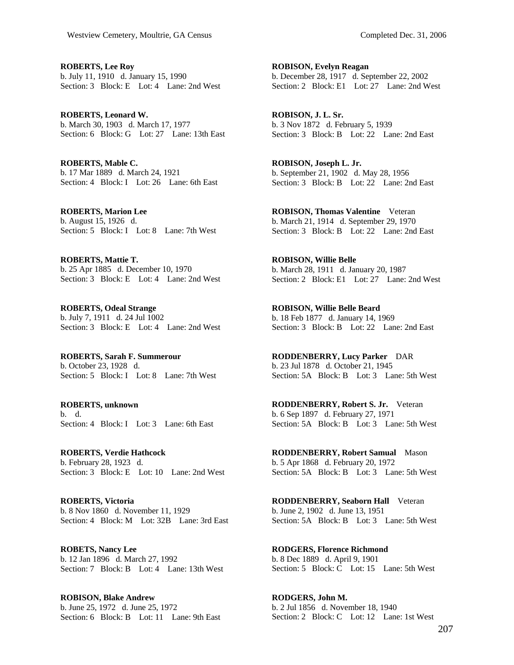**ROBERTS, Lee Roy**  b. July 11, 1910 d. January 15, 1990 Section: 3 Block: E Lot: 4 Lane: 2nd West

**ROBERTS, Leonard W.**  b. March 30, 1903 d. March 17, 1977 Section: 6 Block: G Lot: 27 Lane: 13th East

**ROBERTS, Mable C.**  b. 17 Mar 1889 d. March 24, 1921 Section: 4 Block: I Lot: 26 Lane: 6th East

**ROBERTS, Marion Lee**  b. August 15, 1926 d. Section: 5 Block: I Lot: 8 Lane: 7th West

**ROBERTS, Mattie T.**  b. 25 Apr 1885 d. December 10, 1970 Section: 3 Block: E Lot: 4 Lane: 2nd West

**ROBERTS, Odeal Strange**  b. July 7, 1911 d. 24 Jul 1002 Section: 3 Block: E Lot: 4 Lane: 2nd West

**ROBERTS, Sarah F. Summerour**  b. October 23, 1928 d. Section: 5 Block: I Lot: 8 Lane: 7th West

**ROBERTS, unknown**  b. d. Section: 4 Block: I Lot: 3 Lane: 6th East

**ROBERTS, Verdie Hathcock**  b. February 28, 1923 d. Section: 3 Block: E Lot: 10 Lane: 2nd West

**ROBERTS, Victoria**  b. 8 Nov 1860 d. November 11, 1929 Section: 4 Block: M Lot: 32B Lane: 3rd East

**ROBETS, Nancy Lee**  b. 12 Jan 1896 d. March 27, 1992 Section: 7 Block: B Lot: 4 Lane: 13th West

**ROBISON, Blake Andrew**  b. June 25, 1972 d. June 25, 1972 Section: 6 Block: B Lot: 11 Lane: 9th East

**ROBISON, Evelyn Reagan**  b. December 28, 1917 d. September 22, 2002 Section: 2 Block: E1 Lot: 27 Lane: 2nd West

**ROBISON, J. L. Sr.**  b. 3 Nov 1872 d. February 5, 1939 Section: 3 Block: B Lot: 22 Lane: 2nd East

**ROBISON, Joseph L. Jr.**  b. September 21, 1902 d. May 28, 1956 Section: 3 Block: B Lot: 22 Lane: 2nd East

**ROBISON, Thomas Valentine** Veteran b. March 21, 1914 d. September 29, 1970 Section: 3 Block: B Lot: 22 Lane: 2nd East

**ROBISON, Willie Belle**  b. March 28, 1911 d. January 20, 1987 Section: 2 Block: E1 Lot: 27 Lane: 2nd West

**ROBISON, Willie Belle Beard**  b. 18 Feb 1877 d. January 14, 1969 Section: 3 Block: B Lot: 22 Lane: 2nd East

**RODDENBERRY, Lucy Parker** DAR b. 23 Jul 1878 d. October 21, 1945 Section: 5A Block: B Lot: 3 Lane: 5th West

**RODDENBERRY, Robert S. Jr.** Veteran b. 6 Sep 1897 d. February 27, 1971 Section: 5A Block: B Lot: 3 Lane: 5th West

**RODDENBERRY, Robert Samual** Mason b. 5 Apr 1868 d. February 20, 1972 Section: 5A Block: B Lot: 3 Lane: 5th West

**RODDENBERRY, Seaborn Hall** Veteran b. June 2, 1902 d. June 13, 1951 Section: 5A Block: B Lot: 3 Lane: 5th West

**RODGERS, Florence Richmond**  b. 8 Dec 1889 d. April 9, 1901 Section: 5 Block: C Lot: 15 Lane: 5th West

**RODGERS, John M.**  b. 2 Jul 1856 d. November 18, 1940 Section: 2 Block: C Lot: 12 Lane: 1st West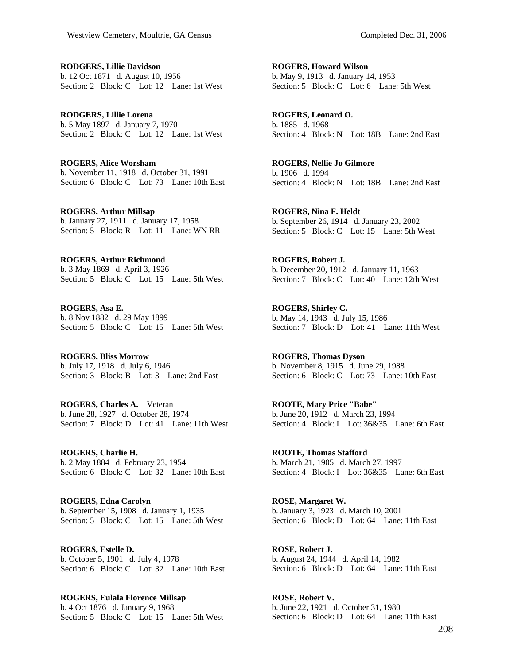**RODGERS, Lillie Davidson**  b. 12 Oct 1871 d. August 10, 1956 Section: 2 Block: C Lot: 12 Lane: 1st West

**RODGERS, Lillie Lorena**  b. 5 May 1897 d. January 7, 1970 Section: 2 Block: C Lot: 12 Lane: 1st West

**ROGERS, Alice Worsham**  b. November 11, 1918 d. October 31, 1991 Section: 6 Block: C Lot: 73 Lane: 10th East

**ROGERS, Arthur Millsap**  b. January 27, 1911 d. January 17, 1958 Section: 5 Block: R Lot: 11 Lane: WN RR

**ROGERS, Arthur Richmond**  b. 3 May 1869 d. April 3, 1926 Section: 5 Block: C Lot: 15 Lane: 5th West

**ROGERS, Asa E.**  b. 8 Nov 1882 d. 29 May 1899 Section: 5 Block: C Lot: 15 Lane: 5th West

**ROGERS, Bliss Morrow**  b. July 17, 1918 d. July 6, 1946 Section: 3 Block: B Lot: 3 Lane: 2nd East

**ROGERS, Charles A.** Veteran b. June 28, 1927 d. October 28, 1974 Section: 7 Block: D Lot: 41 Lane: 11th West

**ROGERS, Charlie H.**  b. 2 May 1884 d. February 23, 1954 Section: 6 Block: C Lot: 32 Lane: 10th East

**ROGERS, Edna Carolyn**  b. September 15, 1908 d. January 1, 1935 Section: 5 Block: C Lot: 15 Lane: 5th West

**ROGERS, Estelle D.**  b. October 5, 1901 d. July 4, 1978 Section: 6 Block: C Lot: 32 Lane: 10th East

**ROGERS, Eulala Florence Millsap**  b. 4 Oct 1876 d. January 9, 1968 Section: 5 Block: C Lot: 15 Lane: 5th West

**ROGERS, Howard Wilson**  b. May 9, 1913 d. January 14, 1953 Section: 5 Block: C Lot: 6 Lane: 5th West

**ROGERS, Leonard O.**  b. 1885 d. 1968 Section: 4 Block: N Lot: 18B Lane: 2nd East

**ROGERS, Nellie Jo Gilmore**  b. 1906 d. 1994 Section: 4 Block: N Lot: 18B Lane: 2nd East

**ROGERS, Nina F. Heldt**  b. September 26, 1914 d. January 23, 2002 Section: 5 Block: C Lot: 15 Lane: 5th West

**ROGERS, Robert J.**  b. December 20, 1912 d. January 11, 1963 Section: 7 Block: C Lot: 40 Lane: 12th West

**ROGERS, Shirley C.**  b. May 14, 1943 d. July 15, 1986 Section: 7 Block: D Lot: 41 Lane: 11th West

**ROGERS, Thomas Dyson**  b. November 8, 1915 d. June 29, 1988 Section: 6 Block: C Lot: 73 Lane: 10th East

**ROOTE, Mary Price "Babe"**  b. June 20, 1912 d. March 23, 1994 Section: 4 Block: I Lot: 36&35 Lane: 6th East

**ROOTE, Thomas Stafford**  b. March 21, 1905 d. March 27, 1997 Section: 4 Block: I Lot:  $36&35$  Lane: 6th East

**ROSE, Margaret W.**  b. January 3, 1923 d. March 10, 2001 Section: 6 Block: D Lot: 64 Lane: 11th East

**ROSE, Robert J.**  b. August 24, 1944 d. April 14, 1982 Section: 6 Block: D Lot: 64 Lane: 11th East

**ROSE, Robert V.**  b. June 22, 1921 d. October 31, 1980 Section: 6 Block: D Lot: 64 Lane: 11th East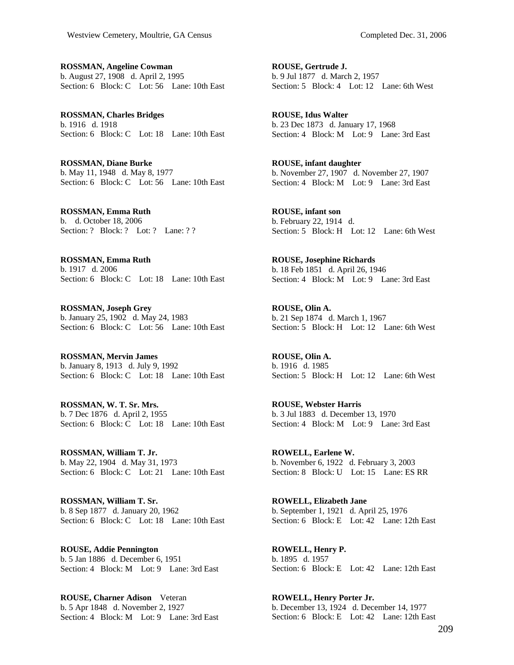**ROSSMAN, Angeline Cowman**  b. August 27, 1908 d. April 2, 1995 Section: 6 Block: C Lot: 56 Lane: 10th East

**ROSSMAN, Charles Bridges**  b. 1916 d. 1918 Section: 6 Block: C Lot: 18 Lane: 10th East

**ROSSMAN, Diane Burke**  b. May 11, 1948 d. May 8, 1977 Section: 6 Block: C Lot: 56 Lane: 10th East

**ROSSMAN, Emma Ruth**  b. d. October 18, 2006 Section: ? Block: ? Lot: ? Lane: ? ?

**ROSSMAN, Emma Ruth**  b. 1917 d. 2006 Section: 6 Block: C Lot: 18 Lane: 10th East

**ROSSMAN, Joseph Grey**  b. January 25, 1902 d. May 24, 1983 Section: 6 Block: C Lot: 56 Lane: 10th East

**ROSSMAN, Mervin James**  b. January 8, 1913 d. July 9, 1992 Section: 6 Block: C Lot: 18 Lane: 10th East

**ROSSMAN, W. T. Sr. Mrs.**  b. 7 Dec 1876 d. April 2, 1955 Section: 6 Block: C Lot: 18 Lane: 10th East

**ROSSMAN, William T. Jr.**  b. May 22, 1904 d. May 31, 1973 Section: 6 Block: C Lot: 21 Lane: 10th East

**ROSSMAN, William T. Sr.**  b. 8 Sep 1877 d. January 20, 1962 Section: 6 Block: C Lot: 18 Lane: 10th East

**ROUSE, Addie Pennington**  b. 5 Jan 1886 d. December 6, 1951 Section: 4 Block: M Lot: 9 Lane: 3rd East

**ROUSE, Charner Adison** Veteran b. 5 Apr 1848 d. November 2, 1927 Section: 4 Block: M Lot: 9 Lane: 3rd East

**ROUSE, Gertrude J.**  b. 9 Jul 1877 d. March 2, 1957 Section: 5 Block: 4 Lot: 12 Lane: 6th West

**ROUSE, Idus Walter**  b. 23 Dec 1873 d. January 17, 1968 Section: 4 Block: M Lot: 9 Lane: 3rd East

**ROUSE, infant daughter**  b. November 27, 1907 d. November 27, 1907 Section: 4 Block: M Lot: 9 Lane: 3rd East

**ROUSE, infant son**  b. February 22, 1914 d. Section: 5 Block: H Lot: 12 Lane: 6th West

**ROUSE, Josephine Richards**  b. 18 Feb 1851 d. April 26, 1946 Section: 4 Block: M Lot: 9 Lane: 3rd East

**ROUSE, Olin A.**  b. 21 Sep 1874 d. March 1, 1967 Section: 5 Block: H Lot: 12 Lane: 6th West

**ROUSE, Olin A.**  b. 1916 d. 1985 Section: 5 Block: H Lot: 12 Lane: 6th West

**ROUSE, Webster Harris**  b. 3 Jul 1883 d. December 13, 1970 Section: 4 Block: M Lot: 9 Lane: 3rd East

**ROWELL, Earlene W.**  b. November 6, 1922 d. February 3, 2003 Section: 8 Block: U Lot: 15 Lane: ES RR

**ROWELL, Elizabeth Jane**  b. September 1, 1921 d. April 25, 1976 Section: 6 Block: E Lot: 42 Lane: 12th East

**ROWELL, Henry P.**  b. 1895 d. 1957 Section: 6 Block: E Lot: 42 Lane: 12th East

**ROWELL, Henry Porter Jr.**  b. December 13, 1924 d. December 14, 1977 Section: 6 Block: E Lot: 42 Lane: 12th East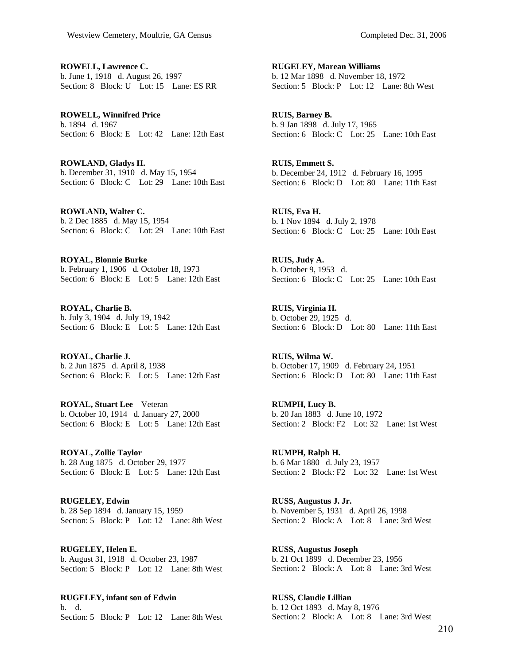**ROWELL, Lawrence C.**  b. June 1, 1918 d. August 26, 1997 Section: 8 Block: U Lot: 15 Lane: ES RR

**ROWELL, Winnifred Price**  b. 1894 d. 1967 Section: 6 Block: E Lot: 42 Lane: 12th East

**ROWLAND, Gladys H.**  b. December 31, 1910 d. May 15, 1954 Section: 6 Block: C Lot: 29 Lane: 10th East

**ROWLAND, Walter C.**  b. 2 Dec 1885 d. May 15, 1954 Section: 6 Block: C Lot: 29 Lane: 10th East

**ROYAL, Blonnie Burke**  b. February 1, 1906 d. October 18, 1973 Section: 6 Block: E Lot: 5 Lane: 12th East

**ROYAL, Charlie B.**  b. July 3, 1904 d. July 19, 1942 Section: 6 Block: E Lot: 5 Lane: 12th East

**ROYAL, Charlie J.**  b. 2 Jun 1875 d. April 8, 1938 Section: 6 Block: E Lot: 5 Lane: 12th East

**ROYAL, Stuart Lee** Veteran b. October 10, 1914 d. January 27, 2000 Section: 6 Block: E Lot: 5 Lane: 12th East

**ROYAL, Zollie Taylor**  b. 28 Aug 1875 d. October 29, 1977 Section: 6 Block: E Lot: 5 Lane: 12th East

**RUGELEY, Edwin**  b. 28 Sep 1894 d. January 15, 1959 Section: 5 Block: P Lot: 12 Lane: 8th West

**RUGELEY, Helen E.**  b. August 31, 1918 d. October 23, 1987 Section: 5 Block: P Lot: 12 Lane: 8th West

**RUGELEY, infant son of Edwin**  b. d. Section: 5 Block: P Lot: 12 Lane: 8th West

**RUGELEY, Marean Williams**  b. 12 Mar 1898 d. November 18, 1972 Section: 5 Block: P Lot: 12 Lane: 8th West

**RUIS, Barney B.**  b. 9 Jan 1898 d. July 17, 1965 Section: 6 Block: C Lot: 25 Lane: 10th East

**RUIS, Emmett S.**  b. December 24, 1912 d. February 16, 1995 Section: 6 Block: D Lot: 80 Lane: 11th East

**RUIS, Eva H.**  b. 1 Nov 1894 d. July 2, 1978 Section: 6 Block: C Lot: 25 Lane: 10th East

**RUIS, Judy A.**  b. October 9, 1953 d. Section: 6 Block: C Lot: 25 Lane: 10th East

**RUIS, Virginia H.**  b. October 29, 1925 d. Section: 6 Block: D Lot: 80 Lane: 11th East

**RUIS, Wilma W.**  b. October 17, 1909 d. February 24, 1951 Section: 6 Block: D Lot: 80 Lane: 11th East

**RUMPH, Lucy B.**  b. 20 Jan 1883 d. June 10, 1972 Section: 2 Block: F2 Lot: 32 Lane: 1st West

**RUMPH, Ralph H.**  b. 6 Mar 1880 d. July 23, 1957 Section: 2 Block: F2 Lot: 32 Lane: 1st West

**RUSS, Augustus J. Jr.**  b. November 5, 1931 d. April 26, 1998 Section: 2 Block: A Lot: 8 Lane: 3rd West

**RUSS, Augustus Joseph**  b. 21 Oct 1899 d. December 23, 1956 Section: 2 Block: A Lot: 8 Lane: 3rd West

**RUSS, Claudie Lillian**  b. 12 Oct 1893 d. May 8, 1976 Section: 2 Block: A Lot: 8 Lane: 3rd West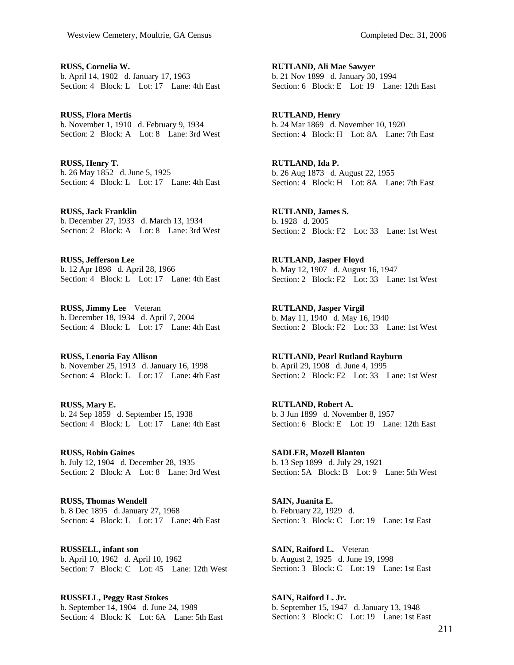**RUSS, Cornelia W.**  b. April 14, 1902 d. January 17, 1963 Section: 4 Block: L Lot: 17 Lane: 4th East

**RUSS, Flora Mertis**  b. November 1, 1910 d. February 9, 1934 Section: 2 Block: A Lot: 8 Lane: 3rd West

**RUSS, Henry T.**  b. 26 May 1852 d. June 5, 1925 Section: 4 Block: L Lot: 17 Lane: 4th East

**RUSS, Jack Franklin**  b. December 27, 1933 d. March 13, 1934 Section: 2 Block: A Lot: 8 Lane: 3rd West

**RUSS, Jefferson Lee**  b. 12 Apr 1898 d. April 28, 1966 Section: 4 Block: L Lot: 17 Lane: 4th East

**RUSS, Jimmy Lee** Veteran b. December 18, 1934 d. April 7, 2004 Section: 4 Block: L Lot: 17 Lane: 4th East

**RUSS, Lenoria Fay Allison**  b. November 25, 1913 d. January 16, 1998 Section: 4 Block: L Lot: 17 Lane: 4th East

**RUSS, Mary E.**  b. 24 Sep 1859 d. September 15, 1938 Section: 4 Block: L Lot: 17 Lane: 4th East

**RUSS, Robin Gaines**  b. July 12, 1904 d. December 28, 1935 Section: 2 Block: A Lot: 8 Lane: 3rd West

**RUSS, Thomas Wendell**  b. 8 Dec 1895 d. January 27, 1968 Section: 4 Block: L Lot: 17 Lane: 4th East

**RUSSELL, infant son**  b. April 10, 1962 d. April 10, 1962 Section: 7 Block: C Lot: 45 Lane: 12th West

**RUSSELL, Peggy Rast Stokes**  b. September 14, 1904 d. June 24, 1989 Section: 4 Block: K Lot: 6A Lane: 5th East

**RUTLAND, Ali Mae Sawyer**  b. 21 Nov 1899 d. January 30, 1994 Section: 6 Block: E Lot: 19 Lane: 12th East

**RUTLAND, Henry**  b. 24 Mar 1869 d. November 10, 1920 Section: 4 Block: H Lot: 8A Lane: 7th East

**RUTLAND, Ida P.**  b. 26 Aug 1873 d. August 22, 1955 Section: 4 Block: H Lot: 8A Lane: 7th East

**RUTLAND, James S.**  b. 1928 d. 2005 Section: 2 Block: F2 Lot: 33 Lane: 1st West

**RUTLAND, Jasper Floyd**  b. May 12, 1907 d. August 16, 1947 Section: 2 Block: F2 Lot: 33 Lane: 1st West

**RUTLAND, Jasper Virgil**  b. May 11, 1940 d. May 16, 1940 Section: 2 Block: F2 Lot: 33 Lane: 1st West

**RUTLAND, Pearl Rutland Rayburn**  b. April 29, 1908 d. June 4, 1995 Section: 2 Block: F2 Lot: 33 Lane: 1st West

**RUTLAND, Robert A.**  b. 3 Jun 1899 d. November 8, 1957 Section: 6 Block: E Lot: 19 Lane: 12th East

**SADLER, Mozell Blanton**  b. 13 Sep 1899 d. July 29, 1921 Section: 5A Block: B Lot: 9 Lane: 5th West

**SAIN, Juanita E.**  b. February 22, 1929 d. Section: 3 Block: C Lot: 19 Lane: 1st East

**SAIN, Raiford L.** Veteran b. August 2, 1925 d. June 19, 1998 Section: 3 Block: C Lot: 19 Lane: 1st East

**SAIN, Raiford L. Jr.**  b. September 15, 1947 d. January 13, 1948 Section: 3 Block: C Lot: 19 Lane: 1st East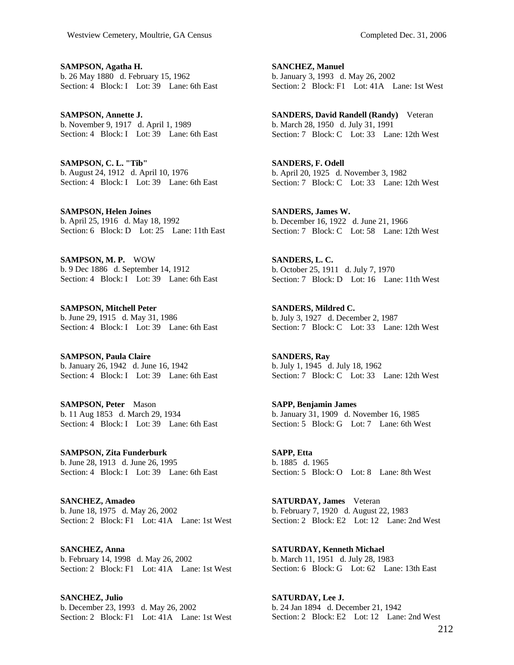**SAMPSON, Agatha H.**  b. 26 May 1880 d. February 15, 1962 Section: 4 Block: I Lot: 39 Lane: 6th East

**SAMPSON, Annette J.**  b. November 9, 1917 d. April 1, 1989 Section: 4 Block: I Lot: 39 Lane: 6th East

**SAMPSON, C. L. "Tib"**  b. August 24, 1912 d. April 10, 1976 Section: 4 Block: I Lot: 39 Lane: 6th East

**SAMPSON, Helen Joines**  b. April 25, 1916 d. May 18, 1992 Section: 6 Block: D Lot: 25 Lane: 11th East

**SAMPSON, M. P.** WOW b. 9 Dec 1886 d. September 14, 1912 Section: 4 Block: I Lot: 39 Lane: 6th East

**SAMPSON, Mitchell Peter**  b. June 29, 1915 d. May 31, 1986 Section: 4 Block: I Lot: 39 Lane: 6th East

**SAMPSON, Paula Claire**  b. January 26, 1942 d. June 16, 1942 Section:  $\overline{4}$  Block: I Lot: 39 Lane: 6th East

**SAMPSON, Peter** Mason b. 11 Aug 1853 d. March 29, 1934 Section: 4 Block: I Lot: 39 Lane: 6th East

**SAMPSON, Zita Funderburk**  b. June 28, 1913 d. June 26, 1995 Section: 4 Block: I Lot: 39 Lane: 6th East

**SANCHEZ, Amadeo**  b. June 18, 1975 d. May 26, 2002 Section: 2 Block: F1 Lot: 41A Lane: 1st West

**SANCHEZ, Anna**  b. February 14, 1998 d. May 26, 2002 Section: 2 Block: F1 Lot: 41A Lane: 1st West

**SANCHEZ, Julio**  b. December 23, 1993 d. May 26, 2002 Section: 2 Block: F1 Lot: 41A Lane: 1st West **SANCHEZ, Manuel**  b. January 3, 1993 d. May 26, 2002 Section: 2 Block: F1 Lot: 41A Lane: 1st West

**SANDERS, David Randell (Randy)** Veteran b. March 28, 1950 d. July 31, 1991 Section: 7 Block: C Lot: 33 Lane: 12th West

**SANDERS, F. Odell**  b. April 20, 1925 d. November 3, 1982 Section: 7 Block: C Lot: 33 Lane: 12th West

**SANDERS, James W.**  b. December 16, 1922 d. June 21, 1966 Section: 7 Block: C Lot: 58 Lane: 12th West

**SANDERS, L. C.**  b. October 25, 1911 d. July 7, 1970 Section: 7 Block: D Lot: 16 Lane: 11th West

**SANDERS, Mildred C.**  b. July 3, 1927 d. December 2, 1987 Section: 7 Block: C Lot: 33 Lane: 12th West

**SANDERS, Ray**  b. July 1, 1945 d. July 18, 1962 Section: 7 Block: C Lot: 33 Lane: 12th West

**SAPP, Benjamin James**  b. January 31, 1909 d. November 16, 1985 Section: 5 Block: G Lot: 7 Lane: 6th West

**SAPP, Etta**  b. 1885 d. 1965 Section: 5 Block: O Lot: 8 Lane: 8th West

**SATURDAY, James** Veteran b. February 7, 1920 d. August 22, 1983 Section: 2 Block: E2 Lot: 12 Lane: 2nd West

**SATURDAY, Kenneth Michael**  b. March 11, 1951 d. July 28, 1983 Section: 6 Block: G Lot: 62 Lane: 13th East

**SATURDAY, Lee J.**  b. 24 Jan 1894 d. December 21, 1942 Section: 2 Block: E2 Lot: 12 Lane: 2nd West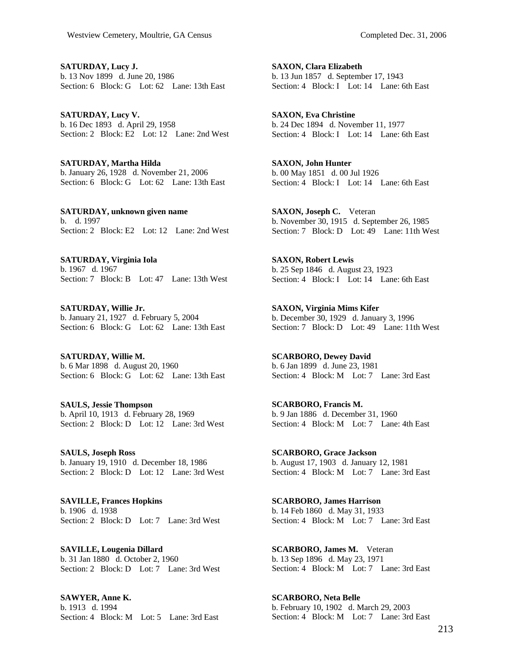**SATURDAY, Lucy J.**  b. 13 Nov 1899 d. June 20, 1986 Section: 6 Block: G Lot: 62 Lane: 13th East

**SATURDAY, Lucy V.**  b. 16 Dec 1893 d. April 29, 1958 Section: 2 Block: E2 Lot: 12 Lane: 2nd West

**SATURDAY, Martha Hilda**  b. January 26, 1928 d. November 21, 2006 Section: 6 Block: G Lot: 62 Lane: 13th East

**SATURDAY, unknown given name**  b. d. 1997 Section: 2 Block: E2 Lot: 12 Lane: 2nd West

**SATURDAY, Virginia Iola**  b. 1967 d. 1967 Section: 7 Block: B Lot: 47 Lane: 13th West

**SATURDAY, Willie Jr.**  b. January 21, 1927 d. February 5, 2004 Section: 6 Block: G Lot: 62 Lane: 13th East

**SATURDAY, Willie M.**  b. 6 Mar 1898 d. August 20, 1960 Section: 6 Block: G Lot: 62 Lane: 13th East

**SAULS, Jessie Thompson**  b. April 10, 1913 d. February 28, 1969 Section: 2 Block: D Lot: 12 Lane: 3rd West

**SAULS, Joseph Ross**  b. January 19, 1910 d. December 18, 1986 Section: 2 Block: D Lot: 12 Lane: 3rd West

**SAVILLE, Frances Hopkins**  b. 1906 d. 1938 Section: 2 Block: D Lot: 7 Lane: 3rd West

**SAVILLE, Lougenia Dillard**  b. 31 Jan 1880 d. October 2, 1960 Section: 2 Block: D Lot: 7 Lane: 3rd West

**SAWYER, Anne K.**  b. 1913 d. 1994 Section: 4 Block: M Lot: 5 Lane: 3rd East

**SAXON, Clara Elizabeth**  b. 13 Jun 1857 d. September 17, 1943 Section: 4 Block: I Lot: 14 Lane: 6th East

**SAXON, Eva Christine**  b. 24 Dec 1894 d. November 11, 1977 Section: 4 Block: I Lot: 14 Lane: 6th East

**SAXON, John Hunter**  b. 00 May 1851 d. 00 Jul 1926 Section: 4 Block: I Lot: 14 Lane: 6th East

**SAXON, Joseph C.** Veteran b. November 30, 1915 d. September 26, 1985 Section: 7 Block: D Lot: 49 Lane: 11th West

**SAXON, Robert Lewis**  b. 25 Sep 1846 d. August 23, 1923 Section: 4 Block: I Lot: 14 Lane: 6th East

**SAXON, Virginia Mims Kifer**  b. December 30, 1929 d. January 3, 1996 Section: 7 Block: D Lot: 49 Lane: 11th West

**SCARBORO, Dewey David**  b. 6 Jan 1899 d. June 23, 1981 Section: 4 Block: M Lot: 7 Lane: 3rd East

**SCARBORO, Francis M.**  b. 9 Jan 1886 d. December 31, 1960 Section: 4 Block: M Lot: 7 Lane: 4th East

**SCARBORO, Grace Jackson**  b. August 17, 1903 d. January 12, 1981 Section: 4 Block: M Lot: 7 Lane: 3rd East

**SCARBORO, James Harrison**  b. 14 Feb 1860 d. May 31, 1933 Section: 4 Block: M Lot: 7 Lane: 3rd East

**SCARBORO, James M.** Veteran b. 13 Sep 1896 d. May 23, 1971 Section: 4 Block: M Lot: 7 Lane: 3rd East

**SCARBORO, Neta Belle**  b. February 10, 1902 d. March 29, 2003 Section: 4 Block: M Lot: 7 Lane: 3rd East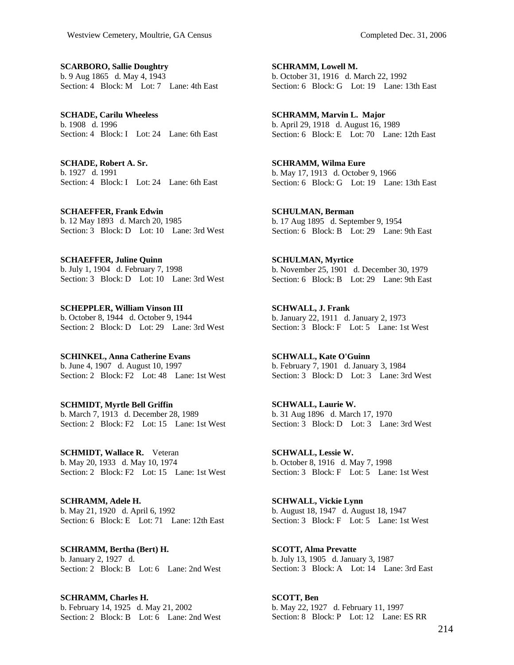**SCARBORO, Sallie Doughtry**  b. 9 Aug 1865 d. May 4, 1943 Section: 4 Block: M Lot: 7 Lane: 4th East

**SCHADE, Carilu Wheeless**  b. 1908 d. 1996 Section: 4 Block: I Lot: 24 Lane: 6th East

**SCHADE, Robert A. Sr.**  b. 1927 d. 1991 Section: 4 Block: I Lot: 24 Lane: 6th East

**SCHAEFFER, Frank Edwin**  b. 12 May 1893 d. March 20, 1985 Section: 3 Block: D Lot: 10 Lane: 3rd West

**SCHAEFFER, Juline Quinn**  b. July 1, 1904 d. February 7, 1998 Section: 3 Block: D Lot: 10 Lane: 3rd West

**SCHEPPLER, William Vinson III**  b. October 8, 1944 d. October 9, 1944 Section: 2 Block: D Lot: 29 Lane: 3rd West

**SCHINKEL, Anna Catherine Evans**  b. June 4, 1907 d. August 10, 1997 Section: 2 Block: F2 Lot: 48 Lane: 1st West

**SCHMIDT, Myrtle Bell Griffin**  b. March 7, 1913 d. December 28, 1989 Section: 2 Block: F2 Lot: 15 Lane: 1st West

**SCHMIDT, Wallace R.** Veteran b. May 20, 1933 d. May 10, 1974 Section: 2 Block: F2 Lot: 15 Lane: 1st West

**SCHRAMM, Adele H.**  b. May 21, 1920 d. April 6, 1992 Section: 6 Block: E Lot: 71 Lane: 12th East

**SCHRAMM, Bertha (Bert) H.**  b. January 2, 1927 d. Section: 2 Block: B Lot: 6 Lane: 2nd West

**SCHRAMM, Charles H.**  b. February 14, 1925 d. May 21, 2002 Section: 2 Block: B Lot: 6 Lane: 2nd West **SCHRAMM, Lowell M.**  b. October 31, 1916 d. March 22, 1992 Section: 6 Block: G Lot: 19 Lane: 13th East

**SCHRAMM, Marvin L. Major**  b. April 29, 1918 d. August 16, 1989 Section: 6 Block: E Lot: 70 Lane: 12th East

**SCHRAMM, Wilma Eure**  b. May 17, 1913 d. October 9, 1966 Section: 6 Block: G Lot: 19 Lane: 13th East

**SCHULMAN, Berman**  b. 17 Aug 1895 d. September 9, 1954 Section: 6 Block: B Lot: 29 Lane: 9th East

**SCHULMAN, Myrtice**  b. November 25, 1901 d. December 30, 1979 Section: 6 Block: B Lot: 29 Lane: 9th East

**SCHWALL, J. Frank**  b. January 22, 1911 d. January 2, 1973 Section: 3 Block: F Lot: 5 Lane: 1st West

**SCHWALL, Kate O'Guinn**  b. February 7, 1901 d. January 3, 1984 Section: 3 Block: D Lot: 3 Lane: 3rd West

**SCHWALL, Laurie W.**  b. 31 Aug 1896 d. March 17, 1970 Section: 3 Block: D Lot: 3 Lane: 3rd West

**SCHWALL, Lessie W.**  b. October 8, 1916 d. May 7, 1998 Section: 3 Block: F Lot: 5 Lane: 1st West

**SCHWALL, Vickie Lynn**  b. August 18, 1947 d. August 18, 1947 Section: 3 Block: F Lot: 5 Lane: 1st West

**SCOTT, Alma Prevatte**  b. July 13, 1905 d. January 3, 1987 Section: 3 Block: A Lot: 14 Lane: 3rd East

**SCOTT, Ben**  b. May 22, 1927 d. February 11, 1997 Section: 8 Block: P Lot: 12 Lane: ES RR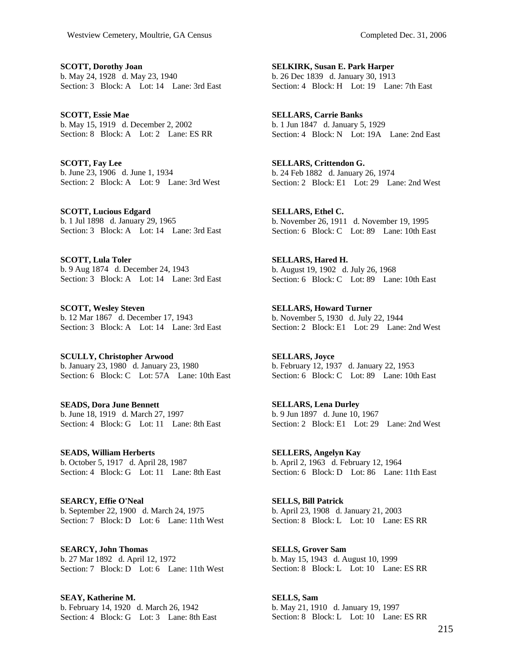**SCOTT, Dorothy Joan**  b. May 24, 1928 d. May 23, 1940 Section: 3 Block: A Lot: 14 Lane: 3rd East

**SCOTT, Essie Mae**  b. May 15, 1919 d. December 2, 2002 Section: 8 Block: A Lot: 2 Lane: ES RR

**SCOTT, Fay Lee**  b. June 23, 1906 d. June 1, 1934 Section: 2 Block: A Lot: 9 Lane: 3rd West

**SCOTT, Lucious Edgard**  b. 1 Jul 1898 d. January 29, 1965 Section: 3 Block: A Lot: 14 Lane: 3rd East

**SCOTT, Lula Toler**  b. 9 Aug 1874 d. December 24, 1943 Section: 3 Block: A Lot: 14 Lane: 3rd East

**SCOTT, Wesley Steven**  b. 12 Mar 1867 d. December 17, 1943 Section: 3 Block: A Lot: 14 Lane: 3rd East

**SCULLY, Christopher Arwood**  b. January 23, 1980 d. January 23, 1980 Section: 6 Block: C Lot: 57A Lane: 10th East

**SEADS, Dora June Bennett**  b. June 18, 1919 d. March 27, 1997 Section: 4 Block: G Lot: 11 Lane: 8th East

**SEADS, William Herberts**  b. October 5, 1917 d. April 28, 1987 Section: 4 Block: G Lot: 11 Lane: 8th East

**SEARCY, Effie O'Neal**  b. September 22, 1900 d. March 24, 1975 Section: 7 Block: D Lot: 6 Lane: 11th West

**SEARCY, John Thomas**  b. 27 Mar 1892 d. April 12, 1972 Section: 7 Block: D Lot: 6 Lane: 11th West

**SEAY, Katherine M.**  b. February 14, 1920 d. March 26, 1942 Section: 4 Block: G Lot: 3 Lane: 8th East **SELKIRK, Susan E. Park Harper**  b. 26 Dec 1839 d. January 30, 1913 Section: 4 Block: H Lot: 19 Lane: 7th East

**SELLARS, Carrie Banks**  b. 1 Jun 1847 d. January 5, 1929 Section: 4 Block: N Lot: 19A Lane: 2nd East

**SELLARS, Crittendon G.**  b. 24 Feb 1882 d. January 26, 1974 Section: 2 Block: E1 Lot: 29 Lane: 2nd West

**SELLARS, Ethel C.**  b. November 26, 1911 d. November 19, 1995 Section: 6 Block: C Lot: 89 Lane: 10th East

**SELLARS, Hared H.**  b. August 19, 1902 d. July 26, 1968 Section: 6 Block: C Lot: 89 Lane: 10th East

**SELLARS, Howard Turner**  b. November 5, 1930 d. July 22, 1944 Section: 2 Block: E1 Lot: 29 Lane: 2nd West

**SELLARS, Joyce**  b. February 12, 1937 d. January 22, 1953 Section: 6 Block: C Lot: 89 Lane: 10th East

**SELLARS, Lena Durley**  b. 9 Jun 1897 d. June 10, 1967 Section: 2 Block: E1 Lot: 29 Lane: 2nd West

**SELLERS, Angelyn Kay**  b. April 2, 1963 d. February 12, 1964 Section: 6 Block: D Lot: 86 Lane: 11th East

**SELLS, Bill Patrick**  b. April 23, 1908 d. January 21, 2003 Section: 8 Block: L Lot: 10 Lane: ES RR

**SELLS, Grover Sam**  b. May 15, 1943 d. August 10, 1999 Section: 8 Block: L Lot: 10 Lane: ES RR

**SELLS, Sam**  b. May 21, 1910 d. January 19, 1997 Section: 8 Block: L Lot: 10 Lane: ES RR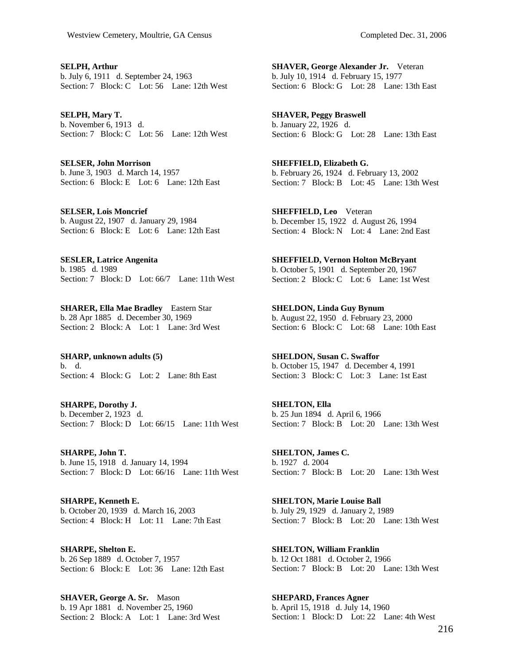**SELPH, Arthur**  b. July 6, 1911 d. September 24, 1963 Section: 7 Block: C Lot: 56 Lane: 12th West

**SELPH, Mary T.**  b. November 6, 1913 d. Section: 7 Block: C Lot: 56 Lane: 12th West

**SELSER, John Morrison**  b. June 3, 1903 d. March 14, 1957 Section: 6 Block: E Lot: 6 Lane: 12th East

**SELSER, Lois Moncrief**  b. August 22, 1907 d. January 29, 1984 Section: 6 Block: E Lot: 6 Lane: 12th East

**SESLER, Latrice Angenita**  b. 1985 d. 1989 Section: 7 Block: D Lot: 66/7 Lane: 11th West

**SHARER, Ella Mae Bradley** Eastern Star b. 28 Apr 1885 d. December 30, 1969 Section: 2 Block: A Lot: 1 Lane: 3rd West

**SHARP, unknown adults (5)**  b. d. Section: 4 Block: G Lot: 2 Lane: 8th East

**SHARPE, Dorothy J.**  b. December 2, 1923 d. Section: 7 Block: D Lot: 66/15 Lane: 11th West

**SHARPE, John T.**  b. June 15, 1918 d. January 14, 1994 Section: 7 Block: D Lot: 66/16 Lane: 11th West

**SHARPE, Kenneth E.**  b. October 20, 1939 d. March 16, 2003 Section: 4 Block: H Lot: 11 Lane: 7th East

**SHARPE, Shelton E.**  b. 26 Sep 1889 d. October 7, 1957 Section: 6 Block: E Lot: 36 Lane: 12th East

**SHAVER, George A. Sr.** Mason b. 19 Apr 1881 d. November 25, 1960 Section: 2 Block: A Lot: 1 Lane: 3rd West

**SHAVER, George Alexander Jr.** Veteran b. July 10, 1914 d. February 15, 1977 Section: 6 Block: G Lot: 28 Lane: 13th East

**SHAVER, Peggy Braswell**  b. January 22, 1926 d. Section: 6 Block: G Lot: 28 Lane: 13th East

**SHEFFIELD, Elizabeth G.**  b. February 26, 1924 d. February 13, 2002 Section: 7 Block: B Lot: 45 Lane: 13th West

**SHEFFIELD, Leo** Veteran b. December 15, 1922 d. August 26, 1994 Section: 4 Block: N Lot: 4 Lane: 2nd East

**SHEFFIELD, Vernon Holton McBryant**  b. October 5, 1901 d. September 20, 1967 Section: 2 Block: C Lot: 6 Lane: 1st West

**SHELDON, Linda Guy Bynum**  b. August 22, 1950 d. February 23, 2000 Section: 6 Block: C Lot: 68 Lane: 10th East

**SHELDON, Susan C. Swaffor**  b. October 15, 1947 d. December 4, 1991 Section: 3 Block: C Lot: 3 Lane: 1st East

**SHELTON, Ella**  b. 25 Jun 1894 d. April 6, 1966 Section: 7 Block: B Lot: 20 Lane: 13th West

**SHELTON, James C.**  b. 1927 d. 2004 Section: 7 Block: B Lot: 20 Lane: 13th West

**SHELTON, Marie Louise Ball**  b. July 29, 1929 d. January 2, 1989 Section: 7 Block: B Lot: 20 Lane: 13th West

**SHELTON, William Franklin**  b. 12 Oct 1881 d. October 2, 1966 Section: 7 Block: B Lot: 20 Lane: 13th West

**SHEPARD, Frances Agner**  b. April 15, 1918 d. July 14, 1960 Section: 1 Block: D Lot: 22 Lane: 4th West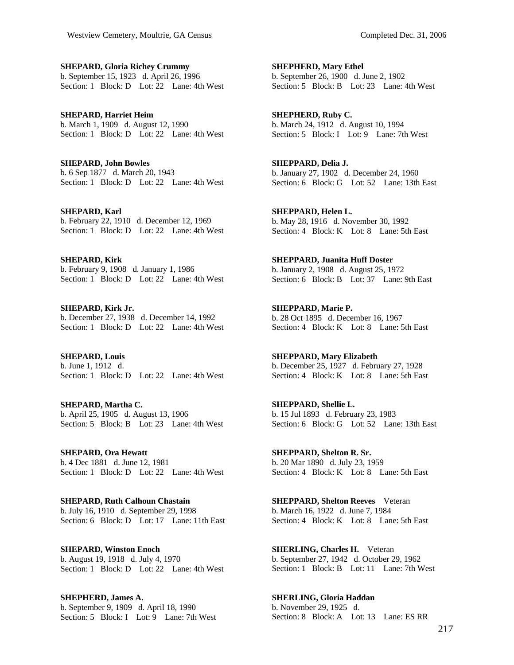**SHEPARD, Gloria Richey Crummy**  b. September 15, 1923 d. April 26, 1996 Section: 1 Block: D Lot: 22 Lane: 4th West

**SHEPARD, Harriet Heim**  b. March 1, 1909 d. August 12, 1990 Section: 1 Block: D Lot: 22 Lane: 4th West

**SHEPARD, John Bowles**  b. 6 Sep 1877 d. March 20, 1943 Section: 1 Block: D Lot: 22 Lane: 4th West

**SHEPARD, Karl**  b. February 22, 1910 d. December 12, 1969 Section: 1 Block: D Lot: 22 Lane: 4th West

**SHEPARD, Kirk**  b. February 9, 1908 d. January 1, 1986 Section: 1 Block: D Lot: 22 Lane: 4th West

**SHEPARD, Kirk Jr.**  b. December 27, 1938 d. December 14, 1992 Section: 1 Block: D Lot: 22 Lane: 4th West

**SHEPARD, Louis**  b. June 1, 1912 d. Section: 1 Block: D Lot: 22 Lane: 4th West

**SHEPARD, Martha C.**  b. April 25, 1905 d. August 13, 1906 Section: 5 Block: B Lot: 23 Lane: 4th West

**SHEPARD, Ora Hewatt**  b. 4 Dec 1881 d. June 12, 1981 Section: 1 Block: D Lot: 22 Lane: 4th West

**SHEPARD, Ruth Calhoun Chastain**  b. July 16, 1910 d. September 29, 1998 Section: 6 Block: D Lot: 17 Lane: 11th East

**SHEPARD, Winston Enoch**  b. August 19, 1918 d. July 4, 1970 Section: 1 Block: D Lot: 22 Lane: 4th West

**SHEPHERD, James A.**  b. September 9, 1909 d. April 18, 1990 Section: 5 Block: I Lot: 9 Lane: 7th West **SHEPHERD, Mary Ethel**  b. September 26, 1900 d. June 2, 1902 Section: 5 Block: B Lot: 23 Lane: 4th West

**SHEPHERD, Ruby C.**  b. March 24, 1912 d. August 10, 1994 Section: 5 Block: I Lot: 9 Lane: 7th West

**SHEPPARD, Delia J.**  b. January 27, 1902 d. December 24, 1960 Section: 6 Block: G Lot: 52 Lane: 13th East

**SHEPPARD, Helen L.**  b. May 28, 1916 d. November 30, 1992 Section: 4 Block: K Lot: 8 Lane: 5th East

**SHEPPARD, Juanita Huff Doster**  b. January 2, 1908 d. August 25, 1972 Section: 6 Block: B Lot: 37 Lane: 9th East

**SHEPPARD, Marie P.**  b. 28 Oct 1895 d. December 16, 1967 Section: 4 Block: K Lot: 8 Lane: 5th East

**SHEPPARD, Mary Elizabeth**  b. December 25, 1927 d. February 27, 1928 Section: 4 Block: K Lot: 8 Lane: 5th East

**SHEPPARD, Shellie L.**  b. 15 Jul 1893 d. February 23, 1983 Section: 6 Block: G Lot: 52 Lane: 13th East

**SHEPPARD, Shelton R. Sr.**  b. 20 Mar 1890 d. July 23, 1959 Section: 4 Block: K Lot: 8 Lane: 5th East

**SHEPPARD, Shelton Reeves** Veteran b. March 16, 1922 d. June 7, 1984 Section: 4 Block: K Lot: 8 Lane: 5th East

**SHERLING, Charles H.** Veteran b. September 27, 1942 d. October 29, 1962 Section: 1 Block: B Lot: 11 Lane: 7th West

**SHERLING, Gloria Haddan**  b. November 29, 1925 d. Section: 8 Block: A Lot: 13 Lane: ES RR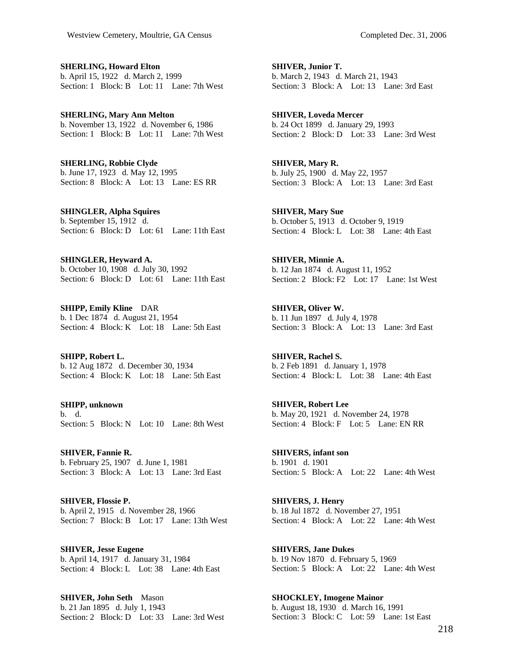**SHERLING, Howard Elton**  b. April 15, 1922 d. March 2, 1999 Section: 1 Block: B Lot: 11 Lane: 7th West

**SHERLING, Mary Ann Melton**  b. November 13, 1922 d. November 6, 1986 Section: 1 Block: B Lot: 11 Lane: 7th West

**SHERLING, Robbie Clyde**  b. June 17, 1923 d. May 12, 1995 Section: 8 Block: A Lot: 13 Lane: ES RR

**SHINGLER, Alpha Squires**  b. September 15, 1912 d. Section: 6 Block: D Lot: 61 Lane: 11th East

**SHINGLER, Heyward A.**  b. October 10, 1908 d. July 30, 1992 Section: 6 Block: D Lot: 61 Lane: 11th East

**SHIPP, Emily Kline** DAR b. 1 Dec 1874 d. August 21, 1954 Section: 4 Block: K Lot: 18 Lane: 5th East

**SHIPP, Robert L.**  b. 12 Aug 1872 d. December 30, 1934 Section:  $\overline{4}$  Block: K Lot: 18 Lane: 5th East

**SHIPP, unknown**  b. d. Section: 5 Block: N Lot: 10 Lane: 8th West

**SHIVER, Fannie R.**  b. February 25, 1907 d. June 1, 1981 Section: 3 Block: A Lot: 13 Lane: 3rd East

**SHIVER, Flossie P.**  b. April 2, 1915 d. November 28, 1966 Section: 7 Block: B Lot: 17 Lane: 13th West

**SHIVER, Jesse Eugene**  b. April 14, 1917 d. January 31, 1984 Section: 4 Block: L Lot: 38 Lane: 4th East

**SHIVER, John Seth** Mason b. 21 Jan 1895 d. July 1, 1943 Section: 2 Block: D Lot: 33 Lane: 3rd West

**SHIVER, Junior T.**  b. March 2, 1943 d. March 21, 1943 Section: 3 Block: A Lot: 13 Lane: 3rd East

**SHIVER, Loveda Mercer**  b. 24 Oct 1899 d. January 29, 1993 Section: 2 Block: D Lot: 33 Lane: 3rd West

**SHIVER, Mary R.**  b. July 25, 1900 d. May 22, 1957 Section: 3 Block: A Lot: 13 Lane: 3rd East

**SHIVER, Mary Sue**  b. October 5, 1913 d. October 9, 1919 Section: 4 Block: L Lot: 38 Lane: 4th East

**SHIVER, Minnie A.**  b. 12 Jan 1874 d. August 11, 1952 Section: 2 Block: F2 Lot: 17 Lane: 1st West

**SHIVER, Oliver W.**  b. 11 Jun 1897 d. July 4, 1978 Section: 3 Block: A Lot: 13 Lane: 3rd East

**SHIVER, Rachel S.**  b. 2 Feb 1891 d. January 1, 1978 Section: 4 Block: L Lot: 38 Lane: 4th East

**SHIVER, Robert Lee**  b. May 20, 1921 d. November 24, 1978 Section: 4 Block: F Lot: 5 Lane: EN RR

**SHIVERS, infant son**  b. 1901 d. 1901 Section: 5 Block: A Lot: 22 Lane: 4th West

**SHIVERS, J. Henry**  b. 18 Jul 1872 d. November 27, 1951 Section: 4 Block: A Lot: 22 Lane: 4th West

**SHIVERS, Jane Dukes**  b. 19 Nov 1870 d. February 5, 1969 Section: 5 Block: A Lot: 22 Lane: 4th West

**SHOCKLEY, Imogene Mainor**  b. August 18, 1930 d. March 16, 1991 Section: 3 Block: C Lot: 59 Lane: 1st East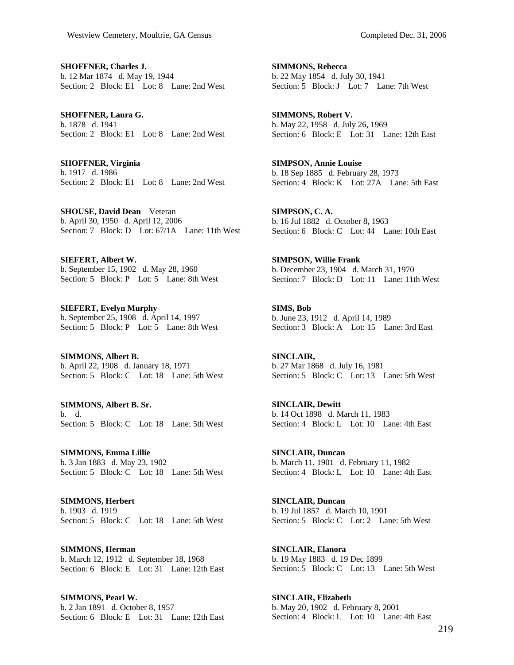**SHOFFNER, Charles J.**  b. 12 Mar 1874 d. May 19, 1944 Section: 2 Block: E1 Lot: 8 Lane: 2nd West

**SHOFFNER, Laura G.**  b. 1878 d. 1941 Section: 2 Block: E1 Lot: 8 Lane: 2nd West

**SHOFFNER, Virginia**  b. 1917 d. 1986 Section: 2 Block: E1 Lot: 8 Lane: 2nd West

**SHOUSE, David Dean** Veteran b. April 30, 1950 d. April 12, 2006 Section: 7 Block: D Lot: 67/1A Lane: 11th West

**SIEFERT, Albert W.**  b. September 15, 1902 d. May 28, 1960 Section: 5 Block: P Lot: 5 Lane: 8th West

**SIEFERT, Evelyn Murphy**  b. September 25, 1908 d. April 14, 1997 Section: 5 Block: P Lot: 5 Lane: 8th West

**SIMMONS, Albert B.**  b. April 22, 1908 d. January 18, 1971 Section: 5 Block: C Lot: 18 Lane: 5th West

**SIMMONS, Albert B. Sr.**  b. d. Section: 5 Block: C Lot: 18 Lane: 5th West

**SIMMONS, Emma Lillie**  b. 3 Jan 1883 d. May 23, 1902 Section: 5 Block: C Lot: 18 Lane: 5th West

**SIMMONS, Herbert**  b. 1903 d. 1919 Section: 5 Block: C Lot: 18 Lane: 5th West

**SIMMONS, Herman**  b. March 12, 1912 d. September 18, 1968 Section: 6 Block: E Lot: 31 Lane: 12th East

**SIMMONS, Pearl W.**  b. 2 Jan 1891 d. October 8, 1957 Section: 6 Block: E Lot: 31 Lane: 12th East

**SIMMONS, Rebecca**  b. 22 May 1854 d. July 30, 1941 Section: 5 Block: J Lot: 7 Lane: 7th West

**SIMMONS, Robert V.**  b. May 22, 1958 d. July 26, 1969 Section: 6 Block: E Lot: 31 Lane: 12th East

**SIMPSON, Annie Louise**  b. 18 Sep 1885 d. February 28, 1973 Section: 4 Block: K Lot: 27A Lane: 5th East

**SIMPSON, C. A.**  b. 16 Jul 1882 d. October 8, 1963 Section: 6 Block: C Lot: 44 Lane: 10th East

**SIMPSON, Willie Frank**  b. December 23, 1904 d. March 31, 1970 Section: 7 Block: D Lot: 11 Lane: 11th West

**SIMS, Bob**  b. June 23, 1912 d. April 14, 1989 Section: 3 Block: A Lot: 15 Lane: 3rd East

**SINCLAIR,**  b. 27 Mar 1868 d. July 16, 1981 Section: 5 Block: C Lot: 13 Lane: 5th West

**SINCLAIR, Dewitt**  b. 14 Oct 1898 d. March 11, 1983 Section: 4 Block: L Lot: 10 Lane: 4th East

**SINCLAIR, Duncan**  b. March 11, 1901 d. February 11, 1982 Section: 4 Block: L Lot: 10 Lane: 4th East

**SINCLAIR, Duncan**  b. 19 Jul 1857 d. March 10, 1901 Section: 5 Block: C Lot: 2 Lane: 5th West

**SINCLAIR, Elanora**  b. 19 May 1883 d. 19 Dec 1899 Section: 5 Block: C Lot: 13 Lane: 5th West

**SINCLAIR, Elizabeth**  b. May 20, 1902 d. February 8, 2001 Section: 4 Block: L Lot: 10 Lane: 4th East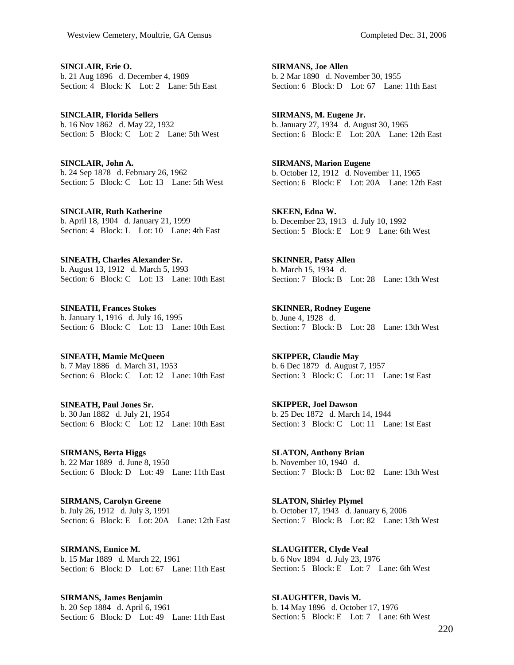**SINCLAIR, Erie O.**  b. 21 Aug 1896 d. December 4, 1989 Section: 4 Block: K Lot: 2 Lane: 5th East

**SINCLAIR, Florida Sellers**  b. 16 Nov 1862 d. May 22, 1932 Section: 5 Block: C Lot: 2 Lane: 5th West

**SINCLAIR, John A.**  b. 24 Sep 1878 d. February 26, 1962 Section: 5 Block: C Lot: 13 Lane: 5th West

**SINCLAIR, Ruth Katherine**  b. April 18, 1904 d. January 21, 1999 Section: 4 Block: L Lot: 10 Lane: 4th East

**SINEATH, Charles Alexander Sr.**  b. August 13, 1912 d. March 5, 1993 Section: 6 Block: C Lot: 13 Lane: 10th East

**SINEATH, Frances Stokes**  b. January 1, 1916 d. July 16, 1995 Section: 6 Block: C Lot: 13 Lane: 10th East

**SINEATH, Mamie McQueen**  b. 7 May 1886 d. March 31, 1953 Section: 6 Block: C Lot: 12 Lane: 10th East

**SINEATH, Paul Jones Sr.**  b. 30 Jan 1882 d. July 21, 1954 Section: 6 Block: C Lot: 12 Lane: 10th East

**SIRMANS, Berta Higgs**  b. 22 Mar 1889 d. June 8, 1950 Section: 6 Block: D Lot: 49 Lane: 11th East

**SIRMANS, Carolyn Greene**  b. July 26, 1912 d. July 3, 1991 Section: 6 Block: E Lot: 20A Lane: 12th East

**SIRMANS, Eunice M.**  b. 15 Mar 1889 d. March 22, 1961 Section: 6 Block: D Lot: 67 Lane: 11th East

**SIRMANS, James Benjamin**  b. 20 Sep 1884 d. April 6, 1961 Section: 6 Block: D Lot: 49 Lane: 11th East **SIRMANS, Joe Allen**  b. 2 Mar 1890 d. November 30, 1955 Section: 6 Block: D Lot: 67 Lane: 11th East

**SIRMANS, M. Eugene Jr.**  b. January 27, 1934 d. August 30, 1965 Section: 6 Block: E Lot: 20A Lane: 12th East

**SIRMANS, Marion Eugene**  b. October 12, 1912 d. November 11, 1965 Section: 6 Block: E Lot: 20A Lane: 12th East

**SKEEN, Edna W.**  b. December 23, 1913 d. July 10, 1992 Section: 5 Block: E Lot: 9 Lane: 6th West

**SKINNER, Patsy Allen**  b. March 15, 1934 d. Section: 7 Block: B Lot: 28 Lane: 13th West

**SKINNER, Rodney Eugene**  b. June 4, 1928 d. Section: 7 Block: B Lot: 28 Lane: 13th West

**SKIPPER, Claudie May**  b. 6 Dec 1879 d. August 7, 1957 Section: 3 Block: C Lot: 11 Lane: 1st East

**SKIPPER, Joel Dawson**  b. 25 Dec 1872 d. March 14, 1944 Section: 3 Block: C Lot: 11 Lane: 1st East

**SLATON, Anthony Brian**  b. November 10, 1940 d. Section: 7 Block: B Lot: 82 Lane: 13th West

**SLATON, Shirley Plymel**  b. October 17, 1943 d. January 6, 2006 Section: 7 Block: B Lot: 82 Lane: 13th West

**SLAUGHTER, Clyde Veal**  b. 6 Nov 1894 d. July 23, 1976 Section: 5 Block: E Lot: 7 Lane: 6th West

**SLAUGHTER, Davis M.**  b. 14 May 1896 d. October 17, 1976 Section: 5 Block: E Lot: 7 Lane: 6th West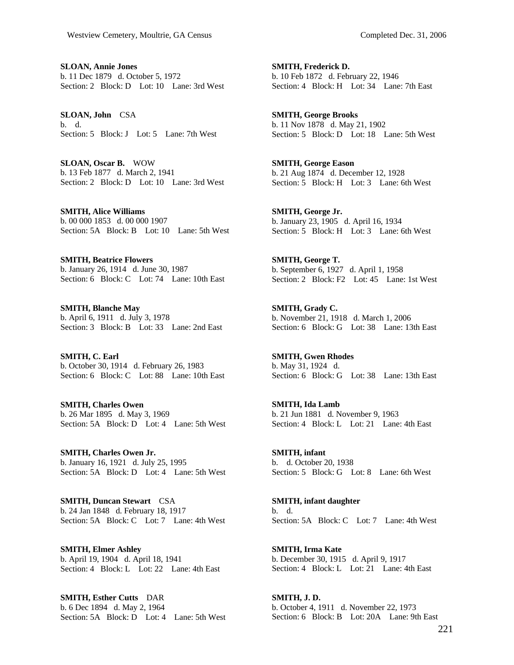**SLOAN, Annie Jones**  b. 11 Dec 1879 d. October 5, 1972 Section: 2 Block: D Lot: 10 Lane: 3rd West

**SLOAN, John** CSA b. d. Section: 5 Block: J Lot: 5 Lane: 7th West

**SLOAN, Oscar B.** WOW b. 13 Feb 1877 d. March 2, 1941 Section: 2 Block: D Lot: 10 Lane: 3rd West

**SMITH, Alice Williams**  b. 00 000 1853 d. 00 000 1907 Section: 5A Block: B Lot: 10 Lane: 5th West

**SMITH, Beatrice Flowers**  b. January 26, 1914 d. June 30, 1987 Section: 6 Block: C Lot: 74 Lane: 10th East

**SMITH, Blanche May**  b. April 6, 1911 d. July 3, 1978 Section: 3 Block: B Lot: 33 Lane: 2nd East

**SMITH, C. Earl**  b. October 30, 1914 d. February 26, 1983 Section: 6 Block: C Lot: 88 Lane: 10th East

**SMITH, Charles Owen**  b. 26 Mar 1895 d. May 3, 1969 Section: 5A Block: D Lot: 4 Lane: 5th West

**SMITH, Charles Owen Jr.**  b. January 16, 1921 d. July 25, 1995 Section: 5A Block: D Lot: 4 Lane: 5th West

**SMITH, Duncan Stewart** CSA b. 24 Jan 1848 d. February 18, 1917 Section: 5A Block: C Lot: 7 Lane: 4th West

**SMITH, Elmer Ashley**  b. April 19, 1904 d. April 18, 1941 Section: 4 Block: L Lot: 22 Lane: 4th East

**SMITH, Esther Cutts** DAR b. 6 Dec 1894 d. May 2, 1964 Section: 5A Block: D Lot: 4 Lane: 5th West

**SMITH, Frederick D.**  b. 10 Feb 1872 d. February 22, 1946 Section: 4 Block: H Lot: 34 Lane: 7th East

**SMITH, George Brooks**  b. 11 Nov 1878 d. May 21, 1902 Section: 5 Block: D Lot: 18 Lane: 5th West

**SMITH, George Eason**  b. 21 Aug 1874 d. December 12, 1928 Section: 5 Block: H Lot: 3 Lane: 6th West

**SMITH, George Jr.**  b. January 23, 1905 d. April 16, 1934 Section: 5 Block: H Lot: 3 Lane: 6th West

**SMITH, George T.**  b. September 6, 1927 d. April 1, 1958 Section: 2 Block: F2 Lot: 45 Lane: 1st West

**SMITH, Grady C.**  b. November 21, 1918 d. March 1, 2006 Section: 6 Block: G Lot: 38 Lane: 13th East

**SMITH, Gwen Rhodes**  b. May 31, 1924 d. Section: 6 Block: G Lot: 38 Lane: 13th East

**SMITH, Ida Lamb**  b. 21 Jun 1881 d. November 9, 1963 Section: 4 Block: L Lot: 21 Lane: 4th East

**SMITH, infant**  b. d. October 20, 1938 Section: 5 Block: G Lot: 8 Lane: 6th West

**SMITH, infant daughter**  b. d. Section: 5A Block: C Lot: 7 Lane: 4th West

**SMITH, Irma Kate**  b. December 30, 1915 d. April 9, 1917 Section: 4 Block: L Lot: 21 Lane: 4th East

**SMITH, J. D.**  b. October 4, 1911 d. November 22, 1973 Section: 6 Block: B Lot: 20A Lane: 9th East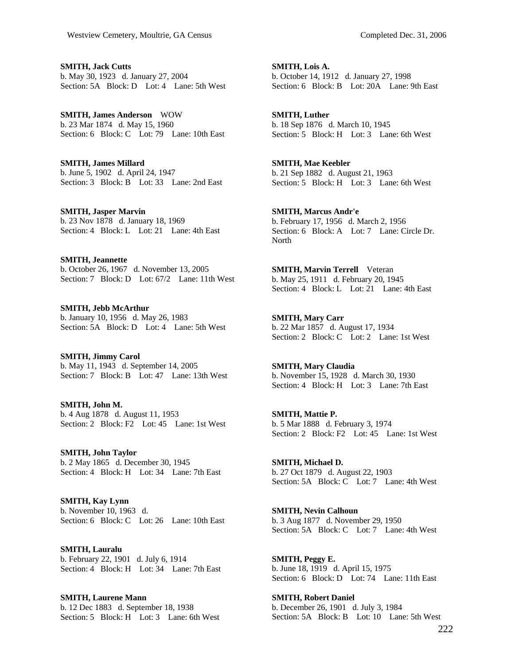**SMITH, Jack Cutts**  b. May 30, 1923 d. January 27, 2004 Section: 5A Block: D Lot: 4 Lane: 5th West

**SMITH, James Anderson** WOW b. 23 Mar 1874 d. May 15, 1960 Section: 6 Block: C Lot: 79 Lane: 10th East

**SMITH, James Millard**  b. June 5, 1902 d. April 24, 1947 Section: 3 Block: B Lot: 33 Lane: 2nd East

**SMITH, Jasper Marvin**  b. 23 Nov 1878 d. January 18, 1969 Section: 4 Block: L Lot: 21 Lane: 4th East

**SMITH, Jeannette**  b. October 26, 1967 d. November 13, 2005 Section: 7 Block: D Lot: 67/2 Lane: 11th West

**SMITH, Jebb McArthur**  b. January 10, 1956 d. May 26, 1983 Section: 5A Block: D Lot: 4 Lane: 5th West

**SMITH, Jimmy Carol**  b. May 11, 1943 d. September 14, 2005 Section: 7 Block: B Lot: 47 Lane: 13th West

**SMITH, John M.**  b. 4 Aug 1878 d. August 11, 1953 Section: 2 Block: F2 Lot: 45 Lane: 1st West

**SMITH, John Taylor**  b. 2 May 1865 d. December 30, 1945 Section: 4 Block: H Lot: 34 Lane: 7th East

**SMITH, Kay Lynn**  b. November 10, 1963 d. Section: 6 Block: C Lot: 26 Lane: 10th East

**SMITH, Lauralu**  b. February 22, 1901 d. July 6, 1914 Section: 4 Block: H Lot: 34 Lane: 7th East

**SMITH, Laurene Mann**  b. 12 Dec 1883 d. September 18, 1938 Section: 5 Block: H Lot: 3 Lane: 6th West

**SMITH, Lois A.**  b. October 14, 1912 d. January 27, 1998 Section: 6 Block: B Lot: 20A Lane: 9th East

**SMITH, Luther**  b. 18 Sep 1876 d. March 10, 1945 Section: 5 Block: H Lot: 3 Lane: 6th West

**SMITH, Mae Keebler**  b. 21 Sep 1882 d. August 21, 1963 Section: 5 Block: H Lot: 3 Lane: 6th West

**SMITH, Marcus Andr'e**  b. February 17, 1956 d. March 2, 1956 Section: 6 Block: A Lot: 7 Lane: Circle Dr. North

**SMITH, Marvin Terrell** Veteran b. May 25, 1911 d. February 20, 1945 Section: 4 Block: L Lot: 21 Lane: 4th East

**SMITH, Mary Carr**  b. 22 Mar 1857 d. August 17, 1934 Section: 2 Block: C Lot: 2 Lane: 1st West

**SMITH, Mary Claudia**  b. November 15, 1928 d. March 30, 1930 Section: 4 Block: H Lot: 3 Lane: 7th East

**SMITH, Mattie P.**  b. 5 Mar 1888 d. February 3, 1974 Section: 2 Block: F2 Lot: 45 Lane: 1st West

**SMITH, Michael D.**  b. 27 Oct 1879 d. August 22, 1903 Section: 5A Block: C Lot: 7 Lane: 4th West

**SMITH, Nevin Calhoun**  b. 3 Aug 1877 d. November 29, 1950 Section: 5A Block: C Lot: 7 Lane: 4th West

**SMITH, Peggy E.**  b. June 18, 1919 d. April 15, 1975 Section: 6 Block: D Lot: 74 Lane: 11th East

**SMITH, Robert Daniel**  b. December 26, 1901 d. July 3, 1984 Section: 5A Block: B Lot: 10 Lane: 5th West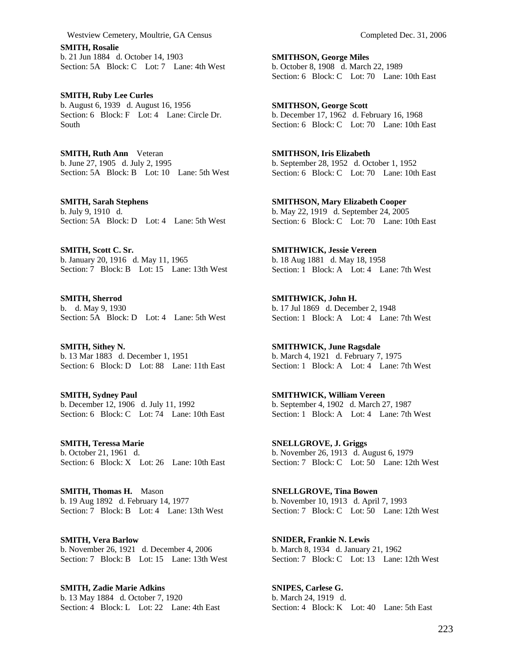**SMITH, Rosalie**  b. 21 Jun 1884 d. October 14, 1903 Section: 5A Block: C Lot: 7 Lane: 4th West

**SMITH, Ruby Lee Curles**  b. August 6, 1939 d. August 16, 1956 Section: 6 Block: F Lot: 4 Lane: Circle Dr. South

**SMITH, Ruth Ann** Veteran b. June 27, 1905 d. July 2, 1995 Section: 5A Block: B Lot: 10 Lane: 5th West

**SMITH, Sarah Stephens**  b. July 9, 1910 d. Section: 5A Block: D Lot: 4 Lane: 5th West

**SMITH, Scott C. Sr.**  b. January 20, 1916 d. May 11, 1965 Section: 7 Block: B Lot: 15 Lane: 13th West

**SMITH, Sherrod**  b. d. May 9, 1930 Section: 5A Block: D Lot: 4 Lane: 5th West

**SMITH, Sithey N.**  b. 13 Mar 1883 d. December 1, 1951 Section: 6 Block: D Lot: 88 Lane: 11th East

**SMITH, Sydney Paul**  b. December 12, 1906 d. July 11, 1992 Section: 6 Block: C Lot: 74 Lane: 10th East

**SMITH, Teressa Marie**  b. October 21, 1961 d. Section: 6 Block: X Lot: 26 Lane: 10th East

**SMITH, Thomas H.** Mason b. 19 Aug 1892 d. February 14, 1977 Section: 7 Block: B Lot: 4 Lane: 13th West

**SMITH, Vera Barlow**  b. November 26, 1921 d. December 4, 2006 Section: 7 Block: B Lot: 15 Lane: 13th West

**SMITH, Zadie Marie Adkins**  b. 13 May 1884 d. October 7, 1920 Section: 4 Block: L Lot: 22 Lane: 4th East **SMITHSON, George Miles**  b. October 8, 1908 d. March 22, 1989 Section: 6 Block: C Lot: 70 Lane: 10th East

**SMITHSON, George Scott**  b. December 17, 1962 d. February 16, 1968 Section: 6 Block: C Lot: 70 Lane: 10th East

**SMITHSON, Iris Elizabeth**  b. September 28, 1952 d. October 1, 1952 Section: 6 Block: C Lot: 70 Lane: 10th East

**SMITHSON, Mary Elizabeth Cooper**  b. May 22, 1919 d. September 24, 2005 Section: 6 Block: C Lot: 70 Lane: 10th East

**SMITHWICK, Jessie Vereen**  b. 18 Aug 1881 d. May 18, 1958 Section: 1 Block: A Lot: 4 Lane: 7th West

**SMITHWICK, John H.**  b. 17 Jul 1869 d. December 2, 1948 Section: 1 Block: A Lot: 4 Lane: 7th West

**SMITHWICK, June Ragsdale**  b. March 4, 1921 d. February 7, 1975 Section: 1 Block: A Lot: 4 Lane: 7th West

**SMITHWICK, William Vereen**  b. September 4, 1902 d. March 27, 1987 Section: 1 Block: A Lot: 4 Lane: 7th West

**SNELLGROVE, J. Griggs**  b. November 26, 1913 d. August 6, 1979 Section: 7 Block: C Lot: 50 Lane: 12th West

**SNELLGROVE, Tina Bowen**  b. November 10, 1913 d. April 7, 1993 Section: 7 Block: C Lot: 50 Lane: 12th West

**SNIDER, Frankie N. Lewis**  b. March 8, 1934 d. January 21, 1962 Section: 7 Block: C Lot: 13 Lane: 12th West

**SNIPES, Carlese G.**  b. March 24, 1919 d. Section: 4 Block: K Lot: 40 Lane: 5th East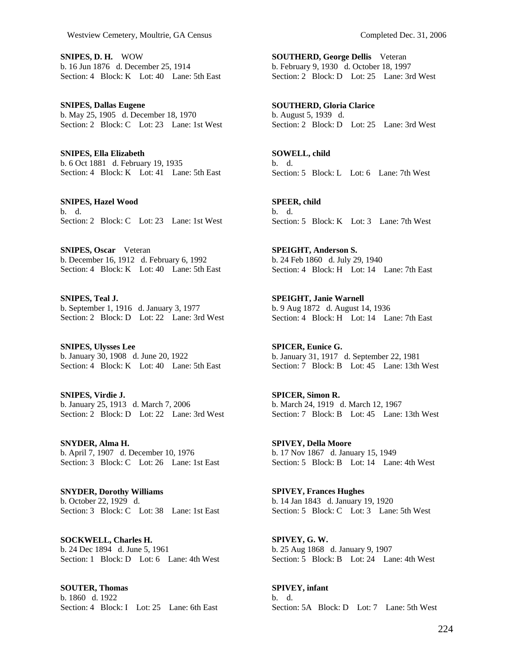**SNIPES, D. H.** WOW b. 16 Jun 1876 d. December 25, 1914 Section: 4 Block: K Lot: 40 Lane: 5th East

**SNIPES, Dallas Eugene**  b. May 25, 1905 d. December 18, 1970 Section: 2 Block: C Lot: 23 Lane: 1st West

**SNIPES, Ella Elizabeth**  b. 6 Oct 1881 d. February 19, 1935 Section: 4 Block: K Lot: 41 Lane: 5th East

**SNIPES, Hazel Wood**  b. d. Section: 2 Block: C Lot: 23 Lane: 1st West

**SNIPES, Oscar** Veteran b. December 16, 1912 d. February 6, 1992 Section: 4 Block: K Lot: 40 Lane: 5th East

**SNIPES, Teal J.**  b. September 1, 1916 d. January 3, 1977 Section: 2 Block: D Lot: 22 Lane: 3rd West

**SNIPES, Ulysses Lee**  b. January 30, 1908 d. June 20, 1922 Section: 4 Block: K Lot: 40 Lane: 5th East

**SNIPES, Virdie J.**  b. January 25, 1913 d. March 7, 2006 Section: 2 Block: D Lot: 22 Lane: 3rd West

**SNYDER, Alma H.**  b. April 7, 1907 d. December 10, 1976 Section: 3 Block: C Lot: 26 Lane: 1st East

**SNYDER, Dorothy Williams**  b. October 22, 1929 d. Section: 3 Block: C Lot: 38 Lane: 1st East

**SOCKWELL, Charles H.**  b. 24 Dec 1894 d. June 5, 1961 Section: 1 Block: D Lot: 6 Lane: 4th West

**SOUTER, Thomas**  b. 1860 d. 1922 Section: 4 Block: I Lot: 25 Lane: 6th East **SOUTHERD, George Dellis** Veteran b. February 9, 1930 d. October 18, 1997 Section: 2 Block: D Lot: 25 Lane: 3rd West

**SOUTHERD, Gloria Clarice**  b. August 5, 1939 d. Section: 2 Block: D Lot: 25 Lane: 3rd West

**SOWELL, child**  b. d. Section: 5 Block: L Lot: 6 Lane: 7th West

**SPEER, child**  b. d. Section: 5 Block: K Lot: 3 Lane: 7th West

**SPEIGHT, Anderson S.**  b. 24 Feb 1860 d. July 29, 1940 Section: 4 Block: H Lot: 14 Lane: 7th East

**SPEIGHT, Janie Warnell**  b. 9 Aug 1872 d. August 14, 1936 Section: 4 Block: H Lot: 14 Lane: 7th East

**SPICER, Eunice G.**  b. January 31, 1917 d. September 22, 1981 Section: 7 Block: B Lot: 45 Lane: 13th West

**SPICER, Simon R.**  b. March 24, 1919 d. March 12, 1967 Section: 7 Block: B Lot: 45 Lane: 13th West

**SPIVEY, Della Moore**  b. 17 Nov 1867 d. January 15, 1949 Section: 5 Block: B Lot: 14 Lane: 4th West

**SPIVEY, Frances Hughes**  b. 14 Jan 1843 d. January 19, 1920 Section: 5 Block: C Lot: 3 Lane: 5th West

**SPIVEY, G. W.**  b. 25 Aug 1868 d. January 9, 1907 Section: 5 Block: B Lot: 24 Lane: 4th West

**SPIVEY, infant**  b. d. Section: 5A Block: D Lot: 7 Lane: 5th West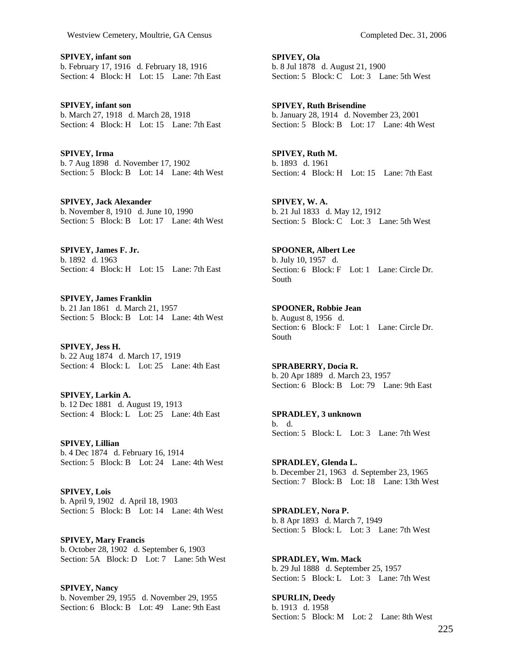**SPIVEY, infant son**  b. February 17, 1916 d. February 18, 1916 Section: 4 Block: H Lot: 15 Lane: 7th East

**SPIVEY, infant son**  b. March 27, 1918 d. March 28, 1918 Section: 4 Block: H Lot: 15 Lane: 7th East

**SPIVEY, Irma**  b. 7 Aug 1898 d. November 17, 1902 Section: 5 Block: B Lot: 14 Lane: 4th West

**SPIVEY, Jack Alexander**  b. November 8, 1910 d. June 10, 1990 Section: 5 Block: B Lot: 17 Lane: 4th West

**SPIVEY, James F. Jr.**  b. 1892 d. 1963 Section: 4 Block: H Lot: 15 Lane: 7th East

**SPIVEY, James Franklin**  b. 21 Jan 1861 d. March 21, 1957 Section: 5 Block: B Lot: 14 Lane: 4th West

**SPIVEY, Jess H.**  b. 22 Aug 1874 d. March 17, 1919 Section: 4 Block: L Lot: 25 Lane: 4th East

**SPIVEY, Larkin A.**  b. 12 Dec 1881 d. August 19, 1913 Section: 4 Block: L Lot: 25 Lane: 4th East

**SPIVEY, Lillian**  b. 4 Dec 1874 d. February 16, 1914 Section: 5 Block: B Lot: 24 Lane: 4th West

**SPIVEY, Lois**  b. April 9, 1902 d. April 18, 1903 Section: 5 Block: B Lot: 14 Lane: 4th West

**SPIVEY, Mary Francis**  b. October 28, 1902 d. September 6, 1903 Section: 5A Block: D Lot: 7 Lane: 5th West

**SPIVEY, Nancy**  b. November 29, 1955 d. November 29, 1955 Section: 6 Block: B Lot: 49 Lane: 9th East **SPIVEY, Ola**  b. 8 Jul 1878 d. August 21, 1900 Section: 5 Block: C Lot: 3 Lane: 5th West

**SPIVEY, Ruth Brisendine**  b. January 28, 1914 d. November 23, 2001 Section: 5 Block: B Lot: 17 Lane: 4th West

**SPIVEY, Ruth M.**  b. 1893 d. 1961 Section: 4 Block: H Lot: 15 Lane: 7th East

**SPIVEY, W. A.**  b. 21 Jul 1833 d. May 12, 1912 Section: 5 Block: C Lot: 3 Lane: 5th West

**SPOONER, Albert Lee**  b. July 10, 1957 d. Section: 6 Block: F Lot: 1 Lane: Circle Dr. South

**SPOONER, Robbie Jean**  b. August 8, 1956 d. Section: 6 Block: F Lot: 1 Lane: Circle Dr. South

**SPRABERRY, Docia R.**  b. 20 Apr 1889 d. March 23, 1957 Section: 6 Block: B Lot: 79 Lane: 9th East

**SPRADLEY, 3 unknown**  b. d. Section: 5 Block: L Lot: 3 Lane: 7th West

**SPRADLEY, Glenda L.**  b. December 21, 1963 d. September 23, 1965 Section: 7 Block: B Lot: 18 Lane: 13th West

**SPRADLEY, Nora P.**  b. 8 Apr 1893 d. March 7, 1949 Section: 5 Block: L Lot: 3 Lane: 7th West

**SPRADLEY, Wm. Mack**  b. 29 Jul 1888 d. September 25, 1957 Section: 5 Block: L Lot: 3 Lane: 7th West

**SPURLIN, Deedy**  b. 1913 d. 1958 Section: 5 Block: M Lot: 2 Lane: 8th West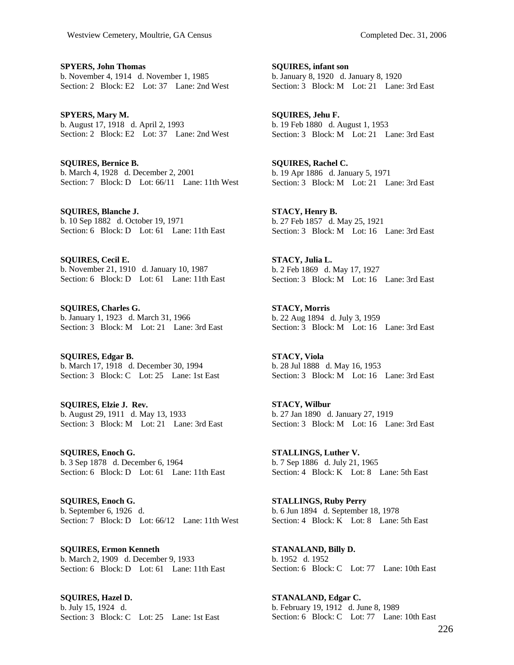**SPYERS, John Thomas**  b. November 4, 1914 d. November 1, 1985 Section: 2 Block: E2 Lot: 37 Lane: 2nd West

**SPYERS, Mary M.**  b. August 17, 1918 d. April 2, 1993 Section: 2 Block: E2 Lot: 37 Lane: 2nd West

**SQUIRES, Bernice B.**  b. March 4, 1928 d. December 2, 2001 Section: 7 Block: D Lot: 66/11 Lane: 11th West

**SQUIRES, Blanche J.**  b. 10 Sep 1882 d. October 19, 1971 Section: 6 Block: D Lot: 61 Lane: 11th East

**SQUIRES, Cecil E.**  b. November 21, 1910 d. January 10, 1987 Section: 6 Block: D Lot: 61 Lane: 11th East

**SQUIRES, Charles G.**  b. January 1, 1923 d. March 31, 1966 Section: 3 Block: M Lot: 21 Lane: 3rd East

**SQUIRES, Edgar B.**  b. March 17, 1918 d. December 30, 1994 Section: 3 Block: C Lot: 25 Lane: 1st East

**SQUIRES, Elzie J. Rev.**  b. August 29, 1911 d. May 13, 1933 Section: 3 Block: M Lot: 21 Lane: 3rd East

**SQUIRES, Enoch G.**  b. 3 Sep 1878 d. December 6, 1964 Section: 6 Block: D Lot: 61 Lane: 11th East

**SQUIRES, Enoch G.**  b. September 6, 1926 d. Section: 7 Block: D Lot: 66/12 Lane: 11th West

**SQUIRES, Ermon Kenneth**  b. March 2, 1909 d. December 9, 1933 Section: 6 Block: D Lot: 61 Lane: 11th East

**SQUIRES, Hazel D.**  b. July 15, 1924 d. Section: 3 Block: C Lot: 25 Lane: 1st East **SQUIRES, infant son**  b. January 8, 1920 d. January 8, 1920 Section: 3 Block: M Lot: 21 Lane: 3rd East

**SQUIRES, Jehu F.**  b. 19 Feb 1880 d. August 1, 1953 Section: 3 Block: M Lot: 21 Lane: 3rd East

**SQUIRES, Rachel C.**  b. 19 Apr 1886 d. January 5, 1971 Section: 3 Block: M Lot: 21 Lane: 3rd East

**STACY, Henry B.**  b. 27 Feb 1857 d. May 25, 1921 Section: 3 Block: M Lot: 16 Lane: 3rd East

**STACY, Julia L.**  b. 2 Feb 1869 d. May 17, 1927 Section: 3 Block: M Lot: 16 Lane: 3rd East

**STACY, Morris**  b. 22 Aug 1894 d. July 3, 1959 Section: 3 Block: M Lot: 16 Lane: 3rd East

**STACY, Viola**  b. 28 Jul 1888 d. May 16, 1953 Section: 3 Block: M Lot: 16 Lane: 3rd East

**STACY, Wilbur**  b. 27 Jan 1890 d. January 27, 1919 Section: 3 Block: M Lot: 16 Lane: 3rd East

**STALLINGS, Luther V.**  b. 7 Sep 1886 d. July 21, 1965 Section: 4 Block: K Lot: 8 Lane: 5th East

**STALLINGS, Ruby Perry**  b. 6 Jun 1894 d. September 18, 1978 Section: 4 Block: K Lot: 8 Lane: 5th East

**STANALAND, Billy D.**  b. 1952 d. 1952 Section: 6 Block: C Lot: 77 Lane: 10th East

**STANALAND, Edgar C.**  b. February 19, 1912 d. June 8, 1989 Section: 6 Block: C Lot: 77 Lane: 10th East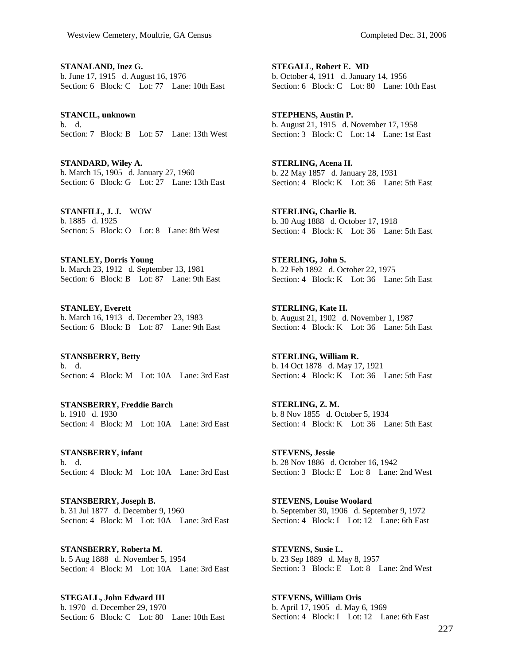**STANALAND, Inez G.**  b. June 17, 1915 d. August 16, 1976 Section: 6 Block: C Lot: 77 Lane: 10th East

**STANCIL, unknown**  b. d. Section: 7 Block: B Lot: 57 Lane: 13th West

**STANDARD, Wiley A.**  b. March 15, 1905 d. January 27, 1960 Section: 6 Block: G Lot: 27 Lane: 13th East

**STANFILL, J. J.** WOW b. 1885 d. 1925 Section: 5 Block: O Lot: 8 Lane: 8th West

**STANLEY, Dorris Young**  b. March 23, 1912 d. September 13, 1981 Section: 6 Block: B Lot: 87 Lane: 9th East

**STANLEY, Everett**  b. March 16, 1913 d. December 23, 1983 Section: 6 Block: B Lot: 87 Lane: 9th East

**STANSBERRY, Betty**  b. d. Section: 4 Block: M Lot: 10A Lane: 3rd East

**STANSBERRY, Freddie Barch**  b. 1910 d. 1930 Section: 4 Block: M Lot: 10A Lane: 3rd East

**STANSBERRY, infant**  b. d. Section: 4 Block: M Lot: 10A Lane: 3rd East

**STANSBERRY, Joseph B.**  b. 31 Jul 1877 d. December 9, 1960 Section: 4 Block: M Lot: 10A Lane: 3rd East

**STANSBERRY, Roberta M.**  b. 5 Aug 1888 d. November 5, 1954 Section: 4 Block: M Lot: 10A Lane: 3rd East

**STEGALL, John Edward III**  b. 1970 d. December 29, 1970 Section: 6 Block: C Lot: 80 Lane: 10th East

**STEGALL, Robert E. MD**  b. October 4, 1911 d. January 14, 1956 Section: 6 Block: C Lot: 80 Lane: 10th East

**STEPHENS, Austin P.**  b. August 21, 1915 d. November 17, 1958 Section: 3 Block: C Lot: 14 Lane: 1st East

**STERLING, Acena H.**  b. 22 May 1857 d. January 28, 1931 Section: 4 Block: K Lot: 36 Lane: 5th East

**STERLING, Charlie B.**  b. 30 Aug 1888 d. October 17, 1918 Section: 4 Block: K Lot: 36 Lane: 5th East

**STERLING, John S.**  b. 22 Feb 1892 d. October 22, 1975 Section: 4 Block: K Lot: 36 Lane: 5th East

**STERLING, Kate H.**  b. August 21, 1902 d. November 1, 1987 Section: 4 Block: K Lot: 36 Lane: 5th East

**STERLING, William R.**  b. 14 Oct 1878 d. May 17, 1921 Section: 4 Block: K Lot: 36 Lane: 5th East

**STERLING, Z. M.**  b. 8 Nov 1855 d. October 5, 1934 Section: 4 Block: K Lot: 36 Lane: 5th East

**STEVENS, Jessie**  b. 28 Nov 1886 d. October 16, 1942 Section: 3 Block: E Lot: 8 Lane: 2nd West

**STEVENS, Louise Woolard**  b. September 30, 1906 d. September 9, 1972 Section: 4 Block: I Lot: 12 Lane: 6th East

**STEVENS, Susie L.**  b. 23 Sep 1889 d. May 8, 1957 Section: 3 Block: E Lot: 8 Lane: 2nd West

**STEVENS, William Oris**  b. April 17, 1905 d. May 6, 1969 Section: 4 Block: I Lot: 12 Lane: 6th East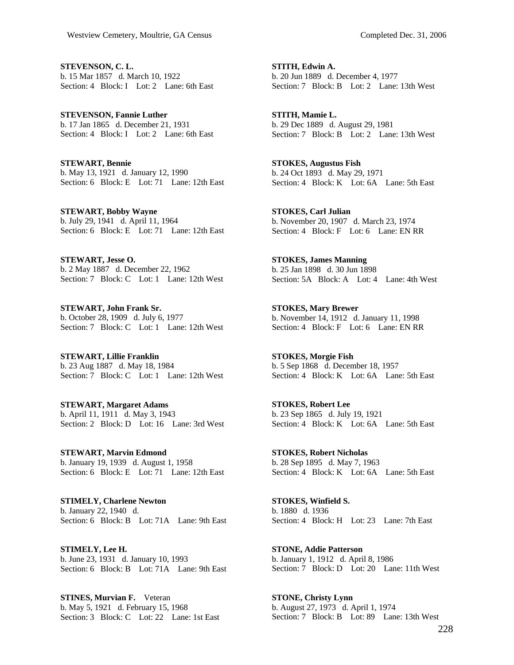**STEVENSON, C. L.**  b. 15 Mar 1857 d. March 10, 1922 Section: 4 Block: I Lot: 2 Lane: 6th East

**STEVENSON, Fannie Luther**  b. 17 Jan 1865 d. December 21, 1931 Section: 4 Block: I Lot: 2 Lane: 6th East

**STEWART, Bennie**  b. May 13, 1921 d. January 12, 1990 Section: 6 Block: E Lot: 71 Lane: 12th East

**STEWART, Bobby Wayne**  b. July 29, 1941 d. April 11, 1964 Section: 6 Block: E Lot: 71 Lane: 12th East

**STEWART, Jesse O.**  b. 2 May 1887 d. December 22, 1962 Section: 7 Block: C Lot: 1 Lane: 12th West

**STEWART, John Frank Sr.**  b. October 28, 1909 d. July 6, 1977 Section: 7 Block: C Lot: 1 Lane: 12th West

**STEWART, Lillie Franklin**  b. 23 Aug 1887 d. May 18, 1984 Section: 7 Block: C Lot: 1 Lane: 12th West

**STEWART, Margaret Adams**  b. April 11, 1911 d. May 3, 1943 Section: 2 Block: D Lot: 16 Lane: 3rd West

**STEWART, Marvin Edmond**  b. January 19, 1939 d. August 1, 1958 Section: 6 Block: E Lot: 71 Lane: 12th East

**STIMELY, Charlene Newton**  b. January 22, 1940 d. Section: 6 Block: B Lot: 71A Lane: 9th East

**STIMELY, Lee H.**  b. June 23, 1931 d. January 10, 1993 Section: 6 Block: B Lot: 71A Lane: 9th East

**STINES, Murvian F.** Veteran b. May 5, 1921 d. February 15, 1968 Section: 3 Block: C Lot: 22 Lane: 1st East **STITH, Edwin A.**  b. 20 Jun 1889 d. December 4, 1977 Section: 7 Block: B Lot: 2 Lane: 13th West

**STITH, Mamie L.**  b. 29 Dec 1889 d. August 29, 1981 Section: 7 Block: B Lot: 2 Lane: 13th West

**STOKES, Augustus Fish**  b. 24 Oct 1893 d. May 29, 1971 Section: 4 Block: K Lot: 6A Lane: 5th East

**STOKES, Carl Julian**  b. November 20, 1907 d. March 23, 1974 Section: 4 Block: F Lot: 6 Lane: EN RR

**STOKES, James Manning**  b. 25 Jan 1898 d. 30 Jun 1898 Section: 5A Block: A Lot: 4 Lane: 4th West

**STOKES, Mary Brewer**  b. November 14, 1912 d. January 11, 1998 Section: 4 Block: F Lot: 6 Lane: EN RR

**STOKES, Morgie Fish**  b. 5 Sep 1868 d. December 18, 1957 Section: 4 Block: K Lot: 6A Lane: 5th East

**STOKES, Robert Lee**  b. 23 Sep 1865 d. July 19, 1921 Section: 4 Block: K Lot: 6A Lane: 5th East

**STOKES, Robert Nicholas**  b. 28 Sep 1895 d. May 7, 1963 Section: 4 Block: K Lot: 6A Lane: 5th East

**STOKES, Winfield S.**  b. 1880 d. 1936 Section: 4 Block: H Lot: 23 Lane: 7th East

**STONE, Addie Patterson**  b. January 1, 1912 d. April 8, 1986 Section: 7 Block: D Lot: 20 Lane: 11th West

**STONE, Christy Lynn**  b. August 27, 1973 d. April 1, 1974 Section: 7 Block: B Lot: 89 Lane: 13th West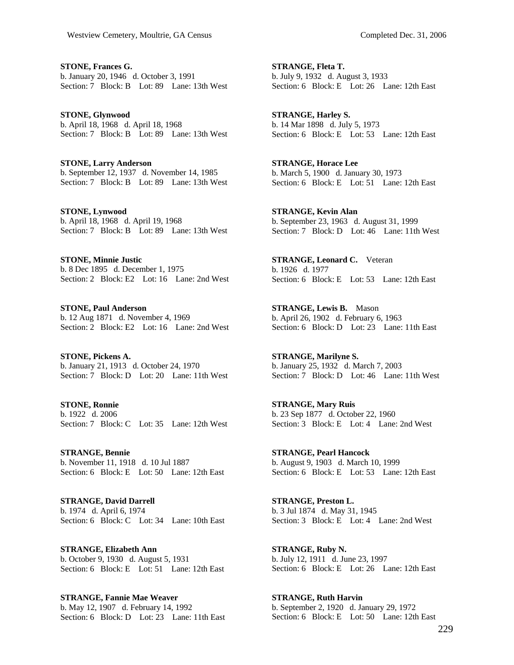**STONE, Frances G.**  b. January 20, 1946 d. October 3, 1991 Section: 7 Block: B Lot: 89 Lane: 13th West

**STONE, Glynwood**  b. April 18, 1968 d. April 18, 1968 Section: 7 Block: B Lot: 89 Lane: 13th West

**STONE, Larry Anderson**  b. September 12, 1937 d. November 14, 1985 Section: 7 Block: B Lot: 89 Lane: 13th West

**STONE, Lynwood**  b. April 18, 1968 d. April 19, 1968 Section: 7 Block: B Lot: 89 Lane: 13th West

**STONE, Minnie Justic**  b. 8 Dec 1895 d. December 1, 1975 Section: 2 Block: E2 Lot: 16 Lane: 2nd West

**STONE, Paul Anderson**  b. 12 Aug 1871 d. November 4, 1969 Section: 2 Block: E2 Lot: 16 Lane: 2nd West

**STONE, Pickens A.**  b. January 21, 1913 d. October 24, 1970 Section: 7 Block: D Lot: 20 Lane: 11th West

**STONE, Ronnie**  b. 1922 d. 2006 Section: 7 Block: C Lot: 35 Lane: 12th West

**STRANGE, Bennie**  b. November 11, 1918 d. 10 Jul 1887 Section: 6 Block: E Lot: 50 Lane: 12th East

**STRANGE, David Darrell**  b. 1974 d. April 6, 1974 Section: 6 Block: C Lot: 34 Lane: 10th East

**STRANGE, Elizabeth Ann**  b. October 9, 1930 d. August 5, 1931 Section: 6 Block: E Lot: 51 Lane: 12th East

**STRANGE, Fannie Mae Weaver**  b. May 12, 1907 d. February 14, 1992 Section: 6 Block: D Lot: 23 Lane: 11th East

**STRANGE, Fleta T.**  b. July 9, 1932 d. August 3, 1933 Section: 6 Block: E Lot: 26 Lane: 12th East

**STRANGE, Harley S.**  b. 14 Mar 1898 d. July 5, 1973 Section: 6 Block: E Lot: 53 Lane: 12th East

**STRANGE, Horace Lee**  b. March 5, 1900 d. January 30, 1973 Section: 6 Block: E Lot: 51 Lane: 12th East

**STRANGE, Kevin Alan**  b. September 23, 1963 d. August 31, 1999 Section: 7 Block: D Lot:  $46$  Lane: 11th West

**STRANGE, Leonard C.** Veteran b. 1926 d. 1977 Section: 6 Block: E Lot: 53 Lane: 12th East

**STRANGE, Lewis B.** Mason b. April 26, 1902 d. February 6, 1963 Section: 6 Block: D Lot: 23 Lane: 11th East

**STRANGE, Marilyne S.**  b. January 25, 1932 d. March 7, 2003 Section: 7 Block: D Lot: 46 Lane: 11th West

**STRANGE, Mary Ruis**  b. 23 Sep 1877 d. October 22, 1960 Section: 3 Block: E Lot: 4 Lane: 2nd West

**STRANGE, Pearl Hancock**  b. August 9, 1903 d. March 10, 1999 Section: 6 Block: E Lot: 53 Lane: 12th East

**STRANGE, Preston L.**  b. 3 Jul 1874 d. May 31, 1945 Section: 3 Block: E Lot: 4 Lane: 2nd West

**STRANGE, Ruby N.**  b. July 12, 1911 d. June 23, 1997 Section: 6 Block: E Lot: 26 Lane: 12th East

**STRANGE, Ruth Harvin**  b. September 2, 1920 d. January 29, 1972 Section: 6 Block: E Lot: 50 Lane: 12th East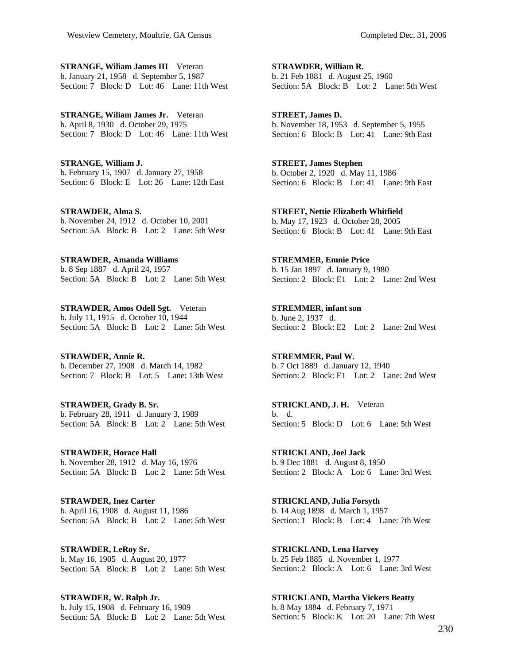**STRANGE, Wiliam James III** Veteran b. January 21, 1958 d. September 5, 1987 Section: 7 Block: D Lot: 46 Lane: 11th West

**STRANGE, Wiliam James Jr.** Veteran b. April 8, 1930 d. October 29, 1975 Section: 7 Block: D Lot: 46 Lane: 11th West

**STRANGE, William J.**  b. February 15, 1907 d. January 27, 1958 Section: 6 Block: E Lot: 26 Lane: 12th East

**STRAWDER, Alma S.**  b. November 24, 1912 d. October 10, 2001 Section: 5A Block: B Lot: 2 Lane: 5th West

**STRAWDER, Amanda Williams**  b. 8 Sep 1887 d. April 24, 1957 Section: 5A Block: B Lot: 2 Lane: 5th West

**STRAWDER, Amos Odell Sgt.** Veteran b. July 11, 1915 d. October 10, 1944 Section: 5A Block: B Lot: 2 Lane: 5th West

**STRAWDER, Annie R.**  b. December 27, 1908 d. March 14, 1982 Section: 7 Block: B Lot: 5 Lane: 13th West

**STRAWDER, Grady B. Sr.**  b. February 28, 1911 d. January 3, 1989 Section: 5A Block: B Lot: 2 Lane: 5th West

**STRAWDER, Horace Hall**  b. November 28, 1912 d. May 16, 1976 Section: 5A Block: B Lot: 2 Lane: 5th West

**STRAWDER, Inez Carter**  b. April 16, 1908 d. August 11, 1986 Section: 5A Block: B Lot: 2 Lane: 5th West

**STRAWDER, LeRoy Sr.**  b. May 16, 1905 d. August 20, 1977 Section: 5A Block: B Lot: 2 Lane: 5th West

**STRAWDER, W. Ralph Jr.**  b. July 15, 1908 d. February 16, 1909 Section: 5A Block: B Lot: 2 Lane: 5th West **STRAWDER, William R.**  b. 21 Feb 1881 d. August 25, 1960 Section: 5A Block: B Lot: 2 Lane: 5th West

**STREET, James D.**  b. November 18, 1953 d. September 5, 1955 Section: 6 Block: B Lot: 41 Lane: 9th East

**STREET, James Stephen**  b. October 2, 1920 d. May 11, 1986 Section: 6 Block: B Lot: 41 Lane: 9th East

**STREET, Nettie Elizabeth Whitfield**  b. May 17, 1923 d. October 28, 2005 Section: 6 Block: B Lot: 41 Lane: 9th East

**STREMMER, Emnie Price**  b. 15 Jan 1897 d. January 9, 1980 Section: 2 Block: E1 Lot: 2 Lane: 2nd West

**STREMMER, infant son**  b. June 2, 1937 d. Section: 2 Block: E2 Lot: 2 Lane: 2nd West

**STREMMER, Paul W.**  b. 7 Oct 1889 d. January 12, 1940 Section: 2 Block: E1 Lot: 2 Lane: 2nd West

**STRICKLAND, J. H.** Veteran b. d. Section: 5 Block: D Lot: 6 Lane: 5th West

**STRICKLAND, Joel Jack**  b. 9 Dec 1881 d. August 8, 1950 Section: 2 Block: A Lot: 6 Lane: 3rd West

**STRICKLAND, Julia Forsyth**  b. 14 Aug 1898 d. March 1, 1957 Section: 1 Block: B Lot: 4 Lane: 7th West

**STRICKLAND, Lena Harvey**  b. 25 Feb 1885 d. November 1, 1977 Section: 2 Block: A Lot: 6 Lane: 3rd West

**STRICKLAND, Martha Vickers Beatty**  b. 8 May 1884 d. February 7, 1971 Section: 5 Block: K Lot: 20 Lane: 7th West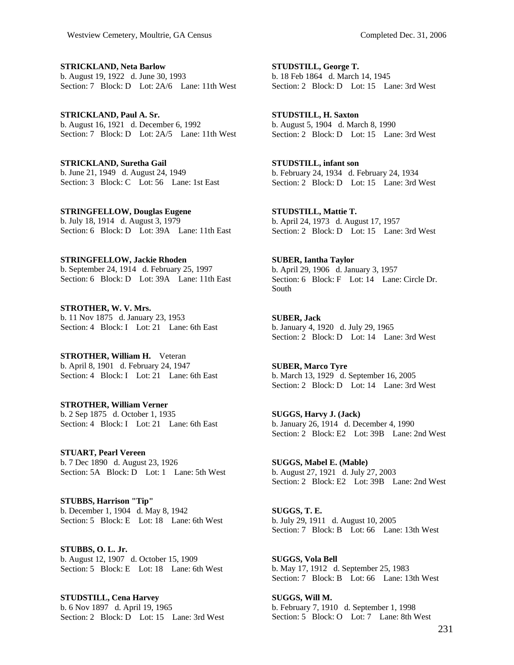**STRICKLAND, Neta Barlow**  b. August 19, 1922 d. June 30, 1993 Section: 7 Block: D Lot: 2A/6 Lane: 11th West

**STRICKLAND, Paul A. Sr.**  b. August 16, 1921 d. December 6, 1992 Section: 7 Block: D Lot: 2A/5 Lane: 11th West

**STRICKLAND, Suretha Gail**  b. June 21, 1949 d. August 24, 1949 Section: 3 Block: C Lot: 56 Lane: 1st East

**STRINGFELLOW, Douglas Eugene**  b. July 18, 1914 d. August 3, 1979 Section: 6 Block: D Lot: 39A Lane: 11th East

**STRINGFELLOW, Jackie Rhoden**  b. September 24, 1914 d. February 25, 1997 Section: 6 Block: D Lot: 39A Lane: 11th East

**STROTHER, W. V. Mrs.**  b. 11 Nov 1875 d. January 23, 1953 Section: 4 Block: I Lot: 21 Lane: 6th East

**STROTHER, William H.** Veteran b. April 8, 1901 d. February 24, 1947 Section: 4 Block: I Lot: 21 Lane: 6th East

**STROTHER, William Verner**  b. 2 Sep 1875 d. October 1, 1935 Section: 4 Block: I Lot: 21 Lane: 6th East

**STUART, Pearl Vereen**  b. 7 Dec 1890 d. August 23, 1926 Section: 5A Block: D Lot: 1 Lane: 5th West

**STUBBS, Harrison "Tip"**  b. December 1, 1904 d. May 8, 1942 Section: 5 Block: E Lot: 18 Lane: 6th West

**STUBBS, O. L. Jr.**  b. August 12, 1907 d. October 15, 1909 Section: 5 Block: E Lot: 18 Lane: 6th West

**STUDSTILL, Cena Harvey**  b. 6 Nov 1897 d. April 19, 1965 Section: 2 Block: D Lot: 15 Lane: 3rd West

**STUDSTILL, George T.**  b. 18 Feb 1864 d. March 14, 1945 Section: 2 Block: D Lot: 15 Lane: 3rd West

**STUDSTILL, H. Saxton**  b. August 5, 1904 d. March 8, 1990 Section: 2 Block: D Lot: 15 Lane: 3rd West

**STUDSTILL, infant son**  b. February 24, 1934 d. February 24, 1934 Section: 2 Block: D Lot: 15 Lane: 3rd West

**STUDSTILL, Mattie T.**  b. April 24, 1973 d. August 17, 1957 Section: 2 Block: D Lot: 15 Lane: 3rd West

**SUBER, Iantha Taylor**  b. April 29, 1906 d. January 3, 1957 Section: 6 Block: F Lot: 14 Lane: Circle Dr. South

**SUBER, Jack**  b. January 4, 1920 d. July 29, 1965 Section: 2 Block: D Lot: 14 Lane: 3rd West

**SUBER, Marco Tyre**  b. March 13, 1929 d. September 16, 2005 Section: 2 Block: D Lot: 14 Lane: 3rd West

**SUGGS, Harvy J. (Jack)**  b. January 26, 1914 d. December 4, 1990 Section: 2 Block: E2 Lot: 39B Lane: 2nd West

**SUGGS, Mabel E. (Mable)**  b. August 27, 1921 d. July 27, 2003 Section: 2 Block: E2 Lot: 39B Lane: 2nd West

**SUGGS, T. E.**  b. July 29, 1911 d. August 10, 2005 Section: 7 Block: B Lot: 66 Lane: 13th West

**SUGGS, Vola Bell**  b. May 17, 1912 d. September 25, 1983 Section: 7 Block: B Lot: 66 Lane: 13th West

**SUGGS, Will M.**  b. February 7, 1910 d. September 1, 1998 Section: 5 Block: O Lot: 7 Lane: 8th West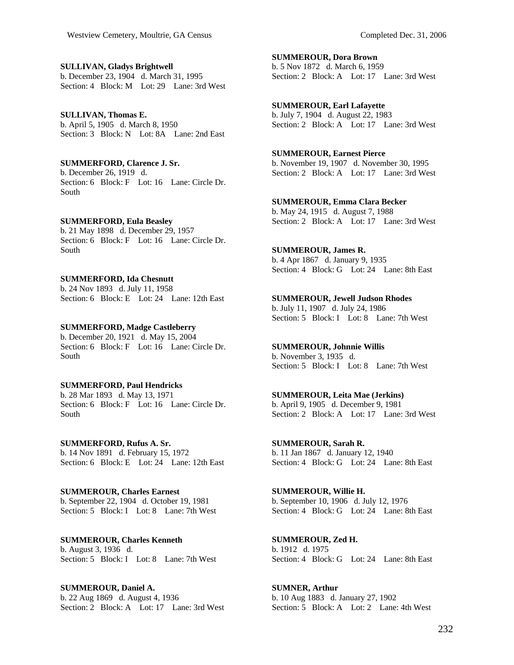**SULLIVAN, Gladys Brightwell**  b. December 23, 1904 d. March 31, 1995 Section: 4 Block: M Lot: 29 Lane: 3rd West

#### **SULLIVAN, Thomas E.**  b. April 5, 1905 d. March 8, 1950 Section: 3 Block: N Lot: 8A Lane: 2nd East

**SUMMERFORD, Clarence J. Sr.**  b. December 26, 1919 d. Section: 6 Block: F Lot: 16 Lane: Circle Dr.

**SUMMERFORD, Eula Beasley** 

South

b. 21 May 1898 d. December 29, 1957 Section: 6 Block: F Lot: 16 Lane: Circle Dr. South

## **SUMMERFORD, Ida Chesnutt**

b. 24 Nov 1893 d. July 11, 1958 Section: 6 Block: E Lot: 24 Lane: 12th East

## **SUMMERFORD, Madge Castleberry**

b. December 20, 1921 d. May 15, 2004 Section: 6 Block: F Lot: 16 Lane: Circle Dr. South

## **SUMMERFORD, Paul Hendricks**

b. 28 Mar 1893 d. May 13, 1971 Section: 6 Block: F Lot: 16 Lane: Circle Dr. South

**SUMMERFORD, Rufus A. Sr.**  b. 14 Nov 1891 d. February 15, 1972 Section: 6 Block: E Lot: 24 Lane: 12th East

**SUMMEROUR, Charles Earnest**  b. September 22, 1904 d. October 19, 1981 Section: 5 Block: I Lot: 8 Lane: 7th West

**SUMMEROUR, Charles Kenneth**  b. August 3, 1936 d. Section: 5 Block: I Lot: 8 Lane: 7th West

**SUMMEROUR, Daniel A.**  b. 22 Aug 1869 d. August 4, 1936 Section: 2 Block: A Lot: 17 Lane: 3rd West **SUMMEROUR, Dora Brown**  b. 5 Nov 1872 d. March 6, 1959 Section: 2 Block: A Lot: 17 Lane: 3rd West

**SUMMEROUR, Earl Lafayette**  b. July 7, 1904 d. August 22, 1983 Section: 2 Block: A Lot: 17 Lane: 3rd West

## **SUMMEROUR, Earnest Pierce**

b. November 19, 1907 d. November 30, 1995 Section: 2 Block: A Lot: 17 Lane: 3rd West

**SUMMEROUR, Emma Clara Becker**  b. May 24, 1915 d. August 7, 1988 Section: 2 Block: A Lot: 17 Lane: 3rd West

**SUMMEROUR, James R.** 

b. 4 Apr 1867 d. January 9, 1935 Section: 4 Block: G Lot: 24 Lane: 8th East

#### **SUMMEROUR, Jewell Judson Rhodes**

b. July 11, 1907 d. July 24, 1986 Section: 5 Block: I Lot: 8 Lane: 7th West

## **SUMMEROUR, Johnnie Willis**

b. November 3, 1935 d. Section: 5 Block: I Lot: 8 Lane: 7th West

# **SUMMEROUR, Leita Mae (Jerkins)**

b. April 9, 1905 d. December 9, 1981 Section: 2 Block: A Lot: 17 Lane: 3rd West

**SUMMEROUR, Sarah R.**  b. 11 Jan 1867 d. January 12, 1940 Section: 4 Block: G Lot: 24 Lane: 8th East

**SUMMEROUR, Willie H.**  b. September 10, 1906 d. July 12, 1976 Section: 4 Block: G Lot: 24 Lane: 8th East

**SUMMEROUR, Zed H.**  b. 1912 d. 1975 Section: 4 Block: G Lot: 24 Lane: 8th East

**SUMNER, Arthur**  b. 10 Aug 1883 d. January 27, 1902 Section: 5 Block: A Lot: 2 Lane: 4th West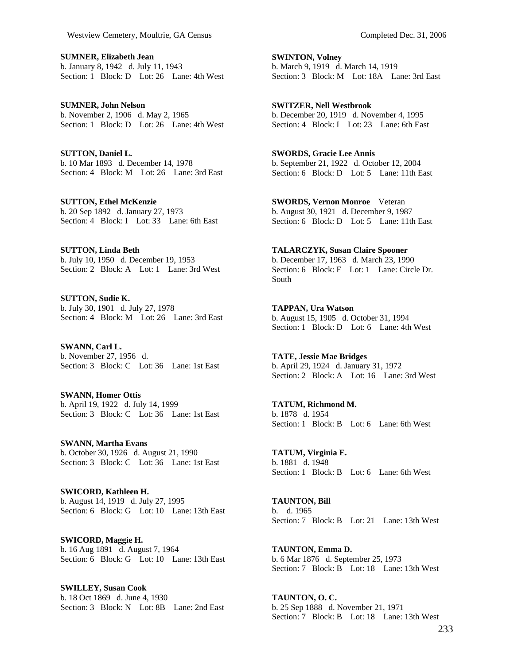**SUMNER, Elizabeth Jean**  b. January 8, 1942 d. July 11, 1943 Section: 1 Block: D Lot: 26 Lane: 4th West

**SUMNER, John Nelson**  b. November 2, 1906 d. May 2, 1965 Section: 1 Block: D Lot: 26 Lane: 4th West

**SUTTON, Daniel L.**  b. 10 Mar 1893 d. December 14, 1978 Section: 4 Block: M Lot: 26 Lane: 3rd East

**SUTTON, Ethel McKenzie**  b. 20 Sep 1892 d. January 27, 1973 Section: 4 Block: I Lot: 33 Lane: 6th East

**SUTTON, Linda Beth**  b. July 10, 1950 d. December 19, 1953 Section: 2 Block: A Lot: 1 Lane: 3rd West

**SUTTON, Sudie K.**  b. July 30, 1901 d. July 27, 1978 Section: 4 Block: M Lot: 26 Lane: 3rd East

**SWANN, Carl L.**  b. November 27, 1956 d. Section: 3 Block: C Lot: 36 Lane: 1st East

**SWANN, Homer Ottis**  b. April 19, 1922 d. July 14, 1999 Section: 3 Block: C Lot: 36 Lane: 1st East

**SWANN, Martha Evans**  b. October 30, 1926 d. August 21, 1990 Section: 3 Block: C Lot: 36 Lane: 1st East

**SWICORD, Kathleen H.**  b. August 14, 1919 d. July 27, 1995 Section: 6 Block: G Lot: 10 Lane: 13th East

**SWICORD, Maggie H.**  b. 16 Aug 1891 d. August 7, 1964 Section: 6 Block: G Lot: 10 Lane: 13th East

**SWILLEY, Susan Cook**  b. 18 Oct 1869 d. June 4, 1930 Section: 3 Block: N Lot: 8B Lane: 2nd East **SWINTON, Volney**  b. March 9, 1919 d. March 14, 1919 Section: 3 Block: M Lot: 18A Lane: 3rd East

**SWITZER, Nell Westbrook**  b. December 20, 1919 d. November 4, 1995 Section: 4 Block: I Lot: 23 Lane: 6th East

**SWORDS, Gracie Lee Annis**  b. September 21, 1922 d. October 12, 2004 Section: 6 Block: D Lot: 5 Lane: 11th East

**SWORDS, Vernon Monroe** Veteran b. August 30, 1921 d. December 9, 1987 Section: 6 Block: D Lot: 5 Lane: 11th East

**TALARCZYK, Susan Claire Spooner**  b. December 17, 1963 d. March 23, 1990 Section: 6 Block: F Lot: 1 Lane: Circle Dr. South

**TAPPAN, Ura Watson**  b. August 15, 1905 d. October 31, 1994 Section: 1 Block: D Lot: 6 Lane: 4th West

**TATE, Jessie Mae Bridges**  b. April 29, 1924 d. January 31, 1972 Section: 2 Block: A Lot: 16 Lane: 3rd West

**TATUM, Richmond M.**  b. 1878 d. 1954 Section: 1 Block: B Lot: 6 Lane: 6th West

**TATUM, Virginia E.**  b. 1881 d. 1948 Section: 1 Block: B Lot: 6 Lane: 6th West

**TAUNTON, Bill**  b. d. 1965 Section: 7 Block: B Lot: 21 Lane: 13th West

**TAUNTON, Emma D.**  b. 6 Mar 1876 d. September 25, 1973 Section: 7 Block: B Lot: 18 Lane: 13th West

**TAUNTON, O. C.**  b. 25 Sep 1888 d. November 21, 1971 Section: 7 Block: B Lot: 18 Lane: 13th West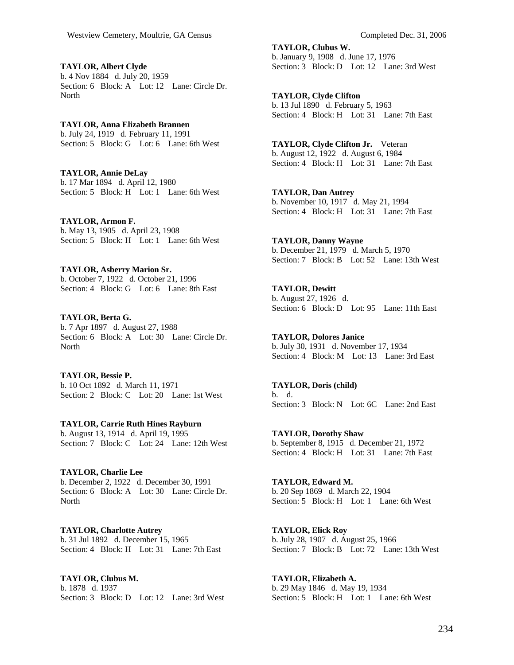**TAYLOR, Albert Clyde**  b. 4 Nov 1884 d. July 20, 1959 Section: 6 Block: A Lot: 12 Lane: Circle Dr. **North** 

**TAYLOR, Anna Elizabeth Brannen**  b. July 24, 1919 d. February 11, 1991 Section: 5 Block: G Lot: 6 Lane: 6th West

**TAYLOR, Annie DeLay**  b. 17 Mar 1894 d. April 12, 1980 Section: 5 Block: H Lot: 1 Lane: 6th West

**TAYLOR, Armon F.**  b. May 13, 1905 d. April 23, 1908 Section: 5 Block: H Lot: 1 Lane: 6th West

**TAYLOR, Asberry Marion Sr.**  b. October 7, 1922 d. October 21, 1996 Section: 4 Block: G Lot: 6 Lane: 8th East

**TAYLOR, Berta G.**  b. 7 Apr 1897 d. August 27, 1988 Section: 6 Block: A Lot: 30 Lane: Circle Dr. **North** 

**TAYLOR, Bessie P.**  b. 10 Oct 1892 d. March 11, 1971 Section: 2 Block: C Lot: 20 Lane: 1st West

**TAYLOR, Carrie Ruth Hines Rayburn**  b. August 13, 1914 d. April 19, 1995

Section: 7 Block: C Lot: 24 Lane: 12th West

**TAYLOR, Charlie Lee**  b. December 2, 1922 d. December 30, 1991 Section: 6 Block: A Lot: 30 Lane: Circle Dr. North

**TAYLOR, Charlotte Autrey**  b. 31 Jul 1892 d. December 15, 1965 Section: 4 Block: H Lot: 31 Lane: 7th East

**TAYLOR, Clubus M.**  b. 1878 d. 1937 Section: 3 Block: D Lot: 12 Lane: 3rd West **TAYLOR, Clubus W.**  b. January 9, 1908 d. June 17, 1976 Section: 3 Block: D Lot: 12 Lane: 3rd West

**TAYLOR, Clyde Clifton**  b. 13 Jul 1890 d. February 5, 1963 Section: 4 Block: H Lot: 31 Lane: 7th East

**TAYLOR, Clyde Clifton Jr.** Veteran b. August 12, 1922 d. August 6, 1984 Section: 4 Block: H Lot: 31 Lane: 7th East

**TAYLOR, Dan Autrey**  b. November 10, 1917 d. May 21, 1994 Section: 4 Block: H Lot: 31 Lane: 7th East

**TAYLOR, Danny Wayne**  b. December 21, 1979 d. March 5, 1970 Section: 7 Block: B Lot: 52 Lane: 13th West

**TAYLOR, Dewitt**  b. August 27, 1926 d. Section: 6 Block: D Lot: 95 Lane: 11th East

**TAYLOR, Dolores Janice**  b. July 30, 1931 d. November 17, 1934 Section: 4 Block: M Lot: 13 Lane: 3rd East

**TAYLOR, Doris (child)**  b. d. Section: 3 Block: N Lot: 6C Lane: 2nd East

**TAYLOR, Dorothy Shaw**  b. September 8, 1915 d. December 21, 1972 Section: 4 Block: H Lot: 31 Lane: 7th East

**TAYLOR, Edward M.**  b. 20 Sep 1869 d. March 22, 1904 Section: 5 Block: H Lot: 1 Lane: 6th West

**TAYLOR, Elick Roy**  b. July 28, 1907 d. August 25, 1966 Section: 7 Block: B Lot: 72 Lane: 13th West

**TAYLOR, Elizabeth A.**  b. 29 May 1846 d. May 19, 1934 Section: 5 Block: H Lot: 1 Lane: 6th West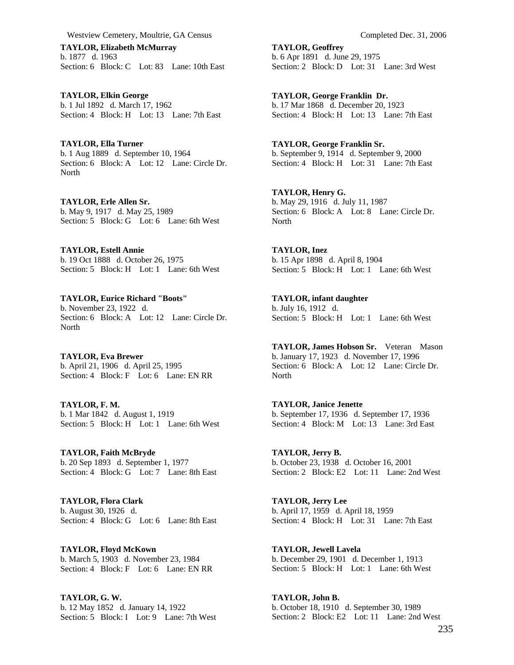**TAYLOR, Elizabeth McMurray**  b. 1877 d. 1963 Section: 6 Block: C Lot: 83 Lane: 10th East

**TAYLOR, Elkin George**  b. 1 Jul 1892 d. March 17, 1962 Section: 4 Block: H Lot: 13 Lane: 7th East

**TAYLOR, Ella Turner**  b. 1 Aug 1889 d. September 10, 1964 Section: 6 Block: A Lot: 12 Lane: Circle Dr. **North** 

**TAYLOR, Erle Allen Sr.**  b. May 9, 1917 d. May 25, 1989 Section: 5 Block: G Lot: 6 Lane: 6th West

**TAYLOR, Estell Annie**  b. 19 Oct 1888 d. October 26, 1975 Section: 5 Block: H Lot: 1 Lane: 6th West

**TAYLOR, Eurice Richard "Boots"**  b. November 23, 1922 d. Section: 6 Block: A Lot: 12 Lane: Circle Dr. North

**TAYLOR, Eva Brewer**  b. April 21, 1906 d. April 25, 1995 Section: 4 Block: F Lot: 6 Lane: EN RR

**TAYLOR, F. M.**  b. 1 Mar 1842 d. August 1, 1919 Section: 5 Block: H Lot: 1 Lane: 6th West

**TAYLOR, Faith McBryde**  b. 20 Sep 1893 d. September 1, 1977 Section: 4 Block: G Lot: 7 Lane: 8th East

**TAYLOR, Flora Clark**  b. August 30, 1926 d. Section: 4 Block: G Lot: 6 Lane: 8th East

**TAYLOR, Floyd McKown**  b. March 5, 1903 d. November 23, 1984 Section: 4 Block: F Lot: 6 Lane: EN RR

**TAYLOR, G. W.**  b. 12 May 1852 d. January 14, 1922 Section: 5 Block: I Lot: 9 Lane: 7th West **TAYLOR, Geoffrey**  b. 6 Apr 1891 d. June 29, 1975 Section: 2 Block: D Lot: 31 Lane: 3rd West

**TAYLOR, George Franklin Dr.**  b. 17 Mar 1868 d. December 20, 1923 Section: 4 Block: H Lot: 13 Lane: 7th East

**TAYLOR, George Franklin Sr.**  b. September 9, 1914 d. September 9, 2000 Section: 4 Block: H Lot: 31 Lane: 7th East

**TAYLOR, Henry G.**  b. May 29, 1916 d. July 11, 1987 Section: 6 Block: A Lot: 8 Lane: Circle Dr. North

**TAYLOR, Inez**  b. 15 Apr 1898 d. April 8, 1904 Section: 5 Block: H Lot: 1 Lane: 6th West

**TAYLOR, infant daughter**  b. July 16, 1912 d. Section: 5 Block: H Lot: 1 Lane: 6th West

**TAYLOR, James Hobson Sr.** Veteran Mason b. January 17, 1923 d. November 17, 1996 Section: 6 Block: A Lot: 12 Lane: Circle Dr. North

**TAYLOR, Janice Jenette**  b. September 17, 1936 d. September 17, 1936 Section: 4 Block: M Lot: 13 Lane: 3rd East

**TAYLOR, Jerry B.**  b. October 23, 1938 d. October 16, 2001 Section: 2 Block: E2 Lot: 11 Lane: 2nd West

**TAYLOR, Jerry Lee**  b. April 17, 1959 d. April 18, 1959 Section: 4 Block: H Lot: 31 Lane: 7th East

**TAYLOR, Jewell Lavela**  b. December 29, 1901 d. December 1, 1913 Section: 5 Block: H Lot: 1 Lane: 6th West

**TAYLOR, John B.**  b. October 18, 1910 d. September 30, 1989 Section: 2 Block: E2 Lot: 11 Lane: 2nd West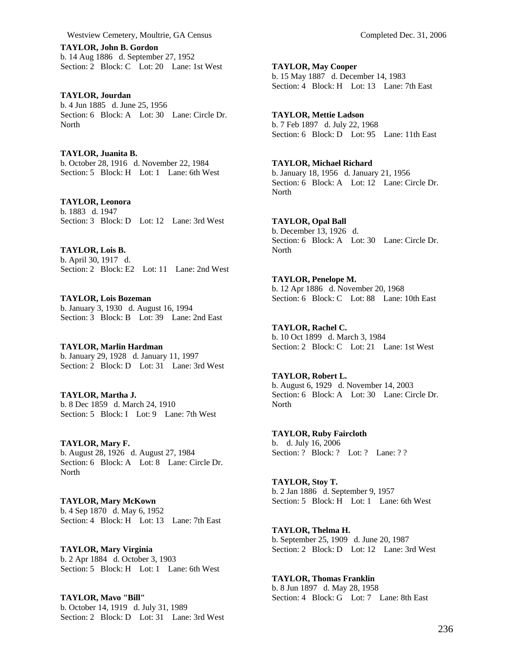**TAYLOR, John B. Gordon**  b. 14 Aug 1886 d. September 27, 1952 Section: 2 Block: C Lot: 20 Lane: 1st West

**TAYLOR, Jourdan**  b. 4 Jun 1885 d. June 25, 1956 Section: 6 Block: A Lot: 30 Lane: Circle Dr. **North** 

**TAYLOR, Juanita B.**  b. October 28, 1916 d. November 22, 1984 Section: 5 Block: H Lot: 1 Lane: 6th West

#### **TAYLOR, Leonora**  b. 1883 d. 1947

Section: 3 Block: D Lot: 12 Lane: 3rd West

**TAYLOR, Lois B.**  b. April 30, 1917 d. Section: 2 Block: E2 Lot: 11 Lane: 2nd West

**TAYLOR, Lois Bozeman**  b. January 3, 1930 d. August 16, 1994 Section: 3 Block: B Lot: 39 Lane: 2nd East

**TAYLOR, Marlin Hardman**  b. January 29, 1928 d. January 11, 1997 Section: 2 Block: D Lot: 31 Lane: 3rd West

**TAYLOR, Martha J.**  b. 8 Dec 1859 d. March 24, 1910 Section: 5 Block: I Lot: 9 Lane: 7th West

**TAYLOR, Mary F.**  b. August 28, 1926 d. August 27, 1984 Section: 6 Block: A Lot: 8 Lane: Circle Dr. **North** 

**TAYLOR, Mary McKown**  b. 4 Sep 1870 d. May 6, 1952 Section: 4 Block: H Lot: 13 Lane: 7th East

**TAYLOR, Mary Virginia**  b. 2 Apr 1884 d. October 3, 1903 Section: 5 Block: H Lot: 1 Lane: 6th West

**TAYLOR, Mavo "Bill"**  b. October 14, 1919 d. July 31, 1989 Section: 2 Block: D Lot: 31 Lane: 3rd West **TAYLOR, May Cooper**  b. 15 May 1887 d. December 14, 1983 Section: 4 Block: H Lot: 13 Lane: 7th East

**TAYLOR, Mettie Ladson**  b. 7 Feb 1897 d. July 22, 1968 Section: 6 Block: D Lot: 95 Lane: 11th East

**TAYLOR, Michael Richard**  b. January 18, 1956 d. January 21, 1956 Section: 6 Block: A Lot: 12 Lane: Circle Dr. North

**TAYLOR, Opal Ball**  b. December 13, 1926 d. Section: 6 Block: A Lot: 30 Lane: Circle Dr. North

**TAYLOR, Penelope M.**  b. 12 Apr 1886 d. November 20, 1968 Section: 6 Block: C Lot: 88 Lane: 10th East

**TAYLOR, Rachel C.**  b. 10 Oct 1899 d. March 3, 1984 Section: 2 Block: C Lot: 21 Lane: 1st West

**TAYLOR, Robert L.**  b. August 6, 1929 d. November 14, 2003 Section: 6 Block: A Lot: 30 Lane: Circle Dr. North

**TAYLOR, Ruby Faircloth**  b. d. July 16, 2006 Section: ? Block: ? Lot: ? Lane: ? ?

**TAYLOR, Stoy T.**  b. 2 Jan 1886 d. September 9, 1957 Section: 5 Block: H Lot: 1 Lane: 6th West

**TAYLOR, Thelma H.**  b. September 25, 1909 d. June 20, 1987 Section: 2 Block: D Lot: 12 Lane: 3rd West

**TAYLOR, Thomas Franklin**  b. 8 Jun 1897 d. May 28, 1958 Section: 4 Block: G Lot: 7 Lane: 8th East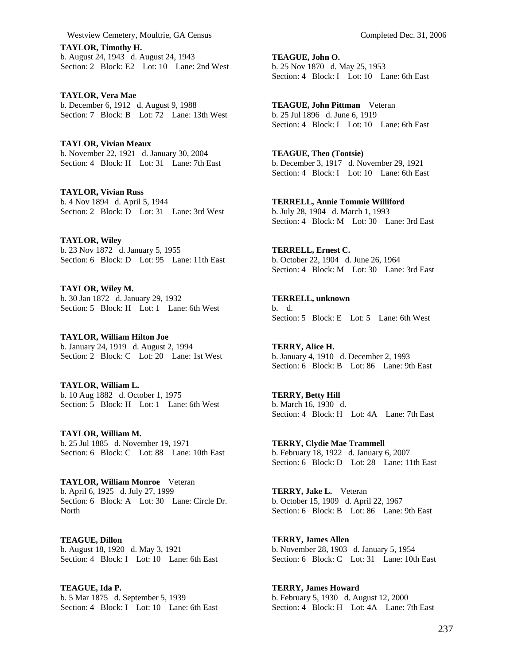**TAYLOR, Timothy H.**  b. August 24, 1943 d. August 24, 1943 Section: 2 Block: E2 Lot: 10 Lane: 2nd West

**TAYLOR, Vera Mae**  b. December 6, 1912 d. August 9, 1988 Section: 7 Block: B Lot: 72 Lane: 13th West

**TAYLOR, Vivian Meaux**  b. November 22, 1921 d. January 30, 2004 Section: 4 Block: H Lot: 31 Lane: 7th East

**TAYLOR, Vivian Russ**  b. 4 Nov 1894 d. April 5, 1944 Section: 2 Block: D Lot: 31 Lane: 3rd West

**TAYLOR, Wiley**  b. 23 Nov 1872 d. January 5, 1955 Section: 6 Block: D Lot: 95 Lane: 11th East

**TAYLOR, Wiley M.**  b. 30 Jan 1872 d. January 29, 1932 Section: 5 Block: H Lot: 1 Lane: 6th West

**TAYLOR, William Hilton Joe**  b. January 24, 1919 d. August 2, 1994 Section: 2 Block: C Lot: 20 Lane: 1st West

**TAYLOR, William L.**  b. 10 Aug 1882 d. October 1, 1975 Section: 5 Block: H Lot: 1 Lane: 6th West

**TAYLOR, William M.**  b. 25 Jul 1885 d. November 19, 1971 Section: 6 Block: C Lot: 88 Lane: 10th East

**TAYLOR, William Monroe** Veteran b. April 6, 1925 d. July 27, 1999 Section: 6 Block: A Lot: 30 Lane: Circle Dr. **North** 

**TEAGUE, Dillon**  b. August 18, 1920 d. May 3, 1921 Section: 4 Block: I Lot: 10 Lane: 6th East

**TEAGUE, Ida P.**  b. 5 Mar 1875 d. September 5, 1939 Section: 4 Block: I Lot: 10 Lane: 6th East **TEAGUE, John O.**  b. 25 Nov 1870 d. May 25, 1953 Section: 4 Block: I Lot: 10 Lane: 6th East

**TEAGUE, John Pittman** Veteran b. 25 Jul 1896 d. June 6, 1919 Section: 4 Block: I Lot: 10 Lane: 6th East

**TEAGUE, Theo (Tootsie)**  b. December 3, 1917 d. November 29, 1921 Section: 4 Block: I Lot: 10 Lane: 6th East

**TERRELL, Annie Tommie Williford**  b. July 28, 1904 d. March 1, 1993 Section: 4 Block: M Lot: 30 Lane: 3rd East

**TERRELL, Ernest C.**  b. October 22, 1904 d. June 26, 1964 Section: 4 Block: M Lot: 30 Lane: 3rd East

**TERRELL, unknown**  b. d. Section: 5 Block: E Lot: 5 Lane: 6th West

**TERRY, Alice H.**  b. January 4, 1910 d. December 2, 1993 Section: 6 Block: B Lot: 86 Lane: 9th East

**TERRY, Betty Hill**  b. March 16, 1930 d. Section: 4 Block: H Lot: 4A Lane: 7th East

**TERRY, Clydie Mae Trammell**  b. February 18, 1922 d. January 6, 2007 Section: 6 Block: D Lot: 28 Lane: 11th East

**TERRY, Jake L.** Veteran b. October 15, 1909 d. April 22, 1967 Section: 6 Block: B Lot: 86 Lane: 9th East

**TERRY, James Allen**  b. November 28, 1903 d. January 5, 1954 Section: 6 Block: C Lot: 31 Lane: 10th East

**TERRY, James Howard**  b. February 5, 1930 d. August 12, 2000 Section: 4 Block: H Lot: 4A Lane: 7th East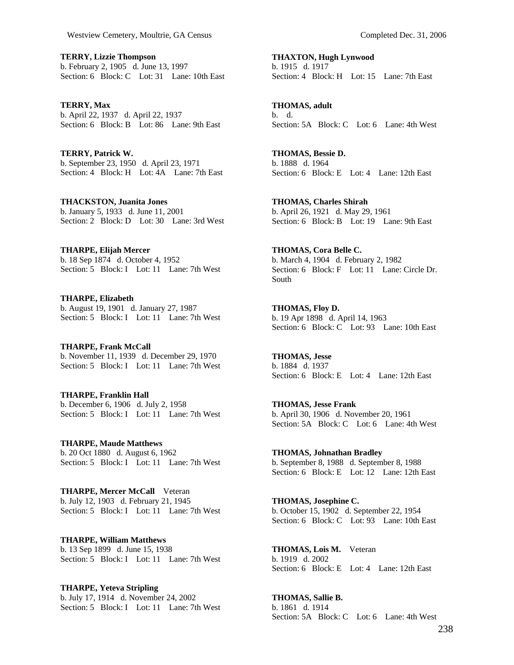**TERRY, Lizzie Thompson**  b. February 2, 1905 d. June 13, 1997 Section: 6 Block: C Lot: 31 Lane: 10th East

**TERRY, Max**  b. April 22, 1937 d. April 22, 1937 Section: 6 Block: B Lot: 86 Lane: 9th East

**TERRY, Patrick W.**  b. September 23, 1950 d. April 23, 1971 Section: 4 Block: H Lot: 4A Lane: 7th East

**THACKSTON, Juanita Jones**  b. January 5, 1933 d. June 11, 2001 Section: 2 Block: D Lot: 30 Lane: 3rd West

**THARPE, Elijah Mercer**  b. 18 Sep 1874 d. October 4, 1952 Section: 5 Block: I Lot: 11 Lane: 7th West

**THARPE, Elizabeth**  b. August 19, 1901 d. January 27, 1987 Section: 5 Block: I Lot: 11 Lane: 7th West

**THARPE, Frank McCall**  b. November 11, 1939 d. December 29, 1970 Section: 5 Block: I Lot: 11 Lane: 7th West

**THARPE, Franklin Hall**  b. December 6, 1906 d. July 2, 1958 Section: 5 Block: I Lot: 11 Lane: 7th West

**THARPE, Maude Matthews**  b. 20 Oct 1880 d. August 6, 1962 Section: 5 Block: I Lot: 11 Lane: 7th West

**THARPE, Mercer McCall** Veteran b. July 12, 1903 d. February 21, 1945 Section: 5 Block: I Lot: 11 Lane: 7th West

**THARPE, William Matthews**  b. 13 Sep 1899 d. June 15, 1938 Section: 5 Block: I Lot: 11 Lane: 7th West

**THARPE, Yeteva Stripling**  b. July 17, 1914 d. November 24, 2002 Section: 5 Block: I Lot: 11 Lane: 7th West **THAXTON, Hugh Lynwood**  b. 1915 d. 1917

Section: 4 Block: H Lot: 15 Lane: 7th East

**THOMAS, adult**  b. d. Section: 5A Block: C Lot: 6 Lane: 4th West

**THOMAS, Bessie D.**  b. 1888 d. 1964 Section: 6 Block: E Lot: 4 Lane: 12th East

**THOMAS, Charles Shirah**  b. April 26, 1921 d. May 29, 1961 Section: 6 Block: B Lot: 19 Lane: 9th East

**THOMAS, Cora Belle C.**  b. March 4, 1904 d. February 2, 1982 Section: 6 Block: F Lot: 11 Lane: Circle Dr. South

**THOMAS, Floy D.**  b. 19 Apr 1898 d. April 14, 1963 Section: 6 Block: C Lot: 93 Lane: 10th East

**THOMAS, Jesse**  b. 1884 d. 1937 Section: 6 Block: E Lot: 4 Lane: 12th East

**THOMAS, Jesse Frank**  b. April 30, 1906 d. November 20, 1961 Section: 5A Block: C Lot: 6 Lane: 4th West

**THOMAS, Johnathan Bradley**  b. September 8, 1988 d. September 8, 1988 Section: 6 Block: E Lot: 12 Lane: 12th East

**THOMAS, Josephine C.**  b. October 15, 1902 d. September 22, 1954 Section: 6 Block: C Lot: 93 Lane: 10th East

**THOMAS, Lois M.** Veteran b. 1919 d. 2002 Section: 6 Block: E Lot: 4 Lane: 12th East

**THOMAS, Sallie B.**  b. 1861 d. 1914 Section: 5A Block: C Lot: 6 Lane: 4th West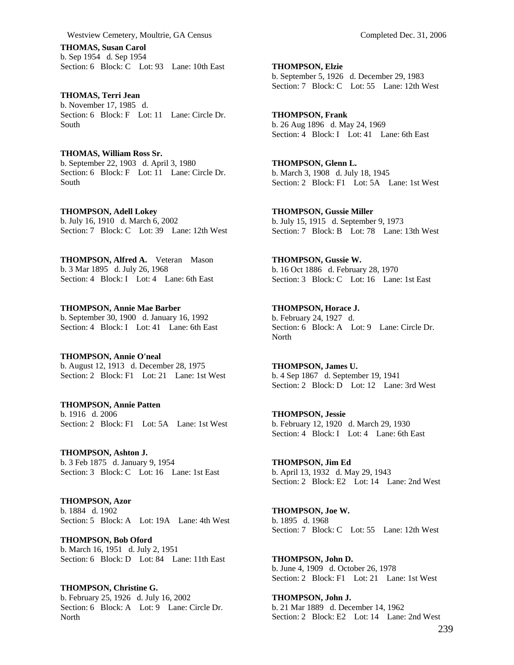**THOMAS, Susan Carol**  b. Sep 1954 d. Sep 1954 Section: 6 Block: C Lot: 93 Lane: 10th East

**THOMAS, Terri Jean**  b. November 17, 1985 d. Section: 6 Block: F Lot: 11 Lane: Circle Dr. South

**THOMAS, William Ross Sr.**  b. September 22, 1903 d. April 3, 1980 Section: 6 Block: F Lot: 11 Lane: Circle Dr. South

**THOMPSON, Adell Lokey**  b. July 16, 1910 d. March 6, 2002 Section: 7 Block: C Lot: 39 Lane: 12th West

**THOMPSON, Alfred A.** Veteran Mason b. 3 Mar 1895 d. July 26, 1968 Section: 4 Block: I Lot: 4 Lane: 6th East

**THOMPSON, Annie Mae Barber**  b. September 30, 1900 d. January 16, 1992 Section: 4 Block: I Lot: 41 Lane: 6th East

**THOMPSON, Annie O'neal**  b. August 12, 1913 d. December 28, 1975 Section: 2 Block: F1 Lot: 21 Lane: 1st West

**THOMPSON, Annie Patten**  b. 1916 d. 2006 Section: 2 Block: F1 Lot: 5A Lane: 1st West

**THOMPSON, Ashton J.**  b. 3 Feb 1875 d. January 9, 1954 Section: 3 Block: C Lot: 16 Lane: 1st East

**THOMPSON, Azor**  b. 1884 d. 1902 Section: 5 Block: A Lot: 19A Lane: 4th West

**THOMPSON, Bob Oford**  b. March 16, 1951 d. July 2, 1951 Section: 6 Block: D Lot: 84 Lane: 11th East

**THOMPSON, Christine G.**  b. February 25, 1926 d. July 16, 2002 Section: 6 Block: A Lot: 9 Lane: Circle Dr. **North** 

**THOMPSON, Elzie**  b. September 5, 1926 d. December 29, 1983 Section: 7 Block: C Lot: 55 Lane: 12th West

**THOMPSON, Frank**  b. 26 Aug 1896 d. May 24, 1969 Section: 4 Block: I Lot: 41 Lane: 6th East

**THOMPSON, Glenn L.**  b. March 3, 1908 d. July 18, 1945 Section: 2 Block: F1 Lot: 5A Lane: 1st West

**THOMPSON, Gussie Miller**  b. July 15, 1915 d. September 9, 1973 Section: 7 Block: B Lot: 78 Lane: 13th West

**THOMPSON, Gussie W.**  b. 16 Oct 1886 d. February 28, 1970 Section: 3 Block: C Lot: 16 Lane: 1st East

**THOMPSON, Horace J.**  b. February 24, 1927 d. Section: 6 Block: A Lot: 9 Lane: Circle Dr. North

**THOMPSON, James U.**  b. 4 Sep 1867 d. September 19, 1941 Section: 2 Block: D Lot: 12 Lane: 3rd West

**THOMPSON, Jessie**  b. February 12, 1920 d. March 29, 1930 Section: 4 Block: I Lot: 4 Lane: 6th East

**THOMPSON, Jim Ed**  b. April 13, 1932 d. May 29, 1943 Section: 2 Block: E2 Lot: 14 Lane: 2nd West

**THOMPSON, Joe W.**  b. 1895 d. 1968 Section: 7 Block: C Lot: 55 Lane: 12th West

**THOMPSON, John D.**  b. June 4, 1909 d. October 26, 1978 Section: 2 Block: F1 Lot: 21 Lane: 1st West

**THOMPSON, John J.**  b. 21 Mar 1889 d. December 14, 1962 Section: 2 Block: E2 Lot: 14 Lane: 2nd West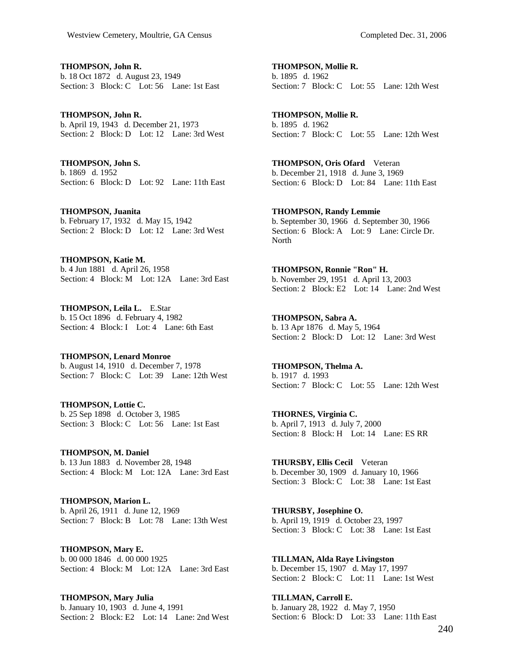**THOMPSON, John R.**  b. 18 Oct 1872 d. August 23, 1949 Section: 3 Block: C Lot: 56 Lane: 1st East

**THOMPSON, John R.**  b. April 19, 1943 d. December 21, 1973 Section: 2 Block: D Lot: 12 Lane: 3rd West

**THOMPSON, John S.**  b. 1869 d. 1952 Section: 6 Block: D Lot: 92 Lane: 11th East

**THOMPSON, Juanita**  b. February 17, 1932 d. May 15, 1942 Section: 2 Block: D Lot: 12 Lane: 3rd West

**THOMPSON, Katie M.**  b. 4 Jun 1881 d. April 26, 1958 Section: 4 Block: M Lot: 12A Lane: 3rd East

**THOMPSON, Leila L.** E.Star b. 15 Oct 1896 d. February 4, 1982 Section: 4 Block: I Lot: 4 Lane: 6th East

**THOMPSON, Lenard Monroe**  b. August 14, 1910 d. December 7, 1978 Section: 7 Block: C Lot: 39 Lane: 12th West

**THOMPSON, Lottie C.**  b. 25 Sep 1898 d. October 3, 1985 Section: 3 Block: C Lot: 56 Lane: 1st East

**THOMPSON, M. Daniel**  b. 13 Jun 1883 d. November 28, 1948 Section: 4 Block: M Lot: 12A Lane: 3rd East

**THOMPSON, Marion L.**  b. April 26, 1911 d. June 12, 1969 Section: 7 Block: B Lot: 78 Lane: 13th West

**THOMPSON, Mary E.**  b. 00 000 1846 d. 00 000 1925 Section: 4 Block: M Lot: 12A Lane: 3rd East

**THOMPSON, Mary Julia**  b. January 10, 1903 d. June 4, 1991 Section: 2 Block: E2 Lot: 14 Lane: 2nd West **THOMPSON, Mollie R.**  b. 1895 d. 1962 Section: 7 Block: C Lot: 55 Lane: 12th West

**THOMPSON, Mollie R.**  b. 1895 d. 1962 Section: 7 Block: C Lot: 55 Lane: 12th West

**THOMPSON, Oris Ofard** Veteran b. December 21, 1918 d. June 3, 1969 Section: 6 Block: D Lot: 84 Lane: 11th East

**THOMPSON, Randy Lemmie**  b. September 30, 1966 d. September 30, 1966 Section: 6 Block: A Lot: 9 Lane: Circle Dr. North

**THOMPSON, Ronnie "Ron" H.**  b. November 29, 1951 d. April 13, 2003 Section: 2 Block: E2 Lot: 14 Lane: 2nd West

**THOMPSON, Sabra A.**  b. 13 Apr 1876 d. May 5, 1964 Section: 2 Block: D Lot: 12 Lane: 3rd West

**THOMPSON, Thelma A.**  b. 1917 d. 1993 Section: 7 Block: C Lot: 55 Lane: 12th West

**THORNES, Virginia C.**  b. April 7, 1913 d. July 7, 2000 Section: 8 Block: H Lot: 14 Lane: ES RR

**THURSBY, Ellis Cecil** Veteran b. December 30, 1909 d. January 10, 1966 Section: 3 Block: C Lot: 38 Lane: 1st East

**THURSBY, Josephine O.**  b. April 19, 1919 d. October 23, 1997 Section: 3 Block: C Lot: 38 Lane: 1st East

**TILLMAN, Alda Raye Livingston**  b. December 15, 1907 d. May 17, 1997 Section: 2 Block: C Lot: 11 Lane: 1st West

**TILLMAN, Carroll E.**  b. January 28, 1922 d. May 7, 1950 Section: 6 Block: D Lot: 33 Lane: 11th East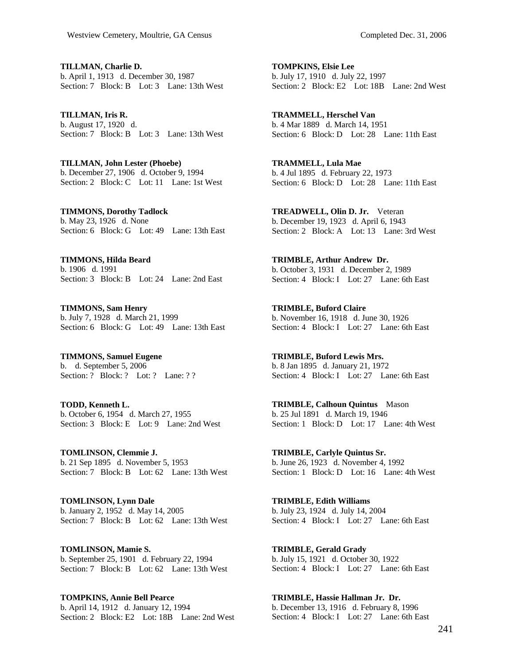**TILLMAN, Charlie D.**  b. April 1, 1913 d. December 30, 1987 Section: 7 Block: B Lot: 3 Lane: 13th West

**TILLMAN, Iris R.**  b. August 17, 1920 d. Section: 7 Block: B Lot: 3 Lane: 13th West

**TILLMAN, John Lester (Phoebe)**  b. December 27, 1906 d. October 9, 1994 Section: 2 Block: C Lot: 11 Lane: 1st West

**TIMMONS, Dorothy Tadlock**  b. May 23, 1926 d. None Section: 6 Block: G Lot: 49 Lane: 13th East

**TIMMONS, Hilda Beard**  b. 1906 d. 1991 Section: 3 Block: B Lot: 24 Lane: 2nd East

**TIMMONS, Sam Henry**  b. July 7, 1928 d. March 21, 1999 Section: 6 Block: G Lot: 49 Lane: 13th East

**TIMMONS, Samuel Eugene**  b. d. September 5, 2006 Section: ? Block: ? Lot: ? Lane: ? ?

**TODD, Kenneth L.**  b. October 6, 1954 d. March 27, 1955 Section: 3 Block: E Lot: 9 Lane: 2nd West

**TOMLINSON, Clemmie J.**  b. 21 Sep 1895 d. November 5, 1953 Section: 7 Block: B Lot: 62 Lane: 13th West

**TOMLINSON, Lynn Dale**  b. January 2, 1952 d. May 14, 2005 Section: 7 Block: B Lot: 62 Lane: 13th West

**TOMLINSON, Mamie S.**  b. September 25, 1901 d. February 22, 1994 Section: 7 Block: B Lot: 62 Lane: 13th West

**TOMPKINS, Annie Bell Pearce**  b. April 14, 1912 d. January 12, 1994 Section: 2 Block: E2 Lot: 18B Lane: 2nd West

**TOMPKINS, Elsie Lee**  b. July 17, 1910 d. July 22, 1997 Section: 2 Block: E2 Lot: 18B Lane: 2nd West

**TRAMMELL, Herschel Van**  b. 4 Mar 1889 d. March 14, 1951 Section: 6 Block: D Lot: 28 Lane: 11th East

**TRAMMELL, Lula Mae**  b. 4 Jul 1895 d. February 22, 1973 Section: 6 Block: D Lot: 28 Lane: 11th East

**TREADWELL, Olin D. Jr.** Veteran b. December 19, 1923 d. April 6, 1943 Section: 2 Block: A Lot: 13 Lane: 3rd West

**TRIMBLE, Arthur Andrew Dr.**  b. October 3, 1931 d. December 2, 1989 Section: 4 Block: I Lot: 27 Lane: 6th East

**TRIMBLE, Buford Claire**  b. November 16, 1918 d. June 30, 1926 Section: 4 Block: I Lot: 27 Lane: 6th East

**TRIMBLE, Buford Lewis Mrs.**  b. 8 Jan 1895 d. January 21, 1972 Section: 4 Block: I Lot: 27 Lane: 6th East

**TRIMBLE, Calhoun Quintus** Mason b. 25 Jul 1891 d. March 19, 1946 Section: 1 Block: D Lot: 17 Lane: 4th West

**TRIMBLE, Carlyle Quintus Sr.**  b. June 26, 1923 d. November 4, 1992 Section: 1 Block: D Lot: 16 Lane: 4th West

**TRIMBLE, Edith Williams**  b. July 23, 1924 d. July 14, 2004 Section: 4 Block: I Lot: 27 Lane: 6th East

**TRIMBLE, Gerald Grady**  b. July 15, 1921 d. October 30, 1922 Section: 4 Block: I Lot: 27 Lane: 6th East

**TRIMBLE, Hassie Hallman Jr. Dr.**  b. December 13, 1916 d. February 8, 1996 Section: 4 Block: I Lot: 27 Lane: 6th East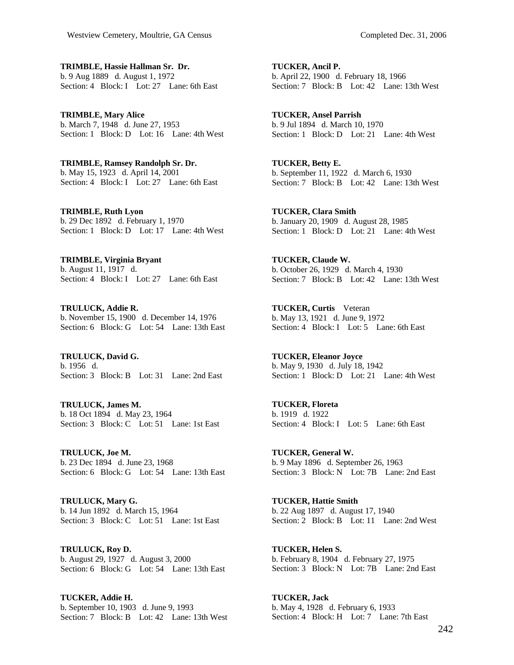**TRIMBLE, Hassie Hallman Sr. Dr.**  b. 9 Aug 1889 d. August 1, 1972 Section: 4 Block: I Lot: 27 Lane: 6th East

**TRIMBLE, Mary Alice**  b. March 7, 1948 d. June 27, 1953 Section: 1 Block: D Lot: 16 Lane: 4th West

**TRIMBLE, Ramsey Randolph Sr. Dr.**  b. May 15, 1923 d. April 14, 2001 Section: 4 Block: I Lot: 27 Lane: 6th East

**TRIMBLE, Ruth Lyon**  b. 29 Dec 1892 d. February 1, 1970 Section: 1 Block: D Lot: 17 Lane: 4th West

**TRIMBLE, Virginia Bryant**  b. August 11, 1917 d. Section: 4 Block: I Lot: 27 Lane: 6th East

**TRULUCK, Addie R.**  b. November 15, 1900 d. December 14, 1976 Section: 6 Block: G Lot: 54 Lane: 13th East

**TRULUCK, David G.**  b. 1956 d. Section: 3 Block: B Lot: 31 Lane: 2nd East

**TRULUCK, James M.**  b. 18 Oct 1894 d. May 23, 1964 Section: 3 Block: C Lot: 51 Lane: 1st East

**TRULUCK, Joe M.**  b. 23 Dec 1894 d. June 23, 1968 Section: 6 Block: G Lot: 54 Lane: 13th East

**TRULUCK, Mary G.**  b. 14 Jun 1892 d. March 15, 1964 Section: 3 Block: C Lot: 51 Lane: 1st East

**TRULUCK, Roy D.**  b. August 29, 1927 d. August 3, 2000 Section: 6 Block: G Lot: 54 Lane: 13th East

**TUCKER, Addie H.**  b. September 10, 1903 d. June 9, 1993 Section: 7 Block: B Lot: 42 Lane: 13th West **TUCKER, Ancil P.**  b. April 22, 1900 d. February 18, 1966 Section: 7 Block: B Lot: 42 Lane: 13th West

**TUCKER, Ansel Parrish**  b. 9 Jul 1894 d. March 10, 1970 Section: 1 Block: D Lot: 21 Lane: 4th West

**TUCKER, Betty E.**  b. September 11, 1922 d. March 6, 1930 Section: 7 Block: B Lot: 42 Lane: 13th West

**TUCKER, Clara Smith**  b. January 20, 1909 d. August 28, 1985 Section: 1 Block: D Lot: 21 Lane: 4th West

**TUCKER, Claude W.**  b. October 26, 1929 d. March 4, 1930 Section: 7 Block: B Lot: 42 Lane: 13th West

**TUCKER, Curtis** Veteran b. May 13, 1921 d. June 9, 1972 Section: 4 Block: I Lot: 5 Lane: 6th East

**TUCKER, Eleanor Joyce**  b. May 9, 1930 d. July 18, 1942 Section: 1 Block: D Lot: 21 Lane: 4th West

**TUCKER, Floreta**  b. 1919 d. 1922 Section: 4 Block: I Lot: 5 Lane: 6th East

**TUCKER, General W.**  b. 9 May 1896 d. September 26, 1963 Section: 3 Block: N Lot: 7B Lane: 2nd East

**TUCKER, Hattie Smith**  b. 22 Aug 1897 d. August 17, 1940 Section: 2 Block: B Lot: 11 Lane: 2nd West

**TUCKER, Helen S.**  b. February 8, 1904 d. February 27, 1975 Section: 3 Block: N Lot: 7B Lane: 2nd East

**TUCKER, Jack**  b. May 4, 1928 d. February 6, 1933 Section: 4 Block: H Lot: 7 Lane: 7th East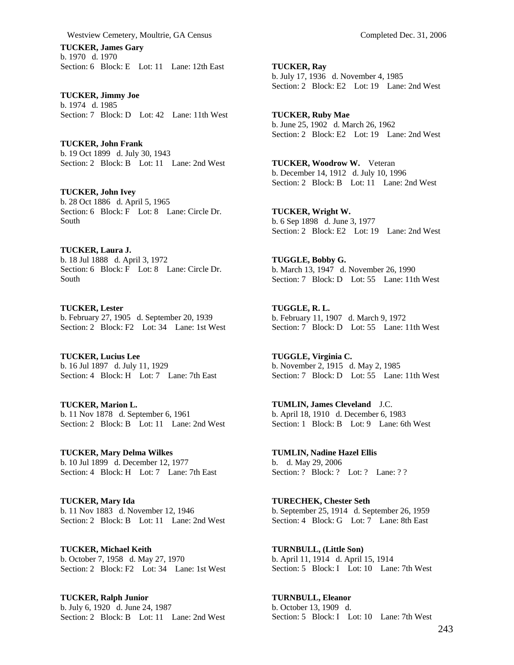**TUCKER, James Gary**  b. 1970 d. 1970 Section: 6 Block: E Lot: 11 Lane: 12th East

**TUCKER, Jimmy Joe**  b. 1974 d. 1985 Section: 7 Block: D Lot: 42 Lane: 11th West

**TUCKER, John Frank**  b. 19 Oct 1899 d. July 30, 1943 Section: 2 Block: B Lot: 11 Lane: 2nd West

**TUCKER, John Ivey**  b. 28 Oct 1886 d. April 5, 1965 Section: 6 Block: F Lot: 8 Lane: Circle Dr. South

**TUCKER, Laura J.**  b. 18 Jul 1888 d. April 3, 1972 Section: 6 Block: F Lot: 8 Lane: Circle Dr. South

**TUCKER, Lester**  b. February 27, 1905 d. September 20, 1939 Section: 2 Block: F2 Lot: 34 Lane: 1st West

**TUCKER, Lucius Lee**  b. 16 Jul 1897 d. July 11, 1929 Section: 4 Block: H Lot: 7 Lane: 7th East

**TUCKER, Marion L.**  b. 11 Nov 1878 d. September 6, 1961 Section: 2 Block: B Lot: 11 Lane: 2nd West

**TUCKER, Mary Delma Wilkes**  b. 10 Jul 1899 d. December 12, 1977 Section: 4 Block: H Lot: 7 Lane: 7th East

**TUCKER, Mary Ida**  b. 11 Nov 1883 d. November 12, 1946 Section: 2 Block: B Lot: 11 Lane: 2nd West

**TUCKER, Michael Keith**  b. October 7, 1958 d. May 27, 1970 Section: 2 Block: F2 Lot: 34 Lane: 1st West

**TUCKER, Ralph Junior**  b. July 6, 1920 d. June 24, 1987 Section: 2 Block: B Lot: 11 Lane: 2nd West **TUCKER, Ray**  b. July 17, 1936 d. November 4, 1985 Section: 2 Block: E2 Lot: 19 Lane: 2nd West

**TUCKER, Ruby Mae**  b. June 25, 1902 d. March 26, 1962 Section: 2 Block: E2 Lot: 19 Lane: 2nd West

**TUCKER, Woodrow W.** Veteran b. December 14, 1912 d. July 10, 1996 Section: 2 Block: B Lot: 11 Lane: 2nd West

**TUCKER, Wright W.**  b. 6 Sep 1898 d. June 3, 1977 Section: 2 Block: E2 Lot: 19 Lane: 2nd West

**TUGGLE, Bobby G.**  b. March 13, 1947 d. November 26, 1990 Section: 7 Block: D Lot: 55 Lane: 11th West

**TUGGLE, R. L.**  b. February 11, 1907 d. March 9, 1972 Section: 7 Block: D Lot: 55 Lane: 11th West

**TUGGLE, Virginia C.**  b. November 2, 1915 d. May 2, 1985 Section: 7 Block: D Lot: 55 Lane: 11th West

**TUMLIN, James Cleveland** J.C. b. April 18, 1910 d. December 6, 1983 Section: 1 Block: B Lot: 9 Lane: 6th West

**TUMLIN, Nadine Hazel Ellis**  b. d. May 29, 2006 Section: ? Block: ? Lot: ? Lane: ? ?

**TURECHEK, Chester Seth**  b. September 25, 1914 d. September 26, 1959 Section: 4 Block: G Lot: 7 Lane: 8th East

**TURNBULL, (Little Son)**  b. April 11, 1914 d. April 15, 1914 Section: 5 Block: I Lot: 10 Lane: 7th West

**TURNBULL, Eleanor**  b. October 13, 1909 d. Section: 5 Block: I Lot: 10 Lane: 7th West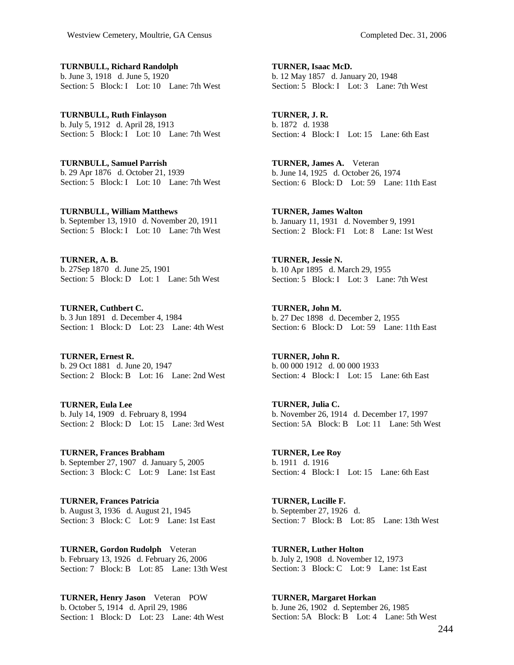**TURNBULL, Richard Randolph**  b. June 3, 1918 d. June 5, 1920 Section: 5 Block: I Lot: 10 Lane: 7th West

**TURNBULL, Ruth Finlayson**  b. July 5, 1912 d. April 28, 1913 Section: 5 Block: I Lot: 10 Lane: 7th West

**TURNBULL, Samuel Parrish**  b. 29 Apr 1876 d. October 21, 1939 Section: 5 Block: I Lot: 10 Lane: 7th West

**TURNBULL, William Matthews**  b. September 13, 1910 d. November 20, 1911 Section: 5 Block: I Lot: 10 Lane: 7th West

**TURNER, A. B.**  b. 27Sep 1870 d. June 25, 1901 Section: 5 Block: D Lot: 1 Lane: 5th West

**TURNER, Cuthbert C.**  b. 3 Jun 1891 d. December 4, 1984 Section: 1 Block: D Lot: 23 Lane: 4th West

**TURNER, Ernest R.**  b. 29 Oct 1881 d. June 20, 1947 Section: 2 Block: B Lot: 16 Lane: 2nd West

**TURNER, Eula Lee**  b. July 14, 1909 d. February 8, 1994 Section: 2 Block: D Lot: 15 Lane: 3rd West

**TURNER, Frances Brabham**  b. September 27, 1907 d. January 5, 2005 Section: 3 Block: C Lot: 9 Lane: 1st East

**TURNER, Frances Patricia**  b. August 3, 1936 d. August 21, 1945 Section: 3 Block: C Lot: 9 Lane: 1st East

**TURNER, Gordon Rudolph** Veteran b. February 13, 1926 d. February 26, 2006 Section: 7 Block: B Lot: 85 Lane: 13th West

**TURNER, Henry Jason** Veteran POW b. October 5, 1914 d. April 29, 1986 Section: 1 Block: D Lot: 23 Lane: 4th West

**TURNER, Isaac McD.**  b. 12 May 1857 d. January 20, 1948 Section: 5 Block: I Lot: 3 Lane: 7th West

**TURNER, J. R.**  b. 1872 d. 1938 Section: 4 Block: I Lot: 15 Lane: 6th East

**TURNER, James A.** Veteran b. June 14, 1925 d. October 26, 1974 Section: 6 Block: D Lot: 59 Lane: 11th East

**TURNER, James Walton**  b. January 11, 1931 d. November 9, 1991 Section: 2 Block: F1 Lot: 8 Lane: 1st West

**TURNER, Jessie N.**  b. 10 Apr 1895 d. March 29, 1955 Section: 5 Block: I Lot: 3 Lane: 7th West

**TURNER, John M.**  b. 27 Dec 1898 d. December 2, 1955 Section: 6 Block: D Lot: 59 Lane: 11th East

**TURNER, John R.**  b. 00 000 1912 d. 00 000 1933 Section: 4 Block: I Lot: 15 Lane: 6th East

**TURNER, Julia C.**  b. November 26, 1914 d. December 17, 1997 Section: 5A Block: B Lot: 11 Lane: 5th West

**TURNER, Lee Roy**  b. 1911 d. 1916 Section: 4 Block: I Lot: 15 Lane: 6th East

**TURNER, Lucille F.**  b. September 27, 1926 d. Section: 7 Block: B Lot: 85 Lane: 13th West

**TURNER, Luther Holton**  b. July 2, 1908 d. November 12, 1973 Section: 3 Block: C Lot: 9 Lane: 1st East

**TURNER, Margaret Horkan**  b. June 26, 1902 d. September 26, 1985 Section: 5A Block: B Lot: 4 Lane: 5th West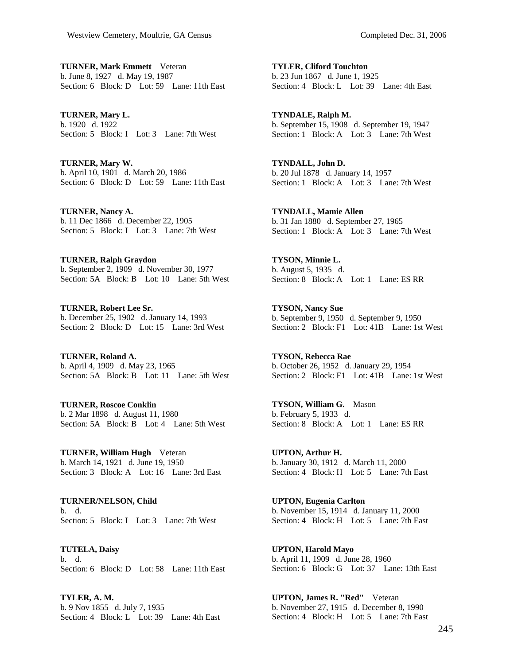**TURNER, Mark Emmett** Veteran b. June 8, 1927 d. May 19, 1987 Section: 6 Block: D Lot: 59 Lane: 11th East

**TURNER, Mary L.**  b. 1920 d. 1922 Section: 5 Block: I Lot: 3 Lane: 7th West

**TURNER, Mary W.**  b. April 10, 1901 d. March 20, 1986 Section: 6 Block: D Lot: 59 Lane: 11th East

**TURNER, Nancy A.**  b. 11 Dec 1866 d. December 22, 1905 Section: 5 Block: I Lot: 3 Lane: 7th West

**TURNER, Ralph Graydon**  b. September 2, 1909 d. November 30, 1977 Section: 5A Block: B Lot: 10 Lane: 5th West

**TURNER, Robert Lee Sr.**  b. December 25, 1902 d. January 14, 1993 Section: 2 Block: D Lot: 15 Lane: 3rd West

**TURNER, Roland A.**  b. April 4, 1909 d. May 23, 1965 Section: 5A Block: B Lot: 11 Lane: 5th West

**TURNER, Roscoe Conklin**  b. 2 Mar 1898 d. August 11, 1980 Section: 5A Block: B Lot: 4 Lane: 5th West

**TURNER, William Hugh** Veteran b. March 14, 1921 d. June 19, 1950 Section: 3 Block: A Lot: 16 Lane: 3rd East

**TURNER/NELSON, Child**  b. d. Section: 5 Block: I Lot: 3 Lane: 7th West

**TUTELA, Daisy**  b. d. Section: 6 Block: D Lot: 58 Lane: 11th East

**TYLER, A. M.**  b. 9 Nov 1855 d. July 7, 1935 Section: 4 Block: L Lot: 39 Lane: 4th East **TYLER, Cliford Touchton**  b. 23 Jun 1867 d. June 1, 1925 Section: 4 Block: L Lot: 39 Lane: 4th East

**TYNDALE, Ralph M.**  b. September 15, 1908 d. September 19, 1947 Section: 1 Block: A Lot: 3 Lane: 7th West

**TYNDALL, John D.**  b. 20 Jul 1878 d. January 14, 1957 Section: 1 Block: A Lot: 3 Lane: 7th West

**TYNDALL, Mamie Allen**  b. 31 Jan 1880 d. September 27, 1965 Section: 1 Block: A Lot: 3 Lane: 7th West

**TYSON, Minnie L.**  b. August 5, 1935 d. Section: 8 Block: A Lot: 1 Lane: ES RR

**TYSON, Nancy Sue**  b. September 9, 1950 d. September 9, 1950 Section: 2 Block: F1 Lot: 41B Lane: 1st West

**TYSON, Rebecca Rae**  b. October 26, 1952 d. January 29, 1954 Section: 2 Block: F1 Lot: 41B Lane: 1st West

**TYSON, William G.** Mason b. February 5, 1933 d. Section: 8 Block: A Lot: 1 Lane: ES RR

**UPTON, Arthur H.**  b. January 30, 1912 d. March 11, 2000 Section: 4 Block: H Lot: 5 Lane: 7th East

**UPTON, Eugenia Carlton**  b. November 15, 1914 d. January 11, 2000 Section: 4 Block: H Lot: 5 Lane: 7th East

**UPTON, Harold Mayo**  b. April 11, 1909 d. June 28, 1960 Section: 6 Block: G Lot: 37 Lane: 13th East

**UPTON, James R. "Red"** Veteran b. November 27, 1915 d. December 8, 1990 Section: 4 Block: H Lot: 5 Lane: 7th East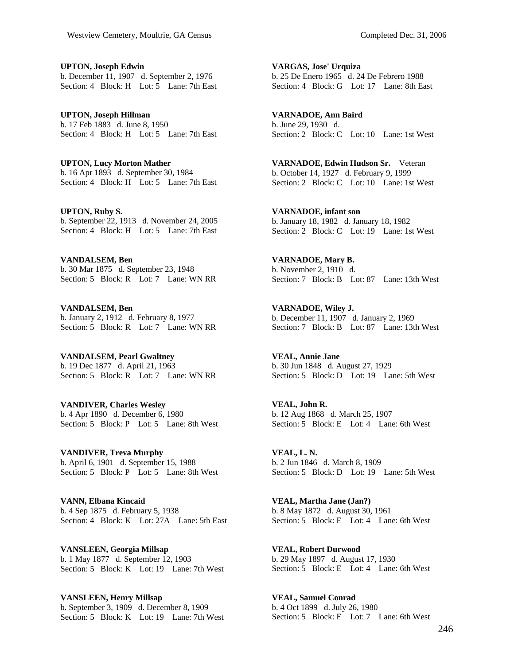**UPTON, Joseph Edwin**  b. December 11, 1907 d. September 2, 1976 Section: 4 Block: H Lot: 5 Lane: 7th East

**UPTON, Joseph Hillman**  b. 17 Feb 1883 d. June 8, 1950 Section: 4 Block: H Lot: 5 Lane: 7th East

**UPTON, Lucy Morton Mather**  b. 16 Apr 1893 d. September 30, 1984 Section: 4 Block: H Lot: 5 Lane: 7th East

**UPTON, Ruby S.**  b. September 22, 1913 d. November 24, 2005 Section: 4 Block: H Lot: 5 Lane: 7th East

**VANDALSEM, Ben**  b. 30 Mar 1875 d. September 23, 1948 Section: 5 Block: R Lot: 7 Lane: WN RR

**VANDALSEM, Ben**  b. January 2, 1912 d. February 8, 1977 Section: 5 Block: R Lot: 7 Lane: WN RR

**VANDALSEM, Pearl Gwaltney**  b. 19 Dec 1877 d. April 21, 1963 Section: 5 Block: R Lot: 7 Lane: WN RR

**VANDIVER, Charles Wesley**  b. 4 Apr 1890 d. December 6, 1980 Section: 5 Block: P Lot: 5 Lane: 8th West

**VANDIVER, Treva Murphy**  b. April 6, 1901 d. September 15, 1988 Section: 5 Block: P Lot: 5 Lane: 8th West

**VANN, Elbana Kincaid**  b. 4 Sep 1875 d. February 5, 1938 Section: 4 Block: K Lot: 27A Lane: 5th East

**VANSLEEN, Georgia Millsap**  b. 1 May 1877 d. September 12, 1903 Section: 5 Block: K Lot: 19 Lane: 7th West

**VANSLEEN, Henry Millsap**  b. September 3, 1909 d. December 8, 1909 Section: 5 Block: K Lot: 19 Lane: 7th West **VARGAS, Jose' Urquiza**  b. 25 De Enero 1965 d. 24 De Febrero 1988 Section: 4 Block: G Lot: 17 Lane: 8th East

**VARNADOE, Ann Baird**  b. June 29, 1930 d. Section: 2 Block: C Lot: 10 Lane: 1st West

**VARNADOE, Edwin Hudson Sr.** Veteran b. October 14, 1927 d. February 9, 1999 Section: 2 Block: C Lot: 10 Lane: 1st West

**VARNADOE, infant son**  b. January 18, 1982 d. January 18, 1982 Section: 2 Block: C Lot: 19 Lane: 1st West

**VARNADOE, Mary B.**  b. November 2, 1910 d. Section: 7 Block: B Lot: 87 Lane: 13th West

**VARNADOE, Wiley J.**  b. December 11, 1907 d. January 2, 1969 Section: 7 Block: B Lot: 87 Lane: 13th West

**VEAL, Annie Jane**  b. 30 Jun 1848 d. August 27, 1929 Section: 5 Block: D Lot: 19 Lane: 5th West

**VEAL, John R.**  b. 12 Aug 1868 d. March 25, 1907 Section: 5 Block: E Lot: 4 Lane: 6th West

**VEAL, L. N.**  b. 2 Jun 1846 d. March 8, 1909 Section: 5 Block: D Lot: 19 Lane: 5th West

**VEAL, Martha Jane (Jan?)**  b. 8 May 1872 d. August 30, 1961 Section: 5 Block: E Lot: 4 Lane: 6th West

**VEAL, Robert Durwood**  b. 29 May 1897 d. August 17, 1930 Section: 5 Block: E Lot: 4 Lane: 6th West

**VEAL, Samuel Conrad**  b. 4 Oct 1899 d. July 26, 1980 Section: 5 Block: E Lot: 7 Lane: 6th West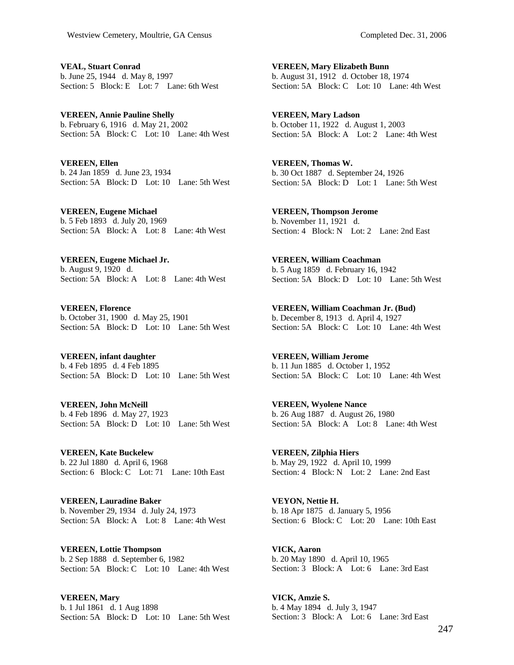**VEAL, Stuart Conrad**  b. June 25, 1944 d. May 8, 1997 Section: 5 Block: E Lot: 7 Lane: 6th West

**VEREEN, Annie Pauline Shelly**  b. February 6, 1916 d. May 21, 2002 Section: 5A Block: C Lot: 10 Lane: 4th West

**VEREEN, Ellen**  b. 24 Jan 1859 d. June 23, 1934 Section: 5A Block: D Lot: 10 Lane: 5th West

**VEREEN, Eugene Michael**  b. 5 Feb 1893 d. July 20, 1969 Section: 5A Block: A Lot: 8 Lane: 4th West

**VEREEN, Eugene Michael Jr.**  b. August 9, 1920 d. Section: 5A Block: A Lot: 8 Lane: 4th West

**VEREEN, Florence**  b. October 31, 1900 d. May 25, 1901 Section: 5A Block: D Lot: 10 Lane: 5th West

**VEREEN, infant daughter**  b. 4 Feb 1895 d. 4 Feb 1895 Section: 5A Block: D Lot: 10 Lane: 5th West

**VEREEN, John McNeill**  b. 4 Feb 1896 d. May 27, 1923 Section: 5A Block: D Lot: 10 Lane: 5th West

**VEREEN, Kate Buckelew**  b. 22 Jul 1880 d. April 6, 1968 Section: 6 Block: C Lot: 71 Lane: 10th East

**VEREEN, Lauradine Baker**  b. November 29, 1934 d. July 24, 1973 Section: 5A Block: A Lot: 8 Lane: 4th West

**VEREEN, Lottie Thompson**  b. 2 Sep 1888 d. September 6, 1982 Section: 5A Block: C Lot: 10 Lane: 4th West

**VEREEN, Mary**  b. 1 Jul 1861 d. 1 Aug 1898 Section: 5A Block: D Lot: 10 Lane: 5th West

**VEREEN, Mary Elizabeth Bunn**  b. August 31, 1912 d. October 18, 1974 Section: 5A Block: C Lot: 10 Lane: 4th West

**VEREEN, Mary Ladson**  b. October 11, 1922 d. August 1, 2003 Section: 5A Block: A Lot: 2 Lane: 4th West

**VEREEN, Thomas W.**  b. 30 Oct 1887 d. September 24, 1926 Section: 5A Block: D Lot: 1 Lane: 5th West

**VEREEN, Thompson Jerome**  b. November 11, 1921 d. Section: 4 Block: N Lot: 2 Lane: 2nd East

**VEREEN, William Coachman**  b. 5 Aug 1859 d. February 16, 1942 Section: 5A Block: D Lot: 10 Lane: 5th West

**VEREEN, William Coachman Jr. (Bud)**  b. December 8, 1913 d. April 4, 1927 Section: 5A Block: C Lot: 10 Lane: 4th West

**VEREEN, William Jerome**  b. 11 Jun 1885 d. October 1, 1952 Section: 5A Block: C Lot: 10 Lane: 4th West

**VEREEN, Wyolene Nance**  b. 26 Aug 1887 d. August 26, 1980 Section: 5A Block: A Lot: 8 Lane: 4th West

**VEREEN, Zilphia Hiers**  b. May 29, 1922 d. April 10, 1999 Section: 4 Block: N Lot: 2 Lane: 2nd East

**VEYON, Nettie H.**  b. 18 Apr 1875 d. January 5, 1956 Section: 6 Block: C Lot: 20 Lane: 10th East

**VICK, Aaron**  b. 20 May 1890 d. April 10, 1965 Section: 3 Block: A Lot: 6 Lane: 3rd East

**VICK, Amzie S.**  b. 4 May 1894 d. July 3, 1947 Section: 3 Block: A Lot: 6 Lane: 3rd East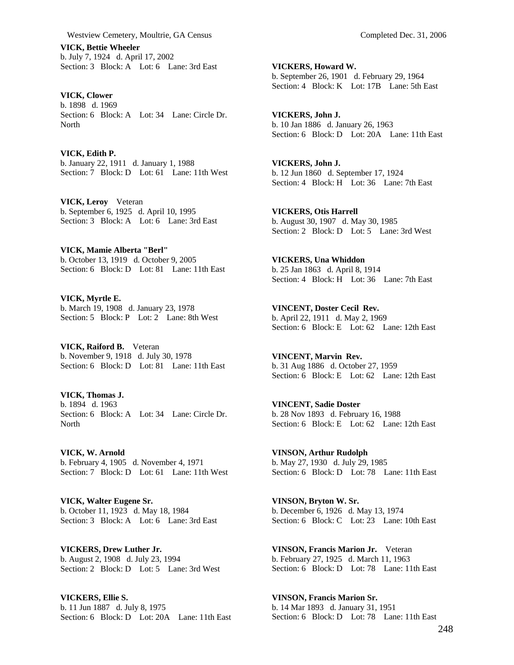**VICK, Bettie Wheeler**  b. July 7, 1924 d. April 17, 2002 Section: 3 Block: A Lot: 6 Lane: 3rd East

**VICK, Clower**  b. 1898 d. 1969 Section: 6 Block: A Lot: 34 Lane: Circle Dr. North

**VICK, Edith P.**  b. January 22, 1911 d. January 1, 1988 Section: 7 Block: D Lot: 61 Lane: 11th West

**VICK, Leroy** Veteran b. September 6, 1925 d. April 10, 1995 Section: 3 Block: A Lot: 6 Lane: 3rd East

**VICK, Mamie Alberta "Berl"**  b. October 13, 1919 d. October 9, 2005 Section: 6 Block: D Lot: 81 Lane: 11th East

**VICK, Myrtle E.**  b. March 19, 1908 d. January 23, 1978 Section: 5 Block: P Lot: 2 Lane: 8th West

**VICK, Raiford B.** Veteran b. November 9, 1918 d. July 30, 1978 Section: 6 Block: D Lot: 81 Lane: 11th East

**VICK, Thomas J.**  b. 1894 d. 1963 Section: 6 Block: A Lot: 34 Lane: Circle Dr. North

**VICK, W. Arnold**  b. February 4, 1905 d. November 4, 1971 Section: 7 Block: D Lot: 61 Lane: 11th West

**VICK, Walter Eugene Sr.**  b. October 11, 1923 d. May 18, 1984 Section: 3 Block: A Lot: 6 Lane: 3rd East

**VICKERS, Drew Luther Jr.**  b. August 2, 1908 d. July 23, 1994 Section: 2 Block: D Lot: 5 Lane: 3rd West

**VICKERS, Ellie S.**  b. 11 Jun 1887 d. July 8, 1975 Section: 6 Block: D Lot: 20A Lane: 11th East

**VICKERS, Howard W.**  b. September 26, 1901 d. February 29, 1964 Section: 4 Block: K Lot: 17B Lane: 5th East

**VICKERS, John J.**  b. 10 Jan 1886 d. January 26, 1963 Section: 6 Block: D Lot: 20A Lane: 11th East

**VICKERS, John J.**  b. 12 Jun 1860 d. September 17, 1924 Section: 4 Block: H Lot: 36 Lane: 7th East

**VICKERS, Otis Harrell**  b. August 30, 1907 d. May 30, 1985 Section: 2 Block: D Lot: 5 Lane: 3rd West

**VICKERS, Una Whiddon**  b. 25 Jan 1863 d. April 8, 1914 Section: 4 Block: H Lot: 36 Lane: 7th East

**VINCENT, Doster Cecil Rev.**  b. April 22, 1911 d. May 2, 1969 Section: 6 Block: E Lot: 62 Lane: 12th East

**VINCENT, Marvin Rev.**  b. 31 Aug 1886 d. October 27, 1959 Section: 6 Block: E Lot: 62 Lane: 12th East

**VINCENT, Sadie Doster**  b. 28 Nov 1893 d. February 16, 1988 Section: 6 Block: E Lot: 62 Lane: 12th East

**VINSON, Arthur Rudolph**  b. May 27, 1930 d. July 29, 1985 Section: 6 Block: D Lot: 78 Lane: 11th East

**VINSON, Bryton W. Sr.**  b. December 6, 1926 d. May 13, 1974 Section: 6 Block: C Lot: 23 Lane: 10th East

**VINSON, Francis Marion Jr.** Veteran b. February 27, 1925 d. March 11, 1963 Section: 6 Block: D Lot: 78 Lane: 11th East

**VINSON, Francis Marion Sr.**  b. 14 Mar 1893 d. January 31, 1951 Section: 6 Block: D Lot: 78 Lane: 11th East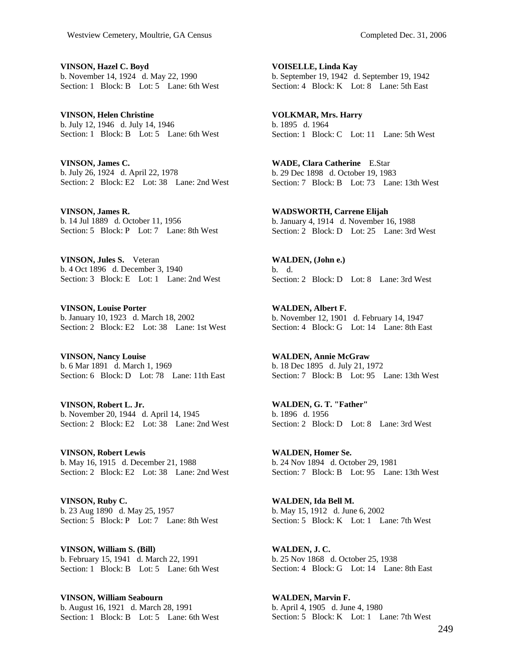**VINSON, Hazel C. Boyd**  b. November 14, 1924 d. May 22, 1990 Section: 1 Block: B Lot: 5 Lane: 6th West

**VINSON, Helen Christine**  b. July 12, 1946 d. July 14, 1946 Section: 1 Block: B Lot: 5 Lane: 6th West

**VINSON, James C.**  b. July 26, 1924 d. April 22, 1978 Section: 2 Block: E2 Lot: 38 Lane: 2nd West

**VINSON, James R.**  b. 14 Jul 1889 d. October 11, 1956 Section: 5 Block: P Lot: 7 Lane: 8th West

**VINSON, Jules S.** Veteran b. 4 Oct 1896 d. December 3, 1940 Section: 3 Block: E Lot: 1 Lane: 2nd West

**VINSON, Louise Porter**  b. January 10, 1923 d. March 18, 2002 Section: 2 Block: E2 Lot: 38 Lane: 1st West

**VINSON, Nancy Louise**  b. 6 Mar 1891 d. March 1, 1969 Section: 6 Block: D Lot: 78 Lane: 11th East

**VINSON, Robert L. Jr.**  b. November 20, 1944 d. April 14, 1945 Section: 2 Block: E2 Lot: 38 Lane: 2nd West

**VINSON, Robert Lewis**  b. May 16, 1915 d. December 21, 1988 Section: 2 Block: E2 Lot: 38 Lane: 2nd West

**VINSON, Ruby C.**  b. 23 Aug 1890 d. May 25, 1957 Section: 5 Block: P Lot: 7 Lane: 8th West

**VINSON, William S. (Bill)**  b. February 15, 1941 d. March 22, 1991 Section: 1 Block: B Lot: 5 Lane: 6th West

**VINSON, William Seabourn**  b. August 16, 1921 d. March 28, 1991 Section: 1 Block: B Lot: 5 Lane: 6th West

**VOISELLE, Linda Kay**  b. September 19, 1942 d. September 19, 1942 Section: 4 Block: K Lot: 8 Lane: 5th East

**VOLKMAR, Mrs. Harry**  b. 1895 d. 1964 Section: 1 Block: C Lot: 11 Lane: 5th West

**WADE, Clara Catherine** E.Star b. 29 Dec 1898 d. October 19, 1983 Section: 7 Block: B Lot: 73 Lane: 13th West

**WADSWORTH, Carrene Elijah**  b. January 4, 1914 d. November 16, 1988 Section: 2 Block: D Lot: 25 Lane: 3rd West

**WALDEN, (John e.)**  b. d. Section: 2 Block: D Lot: 8 Lane: 3rd West

**WALDEN, Albert F.**  b. November 12, 1901 d. February 14, 1947 Section: 4 Block: G Lot: 14 Lane: 8th East

**WALDEN, Annie McGraw**  b. 18 Dec 1895 d. July 21, 1972 Section: 7 Block: B Lot: 95 Lane: 13th West

**WALDEN, G. T. "Father"**  b. 1896 d. 1956 Section: 2 Block: D Lot: 8 Lane: 3rd West

**WALDEN, Homer Se.**  b. 24 Nov 1894 d. October 29, 1981 Section: 7 Block: B Lot: 95 Lane: 13th West

**WALDEN, Ida Bell M.**  b. May 15, 1912 d. June 6, 2002 Section: 5 Block: K Lot: 1 Lane: 7th West

**WALDEN, J. C.**  b. 25 Nov 1868 d. October 25, 1938 Section: 4 Block: G Lot: 14 Lane: 8th East

**WALDEN, Marvin F.**  b. April 4, 1905 d. June 4, 1980 Section: 5 Block: K Lot: 1 Lane: 7th West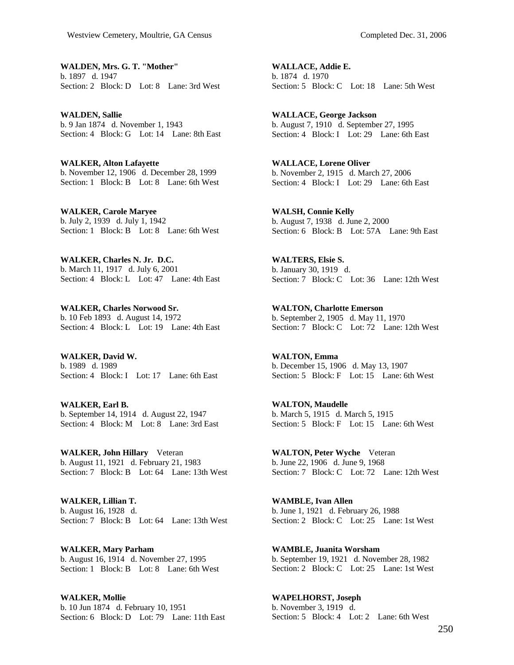**WALDEN, Mrs. G. T. "Mother"**  b. 1897 d. 1947 Section: 2 Block: D Lot: 8 Lane: 3rd West

**WALDEN, Sallie**  b. 9 Jan 1874 d. November 1, 1943 Section: 4 Block: G Lot: 14 Lane: 8th East

**WALKER, Alton Lafayette**  b. November 12, 1906 d. December 28, 1999 Section: 1 Block: B Lot: 8 Lane: 6th West

**WALKER, Carole Maryee**  b. July 2, 1939 d. July 1, 1942 Section: 1 Block: B Lot: 8 Lane: 6th West

**WALKER, Charles N. Jr. D.C.**  b. March 11, 1917 d. July 6, 2001 Section: 4 Block: L Lot: 47 Lane: 4th East

**WALKER, Charles Norwood Sr.**  b. 10 Feb 1893 d. August 14, 1972 Section: 4 Block: L Lot: 19 Lane: 4th East

**WALKER, David W.**  b. 1989 d. 1989 Section: 4 Block: I Lot: 17 Lane: 6th East

**WALKER, Earl B.**  b. September 14, 1914 d. August 22, 1947 Section: 4 Block: M Lot: 8 Lane: 3rd East

**WALKER, John Hillary** Veteran b. August 11, 1921 d. February 21, 1983 Section: 7 Block: B Lot: 64 Lane: 13th West

**WALKER, Lillian T.**  b. August 16, 1928 d. Section: 7 Block: B Lot: 64 Lane: 13th West

**WALKER, Mary Parham**  b. August 16, 1914 d. November 27, 1995 Section: 1 Block: B Lot: 8 Lane: 6th West

**WALKER, Mollie**  b. 10 Jun 1874 d. February 10, 1951 Section: 6 Block: D Lot: 79 Lane: 11th East

**WALLACE, Addie E.**  b. 1874 d. 1970 Section: 5 Block: C Lot: 18 Lane: 5th West

**WALLACE, George Jackson**  b. August 7, 1910 d. September 27, 1995 Section: 4 Block: I Lot: 29 Lane: 6th East

**WALLACE, Lorene Oliver**  b. November 2, 1915 d. March 27, 2006 Section: 4 Block: I Lot: 29 Lane: 6th East

**WALSH, Connie Kelly**  b. August 7, 1938 d. June 2, 2000 Section: 6 Block: B Lot: 57A Lane: 9th East

**WALTERS, Elsie S.**  b. January 30, 1919 d. Section: 7 Block: C Lot: 36 Lane: 12th West

**WALTON, Charlotte Emerson**  b. September 2, 1905 d. May 11, 1970 Section: 7 Block: C Lot: 72 Lane: 12th West

**WALTON, Emma**  b. December 15, 1906 d. May 13, 1907 Section: 5 Block: F Lot: 15 Lane: 6th West

**WALTON, Maudelle**  b. March 5, 1915 d. March 5, 1915 Section: 5 Block: F Lot: 15 Lane: 6th West

**WALTON, Peter Wyche** Veteran b. June 22, 1906 d. June 9, 1968 Section: 7 Block: C Lot: 72 Lane: 12th West

**WAMBLE, Ivan Allen**  b. June 1, 1921 d. February 26, 1988 Section: 2 Block: C Lot: 25 Lane: 1st West

**WAMBLE, Juanita Worsham**  b. September 19, 1921 d. November 28, 1982 Section: 2 Block: C Lot: 25 Lane: 1st West

**WAPELHORST, Joseph**  b. November 3, 1919 d. Section: 5 Block: 4 Lot: 2 Lane: 6th West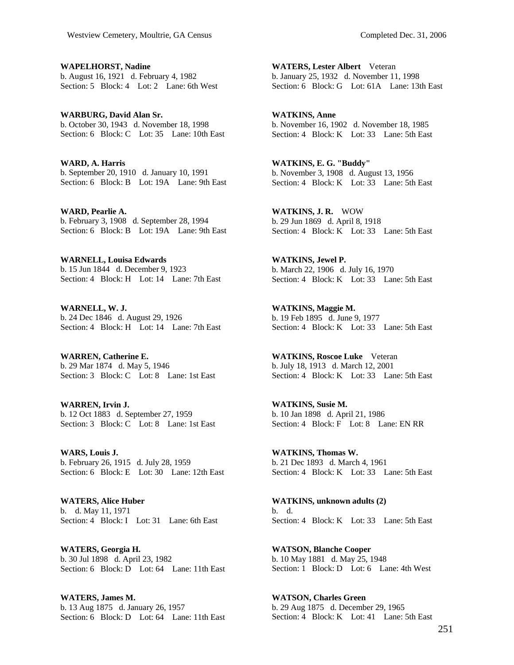**WAPELHORST, Nadine**  b. August 16, 1921 d. February 4, 1982 Section: 5 Block: 4 Lot: 2 Lane: 6th West

**WARBURG, David Alan Sr.**  b. October 30, 1943 d. November 18, 1998 Section: 6 Block: C Lot: 35 Lane: 10th East

**WARD, A. Harris**  b. September 20, 1910 d. January 10, 1991 Section: 6 Block: B Lot: 19A Lane: 9th East

**WARD, Pearlie A.**  b. February 3, 1908 d. September 28, 1994 Section: 6 Block: B Lot: 19A Lane: 9th East

**WARNELL, Louisa Edwards**  b. 15 Jun 1844 d. December 9, 1923 Section: 4 Block: H Lot: 14 Lane: 7th East

**WARNELL, W. J.**  b. 24 Dec 1846 d. August 29, 1926 Section: 4 Block: H Lot: 14 Lane: 7th East

**WARREN, Catherine E.**  b. 29 Mar 1874 d. May 5, 1946 Section: 3 Block: C Lot: 8 Lane: 1st East

**WARREN, Irvin J.**  b. 12 Oct 1883 d. September 27, 1959 Section: 3 Block: C Lot: 8 Lane: 1st East

**WARS, Louis J.**  b. February 26, 1915 d. July 28, 1959 Section: 6 Block: E Lot: 30 Lane: 12th East

**WATERS, Alice Huber**  b. d. May 11, 1971 Section: 4 Block: I Lot: 31 Lane: 6th East

**WATERS, Georgia H.**  b. 30 Jul 1898 d. April 23, 1982 Section: 6 Block: D Lot: 64 Lane: 11th East

**WATERS, James M.**  b. 13 Aug 1875 d. January 26, 1957 Section: 6 Block: D Lot: 64 Lane: 11th East

**WATERS, Lester Albert** Veteran b. January 25, 1932 d. November 11, 1998 Section: 6 Block: G Lot: 61A Lane: 13th East

**WATKINS, Anne**  b. November 16, 1902 d. November 18, 1985 Section: 4 Block: K Lot: 33 Lane: 5th East

**WATKINS, E. G. "Buddy"**  b. November 3, 1908 d. August 13, 1956 Section: 4 Block: K Lot: 33 Lane: 5th East

**WATKINS, J. R.** WOW b. 29 Jun 1869 d. April 8, 1918 Section: 4 Block: K Lot: 33 Lane: 5th East

**WATKINS, Jewel P.**  b. March 22, 1906 d. July 16, 1970 Section: 4 Block: K Lot: 33 Lane: 5th East

**WATKINS, Maggie M.**  b. 19 Feb 1895 d. June 9, 1977 Section: 4 Block: K Lot: 33 Lane: 5th East

**WATKINS, Roscoe Luke** Veteran b. July 18, 1913 d. March 12, 2001 Section: 4 Block: K Lot: 33 Lane: 5th East

**WATKINS, Susie M.**  b. 10 Jan 1898 d. April 21, 1986 Section: 4 Block: F Lot: 8 Lane: EN RR

**WATKINS, Thomas W.**  b. 21 Dec 1893 d. March 4, 1961 Section: 4 Block: K Lot: 33 Lane: 5th East

**WATKINS, unknown adults (2)**  b. d. Section: 4 Block: K Lot: 33 Lane: 5th East

**WATSON, Blanche Cooper**  b. 10 May 1881 d. May 25, 1948 Section: 1 Block: D Lot: 6 Lane: 4th West

**WATSON, Charles Green**  b. 29 Aug 1875 d. December 29, 1965 Section: 4 Block: K Lot: 41 Lane: 5th East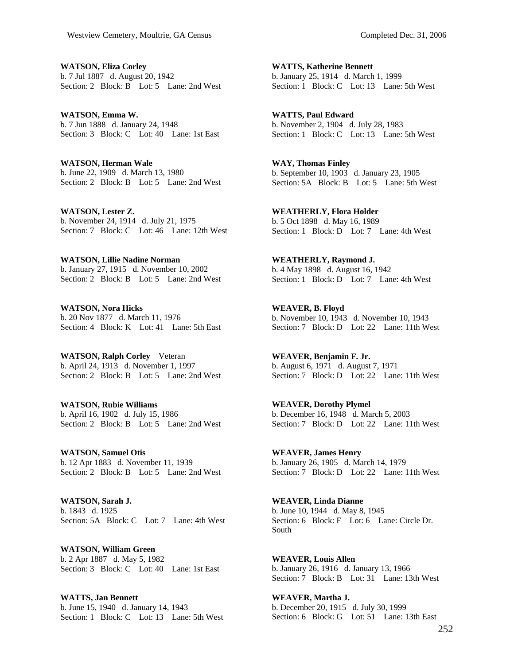**WATSON, Eliza Corley**  b. 7 Jul 1887 d. August 20, 1942 Section: 2 Block: B Lot: 5 Lane: 2nd West

**WATSON, Emma W.**  b. 7 Jun 1888 d. January 24, 1948 Section: 3 Block: C Lot: 40 Lane: 1st East

**WATSON, Herman Wale**  b. June 22, 1909 d. March 13, 1980 Section: 2 Block: B Lot: 5 Lane: 2nd West

**WATSON, Lester Z.**  b. November 24, 1914 d. July 21, 1975 Section: 7 Block: C Lot: 46 Lane: 12th West

**WATSON, Lillie Nadine Norman**  b. January 27, 1915 d. November 10, 2002 Section: 2 Block: B Lot: 5 Lane: 2nd West

**WATSON, Nora Hicks**  b. 20 Nov 1877 d. March 11, 1976 Section: 4 Block: K Lot: 41 Lane: 5th East

**WATSON, Ralph Corley** Veteran b. April 24, 1913 d. November 1, 1997 Section: 2 Block: B Lot: 5 Lane: 2nd West

**WATSON, Rubie Williams**  b. April 16, 1902 d. July 15, 1986 Section: 2 Block: B Lot: 5 Lane: 2nd West

**WATSON, Samuel Otis**  b. 12 Apr 1883 d. November 11, 1939 Section: 2 Block: B Lot: 5 Lane: 2nd West

**WATSON, Sarah J.**  b. 1843 d. 1925 Section: 5A Block: C Lot: 7 Lane: 4th West

**WATSON, William Green**  b. 2 Apr 1887 d. May 5, 1982 Section: 3 Block: C Lot: 40 Lane: 1st East

**WATTS, Jan Bennett**  b. June 15, 1940 d. January 14, 1943 Section: 1 Block: C Lot: 13 Lane: 5th West

**WATTS, Katherine Bennett**  b. January 25, 1914 d. March 1, 1999 Section: 1 Block: C Lot: 13 Lane: 5th West

**WATTS, Paul Edward**  b. November 2, 1904 d. July 28, 1983 Section: 1 Block: C Lot: 13 Lane: 5th West

**WAY, Thomas Finley**  b. September 10, 1903 d. January 23, 1905 Section: 5A Block: B Lot: 5 Lane: 5th West

**WEATHERLY, Flora Holder**  b. 5 Oct 1898 d. May 16, 1989 Section: 1 Block: D Lot: 7 Lane: 4th West

**WEATHERLY, Raymond J.**  b. 4 May 1898 d. August 16, 1942 Section: 1 Block: D Lot: 7 Lane: 4th West

**WEAVER, B. Floyd**  b. November 10, 1943 d. November 10, 1943 Section: 7 Block: D Lot: 22 Lane: 11th West

**WEAVER, Benjamin F. Jr.**  b. August 6, 1971 d. August 7, 1971 Section: 7 Block: D Lot: 22 Lane: 11th West

**WEAVER, Dorothy Plymel**  b. December 16, 1948 d. March 5, 2003 Section: 7 Block: D Lot: 22 Lane: 11th West

**WEAVER, James Henry**  b. January 26, 1905 d. March 14, 1979 Section: 7 Block: D Lot: 22 Lane: 11th West

**WEAVER, Linda Dianne**  b. June 10, 1944 d. May 8, 1945 Section: 6 Block: F Lot: 6 Lane: Circle Dr. South

**WEAVER, Louis Allen**  b. January 26, 1916 d. January 13, 1966 Section: 7 Block: B Lot: 31 Lane: 13th West

**WEAVER, Martha J.**  b. December 20, 1915 d. July 30, 1999 Section: 6 Block: G Lot: 51 Lane: 13th East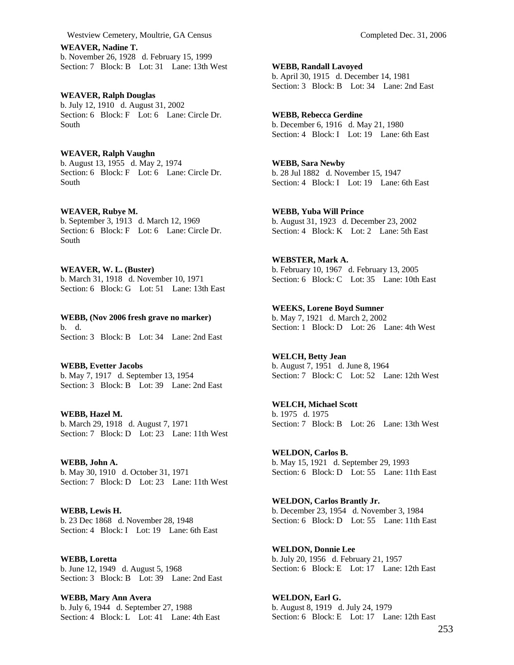Westview Cemetery, Moultrie, GA Census Completed Dec. 31, 2006

**WEAVER, Nadine T.**  b. November 26, 1928 d. February 15, 1999 Section: 7 Block: B Lot: 31 Lane: 13th West

**WEAVER, Ralph Douglas**  b. July 12, 1910 d. August 31, 2002 Section: 6 Block: F Lot: 6 Lane: Circle Dr. South

**WEAVER, Ralph Vaughn**  b. August 13, 1955 d. May 2, 1974 Section: 6 Block: F Lot: 6 Lane: Circle Dr. South

**WEAVER, Rubye M.**  b. September 3, 1913 d. March 12, 1969 Section: 6 Block: F Lot: 6 Lane: Circle Dr. South

**WEAVER, W. L. (Buster)**  b. March 31, 1918 d. November 10, 1971 Section: 6 Block: G Lot: 51 Lane: 13th East

**WEBB, (Nov 2006 fresh grave no marker)**  b. d. Section: 3 Block: B Lot: 34 Lane: 2nd East

**WEBB, Evetter Jacobs**  b. May 7, 1917 d. September 13, 1954 Section: 3 Block: B Lot: 39 Lane: 2nd East

**WEBB, Hazel M.**  b. March 29, 1918 d. August 7, 1971 Section: 7 Block: D Lot: 23 Lane: 11th West

**WEBB, John A.**  b. May 30, 1910 d. October 31, 1971 Section: 7 Block: D Lot: 23 Lane: 11th West

**WEBB, Lewis H.**  b. 23 Dec 1868 d. November 28, 1948 Section: 4 Block: I Lot: 19 Lane: 6th East

**WEBB, Loretta**  b. June 12, 1949 d. August 5, 1968 Section: 3 Block: B Lot: 39 Lane: 2nd East

**WEBB, Mary Ann Avera**  b. July 6, 1944 d. September 27, 1988 Section: 4 Block: L Lot: 41 Lane: 4th East

**WEBB, Randall Lavoyed**  b. April 30, 1915 d. December 14, 1981 Section: 3 Block: B Lot: 34 Lane: 2nd East

**WEBB, Rebecca Gerdine**  b. December 6, 1916 d. May 21, 1980 Section: 4 Block: I Lot: 19 Lane: 6th East

**WEBB, Sara Newby**  b. 28 Jul 1882 d. November 15, 1947 Section: 4 Block: I Lot: 19 Lane: 6th East

**WEBB, Yuba Will Prince**  b. August 31, 1923 d. December 23, 2002 Section: 4 Block: K Lot: 2 Lane: 5th East

**WEBSTER, Mark A.**  b. February 10, 1967 d. February 13, 2005 Section: 6 Block: C Lot: 35 Lane: 10th East

**WEEKS, Lorene Boyd Sumner**  b. May 7, 1921 d. March 2, 2002 Section: 1 Block: D Lot: 26 Lane: 4th West

**WELCH, Betty Jean**  b. August 7, 1951 d. June 8, 1964 Section: 7 Block: C Lot: 52 Lane: 12th West

**WELCH, Michael Scott**  b. 1975 d. 1975 Section: 7 Block: B Lot: 26 Lane: 13th West

**WELDON, Carlos B.**  b. May 15, 1921 d. September 29, 1993 Section: 6 Block: D Lot: 55 Lane: 11th East

**WELDON, Carlos Brantly Jr.**  b. December 23, 1954 d. November 3, 1984 Section: 6 Block: D Lot: 55 Lane: 11th East

**WELDON, Donnie Lee**  b. July 20, 1956 d. February 21, 1957 Section: 6 Block: E Lot: 17 Lane: 12th East

**WELDON, Earl G.**  b. August 8, 1919 d. July 24, 1979 Section: 6 Block: E Lot: 17 Lane: 12th East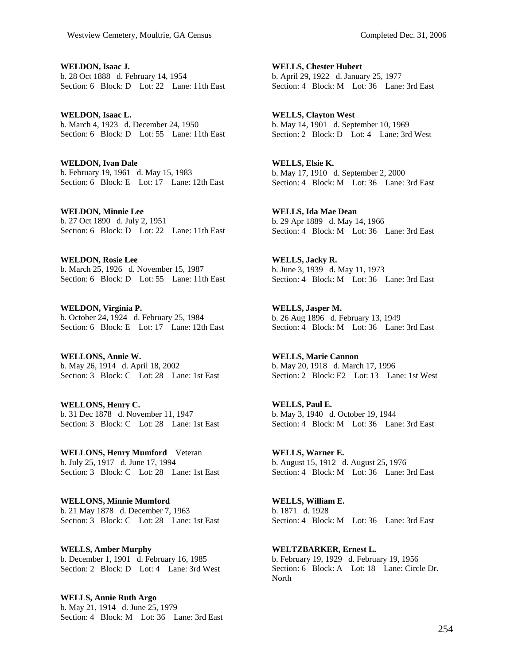**WELDON, Isaac J.**  b. 28 Oct 1888 d. February 14, 1954 Section: 6 Block: D Lot: 22 Lane: 11th East

**WELDON, Isaac L.**  b. March 4, 1923 d. December 24, 1950 Section: 6 Block: D Lot: 55 Lane: 11th East

**WELDON, Ivan Dale**  b. February 19, 1961 d. May 15, 1983 Section: 6 Block: E Lot: 17 Lane: 12th East

**WELDON, Minnie Lee**  b. 27 Oct 1890 d. July 2, 1951 Section: 6 Block: D Lot: 22 Lane: 11th East

**WELDON, Rosie Lee**  b. March 25, 1926 d. November 15, 1987 Section: 6 Block: D Lot: 55 Lane: 11th East

**WELDON, Virginia P.**  b. October 24, 1924 d. February 25, 1984 Section: 6 Block: E Lot: 17 Lane: 12th East

**WELLONS, Annie W.**  b. May 26, 1914 d. April 18, 2002 Section: 3 Block: C Lot: 28 Lane: 1st East

**WELLONS, Henry C.**  b. 31 Dec 1878 d. November 11, 1947 Section: 3 Block: C Lot: 28 Lane: 1st East

**WELLONS, Henry Mumford** Veteran b. July 25, 1917 d. June 17, 1994 Section: 3 Block: C Lot: 28 Lane: 1st East

**WELLONS, Minnie Mumford**  b. 21 May 1878 d. December 7, 1963 Section: 3 Block: C Lot: 28 Lane: 1st East

**WELLS, Amber Murphy**  b. December 1, 1901 d. February 16, 1985 Section: 2 Block: D Lot: 4 Lane: 3rd West

**WELLS, Annie Ruth Argo**  b. May 21, 1914 d. June 25, 1979 Section: 4 Block: M Lot: 36 Lane: 3rd East

**WELLS, Chester Hubert**  b. April 29, 1922 d. January 25, 1977 Section: 4 Block: M Lot: 36 Lane: 3rd East

**WELLS, Clayton West**  b. May 14, 1901 d. September 10, 1969 Section: 2 Block: D Lot: 4 Lane: 3rd West

**WELLS, Elsie K.**  b. May 17, 1910 d. September 2, 2000 Section: 4 Block: M Lot: 36 Lane: 3rd East

**WELLS, Ida Mae Dean**  b. 29 Apr 1889 d. May 14, 1966 Section: 4 Block: M Lot: 36 Lane: 3rd East

**WELLS, Jacky R.**  b. June 3, 1939 d. May 11, 1973 Section: 4 Block: M Lot: 36 Lane: 3rd East

**WELLS, Jasper M.**  b. 26 Aug 1896 d. February 13, 1949 Section: 4 Block: M Lot: 36 Lane: 3rd East

**WELLS, Marie Cannon**  b. May 20, 1918 d. March 17, 1996 Section: 2 Block: E2 Lot: 13 Lane: 1st West

**WELLS, Paul E.**  b. May 3, 1940 d. October 19, 1944 Section: 4 Block: M Lot: 36 Lane: 3rd East

**WELLS, Warner E.**  b. August 15, 1912 d. August 25, 1976 Section: 4 Block: M Lot: 36 Lane: 3rd East

**WELLS, William E.**  b. 1871 d. 1928 Section: 4 Block: M Lot: 36 Lane: 3rd East

**WELTZBARKER, Ernest L.**  b. February 19, 1929 d. February 19, 1956 Section: 6 Block: A Lot: 18 Lane: Circle Dr. North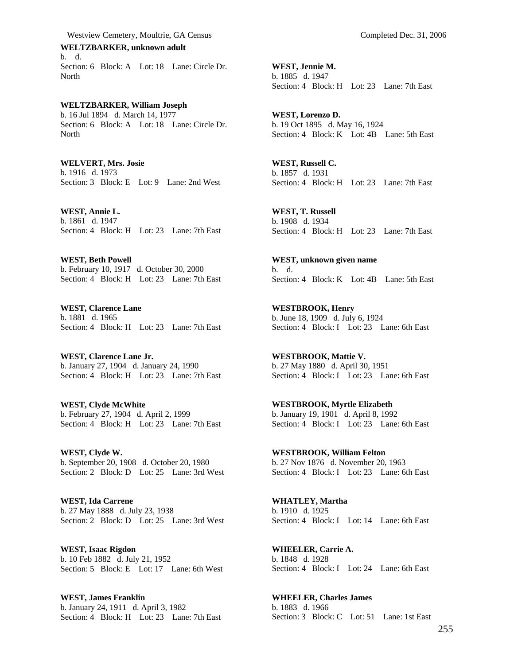Westview Cemetery, Moultrie, GA Census Completed Dec. 31, 2006

**WELTZBARKER, unknown adult**  b. d. Section: 6 Block: A Lot: 18 Lane: Circle Dr. North

**WELTZBARKER, William Joseph**  b. 16 Jul 1894 d. March 14, 1977 Section: 6 Block: A Lot: 18 Lane: Circle Dr. North

**WELVERT, Mrs. Josie**  b. 1916 d. 1973 Section: 3 Block: E Lot: 9 Lane: 2nd West

**WEST, Annie L.**  b. 1861 d. 1947 Section: 4 Block: H Lot: 23 Lane: 7th East

**WEST, Beth Powell**  b. February 10, 1917 d. October 30, 2000 Section: 4 Block: H Lot: 23 Lane: 7th East

**WEST, Clarence Lane**  b. 1881 d. 1965 Section: 4 Block: H Lot: 23 Lane: 7th East

**WEST, Clarence Lane Jr.**  b. January 27, 1904 d. January 24, 1990 Section: 4 Block: H Lot: 23 Lane: 7th East

**WEST, Clyde McWhite**  b. February 27, 1904 d. April 2, 1999 Section: 4 Block: H Lot: 23 Lane: 7th East

**WEST, Clyde W.**  b. September 20, 1908 d. October 20, 1980 Section: 2 Block: D Lot: 25 Lane: 3rd West

**WEST, Ida Carrene**  b. 27 May 1888 d. July 23, 1938 Section: 2 Block: D Lot: 25 Lane: 3rd West

**WEST, Isaac Rigdon**  b. 10 Feb 1882 d. July 21, 1952 Section: 5 Block: E Lot: 17 Lane: 6th West

**WEST, James Franklin**  b. January 24, 1911 d. April 3, 1982 Section: 4 Block: H Lot: 23 Lane: 7th East

**WEST, Jennie M.**  b. 1885 d. 1947 Section: 4 Block: H Lot: 23 Lane: 7th East

**WEST, Lorenzo D.**  b. 19 Oct 1895 d. May 16, 1924 Section: 4 Block: K Lot: 4B Lane: 5th East

**WEST, Russell C.**  b. 1857 d. 1931 Section: 4 Block: H Lot: 23 Lane: 7th East

**WEST, T. Russell**  b. 1908 d. 1934 Section: 4 Block: H Lot: 23 Lane: 7th East

**WEST, unknown given name**  b. d. Section: 4 Block: K Lot: 4B Lane: 5th East

**WESTBROOK, Henry**  b. June 18, 1909 d. July 6, 1924 Section: 4 Block: I Lot: 23 Lane: 6th East

**WESTBROOK, Mattie V.**  b. 27 May 1880 d. April 30, 1951 Section: 4 Block: I Lot: 23 Lane: 6th East

**WESTBROOK, Myrtle Elizabeth**  b. January 19, 1901 d. April 8, 1992 Section: 4 Block: I Lot: 23 Lane: 6th East

**WESTBROOK, William Felton**  b. 27 Nov 1876 d. November 20, 1963 Section: 4 Block: I Lot: 23 Lane: 6th East

**WHATLEY, Martha**  b. 1910 d. 1925 Section: 4 Block: I Lot: 14 Lane: 6th East

**WHEELER, Carrie A.**  b. 1848 d. 1928 Section: 4 Block: I Lot: 24 Lane: 6th East

**WHEELER, Charles James**  b. 1883 d. 1966 Section: 3 Block: C Lot: 51 Lane: 1st East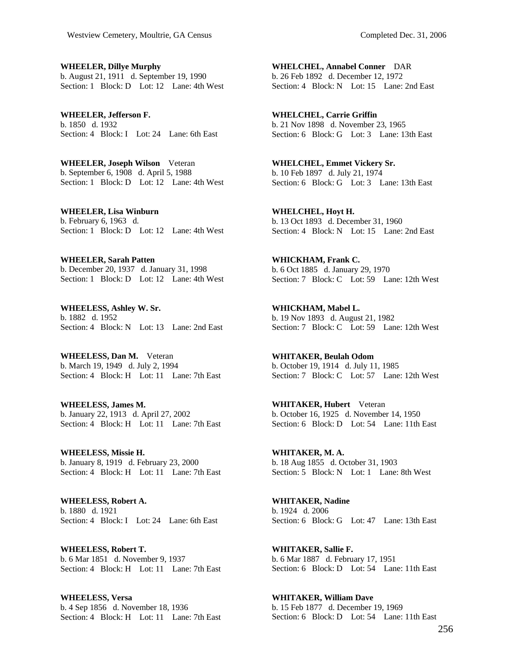**WHEELER, Dillye Murphy**  b. August 21, 1911 d. September 19, 1990 Section: 1 Block: D Lot: 12 Lane: 4th West

**WHEELER, Jefferson F.**  b. 1850 d. 1932 Section: 4 Block: I Lot: 24 Lane: 6th East

**WHEELER, Joseph Wilson** Veteran b. September 6, 1908 d. April 5, 1988 Section: 1 Block: D Lot: 12 Lane: 4th West

**WHEELER, Lisa Winburn**  b. February 6, 1963 d. Section: 1 Block: D Lot: 12 Lane: 4th West

**WHEELER, Sarah Patten**  b. December 20, 1937 d. January 31, 1998 Section: 1 Block: D Lot: 12 Lane: 4th West

**WHEELESS, Ashley W. Sr.**  b. 1882 d. 1952 Section: 4 Block: N Lot: 13 Lane: 2nd East

**WHEELESS, Dan M.** Veteran b. March 19, 1949 d. July 2, 1994 Section: 4 Block: H Lot: 11 Lane: 7th East

**WHEELESS, James M.**  b. January 22, 1913 d. April 27, 2002 Section: 4 Block: H Lot: 11 Lane: 7th East

**WHEELESS, Missie H.**  b. January 8, 1919 d. February 23, 2000 Section: 4 Block: H Lot: 11 Lane: 7th East

**WHEELESS, Robert A.**  b. 1880 d. 1921 Section: 4 Block: I Lot: 24 Lane: 6th East

**WHEELESS, Robert T.**  b. 6 Mar 1851 d. November 9, 1937 Section: 4 Block: H Lot: 11 Lane: 7th East

**WHEELESS, Versa**  b. 4 Sep 1856 d. November 18, 1936 Section: 4 Block: H Lot: 11 Lane: 7th East

**WHELCHEL, Annabel Conner** DAR b. 26 Feb 1892 d. December 12, 1972 Section: 4 Block: N Lot: 15 Lane: 2nd East

**WHELCHEL, Carrie Griffin**  b. 21 Nov 1898 d. November 23, 1965 Section: 6 Block: G Lot: 3 Lane: 13th East

**WHELCHEL, Emmet Vickery Sr.**  b. 10 Feb 1897 d. July 21, 1974 Section: 6 Block: G Lot: 3 Lane: 13th East

**WHELCHEL, Hoyt H.**  b. 13 Oct 1893 d. December 31, 1960 Section: 4 Block: N Lot: 15 Lane: 2nd East

**WHICKHAM, Frank C.**  b. 6 Oct 1885 d. January 29, 1970 Section: 7 Block: C Lot: 59 Lane: 12th West

**WHICKHAM, Mabel L.**  b. 19 Nov 1893 d. August 21, 1982 Section: 7 Block: C Lot: 59 Lane: 12th West

**WHITAKER, Beulah Odom**  b. October 19, 1914 d. July 11, 1985 Section: 7 Block: C Lot: 57 Lane: 12th West

**WHITAKER, Hubert** Veteran b. October 16, 1925 d. November 14, 1950 Section: 6 Block: D Lot: 54 Lane: 11th East

**WHITAKER, M. A.**  b. 18 Aug 1855 d. October 31, 1903 Section: 5 Block: N Lot: 1 Lane: 8th West

**WHITAKER, Nadine**  b. 1924 d. 2006 Section: 6 Block: G Lot: 47 Lane: 13th East

**WHITAKER, Sallie F.**  b. 6 Mar 1887 d. February 17, 1951 Section: 6 Block: D Lot: 54 Lane: 11th East

**WHITAKER, William Dave**  b. 15 Feb 1877 d. December 19, 1969 Section: 6 Block: D Lot: 54 Lane: 11th East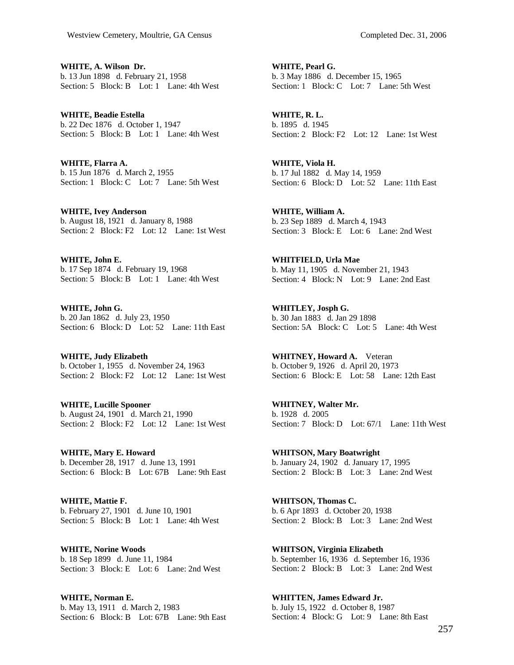**WHITE, A. Wilson Dr.**  b. 13 Jun 1898 d. February 21, 1958 Section: 5 Block: B Lot: 1 Lane: 4th West

**WHITE, Beadie Estella**  b. 22 Dec 1876 d. October 1, 1947 Section: 5 Block: B Lot: 1 Lane: 4th West

**WHITE, Flarra A.**  b. 15 Jun 1876 d. March 2, 1955 Section: 1 Block: C Lot: 7 Lane: 5th West

**WHITE, Ivey Anderson**  b. August 18, 1921 d. January 8, 1988 Section: 2 Block: F2 Lot: 12 Lane: 1st West

**WHITE, John E.**  b. 17 Sep 1874 d. February 19, 1968 Section: 5 Block: B Lot: 1 Lane: 4th West

**WHITE, John G.**  b. 20 Jan 1862 d. July 23, 1950 Section: 6 Block: D Lot: 52 Lane: 11th East

**WHITE, Judy Elizabeth**  b. October 1, 1955 d. November 24, 1963 Section: 2 Block: F<sub>2</sub> Lot: 12 Lane: 1st West

**WHITE, Lucille Spooner**  b. August 24, 1901 d. March 21, 1990 Section: 2 Block: F2 Lot: 12 Lane: 1st West

**WHITE, Mary E. Howard**  b. December 28, 1917 d. June 13, 1991 Section: 6 Block: B Lot: 67B Lane: 9th East

**WHITE, Mattie F.**  b. February 27, 1901 d. June 10, 1901 Section: 5 Block: B Lot: 1 Lane: 4th West

**WHITE, Norine Woods**  b. 18 Sep 1899 d. June 11, 1984 Section: 3 Block: E Lot: 6 Lane: 2nd West

**WHITE, Norman E.**  b. May 13, 1911 d. March 2, 1983 Section: 6 Block: B Lot: 67B Lane: 9th East

**WHITE, Pearl G.**  b. 3 May 1886 d. December 15, 1965 Section: 1 Block: C Lot: 7 Lane: 5th West

**WHITE, R. L.**  b. 1895 d. 1945 Section: 2 Block: F2 Lot: 12 Lane: 1st West

**WHITE, Viola H.**  b. 17 Jul 1882 d. May 14, 1959 Section: 6 Block: D Lot: 52 Lane: 11th East

**WHITE, William A.**  b. 23 Sep 1889 d. March 4, 1943 Section: 3 Block: E Lot: 6 Lane: 2nd West

**WHITFIELD, Urla Mae**  b. May 11, 1905 d. November 21, 1943 Section: 4 Block: N Lot: 9 Lane: 2nd East

**WHITLEY, Josph G.**  b. 30 Jan 1883 d. Jan 29 1898 Section: 5A Block: C Lot: 5 Lane: 4th West

**WHITNEY, Howard A.** Veteran b. October 9, 1926 d. April 20, 1973 Section: 6 Block: E Lot: 58 Lane: 12th East

**WHITNEY, Walter Mr.**  b. 1928 d. 2005 Section: 7 Block: D Lot: 67/1 Lane: 11th West

**WHITSON, Mary Boatwright**  b. January 24, 1902 d. January 17, 1995 Section: 2 Block: B Lot: 3 Lane: 2nd West

**WHITSON, Thomas C.**  b. 6 Apr 1893 d. October 20, 1938 Section: 2 Block: B Lot: 3 Lane: 2nd West

**WHITSON, Virginia Elizabeth**  b. September 16, 1936 d. September 16, 1936 Section: 2 Block: B Lot: 3 Lane: 2nd West

**WHITTEN, James Edward Jr.**  b. July 15, 1922 d. October 8, 1987 Section: 4 Block: G Lot: 9 Lane: 8th East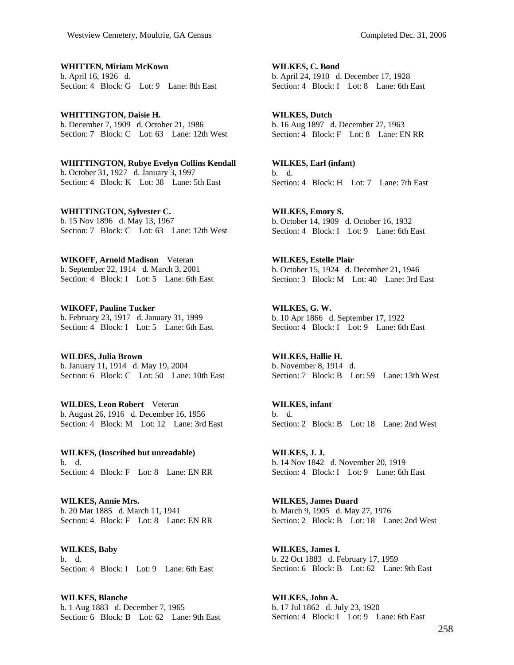**WHITTEN, Miriam McKown**  b. April 16, 1926 d. Section: 4 Block: G Lot: 9 Lane: 8th East

**WHITTINGTON, Daisie H.**  b. December 7, 1909 d. October 21, 1986 Section: 7 Block: C Lot: 63 Lane: 12th West

**WHITTINGTON, Rubye Evelyn Collins Kendall**  b. October 31, 1927 d. January 3, 1997 Section: 4 Block: K Lot: 38 Lane: 5th East

**WHITTINGTON, Sylvester C.**  b. 15 Nov 1896 d. May 13, 1967 Section: 7 Block: C Lot: 63 Lane: 12th West

**WIKOFF, Arnold Madison** Veteran b. September 22, 1914 d. March 3, 2001 Section: 4 Block: I Lot: 5 Lane: 6th East

**WIKOFF, Pauline Tucker**  b. February 23, 1917 d. January 31, 1999 Section: 4 Block: I Lot: 5 Lane: 6th East

**WILDES, Julia Brown**  b. January 11, 1914 d. May 19, 2004 Section: 6 Block: C Lot: 50 Lane: 10th East

**WILDES, Leon Robert** Veteran b. August 26, 1916 d. December 16, 1956 Section: 4 Block: M Lot: 12 Lane: 3rd East

**WILKES, (Inscribed but unreadable)**  b. d. Section: 4 Block: F Lot: 8 Lane: EN RR

**WILKES, Annie Mrs.**  b. 20 Mar 1885 d. March 11, 1941 Section: 4 Block: F Lot: 8 Lane: EN RR

**WILKES, Baby**  b. d. Section: 4 Block: I Lot: 9 Lane: 6th East

**WILKES, Blanche**  b. 1 Aug 1883 d. December 7, 1965 Section: 6 Block: B Lot: 62 Lane: 9th East

**WILKES, C. Bond**  b. April 24, 1910 d. December 17, 1928 Section: 4 Block: I Lot: 8 Lane: 6th East

**WILKES, Dutch**  b. 16 Aug 1897 d. December 27, 1963 Section: 4 Block: F Lot: 8 Lane: EN RR

**WILKES, Earl (infant)**  b. d. Section: 4 Block: H Lot: 7 Lane: 7th East

**WILKES, Emory S.**  b. October 14, 1909 d. October 16, 1932 Section: 4 Block: I Lot: 9 Lane: 6th East

**WILKES, Estelle Plair**  b. October 15, 1924 d. December 21, 1946 Section: 3 Block: M Lot: 40 Lane: 3rd East

**WILKES, G. W.**  b. 10 Apr 1866 d. September 17, 1922 Section: 4 Block: I Lot: 9 Lane: 6th East

**WILKES, Hallie H.**  b. November 8, 1914 d. Section: 7 Block: B Lot: 59 Lane: 13th West

**WILKES, infant**  b. d. Section: 2 Block: B Lot: 18 Lane: 2nd West

**WILKES, J. J.**  b. 14 Nov 1842 d. November 20, 1919 Section: 4 Block: I Lot: 9 Lane: 6th East

**WILKES, James Duard**  b. March 9, 1905 d. May 27, 1976 Section: 2 Block: B Lot: 18 Lane: 2nd West

**WILKES, James I.**  b. 22 Oct 1883 d. February 17, 1959 Section: 6 Block: B Lot: 62 Lane: 9th East

**WILKES, John A.**  b. 17 Jul 1862 d. July 23, 1920 Section: 4 Block: I Lot: 9 Lane: 6th East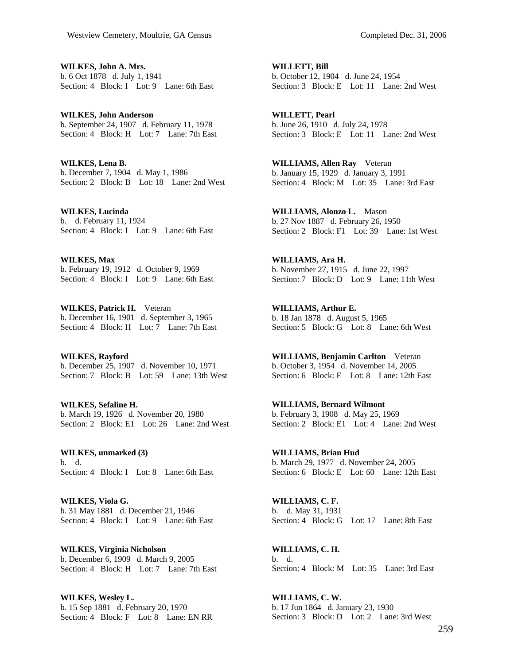**WILKES, John A. Mrs.**  b. 6 Oct 1878 d. July 1, 1941 Section: 4 Block: I Lot: 9 Lane: 6th East

**WILKES, John Anderson**  b. September 24, 1907 d. February 11, 1978 Section: 4 Block: H Lot: 7 Lane: 7th East

**WILKES, Lena B.**  b. December 7, 1904 d. May 1, 1986 Section: 2 Block: B Lot: 18 Lane: 2nd West

**WILKES, Lucinda**  b. d. February 11, 1924 Section: 4 Block: I Lot: 9 Lane: 6th East

**WILKES, Max**  b. February 19, 1912 d. October 9, 1969 Section: 4 Block: I Lot: 9 Lane: 6th East

**WILKES, Patrick H.** Veteran b. December 16, 1901 d. September 3, 1965 Section: 4 Block: H Lot: 7 Lane: 7th East

**WILKES, Rayford**  b. December 25, 1907 d. November 10, 1971 Section: 7 Block: B Lot: 59 Lane: 13th West

**WILKES, Sefaline H.**  b. March 19, 1926 d. November 20, 1980 Section: 2 Block: E1 Lot: 26 Lane: 2nd West

**WILKES, unmarked (3)**  b. d. Section: 4 Block: I Lot: 8 Lane: 6th East

**WILKES, Viola G.**  b. 31 May 1881 d. December 21, 1946 Section: 4 Block: I Lot: 9 Lane: 6th East

**WILKES, Virginia Nicholson**  b. December 6, 1909 d. March 9, 2005 Section: 4 Block: H Lot: 7 Lane: 7th East

**WILKES, Wesley L.**  b. 15 Sep 1881 d. February 20, 1970 Section: 4 Block: F Lot: 8 Lane: EN RR

**WILLETT, Bill**  b. October 12, 1904 d. June 24, 1954 Section: 3 Block: E Lot: 11 Lane: 2nd West

**WILLETT, Pearl**  b. June 26, 1910 d. July 24, 1978 Section: 3 Block: E Lot: 11 Lane: 2nd West

**WILLIAMS, Allen Ray** Veteran b. January 15, 1929 d. January 3, 1991 Section: 4 Block: M Lot: 35 Lane: 3rd East

**WILLIAMS, Alonzo L.** Mason b. 27 Nov 1887 d. February 26, 1950 Section: 2 Block: F1 Lot: 39 Lane: 1st West

**WILLIAMS, Ara H.**  b. November 27, 1915 d. June 22, 1997 Section: 7 Block: D Lot: 9 Lane: 11th West

**WILLIAMS, Arthur E.**  b. 18 Jan 1878 d. August 5, 1965 Section: 5 Block: G Lot: 8 Lane: 6th West

**WILLIAMS, Benjamin Carlton** Veteran b. October 3, 1954 d. November 14, 2005 Section: 6 Block: E Lot: 8 Lane: 12th East

**WILLIAMS, Bernard Wilmont**  b. February 3, 1908 d. May 25, 1969 Section: 2 Block: E1 Lot: 4 Lane: 2nd West

**WILLIAMS, Brian Hud**  b. March 29, 1977 d. November 24, 2005 Section: 6 Block: E Lot: 60 Lane: 12th East

**WILLIAMS, C. F.**  b. d. May 31, 1931 Section: 4 Block: G Lot: 17 Lane: 8th East

**WILLIAMS, C. H.**  b. d. Section: 4 Block: M Lot: 35 Lane: 3rd East

**WILLIAMS, C. W.**  b. 17 Jun 1864 d. January 23, 1930 Section: 3 Block: D Lot: 2 Lane: 3rd West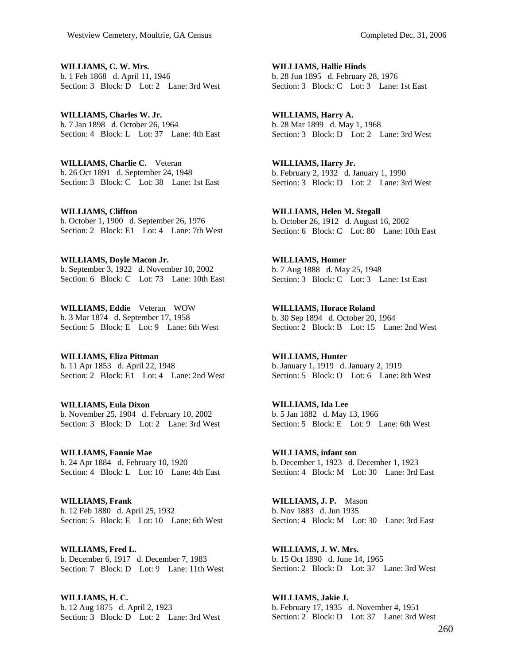**WILLIAMS, C. W. Mrs.**  b. 1 Feb 1868 d. April 11, 1946 Section: 3 Block: D Lot: 2 Lane: 3rd West

**WILLIAMS, Charles W. Jr.**  b. 7 Jan 1898 d. October 26, 1964 Section: 4 Block: L Lot: 37 Lane: 4th East

**WILLIAMS, Charlie C.** Veteran b. 26 Oct 1891 d. September 24, 1948 Section: 3 Block: C Lot: 38 Lane: 1st East

**WILLIAMS, Cliffton**  b. October 1, 1900 d. September 26, 1976 Section: 2 Block: E1 Lot: 4 Lane: 7th West

**WILLIAMS, Doyle Macon Jr.**  b. September 3, 1922 d. November 10, 2002 Section: 6 Block: C Lot: 73 Lane: 10th East

**WILLIAMS, Eddie** Veteran WOW b. 3 Mar 1874 d. September 17, 1958 Section: 5 Block: E Lot: 9 Lane: 6th West

**WILLIAMS, Eliza Pittman**  b. 11 Apr 1853 d. April 22, 1948 Section: 2 Block: E1 Lot: 4 Lane: 2nd West

**WILLIAMS, Eula Dixon**  b. November 25, 1904 d. February 10, 2002 Section: 3 Block: D Lot: 2 Lane: 3rd West

**WILLIAMS, Fannie Mae**  b. 24 Apr 1884 d. February 10, 1920 Section: 4 Block: L Lot: 10 Lane: 4th East

**WILLIAMS, Frank**  b. 12 Feb 1880 d. April 25, 1932 Section: 5 Block: E Lot: 10 Lane: 6th West

**WILLIAMS, Fred L.**  b. December 6, 1917 d. December 7, 1983 Section: 7 Block: D Lot: 9 Lane: 11th West

**WILLIAMS, H. C.**  b. 12 Aug 1875 d. April 2, 1923 Section: 3 Block: D Lot: 2 Lane: 3rd West

**WILLIAMS, Hallie Hinds**  b. 28 Jun 1895 d. February 28, 1976 Section: 3 Block: C Lot: 3 Lane: 1st East

**WILLIAMS, Harry A.**  b. 28 Mar 1899 d. May 1, 1968 Section: 3 Block: D Lot: 2 Lane: 3rd West

**WILLIAMS, Harry Jr.**  b. February 2, 1932 d. January 1, 1990 Section: 3 Block: D Lot: 2 Lane: 3rd West

**WILLIAMS, Helen M. Stegall**  b. October 26, 1912 d. August 16, 2002 Section: 6 Block: C Lot: 80 Lane: 10th East

**WILLIAMS, Homer**  b. 7 Aug 1888 d. May 25, 1948 Section: 3 Block: C Lot: 3 Lane: 1st East

**WILLIAMS, Horace Roland**  b. 30 Sep 1894 d. October 20, 1964 Section: 2 Block: B Lot: 15 Lane: 2nd West

**WILLIAMS, Hunter**  b. January 1, 1919 d. January 2, 1919 Section: 5 Block: O Lot: 6 Lane: 8th West

**WILLIAMS, Ida Lee**  b. 5 Jan 1882 d. May 13, 1966 Section: 5 Block: E Lot: 9 Lane: 6th West

**WILLIAMS, infant son**  b. December 1, 1923 d. December 1, 1923 Section: 4 Block: M Lot: 30 Lane: 3rd East

**WILLIAMS, J. P.** Mason b. Nov 1883 d. Jun 1935 Section: 4 Block: M Lot: 30 Lane: 3rd East

**WILLIAMS, J. W. Mrs.**  b. 15 Oct 1890 d. June 14, 1965 Section: 2 Block: D Lot: 37 Lane: 3rd West

**WILLIAMS, Jakie J.**  b. February 17, 1935 d. November 4, 1951 Section: 2 Block: D Lot: 37 Lane: 3rd West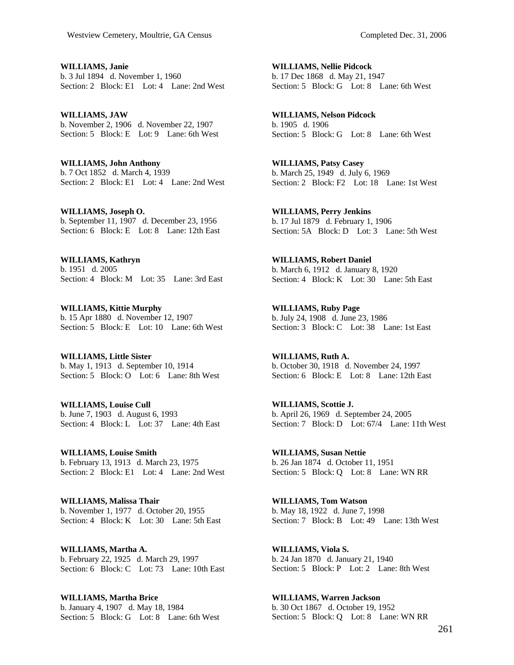**WILLIAMS, Janie**  b. 3 Jul 1894 d. November 1, 1960 Section: 2 Block: E1 Lot: 4 Lane: 2nd West

**WILLIAMS, JAW**  b. November 2, 1906 d. November 22, 1907 Section: 5 Block: E Lot: 9 Lane: 6th West

**WILLIAMS, John Anthony**  b. 7 Oct 1852 d. March 4, 1939 Section: 2 Block: E1 Lot: 4 Lane: 2nd West

**WILLIAMS, Joseph O.**  b. September 11, 1907 d. December 23, 1956 Section: 6 Block: E Lot: 8 Lane: 12th East

**WILLIAMS, Kathryn**  b. 1951 d. 2005 Section: 4 Block: M Lot: 35 Lane: 3rd East

**WILLIAMS, Kittie Murphy**  b. 15 Apr 1880 d. November 12, 1907 Section: 5 Block: E Lot: 10 Lane: 6th West

**WILLIAMS, Little Sister**  b. May 1, 1913 d. September 10, 1914 Section: 5 Block: O Lot: 6 Lane: 8th West

**WILLIAMS, Louise Cull**  b. June 7, 1903 d. August 6, 1993 Section: 4 Block: L Lot: 37 Lane: 4th East

**WILLIAMS, Louise Smith**  b. February 13, 1913 d. March 23, 1975 Section: 2 Block: E1 Lot: 4 Lane: 2nd West

**WILLIAMS, Malissa Thair**  b. November 1, 1977 d. October 20, 1955 Section: 4 Block: K Lot: 30 Lane: 5th East

**WILLIAMS, Martha A.**  b. February 22, 1925 d. March 29, 1997 Section: 6 Block: C Lot: 73 Lane: 10th East

**WILLIAMS, Martha Brice**  b. January 4, 1907 d. May 18, 1984 Section: 5 Block: G Lot: 8 Lane: 6th West

**WILLIAMS, Nellie Pidcock**  b. 17 Dec 1868 d. May 21, 1947 Section: 5 Block: G Lot: 8 Lane: 6th West

**WILLIAMS, Nelson Pidcock**  b. 1905 d. 1906 Section: 5 Block: G Lot: 8 Lane: 6th West

**WILLIAMS, Patsy Casey**  b. March 25, 1949 d. July 6, 1969 Section: 2 Block: F2 Lot: 18 Lane: 1st West

**WILLIAMS, Perry Jenkins**  b. 17 Jul 1879 d. February 1, 1906 Section: 5A Block: D Lot: 3 Lane: 5th West

**WILLIAMS, Robert Daniel**  b. March 6, 1912 d. January 8, 1920 Section: 4 Block: K Lot: 30 Lane: 5th East

**WILLIAMS, Ruby Page**  b. July 24, 1908 d. June 23, 1986 Section: 3 Block: C Lot: 38 Lane: 1st East

**WILLIAMS, Ruth A.**  b. October 30, 1918 d. November 24, 1997 Section: 6 Block: E Lot: 8 Lane: 12th East

**WILLIAMS, Scottie J.**  b. April 26, 1969 d. September 24, 2005 Section: 7 Block: D Lot: 67/4 Lane: 11th West

**WILLIAMS, Susan Nettie**  b. 26 Jan 1874 d. October 11, 1951 Section: 5 Block: Q Lot: 8 Lane: WN RR

**WILLIAMS, Tom Watson**  b. May 18, 1922 d. June 7, 1998 Section: 7 Block: B Lot: 49 Lane: 13th West

**WILLIAMS, Viola S.**  b. 24 Jan 1870 d. January 21, 1940 Section: 5 Block: P Lot: 2 Lane: 8th West

**WILLIAMS, Warren Jackson**  b. 30 Oct 1867 d. October 19, 1952 Section: 5 Block: Q Lot: 8 Lane: WN RR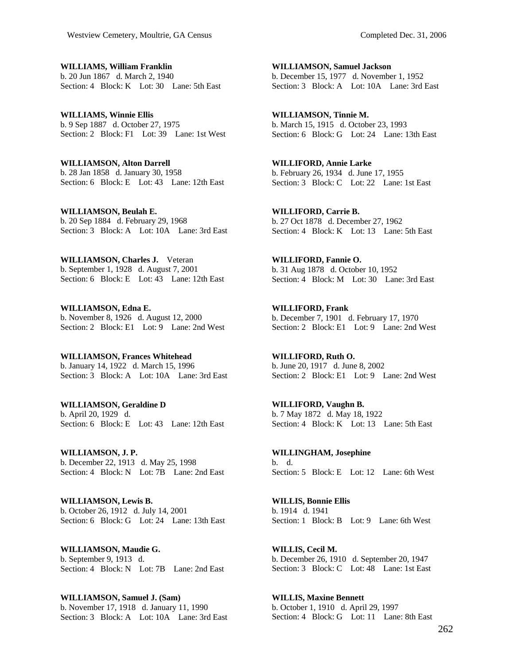**WILLIAMS, William Franklin**  b. 20 Jun 1867 d. March 2, 1940 Section: 4 Block: K Lot: 30 Lane: 5th East

**WILLIAMS, Winnie Ellis**  b. 9 Sep 1887 d. October 27, 1975 Section: 2 Block: F1 Lot: 39 Lane: 1st West

**WILLIAMSON, Alton Darrell**  b. 28 Jan 1858 d. January 30, 1958 Section: 6 Block: E Lot: 43 Lane: 12th East

**WILLIAMSON, Beulah E.**  b. 20 Sep 1884 d. February 29, 1968 Section: 3 Block: A Lot: 10A Lane: 3rd East

**WILLIAMSON, Charles J.** Veteran b. September 1, 1928 d. August 7, 2001 Section: 6 Block: E Lot: 43 Lane: 12th East

**WILLIAMSON, Edna E.**  b. November 8, 1926 d. August 12, 2000 Section: 2 Block: E1 Lot: 9 Lane: 2nd West

**WILLIAMSON, Frances Whitehead**  b. January 14, 1922 d. March 15, 1996 Section: 3 Block: A Lot: 10A Lane: 3rd East

**WILLIAMSON, Geraldine D**  b. April 20, 1929 d. Section: 6 Block: E Lot: 43 Lane: 12th East

**WILLIAMSON, J. P.**  b. December 22, 1913 d. May 25, 1998 Section: 4 Block: N Lot: 7B Lane: 2nd East

**WILLIAMSON, Lewis B.**  b. October 26, 1912 d. July 14, 2001 Section: 6 Block: G Lot: 24 Lane: 13th East

**WILLIAMSON, Maudie G.**  b. September 9, 1913 d. Section: 4 Block: N Lot: 7B Lane: 2nd East

**WILLIAMSON, Samuel J. (Sam)**  b. November 17, 1918 d. January 11, 1990 Section: 3 Block: A Lot: 10A Lane: 3rd East

**WILLIAMSON, Samuel Jackson**  b. December 15, 1977 d. November 1, 1952 Section: 3 Block: A Lot: 10A Lane: 3rd East

**WILLIAMSON, Tinnie M.**  b. March 15, 1915 d. October 23, 1993 Section: 6 Block: G Lot: 24 Lane: 13th East

**WILLIFORD, Annie Larke**  b. February 26, 1934 d. June 17, 1955 Section: 3 Block: C Lot: 22 Lane: 1st East

**WILLIFORD, Carrie B.**  b. 27 Oct 1878 d. December 27, 1962 Section: 4 Block: K Lot: 13 Lane: 5th East

**WILLIFORD, Fannie O.**  b. 31 Aug 1878 d. October 10, 1952 Section: 4 Block: M Lot: 30 Lane: 3rd East

**WILLIFORD, Frank**  b. December 7, 1901 d. February 17, 1970 Section: 2 Block: E1 Lot: 9 Lane: 2nd West

**WILLIFORD, Ruth O.**  b. June 20, 1917 d. June 8, 2002 Section: 2 Block: E1 Lot: 9 Lane: 2nd West

**WILLIFORD, Vaughn B.**  b. 7 May 1872 d. May 18, 1922 Section: 4 Block: K Lot: 13 Lane: 5th East

**WILLINGHAM, Josephine**  b. d. Section: 5 Block: E Lot: 12 Lane: 6th West

**WILLIS, Bonnie Ellis**  b. 1914 d. 1941 Section: 1 Block: B Lot: 9 Lane: 6th West

**WILLIS, Cecil M.**  b. December 26, 1910 d. September 20, 1947 Section: 3 Block: C Lot: 48 Lane: 1st East

**WILLIS, Maxine Bennett**  b. October 1, 1910 d. April 29, 1997 Section: 4 Block: G Lot: 11 Lane: 8th East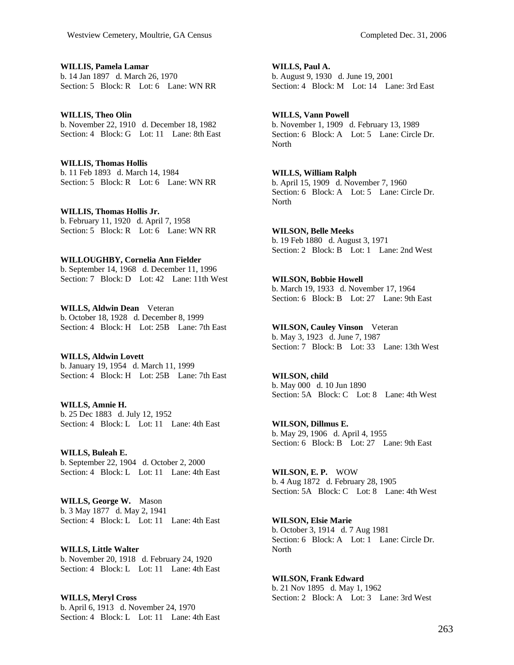**WILLIS, Pamela Lamar**  b. 14 Jan 1897 d. March 26, 1970 Section: 5 Block: R Lot: 6 Lane: WN RR

**WILLIS, Theo Olin**  b. November 22, 1910 d. December 18, 1982 Section: 4 Block: G Lot: 11 Lane: 8th East

**WILLIS, Thomas Hollis**  b. 11 Feb 1893 d. March 14, 1984 Section: 5 Block: R Lot: 6 Lane: WN RR

**WILLIS, Thomas Hollis Jr.**  b. February 11, 1920 d. April 7, 1958 Section: 5 Block: R Lot: 6 Lane: WN RR

### **WILLOUGHBY, Cornelia Ann Fielder**

b. September 14, 1968 d. December 11, 1996 Section: 7 Block: D Lot: 42 Lane: 11th West

**WILLS, Aldwin Dean** Veteran b. October 18, 1928 d. December 8, 1999 Section: 4 Block: H Lot: 25B Lane: 7th East

**WILLS, Aldwin Lovett**  b. January 19, 1954 d. March 11, 1999 Section: 4 Block: H Lot: 25B Lane: 7th East

**WILLS, Amnie H.**  b. 25 Dec 1883 d. July 12, 1952 Section: 4 Block: L Lot: 11 Lane: 4th East

**WILLS, Buleah E.**  b. September 22, 1904 d. October 2, 2000 Section: 4 Block: L Lot: 11 Lane: 4th East

**WILLS, George W.** Mason b. 3 May 1877 d. May 2, 1941 Section: 4 Block: L Lot: 11 Lane: 4th East

**WILLS, Little Walter**  b. November 20, 1918 d. February 24, 1920 Section: 4 Block: L Lot: 11 Lane: 4th East

**WILLS, Meryl Cross**  b. April 6, 1913 d. November 24, 1970 Section: 4 Block: L Lot: 11 Lane: 4th East

**WILLS, Paul A.**  b. August 9, 1930 d. June 19, 2001 Section: 4 Block: M Lot: 14 Lane: 3rd East

## **WILLS, Vann Powell**

b. November 1, 1909 d. February 13, 1989 Section: 6 Block: A Lot: 5 Lane: Circle Dr. North

# **WILLS, William Ralph**

b. April 15, 1909 d. November 7, 1960 Section: 6 Block: A Lot: 5 Lane: Circle Dr. **North** 

**WILSON, Belle Meeks**  b. 19 Feb 1880 d. August 3, 1971 Section: 2 Block: B Lot: 1 Lane: 2nd West

**WILSON, Bobbie Howell**  b. March 19, 1933 d. November 17, 1964 Section: 6 Block: B Lot: 27 Lane: 9th East

**WILSON, Cauley Vinson** Veteran b. May 3, 1923 d. June 7, 1987 Section: 7 Block: B Lot: 33 Lane: 13th West

**WILSON, child**  b. May 000 d. 10 Jun 1890 Section: 5A Block: C Lot: 8 Lane: 4th West

**WILSON, Dillmus E.**  b. May 29, 1906 d. April 4, 1955 Section: 6 Block: B Lot: 27 Lane: 9th East

**WILSON, E. P.** WOW b. 4 Aug 1872 d. February 28, 1905 Section: 5A Block: C Lot: 8 Lane: 4th West

**WILSON, Elsie Marie**  b. October 3, 1914 d. 7 Aug 1981 Section: 6 Block: A Lot: 1 Lane: Circle Dr. North

**WILSON, Frank Edward**  b. 21 Nov 1895 d. May 1, 1962 Section: 2 Block: A Lot: 3 Lane: 3rd West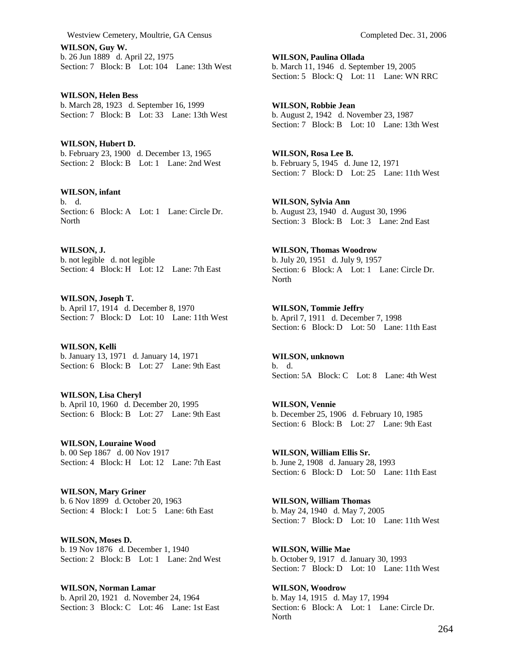Westview Cemetery, Moultrie, GA Census Completed Dec. 31, 2006

**WILSON, Guy W.**  b. 26 Jun 1889 d. April 22, 1975 Section: 7 Block: B Lot: 104 Lane: 13th West

**WILSON, Helen Bess**  b. March 28, 1923 d. September 16, 1999 Section: 7 Block: B Lot: 33 Lane: 13th West

**WILSON, Hubert D.**  b. February 23, 1900 d. December 13, 1965 Section: 2 Block: B Lot: 1 Lane: 2nd West

**WILSON, infant**  b. d. Section: 6 Block: A Lot: 1 Lane: Circle Dr. North

**WILSON, J.**  b. not legible d. not legible Section: 4 Block: H Lot: 12 Lane: 7th East

**WILSON, Joseph T.**  b. April 17, 1914 d. December 8, 1970 Section: 7 Block: D Lot: 10 Lane: 11th West

**WILSON, Kelli**  b. January 13, 1971 d. January 14, 1971 Section: 6 Block: B Lot: 27 Lane: 9th East

**WILSON, Lisa Cheryl**  b. April 10, 1960 d. December 20, 1995 Section: 6 Block: B Lot: 27 Lane: 9th East

**WILSON, Louraine Wood**  b. 00 Sep 1867 d. 00 Nov 1917 Section: 4 Block: H Lot: 12 Lane: 7th East

**WILSON, Mary Griner**  b. 6 Nov 1899 d. October 20, 1963 Section: 4 Block: I Lot: 5 Lane: 6th East

**WILSON, Moses D.**  b. 19 Nov 1876 d. December 1, 1940 Section: 2 Block: B Lot: 1 Lane: 2nd West

**WILSON, Norman Lamar**  b. April 20, 1921 d. November 24, 1964 Section: 3 Block: C Lot: 46 Lane: 1st East

**WILSON, Paulina Ollada**  b. March 11, 1946 d. September 19, 2005 Section: 5 Block: Q Lot: 11 Lane: WN RRC

**WILSON, Robbie Jean**  b. August 2, 1942 d. November 23, 1987 Section: 7 Block: B Lot: 10 Lane: 13th West

**WILSON, Rosa Lee B.**  b. February 5, 1945 d. June 12, 1971 Section: 7 Block: D Lot: 25 Lane: 11th West

**WILSON, Sylvia Ann**  b. August 23, 1940 d. August 30, 1996 Section: 3 Block: B Lot: 3 Lane: 2nd East

**WILSON, Thomas Woodrow**  b. July 20, 1951 d. July 9, 1957 Section: 6 Block: A Lot: 1 Lane: Circle Dr. North

**WILSON, Tommie Jeffry**  b. April 7, 1911 d. December 7, 1998 Section: 6 Block: D Lot: 50 Lane: 11th East

**WILSON, unknown**  b. d. Section: 5A Block: C Lot: 8 Lane: 4th West

**WILSON, Vennie**  b. December 25, 1906 d. February 10, 1985 Section: 6 Block: B Lot: 27 Lane: 9th East

**WILSON, William Ellis Sr.**  b. June 2, 1908 d. January 28, 1993 Section: 6 Block: D Lot: 50 Lane: 11th East

**WILSON, William Thomas**  b. May 24, 1940 d. May 7, 2005 Section: 7 Block: D Lot: 10 Lane: 11th West

**WILSON, Willie Mae**  b. October 9, 1917 d. January 30, 1993 Section: 7 Block: D Lot: 10 Lane: 11th West

**WILSON, Woodrow**  b. May 14, 1915 d. May 17, 1994 Section: 6 Block: A Lot: 1 Lane: Circle Dr. North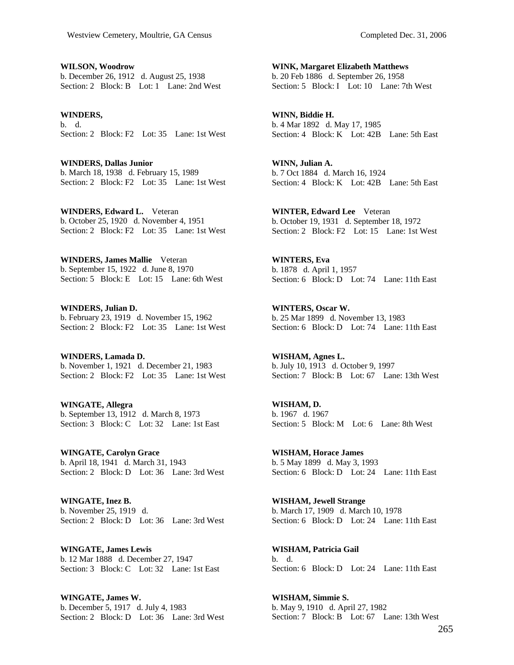**WILSON, Woodrow**  b. December 26, 1912 d. August 25, 1938 Section: 2 Block: B Lot: 1 Lane: 2nd West

**WINDERS,**  b. d. Section: 2 Block: F2 Lot: 35 Lane: 1st West

**WINDERS, Dallas Junior**  b. March 18, 1938 d. February 15, 1989 Section: 2 Block: F2 Lot: 35 Lane: 1st West

**WINDERS, Edward L.** Veteran b. October 25, 1920 d. November 4, 1951 Section: 2 Block: F<sub>2</sub> Lot: 35 Lane: 1st West

**WINDERS, James Mallie** Veteran b. September 15, 1922 d. June 8, 1970 Section: 5 Block: E Lot: 15 Lane: 6th West

**WINDERS, Julian D.**  b. February 23, 1919 d. November 15, 1962 Section: 2 Block: F2 Lot: 35 Lane: 1st West

**WINDERS, Lamada D.**  b. November 1, 1921 d. December 21, 1983 Section: 2 Block: F2 Lot: 35 Lane: 1st West

**WINGATE, Allegra**  b. September 13, 1912 d. March 8, 1973 Section: 3 Block: C Lot: 32 Lane: 1st East

**WINGATE, Carolyn Grace**  b. April 18, 1941 d. March 31, 1943 Section: 2 Block: D Lot: 36 Lane: 3rd West

**WINGATE, Inez B.**  b. November 25, 1919 d. Section: 2 Block: D Lot: 36 Lane: 3rd West

**WINGATE, James Lewis**  b. 12 Mar 1888 d. December 27, 1947 Section: 3 Block: C Lot: 32 Lane: 1st East

**WINGATE, James W.**  b. December 5, 1917 d. July 4, 1983 Section: 2 Block: D Lot: 36 Lane: 3rd West

**WINK, Margaret Elizabeth Matthews**  b. 20 Feb 1886 d. September 26, 1958 Section: 5 Block: I Lot: 10 Lane: 7th West

**WINN, Biddie H.**  b. 4 Mar 1892 d. May 17, 1985 Section: 4 Block: K Lot: 42B Lane: 5th East

**WINN, Julian A.**  b. 7 Oct 1884 d. March 16, 1924 Section: 4 Block: K Lot: 42B Lane: 5th East

**WINTER, Edward Lee** Veteran b. October 19, 1931 d. September 18, 1972 Section: 2 Block: F2 Lot: 15 Lane: 1st West

**WINTERS, Eva**  b. 1878 d. April 1, 1957 Section: 6 Block: D Lot: 74 Lane: 11th East

**WINTERS, Oscar W.**  b. 25 Mar 1899 d. November 13, 1983 Section: 6 Block: D Lot: 74 Lane: 11th East

**WISHAM, Agnes L.**  b. July 10, 1913 d. October 9, 1997 Section: 7 Block: B Lot: 67 Lane: 13th West

**WISHAM, D.**  b. 1967 d. 1967 Section: 5 Block: M Lot: 6 Lane: 8th West

**WISHAM, Horace James**  b. 5 May 1899 d. May 3, 1993 Section: 6 Block: D Lot: 24 Lane: 11th East

**WISHAM, Jewell Strange**  b. March 17, 1909 d. March 10, 1978 Section: 6 Block: D Lot: 24 Lane: 11th East

**WISHAM, Patricia Gail**  b. d. Section: 6 Block: D Lot: 24 Lane: 11th East

**WISHAM, Simmie S.**  b. May 9, 1910 d. April 27, 1982 Section: 7 Block: B Lot: 67 Lane: 13th West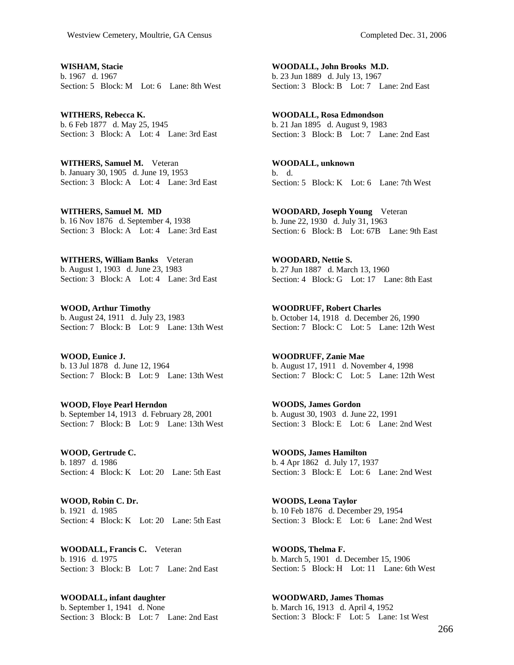**WISHAM, Stacie**  b. 1967 d. 1967 Section: 5 Block: M Lot: 6 Lane: 8th West

**WITHERS, Rebecca K.**  b. 6 Feb 1877 d. May 25, 1945 Section: 3 Block: A Lot: 4 Lane: 3rd East

**WITHERS, Samuel M.** Veteran b. January 30, 1905 d. June 19, 1953 Section: 3 Block: A Lot: 4 Lane: 3rd East

**WITHERS, Samuel M. MD**  b. 16 Nov 1876 d. September 4, 1938 Section: 3 Block: A Lot: 4 Lane: 3rd East

**WITHERS, William Banks** Veteran b. August 1, 1903 d. June 23, 1983 Section: 3 Block: A Lot: 4 Lane: 3rd East

**WOOD, Arthur Timothy**  b. August 24, 1911 d. July 23, 1983 Section: 7 Block: B Lot: 9 Lane: 13th West

**WOOD, Eunice J.**  b. 13 Jul 1878 d. June 12, 1964 Section: 7 Block: B Lot: 9 Lane: 13th West

**WOOD, Floye Pearl Herndon**  b. September 14, 1913 d. February 28, 2001 Section: 7 Block: B Lot: 9 Lane: 13th West

**WOOD, Gertrude C.**  b. 1897 d. 1986 Section: 4 Block: K Lot: 20 Lane: 5th East

**WOOD, Robin C. Dr.**  b. 1921 d. 1985 Section: 4 Block: K Lot: 20 Lane: 5th East

**WOODALL, Francis C.** Veteran b. 1916 d. 1975 Section: 3 Block: B Lot: 7 Lane: 2nd East

**WOODALL, infant daughter**  b. September 1, 1941 d. None Section: 3 Block: B Lot: 7 Lane: 2nd East

**WOODALL, John Brooks M.D.**  b. 23 Jun 1889 d. July 13, 1967 Section: 3 Block: B Lot: 7 Lane: 2nd East

**WOODALL, Rosa Edmondson**  b. 21 Jan 1895 d. August 9, 1983 Section: 3 Block: B Lot: 7 Lane: 2nd East

**WOODALL, unknown**  b. d. Section: 5 Block: K Lot: 6 Lane: 7th West

**WOODARD, Joseph Young** Veteran b. June 22, 1930 d. July 31, 1963 Section: 6 Block: B Lot: 67B Lane: 9th East

**WOODARD, Nettie S.**  b. 27 Jun 1887 d. March 13, 1960 Section: 4 Block: G Lot: 17 Lane: 8th East

**WOODRUFF, Robert Charles**  b. October 14, 1918 d. December 26, 1990 Section: 7 Block: C Lot: 5 Lane: 12th West

**WOODRUFF, Zanie Mae**  b. August 17, 1911 d. November 4, 1998 Section: 7 Block: C Lot: 5 Lane: 12th West

**WOODS, James Gordon**  b. August 30, 1903 d. June 22, 1991 Section: 3 Block: E Lot: 6 Lane: 2nd West

**WOODS, James Hamilton**  b. 4 Apr 1862 d. July 17, 1937 Section: 3 Block: E Lot: 6 Lane: 2nd West

**WOODS, Leona Taylor**  b. 10 Feb 1876 d. December 29, 1954 Section: 3 Block: E Lot: 6 Lane: 2nd West

**WOODS, Thelma F.**  b. March 5, 1901 d. December 15, 1906 Section: 5 Block: H Lot: 11 Lane: 6th West

**WOODWARD, James Thomas**  b. March 16, 1913 d. April 4, 1952 Section: 3 Block: F Lot: 5 Lane: 1st West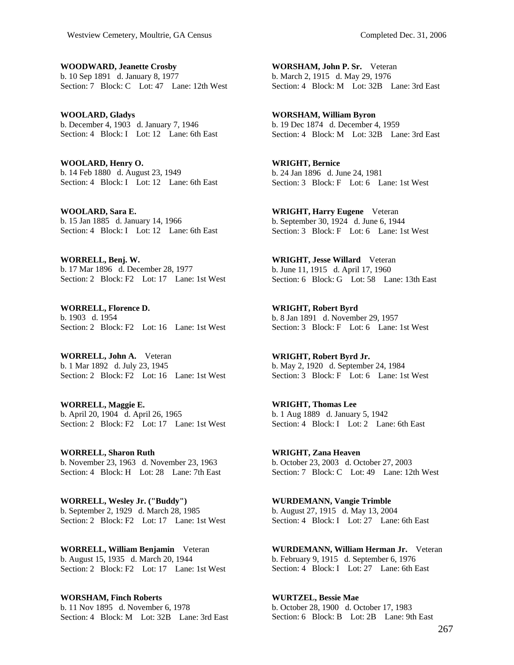**WOODWARD, Jeanette Crosby**  b. 10 Sep 1891 d. January 8, 1977 Section: 7 Block: C Lot: 47 Lane: 12th West

**WOOLARD, Gladys**  b. December 4, 1903 d. January 7, 1946 Section: 4 Block: I Lot: 12 Lane: 6th East

**WOOLARD, Henry O.**  b. 14 Feb 1880 d. August 23, 1949 Section: 4 Block: I Lot: 12 Lane: 6th East

**WOOLARD, Sara E.**  b. 15 Jan 1885 d. January 14, 1966 Section: 4 Block: I Lot: 12 Lane: 6th East

**WORRELL, Benj. W.**  b. 17 Mar 1896 d. December 28, 1977 Section: 2 Block: F2 Lot: 17 Lane: 1st West

**WORRELL, Florence D.**  b. 1903 d. 1954 Section: 2 Block: F2 Lot: 16 Lane: 1st West

**WORRELL, John A.** Veteran b. 1 Mar 1892 d. July 23, 1945 Section: 2 Block: F<sub>2</sub> Lot: 16 Lane: 1st West

**WORRELL, Maggie E.**  b. April 20, 1904 d. April 26, 1965 Section: 2 Block: F2 Lot: 17 Lane: 1st West

**WORRELL, Sharon Ruth**  b. November 23, 1963 d. November 23, 1963 Section: 4 Block: H Lot: 28 Lane: 7th East

**WORRELL, Wesley Jr. ("Buddy")**  b. September 2, 1929 d. March 28, 1985 Section: 2 Block: F2 Lot: 17 Lane: 1st West

**WORRELL, William Benjamin** Veteran b. August 15, 1935 d. March 20, 1944 Section: 2 Block: F2 Lot: 17 Lane: 1st West

**WORSHAM, Finch Roberts**  b. 11 Nov 1895 d. November 6, 1978 Section: 4 Block: M Lot: 32B Lane: 3rd East

**WORSHAM, John P. Sr.** Veteran b. March 2, 1915 d. May 29, 1976 Section: 4 Block: M Lot: 32B Lane: 3rd East

**WORSHAM, William Byron**  b. 19 Dec 1874 d. December 4, 1959 Section: 4 Block: M Lot: 32B Lane: 3rd East

**WRIGHT, Bernice**  b. 24 Jan 1896 d. June 24, 1981 Section: 3 Block: F Lot: 6 Lane: 1st West

**WRIGHT, Harry Eugene** Veteran b. September 30, 1924 d. June 6, 1944 Section: 3 Block: F Lot: 6 Lane: 1st West

**WRIGHT, Jesse Willard** Veteran b. June 11, 1915 d. April 17, 1960 Section: 6 Block: G Lot: 58 Lane: 13th East

**WRIGHT, Robert Byrd**  b. 8 Jan 1891 d. November 29, 1957 Section: 3 Block: F Lot: 6 Lane: 1st West

**WRIGHT, Robert Byrd Jr.**  b. May 2, 1920 d. September 24, 1984 Section: 3 Block: F Lot: 6 Lane: 1st West

**WRIGHT, Thomas Lee**  b. 1 Aug 1889 d. January 5, 1942 Section: 4 Block: I Lot: 2 Lane: 6th East

**WRIGHT, Zana Heaven**  b. October 23, 2003 d. October 27, 2003 Section: 7 Block: C Lot: 49 Lane: 12th West

**WURDEMANN, Vangie Trimble**  b. August 27, 1915 d. May 13, 2004 Section: 4 Block: I Lot: 27 Lane: 6th East

**WURDEMANN, William Herman Jr.** Veteran b. February 9, 1915 d. September 6, 1976 Section: 4 Block: I Lot: 27 Lane: 6th East

**WURTZEL, Bessie Mae**  b. October 28, 1900 d. October 17, 1983 Section: 6 Block: B Lot: 2B Lane: 9th East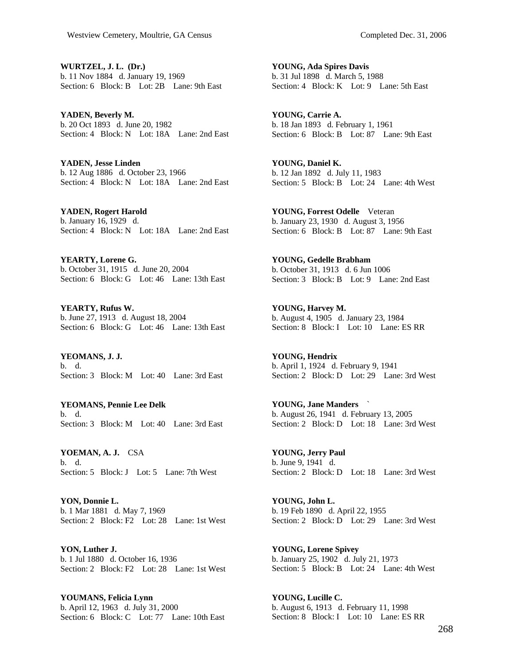**WURTZEL, J. L. (Dr.)**  b. 11 Nov 1884 d. January 19, 1969 Section: 6 Block: B Lot: 2B Lane: 9th East

**YADEN, Beverly M.**  b. 20 Oct 1893 d. June 20, 1982 Section: 4 Block: N Lot: 18A Lane: 2nd East

**YADEN, Jesse Linden**  b. 12 Aug 1886 d. October 23, 1966 Section: 4 Block: N Lot: 18A Lane: 2nd East

**YADEN, Rogert Harold**  b. January 16, 1929 d. Section: 4 Block: N Lot: 18A Lane: 2nd East

**YEARTY, Lorene G.**  b. October 31, 1915 d. June 20, 2004 Section: 6 Block: G Lot: 46 Lane: 13th East

**YEARTY, Rufus W.**  b. June 27, 1913 d. August 18, 2004 Section: 6 Block: G Lot: 46 Lane: 13th East

**YEOMANS, J. J.**  b. d. Section: 3 Block: M Lot: 40 Lane: 3rd East

**YEOMANS, Pennie Lee Delk**  b. d. Section: 3 Block: M Lot: 40 Lane: 3rd East

**YOEMAN, A. J.** CSA b. d. Section: 5 Block: J Lot: 5 Lane: 7th West

**YON, Donnie L.**  b. 1 Mar 1881 d. May 7, 1969 Section: 2 Block: F2 Lot: 28 Lane: 1st West

**YON, Luther J.**  b. 1 Jul 1880 d. October 16, 1936 Section: 2 Block: F2 Lot: 28 Lane: 1st West

**YOUMANS, Felicia Lynn**  b. April 12, 1963 d. July 31, 2000 Section: 6 Block: C Lot: 77 Lane: 10th East

**YOUNG, Ada Spires Davis**  b. 31 Jul 1898 d. March 5, 1988 Section: 4 Block: K Lot: 9 Lane: 5th East

**YOUNG, Carrie A.**  b. 18 Jan 1893 d. February 1, 1961 Section: 6 Block: B Lot: 87 Lane: 9th East

**YOUNG, Daniel K.**  b. 12 Jan 1892 d. July 11, 1983 Section: 5 Block: B Lot: 24 Lane: 4th West

**YOUNG, Forrest Odelle** Veteran b. January 23, 1930 d. August 3, 1956 Section: 6 Block: B Lot: 87 Lane: 9th East

**YOUNG, Gedelle Brabham**  b. October 31, 1913 d. 6 Jun 1006 Section: 3 Block: B Lot: 9 Lane: 2nd East

**YOUNG, Harvey M.**  b. August 4, 1905 d. January 23, 1984 Section: 8 Block: I Lot: 10 Lane: ES RR

**YOUNG, Hendrix**  b. April 1, 1924 d. February 9, 1941 Section: 2 Block: D Lot: 29 Lane: 3rd West

**YOUNG, Jane Manders** ` b. August 26, 1941 d. February 13, 2005 Section: 2 Block: D Lot: 18 Lane: 3rd West

**YOUNG, Jerry Paul**  b. June 9, 1941 d. Section: 2 Block: D Lot: 18 Lane: 3rd West

**YOUNG, John L.**  b. 19 Feb 1890 d. April 22, 1955 Section: 2 Block: D Lot: 29 Lane: 3rd West

**YOUNG, Lorene Spivey**  b. January 25, 1902 d. July 21, 1973 Section: 5 Block: B Lot: 24 Lane: 4th West

**YOUNG, Lucille C.**  b. August 6, 1913 d. February 11, 1998 Section: 8 Block: I Lot: 10 Lane: ES RR